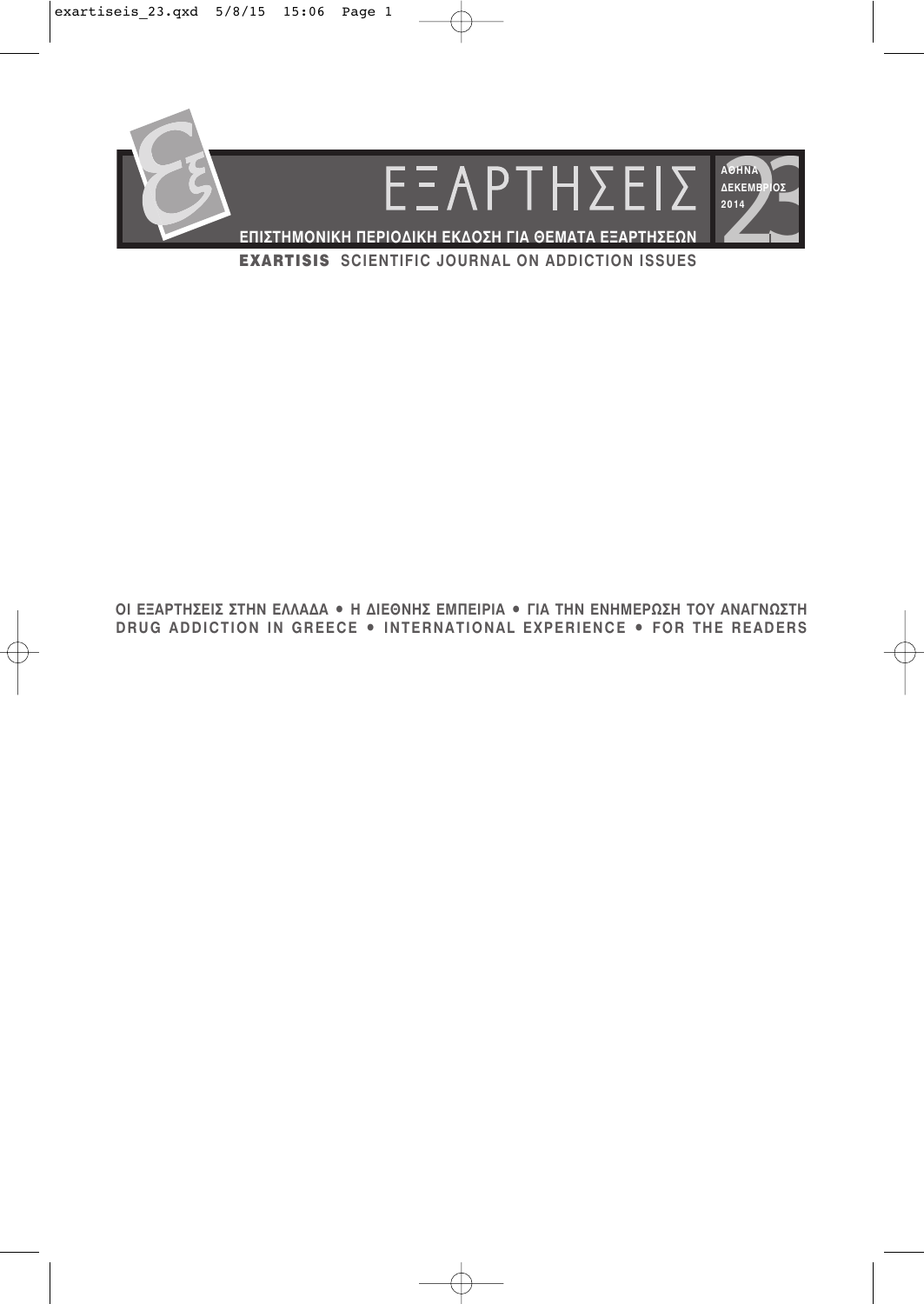

ΟΙ ΕΞΑΡΤΗΣΕΙΣ ΣΤΗΝ ΕΛΛΑΔΑ • Η ΔΙΕΘΝΗΣ ΕΜΠΕΙΡΙΑ • ΓΙΑ ΤΗΝ ΕΝΗΜΕΡΩΣΗ ΤΟΥ ΑΝΑΓΝΩΣΤΗ DRUG ADDICTION IN GREECE . INTERNATIONAL EXPERIENCE . FOR THE READERS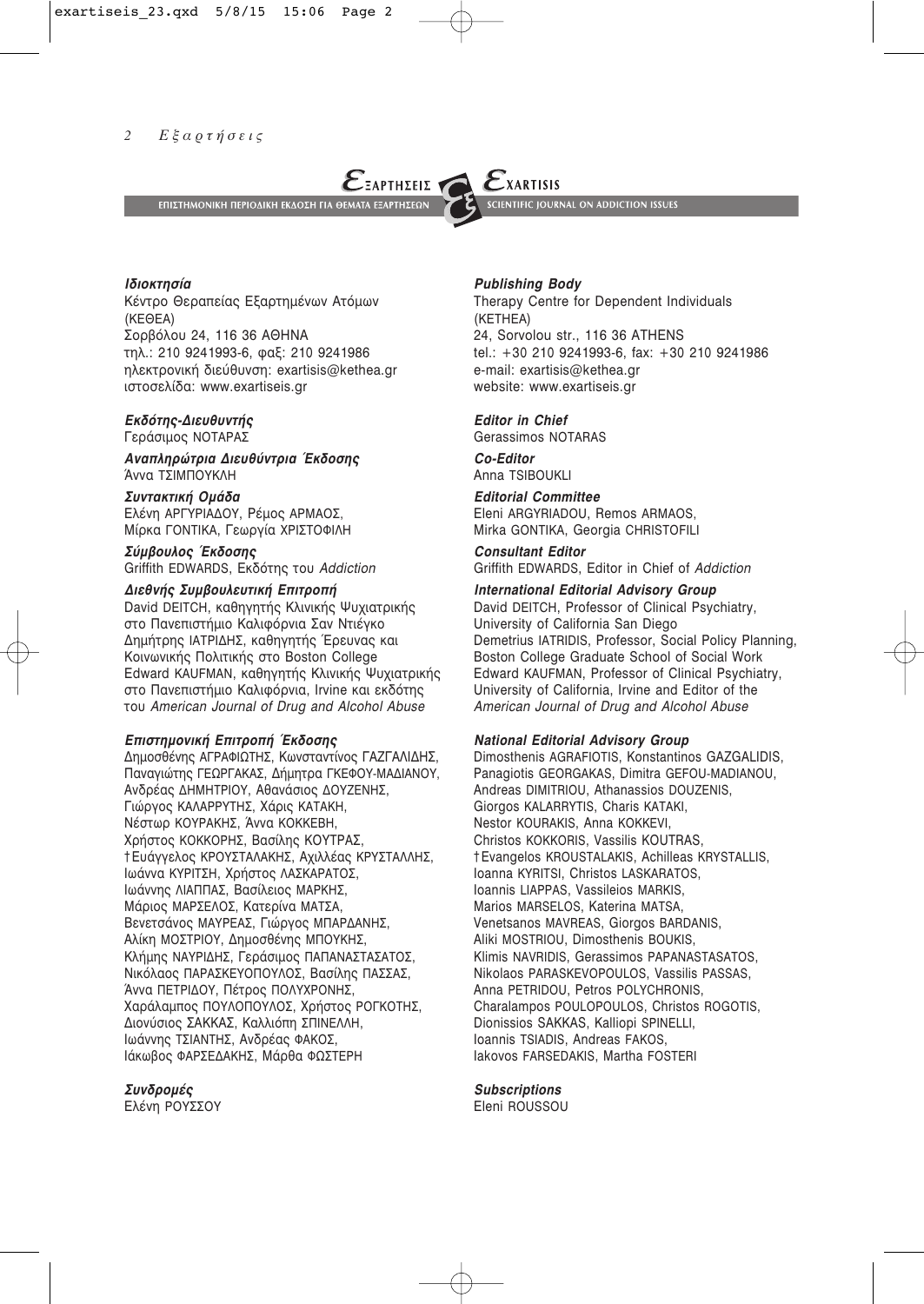

*Ιδιοκτησία* 

Κέντρο Θεραπείας Εξαρτημένων Ατόμων (∫∂£∂∞) Σορβόλου 24, 116 36 ΑΘΗΝΑ τηλ.: 210 9241993-6, φαξ: 210 9241986 ηλεκτρονική διεύθυνση: exartisis@kethea.gr ιστοσελίδα: www.exartiseis.gr

# *<i>Εκδότης-Διευθυντής*

Γεράσιμος ΝΟΤΑΡΑΣ

*Avaπληρώτρια Διευθύντρια Έκδοσης* Άννα ΤΣΙΜΠΟΥΚΛΗ

Συντακτική *Ομάδα* Ελένη ΑΡΓΥΡΙΑΔΟΥ, Ρέμος ΑΡΜΑΟΣ, Μίρκα ΓΟΝΤΙΚΑ, Γεωργία ΧΡΙΣΤΟΦΙΛΗ

 $\Sigma$ ύμβουλος Έκδοσης Griffith EDWARDS, Εκδότης του Addiction

# $Διεθνής Συμβουλευτική Επιτροπή$

David DEITCH, καθηγητής Κλινικής Ψυχιατρικής στο Πανεπιστήμιο Καλιφόρνια Σαν Ντιέγκο Δημήτρης ΙΑΤΡΙΔΗΣ, καθηγητής Έρευνας και Κοινωνικής Πολιτικής στο Boston College Edward KAUFMAN, καθηγητής Κλινικής Ψυχιατρικής στο Πανεπιστήμιο Καλιφόρνια, Irvine και εκδότης ÙÔ˘ *∞merican Journal of Drug and Alcohol Abuse*

#### *<i><del>Ēπιστημονική Επιτροπή Έκδοσης</del>*

Δημοσθένης ΑΓΡΑΦΙΩΤΗΣ, Κωνσταντίνος ΓΑΖΓΑΛΙΔΗΣ, Παναγιώτης ΓΕΩΡΓΑΚΑΣ, Δήμητρα ΓΚΕΦΟΥ-ΜΑΔΙΑΝΟΥ, Ανδρέας ΔΗΜΗΤΡΙΟΥ, Αθανάσιος ΔΟΥΖΕΝΗΣ, Γιώργος ΚΑΛΑΡΡΥΤΗΣ, Χάρις ΚΑΤΑΚΗ, Νέστωρ ΚΟΥΡΑΚΗΣ, Άννα ΚΟΚΚΕΒΗ, Χρήστος ΚΟΚΚΟΡΗΣ, Βασίλης ΚΟΥΤΡΑΣ, †Eυάννελος ΚΡΟΥΣΤΑΛΑΚΗΣ, Αχιλλέας ΚΡΥΣΤΑΛΛΗΣ, Ιωάννα ΚΥΡΙΤΣΗ, Χρήστος ΛΑΣΚΑΡΑΤΟΣ, Ιωάννης ΛΙΑΠΠΑΣ, Βασίλειος ΜΑΡΚΗΣ, Μάριος ΜΑΡΣΕΛΟΣ, Κατερίνα ΜΑΤΣΑ, Βενετσάνος ΜΑΥΡΕΑΣ, Γιώργος ΜΠΑΡΔΑΝΗΣ, Αλίκη ΜΟΣΤΡΙΟΥ, Δημοσθένης ΜΠΟΥΚΗΣ, Κλήμης ΝΑΥΡΙΔΗΣ, Γεράσιμος ΠΑΠΑΝΑΣΤΑΣΑΤΟΣ, Νικόλαος ΠΑΡΑΣΚΕΥΟΠΟΥΛΟΣ, Βασίλης ΠΑΣΣΑΣ, Άννα ΠΕΤΡΙΔΟΥ, Πέτρος ΠΟΛΥΧΡΟΝΗΣ, Χαράλαμπος ΠΟΥΛΟΠΟΥΛΟΣ, Χρήστος ΡΟΓΚΟΤΗΣ, Διονύσιος ΣΑΚΚΑΣ, Καλλιόπη ΣΠΙΝΕΛΛΗ, Ιωάννης ΤΣΙΑΝΤΗΣ, Ανδρέας ΦΑΚΟΣ, Ιάκωβος ΦΑΡΣΕΔΑΚΗΣ, Μάρθα ΦΩΣΤΕΡΗ

#### *™˘Ó‰ÚÔ̤˜*

Ελένη ΡΟΥΣΣΟΥ

#### *Publishing Body*

Therapy Centre for Dependent Individuals (KETHEA) 24, Sorvolou str., 116 36 ATHENS tel.: +30 210 9241993-6, fax: +30 210 9241986 e-mail: exartisis@kethea.gr website: www.exartiseis.gr

#### *Editor in Chief*

Gerassimos NOTARAS

*Co-Editor* Anna TSIBOUKLI

*Editorial Committee* Eleni ARGYRIADOU, Remos ARMAOS, Mirka GONTIKA, Georgia CHRISTOFILI

*Consultant Editor*  Griffith EDWARDS, Editor in Chief of *Addiction* 

#### *International Editorial Advisory Group*

David DEITCH, Professor of Clinical Psychiatry, University of California San Diego Demetrius IATRIDIS, Professor, Social Policy Planning, Boston College Graduate School of Social Work Edward KAUFMAN, Professor of Clinical Psychiatry, University of California, Irvine and Editor of the *∞merican Journal of Drug and Alcohol Abuse*

#### *National Editorial Advisory Group*

Dimosthenis AGRAFIOTIS, Konstantinos GAZGALIDIS, Panagiotis GEORGAKAS, Dimitra GEFOU-MADIANOU, Andreas DIMITRIOU, Athanassios DOUZENIS, Giorgos KALARRYTIS, Charis KATAKI, Nestor KOURAKIS, Anna KOKKEVI, Christos KOKKORIS, Vassilis KOUTRAS, †Evangelos KROUSTALAKIS, Achilleas KRYSTALLIS, Ioanna KYRITSI, Christos LASKARATOS, Ioannis LIAPPAS, Vassileios MARKIS, Marios MARSELOS, Katerina MATSA, Venetsanos MAVREAS, Giorgos BARDANIS, Aliki MOSTRIOU, Dimosthenis BOUKIS, Klimis NAVRIDIS, Gerassimos PAPANASTASATOS, Nikolaos PARASKEVOPOULOS, Vassilis PASSAS, Anna PETRIDOU, Petros POLYCHRONIS, Charalampos POULOPOULOS, Christos ROGOTIS, Dionissios SAKKAS, Kalliopi SPINELLI, Ioannis TSIADIS, Andreas FAKOS, Iakovos FARSEDAKIS, Martha FOSTERI

#### *Subscriptions*

Eleni ROUSSOU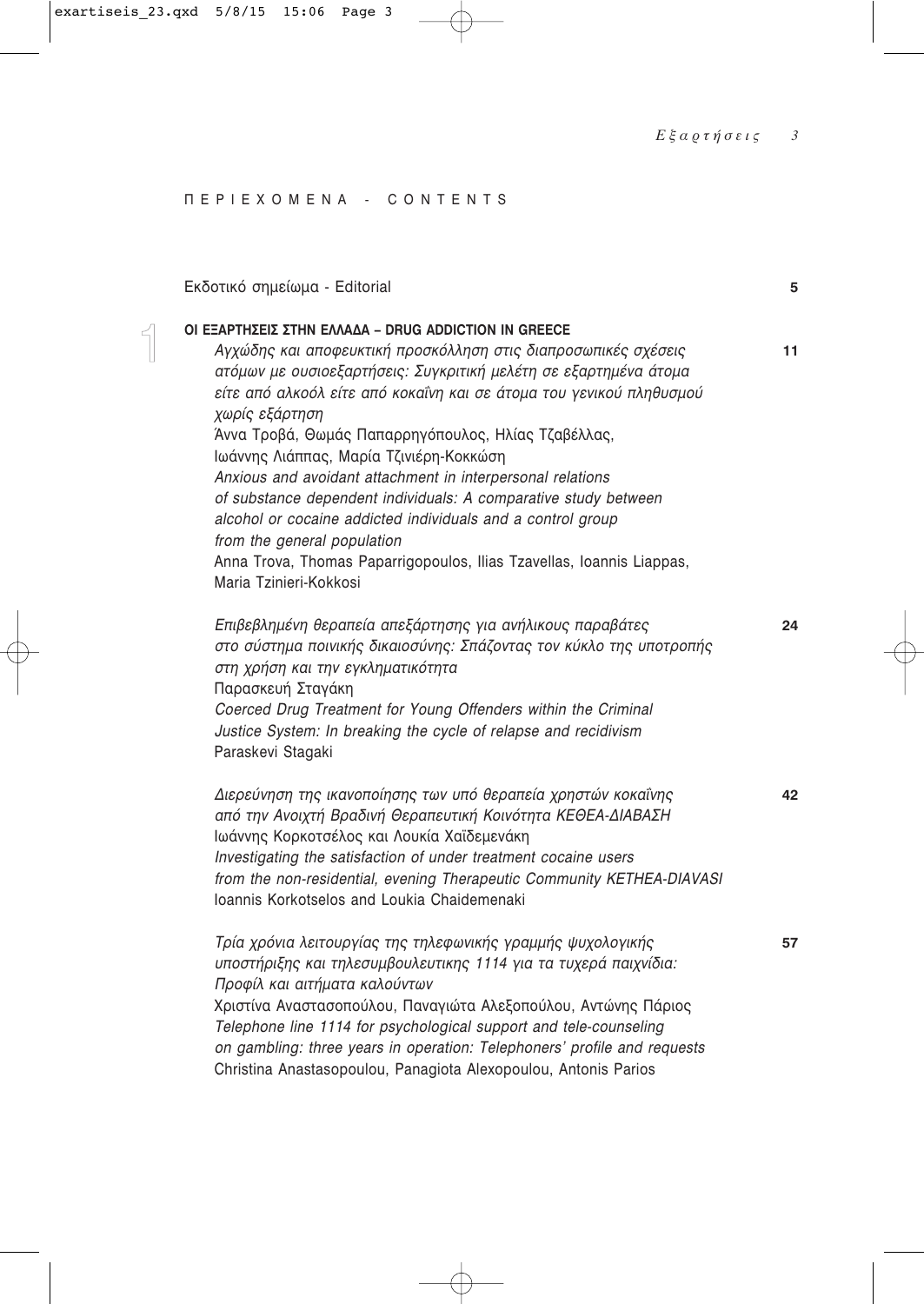# **ΠΕΡΙΕΧΟΜΕΝΑ - CONTENTS**

 $\begin{bmatrix} 1 \\ 1 \\ 1 \end{bmatrix}$ 

| Εκδοτικό σημείωμα - Editorial                                                                                                                                                                                                                                                                                                                                                                                                                                                                                                                                                                                                                                                                 | 5  |
|-----------------------------------------------------------------------------------------------------------------------------------------------------------------------------------------------------------------------------------------------------------------------------------------------------------------------------------------------------------------------------------------------------------------------------------------------------------------------------------------------------------------------------------------------------------------------------------------------------------------------------------------------------------------------------------------------|----|
| OI ΕΞΑΡΤΗΣΕΙΣ ΣΤΗΝ ΕΛΛΑΔΑ – DRUG ADDICTION IN GREECE<br>Αγχώδης και αποφευκτική προσκόλληση στις διαπροσωπικές σχέσεις<br>ατόμων με ουσιοεξαρτήσεις: Συγκριτική μελέτη σε εξαρτημένα άτομα<br>είτε από αλκοόλ είτε από κοκαΐνη και σε άτομα του γενικού πληθυσμού<br>χωρίς εξάρτηση<br>Άννα Τροβά, Θωμάς Παπαρρηγόπουλος, Ηλίας Τζαβέλλας,<br>Ιωάννης Λιάππας, Μαρία Τζινιέρη-Κοκκώση<br>Anxious and avoidant attachment in interpersonal relations<br>of substance dependent individuals: A comparative study between<br>alcohol or cocaine addicted individuals and a control group<br>from the general population<br>Anna Trova, Thomas Paparrigopoulos, Ilias Tzavellas, Ioannis Liappas, | 11 |
| Maria Tzinieri-Kokkosi<br>Επιβεβλημένη θεραπεία απεξάρτησης για ανήλικους παραβάτες<br>στο σύστημα ποινικής δικαιοσύνης: Σπάζοντας τον κύκλο της υποτροπής<br>στη χρήση και την εγκληματικότητα<br>Παρασκευή Σταγάκη<br>Coerced Drug Treatment for Young Offenders within the Criminal<br>Justice System: In breaking the cycle of relapse and recidivism<br>Paraskevi Stagaki                                                                                                                                                                                                                                                                                                                | 24 |
| Διερεύνηση της ικανοποίησης των υπό θεραπεία χρηστών κοκαΐνης<br>από την Ανοιχτή Βραδινή Θεραπευτική Κοινότητα ΚΕΘΕΑ-ΔΙΑΒΑΣΗ<br>Ιωάννης Κορκοτσέλος και Λουκία Χαϊδεμενάκη<br>Investigating the satisfaction of under treatment cocaine users<br>from the non-residential, evening Therapeutic Community KETHEA-DIAVASI<br>Ioannis Korkotselos and Loukia Chaidemenaki                                                                                                                                                                                                                                                                                                                        | 42 |
| Τρία χρόνια λειτουργίας της τηλεφωνικής γραμμής ψυχολογικής<br>υποστήριξης και τηλεσυμβουλευτικης 1114 για τα τυχερά παιχνίδια:<br>Προφίλ και αιτήματα καλούντων<br>Χριστίνα Αναστασοπούλου, Παναγιώτα Αλεξοπούλου, Αντώνης Πάριος<br>Telephone line 1114 for psychological support and tele-counseling<br>on gambling: three years in operation: Telephoners' profile and requests<br>Christina Anastasopoulou, Panagiota Alexopoulou, Antonis Parios                                                                                                                                                                                                                                        | 57 |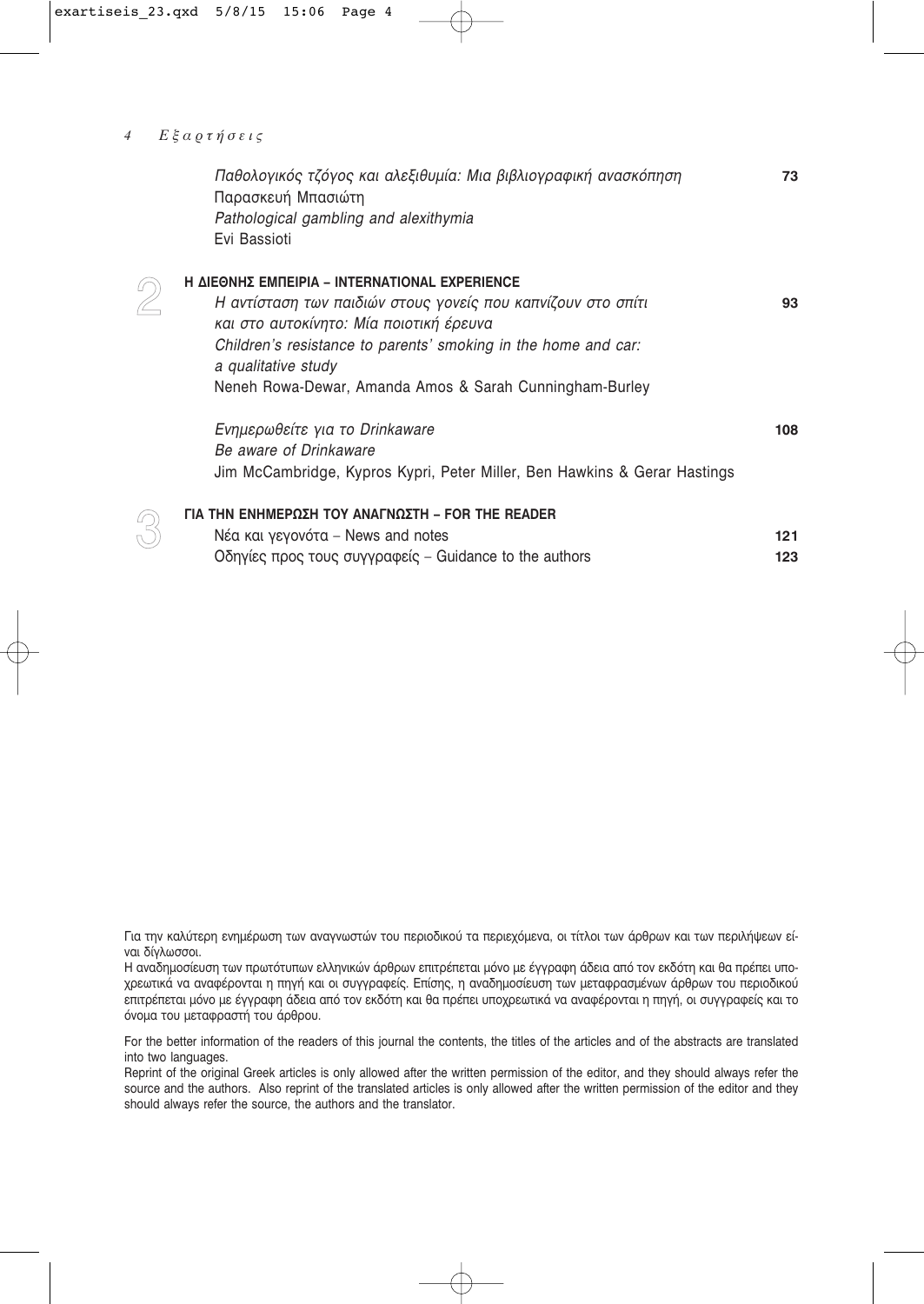#### Εξαρτήσεις  $\overline{4}$

 $\bigotimes$ 

Ŗ

| Παθολογικός τζόγος και αλεξιθυμία: Μια βιβλιογραφική ανασκόπηση<br>Παρασκευή Μπασιώτη<br>Pathological gambling and alexithymia | 73  |
|--------------------------------------------------------------------------------------------------------------------------------|-----|
| Evi Bassioti                                                                                                                   |     |
| Η ΔΙΕΘΝΗΣ ΕΜΠΕΙΡΙΑ - INTERNATIONAL EXPERIENCE                                                                                  |     |
| Η αντίσταση των παιδιών στους γονείς που καπνίζουν στο σπίτι                                                                   | 93  |
| και στο αυτοκίνητο: Μία ποιοτική έρευνα                                                                                        |     |
| Children's resistance to parents' smoking in the home and car:                                                                 |     |
| a qualitative study                                                                                                            |     |
| Neneh Rowa-Dewar, Amanda Amos & Sarah Cunningham-Burley                                                                        |     |
| Ενημερωθείτε για το Drinkaware                                                                                                 | 108 |
| Be aware of Drinkaware                                                                                                         |     |
| Jim McCambridge, Kypros Kypri, Peter Miller, Ben Hawkins & Gerar Hastings                                                      |     |
| ΓΙΑ ΤΗΝ ΕΝΗΜΕΡΩΣΗ ΤΟΥ ΑΝΑΓΝΩΣΤΗ – FOR THE READER                                                                               |     |
| Νέα και γεγονότα - News and notes                                                                                              | 121 |
| Οδηγίες προς τους συγγραφείς – Guidance to the authors                                                                         | 123 |

Για την καλύτερη ενημέρωση των αναγνωστών του περιοδικού τα περιεχόμενα, οι τίτλοι των άρθρων και των περιλήψεων είναι δίγλωσσοι.

Η αναδημοσίευση των πρωτότυπων ελληνικών άρθρων επιτρέπεται μόνο με έγγραφη άδεια από τον εκδότη και θα πρέπει υποχρεωτικά να αναφέρονται η πηγή και οι συγγραφείς. Επίσης, η αναδημοσίευση των μεταφρασμένων άρθρων του περιοδικού επιτρέπεται μόνο με έγγραφη άδεια από τον εκδότη και θα πρέπει υποχρεωτικά να αναφέρονται η πηγή, οι συγγραφείς και το όνομα του μεταφραστή του άρθρου.

For the better information of the readers of this journal the contents, the titles of the articles and of the abstracts are translated into two languages.

Reprint of the original Greek articles is only allowed after the written permission of the editor, and they should always refer the source and the authors. Also reprint of the translated articles is only allowed after the written permission of the editor and they should always refer the source, the authors and the translator.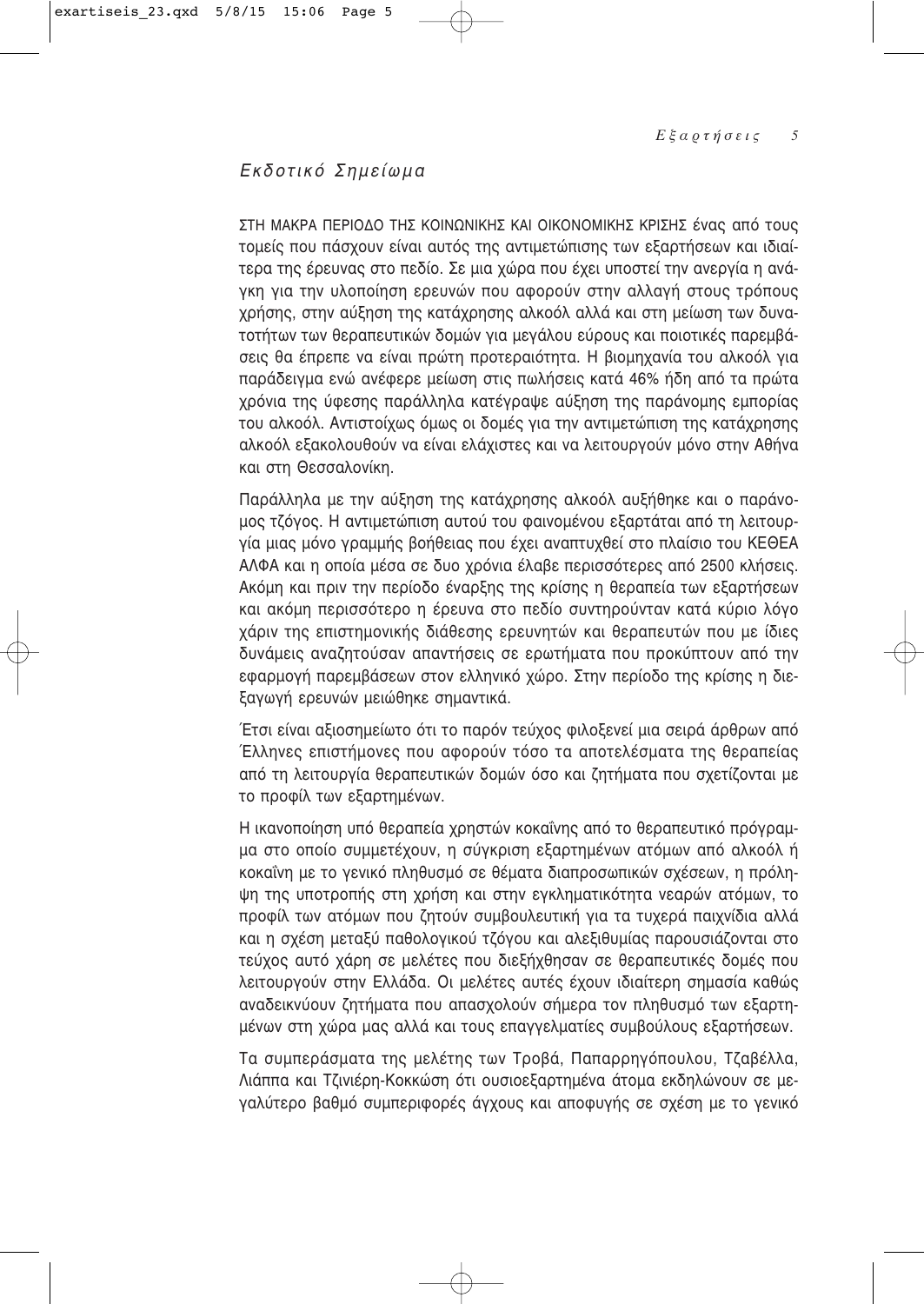# Εκδοτικό Σημείωμα

ΣΤΗ ΜΑΚΡΑ ΠΕΡΙΟΔΟ ΤΗΣ ΚΟΙΝΩΝΙΚΗΣ ΚΑΙ ΟΙΚΟΝΟΜΙΚΗΣ ΚΡΙΣΗΣ ένας από τους τομείς που πάσχουν είναι αυτός της αντιμετώπισης των εξαρτήσεων και ιδιαίτερα της έρευνας στο πεδίο. Σε μια χώρα που έχει υποστεί την ανεργία η ανάγκη για την υλοποίηση ερευνών που αφορούν στην αλλαγή στους τρόπους χρήσης, στην αύξηση της κατάχρησης αλκοόλ αλλά και στη μείωση των δυνατοτήτων των θεραπευτικών δομών για μεγάλου εύρους και ποιοτικές παρεμβάσεις θα έπρεπε να είναι πρώτη προτεραιότητα. Η βιομηχανία του αλκοόλ για παράδειγμα ενώ ανέφερε μείωση στις πωλήσεις κατά 46% ήδη από τα πρώτα χρόνια της ύφεσης παράλληλα κατέγραψε αύξηση της παράνομης εμπορίας του αλκοόλ. Αντιστοίχως όμως οι δομές για την αντιμετώπιση της κατάχρησης αλκοόλ εξακολουθούν να είναι ελάχιστες και να λειτουργούν μόνο στην Αθήνα και στη Θεσσαλονίκη.

Παράλληλα με την αύξηση της κατάχρησης αλκοόλ αυξήθηκε και ο παράνομος τζόγος. Η αντιμετώπιση αυτού του φαινομένου εξαρτάται από τη λειτουργία μιας μόνο γραμμής βοήθειας που έχει αναπτυχθεί στο πλαίσιο του ΚΕΘΕΑ ΑΛΦΑ και η οποία μέσα σε δυο χρόνια έλαβε περισσότερες από 2500 κλήσεις. Ακόμη και πριν την περίοδο έναρξης της κρίσης η θεραπεία των εξαρτήσεων και ακόμη περισσότερο η έρευνα στο πεδίο συντηρούνταν κατά κύριο λόγο χάριν της επιστημονικής διάθεσης ερευνητών και θεραπευτών που με ίδιες δυνάμεις αναζητούσαν απαντήσεις σε ερωτήματα που προκύπτουν από την εφαρμογή παρεμβάσεων στον ελληνικό χώρο. Στην περίοδο της κρίσης η διεξαγωγή ερευνών μειώθηκε σημαντικά.

Έτσι είναι αξιοσημείωτο ότι το παρόν τεύχος φιλοξενεί μια σειρά άρθρων από Έλληνες επιστήμονες που αφορούν τόσο τα αποτελέσματα της θεραπείας από τη λειτουργία θεραπευτικών δομών όσο και ζητήματα που σχετίζονται με το προφίλ των εξαρτημένων.

Η ικανοποίηση υπό θεραπεία χρηστών κοκαΐνης από το θεραπευτικό πρόγραμμα στο οποίο συμμετέχουν, η σύγκριση εξαρτημένων ατόμων από αλκοόλ ή κοκαΐνη με το γενικό πληθυσμό σε θέματα διαπροσωπικών σχέσεων, η πρόληψη της υποτροπής στη χρήση και στην εγκληματικότητα νεαρών ατόμων, το προφίλ των ατόμων που ζητούν συμβουλευτική για τα τυχερά παιχνίδια αλλά και η σχέση μεταξύ παθολογικού τζόγου και αλεξιθυμίας παρουσιάζονται στο τεύχος αυτό χάρη σε μελέτες που διεξήχθησαν σε θεραπευτικές δομές που λειτουργούν στην Ελλάδα. Οι μελέτες αυτές έχουν ιδιαίτερη σημασία καθώς αναδεικνύουν ζητήματα που απασχολούν σήμερα τον πληθυσμό των εξαρτημένων στη χώρα μας αλλά και τους επαγγελματίες συμβούλους εξαρτήσεων.

Τα συμπεράσματα της μελέτης των Τροβά, Παπαρρηγόπουλου, Τζαβέλλα, Λιάππα και Τζινιέρη-Κοκκώση ότι ουσιοεξαρτημένα άτομα εκδηλώνουν σε μεγαλύτερο βαθμό συμπεριφορές άγχους και αποφυγής σε σχέση με το γενικό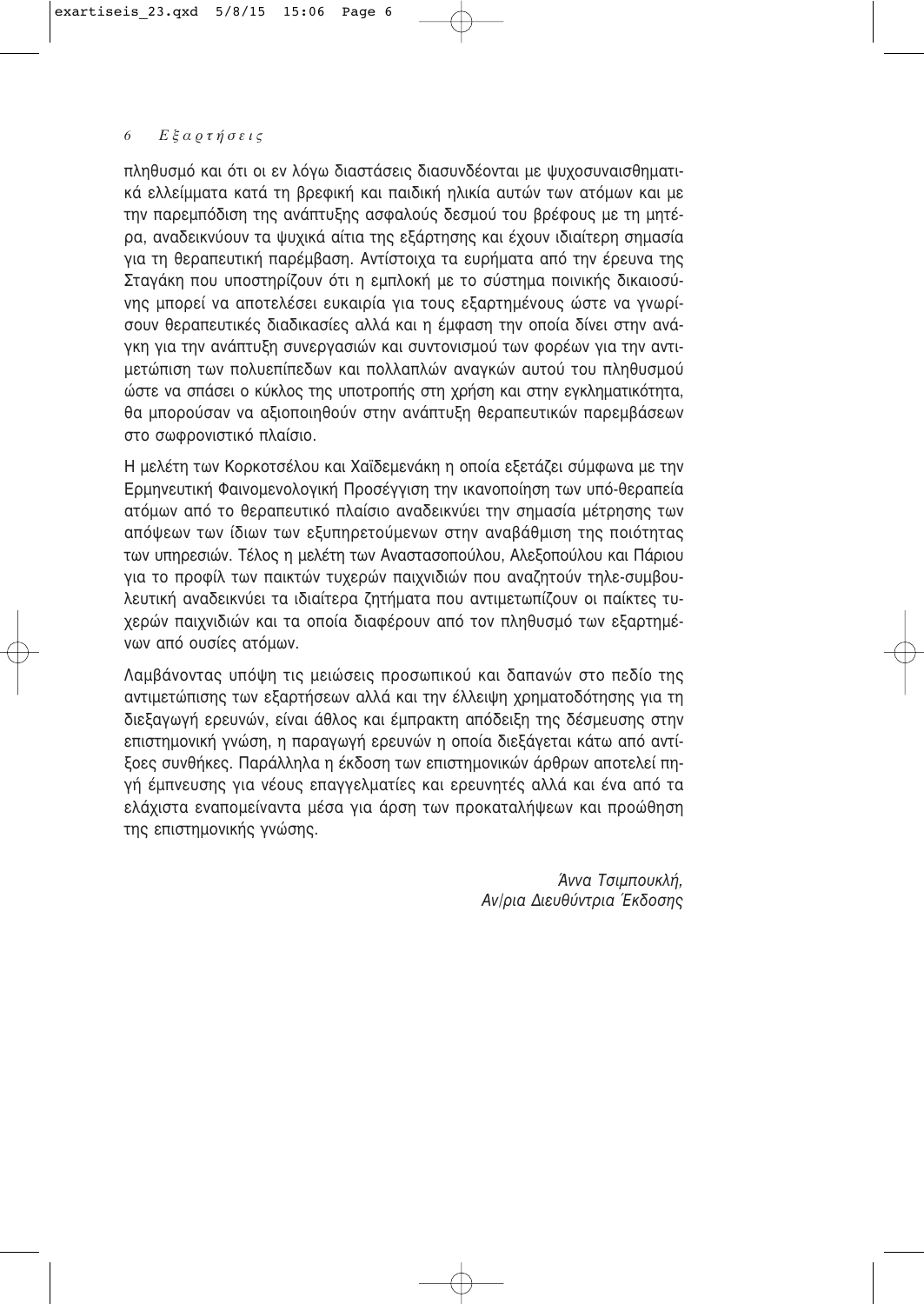πληθυσμό και ότι οι εν λόγω διαστάσεις διασυνδέονται με ψυχοσυναισθηματικά ελλείμματα κατά τη βρεφική και παιδική ηλικία αυτών των ατόμων και με την παρεμπόδιση της ανάπτυξης ασφαλούς δεσμού του βρέφους με τη μητέρα, αναδεικνύουν τα ψυχικά αίτια της εξάρτησης και έχουν ιδιαίτερη σημασία για τη θεραπευτική παρέμβαση. Αντίστοιχα τα ευρήματα από την έρευνα της Σταγάκη που υποστηρίζουν ότι η εμπλοκή με το σύστημα ποινικής δικαιοσύνης μπορεί να αποτελέσει ευκαιρία για τους εξαρτημένους ώστε να γνωρίσουν θεραπευτικές διαδικασίες αλλά και η έμφαση την οποία δίνει στην ανάγκη για την ανάπτυξη συνεργασιών και συντονισμού των φορέων για την αντιμετώπιση των πολυεπίπεδων και πολλαπλών αναγκών αυτού του πληθυσμού ώστε να σπάσει ο κύκλος της υποτροπής στη χρήση και στην εγκληματικότητα, θα μπορούσαν να αξιοποιηθούν στην ανάπτυξη θεραπευτικών παρεμβάσεων στο σωφρονιστικό πλαίσιο.

Η μελέτη των Κορκοτσέλου και Χαϊδεμενάκη η οποία εξετάζει σύμφωνα με την Ερμηνευτική Φαινομενολογική Προσέγγιση την ικανοποίηση των υπό-θεραπεία ατόμων από το θεραπευτικό πλαίσιο αναδεικνύει την σημασία μέτρησης των απόψεων των ίδιων των εξυπηρετούμενων στην αναβάθμιση της ποιότητας των υπηρεσιών. Τέλος η μελέτη των Αναστασοπούλου, Αλεξοπούλου και Πάριου για το προφίλ των παικτών τυχερών παιχνιδιών που αναζητούν τηλε-συμβουλευτική αναδεικνύει τα ιδιαίτερα ζητήματα που αντιμετωπίζουν οι παίκτες τυχερών παιχνιδιών και τα οποία διαφέρουν από τον πληθυσμό των εξαρτημένων από ουσίες ατόμων.

Λαμβάνοντας υπόψη τις μειώσεις προσωπικού και δαπανών στο πεδίο της αντιμετώπισης των εξαρτήσεων αλλά και την έλλειψη χρηματοδότησης για τη διεξαγωγή ερευνών, είναι άθλος και έμπρακτη απόδειξη της δέσμευσης στην επιστημονική γνώση, η παραγωγή ερευνών η οποία διεξάγεται κάτω από αντίξοες συνθήκες. Παράλληλα η έκδοση των επιστημονικών άρθρων αποτελεί πηγή έμπνευσης για νέους επαγγελματίες και ερευνητές αλλά και ένα από τα ελάχιστα εναπομείναντα μέσα για άρση των προκαταλήψεων και προώθηση της επιστημονικής γνώσης.

> Άννα Τσιμπουκλή. Αν/ρια Διευθύντρια Έκδοσης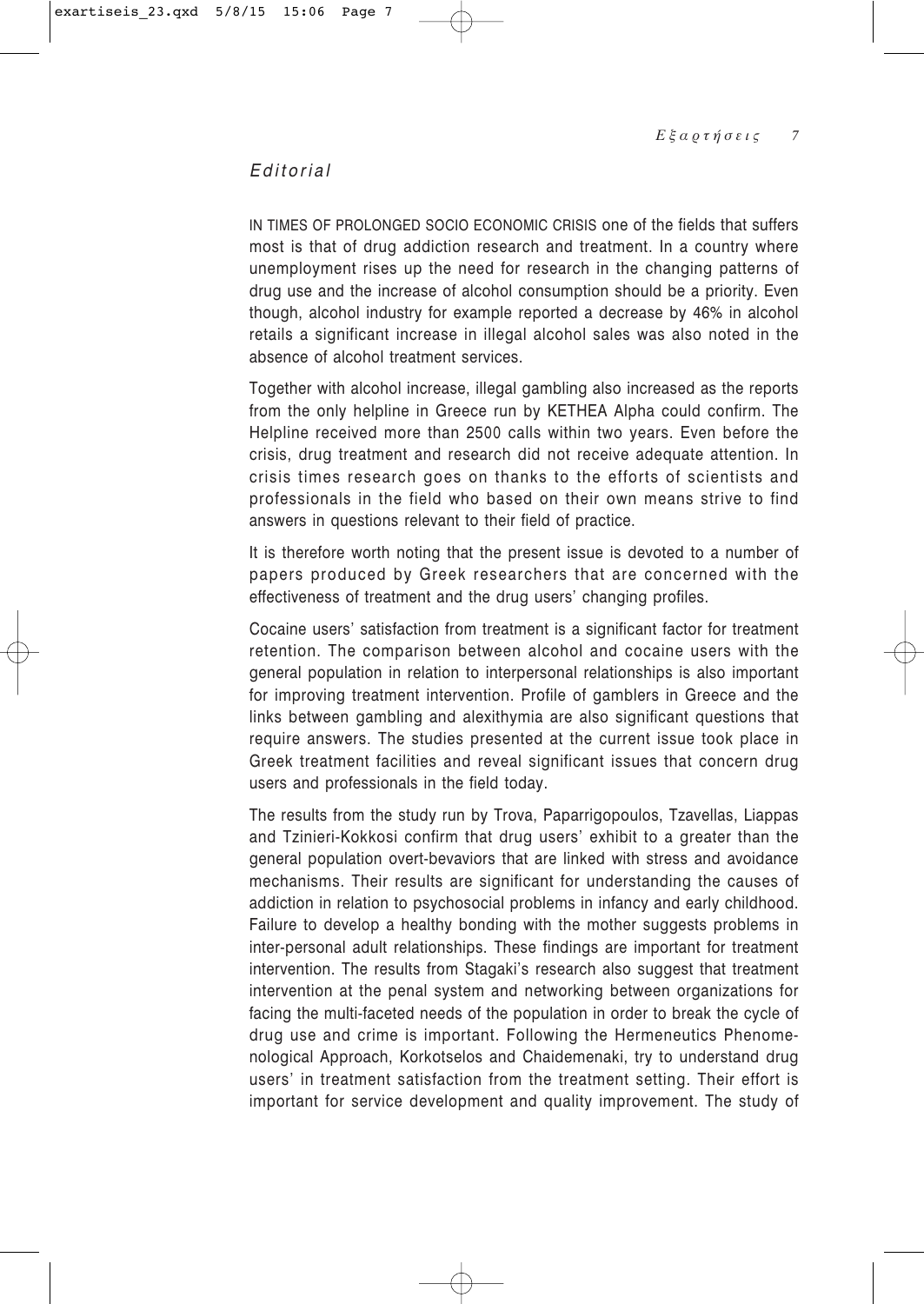# *Editorial*

IN TIMES OF PROLONGED SOCIO ECONOMIC CRISIS one of the fields that suffers most is that of drug addiction research and treatment. In a country where unemployment rises up the need for research in the changing patterns of drug use and the increase of alcohol consumption should be a priority. Even though, alcohol industry for example reported a decrease by 46% in alcohol retails a significant increase in illegal alcohol sales was also noted in the absence of alcohol treatment services.

Together with alcohol increase, illegal gambling also increased as the reports from the only helpline in Greece run by KETHEA Alpha could confirm. The Helpline received more than 2500 calls within two years. Even before the crisis, drug treatment and research did not receive adequate attention. In crisis times research goes on thanks to the efforts of scientists and professionals in the field who based on their own means strive to find answers in questions relevant to their field of practice.

It is therefore worth noting that the present issue is devoted to a number of papers produced by Greek researchers that are concerned with the effectiveness of treatment and the drug users' changing profiles.

Cocaine users' satisfaction from treatment is a significant factor for treatment retention. The comparison between alcohol and cocaine users with the general population in relation to interpersonal relationships is also important for improving treatment intervention. Profile of gamblers in Greece and the links between gambling and alexithymia are also significant questions that require answers. The studies presented at the current issue took place in Greek treatment facilities and reveal significant issues that concern drug users and professionals in the field today.

The results from the study run by Trova, Paparrigopoulos, Tzavellas, Liappas and Tzinieri-Kokkosi confirm that drug users' exhibit to a greater than the general population overt-bevaviors that are linked with stress and avoidance mechanisms. Their results are significant for understanding the causes of addiction in relation to psychosocial problems in infancy and early childhood. Failure to develop a healthy bonding with the mother suggests problems in inter-personal adult relationships. These findings are important for treatment intervention. The results from Stagaki's research also suggest that treatment intervention at the penal system and networking between organizations for facing the multi-faceted needs of the population in order to break the cycle of drug use and crime is important. Following the Hermeneutics Phenomenological Approach, Korkotselos and Chaidemenaki, try to understand drug users' in treatment satisfaction from the treatment setting. Their effort is important for service development and quality improvement. The study of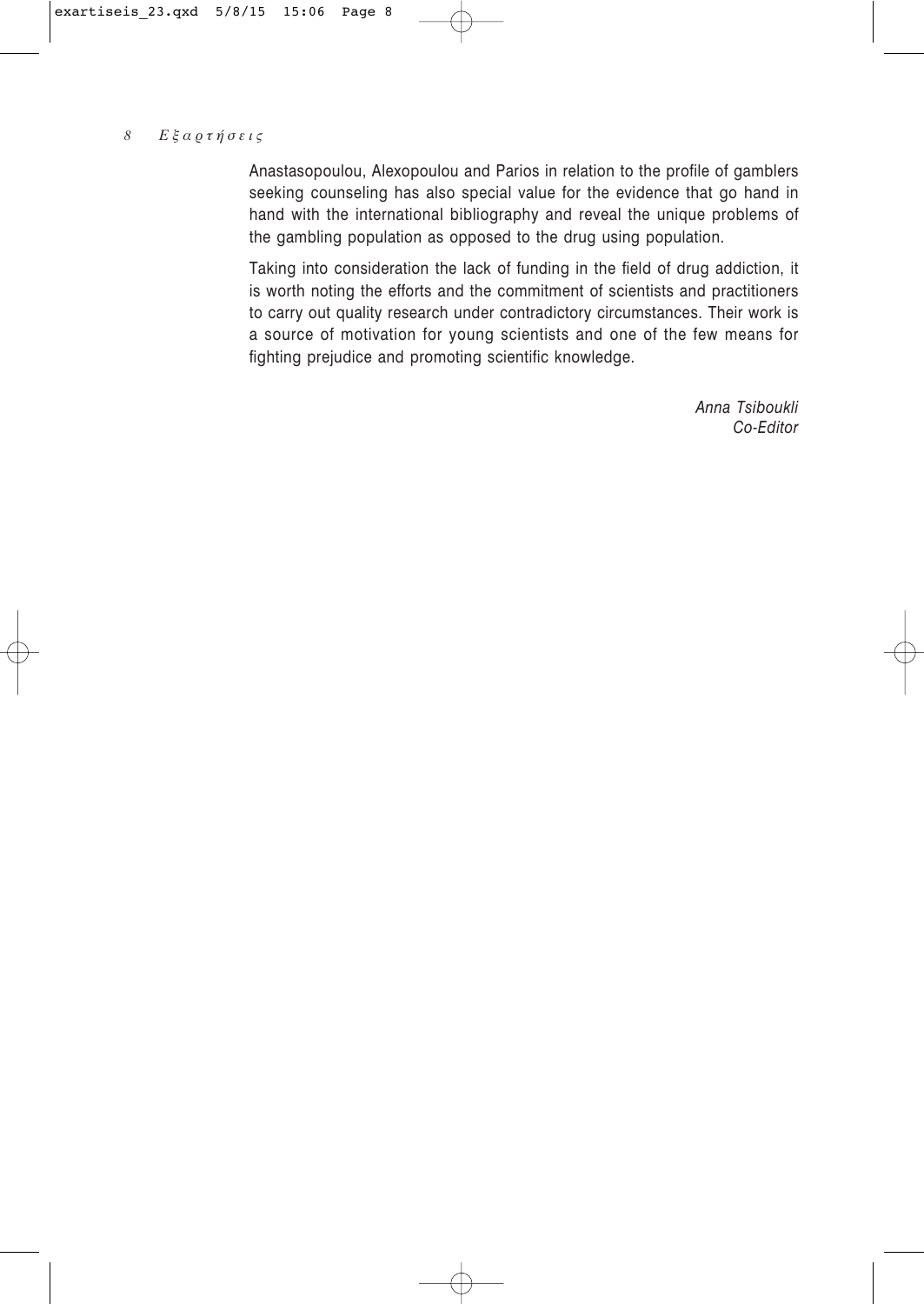Anastasopoulou, Alexopoulou and Parios in relation to the profile of gamblers seeking counseling has also special value for the evidence that go hand in hand with the international bibliography and reveal the unique problems of the gambling population as opposed to the drug using population.

Taking into consideration the lack of funding in the field of drug addiction, it is worth noting the efforts and the commitment of scientists and practitioners to carry out quality research under contradictory circumstances. Their work is a source of motivation for young scientists and one of the few means for fighting prejudice and promoting scientific knowledge.

> *Anna Tsiboukli Co-Editor*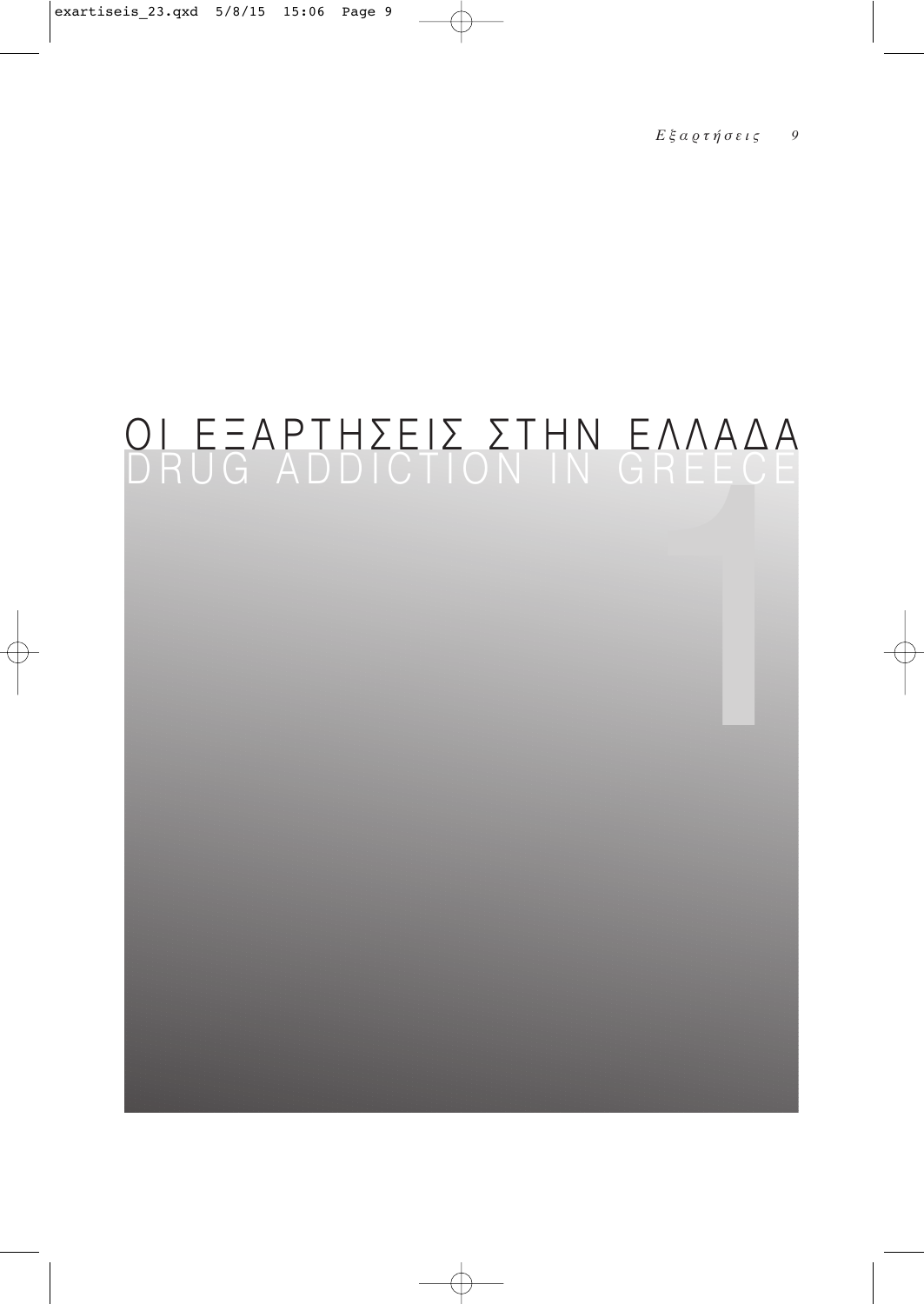# <u>ΟΙ ΕΞΑΡΤΗΣΕΙΣ ΣΤΗΝ ΕΛΛΑΔΑ</u><br>DRUG ADDICTION IN GREECE</u>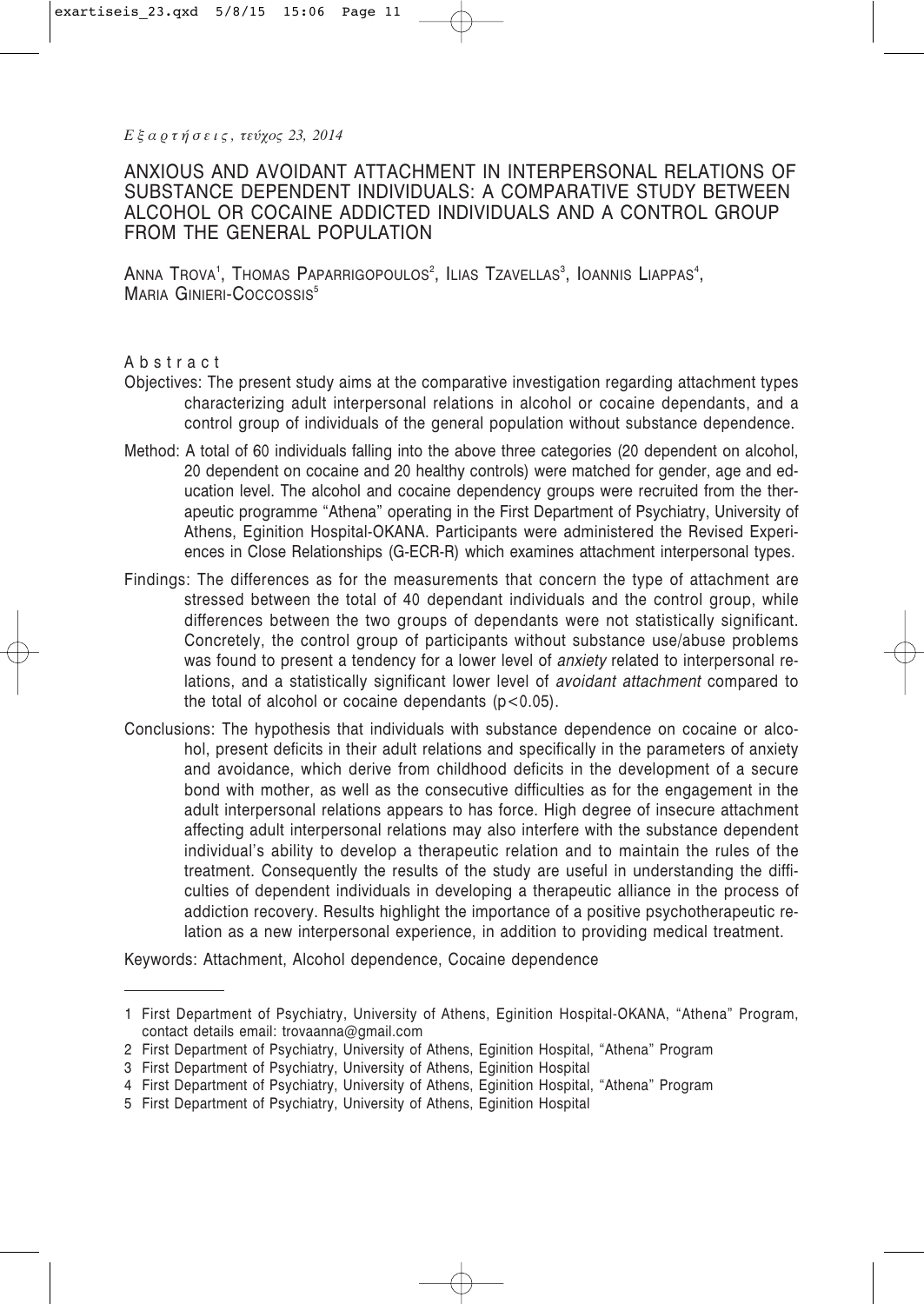*Ε ξ α ρ τ ή σ ε ι ς , τεύχος 23, 2014*

# ANXIOUS AND AVOIDANT ATTACHMENT IN INTERPERSONAL RELATIONS OF SUBSTANCE DEPENDENT INDIVIDUALS: A COMPARATIVE STUDY BETWEEN ALCOHOL OR COCAINE ADDICTED INDIVIDUALS AND A CONTROL GROUP FROM THE GENERAL POPULATION

Anna Trova', Thomas Paparrigopoulos<sup>2</sup>, Ilias Tzavellas<sup>3</sup>, Ioannis Liappas<sup>4</sup>, MARIA GINIERI-COCCOSSIS<sup>5</sup>

# Abstract

- Objectives: The present study aims at the comparative investigation regarding attachment types characterizing adult interpersonal relations in alcohol or cocaine dependants, and a control group of individuals of the general population without substance dependence.
- Method: A total of 60 individuals falling into the above three categories (20 dependent on alcohol, 20 dependent on cocaine and 20 healthy controls) were matched for gender, age and education level. The alcohol and cocaine dependency groups were recruited from the therapeutic programme "Athena" operating in the First Department of Psychiatry, University of Athens, Eginition Hospital-OKANA. Participants were administered the Revised Experiences in Close Relationships (G-ECR-R) which examines attachment interpersonal types.
- Findings: The differences as for the measurements that concern the type of attachment are stressed between the total of 40 dependant individuals and the control group, while differences between the two groups of dependants were not statistically significant. Concretely, the control group of participants without substance use/abuse problems was found to present a tendency for a lower level of *anxiety* related to interpersonal relations, and a statistically significant lower level of *avoidant attachment* compared to the total of alcohol or cocaine dependants  $(p<0.05)$ .
- Conclusions: The hypothesis that individuals with substance dependence on cocaine or alcohol, present deficits in their adult relations and specifically in the parameters of anxiety and avoidance, which derive from childhood deficits in the development of a secure bond with mother, as well as the consecutive difficulties as for the engagement in the adult interpersonal relations appears to has force. High degree of insecure attachment affecting adult interpersonal relations may also interfere with the substance dependent individual's ability to develop a therapeutic relation and to maintain the rules of the treatment. Consequently the results of the study are useful in understanding the difficulties of dependent individuals in developing a therapeutic alliance in the process of addiction recovery. Results highlight the importance of a positive psychotherapeutic relation as a new interpersonal experience, in addition to providing medical treatment.

Keywords: Attachment, Alcohol dependence, Cocaine dependence

<sup>1</sup> First Department of Psychiatry, University of Athens, Eginition Hospital-OKANA, "Athena" Program, contact details email: trovaanna@gmail.com

<sup>2</sup> First Department of Psychiatry, University of Athens, Eginition Hospital, "Athena" Program

<sup>3</sup> First Department of Psychiatry, University of Athens, Eginition Hospital

<sup>4</sup> First Department of Psychiatry, University of Athens, Eginition Hospital, "Athena" Program

<sup>5</sup> First Department of Psychiatry, University of Athens, Eginition Hospital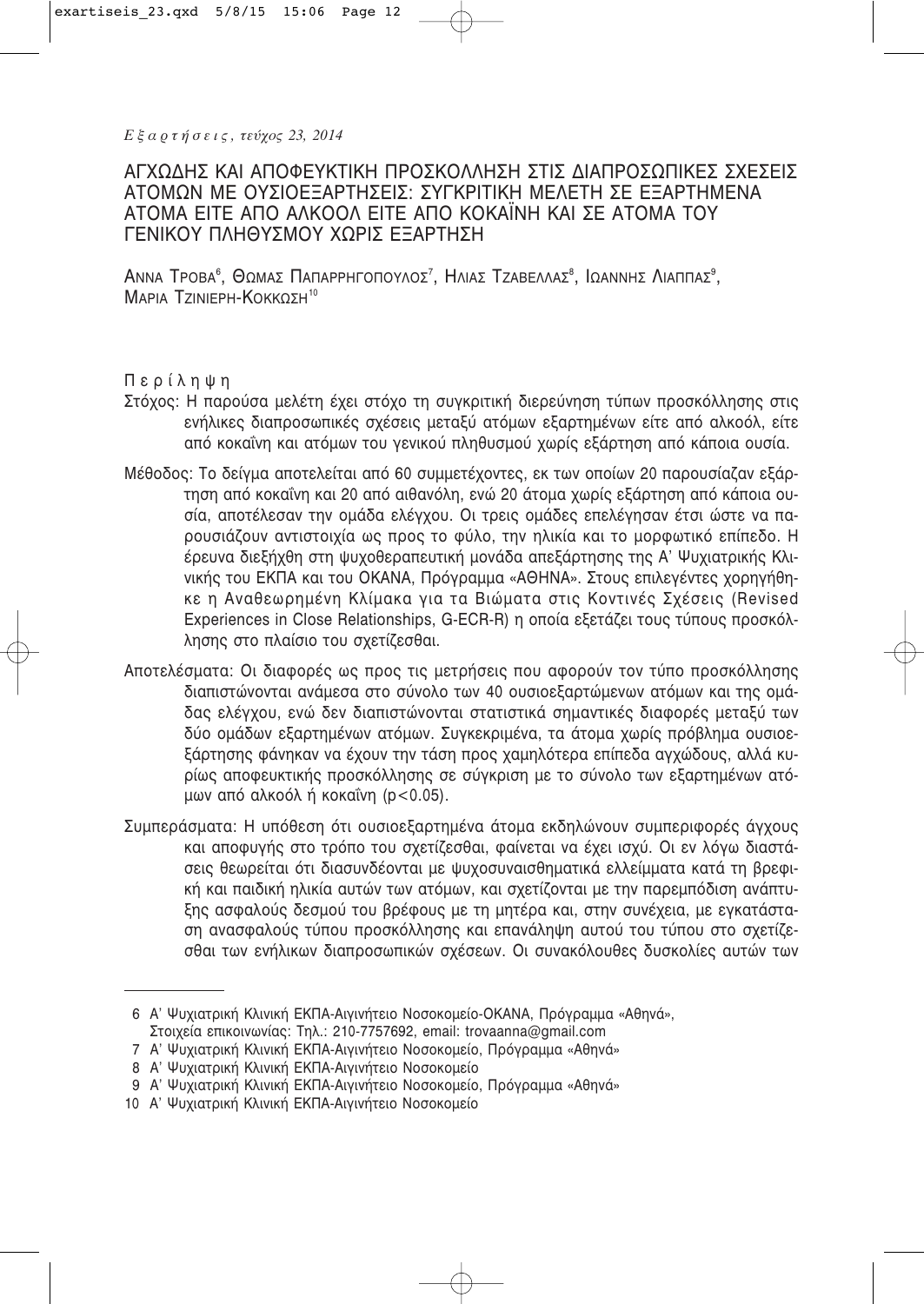Εξαρτήσεις, τεύχος 23, 2014

# ΑΓΧΩΔΗΣ ΚΑΙ ΑΠΟΦΕΥΚΤΙΚΗ ΠΡΟΣΚΟΛΛΗΣΗ ΣΤΙΣ ΔΙΑΠΡΟΣΩΠΙΚΕΣ ΣΧΕΣΕΙΣ ΑΤΟΜΩΝ ΜΕ ΟΥΣΙΟΕΞΑΡΤΗΣΕΙΣ: ΣΥΓΚΡΙΤΙΚΗ ΜΕΛΕΤΗ ΣΕ ΕΞΑΡΤΗΜΕΝΑ ΑΤΟΜΑ ΕΙΤΕ ΑΠΟ ΑΛΚΟΟΛ ΕΙΤΕ ΑΠΟ ΚΟΚΑΪΝΗ ΚΑΙ ΣΕ ΑΤΟΜΑ ΤΟΥ ΓΕΝΙΚΟΥ ΠΛΗΘΥΣΜΟΥ ΧΩΡΙΣ ΕΞΑΡΤΗΣΗ

ANNA TPOBA<sup>6</sup>, ΘΩΜΑΣ ΠΑΠΑΡΡΗΓΟΠΟΥΛΟΣ<sup>7</sup>, ΗΛΙΑΣ ΤΖΑΒΕΛΛΑΣ<sup>8</sup>, ΙΩΑΝΝΗΣ ΛΙΑΠΠΑΣ<sup>9</sup>, MAPIA TZINIEPH-KOKKOZH<sup>10</sup>

Περίληψη

- Στόχος: Η παρούσα μελέτη έχει στόχο τη συγκριτική διερεύνηση τύπων προσκόλλησης στις ενήλικες διαπροσωπικές σχέσεις μεταξύ ατόμων εξαρτημένων είτε από αλκοόλ, είτε από κοκαΐνη και ατόμων του γενικού πληθυσμού χωρίς εξάρτηση από κάποια ουσία.
- Μέθοδος: Το δείγμα αποτελείται από 60 συμμετέχοντες, εκ των οποίων 20 παρουσίαζαν εξάρτηση από κοκαΐνη και 20 από αιθανόλη, ενώ 20 άτομα χωρίς εξάρτηση από κάποια ουσία, αποτέλεσαν την ομάδα ελέγχου. Οι τρεις ομάδες επελέγησαν έτσι ώστε να παρουσιάζουν αντιστοιχία ως προς το φύλο, την ηλικία και το μορφωτικό επίπεδο. Η έρευνα διεξήχθη στη ψυχοθεραπευτική μονάδα απεξάρτησης της Α' Ψυχιατρικής Κλινικής του ΕΚΠΑ και του ΟΚΑΝΑ, Πρόγραμμα «ΑΘΗΝΑ». Στους επιλεγέντες χορηγήθηκε η Αναθεωρημένη Κλίμακα για τα Βιώματα στις Κοντινές Σχέσεις (Revised Experiences in Close Relationships, G-ECR-R) η οποία εξετάζει τους τύπους προσκόλλησης στο πλαίσιο του σχετίζεσθαι.
- Αποτελέσματα: Οι διαφορές ως προς τις μετρήσεις που αφορούν τον τύπο προσκόλλησης διαπιστώνονται ανάμεσα στο σύνολο των 40 ουσιοεξαρτώμενων ατόμων και της ομάδας ελέγχου, ενώ δεν διαπιστώνονται στατιστικά σημαντικές διαφορές μεταξύ των δύο ομάδων εξαρτημένων ατόμων. Συγκεκριμένα, τα άτομα χωρίς πρόβλημα ουσιοεξάρτησης φάνηκαν να έχουν την τάση προς χαμηλότερα επίπεδα αγχώδους, αλλά κυρίως αποφευκτικής προσκόλλησης σε σύγκριση με το σύνολο των εξαρτημένων ατόμων από αλκοόλ ή κοκαΐνη (p<0.05).
- Συμπεράσματα: Η υπόθεση ότι ουσιοεξαρτημένα άτομα εκδηλώνουν συμπεριφορές άγχους και αποφυγής στο τρόπο του σχετίζεσθαι, φαίνεται να έχει ισχύ. Οι εν λόγω διαστάσεις θεωρείται ότι διασυνδέονται με ψυχοσυναισθηματικά ελλείμματα κατά τη βρεφική και παιδική ηλικία αυτών των ατόμων, και σχετίζονται με την παρεμπόδιση ανάπτυξης ασφαλούς δεσμού του βρέφους με τη μητέρα και, στην συνέχεια, με εγκατάσταση ανασφαλούς τύπου προσκόλλησης και επανάληψη αυτού του τύπου στο σχετίζεσθαι των ενήλικων διαπροσωπικών σχέσεων. Οι συνακόλουθες δυσκολίες αυτών των

<sup>6</sup> Α' Ψυχιατρική Κλινική ΕΚΠΑ-Αιγινήτειο Νοσοκομείο-ΟΚΑΝΑ, Πρόγραμμα «Αθηνά», Στοιχεία επικοινωνίας: Τηλ.: 210-7757692, email: trovaanna@gmail.com

<sup>7</sup> Α' Ψυχιατρική Κλινική ΕΚΠΑ-Αιγινήτειο Νοσοκομείο, Πρόγραμμα «Αθηνά»

<sup>8</sup> Α' Ψυχιατρική Κλινική ΕΚΠΑ-Αινινήτειο Νοσοκομείο

<sup>9</sup> Α' Ψυχιατρική Κλινική ΕΚΠΑ-Αιγινήτειο Νοσοκομείο, Πρόγραμμα «Αθηνά»

<sup>10</sup> Α' Ψυχιατρική Κλινική ΕΚΠΑ-Αιγινήτειο Νοσοκομείο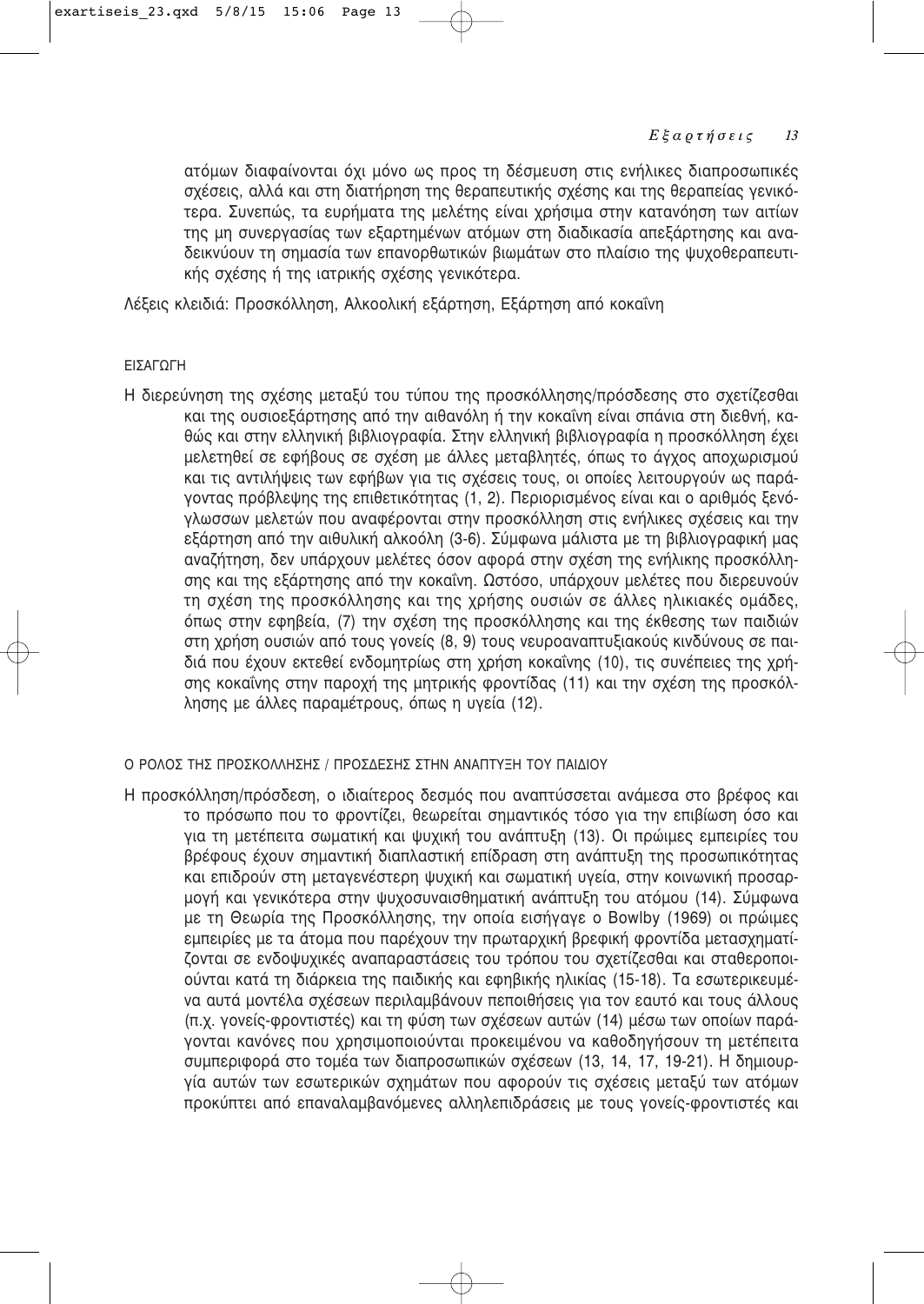ατόμων διαφαίνονται όχι μόνο ως προς τη δέσμευση στις ενήλικες διαπροσωπικές σχέσεις, αλλά και στη διατήρηση της θεραπευτικής σχέσης και της θεραπείας γενικότερα. Συνεπώς, τα ευρήματα της μελέτης είναι χρήσιμα στην κατανόηση των αιτίων της μη συνεργασίας των εξαρτημένων ατόμων στη διαδικασία απεξάρτησης και αναδεικνύουν τη σημασία των επανορθωτικών βιωμάτων στο πλαίσιο της ψυχοθεραπευτικής σχέσης ή της ιατρικής σχέσης γενικότερα.

Λέξεις κλειδιά: Προσκόλληση, Αλκοολική εξάρτηση, Εξάρτηση από κοκαΐνη

# ΕΙΣΑΓΩΓΗ

Η διερεύνηση της σχέσης μεταξύ του τύπου της προσκόλλησης/πρόσδεσης στο σχετίζεσθαι και της ουσιοεξάρτησης από την αιθανόλη ή την κοκαΐνη είναι σπάνια στη διεθνή, καθώς και στην ελληνική βιβλιογραφία. Στην ελληνική βιβλιογραφία η προσκόλληση έχει μελετηθεί σε εφήβους σε σχέση με άλλες μεταβλητές, όπως το άγχος αποχωρισμού και τις αντιλήψεις των εφήβων για τις σχέσεις τους, οι οποίες λειτουργούν ως παράγοντας πρόβλεψης της επιθετικότητας (1, 2). Περιορισμένος είναι και ο αριθμός ξενόγλωσσων μελετών που αναφέρονται στην προσκόλληση στις ενήλικες σχέσεις και την εξάρτηση από την αιθυλική αλκοόλη (3-6). Σύμφωνα μάλιστα με τη βιβλιογραφική μας αναζήτηση, δεν υπάρχουν μελέτες όσον αφορά στην σχέση της ενήλικης προσκόλλησης και της εξάρτησης από την κοκαΐνη. Ωστόσο, υπάρχουν μελέτες που διερευνούν τη σχέση της προσκόλλησης και της χρήσης ουσιών σε άλλες ηλικιακές ομάδες, όπως στην εφηβεία, (7) την σχέση της προσκόλλησης και της έκθεσης των παιδιών στη χρήση ουσιών από τους γονείς (8, 9) τους νευροαναπτυξιακούς κινδύνους σε παιδιά που έχουν εκτεθεί ενδομητρίως στη χρήση κοκαΐνης (10), τις συνέπειες της χρήσης κοκαΐνης στην παροχή της μητρικής φροντίδας (11) και την σχέση της προσκόλλησης με άλλες παραμέτρους, όπως η υγεία (12).

# Ο ΡΟΛΟΣ ΤΗΣ ΠΡΟΣΚΟΛΛΗΣΗΣ / ΠΡΟΣΔΕΣΗΣ ΣΤΗΝ ΑΝΑΠΤΥΞΗ ΤΟΥ ΠΑΙΔΙΟΥ

Η προσκόλληση/πρόσδεση, ο ιδιαίτερος δεσμός που αναπτύσσεται ανάμεσα στο βρέφος και το πρόσωπο που το φροντίζει, θεωρείται σημαντικός τόσο για την επιβίωση όσο και για τη μετέπειτα σωματική και ψυχική του ανάπτυξη (13). Οι πρώιμες εμπειρίες του βρέφους έχουν σημαντική διαπλαστική επίδραση στη ανάπτυξη της προσωπικότητας και επιδρούν στη μεταγενέστερη ψυχική και σωματική υγεία, στην κοινωνική προσαρμογή και γενικότερα στην ψυχοσυναισθηματική ανάπτυξη του ατόμου (14). Σύμφωνα με τη Θεωρία της Προσκόλλησης, την οποία εισήγαγε ο Bowlby (1969) οι πρώιμες εμπειρίες με τα άτομα που παρέχουν την πρωταρχική βρεφική φροντίδα μετασχηματίζονται σε ενδοψυχικές αναπαραστάσεις του τρόπου του σχετίζεσθαι και σταθεροποιούνται κατά τη διάρκεια της παιδικής και εφηβικής ηλικίας (15-18). Τα εσωτερικευμένα αυτά μοντέλα σχέσεων περιλαμβάνουν πεποιθήσεις για τον εαυτό και τους άλλους (π.χ. γονείς-φροντιστές) και τη φύση των σχέσεων αυτών (14) μέσω των οποίων παράγονται κανόνες που χρησιμοποιούνται προκειμένου να καθοδηγήσουν τη μετέπειτα συμπεριφορά στο τομέα των διαπροσωπικών σχέσεων (13, 14, 17, 19-21). Η δημιουργία αυτών των εσωτερικών σχημάτων που αφορούν τις σχέσεις μεταξύ των ατόμων προκύπτει από επαναλαμβανόμενες αλληλεπιδράσεις με τους γονείς-φροντιστές και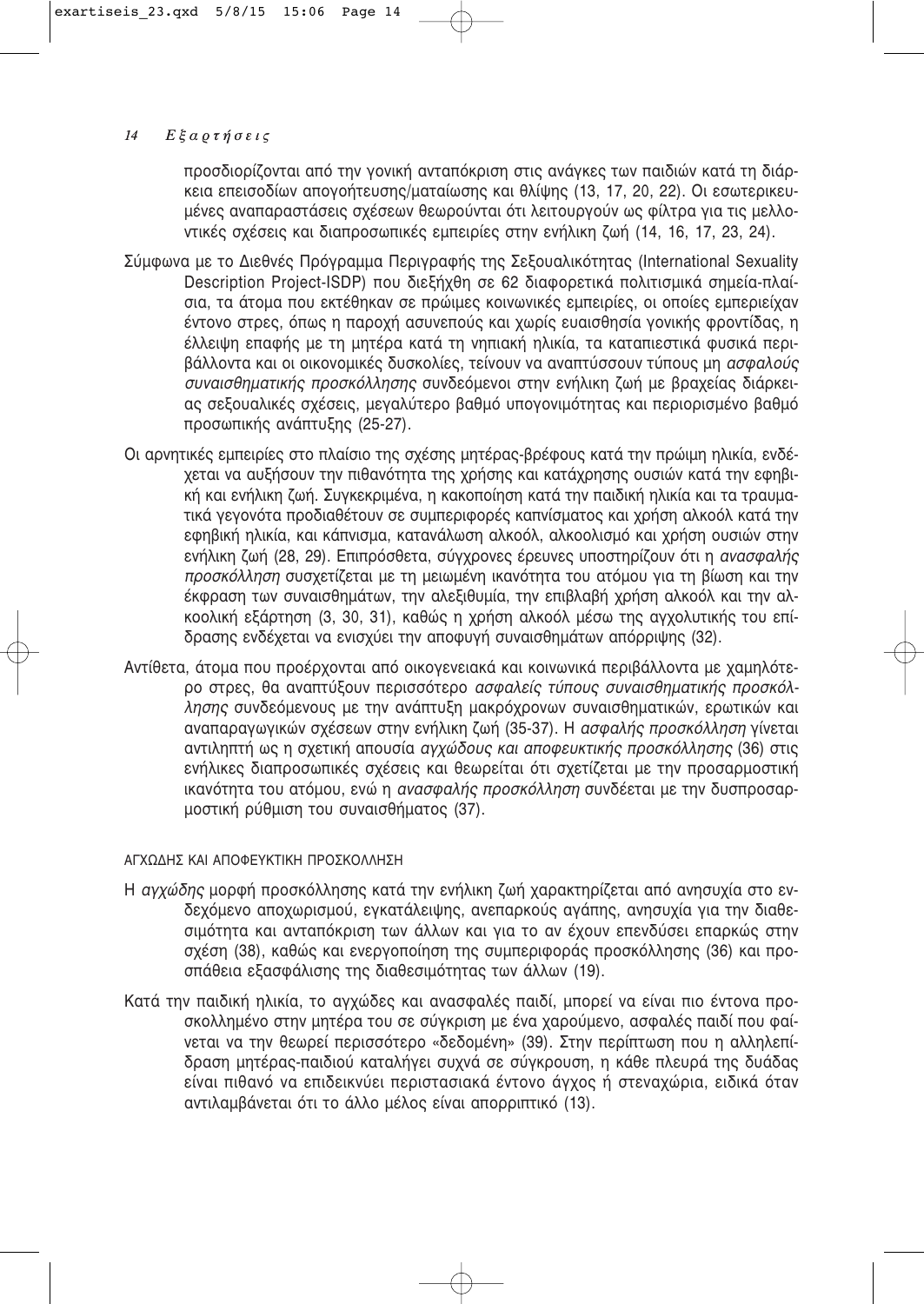προσδιορίζονται από την γονική ανταπόκριση στις ανάγκες των παιδιών κατά τη διάρκεια επεισοδίων απονοήτευσης/ματαίωσης και θλίψης (13, 17, 20, 22). Οι εσωτερικευμένες αναπαραστάσεις σχέσεων θεωρούνται ότι λειτουργούν ως φίλτρα για τις μελλοντικές σχέσεις και διαπροσωπικές εμπειρίες στην ενήλικη ζωή (14, 16, 17, 23, 24).

- Σύμφωνα με το Διεθνές Πρόγραμμα Περιγραφής της Σεξουαλικότητας (International Sexuality Description Project-ISDP) που διεξήχθη σε 62 διαφορετικά πολιτισμικά σημεία-πλαίσια, τα άτομα που εκτέθηκαν σε πρώιμες κοινωνικές εμπειρίες, οι οποίες εμπεριείχαν έντονο στρες, όπως η παροχή ασυνεπούς και χωρίς ευαισθησία γονικής φροντίδας, η έλλειψη επαφής με τη μητέρα κατά τη νηπιακή ηλικία, τα καταπιεστικά φυσικά περιβάλλοντα και οι οικονομικές δυσκολίες, τείνουν να αναπτύσσουν τύπους μη ασφαλούς συναισθηματικής προσκόλλησης συνδεόμενοι στην ενήλικη ζωή με βραχείας διάρκειας σεξουαλικές σχέσεις, μεναλύτερο βαθμό υπονονιμότητας και περιορισμένο βαθμό προσωπικής ανάπτυξης (25-27).
- Οι αρνητικές εμπειρίες στο πλαίσιο της σχέσης μητέρας-βρέφους κατά την πρώιμη ηλικία, ενδέχεται να αυξήσουν την πιθανότητα της χρήσης και κατάχρησης ουσιών κατά την εφηβική και ενήλικη ζωή. Συνκεκριμένα, η κακοποίηση κατά την παιδική ηλικία και τα τραυματικά νενονότα προδιαθέτουν σε συμπεριφορές καπνίσματος και χρήση αλκοόλ κατά την εφηβική ηλικία, και κάπνισμα, κατανάλωση αλκοόλ, αλκοολισμό και χρήση ουσιών στην ενήλικη ζωή (28, 29). Επιπρόσθετα, σύγχρονες έρευνες υποστηρίζουν ότι η ανασφαλής προσκόλληση συσχετίζεται με τη μειωμένη ικανότητα του ατόμου για τη βίωση και την έκφραση των συναισθημάτων, την αλεξιθυμία, την επιβλαβή χρήση αλκοόλ και την αλκοολική εξάρτηση (3, 30, 31), καθώς η χρήση αλκοόλ μέσω της αγχολυτικής του επίδρασης ενδέχεται να ενισχύει την αποφυγή συναισθημάτων απόρριψης (32).
- Αντίθετα, άτομα που προέρχονται από οικονενειακά και κοινωνικά περιβάλλοντα με χαμηλότερο στρες, θα αναπτύξουν περισσότερο ασφαλείς τύπους συναισθηματικής προσκόλλησης συνδεόμενους με την ανάπτυξη μακρόχρονων συναισθηματικών, ερωτικών και αναπαραγωγικών σχέσεων στην ενήλικη ζωή (35-37). Η ασφαλής προσκόλληση γίνεται αντιληπτή ως η σχετική απουσία *αγχώδους και αποφευκτικής προσκόλλησης* (36) στις ενήλικες διαπροσωπικές σχέσεις και θεωρείται ότι σχετίζεται με την προσαρμοστική ικανότητα του ατόμου, ενώ η ανασφαλής προσκόλληση συνδέεται με την δυσπροσαρμοστική ρύθμιση του συναισθήματος (37).

# ΑΓΧΩΔΗΣ ΚΑΙ ΑΠΟΦΕΥΚΤΙΚΗ ΠΡΟΣΚΟΛΛΗΣΗ

- Η αγχώδης μορφή προσκόλλησης κατά την ενήλικη ζωή χαρακτηρίζεται από ανησυχία στο ενδεχόμενο αποχωρισμού, εγκατάλειψης, ανεπαρκούς αγάπης, ανησυχία για την διαθεσιμότητα και ανταπόκριση των άλλων και για το αν έχουν επενδύσει επαρκώς στην σχέση (38), καθώς και ενεργοποίηση της συμπεριφοράς προσκόλλησης (36) και προσπάθεια εξασφάλισης της διαθεσιμότητας των άλλων (19).
- Κατά την παιδική ηλικία, το αγχώδες και ανασφαλές παιδί, μπορεί να είναι πιο έντονα προσκολλημένο στην μητέρα του σε σύγκριση με ένα χαρούμενο, ασφαλές παιδί που φαίνεται να την θεωρεί περισσότερο «δεδομένη» (39), Στην περίπτωση που η αλληλεπίδραση μητέρας-παιδιού καταλήγει συχνά σε σύγκρουση, η κάθε πλευρά της δυάδας είναι πιθανό να επιδεικνύει περιστασιακά έντονο άγχος ή στεναχώρια, ειδικά όταν αντιλαμβάνεται ότι το άλλο μέλος είναι απορριπτικό (13).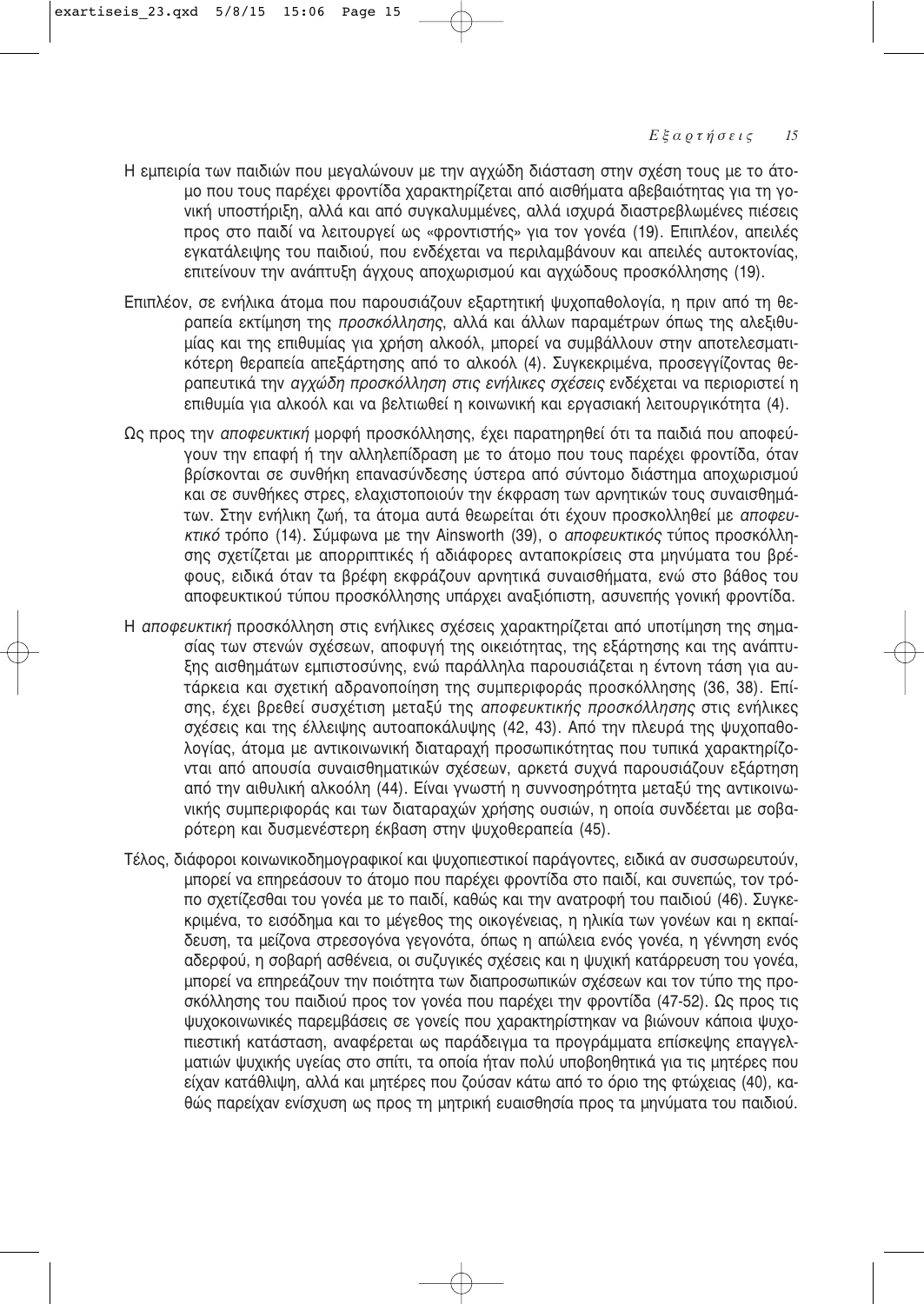- Η εμπειρία των παιδιών που μεγαλώνουν με την αγχώδη διάσταση στην σχέση τους με το άτομο που τους παρέχει φροντίδα χαρακτηρίζεται από αισθήματα αβεβαιότητας για τη γονική υποστήριξη, αλλά και από συγκαλυμμένες, αλλά ισχυρά διαστρεβλωμένες πιέσεις προς στο παιδί να λειτουργεί ως «φροντιστής» για τον γονέα (19). Επιπλέον, απειλές ενκατάλειψης του παιδιού, που ενδέχεται να περιλαμβάνουν και απειλές αυτοκτονίας. επιτείνουν την ανάπτυξη άγχους αποχωρισμού και αγχώδους προσκόλλησης (19).
- Επιπλέον, σε ενήλικα άτομα που παρουσιάζουν εξαρτητική ψυχοπαθολογία, η πριν από τη θεραπεία εκτίμηση της *προσκόλλησης*, αλλά και άλλων παραμέτρων όπως της αλεξιθυμίας και της επιθυμίας για χρήση αλκοόλ, μπορεί να συμβάλλουν στην αποτελεσματι-Κότερη θεραπεία απεξάρτησης από το αλκοόλ (4). Συγκεκριμένα, προσεγγίζοντας θεραπευτικά την *αγχώδη προσκόλληση στις ενήλικες σχέσεις* ενδέχεται να περιοριστεί η επιθυμία για αλκοόλ και να βελτιωθεί η κοινωνική και εργασιακή λειτουργικότητα (4).
- Ως προς την *αποφευκτική* μορφή προσκόλλησης, έχει παρατηρηθεί ότι τα παιδιά που αποφεύγουν την επαφή ή την αλληλεπίδραση με το άτομο που τους παρέχει φροντίδα, όταν βρίσκονται σε συνθήκη επανασύνδεσης ύστερα από σύντομο διάστημα αποχωρισμού και σε συνθήκες στρες, ελαχιστοποιούν την έκφραση των αρνητικών τους συναισθημάτων. Στην ενήλικη ζωή, τα άτομα αυτά θεωρείται ότι έχουν προσκολληθεί με *αποφευ-ΚΤΙΚό* τρόπο (14). Σύμφωνα με την Ainsworth (39), ο *αποφευκτικός* τύπος προσκόλλησης σχετίζεται με απορριπτικές ή αδιάφορες ανταποκρίσεις στα μηνύματα του βρέφους, ειδικά όταν τα βρέφη εκφράζουν αρνητικά συναισθήματα, ενώ στο βάθος του αποφευκτικού τύπου προσκόλλησης υπάρχει αναξιόπιστη, ασυνεπής γονική φροντίδα.
- Η *αποφευκτική* προσκόλληση στις ενήλικες σχέσεις χαρακτηρίζεται από υποτίμηση της σημασίας των στενών σχέσεων, αποφυγή της οικειότητας, της εξάρτησης και της ανάπτυξης αισθημάτων εμπιστοσύνης, ενώ παράλληλα παρουσιάζεται η έντονη τάση για αυτάρκεια και σχετική αδρανοποίηση της συμπεριφοράς προσκόλλησης (36, 38). Επίσης, έχει βρεθεί συσχέτιση μεταξύ της *αποφευκτικής προσκόλλησης* στις ενήλικες σχέσεις και της έλλειψης αυτοαποκάλυψης (42, 43). Από την πλευρά της ψυχοπαθολογίας, άτομα με αντικοινωνική διαταραχή προσωπικότητας που τυπικά χαρακτηρίζονται από απουσία συναισθηματικών σχέσεων, αρκετά συχνά παρουσιάζουν εξάρτηση από την αιθυλική αλκοόλη (44). Είναι γνωστή η συννοσηρότητα μεταξύ της αντικοινωνικής συμπεριφοράς και των διαταραχών χρήσης ουσιών, η οποία συνδέεται με σοβαρότερη και δυσμενέστερη έκβαση στην ψυχοθεραπεία (45).
- Τέλος, διάφοροι κοινωνικοδημογραφικοί και ψυχοπιεστικοί παράγοντες, ειδικά αν συσσωρευτούν, μπορεί να επηρεάσουν το άτομο που παρέχει φροντίδα στο παιδί, και συνεπώς, τον τρόπο σχετίζεσθαι του γονέα με το παιδί, καθώς και την ανατροφή του παιδιού (46). Συγκεκριμένα, το εισόδημα και το μέγεθος της οικογένειας, η ηλικία των γονέων και η εκπαίδευση, τα μείζονα στρεσογόνα γεγονότα, όπως η απώλεια ενός γονέα, η γέννηση ενός αδερφού, η σοβαρή ασθένεια, οι συζυγικές σχέσεις και η ψυχική κατάρρευση του γονέα, μπορεί να επηρεάζουν την ποιότητα των διαπροσωπικών σχέσεων και τον τύπο της προσκόλλησης του παιδιού προς τον γονέα που παρέχει την φροντίδα (47-52). Ως προς τις ψυχοκοινωνικές παρεμβάσεις σε γονείς που χαρακτηρίστηκαν να βιώνουν κάποια ψυχοπιεστική κατάσταση, αναφέρεται ως παράδειγμα τα προγράμματα επίσκεψης επαγγελματιών ψυχικής υγείας στο σπίτι, τα οποία ήταν πολύ υποβοηθητικά για τις μητέρες που είχαν κατάθλιψη, αλλά και μητέρες που ζούσαν κάτω από το όριο της φτώχειας (40), καθώς παρείχαν ενίσχυση ως προς τη μητρική ευαισθησία προς τα μηνύματα του παιδιού.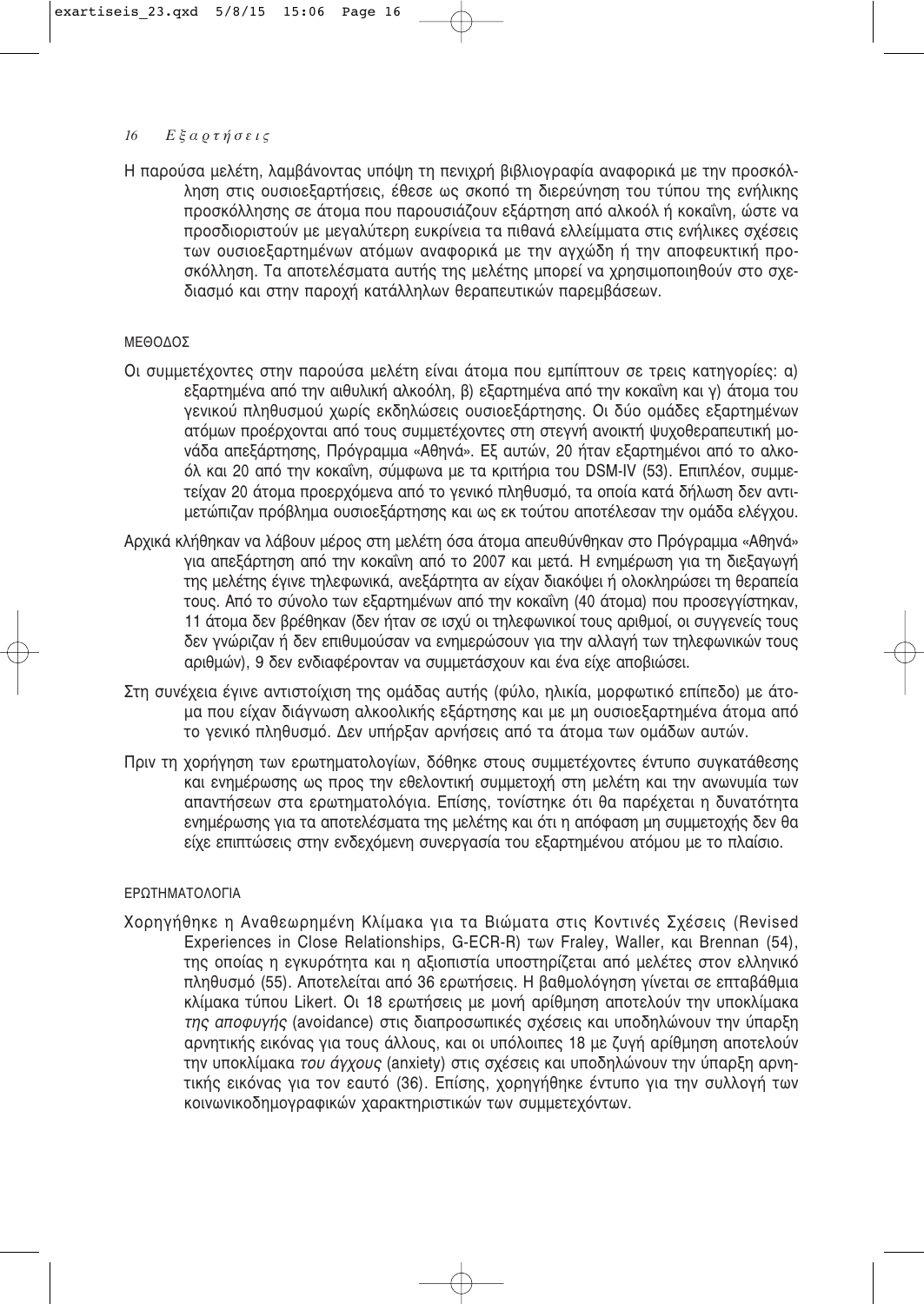Η παρούσα μελέτη, λαμβάνοντας υπόψη τη πενιχρή βιβλιογραφία αναφορικά με την προσκόλληση στις ουσιοεξαρτήσεις, έθεσε ως σκοπό τη διερεύνηση του τύπου της ενήλικης προσκόλλησης σε άτομα που παρουσιάζουν εξάρτηση από αλκοόλ ή κοκαΐνη, ώστε να προσδιοριστούν με μεναλύτερη ευκρίνεια τα πιθανά ελλείμματα στις ενήλικες σχέσεις των ουσιοεξαρτημένων ατόμων αναφορικά με την αγχώδη ή την αποφευκτική προσκόλληση. Τα αποτελέσματα αυτής της μελέτης μπορεί να χρησιμοποιηθούν στο σχεδιασμό και στην παροχή κατάλληλων θεραπευτικών παρεμβάσεων.

# ΜΕΘΟΔΟΣ

- Οι συμμετέχοντες στην παρούσα μελέτη είναι άτομα που εμπίπτουν σε τρεις κατηγορίες: α) εξαρτημένα από την αιθυλική αλκοόλη, β) εξαρτημένα από την κοκαΐνη και γ) άτομα του γενικού πληθυσμού χωρίς εκδηλώσεις ουσιοεξάρτησης. Οι δύο ομάδες εξαρτημένων ατόμων προέρχονται από τους συμμετέχοντες στη στεγνή ανοικτή ψυχοθεραπευτική μονάδα απεξάρτησης, Πρόγραμμα «Αθηνά». Εξ αυτών, 20 ήταν εξαρτημένοι από το αλκοόλ και 20 από την κοκαΐνη, σύμφωνα με τα κριτήρια του DSM-IV (53). Επιπλέον, συμμετείχαν 20 άτομα προερχόμενα από το γενικό πληθυσμό, τα οποία κατά δήλωση δεν αντιμετώπιζαν πρόβλημα ουσιοεξάρτησης και ως εκ τούτου αποτέλεσαν την ομάδα ελέγχου.
- Αρχικά κλήθηκαν να λάβουν μέρος στη μελέτη όσα άτομα απευθύνθηκαν στο Πρόγραμμα «Αθηνά» για απεξάρτηση από την κοκαΐνη από το 2007 και μετά. Η ενημέρωση για τη διεξαγωγή της μελέτης έγινε τηλεφωνικά, ανεξάρτητα αν είχαν διακόψει ή ολοκληρώσει τη θεραπεία τους. Από το σύνολο των εξαρτημένων από την κοκαΐνη (40 άτομα) που προσεγγίστηκαν, 11 άτομα δεν βρέθηκαν (δεν ήταν σε ισχύ οι τηλεφωνικοί τους αριθμοί, οι συννενείς τους δεν γνώριζαν ή δεν επιθυμούσαν να ενημερώσουν για την αλλαγή των τηλεφωνικών τους αριθμών), 9 δεν ενδιαφέρονταν να συμμετάσχουν και ένα είχε αποβιώσει.
- Στη συνέχεια έγινε αντιστοίχιση της ομάδας αυτής (φύλο, ηλικία, μορφωτικό επίπεδο) με άτομα που είχαν διάγνωση αλκοολικής εξάρτησης και με μη ουσιοεξαρτημένα άτομα από το γενικό πληθυσμό. Δεν υπήρξαν αρνήσεις από τα άτομα των ομάδων αυτών.
- Πριν τη χορήγηση των ερωτηματολογίων, δόθηκε στους συμμετέχοντες έντυπο συγκατάθεσης και ενημέρωσης ως προς την εθελοντική συμμετοχή στη μελέτη και την ανωνυμία των απαντήσεων στα ερωτηματολόγια. Επίσης, τονίστηκε ότι θα παρέχεται η δυνατότητα ενημέρωσης για τα αποτελέσματα της μελέτης και ότι η απόφαση μη συμμετοχής δεν θα είχε επιπτώσεις στην ενδεχόμενη συνεργασία του εξαρτημένου ατόμου με το πλαίσιο.

# ΕΡΩΤΗΜΑΤΟΛΟΓΙΑ

Χορηγήθηκε η Αναθεωρημένη Κλίμακα για τα Βιώματα στις Κοντινές Σχέσεις (Revised Experiences in Close Relationships, G-ECR-R) Twv Fraley, Waller, Kg, Brennan (54), της οποίας η εγκυρότητα και η αξιοπιστία υποστηρίζεται από μελέτες στον ελληνικό πληθυσμό (55). Αποτελείται από 36 ερωτήσεις. Η βαθμολόγηση γίνεται σε επταβάθμια κλίμακα τύπου Likert. Οι 18 ερωτήσεις με μονή αρίθμηση αποτελούν την υποκλίμακα της αποφυγής (avoidance) στις διαπροσωπικές σχέσεις και υποδηλώνουν την ύπαρξη αρνητικής εικόνας για τους άλλους, και οι υπόλοιπες 18 με ζυγή αρίθμηση αποτελούν την υποκλίμακα *του άγχους* (anxiety) στις σχέσεις και υποδηλώνουν την ύπαρξη αρνητικής εικόνας για τον εαυτό (36). Επίσης, χορηγήθηκε έντυπο για την συλλογή των κοινωνικοδημογραφικών χαρακτηριστικών των συμμετεχόντων.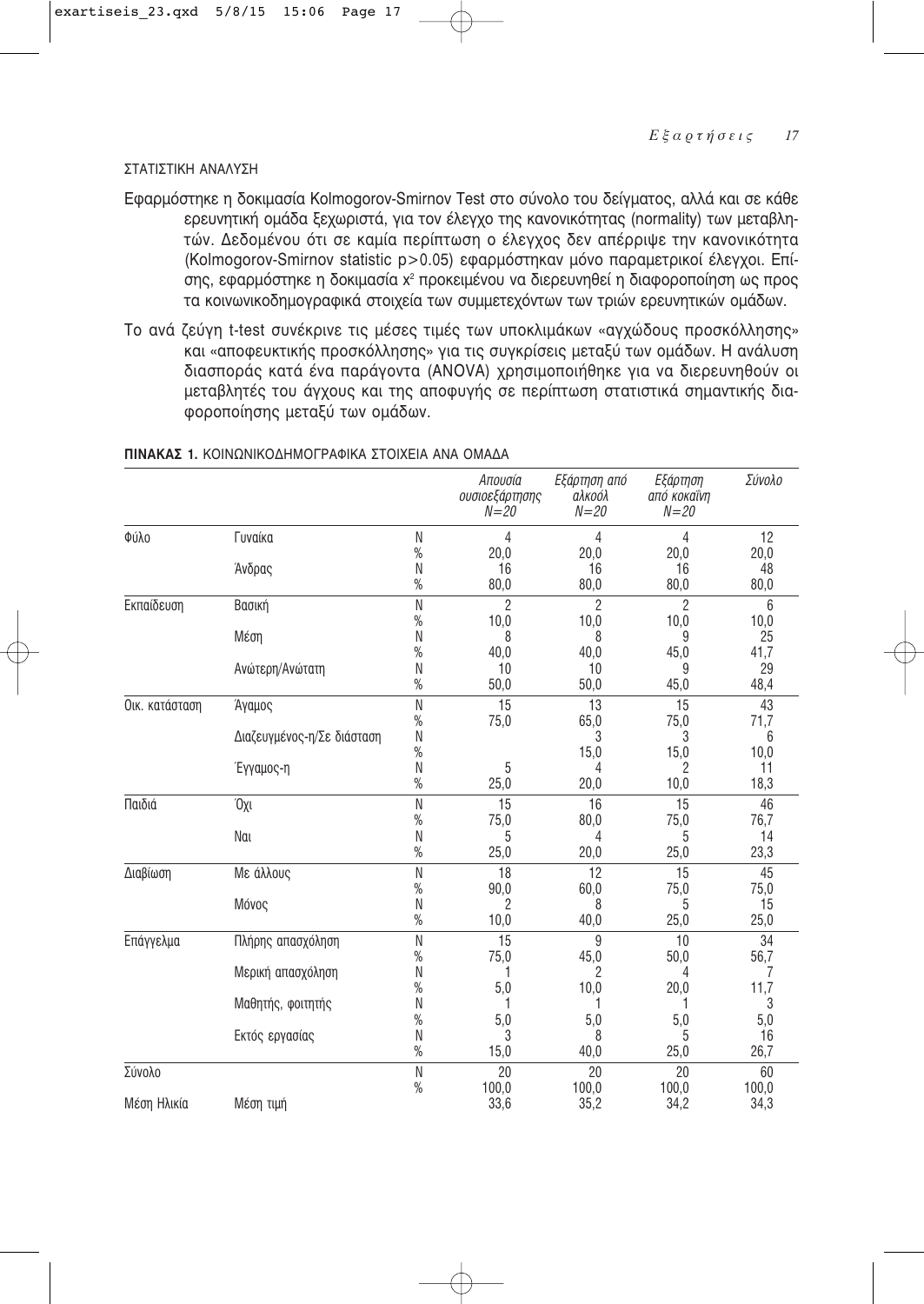# ΣΤΑΤΙΣΤΙΚΗ ΑΝΑΛΥΣΗ

- Εφαρμόστηκε η δοκιμασία Kolmogorov-Smirnov Test στο σύνολο του δείγματος, αλλά και σε κάθε ερευνητική ομάδα ξεχωριστά, για τον έλεγχο της κανονικότητας (normality) των μεταβλητών. Δεδομένου ότι σε καμία περίπτωση ο έλεγχος δεν απέρριψε την κανονικότητα (Kolmogorov-Smirnov statistic p>0.05) εφαρμόστηκαν μόνο παραμετρικοί έλεγχοι. Επίσης, εφαρμόστηκε η δοκιμασία χ<sup>2</sup> προκειμένου να διερευνηθεί η διαφοροποίηση ως προς τα κοινωνικοδημογραφικά στοιχεία των συμμετεχόντων των τριών ερευνητικών ομάδων.
- Το ανά ζεύγη t-test συνέκρινε τις μέσες τιμές των υποκλιμάκων «αγχώδους προσκόλλησης» και «αποφευκτικής προσκόλλησης» για τις συγκρίσεις μεταξύ των ομάδων. Η ανάλυση διασποράς κατά ένα παράγοντα (ANOVA) χρησιμοποιήθηκε για να διερευνηθούν οι μεταβλητές του άγχους και της αποφυγής σε περίπτωση στατιστικά σημαντικής δια-Φοροποίησης μεταξύ των ομάδων.

|                |                            |              | Απουσία<br>ουσιοεξάρτησης<br>$N = 20$ | Εξάρτηση από<br>αλκοόλ<br>$N = 20$ | Εξάρτηση<br>από κοκαΐνη<br>$N = 20$ | Σύνολο     |
|----------------|----------------------------|--------------|---------------------------------------|------------------------------------|-------------------------------------|------------|
| Φύλο           | Γυναίκα                    | N            | 4                                     | 4                                  | $\overline{4}$                      | 12         |
|                |                            | $\%$         | 20,0                                  | 20,0                               | 20,0                                | 20,0       |
|                | Άνδρας                     | N            | 16                                    | 16                                 | 16                                  | 48         |
|                |                            | $\%$         | 80,0                                  | 80,0                               | 80,0                                | 80,0       |
| Εκπαίδευση     | Βασική                     | ${\sf N}$    | $\mathfrak{p}$                        | $\overline{2}$                     | $\mathfrak{p}$                      | 6          |
|                |                            | $\%$         | 10,0                                  | 10,0                               | 10,0                                | 10,0       |
|                | Μέση                       | Ν            | 8                                     | 8                                  | 9                                   | 25         |
|                |                            | $\%$         | 40,0                                  | 40,0                               | 45,0<br>9                           | 41,7       |
|                | Ανώτερη/Ανώτατη            | N<br>$\%$    | 10<br>50,0                            | 10<br>50,0                         | 45,0                                | 29<br>48,4 |
| Οικ. κατάσταση | Άγαμος                     | N            | 15                                    | 13                                 | 15                                  | 43         |
|                |                            | $\%$         | 75,0                                  | 65,0                               | 75,0                                | 71,7       |
|                | Διαζευγμένος-η/Σε διάσταση | N            |                                       | 3                                  | 3                                   | 6          |
|                |                            | $\%$         |                                       | 15,0                               | 15,0                                | 10,0       |
|                | Έγγαμος-η                  | N            | 5                                     | 4                                  | 2                                   | 11         |
|                |                            | $\%$         | 25,0                                  | 20,0                               | 10,0                                | 18,3       |
| Παιδιά         | Όχι                        | $\mathsf{N}$ | 15                                    | 16                                 | 15                                  | 46         |
|                |                            | $\%$         | 75,0                                  | 80,0                               | 75,0                                | 76,7       |
|                | Nai                        | ${\sf N}$    | 5                                     | 4                                  | 5                                   | 14         |
|                |                            | $\%$         | 25,0                                  | 20,0                               | 25,0                                | 23,3       |
| Διαβίωση       | Με άλλους                  | N            | 18                                    | 12                                 | 15                                  | 45         |
|                |                            | $\%$         | 90,0                                  | 60,0                               | 75,0                                | 75,0       |
|                | Μόνος                      | N<br>$\%$    | $\overline{2}$<br>10,0                | 8<br>40,0                          | 5<br>25,0                           | 15<br>25,0 |
|                |                            |              |                                       |                                    |                                     |            |
| Επάγγελμα      | Πλήρης απασχόληση          | ${\sf N}$    | 15                                    | 9                                  | 10                                  | 34         |
|                |                            | $\%$<br>Ν    | 75,0<br>1                             | 45,0<br>2                          | 50,0<br>4                           | 56,7<br>7  |
|                | Μερική απασχόληση          | $\%$         | 5,0                                   | 10,0                               | 20,0                                | 11,7       |
|                | Μαθητής, φοιτητής          | Ν            | 1                                     |                                    |                                     | 3          |
|                |                            | %            | 5,0                                   | 5,0                                | 5,0                                 | 5,0        |
|                | Εκτός εργασίας             | Ν            | 3                                     | 8                                  | 5                                   | 16         |
|                |                            | $\%$         | 15,0                                  | 40,0                               | 25,0                                | 26,7       |
| Σύνολο         |                            | $\mathsf{N}$ | 20                                    | 20                                 | 20                                  | 60         |
|                |                            | $\%$         | 100,0                                 | 100,0                              | 100,0                               | 100,0      |
| Μέση Ηλικία    | Μέση τιμή                  |              | 33,6                                  | 35,2                               | 34.2                                | 34,3       |

#### **ΠΙΝΑΚΑΣ 1.** ΚΟΙΝΟΝΙΚΟΛΗΜΟΓΡΑΦΙΚΑ ΣΤΟΙΧΕΙΑ ΑΝΑ ΟΜΑΛΑ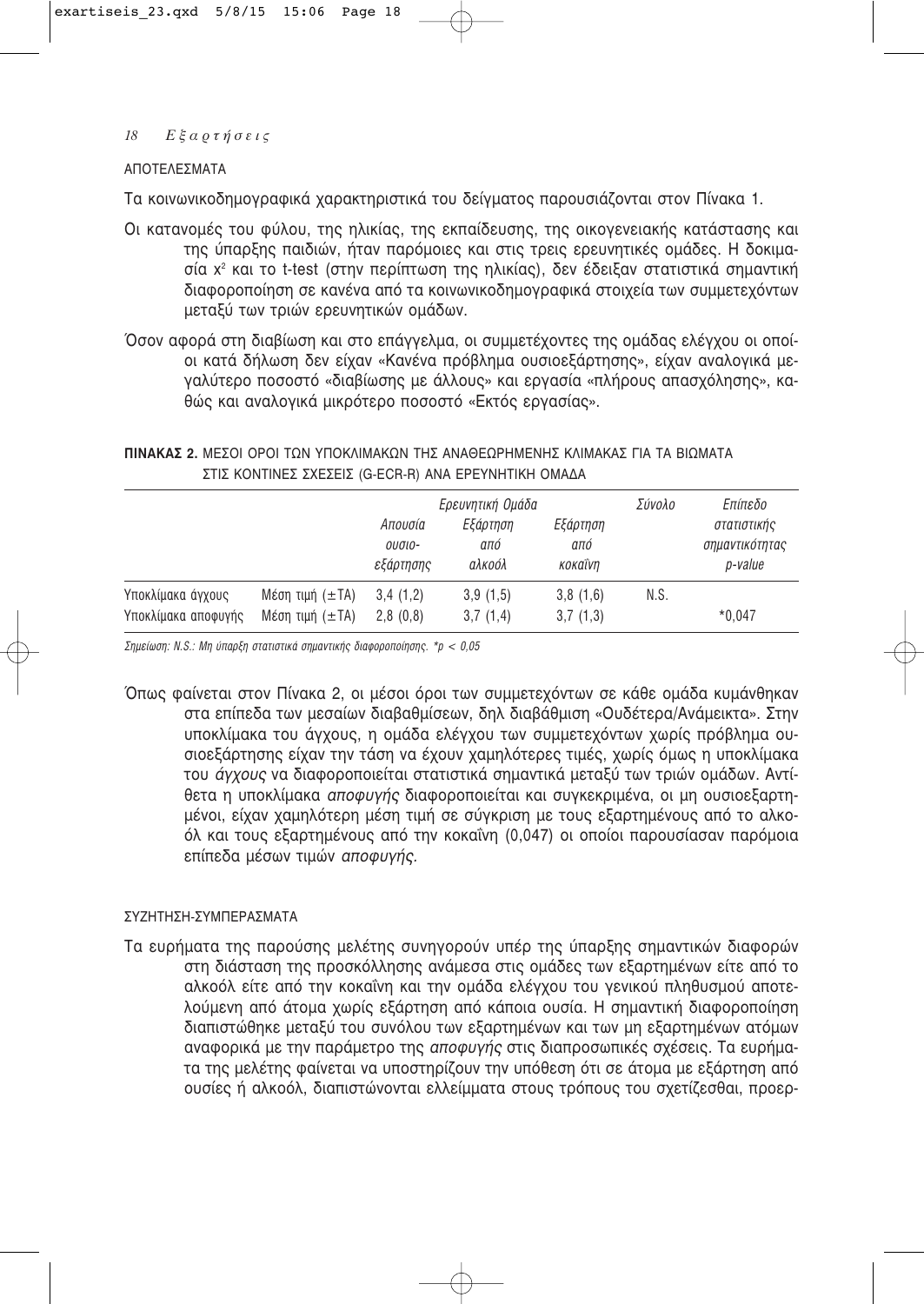# ΑΠΟΤΕΛΕΣΜΑΤΑ

Τα κοινωνικοδημογραφικά χαρακτηριστικά του δείγματος παρουσιάζονται στον Πίνακα 1.

- Οι κατανομές του φύλου, της ηλικίας, της εκπαίδευσης, της οικογενειακής κατάστασης και της ύπαρξης παιδιών, ήταν παρόμοιες και στις τρεις ερευνητικές ομάδες. Η δοκιμασία χ<sup>2</sup> και το t-test (στην περίπτωση της ηλικίας), δεν έδειξαν στατιστικά σημαντική διαφοροποίηση σε κανένα από τα κοινωνικοδημογραφικά στοιχεία των συμμετεχόντων μεταξύ των τριών ερευνητικών ομάδων.
- Όσον αφορά στη διαβίωση και στο επάννελμα, οι συμμετέχοντες της ομάδας ελένχου οι οποίοι κατά δήλωση δεν είχαν «Κανένα πρόβλημα ουσιοεξάρτησης», είχαν αναλονικά μεγαλύτερο ποσοστό «διαβίωσης με άλλους» και εργασία «πλήρους απασχόλησης», καθώς και αναλονικά μικρότερο ποσοστό «Εκτός εργασίας».

ΠΙΝΑΚΑΣ 2. ΜΕΣΟΙ ΟΡΟΙ ΤΩΝ ΥΠΟΚΛΙΜΑΚΩΝ ΤΗΣ ΑΝΑΘΕΩΡΗΜΕΝΗΣ ΚΛΙΜΑΚΑΣ ΓΙΑ ΤΑ ΒΙΩΜΑΤΑ ΣΤΙΣ ΚΟΝΤΙΝΕΣ ΣΧΕΣΕΙΣ (G-ECR-R) ΑΝΑ ΕΡΕΥΝΗΤΙΚΗ ΟΜΑΔΑ

|                     |                   | Απουσία<br>ουσιο-<br>εξάρτησης | Ερευνητική Ομάδα<br>Εξάρτηση<br>από<br>αλκοόλ | Εξάρτηση<br>από<br>кокаї́νη | Σύνολο | Επίπεδο<br>στατιστικής<br>σημαντικότητας<br>p-value |
|---------------------|-------------------|--------------------------------|-----------------------------------------------|-----------------------------|--------|-----------------------------------------------------|
| Υποκλίμακα άγχους   | Mέση τιμή $(±TA)$ | 3.4(1,2)                       | 3,9(1,5)                                      | 3,8(1,6)                    | N.S.   |                                                     |
| Υποκλίμακα αποφυγής | Mέση τιμή $(±TA)$ | 2.8(0.8)                       | 3,7(1,4)                                      | 3,7(1,3)                    |        | $*0.047$                                            |

Σημείωση: Ν.S.: Μη ύπαρξη στατιστικά σημαντικής διαφοροποίησης. \*p < 0.05

Όπως φαίνεται στον Πίνακα 2, οι μέσοι όροι των συμμετεχόντων σε κάθε ομάδα κυμάνθηκαν στα επίπεδα των μεσαίων διαβαθμίσεων, δηλ διαβάθμιση «Ουδέτερα/Ανάμεικτα». Στην υποκλίμακα του άγχους, η ομάδα ελέγχου των συμμετεχόντων χωρίς πρόβλημα ουσιοεξάρτησης είχαν την τάση να έχουν χαμηλότερες τιμές, χωρίς όμως η υποκλίμακα του άγχους να διαφοροποιείται στατιστικά σημαντικά μεταξύ των τριών ομάδων. Αντίθετα η υποκλίμακα αποφυγής διαφοροποιείται και συγκεκριμένα, οι μη ουσιοεξαρτημένοι, είχαν χαμηλότερη μέση τιμή σε σύγκριση με τους εξαρτημένους από το αλκοόλ και τους εξαρτημένους από την κοκαΐνη (0,047) οι οποίοι παρουσίασαν παρόμοια επίπεδα μέσων τιμών αποφυγής.

# ΣΥΖΗΤΗΣΗ-ΣΥΜΠΕΡΑΣΜΑΤΑ

Τα ευρήματα της παρούσης μελέτης συνηγορούν υπέρ της ύπαρξης σημαντικών διαφορών στη διάσταση της προσκόλλησης ανάμεσα στις ομάδες των εξαρτημένων είτε από το αλκοόλ είτε από την κοκαΐνη και την ομάδα ελέγχου του γενικού πληθυσμού αποτελούμενη από άτομα χωρίς εξάρτηση από κάποια ουσία. Η σημαντική διαφοροποίηση διαπιστώθηκε μεταξύ του συνόλου των εξαρτημένων και των μη εξαρτημένων ατόμων αναφορικά με την παράμετρο της αποφυγής στις διαπροσωπικές σχέσεις. Τα ευρήματα της μελέτης φαίνεται να υποστηρίζουν την υπόθεση ότι σε άτομα με εξάρτηση από ουσίες ή αλκοόλ, διαπιστώνονται ελλείμματα στους τρόπους του σχετίζεσθαι, προερ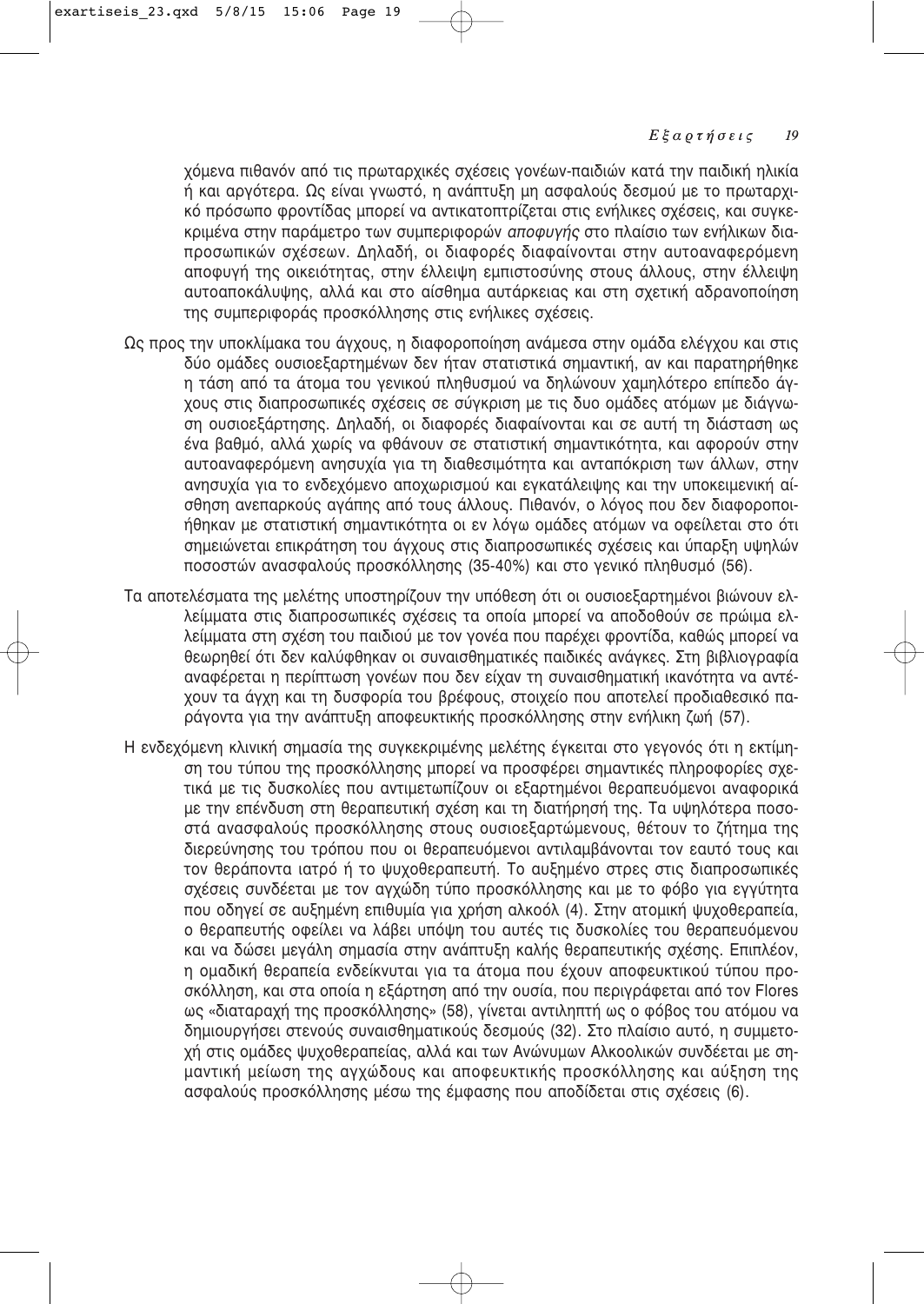χόμενα πιθανόν από τις πρωταρχικές σχέσεις γονέων-παιδιών κατά την παιδική ηλικία ή και αργότερα. Ως είναι γνωστό, η ανάπτυξη μη ασφαλούς δεσμού με το πρωταρχικό πρόσωπο φροντίδας μπορεί να αντικατοπτρίζεται στις ενήλικες σχέσεις, και συγκεκριμένα στην παράμετρο των συμπεριφορών *αποφυγής* στο πλαίσιο των ενήλικων διαπροσωπικών σχέσεων. Δηλαδή, οι διαφορές διαφαίνονται στην αυτοαναφερόμενη αποφυγή της οικειότητας, στην έλλειψη εμπιστοσύνης στους άλλους, στην έλλειψη αυτοαποκάλυψης, αλλά και στο αίσθημα αυτάρκειας και στη σχετική αδρανοποίηση της συμπεριφοράς προσκόλλησης στις ενήλικες σχέσεις.

- Ως προς την υποκλίμακα του άγχους, η διαφοροποίηση ανάμεσα στην ομάδα ελέγχου και στις δύο ομάδες ουσιοεξαρτημένων δεν ήταν στατιστικά σημαντική, αν και παρατηρήθηκε η τάση από τα άτομα του γενικού πληθυσμού να δηλώνουν χαμηλότερο επίπεδο άγχους στις διαπροσωπικές σχέσεις σε σύγκριση με τις δυο ομάδες ατόμων με διάγνωση ουσιοεξάρτησης. Δηλαδή, οι διαφορές διαφαίνονται και σε αυτή τη διάσταση ως ένα βαθμό, αλλά χωρίς να φθάνουν σε στατιστική σημαντικότητα, και αφορούν στην αυτοαναφερόμενη ανησυχία για τη διαθεσιμότητα και ανταπόκριση των άλλων, στην ανησυχία για το ενδεχόμενο αποχωρισμού και εγκατάλειψης και την υποκειμενική αίσθηση ανεπαρκούς αγάπης από τους άλλους. Πιθανόν, ο λόγος που δεν διαφοροποιήθηκαν με στατιστική σημαντικότητα οι εν λόγω ομάδες ατόμων να οφείλεται στο ότι σημειώνεται επικράτηση του άγχους στις διαπροσωπικές σχέσεις και ύπαρξη υψηλών ποσοστών ανασφαλούς προσκόλλησης (35-40%) και στο γενικό πληθυσμό (56).
- Τα αποτελέσματα της μελέτης υποστηρίζουν την υπόθεση ότι οι ουσιοεξαρτημένοι βιώνουν ελλείμματα στις διαπροσωπικές σχέσεις τα οποία μπορεί να αποδοθούν σε πρώιμα ελλείμματα στη σχέση του παιδιού με τον νονέα που παρέχει φροντίδα, καθώς μπορεί να θεωρηθεί ότι δεν καλύφθηκαν οι συναισθηματικές παιδικές ανάγκες. Στη βιβλιογραφία αναφέρεται η περίπτωση γονέων που δεν είχαν τη συναισθηματική ικανότητα να αντέχουν τα άγχη και τη δυσφορία του βρέφους, στοιχείο που αποτελεί προδιαθεσικό παράγοντα για την ανάπτυξη αποφευκτικής προσκόλλησης στην ενήλικη ζωή (57).
- Η ενδεχόμενη κλινική σημασία της συγκεκριμένης μελέτης έγκειται στο γεγονός ότι η εκτίμηση του τύπου της προσκόλλησης μπορεί να προσφέρει σημαντικές πληροφορίες σχετικά με τις δυσκολίες που αντιμετωπίζουν οι εξαρτημένοι θεραπευόμενοι αναφορικά με την επένδυση στη θεραπευτική σχέση και τη διατήρησή της. Τα υψηλότερα ποσοστά ανασφαλούς προσκόλλησης στους ουσιοεξαρτώμενους, θέτουν το ζήτημα της διερεύνησης του τρόπου που οι θεραπευόμενοι αντιλαμβάνονται τον εαυτό τους και τον θεράποντα ιατρό ή το ψυχοθεραπευτή. Το αυξημένο στρες στις διαπροσωπικές σχέσεις συνδέεται με τον αγχώδη τύπο προσκόλλησης και με το φόβο για εγγύτητα που οδηγεί σε αυξημένη επιθυμία για χρήση αλκοόλ (4). Στην ατομική ψυχοθεραπεία, ο θεραπευτής οφείλει να λάβει υπόψη του αυτές τις δυσκολίες του θεραπευόμενου και να δώσει μεγάλη σημασία στην ανάπτυξη καλής θεραπευτικής σχέσης. Επιπλέον, η ομαδική θεραπεία ενδείκνυται για τα άτομα που έχουν αποφευκτικού τύπου προσκόλληση, και στα οποία η εξάρτηση από την ουσία, που περιγράφεται από τον Flores ως «διαταραχή της προσκόλλησης» (58), γίνεται αντιληπτή ως ο φόβος του ατόμου να δημιουργήσει στενούς συναισθηματικούς δεσμούς (32). Στο πλαίσιο αυτό, η συμμετοχή στις ομάδες ψυχοθεραπείας, αλλά και των Ανώνυμων Αλκοολικών συνδέεται με σημαντική μείωση της αγχώδους και αποφευκτικής προσκόλλησης και αύξηση της ασφαλούς προσκόλλησης μέσω της έμφασης που αποδίδεται στις σχέσεις (6).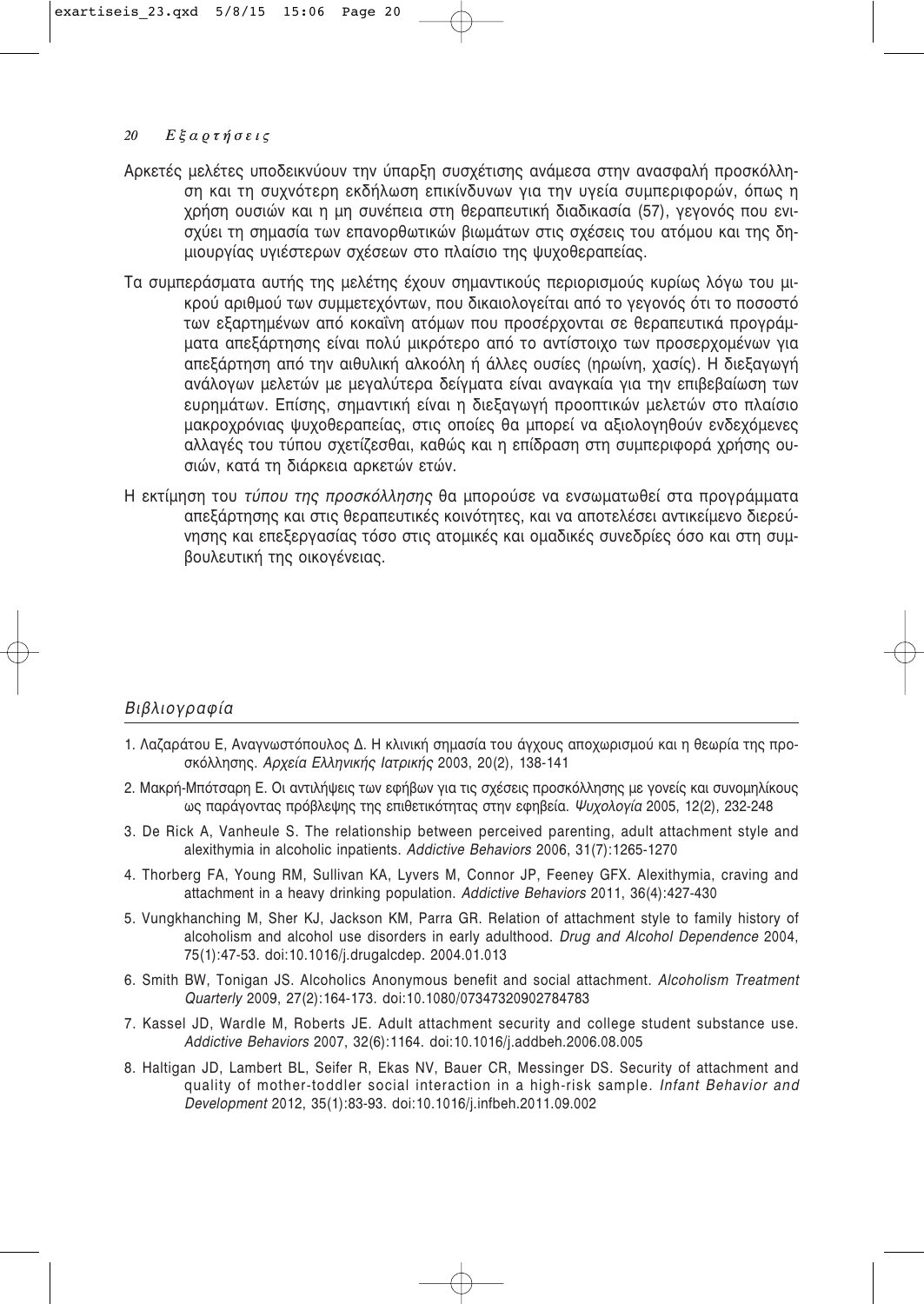- Αρκετές μελέτες υποδεικνύουν την ύπαρξη συσχέτισης ανάμεσα στην ανασφαλή προσκόλληση και τη συχνότερη εκδήλωση επικίνδυνων για την υνεία συμπεριφορών, όπως η χρήση ουσιών και η μη συνέπεια στη θεραπευτική διαδικασία (57), γεγονός που ενισχύει τη σημασία των επανορθωτικών βιωμάτων στις σχέσεις του ατόμου και της δημιουργίας υγιέστερων σχέσεων στο πλαίσιο της ψυχοθεραπείας.
- Τα συμπεράσματα αυτής της μελέτης έχουν σημαντικούς περιορισμούς κυρίως λόγω του μι-Κρού αριθμού των συμμετεχόντων, που δικαιολογείται από το γενονός ότι το ποσοστό των εξαρτημένων από κοκαΐνη ατόμων που προσέρχονται σε θεραπευτικά προγράμματα απεξάρτησης είναι πολύ μικρότερο από το αντίστοιχο των προσερχομένων για απεξάρτηση από την αιθυλική αλκοόλη ή άλλες ουσίες (ηρωίνη, χασίς). Η διεξαγωγή ανάλογων μελετών με μεγαλύτερα δείγματα είναι αναγκαία για την επιβεβαίωση των ευρημάτων. Επίσης, σημαντική είναι η διεξαγωγή προοπτικών μελετών στο πλαίσιο μακροχρόνιας ψυχοθεραπείας, στις οποίες θα μπορεί να αξιολογηθούν ενδεχόμενες αλλαγές του τύπου σχετίζεσθαι, καθώς και η επίδραση στη συμπεριφορά χρήσης ουσιών, κατά τη διάρκεια αρκετών ετών.
- Η εκτίμηση του *τύπου της προσκόλλησης* θα μπορούσε να ενσωματωθεί στα προγράμματα απεξάρτησης και στις θεραπευτικές κοινότητες, και να αποτελέσει αντικείμενο διερεύνησης και επεξεργασίας τόσο στις ατομικές και ομαδικές συνεδρίες όσο και στη συμβουλευτική της οικογένειας.

# **Βιβλιογραφία**

- 1. Λαζαράτου Ε, Αναγνωστόπουλος Δ. Η κλινική σημασία του άγχους αποχωρισμού και η θεωρία της προσκόλλησης. *Αρχεία Ελληνικής Ιατρικής* 2003, 20(2), 138-141
- 2. Μακρή-Μπότσαρη Ε. Οι αντιλήψεις των εφήβων για τις σχέσεις προσκόλλησης με γονείς και συνομηλίκους ως παράγοντας πρόβλεψης της επιθετικότητας στην εφηβεία. Ψυχολογία 2005, 12(2), 232-248
- 3. De Rick A, Vanheule S. The relationship between perceived parenting, adult attachment style and alexithymia in alcoholic inpatients. *Addictive Behaviors* 2006, 31(7):1265-1270
- 4. Thorberg FA, Young RM, Sullivan KA, Lyvers M, Connor JP, Feeney GFX. Alexithymia, craving and attachment in a heavy drinking population. *Addictive Behaviors* 2011, 36(4):427-430
- 5. Vungkhanching M, Sher KJ, Jackson KM, Parra GR. Relation of attachment style to family history of alcoholism and alcohol use disorders in early adulthood. *Drug and Alcohol Dependence* 2004, 75(1):47-53. doi:10.1016/j.drugalcdep. 2004.01.013
- 6. Smith BW, Tonigan JS. Alcoholics Anonymous benefit and social attachment. *Alcoholism Treatment Quarterly* 2009, 27(2):164-173. doi:10.1080/07347320902784783
- 7. Kassel JD, Wardle M, Roberts JE. Adult attachment security and college student substance use. *Addictive Behaviors* 2007, 32(6):1164. doi:10.1016/j.addbeh.2006.08.005
- 8. Haltigan JD, Lambert BL, Seifer R, Ekas NV, Bauer CR, Messinger DS. Security of attachment and quality of mother-toddler social interaction in a high-risk sample*. Infant Behavior and Development* 2012, 35(1):83-93. doi:10.1016/j.infbeh.2011.09.002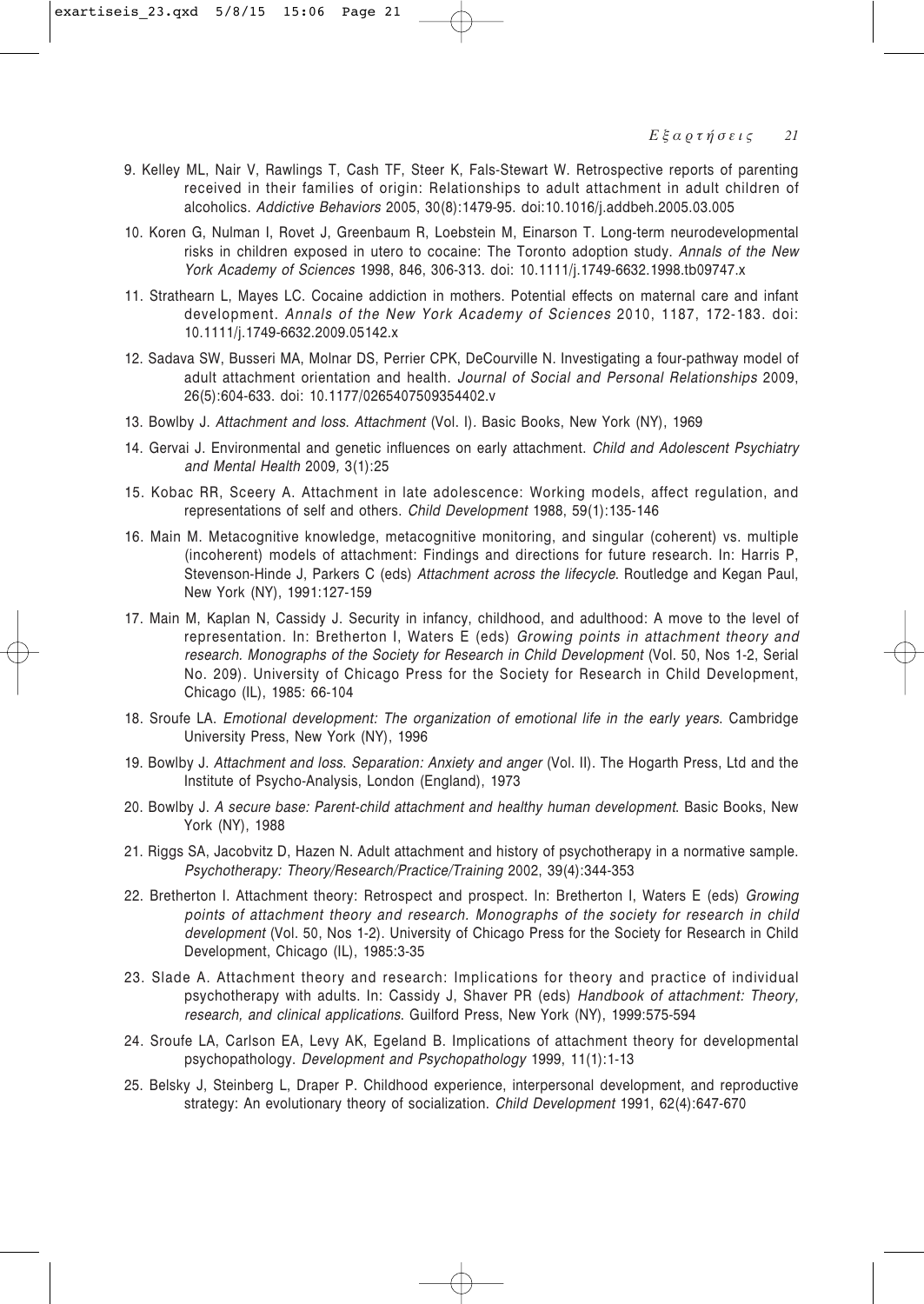- 9. Kelley ML, Nair V, Rawlings T, Cash TF, Steer K, Fals-Stewart W. Retrospective reports of parenting received in their families of origin: Relationships to adult attachment in adult children of alcoholics. *Addictive Behaviors* 2005, 30(8):1479-95. doi:10.1016/j.addbeh.2005.03.005
- 10. Koren G, Nulman I, Rovet J, Greenbaum R, Loebstein M, Einarson T. Long-term neurodevelopmental risks in children exposed in utero to cocaine: The Toronto adoption study. *Annals of the New York Academy of Sciences* 1998, 846, 306-313. doi: 10.1111/j.1749-6632.1998.tb09747.x
- 11. Strathearn L, Mayes LC. Cocaine addiction in mothers. Potential effects on maternal care and infant development. *Annals of the New York Academy of Sciences* 2010, 1187, 172-183. doi: 10.1111/j.1749-6632.2009.05142.x
- 12. Sadava SW, Busseri MA, Molnar DS, Perrier CPK, DeCourville N. Investigating a four-pathway model of adult attachment orientation and health. *Journal of Social and Personal Relationships* 2009, 26(5):604-633. doi: 10.1177/0265407509354402.v
- 13. Bowlby J. Attachment and loss. Attachment (Vol. I). Basic Books, New York (NY), 1969
- 14. Gervai J. Environmental and genetic influences on early attachment. *Child and Adolescent Psychiatry and Mental Health* 2009*,* 3(1):25
- 15. Kobac RR, Sceery A. Attachment in late adolescence: Working models, affect regulation, and representations of self and others. *Child Development* 1988, 59(1):135-146
- 16. Main M. Metacognitive knowledge, metacognitive monitoring, and singular (coherent) vs. multiple (incoherent) models of attachment: Findings and directions for future research. In: Harris P, Stevenson-Hinde J, Parkers C (eds) *Attachment across the lifecycle*. Routledge and Kegan Paul, New York (NY), 1991:127-159
- 17. Main M, Kaplan N, Cassidy J. Security in infancy, childhood, and adulthood: A move to the level of representation. In: Bretherton I, Waters E (eds) *Growing points in attachment theory and research. Monographs of the Society for Research in Child Development* (Vol. 50, Nos 1-2, Serial No. 209). University of Chicago Press for the Society for Research in Child Development, Chicago (IL), 1985: 66-104
- 18. Sroufe LA. *Emotional development: The organization of emotional life in the early years*. Cambridge University Press, New York (NY), 1996
- 19. Bowlby J. *Attachment and loss. Separation: Anxiety and anger* (Vol. II). The Hogarth Press, Ltd and the Institute of Psycho-Analysis, London (England), 1973
- 20. Bowlby J. *A secure base: Parent-child attachment and healthy human development*. Basic Books, New York (NY), 1988
- 21. Riggs SA, Jacobvitz D, Hazen N. Adult attachment and history of psychotherapy in a normative sample. *Psychotherapy: Theory/Research/Practice/Training* 2002, 39(4):344-353
- 22. Bretherton I. Attachment theory: Retrospect and prospect. In: Bretherton I, Waters E (eds) *Growing points of attachment theory and research. Monographs of the society for research in child development* (Vol. 50, Nos 1-2). University of Chicago Press for the Society for Research in Child Development, Chicago (IL), 1985:3-35
- 23. Slade A. Attachment theory and research: Implications for theory and practice of individual psychotherapy with adults. In: Cassidy J, Shaver PR (eds) *Handbook of attachment: Theory, research, and clinical applications*. Guilford Press, New York (NY), 1999:575-594
- 24. Sroufe LA, Carlson EA, Levy AK, Egeland B. Implications of attachment theory for developmental psychopathology. *Development and Psychopathology* 1999, 11(1):1-13
- 25. Belsky J, Steinberg L, Draper P. Childhood experience, interpersonal development, and reproductive strategy: An evolutionary theory of socialization. *Child Development* 1991, 62(4):647-670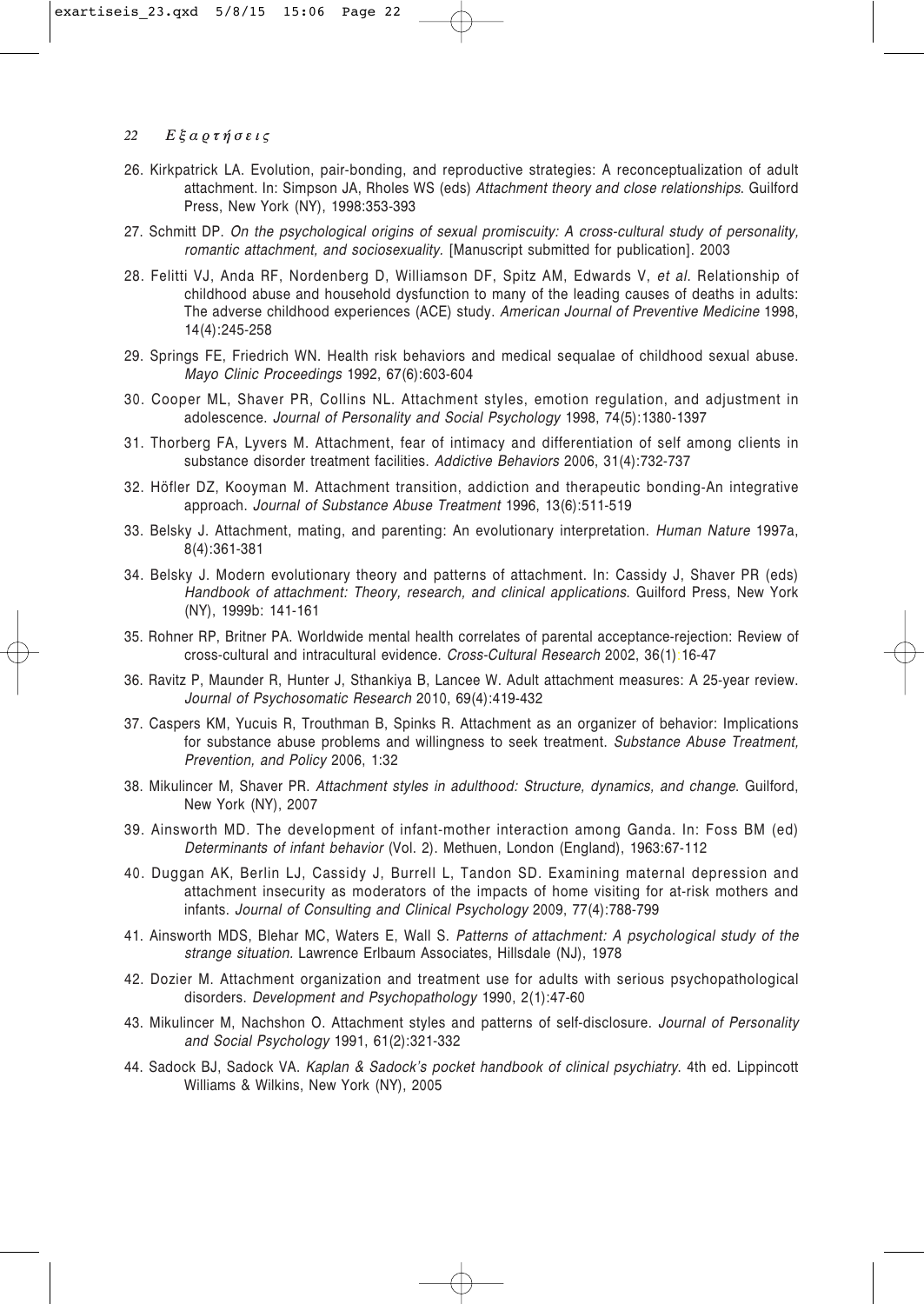- 26. Kirkpatrick LA. Evolution, pair-bonding, and reproductive strategies: A reconceptualization of adult attachment. In: Simpson JA, Rholes WS (eds) *Attachment theory and close relationships*. Guilford Press, New York (NY), 1998:353-393
- 27. Schmitt DP. *On the psychological origins of sexual promiscuity: A cross-cultural study of personality, romantic attachment, and sociosexuality.* [Manuscript submitted for publication]. 2003
- 28. Felitti VJ, Anda RF, Nordenberg D, Williamson DF, Spitz AM, Edwards V, *et al*. Relationship of childhood abuse and household dysfunction to many of the leading causes of deaths in adults: The adverse childhood experiences (ACE) study. *American Journal of Preventive Medicine* 1998, 14(4):245-258
- 29. Springs FE, Friedrich WN. Health risk behaviors and medical sequalae of childhood sexual abuse. *Mayo Clinic Proceedings* 1992, 67(6):603-604
- 30. Cooper ML, Shaver PR, Collins NL. Attachment styles, emotion regulation, and adjustment in adolescence. *Journal of Personality and Social Psychology* 1998, 74(5):1380-1397
- 31. Thorberg FA, Lyvers M. Attachment, fear of intimacy and differentiation of self among clients in substance disorder treatment facilities. *Addictive Behaviors* 2006, 31(4):732-737
- 32. Höfler DZ, Kooyman M. Attachment transition, addiction and therapeutic bonding-An integrative approach. *Journal of Substance Abuse Treatment* 1996, 13(6):511-519
- 33. Belsky J. Attachment, mating, and parenting: An evolutionary interpretation. *Human Nature* 1997a, 8(4):361-381
- 34. Belsky J. Modern evolutionary theory and patterns of attachment. In: Cassidy J, Shaver PR (eds) *Handbook of attachment: Theory, research, and clinical applications*. Guilford Press, New York (NY), 1999b: 141-161
- 35. Rohner RP, Britner PA. Worldwide mental health correlates of parental acceptance-rejection: Review of cross-cultural and intracultural evidence. *Cross-Cultural Research* 2002, 36(1):16-47
- 36. Ravitz P, Maunder R, Hunter J, Sthankiya B, Lancee W. Adult attachment measures: A 25-year review. *Journal of Psychosomatic Research* 2010, 69(4):419-432
- 37. Caspers KM, Yucuis R, Trouthman B, Spinks R. Attachment as an organizer of behavior: Implications for substance abuse problems and willingness to seek treatment. *Substance Abuse Treatment, Prevention, and Policy* 2006, 1:32
- 38. Mikulincer M, Shaver PR. *Attachment styles in adulthood: Structure, dynamics, and change*. Guilford, New York (NY), 2007
- 39. Ainsworth MD. The development of infant-mother interaction among Ganda. In: Foss BM (ed) *Determinants of infant behavior* (Vol. 2). Methuen, London (England), 1963:67-112
- 40. Duggan AK, Berlin LJ, Cassidy J, Burrell L, Tandon SD. Examining maternal depression and attachment insecurity as moderators of the impacts of home visiting for at-risk mothers and infants. *Journal of Consulting and Clinical Psychology* 2009, 77(4):788-799
- 41. Ainsworth MDS, Blehar MC, Waters E, Wall S. *Patterns of attachment: A psychological study of the strange situation.* Lawrence Erlbaum Associates, Hillsdale (NJ), 1978
- 42. Dozier M. Attachment organization and treatment use for adults with serious psychopathological disorders. *Development and Psychopathology* 1990, 2(1):47-60
- 43. Mikulincer M, Nachshon O. Attachment styles and patterns of self-disclosure. *Journal of Personality and Social Psychology* 1991, 61(2):321-332
- 44. Sadock BJ, Sadock VA. *Kaplan & Sadock's pocket handbook of clinical psychiatry*. 4th ed. Lippincott Williams & Wilkins, New York (NY), 2005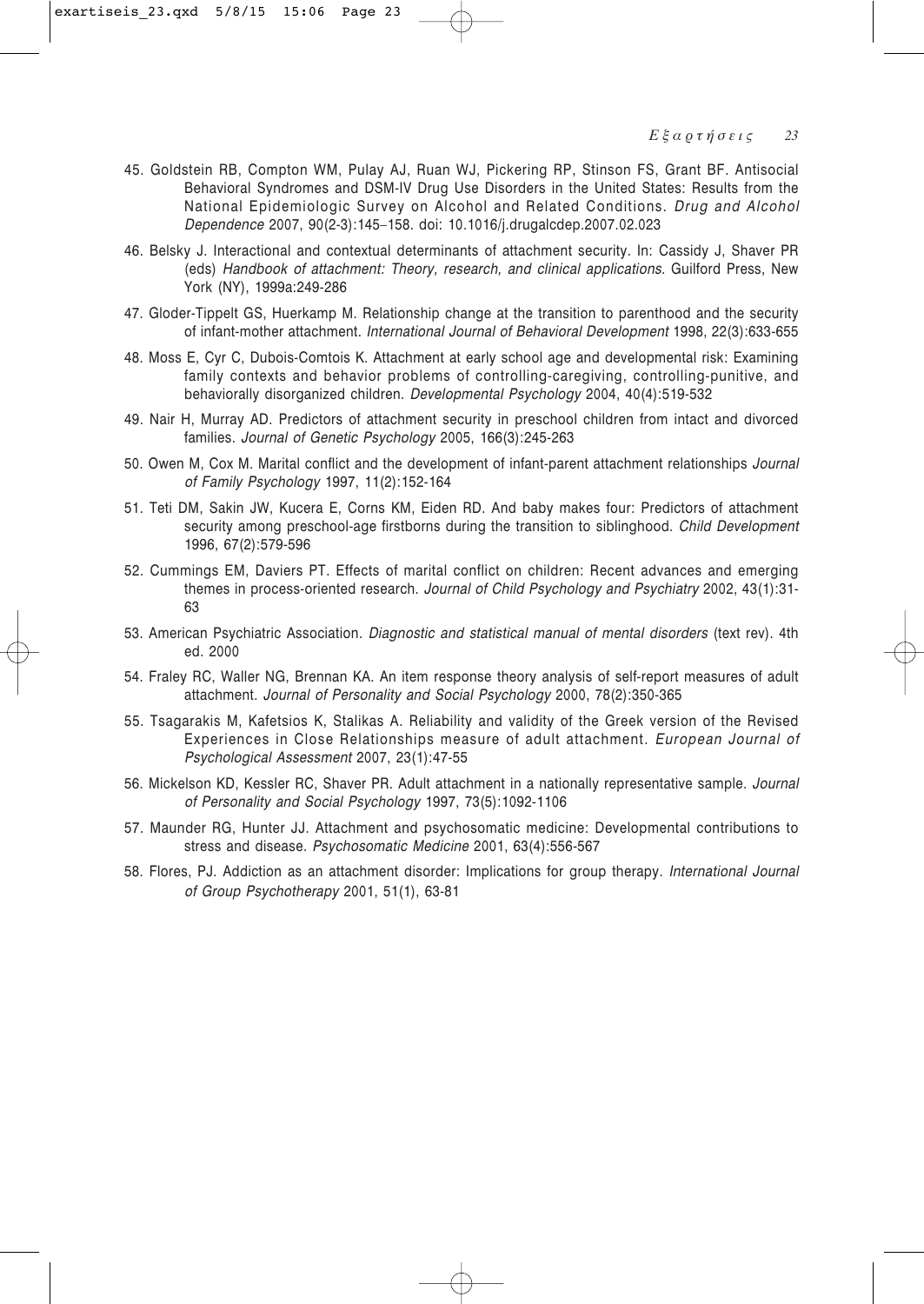- 45. Goldstein RB, Compton WM, Pulay AJ, Ruan WJ, Pickering RP, Stinson FS, Grant BF. Antisocial Behavioral Syndromes and DSM-IV Drug Use Disorders in the United States: Results from the National Epidemiologic Survey on Alcohol and Related Conditions. *Drug and Alcohol Dependence* 2007, 90(2-3):145–158. doi: 10.1016/j.drugalcdep.2007.02.023
- 46. Belsky J. Interactional and contextual determinants of attachment security. In: Cassidy J, Shaver PR (eds) *Handbook of attachment: Theory, research, and clinical applications*. Guilford Press, New York (NY), 1999a:249-286
- 47. Gloder-Tippelt GS, Huerkamp M. Relationship change at the transition to parenthood and the security of infant-mother attachment. *International Journal of Behavioral Development* 1998, 22(3):633-655
- 48. Moss E, Cyr C, Dubois-Comtois K. Attachment at early school age and developmental risk: Examining family contexts and behavior problems of controlling-caregiving, controlling-punitive, and behaviorally disorganized children. *Developmental Psychology* 2004, 40(4):519-532
- 49. Nair H, Murray AD. Predictors of attachment security in preschool children from intact and divorced families. *Journal of Genetic Psychology* 2005, 166(3):245-263
- 50. Owen M, Cox M. Marital conflict and the development of infant-parent attachment relationships *Journal of Family Psychology* 1997, 11(2):152-164
- 51. Teti DM, Sakin JW, Kucera E, Corns KM, Eiden RD. And baby makes four: Predictors of attachment security among preschool-age firstborns during the transition to siblinghood. *Child Development* 1996, 67(2):579-596
- 52. Cummings EM, Daviers PT. Effects of marital conflict on children: Recent advances and emerging themes in process-oriented research. *Journal of Child Psychology and Psychiatry* 2002, 43(1):31- 63
- 53. American Psychiatric Association. *Diagnostic and statistical manual of mental disorders* (text rev). 4th ed. 2000
- 54. Fraley RC, Waller NG, Brennan KA. An item response theory analysis of self-report measures of adult attachment. *Journal of Personality and Social Psychology* 2000, 78(2):350-365
- 55. Tsagarakis M, Kafetsios K, Stalikas A. Reliability and validity of the Greek version of the Revised Experiences in Close Relationships measure of adult attachment. *European Journal of Psychological Assessment* 2007, 23(1):47-55
- 56. Mickelson KD, Kessler RC, Shaver PR. Adult attachment in a nationally representative sample. *Journal of Personality and Social Psychology* 1997, 73(5):1092-1106
- 57. Maunder RG, Hunter JJ. Attachment and psychosomatic medicine: Developmental contributions to stress and disease. *Psychosomatic Medicine* 2001, 63(4):556-567
- 58. Flores, PJ. Addiction as an attachment disorder: Implications for group therapy. *International Journal of Group Psychotherapy* 2001, 51(1), 63-81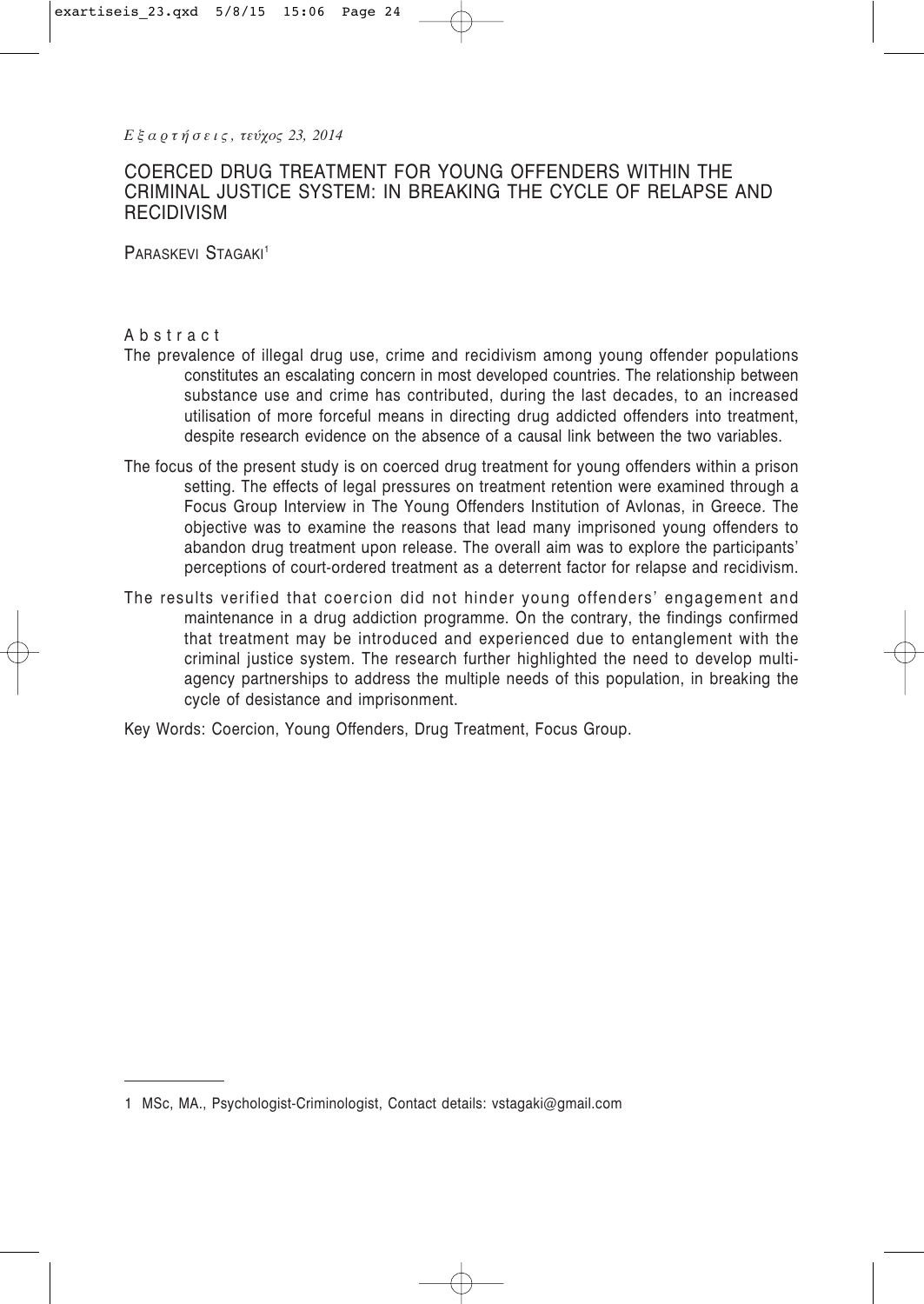# COERCED DRUG TREATMENT FOR YOUNG OFFENDERS WITHIN THE CRIMINAL JUSTICE SYSTEM: IN BREAKING THE CYCLE OF RELAPSE AND **RECIDIVISM**

PARASKEVI STAGAKI<sup>1</sup>

## Abstract

- The prevalence of illegal drug use, crime and recidivism among young offender populations constitutes an escalating concern in most developed countries. The relationship between substance use and crime has contributed, during the last decades, to an increased utilisation of more forceful means in directing drug addicted offenders into treatment, despite research evidence on the absence of a causal link between the two variables.
- The focus of the present study is on coerced drug treatment for young offenders within a prison setting. The effects of legal pressures on treatment retention were examined through a Focus Group Interview in The Young Offenders Institution of Avlonas, in Greece. The objective was to examine the reasons that lead many imprisoned young offenders to abandon drug treatment upon release. The overall aim was to explore the participants' perceptions of court-ordered treatment as a deterrent factor for relapse and recidivism.
- The results verified that coercion did not hinder young offenders' engagement and maintenance in a drug addiction programme. On the contrary, the findings confirmed that treatment may be introduced and experienced due to entanglement with the criminal justice system. The research further highlighted the need to develop multiagency partnerships to address the multiple needs of this population, in breaking the cycle of desistance and imprisonment.

Key Words: Coercion, Young Offenders, Drug Treatment, Focus Group.

<sup>1</sup> MSc, MA., Psychologist-Criminologist, Contact details: vstagaki@gmail.com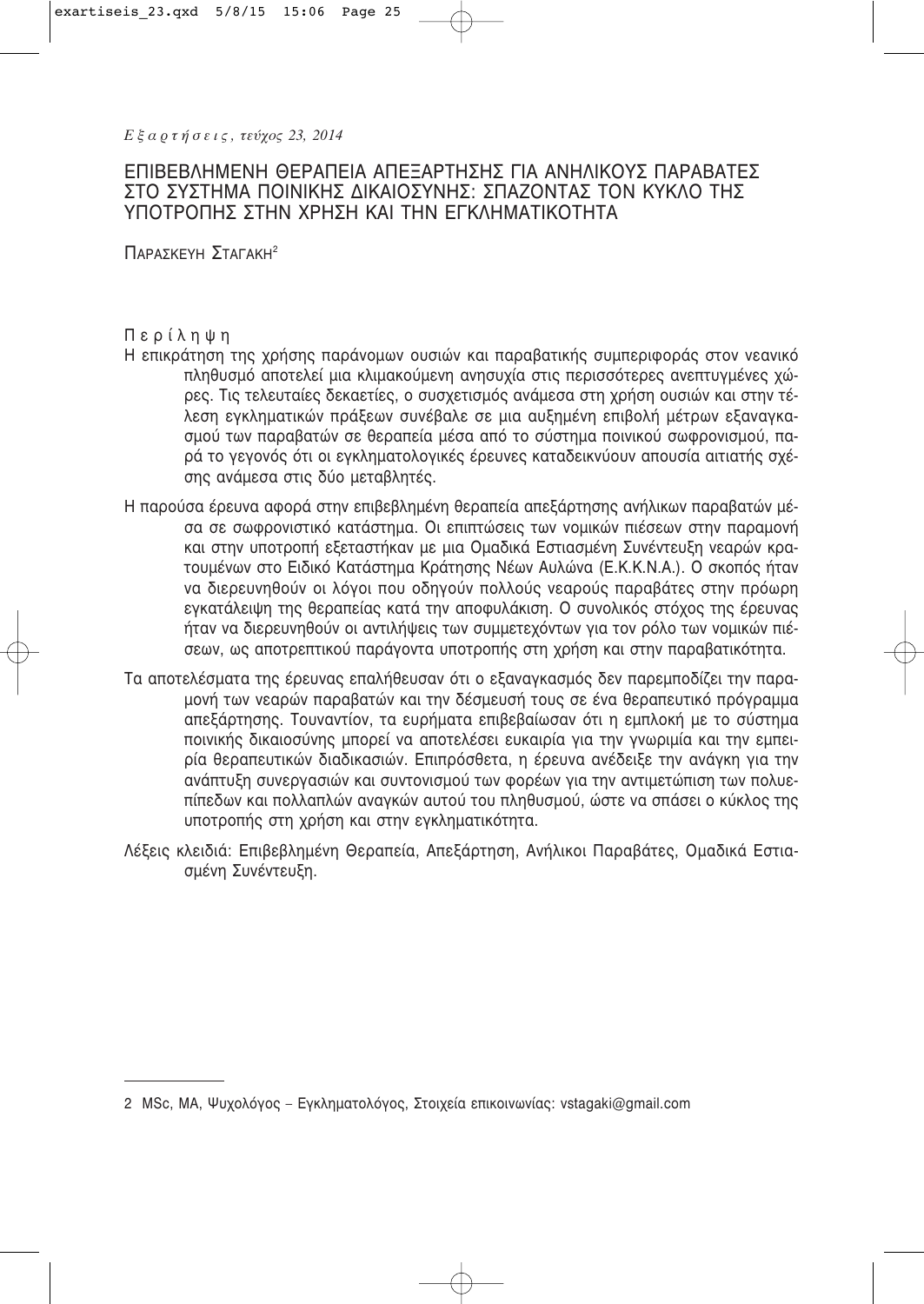# ΕΠΙΒΕΒΛΗΜΕΝΗ ΘΕΡΑΠΕΙΑ ΑΠΕΞΑΡΤΗΣΗΣ ΓΙΑ ΑΝΗΛΙΚΟΥΣ ΠΑΡΑΒΑΤΕΣ ΣΤΟ ΣΥΣΤΗΜΑ ΠΟΙΝΙΚΉΣ ΔΙΚΑΙΟΣΥΝΗΣ: ΣΠΑΖΟΝΤΑΣ ΤΟΝ ΚΥΚΛΟ ΤΗΣ ΥΠΟΤΡΟΠΗΣ ΣΤΗΝ ΧΡΗΣΗ ΚΑΙ ΤΗΝ ΕΓΚΛΗΜΑΤΙΚΟΤΗΤΑ

ПАРА∑КЕҮН ∑ТАГАКН<sup>2</sup>

# Περίληψη

- Η επικράτηση της χρήσης παράνομων ουσιών και παραβατικής συμπεριφοράς στον νεανικό πληθυσμό αποτελεί μια κλιμακούμενη ανησυχία στις περισσότερες ανεπτυγμένες χώρες. Τις τελευταίες δεκαετίες, ο συσχετισμός ανάμεσα στη χρήση ουσιών και στην τέλεση εγκληματικών πράξεων συνέβαλε σε μια αυξημένη επιβολή μέτρων εξαναγκασμού των παραβατών σε θεραπεία μέσα από το σύστημα ποινικού σωφρονισμού, παρά το γεγονός ότι οι εγκληματολογικές έρευνες καταδεικνύουν απουσία αιτιατής σχέσης ανάμεσα στις δύο μεταβλητές.
- Η παρούσα έρευνα αφορά στην επιβεβλημένη θεραπεία απεξάρτησης ανήλικων παραβατών μέσα σε σωφρονιστικό κατάστημα. Οι επιπτώσεις των νομικών πιέσεων στην παραμονή και στην υποτροπή εξεταστήκαν με μια Ομαδικά Εστιασμένη Συνέντευξη νεαρών κρατουμένων στο Ειδικό Κατάστημα Κράτησης Νέων Αυλώνα (Ε.Κ.Κ.Ν.Α.). Ο σκοπός ήταν να διερευνηθούν οι λόγοι που οδηγούν πολλούς νεαρούς παραβάτες στην πρόωρη εγκατάλειψη της θεραπείας κατά την αποφυλάκιση. Ο συνολικός στόχος της έρευνας ήταν να διερευνηθούν οι αντιλήψεις των συμμετεχόντων για τον ρόλο των νομικών πιέσεων, ως αποτρεπτικού παράγοντα υποτροπής στη χρήση και στην παραβατικότητα.
- Τα αποτελέσματα της έρευνας επαλήθευσαν ότι ο εξαναγκασμός δεν παρεμποδίζει την παραμονή των νεαρών παραβατών και την δέσμευσή τους σε ένα θεραπευτικό πρόγραμμα απεξάρτησης. Τουναντίον, τα ευρήματα επιβεβαίωσαν ότι η εμπλοκή με το σύστημα ποινικής δικαιοσύνης μπορεί να αποτελέσει ευκαιρία για την γνωριμία και την εμπειρία θεραπευτικών διαδικασιών. Επιπρόσθετα, η έρευνα ανέδειξε την ανάγκη για την ανάπτυξη συνεργασιών και συντονισμού των φορέων για την αντιμετώπιση των πολυεπίπεδων και πολλαπλών αναγκών αυτού του πληθυσμού, ώστε να σπάσει ο κύκλος της υποτροπής στη χρήση και στην εγκληματικότητα.
- Λέξεις κλειδιά: Επιβεβλημένη Θεραπεία, Απεξάρτηση, Ανήλικοι Παραβάτες, Ομαδικά Εστιασμένη Συνέντευξη.

<sup>2</sup> MSc, MA, Ψυχολόγος – Εγκληματολόγος, Στοιχεία επικοινωνίας: vstagaki@gmail.com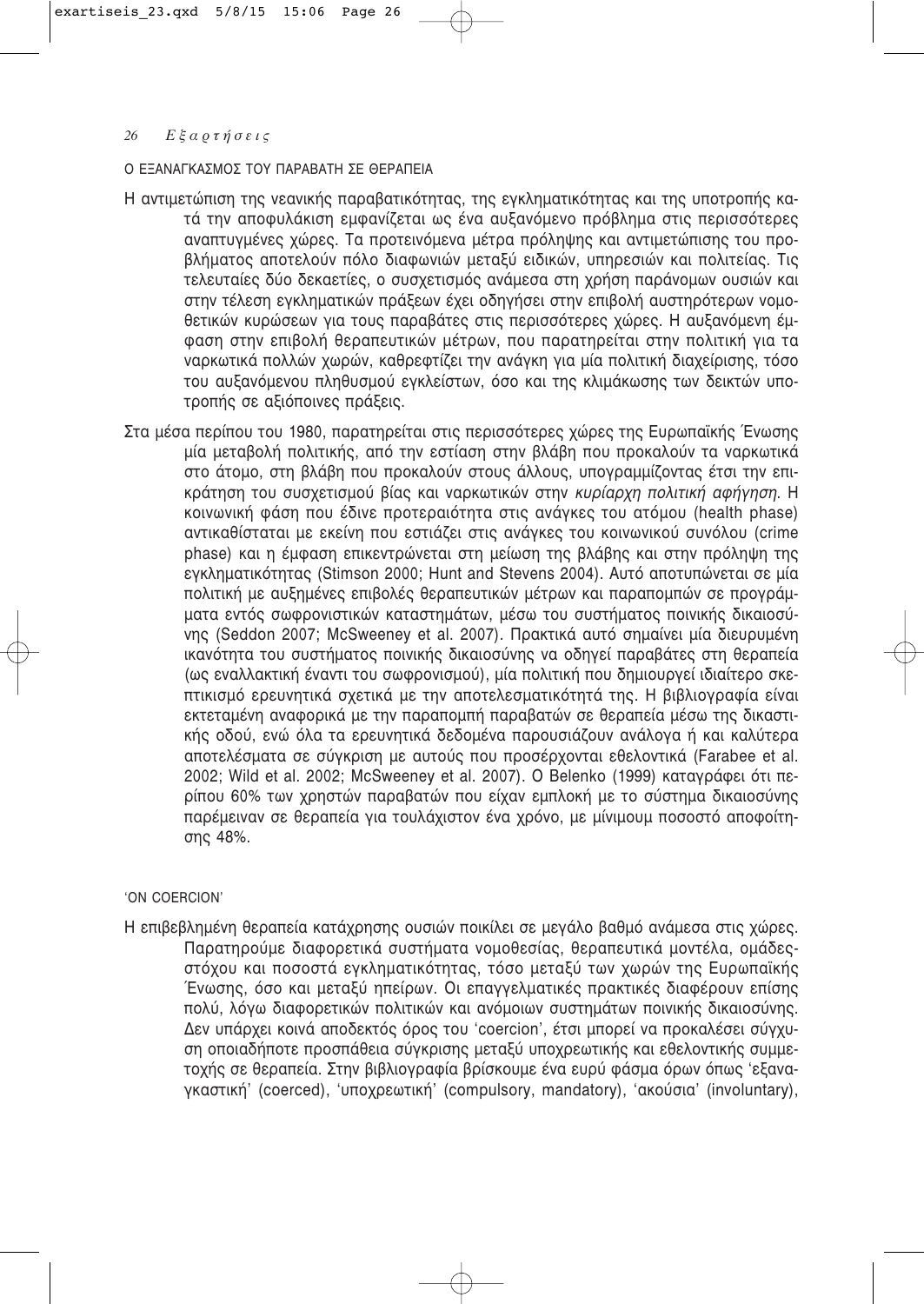# Ο ΕΞΑΝΑΓΚΑΣΜΟΣ ΤΟΥ ΠΑΡΑΒΑΤΗ ΣΕ ΘΕΡΑΠΕΙΑ

- Η αντιμετώπιση της νεανικής παραβατικότητας, της εγκληματικότητας και της υποτροπής κατά την αποφυλάκιση εμφανίζεται ως ένα αυξανόμενο πρόβλημα στις περισσότερες αναπτυγμένες χώρες. Τα προτεινόμενα μέτρα πρόληψης και αντιμετώπισης του προβλήματος αποτελούν πόλο διαφωνιών μεταξύ ειδικών, υπηρεσιών και πολιτείας. Τις τελευταίες δύο δεκαετίες, ο συσχετισμός ανάμεσα στη χρήση παράνομων ουσιών και στην τέλεση εγκληματικών πράξεων έχει οδηγήσει στην επιβολή αυστηρότερων νομοθετικών κυρώσεων για τους παραβάτες στις περισσότερες χώρες. Η αυξανόμενη έμφαση στην επιβολή θεραπευτικών μέτρων, που παρατηρείται στην πολιτική για τα ναρκωτικά πολλών χωρών, καθρεφτίζει την ανάγκη για μία πολιτική διαχείρισης, τόσο του αυξανόμενου πληθυσμού εγκλείστων, όσο και της κλιμάκωσης των δεικτών υποτροπής σε αξιόποινες πράξεις.
- Στα μέσα περίπου του 1980, παρατηρείται στις περισσότερες χώρες της Ευρωπαϊκής Ένωσης μία μεταβολή πολιτικής, από την εστίαση στην βλάβη που προκαλούν τα ναρκωτικά στο άτομο, στη βλάβη που προκαλούν στους άλλους, υπογραμμίζοντας έτσι την επι-Κράτηση του συσχετισμού βίας και ναρκωτικών στην *κυρίαρχη πολιτική αφήγηση*. Η Κοινωνική φάση που έδινε προτεραιότητα στις ανάγκες του ατόμου (health phase) αντικαθίσταται με εκείνη που εστιάζει στις ανάγκες του κοινωνικού συνόλου (crime phase) και η έμφαση επικεντρώνεται στη μείωση της βλάβης και στην πρόληψη της εγκληματικότητας (Stimson 2000; Hunt and Stevens 2004). Αυτό αποτυπώνεται σε μία πολιτική με αυξημένες επιβολές θεραπευτικών μέτρων και παραπομπών σε προγράμματα εντός σωφρονιστικών καταστημάτων, μέσω του συστήματος ποινικής δικαιοσύνης (Seddon 2007; McSweeney et al. 2007). Πρακτικά αυτό σημαίνει μία διευρυμένη ικανότητα του συστήματος ποινικής δικαιοσύνης να οδηγεί παραβάτες στη θεραπεία (ως εναλλακτική έναντι του σωφρονισμού), μία πολιτική που δημιουργεί ιδιαίτερο σκεπτικισμό ερευνητικά σχετικά με την αποτελεσματικότητά της. Η βιβλιογραφία είναι εκτεταμένη αναφορικά με την παραπομπή παραβατών σε θεραπεία μέσω της δικαστικής οδού, ενώ όλα τα ερευνητικά δεδομένα παρουσιάζουν ανάλογα ή και καλύτερα αποτελέσματα σε σύγκριση με αυτούς που προσέρχονται εθελοντικά (Farabee et al. 2002; Wild et al. 2002; McSweeney et al. 2007). Ο Belenko (1999) καταγράφει ότι περίπου 60% των χρηστών παραβατών που είχαν εμπλοκή με το σύστημα δικαιοσύνης παρέμειναν σε θεραπεία για τουλάχιστον ένα χρόνο, με μίνιμουμ ποσοστό αποφοίτησης 48%.

# 'ON COERCION'

Η επιβεβλημένη θεραπεία κατάχρησης ουσιών ποικίλει σε μεγάλο βαθμό ανάμεσα στις χώρες. Παρατηρούμε διαφορετικά συστήματα νομοθεσίας, θεραπευτικά μοντέλα, ομάδεςστόχου και ποσοστά εγκληματικότητας, τόσο μεταξύ των χωρών της Ευρωπαϊκής Ένωσης, όσο και μεταξύ ηπείρων. Οι επαγγελματικές πρακτικές διαφέρουν επίσης πολύ, λόγω διαφορετικών πολιτικών και ανόμοιων συστημάτων ποινικής δικαιοσύνης. Δεν υπάρχει κοινά αποδεκτός όρος του 'coercion', έτσι μπορεί να προκαλέσει σύγχυση οποιαδήποτε προσπάθεια σύγκρισης μεταξύ υποχρεωτικής και εθελοντικής συμμετοχής σε θεραπεία. Στην βιβλιογραφία βρίσκουμε ένα ευρύ φάσμα όρων όπως 'εξαναγκαστική' (coerced), 'υποχρεωτική' (compulsory, mandatory), 'ακούσια' (involuntary),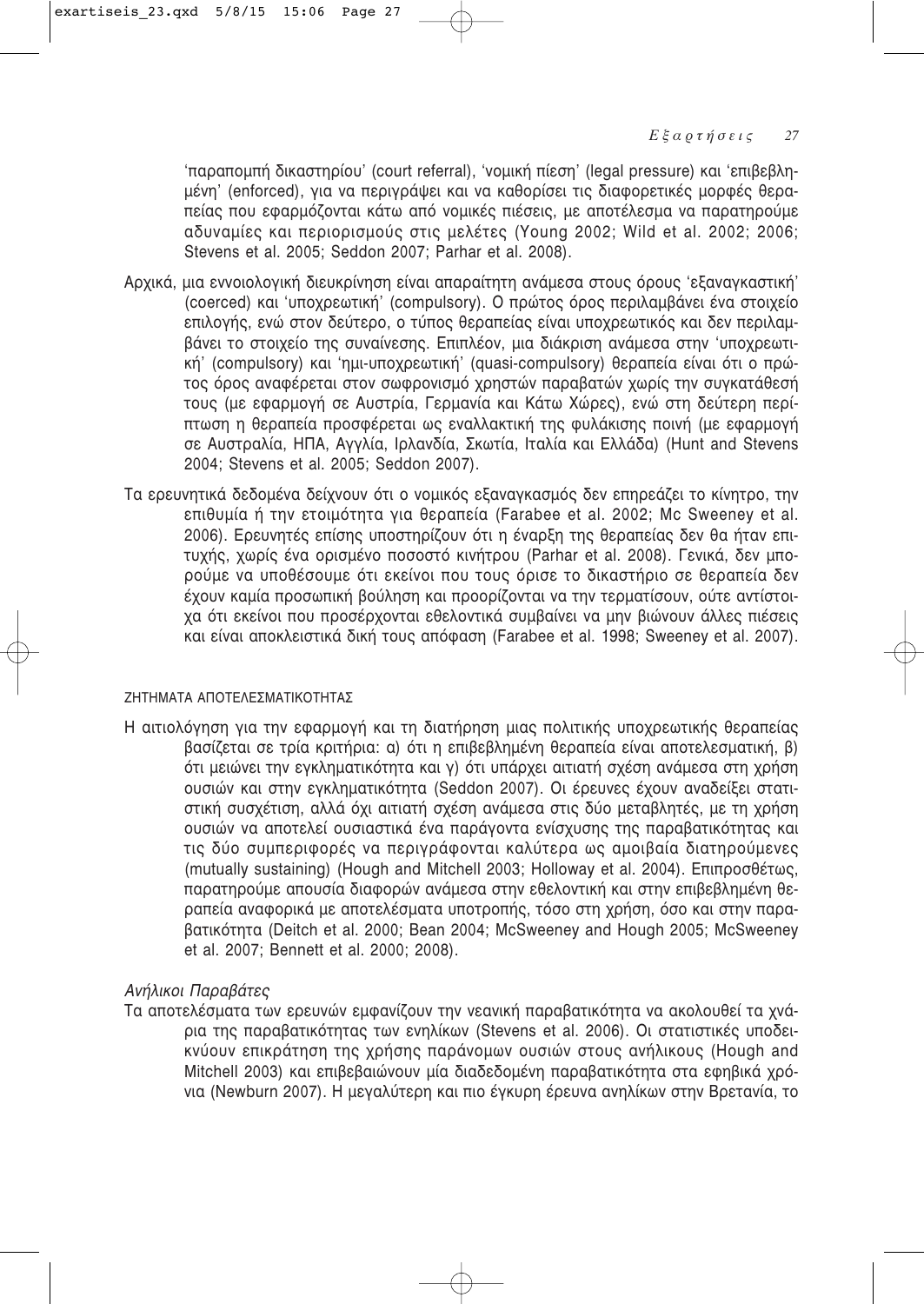'παραπομπή δικαστηρίου' (court referral), 'νομική πίεση' (legal pressure) και 'επιβεβλημένη' (enforced), για να περιγράψει και να καθορίσει τις διαφορετικές μορφές θεραπείας που εφαρμόζονται κάτω από νομικές πιέσεις, με αποτέλεσμα να παρατηρούμε αδυναμίες και περιορισμούς στις μελέτες (Young 2002; Wild et al. 2002; 2006; Stevens et al. 2005; Seddon 2007; Parhar et al. 2008).

- Αρχικά, μια εννοιολογική διευκρίνηση είναι απαραίτητη ανάμεσα στους όρους 'εξαναγκαστική' (coerced) και 'υποχρεωτική' (compulsory). Ο πρώτος όρος περιλαμβάνει ένα στοιχείο επιλογής, ενώ στον δεύτερο, ο τύπος θεραπείας είναι υποχρεωτικός και δεν περιλαμβάνει το στοιχείο της συναίνεσης. Επιπλέον, μια διάκριση ανάμεσα στην 'υποχρεωτική' (compulsory) και 'ημι-υποχρεωτική' (quasi-compulsory) θεραπεία είναι ότι ο πρώτος όρος αναφέρεται στον σωφρονισμό χρηστών παραβατών χωρίς την συγκατάθεσή τους (με εφαρμογή σε Αυστρία, Γερμανία και Κάτω Χώρες), ενώ στη δεύτερη περίπτωση η θεραπεία προσφέρεται ως εναλλακτική της φυλάκισης ποινή (με εφαρμογή σε Αυστραλία, ΗΠΑ, Αγγλία, Ιρλανδία, Σκωτία, Ιταλία και Ελλάδα) (Hunt and Stevens 2004; Stevens et al. 2005; Seddon 2007).
- Τα ερευνητικά δεδομένα δείχνουν ότι ο νομικός εξαναγκασμός δεν επηρεάζει το κίνητρο, την επιθυμία ή την ετοιμότητα για θεραπεία (Farabee et al. 2002; Mc Sweeney et al. 2006). Ερευνητές επίσης υποστηρίζουν ότι η έναρξη της θεραπείας δεν θα ήταν επιτυχής, χωρίς ένα ορισμένο ποσοστό κινήτρου (Parhar et al. 2008). Γενικά, δεν μπορούμε να υποθέσουμε ότι εκείνοι που τους όρισε το δικαστήριο σε θεραπεία δεν έχουν καμία προσωπική βούληση και προορίζονται να την τερματίσουν, ούτε αντίστοιχα ότι εκείνοι που προσέρχονται εθελοντικά συμβαίνει να μην βιώνουν άλλες πιέσεις και είναι αποκλειστικά δική τους απόφαση (Farabee et al. 1998; Sweeney et al. 2007).

# ΖΗΤΗΜΑΤΑ ΑΠΟΤΕΛΕΣΜΑΤΙΚΟΤΗΤΑΣ

Η αιτιολόγηση για την εφαρμογή και τη διατήρηση μιας πολιτικής υποχρεωτικής θεραπείας βασίζεται σε τρία κριτήρια: α) ότι η επιβεβλημένη θεραπεία είναι αποτελεσματική, β) ότι μειώνει την εγκληματικότητα και γ) ότι υπάρχει αιτιατή σχέση ανάμεσα στη χρήση ουσιών και στην εγκληματικότητα (Seddon 2007). Οι έρευνες έχουν αναδείξει στατιστική συσχέτιση, αλλά όχι αιτιατή σχέση ανάμεσα στις δύο μεταβλητές, με τη χρήση ουσιών να αποτελεί ουσιαστικά ένα παράγοντα ενίσχυσης της παραβατικότητας και τις δύο συμπεριφορές να περιγράφονται καλύτερα ως αμοιβαία διατηρούμενες (mutually sustaining) (Hough and Mitchell 2003; Holloway et al. 2004). Επιπροσθέτως, παρατηρούμε απουσία διαφορών ανάμεσα στην εθελοντική και στην επιβεβλημένη θεραπεία αναφορικά με αποτελέσματα υποτροπής, τόσο στη χρήση, όσο και στην παρα-Bατικότητα (Deitch et al. 2000; Bean 2004; McSweeney and Hough 2005; McSweeney et al. 2007; Bennett et al. 2000; 2008).

# *Aνήλικοι Παραβάτες*

Τα αποτελέσματα των ερευνών εμφανίζουν την νεανική παραβατικότητα να ακολουθεί τα χνάρια της παραβατικότητας των ενηλίκων (Stevens et al. 2006). Οι στατιστικές υποδεικνύουν επικράτηση της χρήσης παράνομων ουσιών στους ανήλικους (Hough and Mitchell 2003) και επιβεβαιώνουν μία διαδεδομένη παραβατικότητα στα εφηβικά χρόνια (Newburn 2007). Η μεγαλύτερη και πιο έγκυρη έρευνα ανηλίκων στην Βρετανία, το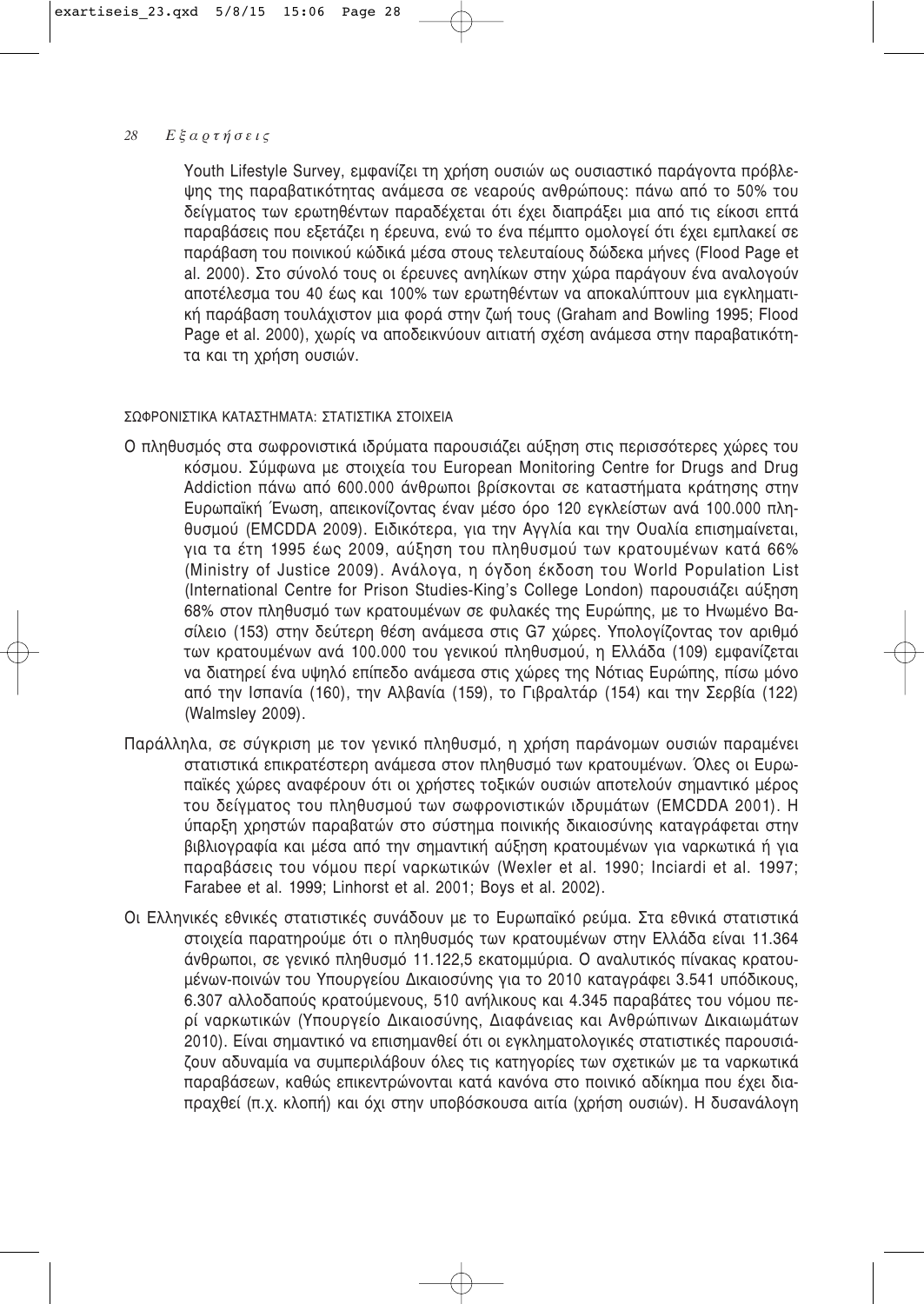Youth Lifestyle Survey, εμφανίζει τη χρήση ουσιών ως ουσιαστικό παράγοντα πρόβλεψης της παραβατικότητας ανάμεσα σε νεαρούς ανθρώπους; πάνω από το 50% του δείγματος των ερωτηθέντων παραδέχεται ότι έχει διαπράξει μια από τις είκοσι επτά παραβάσεις που εξετάζει η έρευνα, ενώ το ένα πέμπτο ομολογεί ότι έχει εμπλακεί σε παράβαση του ποινικού κώδικά μέσα στους τελευταίους δώδεκα μήνες (Flood Page et al. 2000). Στο σύνολό τους οι έρευνες ανηλίκων στην χώρα παράνουν ένα αναλονούν αποτέλεσμα του 40 έως και 100% των ερωτηθέντων να αποκαλύπτουν μια εγκληματιkή παράβαση τουλάχιστον μια φορά στην ζωή τους (Graham and Bowling 1995; Flood Page et al. 2000), χωρίς να αποδεικνύουν αιτιατή σχέση ανάμεσα στην παραβατικότητα και τη χρήση ουσιών.

# ΣΟΦΡΟΝΙΣΤΙΚΑ ΚΑΤΑΣΤΗΜΑΤΑ: ΣΤΑΤΙΣΤΙΚΑ ΣΤΟΙΧΕΙΑ

- Ο πληθυσμός στα σωφρονιστικά ιδρύματα παρουσιάζει αύξηση στις περισσότερες χώρες του Kόσμου. Σύμφωνα με στοιχεία του European Monitoring Centre for Drugs and Drug Addiction πάνω από 600.000 άνθρωποι βρίσκονται σε καταστήματα κράτησης στην Ευρωπαϊκή Ένωση, απεικονίζοντας έναν μέσο όρο 120 εγκλείστων ανά 100.000 πληθυσμού (EMCDDA 2009). Ειδικότερα, για την Αγγλία και την Ουαλία επισημαίνεται, για τα έτη 1995 έως 2009, αύξηση του πληθυσμού των κρατουμένων κατά 66% (Ministry of Justice 2009). Ανάλογα, η όγδοη έκδοση του World Population List (International Centre for Prison Studies-King's College London) παρουσιάζει αύξηση 68% στον πληθυσμό των κρατουμένων σε φυλακές της Ευρώπης, με το Ηνωμένο Βασίλειο (153) στην δεύτερη θέση ανάμεσα στις G7 χώρες. Υπολογίζοντας τον αριθμό των κρατουμένων ανά 100.000 του γενικού πληθυσμού, η Ελλάδα (109) εμφανίζεται να διατηρεί ένα υψηλό επίπεδο ανάμεσα στις χώρες της Νότιας Ευρώπης, πίσω μόνο από την Ισπανία (160), την Αλβανία (159), το Γιβραλτάρ (154) και την Σερβία (122) (Walmsley 2009).
- Παράλληλα, σε σύγκριση με τον γενικό πληθυσμό, η χρήση παράνομων ουσιών παραμένει στατιστικά επικρατέστερη ανάμεσα στον πληθυσμό των κρατουμένων. Όλες οι Ευρωπαϊκές χώρες αναφέρουν ότι οι χρήστες τοξικών ουσιών αποτελούν σημαντικό μέρος του δείγματος του πληθυσμού των σωφρονιστικών ιδρυμάτων (EMCDDA 2001). Η ύπαρξη χρηστών παραβατών στο σύστημα ποινικής δικαιοσύνης καταγράφεται στην βιβλιογραφία και μέσα από την σημαντική αύξηση κρατουμένων για ναρκωτικά ή για παραβάσεις του νόμου περί ναρκωτικών (Wexler et al. 1990; Inciardi et al. 1997; Farabee et al. 1999; Linhorst et al. 2001; Boys et al. 2002).
- Οι Ελληνικές εθνικές στατιστικές συνάδουν με το Ευρωπαϊκό ρεύμα. Στα εθνικά στατιστικά στοιχεία παρατηρούμε ότι ο πληθυσμός των κρατουμένων στην Ελλάδα είναι 11.364 άνθρωποι, σε γενικό πληθυσμό 11.122,5 εκατομμύρια. Ο αναλυτικός πίνακας κρατουμένων-ποινών του Υπουργείου Δικαιοσύνης για το 2010 καταγράφει 3.541 υπόδικους, 6.307 αλλοδαπούς κρατούμενους, 510 ανήλικους και 4.345 παραβάτες του νόμου περί ναρκωτικών (Υπουργείο Δικαιοσύνης, Διαφάνειας και Ανθρώπινων Δικαιωμάτων 2010). Είναι σημαντικό να επισημανθεί ότι οι εγκληματολογικές στατιστικές παρουσιάζουν αδυναμία να συμπεριλάβουν όλες τις κατηγορίες των σχετικών με τα ναρκωτικά παραβάσεων, καθώς επικεντρώνονται κατά κανόνα στο ποινικό αδίκημα που έχει διαπραχθεί (π.χ. κλοπή) και όχι στην υποβόσκουσα αιτία (χρήση ουσιών). Η δυσανάλογη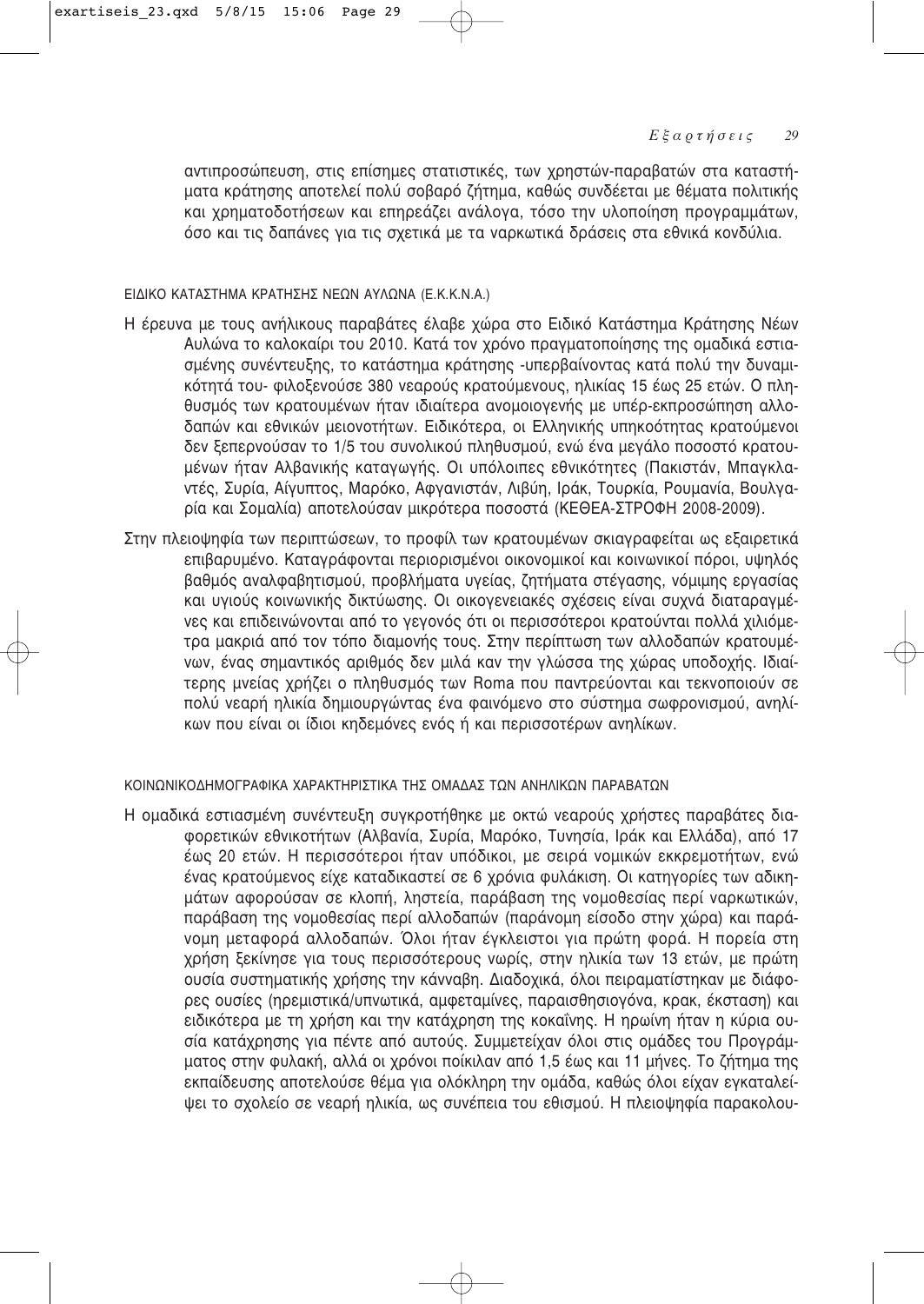αντιπροσώπευση, στις επίσημες στατιστικές, των χρηστών-παραβατών στα καταστήματα κράτησης αποτελεί πολύ σοβαρό ζήτημα, καθώς συνδέεται με θέματα πολιτικής και χρηματοδοτήσεων και επηρεάζει ανάλογα, τόσο την υλοποίηση προγραμμάτων, όσο και τις δαπάνες για τις σχετικά με τα ναρκωτικά δράσεις στα εθνικά κονδύλια.

#### ΕΙΔΙΚΟ ΚΑΤΑΣΤΗΜΑ ΚΡΑΤΗΣΗΣ ΝΕΩΝ ΑΥΛΩΝΑ (Ε.Κ.Κ.Ν.Α.)

- Η έρευνα με τους ανήλικους παραβάτες έλαβε χώρα στο Ειδικό Κατάστημα Κράτησης Νέων Aυλώνα το καλοκαίρι του 2010. Κατά τον χρόνο πρανματοποίησης της ομαδικά εστιασμένης συνέντευξης, το κατάστημα κράτησης -υπερβαίνοντας κατά πολύ την δυναμι-Κότητά του- Φιλοξενούσε 380 νεαρούς κρατούμενους, ηλικίας 15 έως 25 ετών. Ο πληθυσμός των κρατουμένων ήταν ιδιαίτερα ανομοιογενής με υπέρ-εκπροσώπηση αλλοδαπών και εθνικών μειονοτήτων. Ειδικότερα, οι Ελληνικής υπηκοότητας κρατούμενοι δεν ξεπερνούσαν το 1/5 του συνολικού πληθυσμού, ενώ ένα μεγάλο ποσοστό κρατουμένων ήταν Αλβανικής καταγωγής. Οι υπόλοιπες εθνικότητες (Πακιστάν, Μπαγκλαντές, Συρία, Αίγυπτος, Μαρόκο, Αφγανιστάν, Λιβύη, Ιράκ, Τουρκία, Ρουμανία, Βουλγαρία και Σομαλία) αποτελούσαν μικρότερα ποσοστά (ΚΕΘΕΑ-ΣΤΡΟΦΗ 2008-2009).
- Στην πλειοψηφία των περιπτώσεων, το προφίλ των κρατουμένων σκιαγραφείται ως εξαιρετικά επιβαρυμένο. Κατανράφονται περιορισμένοι οικονομικοί και κοινωνικοί πόροι, υψηλός βαθμός αναλφαβητισμού, προβλήματα υγείας, ζητήματα στέγασης, νόμιμης εργασίας και υγιούς κοινωνικής δικτύωσης. Οι οικογενειακές σχέσεις είναι συχνά διαταραγμένες και επιδεινώνονται από το γεγονός ότι οι περισσότεροι κρατούνται πολλά χιλιόμετρα μακριά από τον τόπο διαμονής τους. Στην περίπτωση των αλλοδαπών κρατουμέ-Vων, ένας σημαντικός αριθμός δεν μιλά καν την γλώσσα της χώρας υποδοχής. Ιδιαίτερης μνείας χρήζει ο πληθυσμός των Roma που παντρεύονται και τεκνοποιούν σε πολύ νεαρή ηλικία δημιουργώντας ένα φαινόμενο στο σύστημα σωφρονισμού, ανηλίκων που είναι οι ίδιοι κηδεμόνες ενός ή και περισσοτέρων ανηλίκων.

#### ΚΟΙΝΟΝΙΚΟΛΗΜΟΓΡΑΦΙΚΑ ΧΑΡΑΚΤΗΡΙΣΤΙΚΑ ΤΗΣ ΟΜΑΛΑΣ ΤΟΝ ΑΝΗΛΙΚΟΝ ΠΑΡΑΒΑΤΟΝ

Η ομαδικά εστιασμένη συνέντευξη συγκροτήθηκε με οκτώ νεαρούς χρήστες παραβάτες διαφορετικών εθνικοτήτων (Αλβανία, Συρία, Μαρόκο, Τυνησία, Ιράκ και Ελλάδα), από 17 έως 20 ετών. Η περισσότεροι ήταν υπόδικοι, με σειρά νομικών εκκρεμοτήτων, ενώ ένας κρατούμενος είχε καταδικαστεί σε 6 χρόνια φυλάκιση. Οι κατηγορίες των αδικημάτων αφορούσαν σε κλοπή, ληστεία, παράβαση της νομοθεσίας περί ναρκωτικών, παράβαση της νομοθεσίας περί αλλοδαπών (παράνομη είσοδο στην χώρα) και παράνομη μεταφορά αλλοδαπών. Όλοι ήταν έγκλειστοι για πρώτη φορά. Η πορεία στη χρήση ξεκίνησε για τους περισσότερους νωρίς, στην ηλικία των 13 ετών, με πρώτη ουσία συστηματικής χρήσης την κάνναβη. Διαδοχικά, όλοι πειραματίστηκαν με διάφορες ουσίες (ηρεμιστικά/υπνωτικά, αμφεταμίνες, παραισθησιογόνα, κρακ, έκσταση) και ειδικότερα με τη χρήση και την κατάχρηση της κοκαΐνης. Η ηρωίνη ήταν η κύρια ουσία κατάχρησης για πέντε από αυτούς. Συμμετείχαν όλοι στις ομάδες του Προγράμματος στην φυλακή, αλλά οι χρόνοι ποίκιλαν από 1,5 έως και 11 μήνες. Το ζήτημα της εκπαίδευσης αποτελούσε θέμα για ολόκληρη την ομάδα, καθώς όλοι είχαν εγκαταλείψει το σχολείο σε νεαρή ηλικία, ως συνέπεια του εθισμού. Η πλειοψηφία παρακολου-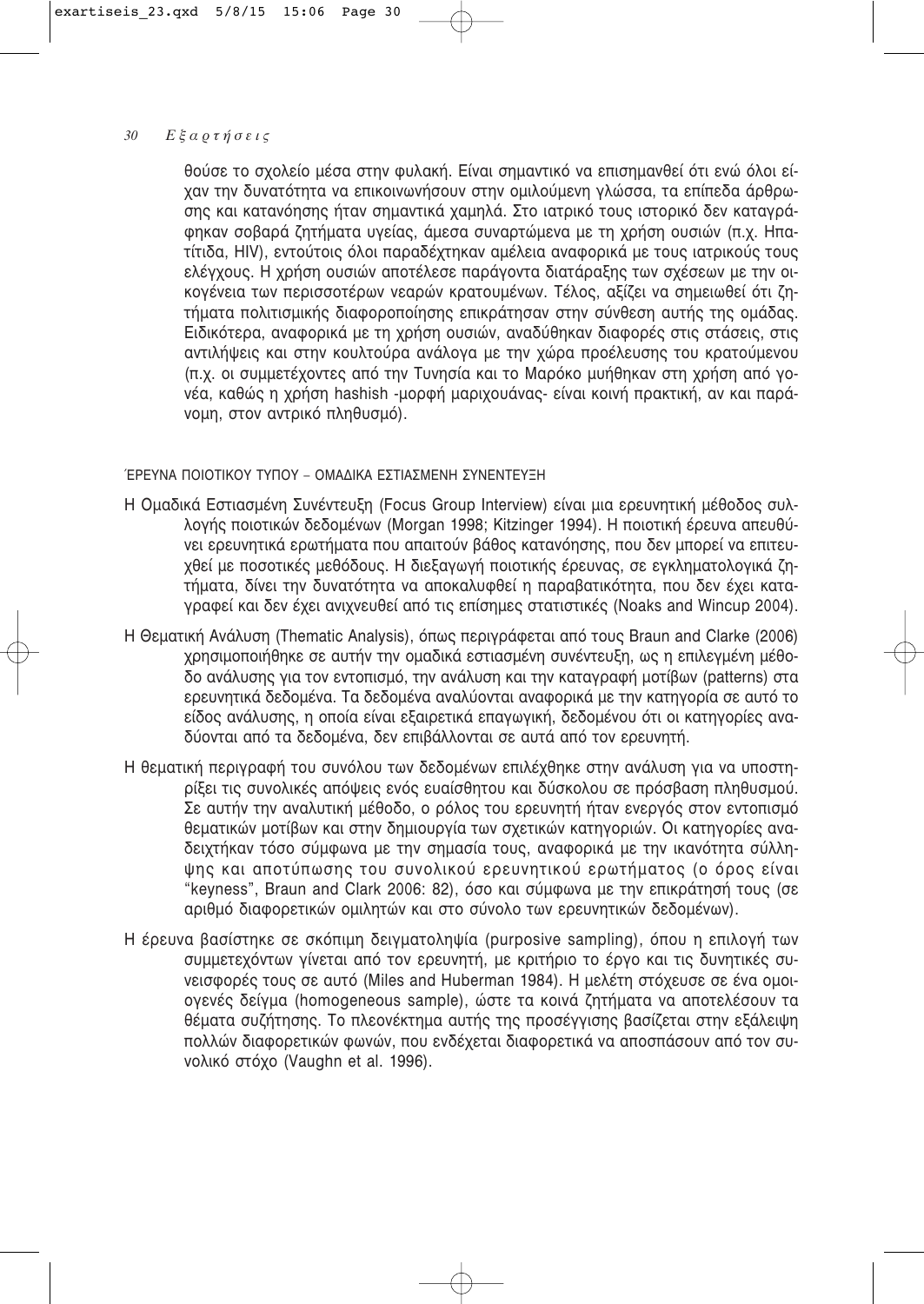#### $30<sup>°</sup>$ Εξαρτήσεις

θούσε το σχολείο μέσα στην φυλακή. Είναι σημαντικό να επισημανθεί ότι ενώ όλοι είχαν την δυνατότητα να επικοινωνήσουν στην ομιλούμενη γλώσσα, τα επίπεδα άρθρωσης και κατανόησης ήταν σημαντικά χαμηλά. Στο ιατρικό τους ιστορικό δεν καταγράφηκαν σοβαρά ζητήματα υγείας, άμεσα συναρτώμενα με τη χρήση ουσιών (π.χ. Ηπατίτιδα. HIV), εντούτοις όλοι παραδέχτηκαν αμέλεια αναφορικά με τους ιατρικούς τους ελέγχους. Η χρήση ουσιών αποτέλεσε παράγοντα διατάραξης των σχέσεων με την οικογένεια των περισσοτέρων νεαρών κρατουμένων. Τέλος, αξίζει να σημειωθεί ότι ζητήματα πολιτισμικής διαφοροποίησης επικράτησαν στην σύνθεση αυτής της ομάδας. Ειδικότερα, αναφορικά με τη χρήση ουσιών, αναδύθηκαν διαφορές στις στάσεις, στις αντιλήψεις και στην κουλτούρα ανάλογα με την χώρα προέλευσης του κρατούμενου (π.χ. οι συμμετέχοντες από την Τυνησία και το Μαρόκο μυήθηκαν στη χρήση από γονέα, καθώς η χρήση hashish -μορφή μαριχουάνας- είναι κοινή πρακτική, αν και παράνομη, στον αντρικό πληθυσμό).

# ΈΡΕΥΝΑ ΠΟΙΟΤΙΚΟΥ ΤΥΠΟΥ - ΟΜΑΔΙΚΑ ΕΣΤΙΑΣΜΕΝΗ ΣΥΝΕΝΤΕΥΞΗ

- Η Ομαδικά Εστιασμένη Συνέντευξη (Focus Group Interview) είναι μια ερευνητική μέθοδος συλλογής ποιοτικών δεδομένων (Morgan 1998; Kitzinger 1994). Η ποιοτική έρευνα απευθύνει ερευνητικά ερωτήματα που απαιτούν βάθος κατανόησης, που δεν μπορεί να επιτευχθεί με ποσοτικές μεθόδους. Η διεξαγωγή ποιοτικής έρευνας, σε εγκληματολογικά ζητήματα, δίνει την δυνατότητα να αποκαλυφθεί η παραβατικότητα, που δεν έχει καταγραφεί και δεν έχει ανιχνευθεί από τις επίσημες στατιστικές (Noaks and Wincup 2004).
- H Θεματική Ανάλυση (Thematic Analysis), όπως περιγράφεται από τους Braun and Clarke (2006) χρησιμοποιήθηκε σε αυτήν την ομαδικά εστιασμένη συνέντευξη, ως η επιλεγμένη μέθο-.<br>δο ανάλυσης για τον εντοπισμό, την ανάλυση και την καταγραφή μοτίβων (patterns) στα ερευνητικά δεδομένα. Τα δεδομένα αναλύονται αναφορικά με την κατηγορία σε αυτό το είδος ανάλυσης, η οποία είναι εξαιρετικά επαγωγική, δεδομένου ότι οι κατηγορίες αναδύονται από τα δεδομένα, δεν επιβάλλονται σε αυτά από τον ερευνητή.
- Η θεματική περιγραφή του συνόλου των δεδομένων επιλέχθηκε στην ανάλυση για να υποστηρίξει τις συνολικές απόψεις ενός ευαίσθητου και δύσκολου σε πρόσβαση πληθυσμού. Σε αυτήν την αναλυτική μέθοδο, ο ρόλος του ερευνητή ήταν ενεργός στον εντοπισμό θεματικών μοτίβων και στην δημιουργία των σχετικών κατηγοριών. Οι κατηγορίες αναδειχτήκαν τόσο σύμφωνα με την σημασία τους, αναφορικά με την ικανότητα σύλληψης και αποτύπωσης του συνολικού ερευνητικού ερωτήματος (ο όρος είναι "keyness", Braun and Clark 2006: 82), όσο και σύμφωνα με την επικράτησή τους (σε αριθμό διαφορετικών ομιλητών και στο σύνολο των ερευνητικών δεδομένων).
- Η έρευνα βασίστηκε σε σκόπιμη δειγματοληψία (purposive sampling), όπου η επιλογή των συμμετεχόντων γίνεται από τον ερευνητή, με κριτήριο το έργο και τις δυνητικές συνεισφορές τους σε αυτό (Miles and Huberman 1984). Η μελέτη στόχευσε σε ένα ομοιογενές δείγμα (homogeneous sample), ώστε τα κοινά ζητήματα να αποτελέσουν τα θέματα συζήτησης. Το πλεονέκτημα αυτής της προσέγγισης βασίζεται στην εξάλειψη πολλών διαφορετικών φωνών, που ενδέχεται διαφορετικά να αποσπάσουν από τον συνολικό στόχο (Vaughn et al. 1996).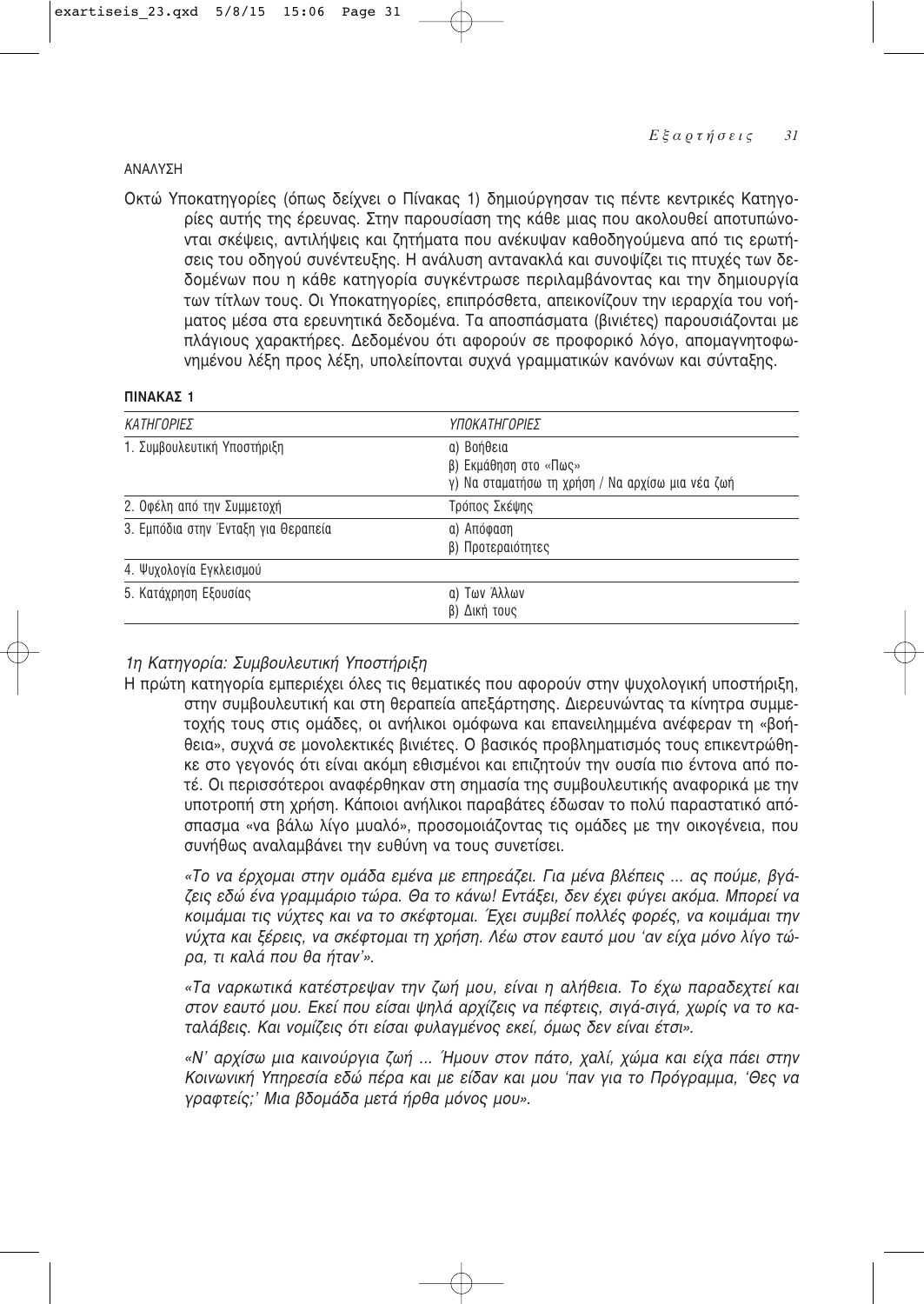# **ANAAYSH**

Οκτώ Υποκατηγορίες (όπως δείχνει ο Πίνακας 1) δημιούργησαν τις πέντε κεντρικές Κατηγορίες αυτής της έρευνας. Στην παρουσίαση της κάθε μιας που ακολουθεί αποτυπώνονται σκέψεις, αντιλήψεις και ζητήματα που ανέκυψαν καθοδηνούμενα από τις ερωτήσεις του οδηγού συνέντευξης. Η ανάλυση αντανακλά και συνοψίζει τις πτυχές των δεδομένων που η κάθε κατηγορία συγκέντρωσε περιλαμβάνοντας και την δημιουργία των τίτλων τους. Οι Υποκατηγορίες, επιπρόσθετα, απεικονίζουν την ιεραρχία του νοήματος μέσα στα ερευνητικά δεδομένα. Τα αποσπάσματα (βινιέτες) παρουσιάζονται με πλάγιους χαρακτήρες. Δεδομένου ότι αφορούν σε προφορικό λόγο, απομαγνητοφωνημένου λέξη προς λέξη, υπολείπονται συχνά γραμματικών κανόνων και σύνταξης.

# ΠΙΝΑΚΑΣ 1

| ΚΑΤΗΓΟΡΙΕΣ                          | ΥΠΟΚΑΤΗΓΟΡΙΕΣ                                                                           |
|-------------------------------------|-----------------------------------------------------------------------------------------|
| 1. Συμβουλευτική Υποστήριξη         | α) Βοήθεια<br>β) Εκμάθηση στο «Πως»<br>γ) Να σταματήσω τη χρήση / Να αρχίσω μια νέα ζωή |
| 2. Οφέλη από την Συμμετοχή          | Τρόπος Σκέψης                                                                           |
| 3. Εμπόδια στην Ένταξη για Θεραπεία | α) Απόφαση<br>β) Προτεραιότητες                                                         |
| 4. Ψυχολογία Εγκλεισμού             |                                                                                         |
| 5. Κατάχρηση Εξουσίας               | α) Των Άλλων<br>β) Δική τους                                                            |

# 1η Κατηγορία: Συμβουλευτική Υποστήριξη

Η πρώτη κατηγορία εμπεριέχει όλες τις θεματικές που αφορούν στην ψυχολογική υποστήριξη, στην συμβουλευτική και στη θεραπεία απεξάρτησης. Διερευνώντας τα κίνητρα συμμετοχής τους στις ομάδες, οι ανήλικοι ομόφωνα και επανειλημμένα ανέφεραν τη «βοήθεια», συχνά σε μονολεκτικές βινιέτες. Ο βασικός προβληματισμός τους επικεντρώθηκε στο γεγονός ότι είναι ακόμη εθισμένοι και επιζητούν την ουσία πιο έντονα από ποτέ. Οι περισσότεροι αναφέρθηκαν στη σημασία της συμβουλευτικής αναφορικά με την υποτροπή στη χρήση. Κάποιοι ανήλικοι παραβάτες έδωσαν το πολύ παραστατικό απόσπασμα «να βάλω λίγο μυαλό», προσομοιάζοντας τις ομάδες με την οικογένεια, που συνήθως αναλαμβάνει την ευθύνη να τους συνετίσει.

«Το να έρχομαι στην ομάδα εμένα με επηρεάζει. Για μένα βλέπεις ... ας πούμε, βγάζεις εδώ ένα γραμμάριο τώρα. Θα το κάνω! Εντάξει, δεν έχει φύγει ακόμα. Μπορεί να κοιμάμαι τις νύχτες και να το σκέφτομαι. Έχει συμβεί πολλές φορές, να κοιμάμαι την νύχτα και ξέρεις, να σκέφτομαι τη χρήση. Λέω στον εαυτό μου 'αν είχα μόνο λίγο τώρα, τι καλά που θα ήταν'».

«Τα ναρκωτικά κατέστρεψαν την ζωή μου, είναι η αλήθεια. Το έχω παραδεχτεί και στον εαυτό μου. Εκεί που είσαι ψηλά αρχίζεις να πέφτεις, σιγά-σιγά, χωρίς να το καταλάβεις. Και νομίζεις ότι είσαι φυλαγμένος εκεί, όμως δεν είναι έτσι».

«Ν' αρχίσω μια καινούργια ζωή ... Ήμουν στον πάτο, χαλί, χώμα και είχα πάει στην Κοινωνική Υπηρεσία εδώ πέρα και με είδαν και μου 'παν για το Πρόγραμμα, 'Θες να γραφτείς;' Μια βδομάδα μετά ήρθα μόνος μου».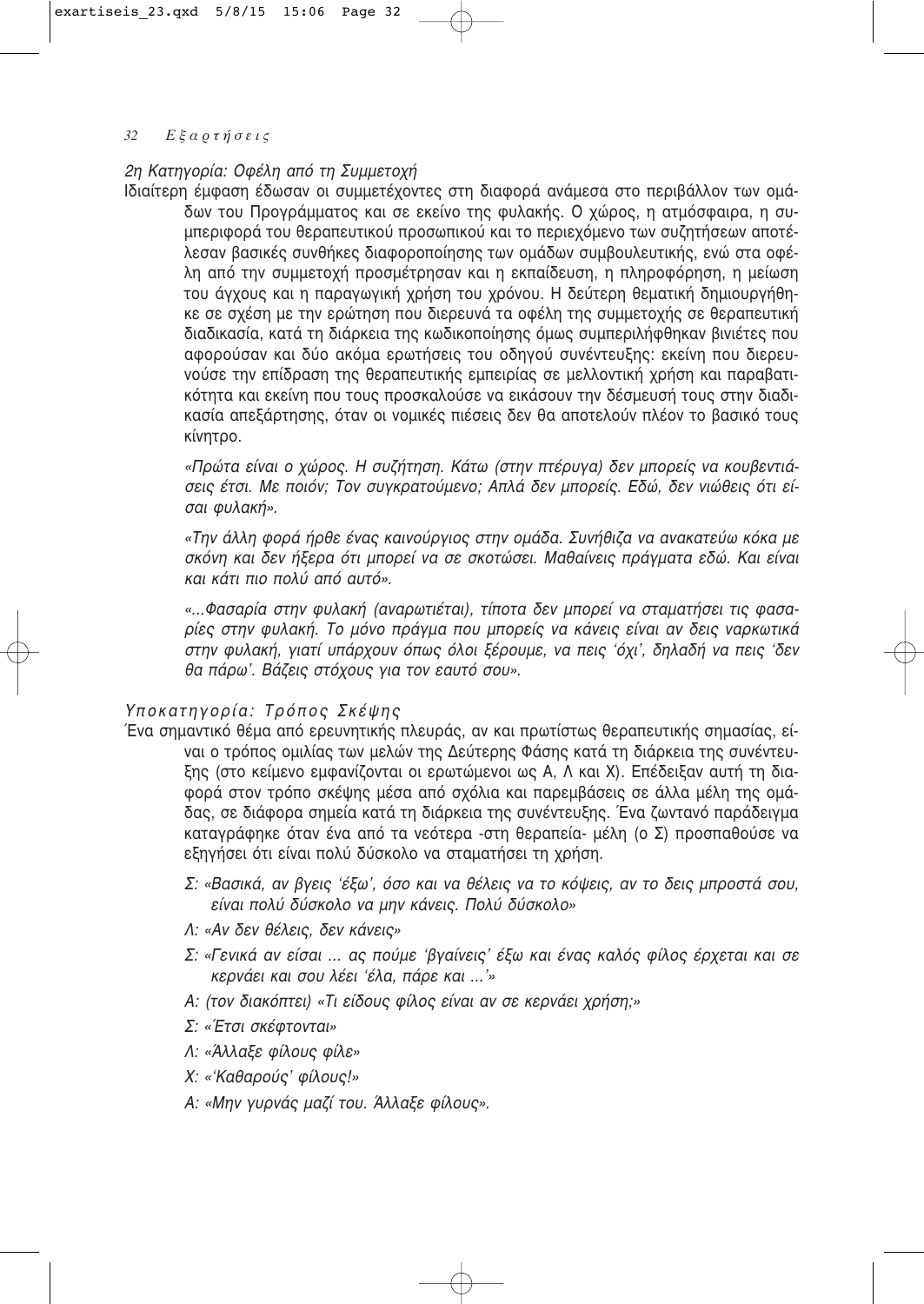# 2η Κατηγορία: Οφέλη από τη Συμμετοχή

Ιδιαίτερη έμφαση έδωσαν οι συμμετέχοντες στη διαφορά ανάμεσα στο περιβάλλον των ομάδων του Προγράμματος και σε εκείνο της φυλακής. Ο χώρος, η ατμόσφαιρα, η συμπεριφορά του θεραπευτικού προσωπικού και το περιεχόμενο των συζητήσεων αποτέλεσαν βασικές συνθήκες διαφοροποίησης των ομάδων συμβουλευτικής, ενώ στα οφέλη από την συμμετοχή προσμέτρησαν και η εκπαίδευση, η πληροφόρηση, η μείωση του άγχους και η παραγωγική χρήση του χρόνου. Η δεύτερη θεματική δημιουργήθηκε σε σχέση με την ερώτηση που διερευνά τα οφέλη της συμμετοχής σε θεραπευτική διαδικασία, κατά τη διάρκεια της κωδικοποίησης όμως συμπεριλήφθηκαν βινιέτες που αφορούσαν και δύο ακόμα ερωτήσεις του οδηγού συνέντευξης: εκείνη που διερευνούσε την επίδραση της θεραπευτικής εμπειρίας σε μελλοντική χρήση και παραβατι-Κότητα και εκείνη που τους προσκαλούσε να εικάσουν την δέσμευσή τους στην διαδικασία απεξάρτησης, όταν οι νομικές πιέσεις δεν θα αποτελούν πλέον το βασικό τους κίνητρο.

«Πρώτα είναι ο χώρος. Η συζήτηση. Κάτω (στην πτέρυγα) δεν μπορείς να κουβεντιάσεις έτσι. Με ποιόν; Τον συγκρατούμενο; Απλά δεν μπορείς. Εδώ, δεν νιώθεις ότι είσαι *φυλακή»*.

«Την άλλη φορά ήρθε ένας καινούργιος στην ομάδα. Συνήθιζα να ανακατεύω κόκα με σκόνη και δεν ήξερα ότι μπορεί να σε σκοτώσει. Μαθαίνεις πράγματα εδώ. Και είναι *Και Κάτι πιο πολύ από αυτό».* 

*«...º·Û·Ú›· ÛÙËÓ Ê˘Ï·Î‹ (·Ó·ÚˆÙȤٷÈ), Ù›ÔÙ· ‰ÂÓ ÌÔÚ› Ó· ÛÙ·Ì·Ù‹ÛÂÈ ÙȘ Ê·Û·- ڛ˜ ÛÙËÓ Ê˘Ï·Î‹. ΔÔ ÌfiÓÔ Ú¿ÁÌ· Ô˘ ÌÔÚ›˜ Ó· οÓÂȘ Â›Ó·È ·Ó ‰ÂȘ Ó·ÚΈÙÈο* στην φυλακή, γιατί υπάρχουν όπως όλοι ξέρουμε, να πεις 'όχι', δηλαδή να πεις 'δεν θα πάρω<sup>γ</sup>. Βάζεις στόχους για τον εαυτό σου».

# Υποκατηγορία: Τρόπος Σκέψης

- Ένα σημαντικό θέμα από ερευνητικής πλευράς, αν και πρωτίστως θεραπευτικής σημασίας, είναι ο τρόπος ομιλίας των μελών της Δεύτερης Φάσης κατά τη διάρκεια της συνέντευξης (στο κείμενο εμφανίζονται οι ερωτώμενοι ως Α, Λ και Χ). Επέδειξαν αυτή τη διαφορά στον τρόπο σκέψης μέσα από σχόλια και παρεμβάσεις σε άλλα μέλη της ομάδας, σε διάφορα σημεία κατά τη διάρκεια της συνέντευξης. Ένα ζωντανό παράδειγμα καταγράφηκε όταν ένα από τα νεότερα -στη θεραπεία- μέλη (ο Σ) προσπαθούσε να εξηγήσει ότι είναι πολύ δύσκολο να σταματήσει τη χρήση.
	- Σ: «Βασικά, αν βγεις 'έξω', όσο και να θέλεις να το κόψεις, αν το δεις μπροστά σου, είναι πολύ δύσκολο να μην κάνεις. Πολύ δύσκολο»
	- *Λ: «Αν δεν θέλεις, δεν κάνεις»*
	- Σ: «Γενικά αν είσαι ... ας πούμε 'βγαίνεις' έξω και ένας καλός φίλος έρχεται και σε *Κερνάει και σου λέει 'έλα, πάρε και ...'»*
	- *A: (τον διακόπτει) «Τι είδους φίλος είναι αν σε κερνάει χρήση;»*
	- *Σ: «Έτσι σκέ*φτονται»
	- *Λ: «Άλλαξε φίλους φίλε»*
	- *Χ: «'Καθαρούς' φίλους!»*
	- *Α: «Μην γυρνάς μαζί του. Άλλαξε φίλους».*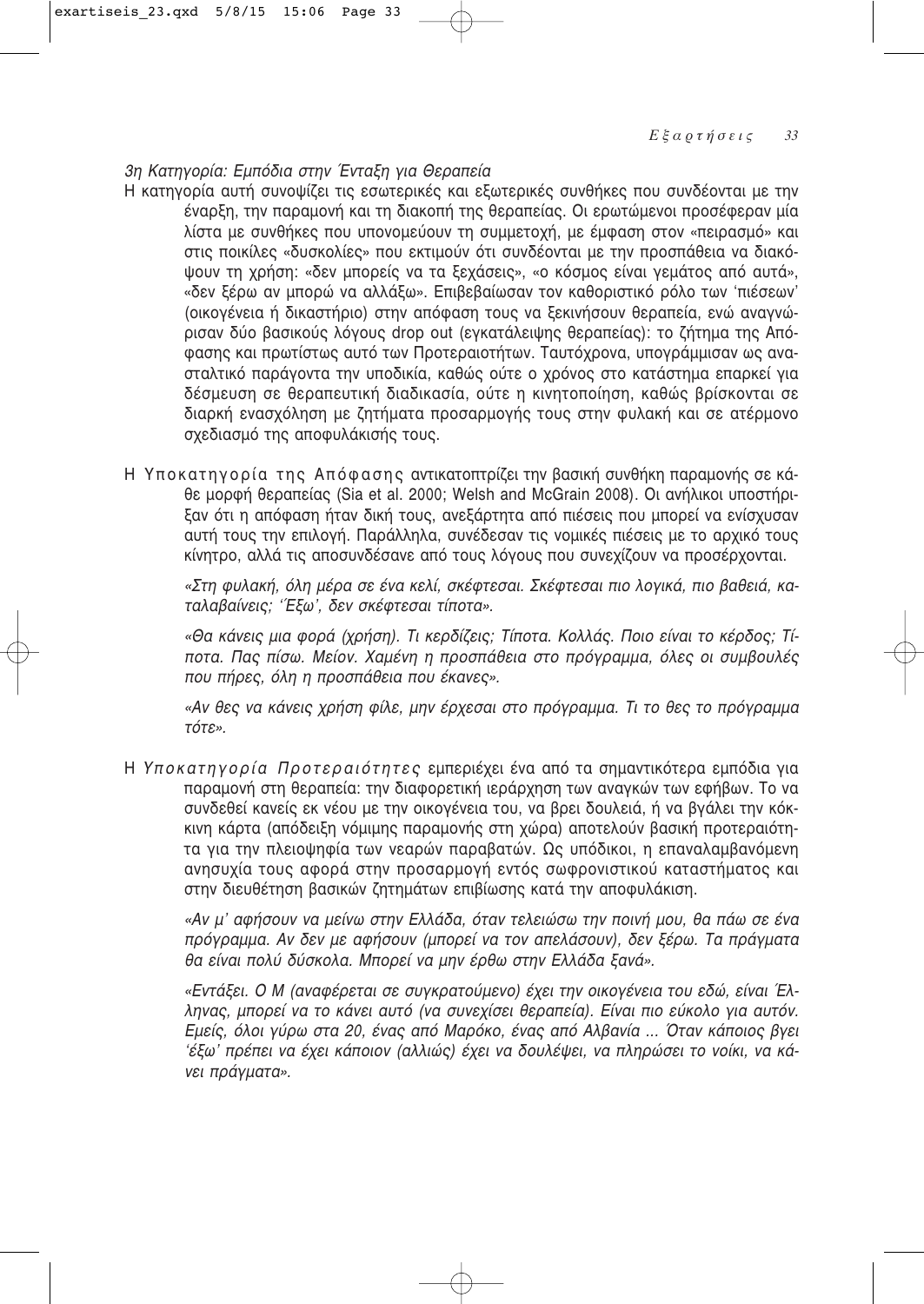# 3η Κατηγορία: Εμπόδια στην Ένταξη για Θεραπεία

- Η κατηγορία αυτή συνοψίζει τις εσωτερικές και εξωτερικές συνθήκες που συνδέονται με την έναρξη, την παραμονή και τη διακοπή της θεραπείας. Οι ερωτώμενοι προσέφεραν μία λίστα με συνθήκες που υπονομεύουν τη συμμετοχή, με έμφαση στον «πειρασμό» και στις ποικίλες «δυσκολίες» που εκτιμούν ότι συνδέονται με την προσπάθεια να διακόψουν τη χρήση: «δεν μπορείς να τα ξεχάσεις», «ο κόσμος είναι γεμάτος από αυτά», «δεν ξέρω αν μπορώ να αλλάξω». Επιβεβαίωσαν τον καθοριστικό ρόλο των 'πιέσεων' (οικογένεια ή δικαστήριο) στην απόφαση τους να ξεκινήσουν θεραπεία, ενώ αναγνώρισαν δύο βασικούς λόγους drop out (εγκατάλειψης θεραπείας): το ζήτημα της Απόφασης και πρωτίστως αυτό των Προτεραιοτήτων. Ταυτόχρονα, υπογράμμισαν ως ανασταλτικό παράγοντα την υποδικία, καθώς ούτε ο χρόνος στο κατάστημα επαρκεί για δέσμευση σε θεραπευτική διαδικασία, ούτε η κινητοποίηση, καθώς βρίσκονται σε διαρκή ενασχόληση με ζητήματα προσαρμογής τους στην φυλακή και σε ατέρμονο σχεδιασμό της αποφυλάκισής τους.
- Η Υποκατηγορία της Απόφασης αντικατοπτρίζει την βασική συνθήκη παραμονής σε κάθε μορφή θεραπείας (Sia et al. 2000; Welsh and McGrain 2008). Οι ανήλικοι υποστήριξαν ότι η απόφαση ήταν δική τους, ανεξάρτητα από πιέσεις που μπορεί να ενίσχυσαν αυτή τους την επιλογή. Παράλληλα, συνέδεσαν τις νομικές πιέσεις με το αρχικό τους κίνητρο, αλλά τις αποσυνδέσανε από τους λόγους που συνεχίζουν να προσέρχονται.

«Στη φυλακή, όλη μέρα σε ένα κελί, σκέφτεσαι. Σκέφτεσαι πιο λογικά, πιο βαθειά, κα*ταλαβαίνεις; 'Έξω', δεν σκέφτεσαι τίποτα».* 

*«£· οÓÂȘ ÌÈ· ÊÔÚ¿ (¯Ú‹ÛË). ΔÈ ÎÂÚ‰›˙ÂȘ; Δ›ÔÙ·. ∫ÔÏÏ¿˜. ¶ÔÈÔ Â›Ó·È ÙÔ Î¤Ú‰Ô˜; Δ›* ποτα. Πας πίσω. Μείον. Χαμένη η προσπάθεια στο πρόγραμμα, όλες οι συμβουλές που πήρες, όλη η προσπάθεια που έκανες».

«Αν θες να κάνεις χρήση φίλε, μην έρχεσαι στο πρόγραμμα. Τι το θες το πρόγραμμα *ÙfiÙ».*

Η Υποκατηγορία Προτεραιότητες εμπεριέχει ένα από τα σημαντικότερα εμπόδια για παραμονή στη θεραπεία: την διαφορετική ιεράρχηση των αναγκών των εφήβων. Το να συνδεθεί κανείς εκ νέου με την οικογένεια του, να βρει δουλειά, ή να βγάλει την κόκκινη κάρτα (απόδειξη νόμιμης παραμονής στη χώρα) αποτελούν βασική προτεραιότητα για την πλειοψηφία των νεαρών παραβατών. Ως υπόδικοι, η επαναλαμβανόμενη ανησυχία τους αφορά στην προσαρμογή εντός σωφρονιστικού καταστήματος και στην διευθέτηση βασικών ζητημάτων επιβίωσης κατά την αποφυλάκιση.

«Αν μ' αφήσουν να μείνω στην Ελλάδα, όταν τελειώσω την ποινή μου, θα πάω σε ένα πρόγραμμα. Αν δεν με αφήσουν (μπορεί να τον απελάσουν), δεν ξέρω. Τα πράγματα θα είναι πολύ δύσκολα. Μπορεί να μην έρθω στην Ελλάδα ξανά».

«Εντάξει. Ο Μ (αναφέρεται σε συγκρατούμενο) έχει την οικογένεια του εδώ, είναι Έλληνας, μπορεί να το κάνει αυτό (να συνεχίσει θεραπεία). Είναι πιο εύκολο για αυτόν. *Ēμείς, όλοι γύρω στα 20, ένας από Μαρόκο, ένας από Αλβανία ... Όταν κάποιος βγει '¤Íˆ' Ú¤ÂÈ Ó· ¤¯ÂÈ Î¿ÔÈÔÓ (·ÏÏÈÒ˜) ¤¯ÂÈ Ó· ‰Ô˘Ï¤"ÂÈ, Ó· ÏËÚÒÛÂÈ ÙÔ ÓÔ›ÎÈ, Ó· ο- Vει πράγματα».*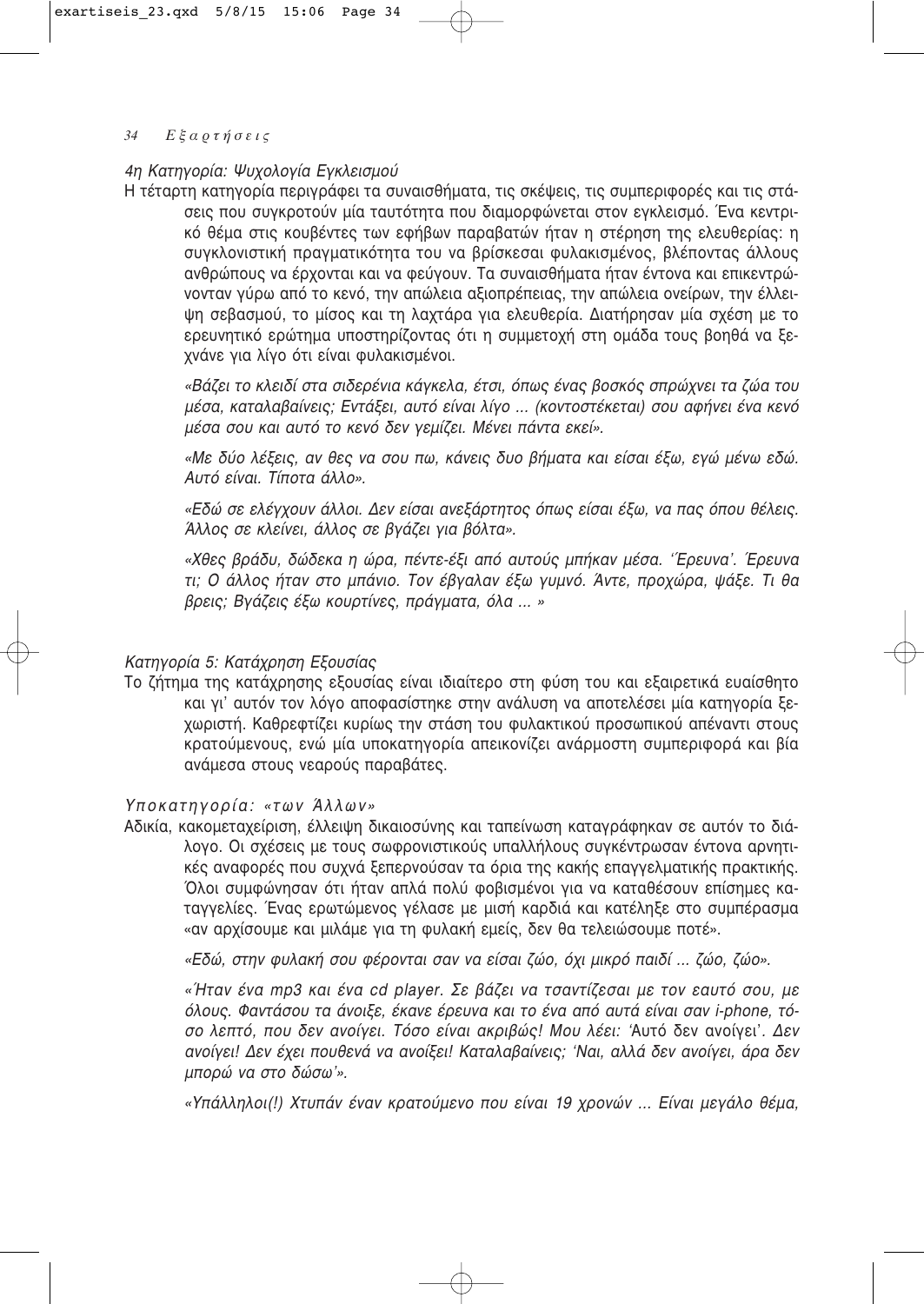## 34  $E \xi \alpha \rho \tau \eta \sigma \epsilon \iota \varsigma$

# 4η Κατηγορία: Ψυχολογία Εγκλεισμού

Η τέταρτη κατηγορία περιγράφει τα συναισθήματα, τις σκέψεις, τις συμπεριφορές και τις στάσεις που συγκροτούν μία ταυτότητα που διαμορφώνεται στον εγκλεισμό. Ένα κεντρικό θέμα στις κουβέντες των εφήβων παραβατών ήταν η στέρηση της ελευθερίας: η συγκλονιστική πραγματικότητα του να βρίσκεσαι φυλακισμένος, βλέποντας άλλους ανθρώπους να έρχονται και να φεύνουν. Τα συναισθήματα ήταν έντονα και επικεντρώνονταν γύρω από το κενό, την απώλεια αξιοπρέπειας, την απώλεια ονείρων, την έλλειψη σεβασμού, το μίσος και τη λαχτάρα για ελευθερία. Διατήρησαν μία σχέση με το ερευνητικό ερώτημα υποστηρίζοντας ότι η συμμετοχή στη ομάδα τους βοηθά να ξεχνάνε για λίγο ότι είναι φυλακισμένοι.

«Βάζει το κλειδί στα σιδερένια κάγκελα, έτσι, όπως ένας βοσκός σπρώχνει τα ζώα του μέσα, καταλαβαίνεις; Εντάξει, αυτό είναι λίνο ... (κοντοστέκεται) σου αφήνει ένα κενό μέσα σου και αυτό το κενό δεν γεμίζει. Μένει πάντα εκεί».

«Με δύο λέξεις, αν θες να σου πω, κάνεις δυο βήματα και είσαι έξω, εγώ μένω εδώ. Αυτό είναι. Τίποτα άλλο».

«Εδώ σε ελέγχουν άλλοι. Δεν είσαι ανεξάρτητος όπως είσαι έξω, να πας όπου θέλεις. Άλλος σε κλείνει, άλλος σε βγάζει για βόλτα».

«Χθες βράδυ, δώδεκα η ώρα, πέντε-έξι από αυτούς μπήκαν μέσα. 'Έρευνα'. Έρευνα τι; Ο άλλος ήταν στο μπάνιο. Τον έβγαλαν έξω γυμνό. Άντε, προχώρα, ψάξε. Τι θα βρεις; Βγάζεις έξω κουρτίνες, πράγματα, όλα ... »

# Κατηγορία 5: Κατάχρηση Εξουσίας

Το ζήτημα της κατάχρησης εξουσίας είναι ιδιαίτερο στη φύση του και εξαιρετικά ευαίσθητο και γι' αυτόν τον λόγο αποφασίστηκε στην ανάλυση να αποτελέσει μία κατηγορία ξεχωριστή. Καθρεφτίζει κυρίως την στάση του φυλακτικού προσωπικού απέναντι στους κρατούμενους, ενώ μία υποκατηγορία απεικονίζει ανάρμοστη συμπεριφορά και βία ανάμεσα στους νεαρούς παραβάτες.

# Υποκατηγορία: «των Άλλων»

Αδικία, κακομεταχείριση, έλλειψη δικαιοσύνης και ταπείνωση καταγράφηκαν σε αυτόν το διάλογο. Οι σχέσεις με τους σωφρονιστικούς υπαλλήλους συγκέντρωσαν έντονα αρνητικές αναφορές που συχνά ξεπερνούσαν τα όρια της κακής επαγγελματικής πρακτικής. Όλοι συμφώνησαν ότι ήταν απλά πολύ φοβισμένοι για να καταθέσουν επίσημες καταγγελίες. Ένας ερωτώμενος γέλασε με μισή καρδιά και κατέληξε στο συμπέρασμα «αν αρχίσουμε και μιλάμε για τη φυλακή εμείς, δεν θα τελειώσουμε ποτέ».

«Εδώ, στην φυλακή σου φέρονται σαν να είσαι ζώο, όχι μικρό παιδί ... ζώο, ζώο».

«Ήταν ένα mp3 και ένα cd player. Σε βάζει να τσαντίζεσαι με τον εαυτό σου, με όλους. Φαντάσου τα άνοιξε, έκανε έρευνα και το ένα από αυτά είναι σαν i-phone, τόσο λεπτό, που δεν ανοίγει. Τόσο είναι ακριβώς! Μου λέει: 'Αυτό δεν ανοίγει'. Δεν ανοίγει! Δεν έχει πουθενά να ανοίξει! Καταλαβαίνεις; 'Ναι, αλλά δεν ανοίγει, άρα δεν μπορώ να στο δώσω'».

«Υπάλληλοι(!) Χτυπάν έναν κρατούμενο που είναι 19 χρονών ... Είναι μεγάλο θέμα,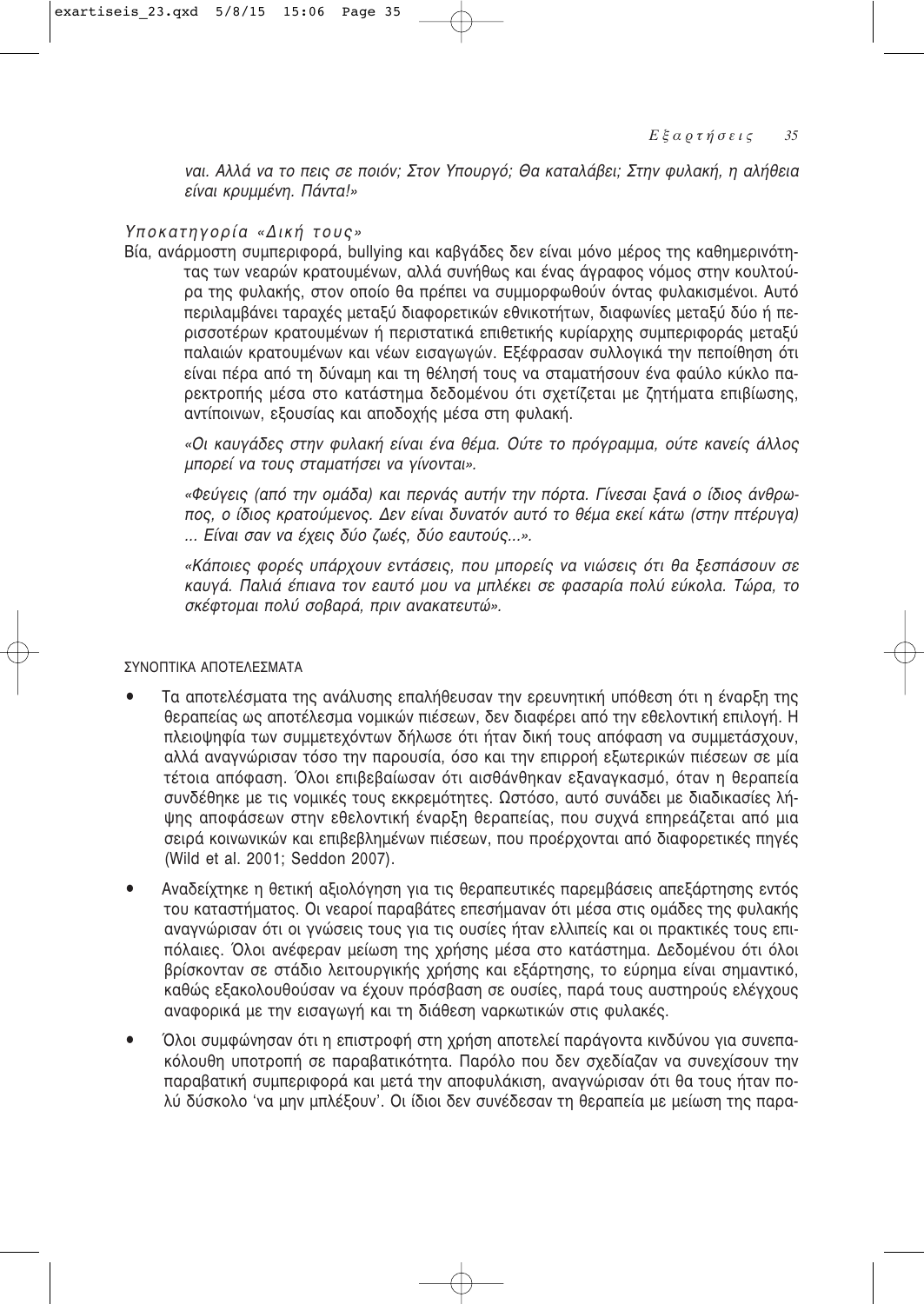ναι. Αλλά να το πεις σε ποιόν; Στον Υπουργό; Θα καταλάβει; Στην φυλακή, η αλήθεια είναι κρυμμένη. Πάντα!»

# Υποκατηγορία «Δική τους»

Βία, ανάρμοστη συμπεριφορά, bullying και καβγάδες δεν είναι μόνο μέρος της καθημερινότητας των νεαρών κρατουμένων, αλλά συνήθως και ένας άγραφος νόμος στην κουλτούρα της φυλακής, στον οποίο θα πρέπει να συμμορφωθούν όντας φυλακισμένοι. Αυτό περιλαμβάνει ταραχές μεταξύ διαφορετικών εθνικοτήτων, διαφωνίες μεταξύ δύο ή περισσοτέρων κρατουμένων ή περιστατικά επιθετικής κυρίαρχης συμπεριφοράς μεταξύ παλαιών κρατουμένων και νέων εισαγωγών. Εξέφρασαν συλλογικά την πεποίθηση ότι είναι πέρα από τη δύναμη και τη θέλησή τους να σταματήσουν ένα φαύλο κύκλο παρεκτροπής μέσα στο κατάστημα δεδομένου ότι σχετίζεται με ζητήματα επιβίωσης, αντίποινων, εξουσίας και αποδοχής μέσα στη φυλακή.

«Οι καυγάδες στην φυλακή είναι ένα θέμα. Ούτε το πρόγραμμα, ούτε κανείς άλλος μπορεί να τους σταματήσει να γίνονται».

«Φεύγεις (από την ομάδα) και περνάς αυτήν την πόρτα. Γίνεσαι ξανά ο ίδιος άνθρωπος, ο ίδιος κρατούμενος. Δεν είναι δυνατόν αυτό το θέμα εκεί κάτω (στην πτέρυνα) ... Είναι σαν να έχεις δύο ζωές, δύο εαυτούς...».

«Κάποιες φορές υπάρχουν εντάσεις, που μπορείς να νιώσεις ότι θα ξεσπάσουν σε καυγά. Παλιά έπιανα τον εαυτό μου να μπλέκει σε φασαρία πολύ εύκολα. Τώρα, το σκέφτομαι πολύ σοβαρά, πριν ανακατευτώ».

#### ΣΥΝΟΠΤΙΚΑ ΑΠΟΤΕΛΕΣΜΑΤΑ

- $\blacksquare$ Τα αποτελέσματα της ανάλυσης επαλήθευσαν την ερευνητική υπόθεση ότι η έναρξη της θεραπείας ως αποτέλεσμα νομικών πιέσεων, δεν διαφέρει από την εθελοντική επιλογή. Η πλειοψηφία των συμμετεχόντων δήλωσε ότι ήταν δική τους απόφαση να συμμετάσχουν, αλλά αναγνώρισαν τόσο την παρουσία, όσο και την επιρροή εξωτερικών πιέσεων σε μία τέτοια απόφαση. Όλοι επιβεβαίωσαν ότι αισθάνθηκαν εξαναγκασμό, όταν η θεραπεία συνδέθηκε με τις νομικές τους εκκρεμότητες. Ωστόσο, αυτό συνάδει με διαδικασίες λήψης αποφάσεων στην εθελοντική έναρξη θεραπείας, που συχνά επηρεάζεται από μια σειρά κοινωνικών και επιβεβλημένων πιέσεων, που προέρχονται από διαφορετικές πηγές (Wild et al. 2001; Seddon 2007).
- Αναδείχτηκε η θετική αξιολόγηση για τις θεραπευτικές παρεμβάσεις απεξάρτησης εντός  $\bullet$ του καταστήματος. Οι νεαροί παραβάτες επεσήμαναν ότι μέσα στις ομάδες της φυλακής αναγνώρισαν ότι οι γνώσεις τους για τις ουσίες ήταν ελλιπείς και οι πρακτικές τους επιπόλαιες. Όλοι ανέφεραν μείωση της χρήσης μέσα στο κατάστημα. Δεδομένου ότι όλοι βρίσκονταν σε στάδιο λειτουργικής χρήσης και εξάρτησης, το εύρημα είναι σημαντικό, καθώς εξακολουθούσαν να έχουν πρόσβαση σε ουσίες, παρά τους αυστηρούς ελέγχους αναφορικά με την εισαγωγή και τη διάθεση ναρκωτικών στις φυλακές.
- Όλοι συμφώνησαν ότι η επιστροφή στη χρήση αποτελεί παράγοντα κινδύνου για συνεπα- $\bullet$ κόλουθη υποτροπή σε παραβατικότητα. Παρόλο που δεν σχεδίαζαν να συνεχίσουν την παραβατική συμπεριφορά και μετά την αποφυλάκιση, αναγνώρισαν ότι θα τους ήταν πολύ δύσκολο 'να μην μπλέξουν'. Οι ίδιοι δεν συνέδεσαν τη θεραπεία με μείωση της παρα-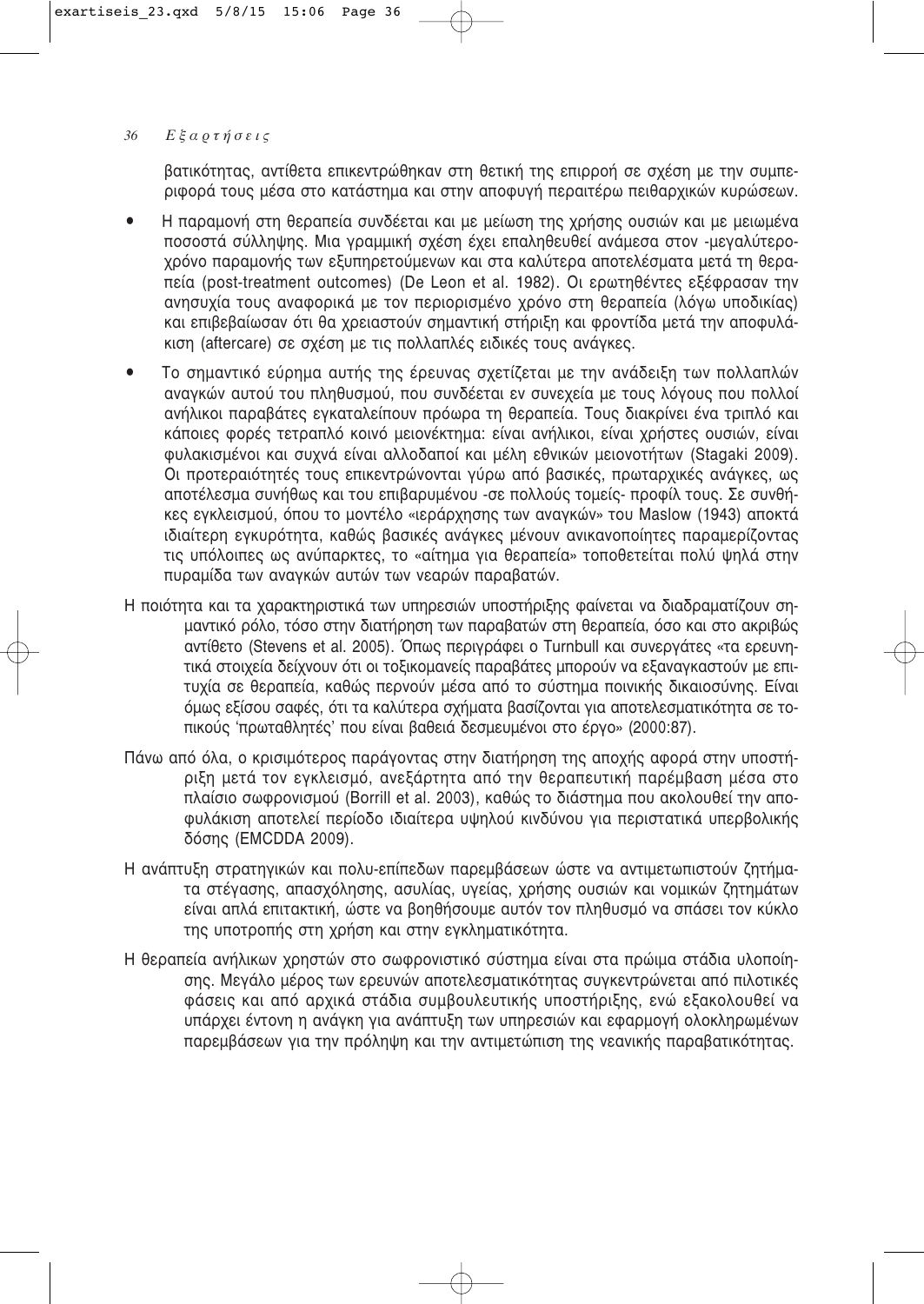βατικότητας, αντίθετα επικεντρώθηκαν στη θετική της επιρροή σε σχέση με την συμπεριφορά τους μέσα στο κατάστημα και στην αποφυγή περαιτέρω πειθαρχικών κυρώσεων.

- H παραμονή στη θεραπεία συνδέεται και με μείωση της χρήσης ουσιών και με μειωμένα ποσοστά σύλληψης. Μια γραμμική σχέση έχει επαληθευθεί ανάμεσα στον -μεγαλύτεροχρόνο παραμονής των εξυπηρετούμενων και στα καλύτερα αποτελέσματα μετά τη θεραπεία (post-treatment outcomes) (De Leon et al. 1982). Οι ερωτηθέντες εξέφρασαν την ανησυχία τους αναφορικά με τον περιορισμένο χρόνο στη θεραπεία (λόνω υποδικίας) και επιβεβαίωσαν ότι θα χρειαστούν σημαντική στήριξη και φροντίδα μετά την αποφυλάκιση (aftercare) σε σχέση με τις πολλαπλές ειδικές τους ανάγκες.
- Το σημαντικό εύρημα αυτής της έρευνας σχετίζεται με την ανάδειξη των πολλαπλών ανανκών αυτού του πληθυσμού, που συνδέεται εν συνεχεία με τους λόγους που πολλοί ανήλικοι παραβάτες εγκαταλείπουν πρόωρα τη θεραπεία. Τους διακρίνει ένα τριπλό και κάποιες φορές τετραπλό κοινό μειονέκτημα: είναι ανήλικοι, είναι χρήστες ουσιών, είναι Φυλακισμένοι και συχνά είναι αλλοδαποί και μέλη εθνικών μειονοτήτων (Stagaki 2009). Οι προτεραιότητές τους επικεντρώνονται νύρω από βασικές, πρωταρχικές ανάνκες, ως αποτέλεσμα συνήθως και του επιβαρυμένου -σε πολλούς τομείς- προφίλ τους. Σε συνθή-Κες ενκλεισμού, όπου το μοντέλο «ιεράρχησης των ανανκών» του Maslow (1943) αποκτά ιδιαίτερη εγκυρότητα, καθώς βασικές ανάγκες μένουν ανικανοποίητες παραμερίζοντας τις υπόλοιπες ως ανύπαρκτες, το «αίτημα για θεραπεία» τοποθετείται πολύ ψηλά στην πυραμίδα των ανανκών αυτών των νεαρών παραβατών.
- Η ποιότητα και τα χαρακτηριστικά των υπηρεσιών υποστήριξης φαίνεται να διαδραματίζουν σημαντικό ρόλο, τόσο στην διατήρηση των παραβατών στη θεραπεία, όσο και στο ακριβώς αντίθετο (Stevens et al. 2005). Όπως περιγράφει ο Turnbull και συνεργάτες «τα ερευνητικά στοιχεία δείχνουν ότι οι τοξικομανείς παραβάτες μπορούν να εξαναγκαστούν με επιτυχία σε θεραπεία, καθώς περνούν μέσα από το σύστημα ποινικής δικαιοσύνης, Είναι <u>όμως εξίσου σαφές, ότι τα καλύτερα σχήματα βασίζονται για αποτελεσματικότητα σε το-</u> πικούς 'πρωταθλητές' που είναι βαθειά δεσμευμένοι στο έργο» (2000:87).
- Πάνω από όλα, ο κρισιμότερος παράγοντας στην διατήρηση της αποχής αφορά στην υποστήριξη μετά τον εγκλεισμό, ανεξάρτητα από την θεραπευτική παρέμβαση μέσα στο πλαίσιο σωφρονισμού (Borrill et al. 2003), καθώς το διάστημα που ακολουθεί την αποφυλάκιση αποτελεί περίοδο ιδιαίτερα υψηλού κινδύνου για περιστατικά υπερβολικής δόσης (EMCDDA 2009).
- Η ανάπτυξη στρατηγικών και πολυ-επίπεδων παρεμβάσεων ώστε να αντιμετωπιστούν ζητήματα στέγασης, απασχόλησης, ασυλίας, υγείας, χρήσης ουσιών και νομικών ζητημάτων είναι απλά επιτακτική, ώστε να βοηθήσουμε αυτόν τον πληθυσμό να σπάσει τον κύκλο της υποτροπής στη χρήση και στην εγκληματικότητα.
- Η θεραπεία ανήλικων χρηστών στο σωφρονιστικό σύστημα είναι στα πρώιμα στάδια υλοποίησης. Μεγάλο μέρος των ερευνών αποτελεσματικότητας συγκεντρώνεται από πιλοτικές Φάσεις και από αρχικά στάδια συμβουλευτικής υποστήριξης, ενώ εξακολουθεί να υπάρχει έντονη η ανάγκη για ανάπτυξη των υπηρεσιών και εφαρμογή ολοκληρωμένων παρεμβάσεων για την πρόληψη και την αντιμετώπιση της νεανικής παραβατικότητας.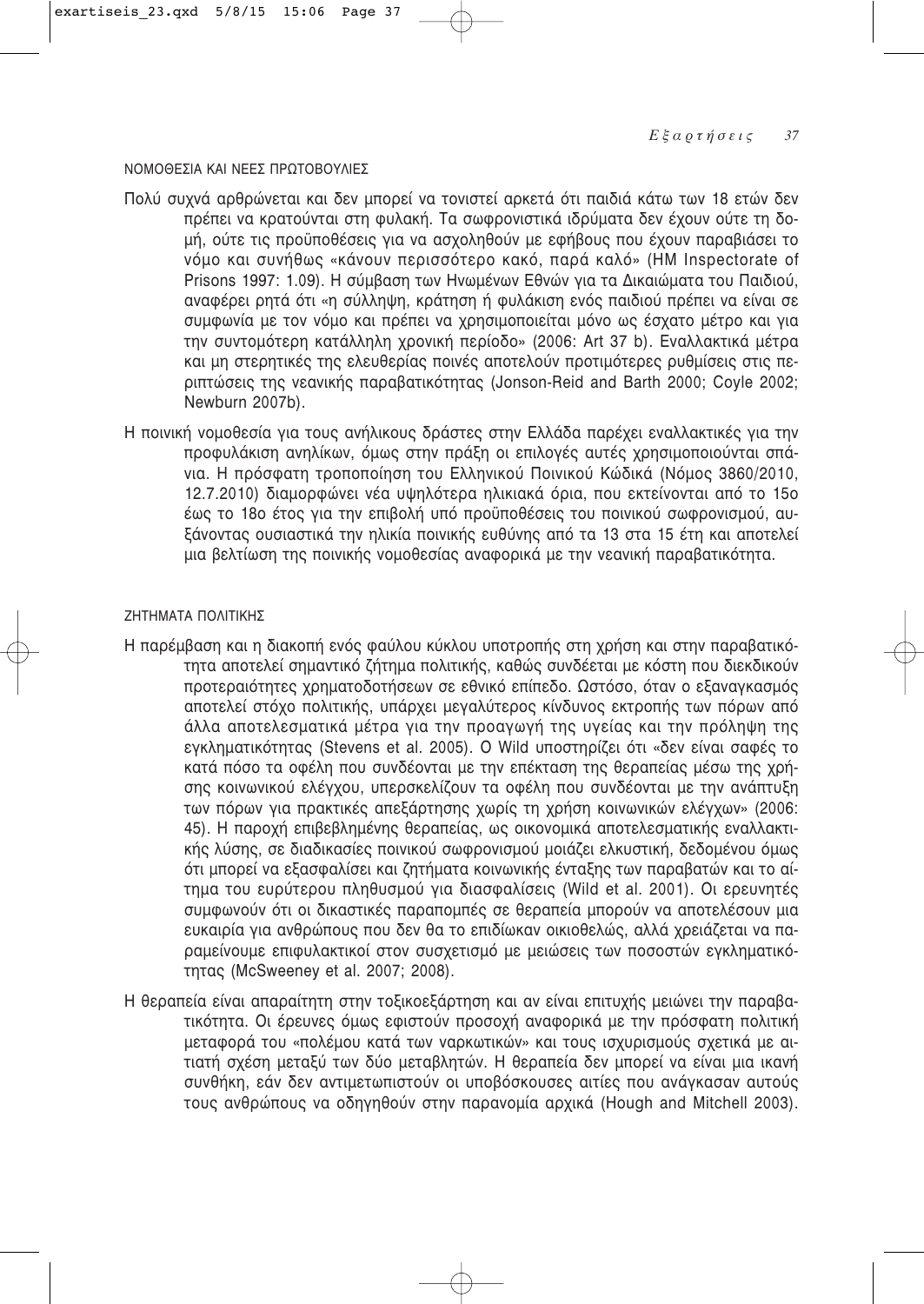## ΝΟΜΟΘΕΣΙΑ ΚΑΙ ΝΕΕΣ ΠΡΟΤΟΒΟΥΛΙΕΣ

- Πολύ συχνά αρθρώνεται και δεν μπορεί να τονιστεί αρκετά ότι παιδιά κάτω των 18 ετών δεν πρέπει να κρατούνται στη φυλακή. Τα σωφρονιστικά ιδρύματα δεν έχουν ούτε τη δομή, ούτε τις προϋποθέσεις για να ασχοληθούν με εφήβους που έχουν παραβιάσει το νόμο και συνήθως «κάνουν περισσότερο κακό, παρά καλό» (HM Inspectorate of Prisons 1997: 1.09). Η σύμβαση των Ηνωμένων Εθνών για τα Δικαιώματα του Παιδιού, αναφέρει ρητά ότι «η σύλληψη, κράτηση ή φυλάκιση ενός παιδιού πρέπει να είναι σε συμφωνία με τον νόμο και πρέπει να χρησιμοποιείται μόνο ως έσχατο μέτρο και για την συντομότερη κατάλληλη χρονική περίοδο» (2006: Art 37 b). Εναλλακτικά μέτρα και μη στερητικές της ελευθερίας ποινές αποτελούν προτιμότερες ρυθμίσεις στις περιπτώσεις της γεανικής παραβατικότητας (Jonson-Reid and Barth 2000: Coyle 2002: Newburn 2007b).
- Η ποινική νομοθεσία για τους ανήλικους δράστες στην Ελλάδα παρέχει εναλλακτικές για την προφυλάκιση ανηλίκων, όμως στην πράξη οι επιλογές αυτές χρησιμοποιούνται σπάνια. Η πρόσφατη τροποποίηση του Ελληνικού Ποινικού Κώδικά (Νόμος 3860/2010, 12.7.2010) διαμορφώνει νέα υψηλότερα ηλικιακά όρια, που εκτείνονται από το 15ο έως το 18ο έτος για την επιβολή υπό προϋποθέσεις του ποινικού σωφρονισμού, αυξάνοντας ουσιαστικά την ηλικία ποινικής ευθύνης από τα 13 στα 15 έτη και αποτελεί μια βελτίωση της ποινικής νομοθεσίας αναφορικά με την νεανική παραβατικότητα.

## ΖΗΤΗΜΑΤΑ ΠΟΛΙΤΙΚΗΣ

- Η παρέμβαση και η διακοπή ενός φαύλου κύκλου υποτροπής στη χρήση και στην παραβατικότητα αποτελεί σημαντικό ζήτημα πολιτικής, καθώς συνδέεται με κόστη που διεκδικούν προτεραιότητες χρηματοδοτήσεων σε εθνικό επίπεδο. Ωστόσο, όταν ο εξαναγκασμός αποτελεί στόχο πολιτικής, υπάρχει μεγαλύτερος κίνδυνος εκτροπής των πόρων από άλλα αποτελεσματικά μέτρα για την προαγωγή της υγείας και την πρόληψη της εγκληματικότητας (Stevens et al. 2005). Ο Wild υποστηρίζει ότι «δεν είναι σαφές το κατά πόσο τα οφέλη που συνδέονται με την επέκταση της θεραπείας μέσω της χρήσης κοινωνικού ελέγχου, υπερσκελίζουν τα οφέλη που συνδέονται με την ανάπτυξη των πόρων για πρακτικές απεξάρτησης χωρίς τη χρήση κοινωνικών ελέγχων» (2006: 45). Η παροχή επιβεβλημένης θεραπείας, ως οικονομικά αποτελεσματικής εναλλακτικής λύσης, σε διαδικασίες ποινικού σωφρονισμού μοιάζει ελκυστική, δεδομένου όμως ότι μπορεί να εξασφαλίσει και ζητήματα κοινωνικής ένταξης των παραβατών και το αίτημα του ευρύτερου πληθυσμού για διασφαλίσεις (Wild et al. 2001). Οι ερευνητές συμφωνούν ότι οι δικαστικές παραπομπές σε θεραπεία μπορούν να αποτελέσουν μια ευκαιρία για ανθρώπους που δεν θα το επιδίωκαν οικιοθελώς, αλλά χρειάζεται να παραμείνουμε επιφυλακτικοί στον συσχετισμό με μειώσεις των ποσοστών εγκληματικότητας (McSweeney et al. 2007; 2008).
- Η θεραπεία είναι απαραίτητη στην τοξικοεξάρτηση και αν είναι επιτυχής μειώνει την παραβατικότητα. Οι έρευνες όμως εφιστούν προσοχή αναφορικά με την πρόσφατη πολιτική μεταφορά του «πολέμου κατά των ναρκωτικών» και τους ισχυρισμούς σχετικά με αιτιατή σχέση μεταξύ των δύο μεταβλητών. Η θεραπεία δεν μπορεί να είναι μια ικανή συνθήκη, εάν δεν αντιμετωπιστούν οι υποβόσκουσες αιτίες που ανάγκασαν αυτούς τους ανθρώπους να οδηγηθούν στην παρανομία αρχικά (Hough and Mitchell 2003).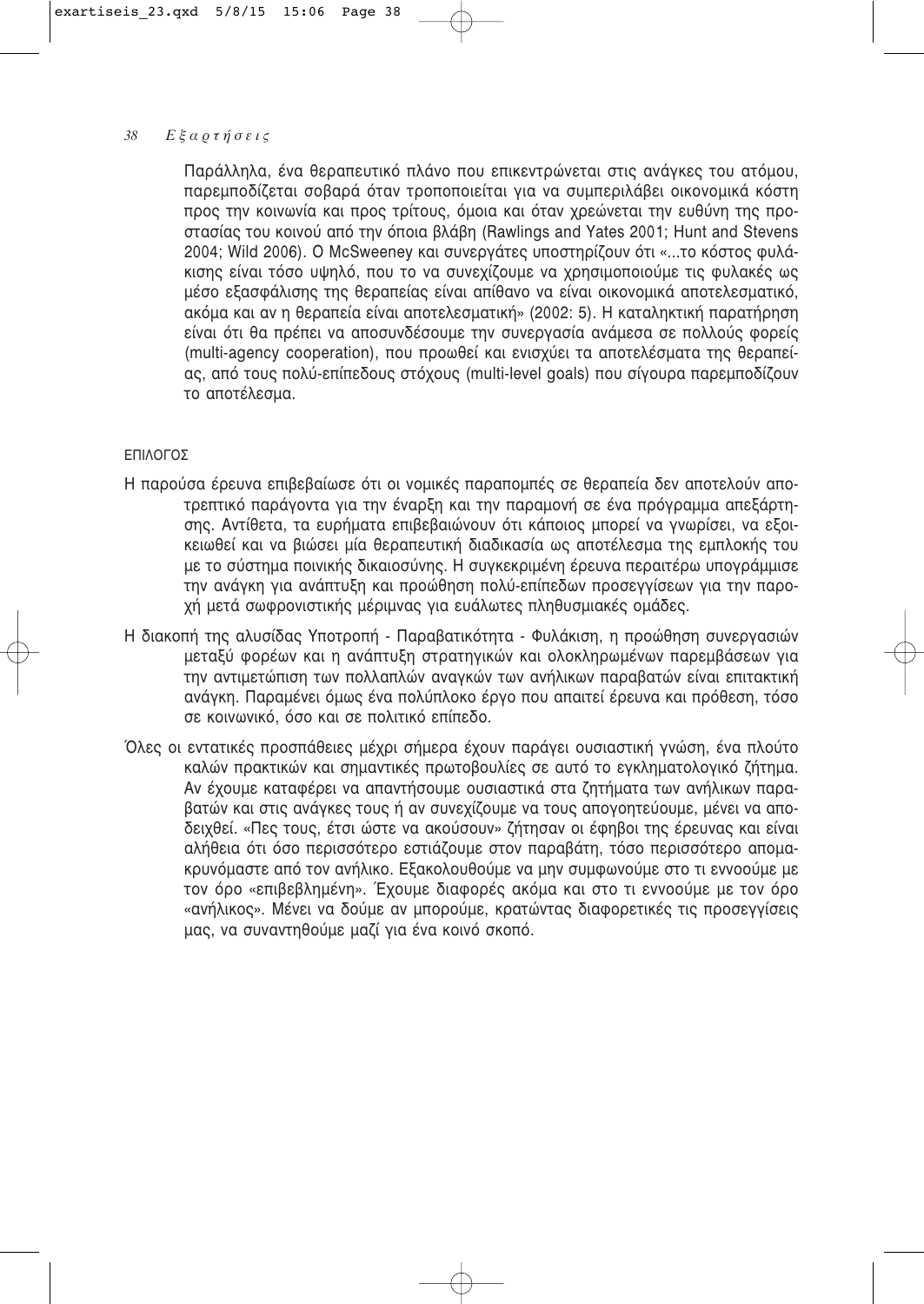Παράλληλα, ένα θεραπευτικό πλάνο που επικεντρώνεται στις ανάγκες του ατόμου, παρεμποδίζεται σοβαρά όταν τροποποιείται για να συμπεριλάβει οικονομικά κόστη προς την κοινωνία και προς τρίτους, όμοια και όταν χρεώνεται την ευθύνη της προστασίας του κοινού από την όποια βλάβη (Rawlings and Yates 2001; Hunt and Stevens 2004; Wild 2006). Ο McSweeney και συνεργάτες υποστηρίζουν ότι «...το κόστος φυλάκισης είναι τόσο υψηλό, που το να συνεχίζουμε να χρησιμοποιούμε τις φυλακές ως μέσο εξασφάλισης της θεραπείας είναι απίθανο να είναι οικονομικά αποτελεσματικό, ακόμα και αν η θεραπεία είναι αποτελεσματική» (2002: 5). Η καταληκτική παρατήρηση είναι ότι θα πρέπει να αποσυνδέσουμε την συνεργασία ανάμεσα σε πολλούς φορείς (multi-agency cooperation), που προωθεί και ενισχύει τα αποτελέσματα της θεραπείας, από τους πολύ-επίπεδους στόχους (multi-level goals) που σίγουρα παρεμποδίζουν το αποτέλεσμα.

# ΕΠΙΛΟΓΟΣ

- Η παρούσα έρευνα επιβεβαίωσε ότι οι νομικές παραπομπές σε θεραπεία δεν αποτελούν αποτρεπτικό παράγοντα για την έναρξη και την παραμονή σε ένα πρόγραμμα απεξάρτησης. Αντίθετα, τα ευρήματα επιβεβαιώνουν ότι κάποιος μπορεί να γνωρίσει, να εξοικειωθεί και να βιώσει μία θεραπευτική διαδικασία ως αποτέλεσμα της εμπλοκής του με το σύστημα ποινικής δικαιοσύνης. Η συνκεκριμένη έρευνα περαιτέρω υπονράμμισε την ανάγκη για ανάπτυξη και προώθηση πολύ-επίπεδων προσεγγίσεων για την παροχή μετά σωφρονιστικής μέριμνας για ευάλωτες πληθυσμιακές ομάδες.
- Η διακοπή της αλυσίδας Υποτροπή Παραβατικότητα Φυλάκιση, η προώθηση συνεργασιών μεταξύ φορέων και η ανάπτυξη στρατηγικών και ολοκληρωμένων παρεμβάσεων για την αντιμετώπιση των πολλαπλών αναγκών των ανήλικων παραβατών είναι επιτακτική ανάγκη. Παραμένει όμως ένα πολύπλοκο έργο που απαιτεί έρευνα και πρόθεση, τόσο σε κοινωνικό, όσο και σε πολιτικό επίπεδο.
- Όλες οι εντατικές προσπάθειες μέχρι σήμερα έχουν παράγει ουσιαστική γνώση, ένα πλούτο καλών πρακτικών και σημαντικές πρωτοβουλίες σε αυτό το εγκληματολογικό ζήτημα. Αν έχουμε καταφέρει να απαντήσουμε ουσιαστικά στα ζητήματα των ανήλικων παραβατών και στις ανάγκες τους ή αν συνεχίζουμε να τους απογοητεύουμε, μένει να απο-.<br>δειχθεί. «Πες τους, έτσι ώστε να ακούσουν» ζήτησαν οι έφηβοι της έρευνας και είναι αλήθεια ότι όσο περισσότερο εστιάζουμε στον παραβάτη, τόσο περισσότερο απομακρυνόμαστε από τον ανήλικο. Εξακολουθούμε να μην συμφωνούμε στο τι εννοούμε με τον όρο «επιβεβλημένη». Έχουμε διαφορές ακόμα και στο τι εννοούμε με τον όρο «ανήλικος». Μένει να δούμε αν μπορούμε, κρατώντας διαφορετικές τις προσεγγίσεις μας, να συναντηθούμε μαζί νια ένα κοινό σκοπό.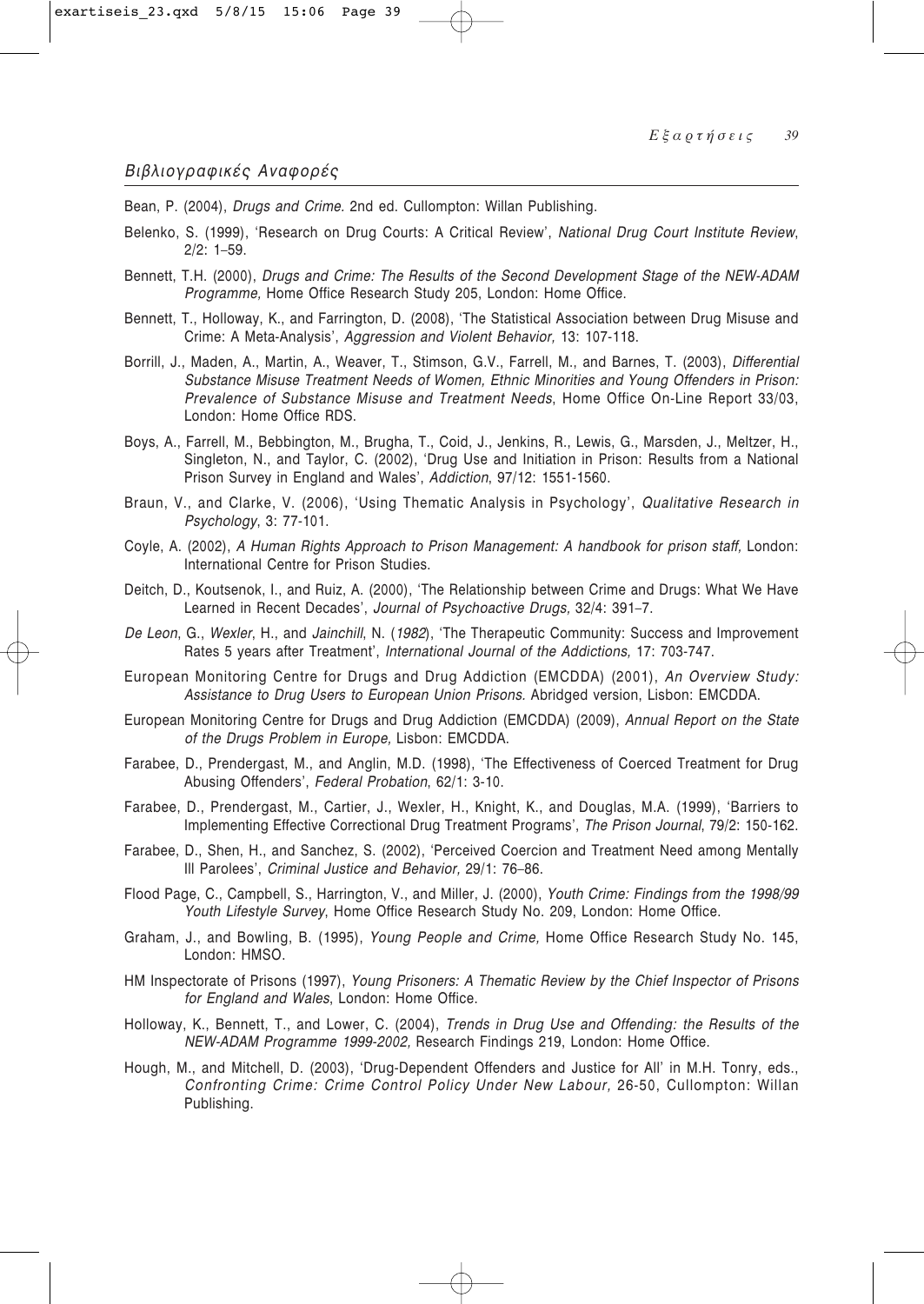Bean, P. (2004), Drugs and Crime. 2nd ed. Cullompton: Willan Publishing.

- Belenko, S. (1999), 'Research on Drug Courts: A Critical Review', National Drug Court Institute Review,  $2/2$ : 1-59.
- Bennett, T.H. (2000), Drugs and Crime: The Results of the Second Development Stage of the NEW-ADAM Programme, Home Office Research Study 205, London: Home Office.
- Bennett, T., Holloway, K., and Farrington, D. (2008), 'The Statistical Association between Drug Misuse and Crime: A Meta-Analysis', Aggression and Violent Behavior, 13: 107-118.
- Borrill, J., Maden, A., Martin, A., Weaver, T., Stimson, G.V., Farrell, M., and Barnes, T. (2003), Differential Substance Misuse Treatment Needs of Women, Ethnic Minorities and Young Offenders in Prison: Prevalence of Substance Misuse and Treatment Needs, Home Office On-Line Report 33/03, London: Home Office RDS.
- Boys, A., Farrell, M., Bebbington, M., Brugha, T., Coid, J., Jenkins, R., Lewis, G., Marsden, J., Meltzer, H., Singleton, N., and Taylor, C. (2002), 'Drug Use and Initiation in Prison: Results from a National Prison Survey in England and Wales', Addiction, 97/12: 1551-1560.
- Braun, V., and Clarke, V. (2006), 'Using Thematic Analysis in Psychology', Qualitative Research in Psychology, 3: 77-101.
- Coyle, A. (2002), A Human Rights Approach to Prison Management: A handbook for prison staff, London: International Centre for Prison Studies.
- Deitch, D., Koutsenok, I., and Ruiz, A. (2000), 'The Relationship between Crime and Drugs: What We Have Learned in Recent Decades', Journal of Psychoactive Drugs, 32/4: 391-7.
- De Leon, G., Wexler, H., and Jainchill, N. (1982), 'The Therapeutic Community: Success and Improvement Rates 5 years after Treatment', International Journal of the Addictions, 17: 703-747.
- European Monitoring Centre for Drugs and Drug Addiction (EMCDDA) (2001), An Overview Study: Assistance to Drug Users to European Union Prisons. Abridged version, Lisbon: EMCDDA.
- European Monitoring Centre for Drugs and Drug Addiction (EMCDDA) (2009), Annual Report on the State of the Drugs Problem in Europe, Lisbon: EMCDDA.
- Farabee, D., Prendergast, M., and Anglin, M.D. (1998), 'The Effectiveness of Coerced Treatment for Drug Abusing Offenders', Federal Probation, 62/1: 3-10.
- Farabee, D., Prendergast, M., Cartier, J., Wexler, H., Knight, K., and Douglas, M.A. (1999), 'Barriers to Implementing Effective Correctional Drug Treatment Programs', The Prison Journal, 79/2: 150-162.
- Farabee, D., Shen, H., and Sanchez, S. (2002), 'Perceived Coercion and Treatment Need among Mentally III Parolees', Criminal Justice and Behavior, 29/1: 76-86.
- Flood Page, C., Campbell, S., Harrington, V., and Miller, J. (2000), Youth Crime: Findings from the 1998/99 Youth Lifestyle Survey, Home Office Research Study No. 209, London: Home Office.
- Graham, J., and Bowling, B. (1995), Young People and Crime, Home Office Research Study No. 145, London: HMSO.
- HM Inspectorate of Prisons (1997), Young Prisoners: A Thematic Review by the Chief Inspector of Prisons for England and Wales, London: Home Office.
- Holloway, K., Bennett, T., and Lower, C. (2004), Trends in Drug Use and Offending: the Results of the NEW-ADAM Programme 1999-2002, Research Findings 219, London: Home Office.
- Hough, M., and Mitchell, D. (2003), 'Drug-Dependent Offenders and Justice for All' in M.H. Tonry, eds., Confronting Crime: Crime Control Policy Under New Labour, 26-50, Cullompton: Willan Publishing.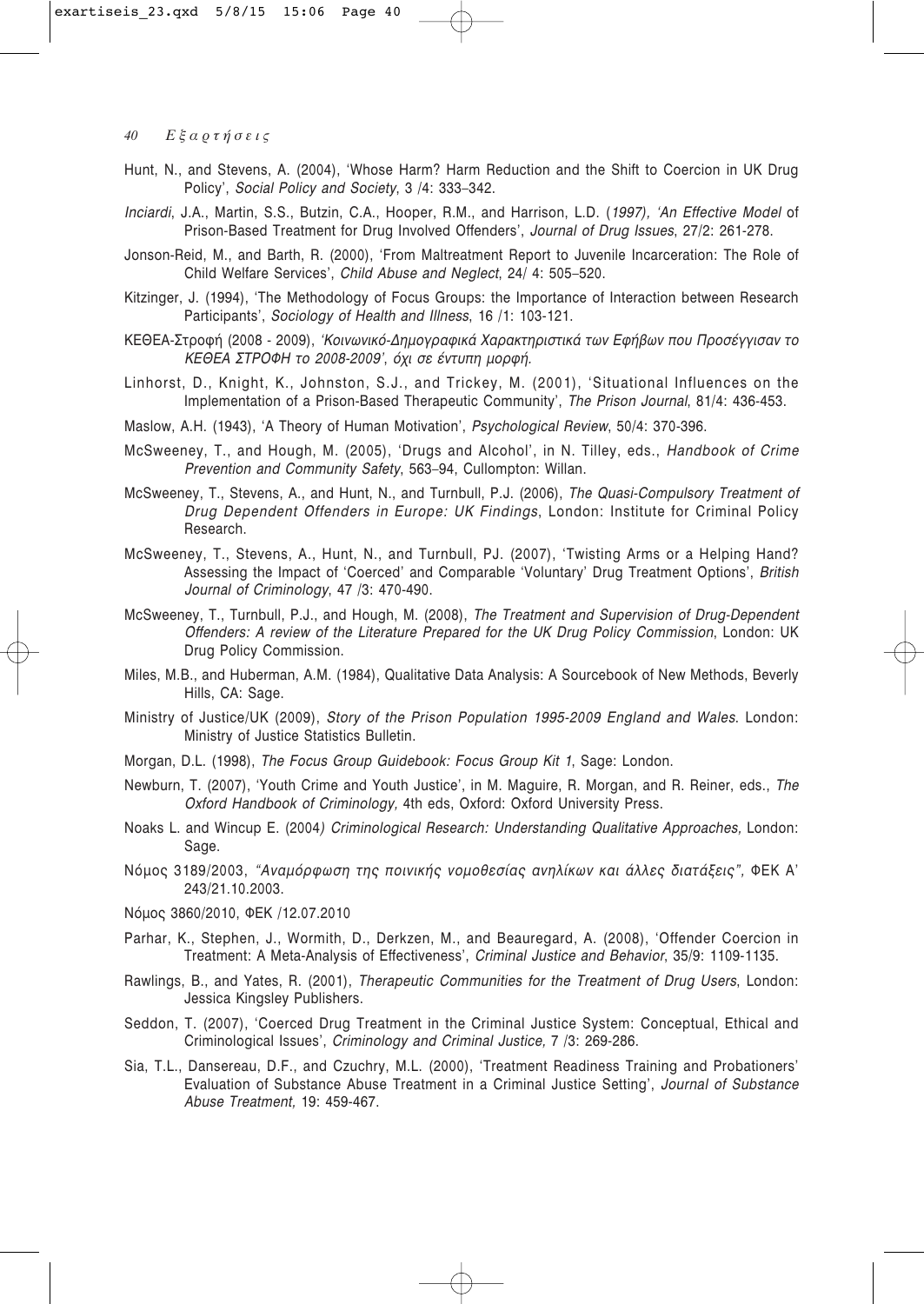- Hunt, N., and Stevens, A. (2004). 'Whose Harm? Harm Reduction and the Shift to Coercion in UK Drug Policy', Social Policy and Society, 3 /4: 333-342.
- Inciardi, J.A., Martin, S.S., Butzin, C.A., Hooper, R.M., and Harrison, L.D. (1997), 'An Effective Model of Prison-Based Treatment for Drug Involved Offenders', Journal of Drug Issues, 27/2: 261-278.
- Jonson-Reid, M., and Barth, R. (2000), 'From Maltreatment Report to Juvenile Incarceration: The Role of Child Welfare Services', Child Abuse and Neglect, 24/ 4: 505-520.
- Kitzinger, J. (1994), 'The Methodology of Focus Groups: the Importance of Interaction between Research Participants', Sociology of Health and Illness, 16 /1; 103-121.
- ΚΕΘΕΑ-Στροφή (2008 2009), 'Κοινωνικό-Δημογραφικά Χαρακτηριστικά των Εφήβων που Προσέγγισαν το ΚΕΘΕΑ ΣΤΡΟΦΗ το 2008-2009', όχι σε έντυπη μορφή.
- Linhorst, D., Knight, K., Johnston, S.J., and Trickey, M. (2001). 'Situational Influences on the Implementation of a Prison-Based Therapeutic Community', The Prison Journal, 81/4: 436-453.
- Maslow, A.H. (1943), 'A Theory of Human Motivation', Psychological Review, 50/4: 370-396.
- McSweeney, T., and Hough, M. (2005), 'Drugs and Alcohol', in N. Tilley, eds., Handbook of Crime Prevention and Community Safety, 563-94, Cullompton: Willan.
- McSweeney, T., Stevens, A., and Hunt, N., and Turnbull, P.J. (2006), The Quasi-Compulsory Treatment of Drug Dependent Offenders in Europe: UK Findings, London: Institute for Criminal Policy Research.
- McSweeney, T., Stevens, A., Hunt, N., and Turnbull, PJ. (2007), 'Twisting Arms or a Helping Hand? Assessing the Impact of 'Coerced' and Comparable 'Voluntary' Drug Treatment Options', British Journal of Criminology, 47 /3: 470-490.
- McSweeney, T., Turnbull, P.J., and Hough, M. (2008), The Treatment and Supervision of Drug-Dependent Offenders: A review of the Literature Prepared for the UK Drug Policy Commission, London: UK Drug Policy Commission.
- Miles, M.B., and Huberman, A.M. (1984), Qualitative Data Analysis: A Sourcebook of New Methods, Beverly Hills, CA: Sage.
- Ministry of Justice/UK (2009), Story of the Prison Population 1995-2009 England and Wales. London: Ministry of Justice Statistics Bulletin.
- Morgan, D.L. (1998), The Focus Group Guidebook: Focus Group Kit 1, Sage: London.
- Newburn, T. (2007), 'Youth Crime and Youth Justice', in M. Maguire, R. Morgan, and R. Reiner, eds., The Oxford Handbook of Criminology, 4th eds, Oxford: Oxford University Press.
- Noaks L. and Wincup E. (2004) Criminological Research: Understanding Qualitative Approaches, London: Sage.
- Νόμος 3189/2003, "Αναμόρφωση της ποινικής νομοθεσίας ανηλίκων και άλλες διατάξεις", ΦΕΚ Α' 243/21.10.2003.
- Νόμος 3860/2010, ΦΕΚ /12.07.2010
- Parhar, K., Stephen, J., Wormith, D., Derkzen, M., and Beauregard, A. (2008), 'Offender Coercion in Treatment: A Meta-Analysis of Effectiveness', Criminal Justice and Behavior, 35/9: 1109-1135.
- Rawlings, B., and Yates, R. (2001), Therapeutic Communities for the Treatment of Drug Users, London: Jessica Kingsley Publishers.
- Seddon, T. (2007), 'Coerced Drug Treatment in the Criminal Justice System: Conceptual, Ethical and Criminological Issues', Criminology and Criminal Justice, 7 /3: 269-286.
- Sia, T.L., Dansereau, D.F., and Czuchry, M.L. (2000), 'Treatment Readiness Training and Probationers' Evaluation of Substance Abuse Treatment in a Criminal Justice Setting', Journal of Substance Abuse Treatment, 19: 459-467.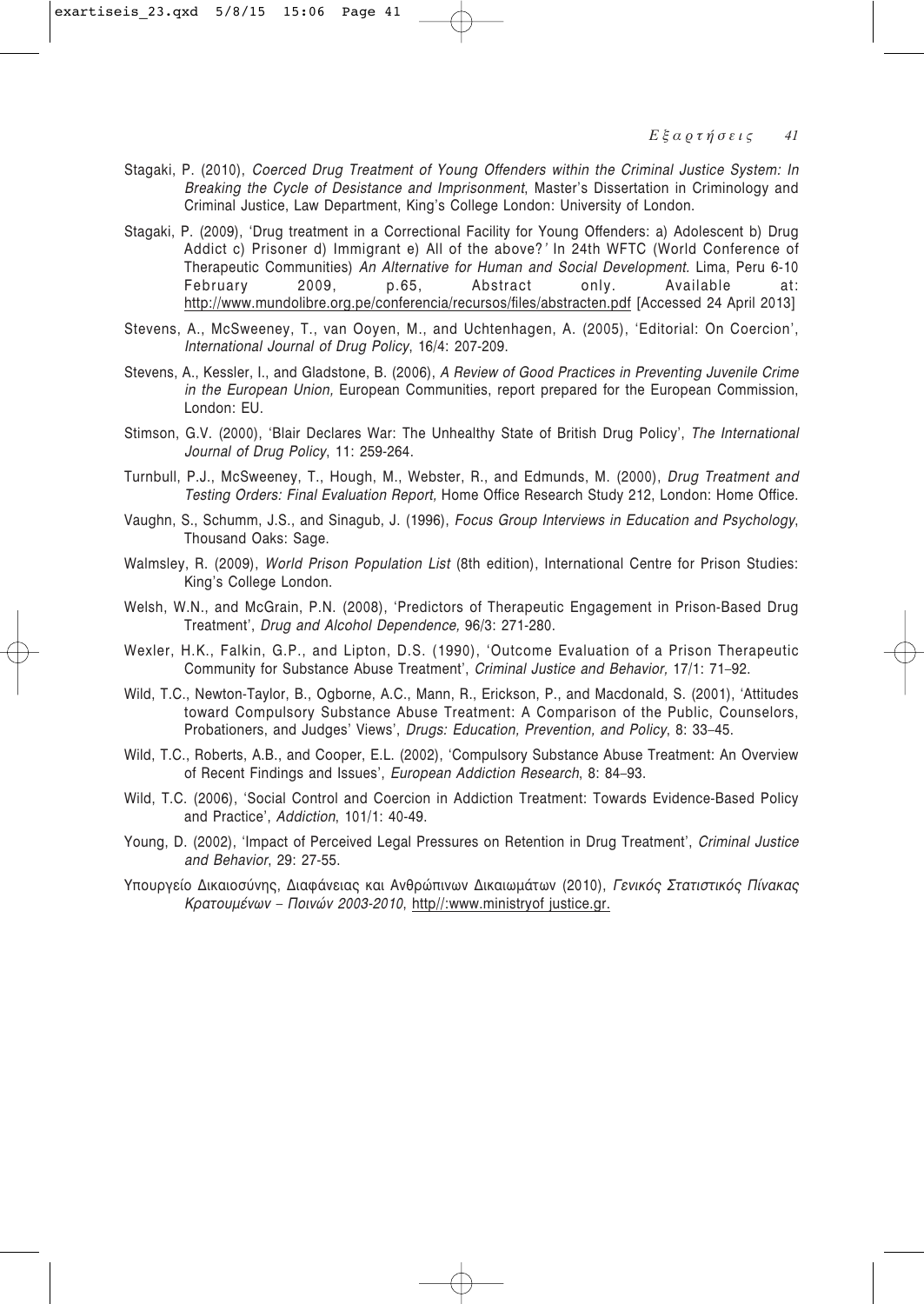- Stagaki, P. (2010), *Coerced Drug Treatment of Young Offenders within the Criminal Justice System: In Breaking the Cycle of Desistance and Imprisonment*, Master's Dissertation in Criminology and Criminal Justice, Law Department, King's College London: University of London.
- Stagaki, P. (2009), 'Drug treatment in a Correctional Facility for Young Offenders: a) Adolescent b) Drug Addict c) Prisoner d) Immigrant e) All of the above?*'* In 24th WFTC (World Conference of Therapeutic Communities) *An Alternative for Human and Social Development.* Lima, Peru 6-10 February 2009, p.65, Abstract only. Available at: http://www.mundolibre.org.pe/conferencia/recursos/files/abstracten.pdf [Accessed 24 April 2013]
- Stevens, A., McSweeney, T., van Ooyen, M., and Uchtenhagen, A. (2005), 'Editorial: On Coercion', *International Journal of Drug Policy*, 16/4: 207-209.
- Stevens, A., Kessler, I., and Gladstone, B. (2006), *A Review of Good Practices in Preventing Juvenile Crime in the European Union,* European Communities, report prepared for the European Commission, London: EU.
- Stimson, G.V. (2000), 'Blair Declares War: The Unhealthy State of British Drug Policy', *The International Journal of Drug Policy*, 11: 259-264.
- Turnbull, P.J., McSweeney, T., Hough, M., Webster, R., and Edmunds, M. (2000), *Drug Treatment and Testing Orders: Final Evaluation Report,* Home Office Research Study 212, London: Home Office.
- Vaughn, S., Schumm, J.S., and Sinagub, J. (1996), *Focus Group Interviews in Education and Psychology*, Thousand Oaks: Sage.
- Walmsley, R. (2009), *World Prison Population List* (8th edition), International Centre for Prison Studies: King's College London.
- Welsh, W.N., and McGrain, P.N. (2008), 'Predictors of Therapeutic Engagement in Prison-Based Drug Treatment', *Drug and Alcohol Dependence,* 96/3: 271-280.
- Wexler, H.K., Falkin, G.P., and Lipton, D.S. (1990), 'Outcome Evaluation of a Prison Therapeutic Community for Substance Abuse Treatment', *Criminal Justice and Behavior,* 17/1: 71–92.
- Wild, T.C., Newton-Taylor, B., Ogborne, A.C., Mann, R., Erickson, P., and Macdonald, S. (2001), 'Attitudes toward Compulsory Substance Abuse Treatment: A Comparison of the Public, Counselors, Probationers, and Judges' Views', *Drugs: Education, Prevention, and Policy*, 8: 33–45.
- Wild, T.C., Roberts, A.B., and Cooper, E.L. (2002), 'Compulsory Substance Abuse Treatment: An Overview of Recent Findings and Issues', *European Addiction Research*, 8: 84–93.
- Wild, T.C. (2006), 'Social Control and Coercion in Addiction Treatment: Towards Evidence-Based Policy and Practice', *Addiction*, 101/1: 40-49.
- Young, D. (2002), 'Impact of Perceived Legal Pressures on Retention in Drug Treatment', *Criminal Justice and Behavior*, 29: 27-55.
- Υπουργείο Δικαιοσύνης, Διαφάνειας και Ανθρώπινων Δικαιωμάτων (2010), Γενικός Στατιστικός Πίνακας *Kρατουμένων – Ποινών 2003-2010*, http//:www.ministryof justice.gr.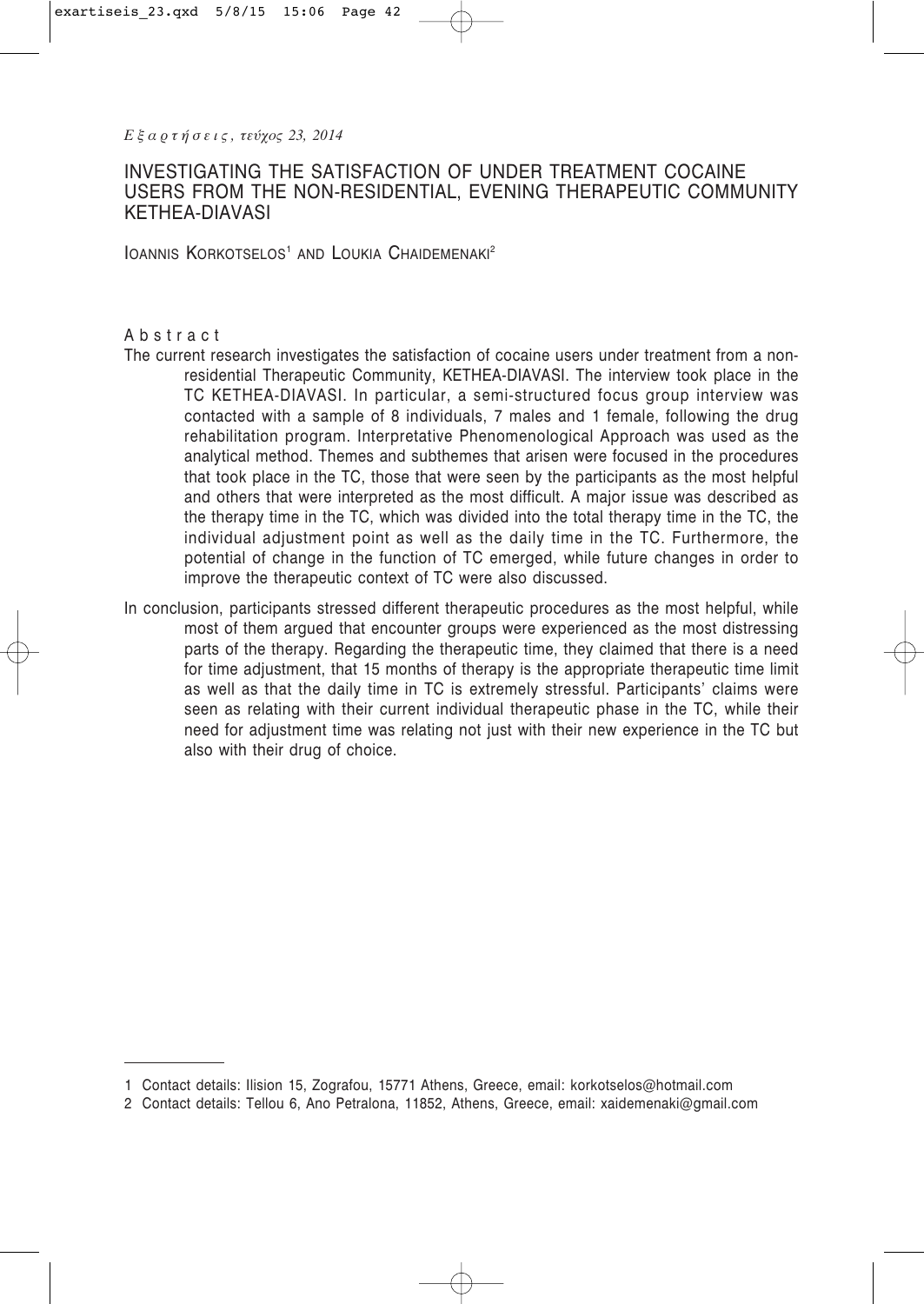# INVESTIGATING THE SATISFACTION OF UNDER TREATMENT COCAINE USERS FROM THE NON-RESIDENTIAL, EVENING THERAPEUTIC COMMUNITY KETHEA-DIAVASI

IOANNIS KORKOTSELOS<sup>1</sup> AND LOUKIA CHAIDEMENAKI<sup>2</sup>

### Abstract

- The current research investigates the satisfaction of cocaine users under treatment from a nonresidential Therapeutic Community, KETHEA-DIAVASI. The interview took place in the TC KETHEA-DIAVASI. In particular, a semi-structured focus group interview was contacted with a sample of 8 individuals, 7 males and 1 female, following the drug rehabilitation program. Interpretative Phenomenological Approach was used as the analytical method. Themes and subthemes that arisen were focused in the procedures that took place in the TC, those that were seen by the participants as the most helpful and others that were interpreted as the most difficult. A major issue was described as the therapy time in the TC, which was divided into the total therapy time in the TC, the individual adjustment point as well as the daily time in the TC. Furthermore, the potential of change in the function of TC emerged, while future changes in order to improve the therapeutic context of TC were also discussed.
- In conclusion, participants stressed different therapeutic procedures as the most helpful, while most of them argued that encounter groups were experienced as the most distressing parts of the therapy. Regarding the therapeutic time, they claimed that there is a need for time adjustment, that 15 months of therapy is the appropriate therapeutic time limit as well as that the daily time in TC is extremely stressful. Participants' claims were seen as relating with their current individual therapeutic phase in the TC, while their need for adjustment time was relating not just with their new experience in the TC but also with their drug of choice.

<sup>1</sup> Contact details: Ilision 15, Zografou, 15771 Athens, Greece, email: korkotselos@hotmail.com

<sup>2</sup> Contact details: Tellou 6, Ano Petralona, 11852, Athens, Greece, email: xaidemenaki@gmail.com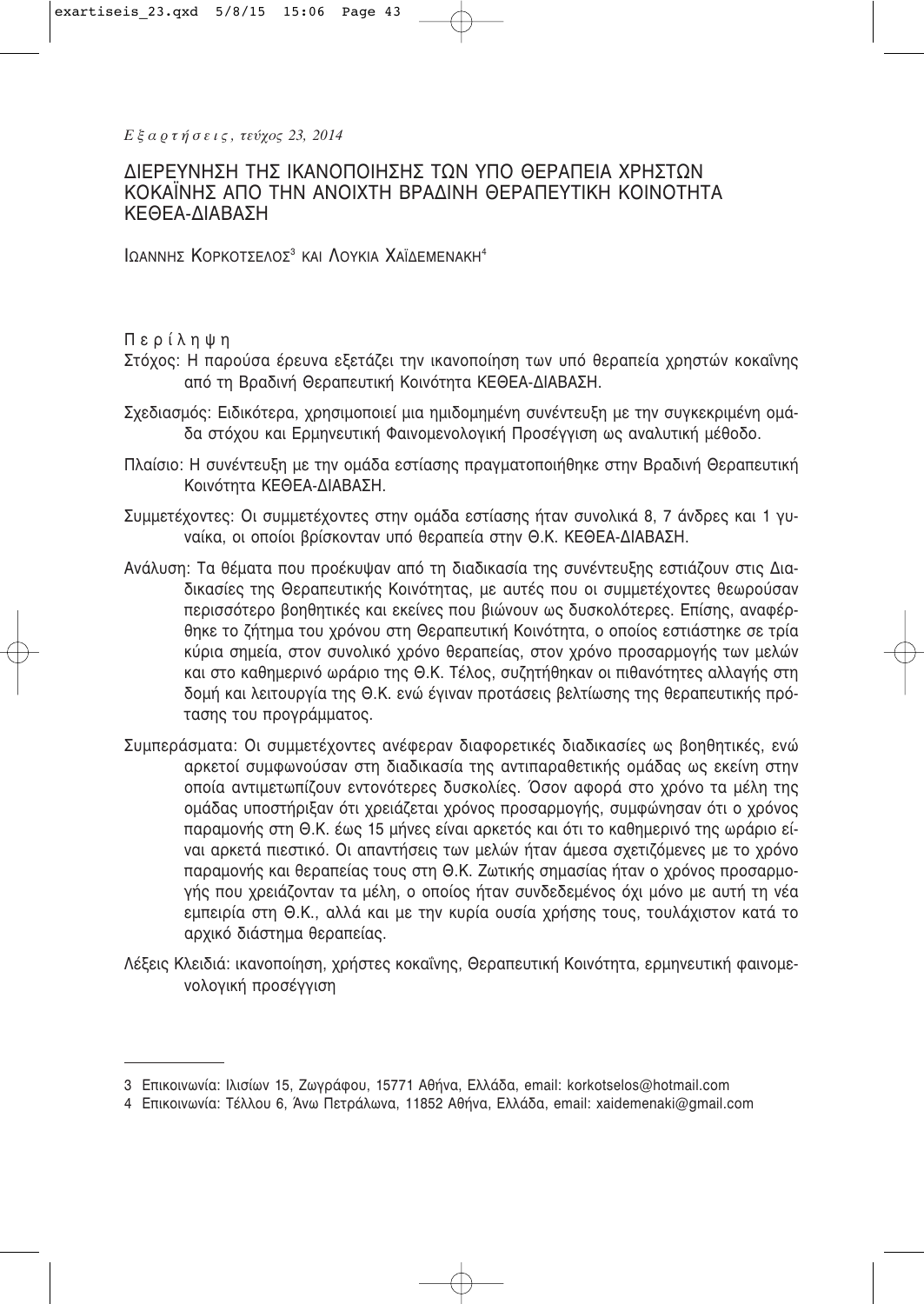*Ε ξ α ρ τ ή σ ε ι ς , τεύχος 23, 2014*

# ΔΙΕΡΕΥΝΗΣΗ ΤΗΣ ΙΚΑΝΟΠΟΙΗΣΗΣ ΤΩΝ ΥΠΟ ΘΕΡΑΠΕΙΑ ΧΡΗΣΤΩΝ ΚΟΚΑΪΝΗΣ ΑΠΟ ΤΗΝ ΑΝΟΙΧΤΗ ΒΡΑΔΙΝΗ ΘΕΡΑΠΕΥΤΙΚΗ ΚΟΙΝΟΤΗΤΑ ΚΕΘΕΑ-ΔΙΑΒΑΣΗ

ΙΩΑΝΝΗΣ ΚΟΡΚΟΤΣΕΛΟΣ<sup>3</sup> ΚΑΙ ΛΟΥΚΙΑ ΧΑΪΔΕΜΕΝΑΚΗ<sup>4</sup>

Περίληψη

- Στόχος: Η παρούσα έρευνα εξετάζει την ικανοποίηση των υπό θεραπεία χρηστών κοκαΐνης από τη Βραδινή Θεραπευτική Κοινότητα ΚΕΘΕΑ-ΔΙΑΒΑΣΗ.
- Σχεδιασμός: Ειδικότερα, χρησιμοποιεί μια ημιδομημένη συνέντευξη με την συγκεκριμένη ομάδα στόχου και Ερμηνευτική Φαινομενολογική Προσέγγιση ως αναλυτική μέθοδο.
- Πλαίσιο: Η συνέντευξη με την ομάδα εστίασης πρανματοποιήθηκε στην Βραδινή Θεραπευτική Κοινότητα ΚΕΘΕΑ-ΔΙΑΒΑΣΗ.
- Συμμετέχοντες: Οι συμμετέχοντες στην ομάδα εστίασης ήταν συνολικά 8, 7 άνδρες και 1 γυναίκα, οι οποίοι βρίσκονταν υπό θεραπεία στην Θ.Κ. ΚΕΘΕΑ-ΔΙΑΒΑΣΗ.
- Ανάλυση: Τα θέματα που προέκυψαν από τη διαδικασία της συνέντευξης εστιάζουν στις Διαδικασίες της Θεραπευτικής Κοινότητας, με αυτές που οι συμμετέχοντες θεωρούσαν περισσότερο βοηθητικές και εκείνες που βιώνουν ως δυσκολότερες. Επίσης, αναφέρθηκε το ζήτημα του χρόνου στη Θεραπευτική Κοινότητα, ο οποίος εστιάστηκε σε τρία κύρια σημεία, στον συνολικό χρόνο θεραπείας, στον χρόνο προσαρμογής των μελών και στο καθημερινό ωράριο της Θ.Κ. Τέλος, συζητήθηκαν οι πιθανότητες αλλαγής στη δομή και λειτουργία της Θ.Κ. ενώ έγιναν προτάσεις βελτίωσης της θεραπευτικής πρότασης του προγράμματος.
- Συμπεράσματα: Οι συμμετέχοντες ανέφεραν διαφορετικές διαδικασίες ως βοηθητικές, ενώ αρκετοί συμφωνούσαν στη διαδικασία της αντιπαραθετικής ομάδας ως εκείνη στην οποία αντιμετωπίζουν εντονότερες δυσκολίες. Όσον αφορά στο χρόνο τα μέλη της ομάδας υποστήριξαν ότι χρειάζεται χρόνος προσαρμονής, συμφώνησαν ότι ο χρόνος παραμονής στη Θ.Κ. έως 15 μήνες είναι αρκετός και ότι το καθημερινό της ωράριο είναι αρκετά πιεστικό. Οι απαντήσεις των μελών ήταν άμεσα σχετιζόμενες με το χρόνο παραμονής και θεραπείας τους στη Θ.Κ. Ζωτικής σημασίας ήταν ο χρόνος προσαρμογής που χρειάζονταν τα μέλη, ο οποίος ήταν συνδεδεμένος όχι μόνο με αυτή τη νέα εμπειρία στη Θ.Κ., αλλά και με την κυρία ουσία χρήσης τους, τουλάχιστον κατά το αρχικό διάστημα θεραπείας.
- Λέξεις Κλειδιά: ικανοποίηση, χρήστες κοκαΐνης, Θεραπευτική Κοινότητα, ερμηνευτική φαινομενολογική προσέγγιση

<sup>3</sup> Επικοινωνία: Ιλισίων 15, Ζωνράφου, 15771 Αθήνα, Ελλάδα, email: korkotselos@hotmail.com

<sup>4</sup> Επικοινωνία: Τέλλου 6, Άνω Πετράλωνα, 11852 Αθήνα, Ελλάδα, email: xaidemenaki@gmail.com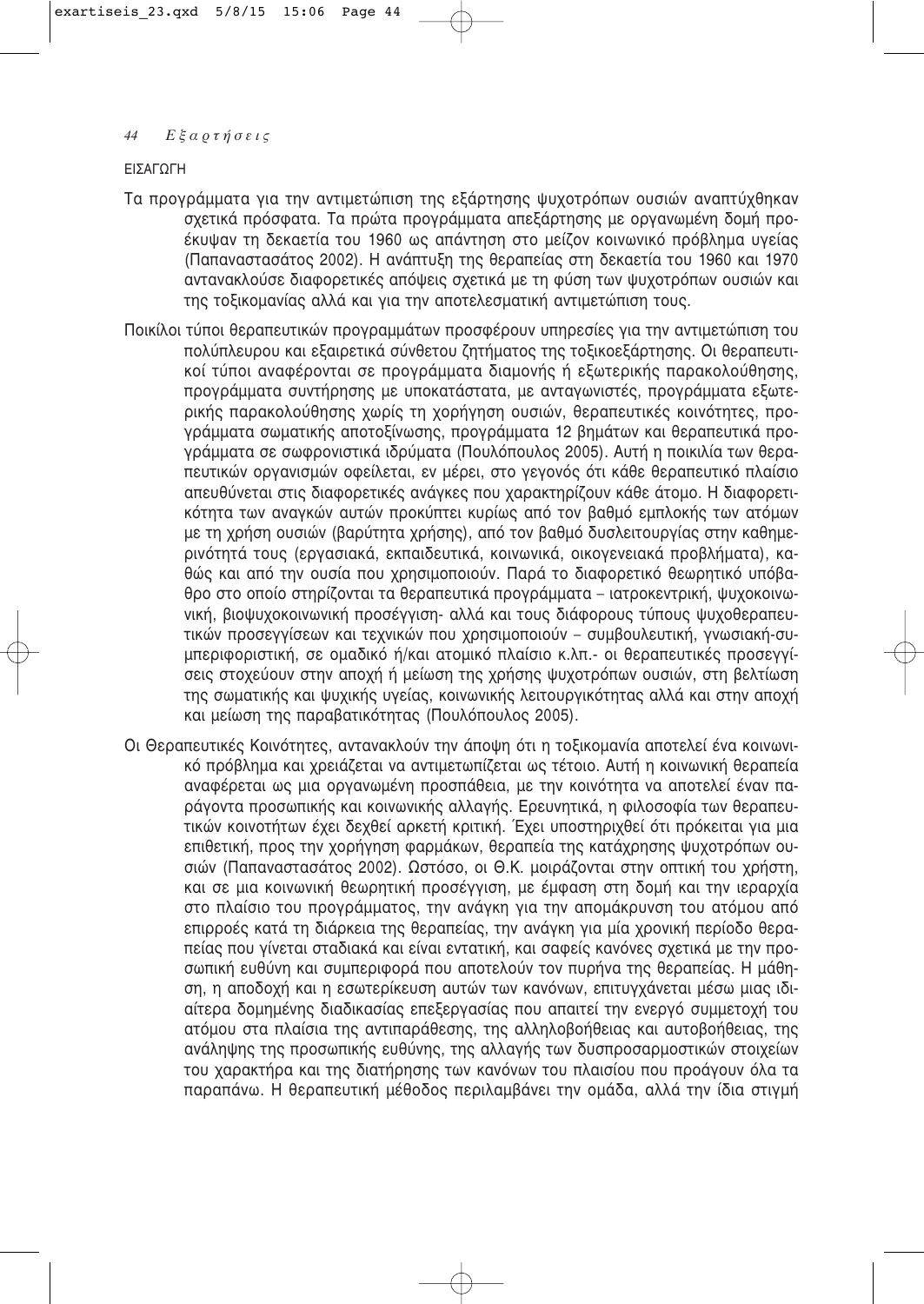**FIΣAΓOΓH** 

- Τα προγράμματα για την αντιμετώπιση της εξάρτησης ψυχοτρόπων ουσιών αναπτύχθηκαν σχετικά πρόσφατα. Τα πρώτα προγράμματα απεξάρτησης με οργανωμένη δομή προέκυψαν τη δεκαετία του 1960 ως απάντηση στο μείζον κοινωνικό πρόβλημα υγείας (Παπαναστασάτος 2002). Η ανάπτυξη της θεραπείας στη δεκαετία του 1960 και 1970 αντανακλούσε διαφορετικές απόψεις σχετικά με τη φύση των ψυχοτρόπων ουσιών και της τοξικομανίας αλλά και για την αποτελεσματική αντιμετώπιση τους.
- Ποικίλοι τύποι θεραπευτικών προγραμμάτων προσφέρουν υπηρεσίες για την αντιμετώπιση του πολύπλευρου και εξαιρετικά σύνθετου ζητήματος της τοξικοεξάρτησης. Οι θεραπευτικοί τύποι αναφέρονται σε προγράμματα διαμονής ή εξωτερικής παρακολούθησης, προγράμματα συντήρησης με υποκατάστατα, με ανταγωνιστές, προγράμματα εξωτερικής παρακολούθησης χωρίς τη χορήγηση ουσιών, θεραπευτικές κοινότητες, προγράμματα σωματικής αποτοξίνωσης, προγράμματα 12 βημάτων και θεραπευτικά προγράμματα σε σωφρονιστικά ιδρύματα (Πουλόπουλος 2005). Αυτή η ποικιλία των θεραπευτικών οργανισμών οφείλεται, εν μέρει, στο γεγονός ότι κάθε θεραπευτικό πλαίσιο απευθύνεται στις διαφορετικές ανάγκες που χαρακτηρίζουν κάθε άτομο. Η διαφορετικότητα των αναγκών αυτών προκύπτει κυρίως από τον βαθμό εμπλοκής των ατόμων με τη χρήση ουσιών (βαρύτητα χρήσης), από τον βαθμό δυσλειτουργίας στην καθημερινότητά τους (εργασιακά, εκπαιδευτικά, κοινωνικά, οικονενειακά προβλήματα), καθώς και από την ουσία που χρησιμοποιούν. Παρά το διαφορετικό θεωρητικό υπόβαθρο στο οποίο στηρίζονται τα θεραπευτικά προγράμματα – ιατροκεντρική, ψυχοκοινω-VIΚή, βιοψυχοκοινωνική προσέγγιση- αλλά και τους διάφορους τύπους ψυχοθεραπευτικών προσεγγίσεων και τεχνικών που χρησιμοποιούν – συμβουλευτική, γνωσιακή-συμπεριφοριστική, σε ομαδικό ή/και ατομικό πλαίσιο κ.λπ.- οι θεραπευτικές προσεγγίσεις στοχεύουν στην αποχή ή μείωση της χρήσης ψυχοτρόπων ουσιών, στη βελτίωση της σωματικής και ψυχικής υνείας, κοινωνικής λειτουργικότητας αλλά και στην αποχή και μείωση της παραβατικότητας (Πουλόπουλος 2005).
- Οι Θεραπευτικές Κοινότητες, αντανακλούν την άποψη ότι η τοξικομανία αποτελεί ένα κοινωνι-Κό πρόβλημα και χρειάζεται να αντιμετωπίζεται ως τέτοιο. Αυτή η κοινωνική θεραπεία αναφέρεται ως μια οργανωμένη προσπάθεια, με την κοινότητα να αποτελεί έναν παράγοντα προσωπικής και κοινωνικής αλλαγής. Ερευνητικά, η φιλοσοφία των θεραπευτικών κοινοτήτων έχει δεχθεί αρκετή κριτική. Έχει υποστηριχθεί ότι πρόκειται για μια επιθετική, προς την χορήγηση φαρμάκων, θεραπεία της κατάχρησης ψυχοτρόπων ουσιών (Παπαναστασάτος 2002). Ωστόσο, οι Θ.Κ. μοιράζονται στην οπτική του χρήστη, και σε μια κοινωνική θεωρητική προσέννιση, με έμφαση στη δομή και την ιεραρχία στο πλαίσιο του προγράμματος, την ανάγκη για την απομάκρυνση του ατόμου από επιρροές κατά τη διάρκεια της θεραπείας, την ανάγκη για μία χρονική περίοδο θεραπείας που γίνεται σταδιακά και είναι εντατική, και σαφείς κανόνες σχετικά με την προσωπική ευθύνη και συμπεριφορά που αποτελούν τον πυρήνα της θεραπείας. Η μάθηση, η αποδοχή και η εσωτερίκευση αυτών των κανόνων, επιτυγχάνεται μέσω μιας ιδιαίτερα δομημένης διαδικασίας επεξερνασίας που απαιτεί την ενερνό συμμετοχή του ατόμου στα πλαίσια της αντιπαράθεσης, της αλληλοβοήθειας και αυτοβοήθειας, της ανάληψης της προσωπικής ευθύνης, της αλλαγής των δυσπροσαρμοστικών στοιχείων του χαρακτήρα και της διατήρησης των κανόνων του πλαισίου που προάγουν όλα τα παραπάνω. Η θεραπευτική μέθοδος περιλαμβάνει την ομάδα, αλλά την ίδια στιγμή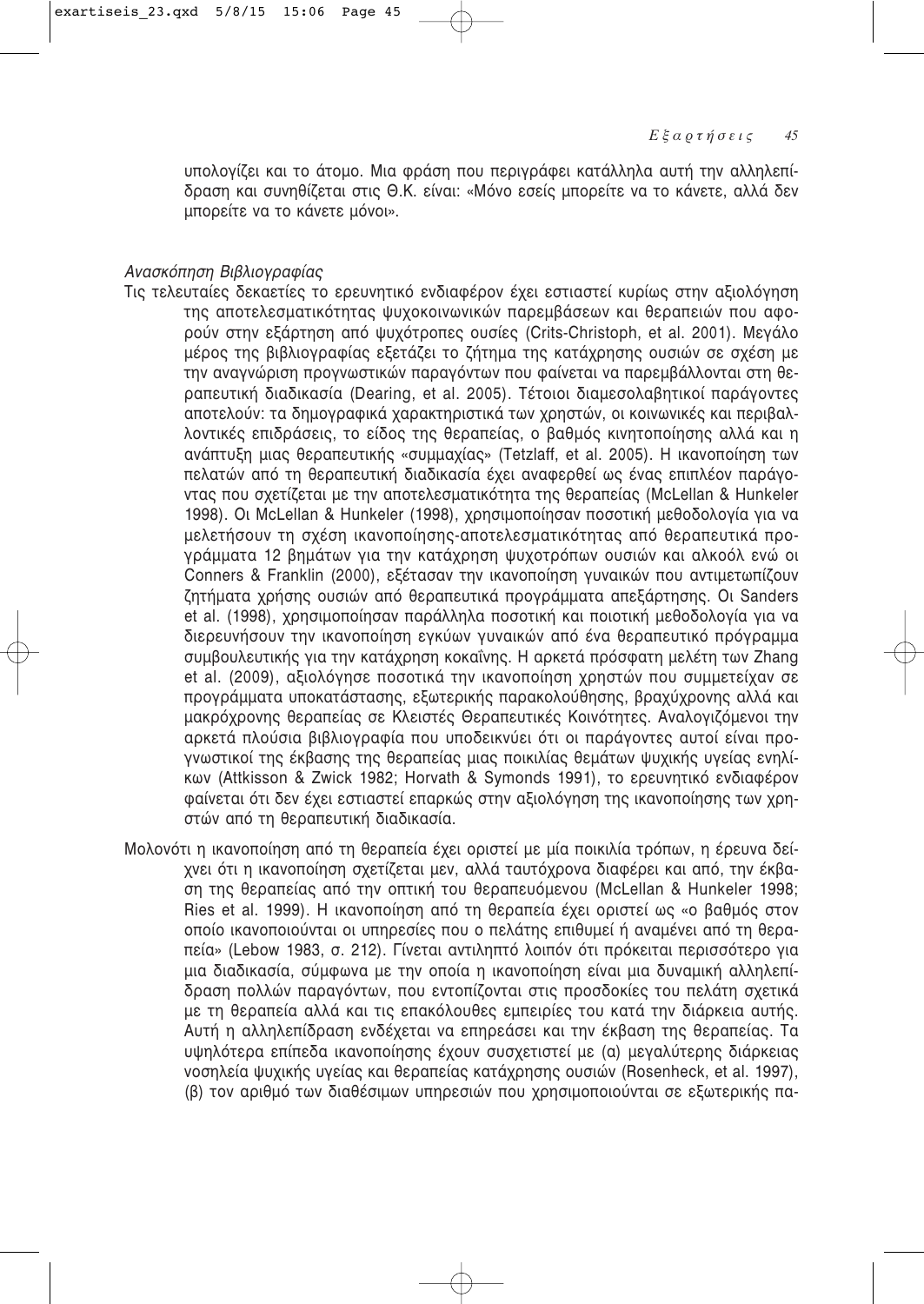υπολογίζει και το άτομο. Μια φράση που περιγράφει κατάλληλα αυτή την αλληλεπίδραση και συνηθίζεται στις Θ.Κ. είναι: «Μόνο εσείς μπορείτε να το κάνετε, αλλά δεν μπορείτε να το κάνετε μόνοι».

## *Avaσκόπηση Βιβλιονραφίας*

- Τις τελευταίες δεκαετίες το ερευνητικό ενδιαφέρον έχει εστιαστεί κυρίως στην αξιολόγηση της αποτελεσματικότητας ψυχοκοινωνικών παρεμβάσεων και θεραπειών που αφορούν στην εξάρτηση από ψυχότροπες ουσίες (Crits-Christoph, et al. 2001). Μενάλο μέρος της βιβλιονραφίας εξετάζει το ζήτημα της κατάχρησης ουσιών σε σχέση με την αναγνώριση προγνωστικών παραγόντων που φαίνεται να παρεμβάλλονται στη θεραπευτική διαδικασία (Dearing, et al. 2005). Τέτοιοι διαμεσολαβητικοί παράγοντες αποτελούν: τα δημογραφικά χαρακτηριστικά των χρηστών, οι κοινωνικές και περιβαλλοντικές επιδράσεις, το είδος της θεραπείας, ο βαθμός κινητοποίησης αλλά και η ανάπτυξη μιας θεραπευτικής «συμμαχίας» (Tetzlaff, et al. 2005). Η ικανοποίηση των πελατών από τη θεραπευτική διαδικασία έχει αναφερθεί ως ένας επιπλέον παράγοντας που σχετίζεται με την αποτελεσματικότητα της θεραπείας (McLellan & Hunkeler 1998). Oι McLellan & Hunkeler (1998), χρησιμοποίησαν ποσοτική μεθοδολογία για να μελετήσουν τη σχέση ικανοποίησης-αποτελεσματικότητας από θεραπευτικά προγράμματα 12 βημάτων για την κατάχρηση ψυχοτρόπων ουσιών και αλκοόλ ενώ οι Conners & Franklin (2000), εξέτασαν την ικανοποίηση γυναικών που αντιμετωπίζουν ζητήματα χρήσης ουσιών από θεραπευτικά προγράμματα απεξάρτησης. Οι Sanders et al. (1998), χρησιμοποίησαν παράλληλα ποσοτική και ποιοτική μεθοδολογία για να διερευνήσουν την ικανοποίηση εγκύων γυναικών από ένα θεραπευτικό πρόγραμμα συμβουλευτικής για την κατάχρηση κοκαΐνης. Η αρκετά πρόσφατη μελέτη των Zhang et al. (2009), αξιολόγησε ποσοτικά την ικανοποίηση χρηστών που συμμετείχαν σε προγράμματα υποκατάστασης, εξωτερικής παρακολούθησης, βραχύχρονης αλλά και μακρόχρονης θεραπείας σε Κλειστές Θεραπευτικές Κοινότητες. Αναλογιζόμενοι την αρκετά πλούσια βιβλιογραφία που υποδεικνύει ότι οι παράγοντες αυτοί είναι προγνωστικοί της έκβασης της θεραπείας μιας ποικιλίας θεμάτων ψυχικής υγείας ενηλί-Kων (Attkisson & Zwick 1982; Horvath & Symonds 1991), το ερευνητικό ενδιαφέρον φαίνεται ότι δεν έχει εστιαστεί επαρκώς στην αξιολόγηση της ικανοποίησης των χρηστών από τη θεραπευτική διαδικασία.
- Μολονότι η ικανοποίηση από τη θεραπεία έχει οριστεί με μία ποικιλία τρόπων, η έρευνα δείχνει ότι η ικανοποίηση σχετίζεται μεν, αλλά ταυτόχρονα διαφέρει και από, την έκβαση της θεραπείας από την οπτική του θεραπευόμενου (McLellan & Hunkeler 1998; Ries et al. 1999). Η ικανοποίηση από τη θεραπεία έχει οριστεί ως «ο βαθμός στον οποίο ικανοποιούνται οι υπηρεσίες που ο πελάτης επιθυμεί ή αναμένει από τη θεραπεία» (Lebow 1983, σ. 212). Γίνεται αντιληπτό λοιπόν ότι πρόκειται περισσότερο για μια διαδικασία, σύμφωνα με την οποία η ικανοποίηση είναι μια δυναμική αλληλεπίδραση πολλών παραγόντων, που εντοπίζονται στις προσδοκίες του πελάτη σχετικά με τη θεραπεία αλλά και τις επακόλουθες εμπειρίες του κατά την διάρκεια αυτής. Aυτή η αλληλεπίδραση ενδέχεται να επηρεάσει και την έκβαση της θεραπείας. Τα υψηλότερα επίπεδα ικανοποίησης έχουν συσχετιστεί με (α) μεγαλύτερης διάρκειας voσηλεία ψυχικής υγείας και θεραπείας κατάχρησης ουσιών (Rosenheck, et al. 1997), (β) τον αριθμό των διαθέσιμων υπηρεσιών που χρησιμοποιούνται σε εξωτερικής πα-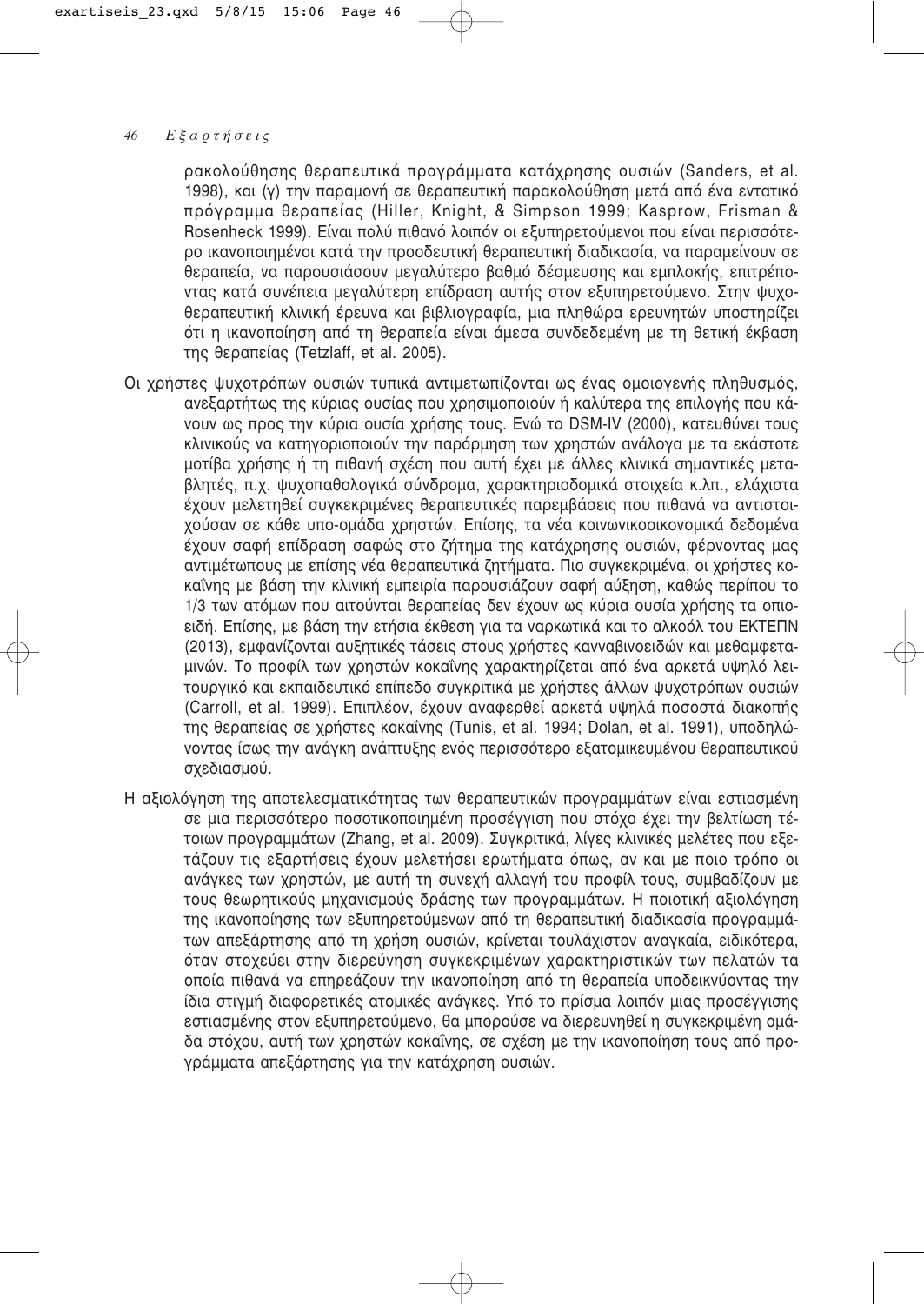ρακολούθησης θεραπευτικά προγράμματα κατάχρησης ουσιών (Sanders, et al. 1998), και (γ) την παραμονή σε θεραπευτική παρακολούθηση μετά από ένα εντατικό πρόγραμμα θεραπείας (Hiller, Knight, & Simpson 1999; Kasprow, Frisman & Rosenheck 1999). Είναι πολύ πιθανό λοιπόν οι εξυπηρετούμενοι που είναι περισσότερο ικανοποιημένοι κατά την προοδευτική θεραπευτική διαδικασία, να παραμείνουν σε θεραπεία, να παρουσιάσουν μεγαλύτερο βαθμό δέσμευσης και εμπλοκής, επιτρέποντας κατά συνέπεια μεγαλύτερη επίδραση αυτής στον εξυπηρετούμενο. Στην ψυχοθεραπευτική κλινική έρευνα και βιβλιογραφία, μια πληθώρα ερευνητών υποστηρίζει ότι η ικανοποίηση από τη θεραπεία είναι άμεσα συνδεδεμένη με τη θετική έκβαση της θεραπείας (Tetzlaff, et al. 2005).

- Οι χρήστες ψυχοτρόπων ουσιών τυπικά αντιμετωπίζονται ως ένας ομοιογενής πληθυσμός, ανεξαρτήτως της κύριας ουσίας που χρησιμοποιούν ή καλύτερα της επιλογής που κά-VOUV ως προς την κύρια ουσία χρήσης τους. Ενώ το DSM-IV (2000), κατευθύνει τους κλινικούς να κατηγοριοποιούν την παρόρμηση των χρηστών ανάλογα με τα εκάστοτε μοτίβα χρήσης ή τη πιθανή σχέση που αυτή έχει με άλλες κλινικά σημαντικές μεταβλητές, π.χ. ψυχοπαθολογικά σύνδρομα, χαρακτηριοδομικά στοιχεία κ.λπ., ελάχιστα έχουν μελετηθεί συγκεκριμένες θεραπευτικές παρεμβάσεις που πιθανά να αντιστοιγούσαν σε κάθε υπο-ομάδα χρηστών. Επίσης, τα νέα κοινωνικοοικονομικά δεδομένα έχουν σαφή επίδραση σαφώς στο ζήτημα της κατάχρησης ουσιών, φέρνοντας μας αντιμέτωπους με επίσης νέα θεραπευτικά ζητήματα. Πιο συγκεκριμένα, οι χρήστες κοκαΐνης με βάση την κλινική εμπειρία παρουσιάζουν σαφή αύξηση, καθώς περίπου το 1/3 των ατόμων που αιτούνται θεραπείας δεν έχουν ως κύρια ουσία χρήσης τα οπιοειδή. Επίσης, με βάση την ετήσια έκθεση για τα ναρκωτικά και το αλκοόλ του ΕΚΤΕΠΝ (2013), εμφανίζονται αυξητικές τάσεις στους χρήστες κανναβινοειδών και μεθαμφεταμινών. Το προφίλ των χρηστών κοκαΐνης χαρακτηρίζεται από ένα αρκετά υψηλό λειτουργικό και εκπαιδευτικό επίπεδο συγκριτικά με χρήστες άλλων ψυχοτρόπων ουσιών (Carroll, et al. 1999). Επιπλέον, έχουν αναφερθεί αρκετά υψηλά ποσοστά διακοπής της θεραπείας σε χρήστες κοκαΐνης (Tunis, et al. 1994; Dolan, et al. 1991), υποδηλώνοντας ίσως την ανάγκη ανάπτυξης ενός περισσότερο εξατομικευμένου θεραπευτικού σχεδιασμού.
- Η αξιολόγηση της αποτελεσματικότητας των θεραπευτικών προγραμμάτων είναι εστιασμένη σε μια περισσότερο ποσοτικοποιημένη προσέγγιση που στόχο έχει την βελτίωση τέτοιων προγραμμάτων (Zhang, et al. 2009). Συγκριτικά, λίγες κλινικές μελέτες που εξετάζουν τις εξαρτήσεις έχουν μελετήσει ερωτήματα όπως, αν και με ποιο τρόπο οι ανάγκες των χρηστών, με αυτή τη συνεχή αλλαγή του προφίλ τους, συμβαδίζουν με τους θεωρητικούς μηχανισμούς δράσης των προγραμμάτων. Η ποιοτική αξιολόγηση της ικανοποίησης των εξυπηρετούμενων από τη θεραπευτική διαδικασία προγραμμάτων απεξάρτησης από τη χρήση ουσιών, κρίνεται τουλάχιστον αναγκαία, ειδικότερα, όταν στοχεύει στην διερεύνηση συγκεκριμένων χαρακτηριστικών των πελατών τα οποία πιθανά να επηρεάζουν την ικανοποίηση από τη θεραπεία υποδεικνύοντας την ίδια στινμή διαφορετικές ατομικές ανάνκες. Υπό το πρίσμα λοιπόν μιας προσέννισης εστιασμένης στον εξυπηρετούμενο, θα μπορούσε να διερευνηθεί η συγκεκριμένη ομάδα στόχου, αυτή των χρηστών κοκαΐνης, σε σχέση με την ικανοποίηση τους από προγράμματα απεξάρτησης για την κατάχρηση ουσιών.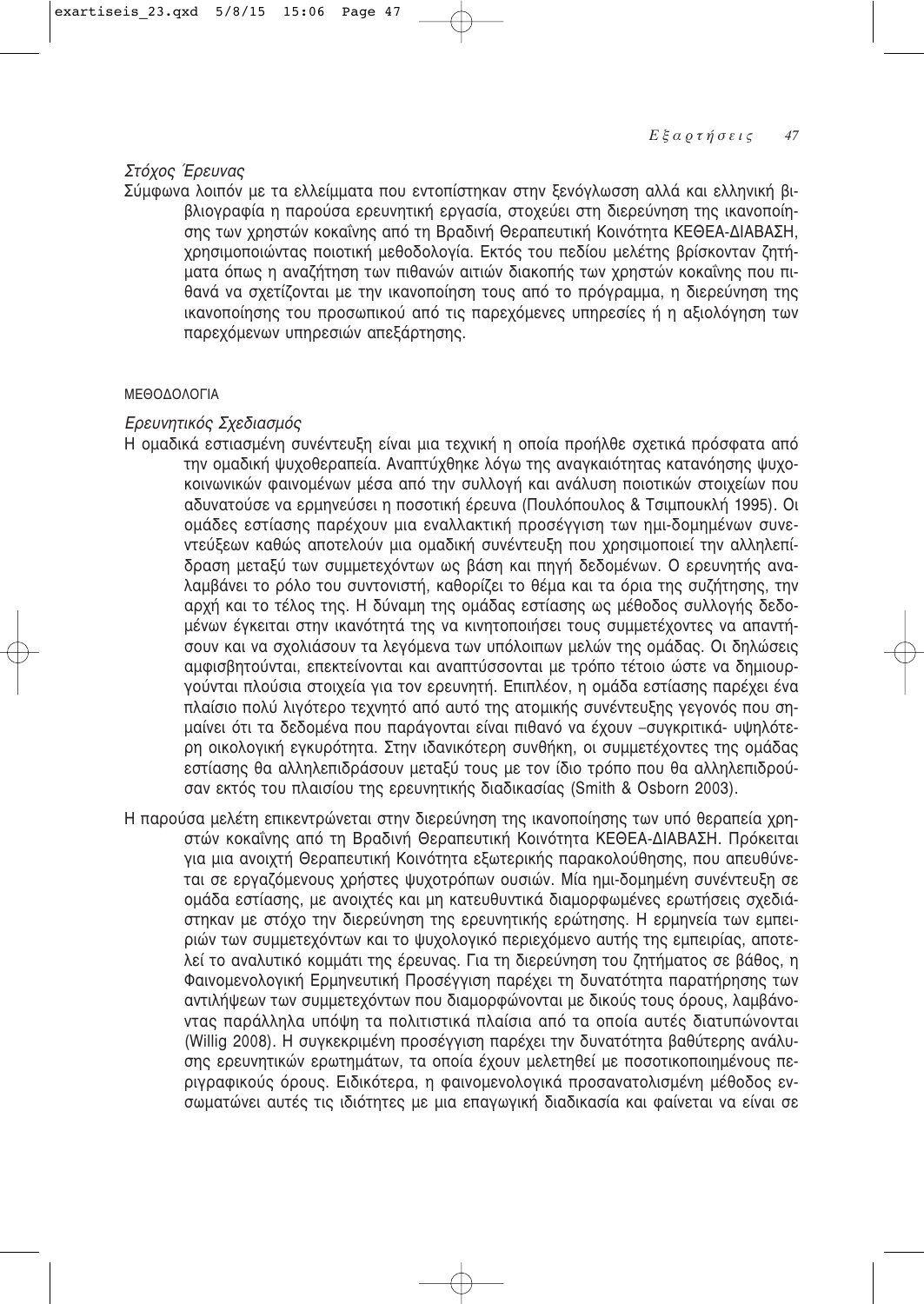# Στόχος Έρευνας

Σύμφωνα λοιπόν με τα ελλείμματα που εντοπίστηκαν στην ξενόγλωσση αλλά και ελληνική βιβλιογραφία η παρούσα ερευνητική εργασία, στοχεύει στη διερεύνηση της ικανοποίησης των χρηστών κοκαΐνης από τη Βραδινή Θεραπευτική Κοινότητα ΚΕΘΕΑ-ΔΙΑΒΑΣΗ, χρησιμοποιώντας ποιοτική μεθοδολογία. Εκτός του πεδίου μελέτης βρίσκονταν ζητήματα όπως η αναζήτηση των πιθανών αιτιών διακοπής των χρηστών κοκαΐνης που πιθανά να σχετίζονται με την ικανοποίηση τους από το πρόγραμμα, η διερεύνηση της ικανοποίησης του προσωπικού από τις παρεχόμενες υπηρεσίες ή η αξιολόγηση των παρεχόμενων υπηρεσιών απεξάρτησης.

# ΜΕΘΟΔΟΛΟΓΙΑ

# *<i>Ēρευνητικός Σχεδιασμός*

- Η ομαδικά εστιασμένη συνέντευξη είναι μια τεχνική η οποία προήλθε σχετικά πρόσφατα από την ομαδική ψυχοθεραπεία. Αναπτύχθηκε λόγω της αναγκαιότητας κατανόησης ψυχοκοινωνικών φαινομένων μέσα από την συλλογή και ανάλυση ποιοτικών στοιχείων που αδυνατούσε να ερμηνεύσει η ποσοτική έρευνα (Πουλόπουλος & Τσιμπουκλή 1995). Οι ομάδες εστίασης παρέχουν μια εναλλακτική προσέγγιση των ημι-δομημένων συνε-VΤεύξεων καθώς αποτελούν μια ομαδική συνέντευξη που χρησιμοποιεί την αλληλεπίδραση μεταξύ των συμμετεχόντων ως βάση και πηγή δεδομένων. Ο ερευνητής αναλαμβάνει το ρόλο του συντονιστή, καθορίζει το θέμα και τα όρια της συζήτησης, την αρχή και το τέλος της. Η δύναμη της ομάδας εστίασης ως μέθοδος συλλογής δεδομένων έγκειται στην ικανότητά της να κινητοποιήσει τους συμμετέχοντες να απαντήσουν και να σχολιάσουν τα λεγόμενα των υπόλοιπων μελών της ομάδας. Οι δηλώσεις αμφισβητούνται, επεκτείνονται και αναπτύσσονται με τρόπο τέτοιο ώστε να δημιουργούνται πλούσια στοιχεία για τον ερευνητή. Επιπλέον, η ομάδα εστίασης παρέχει ένα πλαίσιο πολύ λιγότερο τεχνητό από αυτό της ατομικής συνέντευξης γεγονός που σημαίνει ότι τα δεδομένα που παράγονται είναι πιθανό να έχουν -συγκριτικά- υψηλότερη οικολογική εγκυρότητα. Στην ιδανικότερη συνθήκη, οι συμμετέχοντες της ομάδας εστίασης θα αλληλεπιδράσουν μεταξύ τους με τον ίδιο τρόπο που θα αλληλεπιδρούσαν εκτός του πλαισίου της ερευνητικής διαδικασίας (Smith & Osborn 2003).
- Η παρούσα μελέτη επικεντρώνεται στην διερεύνηση της ικανοποίησης των υπό θεραπεία χρηστών κοκαΐνης από τη Βραδινή Θεραπευτική Κοινότητα ΚΕΘΕΑ-ΔΙΑΒΑΣΗ. Πρόκειται για μια ανοιχτή Θεραπευτική Κοινότητα εξωτερικής παρακολούθησης, που απευθύνεται σε εργαζόμενους χρήστες ψυχοτρόπων ουσιών. Μία ημι-δομημένη συνέντευξη σε ομάδα εστίασης, με ανοιχτές και μη κατευθυντικά διαμορφωμένες ερωτήσεις σχεδιάστηκαν με στόχο την διερεύνηση της ερευνητικής ερώτησης. Η ερμηνεία των εμπειριών των συμμετεχόντων και το ψυχολογικό περιεχόμενο αυτής της εμπειρίας, αποτελεί το αναλυτικό κομμάτι της έρευνας. Για τη διερεύνηση του ζητήματος σε βάθος, η Φαινομενολογική Ερμηνευτική Προσέγγιση παρέχει τη δυνατότητα παρατήρησης των αντιλήψεων των συμμετεχόντων που διαμορφώνονται με δικούς τους όρους, λαμβάνοντας παράλληλα υπόψη τα πολιτιστικά πλαίσια από τα οποία αυτές διατυπώνονται (Willig 2008). Η συγκεκριμένη προσέγγιση παρέχει την δυνατότητα βαθύτερης ανάλυσης ερευνητικών ερωτημάτων, τα οποία έχουν μελετηθεί με ποσοτικοποιημένους περιγραφικούς όρους. Ειδικότερα, η φαινομενολογικά προσανατολισμένη μέθοδος ενσωματώνει αυτές τις ιδιότητες με μια επαγωγική διαδικασία και φαίνεται να είναι σε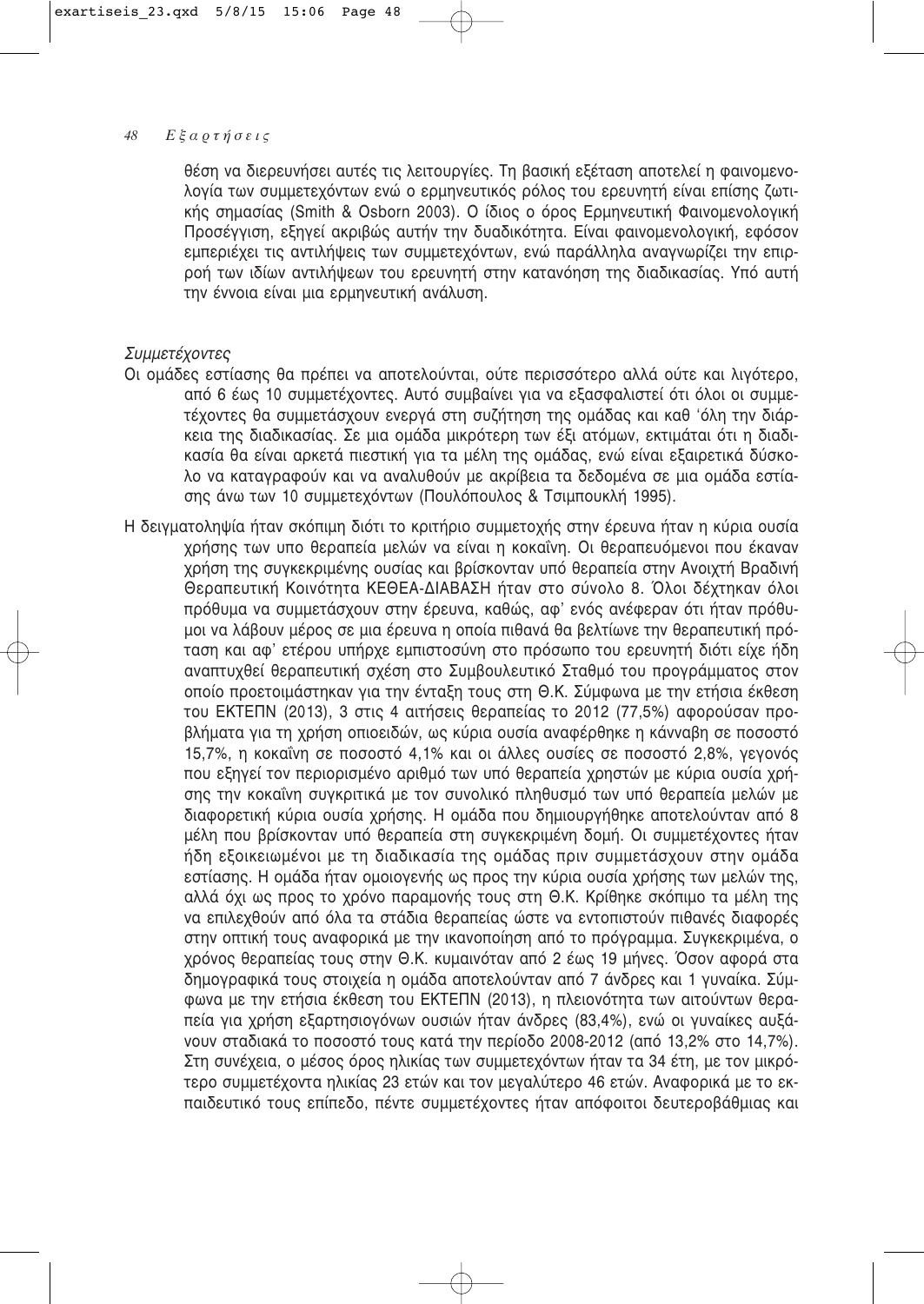θέση να διερευνήσει αυτές τις λειτουργίες. Τη βασική εξέταση αποτελεί η φαινομενολογία των συμμετεχόντων ενώ ο ερμηνευτικός ρόλος του ερευνητή είναι επίσης ζωτικής σημασίας (Smith & Osborn 2003). Ο ίδιος ο όρος Ερμηνευτική Φαινομενολογική Προσέγγιση, εξηγεί ακριβώς αυτήν την δυαδικότητα. Είναι φαινομενολογική, εφόσον εμπεριέχει τις αντιλήψεις των συμμετεχόντων, ενώ παράλληλα αναγνωρίζει την επιρροή των ιδίων αντιλήψεων του ερευνητή στην κατανόηση της διαδικασίας. Υπό αυτή την έννοια είναι μια ερμηνευτική ανάλυση.

# Συμμετέχοντες

- Οι ομάδες εστίασης θα πρέπει να αποτελούνται, ούτε περισσότερο αλλά ούτε και λινότερο, από 6 έως 10 συμμετέχοντες. Αυτό συμβαίνει για να εξασφαλιστεί ότι όλοι οι συμμετέχοντες θα συμμετάσχουν ενερνά στη συζήτηση της ομάδας και καθ 'όλη την διάρ-Κεια της διαδικασίας. Σε μια ομάδα μικρότερη των έξι ατόμων, εκτιμάται ότι η διαδικασία θα είναι αρκετά πιεστική για τα μέλη της ομάδας, ενώ είναι εξαιρετικά δύσκολο να καταγραφούν και να αναλυθούν με ακρίβεια τα δεδομένα σε μια ομάδα εστίασης άνω των 10 συμμετεχόντων (Πουλόπουλος & Τσιμπουκλή 1995).
- Η δειγματοληψία ήταν σκόπιμη διότι το κριτήριο συμμετοχής στην έρευνα ήταν η κύρια ουσία χρήσης των υπο θεραπεία μελών να είναι η κοκαΐνη. Οι θεραπευόμενοι που έκαναν χρήση της συγκεκριμένης ουσίας και βρίσκονταν υπό θεραπεία στην Ανοιχτή Βραδινή Θεραπευτική Κοινότητα ΚΕΘΕΑ-ΔΙΑΒΑΣΗ ήταν στο σύνολο 8. Όλοι δέχτηκαν όλοι πρόθυμα να συμμετάσχουν στην έρευνα, καθώς, αφ' ενός ανέφεραν ότι ήταν πρόθυμοι να λάβουν μέρος σε μια έρευνα η οποία πιθανά θα βελτίωνε την θεραπευτική πρόταση και αφ' ετέρου υπήρχε εμπιστοσύνη στο πρόσωπο του ερευνητή διότι είχε ήδη αναπτυχθεί θεραπευτική σχέση στο Συμβουλευτικό Σταθμό του προνράμματος στον οποίο προετοιμάστηκαν για την ένταξη τους στη Θ.Κ. Σύμφωνα με την ετήσια έκθεση του ΕΚΤΕΠΝ (2013), 3 στις 4 αιτήσεις θεραπείας το 2012 (77,5%) αφορούσαν προβλήματα για τη χρήση οπιοειδών, ως κύρια ουσία αναφέρθηκε η κάνναβη σε ποσοστό 15,7%, η κοκαΐνη σε ποσοστό 4,1% και οι άλλες ουσίες σε ποσοστό 2,8%, γεγονός που εξηνεί τον περιορισμένο αριθμό των υπό θεραπεία χρηστών με κύρια ουσία χρήσης την κοκαΐνη συγκριτικά με τον συνολικό πληθυσμό των υπό θεραπεία μελών με διαφορετική κύρια ουσία χρήσης. Η ομάδα που δημιουργήθηκε αποτελούνταν από 8 μέλη που βρίσκονταν υπό θεραπεία στη συγκεκριμένη δομή. Οι συμμετέχοντες ήταν ήδη εξοικειωμένοι με τη διαδικασία της ομάδας πριν συμμετάσχουν στην ομάδα εστίασης. Η ομάδα ήταν ομοιογενής ως προς την κύρια ουσία χρήσης των μελών της, αλλά όχι ως προς το χρόνο παραμονής τους στη Θ.Κ. Κρίθηκε σκόπιμο τα μέλη της να επιλεχθούν από όλα τα στάδια θεραπείας ώστε να εντοπιστούν πιθανές διαφορές στην οπτική τους αναφορικά με την ικανοποίηση από το πρόγραμμα. Συγκεκριμένα, ο χρόνος θεραπείας τους στην Θ.Κ. κυμαινόταν από 2 έως 19 μήνες. Όσον αφορά στα δημογραφικά τους στοιχεία η ομάδα αποτελούνταν από 7 άνδρες και 1 γυναίκα. Σύμφωνα με την ετήσια έκθεση του ΕΚΤΕΠΝ (2013), η πλειονότητα των αιτούντων θεραπεία για χρήση εξαρτησιογόνων ουσιών ήταν άνδρες (83,4%), ενώ οι γυναίκες αυξά-VOUV σταδιακά το ποσοστό τους κατά την περίοδο 2008-2012 (από 13,2% στο 14,7%). Στη συνέχεια, ο μέσος όρος ηλικίας των συμμετεχόντων ήταν τα 34 έτη, με τον μικρότερο συμμετέχοντα ηλικίας 23 ετών και τον μεγαλύτερο 46 ετών. Αναφορικά με το εκπαιδευτικό τους επίπεδο, πέντε συμμετέχοντες ήταν απόφοιτοι δευτεροβάθμιας και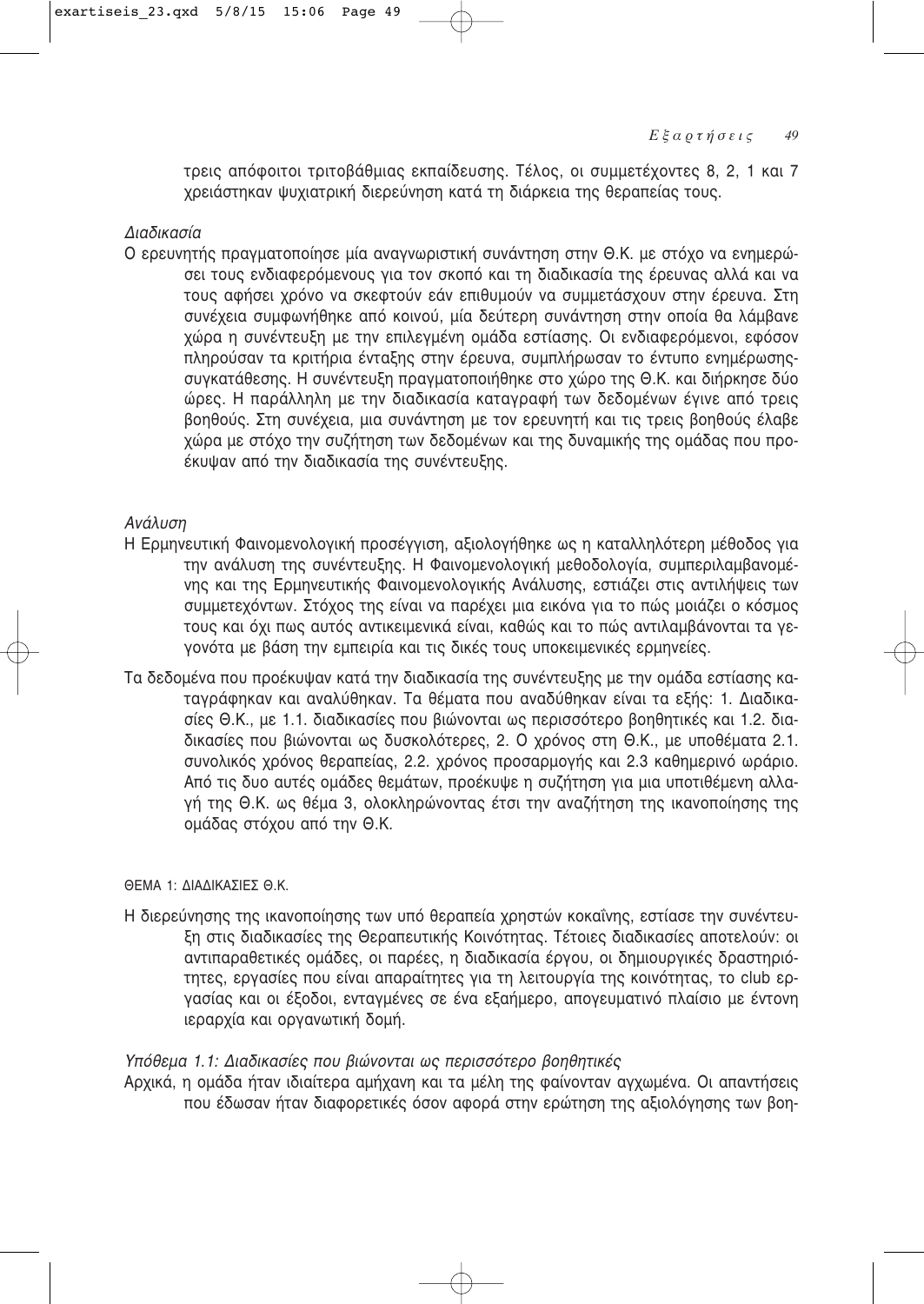τρεις απόφοιτοι τριτοβάθμιας εκπαίδευσης. Τέλος, οι συμμετέχοντες 8, 2, 1 και 7 χρειάστηκαν ψυχιατρική διερεύνηση κατά τη διάρκεια της θεραπείας τους.

# Διαδικασία

Ο ερευνητής πραγματοποίησε μία αναγνωριστική συνάντηση στην Θ.Κ. με στόχο να ενημερώσει τους ενδιαφερόμενους για τον σκοπό και τη διαδικασία της έρευνας αλλά και να τους αφήσει χρόνο να σκεφτούν εάν επιθυμούν να συμμετάσχουν στην έρευνα. Στη συνέχεια συμφωνήθηκε από κοινού, μία δεύτερη συνάντηση στην οποία θα λάμβανε χώρα η συνέντευξη με την επιλεγμένη ομάδα εστίασης. Οι ενδιαφερόμενοι, εφόσον πληρούσαν τα κριτήρια ένταξης στην έρευνα, συμπλήρωσαν το έντυπο ενημέρωσηςσυγκατάθεσης. Η συνέντευξη πραγματοποιήθηκε στο χώρο της Θ.Κ. και διήρκησε δύο ώρες. Η παράλληλη με την διαδικασία καταγραφή των δεδομένων έγινε από τρεις βοηθούς. Στη συνέχεια, μια συνάντηση με τον ερευνητή και τις τρεις βοηθούς έλαβε χώρα με στόχο την συζήτηση των δεδομένων και της δυναμικής της ομάδας που προέκυψαν από την διαδικασία της συνέντευξης.

# Ανάλυση

- Η Ερμηνευτική Φαινομενολογική προσέγγιση, αξιολογήθηκε ως η καταλληλότερη μέθοδος για την ανάλυση της συνέντευξης. Η Φαινομενολογική μεθοδολογία, συμπεριλαμβανομένης και της Ερμηνευτικής Φαινομενολογικής Ανάλυσης, εστιάζει στις αντιλήψεις των συμμετεχόντων. Στόχος της είναι να παρέχει μια εικόνα για το πώς μοιάζει ο κόσμος τους και όχι πως αυτός αντικειμενικά είναι, καθώς και το πώς αντιλαμβάνονται τα γεγονότα με βάση την εμπειρία και τις δικές τους υποκειμενικές ερμηνείες.
- Τα δεδομένα που προέκυψαν κατά την διαδικασία της συνέντευξης με την ομάδα εστίασης καταγράφηκαν και αναλύθηκαν. Τα θέματα που αναδύθηκαν είναι τα εξής: 1. Διαδικασίες Θ.Κ., με 1.1. διαδικασίες που βιώνονται ως περισσότερο βοηθητικές και 1.2. διαδικασίες που βιώνονται ως δυσκολότερες, 2. Ο χρόνος στη Θ.Κ., με υποθέματα 2.1. συνολικός χρόνος θεραπείας, 2.2. χρόνος προσαρμογής και 2.3 καθημερινό ωράριο. Από τις δυο αυτές ομάδες θεμάτων, προέκυψε η συζήτηση για μια υποτιθέμενη αλλαγή της Θ.Κ. ως θέμα 3, ολοκληρώνοντας έτσι την αναζήτηση της ικανοποίησης της ομάδας στόχου από την Θ.Κ.

# ΘΕΜΑ 1: ΛΙΑΛΙΚΑΣΙΕΣ Θ.Κ.

Η διερεύνησης της ικανοποίησης των υπό θεραπεία χρηστών κοκαΐνης, εστίασε την συνέντευξη στις διαδικασίες της Θεραπευτικής Κοινότητας. Τέτοιες διαδικασίες αποτελούν: οι αντιπαραθετικές ομάδες, οι παρέες, η διαδικασία έργου, οι δημιουργικές δραστηριότητες, εργασίες που είναι απαραίτητες για τη λειτουργία της κοινότητας, το club εργασίας και οι έξοδοι, ενταγμένες σε ένα εξαήμερο, απογευματινό πλαίσιο με έντονη ιεραρχία και οργανωτική δομή.

## Υπόθεμα 1.1: Διαδικασίες που βιώνονται ως περισσότερο βοηθητικές

Αρχικά, η ομάδα ήταν ιδιαίτερα αμήχανη και τα μέλη της φαίνονταν αγχωμένα. Οι απαντήσεις που έδωσαν ήταν διαφορετικές όσον αφορά στην ερώτηση της αξιολόγησης των βοη-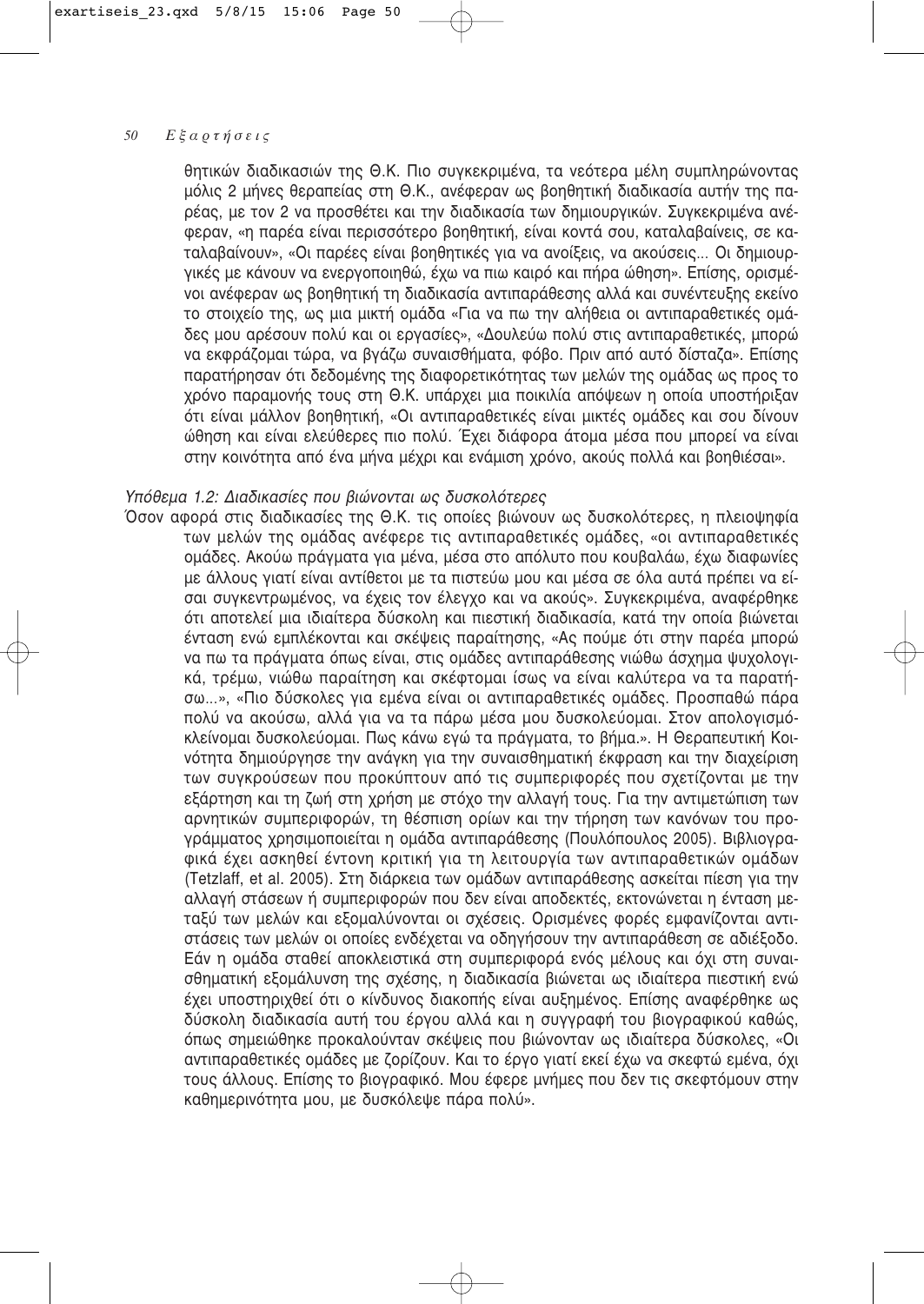θητικών διαδικασιών της Θ.Κ. Πιο συγκεκριμένα, τα νεότερα μέλη συμπληρώνοντας μόλις 2 μήνες θεραπείας στη Θ.Κ., ανέφεραν ως βοηθητική διαδικασία αυτήν της παρέας, με τον 2 να προσθέτει και την διαδικασία των δημιουργικών. Συγκεκριμένα ανέφεραν, «η παρέα είναι περισσότερο βοηθητική, είναι κοντά σου, καταλαβαίνεις, σε καταλαβαίνουν», «Οι παρέες είναι βοηθητικές για να ανοίξεις, να ακούσεις... Οι δημιουργικές με κάνουν να ενεργοποιηθώ, έχω να πιω καιρό και πήρα ώθηση». Επίσης, ορισμένοι ανέφεραν ως βοηθητική τη διαδικασία αντιπαράθεσης αλλά και συνέντευξης εκείνο το στοιχείο της, ως μια μικτή ομάδα «Για να πω την αλήθεια οι αντιπαραθετικές ομάδες μου αρέσουν πολύ και οι εργασίες», «Δουλεύω πολύ στις αντιπαραθετικές, μπορώ να εκφράζομαι τώρα, να βγάζω συναισθήματα, φόβο. Πριν από αυτό δίσταζα», Επίσης παρατήρησαν ότι δεδομένης της διαφορετικότητας των μελών της ομάδας ως προς το χρόνο παραμονής τους στη Θ.Κ. υπάρχει μια ποικιλία απόψεων η οποία υποστήριξαν ότι είναι μάλλον βοηθητική, «Οι αντιπαραθετικές είναι μικτές ομάδες και σου δίνουν ώθηση και είναι ελεύθερες πιο πολύ. Έχει διάφορα άτομα μέσα που μπορεί να είναι στην κοινότητα από ένα μήνα μέχρι και ενάμιση χρόνο, ακούς πολλά και βοηθιέσαι»,

# Υπόθεμα 1.2: Διαδικασίες που βιώνονται ως δυσκολότερες

Όσον αφορά στις διαδικασίες της Θ.Κ. τις οποίες βιώνουν ως δυσκολότερες, η πλειοψηφία των μελών της ομάδας ανέφερε τις αντιπαραθετικές ομάδες, «οι αντιπαραθετικές ομάδες. Ακούω πράγματα για μένα, μέσα στο απόλυτο που κουβαλάω, έχω διαφωνίες με άλλους γιατί είναι αντίθετοι με τα πιστεύω μου και μέσα σε όλα αυτά πρέπει να είσαι συγκεντρωμένος, να έχεις τον έλεγχο και να ακούς». Συγκεκριμένα, αναφέρθηκε ότι αποτελεί μια ιδιαίτερα δύσκολη και πιεστική διαδικασία, κατά την οποία βιώνεται ένταση ενώ εμπλέκονται και σκέψεις παραίτησης, «Ας πούμε ότι στην παρέα μπορώ να πω τα πράγματα όπως είναι, στις ομάδες αντιπαράθεσης γιώθω άσχημα ψυχολογικά, τρέμω, νιώθω παραίτηση και σκέφτομαι ίσως να είναι καλύτερα να τα παρατήσω...», «Πιο δύσκολες για εμένα είναι οι αντιπαραθετικές ομάδες. Προσπαθώ πάρα πολύ να ακούσω, αλλά για να τα πάρω μέσα μου δυσκολεύομαι. Στον απολογισμόκλείνομαι δυσκολεύομαι. Πως κάνω εγώ τα πράγματα, το βήμα.». Η Θεραπευτική Κοινότητα δημιούργησε την ανάγκη για την συναισθηματική έκφραση και την διαχείριση των συγκρούσεων που προκύπτουν από τις συμπεριφορές που σχετίζονται με την εξάρτηση και τη ζωή στη χρήση με στόχο την αλλαγή τους. Για την αντιμετώπιση των αρνητικών συμπεριφορών, τη θέσπιση ορίων και την τήρηση των κανόνων του προγράμματος χρησιμοποιείται η ομάδα αντιπαράθεσης (Πουλόπουλος 2005). Βιβλιογραφικά έχει ασκηθεί έντονη κριτική για τη λειτουργία των αντιπαραθετικών ομάδων (Tetzlaff, et al. 2005). Στη διάρκεια των ομάδων αντιπαράθεσης ασκείται πίεση για την αλλαγή στάσεων ή συμπεριφορών που δεν είναι αποδεκτές, εκτονώνεται η ένταση μεταξύ των μελών και εξομαλύνονται οι σχέσεις. Ορισμένες φορές εμφανίζονται αντιστάσεις των μελών οι οποίες ενδέχεται να οδηγήσουν την αντιπαράθεση σε αδιέξοδο. Εάν η ομάδα σταθεί αποκλειστικά στη συμπεριφορά ενός μέλους και όχι στη συναισθηματική εξομάλυνση της σχέσης, η διαδικασία βιώνεται ως ιδιαίτερα πιεστική ενώ έχει υποστηριχθεί ότι ο κίνδυνος διακοπής είναι αυξημένος. Επίσης αναφέρθηκε ως δύσκολη διαδικασία αυτή του έργου αλλά και η συγγραφή του βιογραφικού καθώς, όπως σημειώθηκε προκαλούνταν σκέψεις που βιώνονταν ως ιδιαίτερα δύσκολες, «Οι αντιπαραθετικές ομάδες με ζορίζουν. Και το έργο γιατί εκεί έχω να σκεφτώ εμένα, όχι τους άλλους. Επίσης το βιογραφικό. Μου έφερε μνήμες που δεν τις σκεφτόμουν στην καθημερινότητα μου, με δυσκόλεψε πάρα πολύ».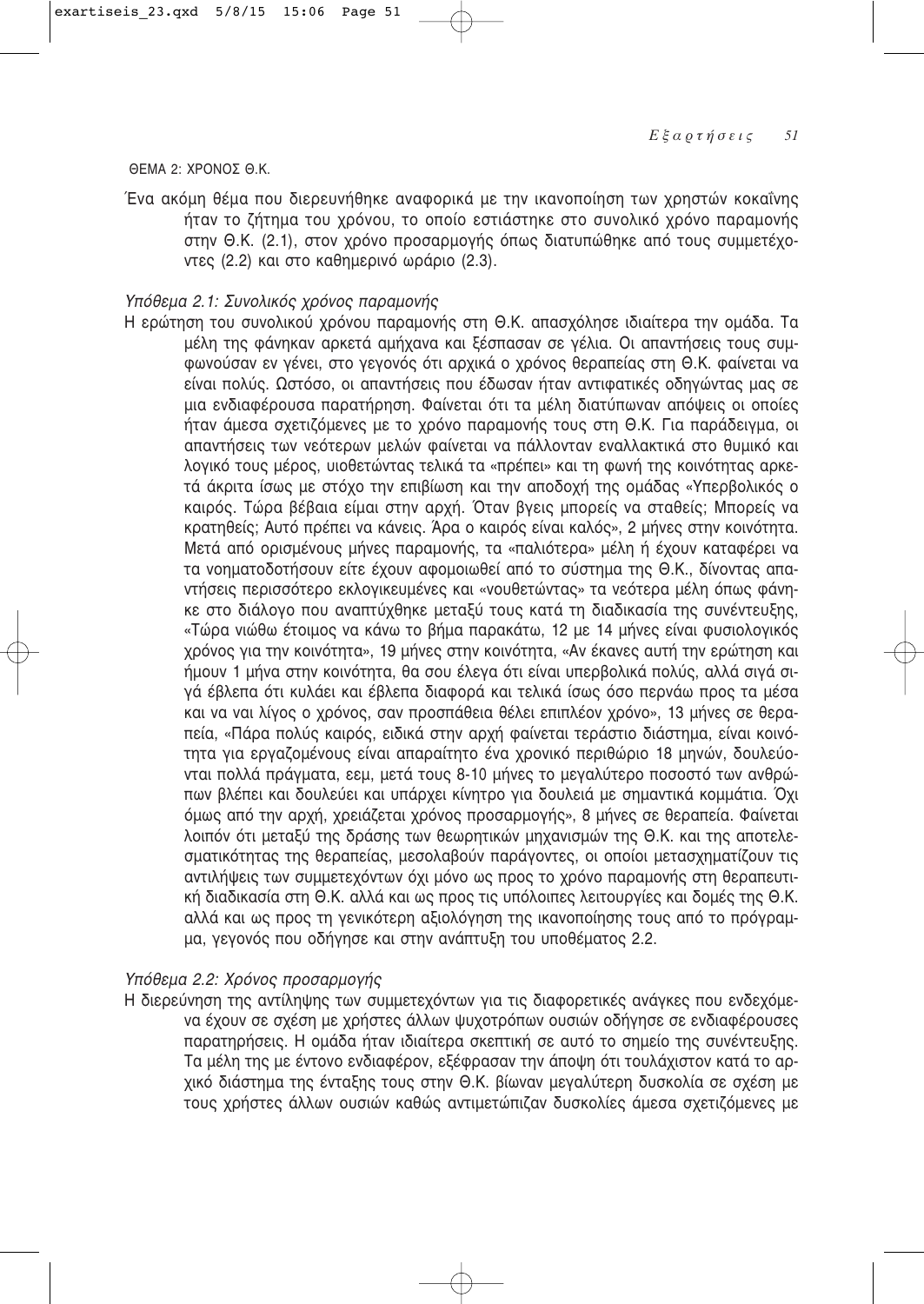#### ΘΕΜΑ 2: ΧΡΟΝΟΣ Θ.Κ.

Ένα ακόμη θέμα που διερευνήθηκε αναφορικά με την ικανοποίηση των χρηστών κοκαΐνης ήταν το ζήτημα του χρόνου, το οποίο εστιάστηκε στο συνολικό χρόνο παραμονής στην Θ.Κ. (2.1), στον χρόνο προσαρμογής όπως διατυπώθηκε από τους συμμετέχοντες (2.2) και στο καθημερινό ωράριο (2.3).

# Υπόθεμα 2.1: Συνολικός χρόνος παραμονής

Η ερώτηση του συνολικού χρόνου παραμονής στη Θ.Κ. απασχόλησε ιδιαίτερα την ομάδα. Τα μέλη της φάνηκαν αρκετά αμήχανα και ξέσπασαν σε γέλια. Οι απαντήσεις τους συμφωνούσαν εν γένει, στο γεγονός ότι αρχικά ο χρόνος θεραπείας στη Θ.Κ. φαίνεται να είναι πολύς. Ωστόσο, οι απαντήσεις που έδωσαν ήταν αντιφατικές οδηγώντας μας σε μια ενδιαφέρουσα παρατήρηση. Φαίνεται ότι τα μέλη διατύπωναν απόψεις οι οποίες ήταν άμεσα σχετιζόμενες με το χρόνο παραμονής τους στη Θ.Κ. Για παράδειγμα, οι απαντήσεις των νεότερων μελών φαίνεται να πάλλονταν εναλλακτικά στο θυμικό και λογικό τους μέρος, υιοθετώντας τελικά τα «πρέπει» και τη φωνή της κοινότητας αρκετά άκριτα ίσως με στόχο την επιβίωση και την αποδοχή της ομάδας «Υπερβολικός ο καιρός. Τώρα βέβαια είμαι στην αρχή. Όταν βγεις μπορείς να σταθείς; Μπορείς να κρατηθείς; Αυτό πρέπει να κάνεις. Άρα ο καιρός είναι καλός», 2 μήνες στην κοινότητα. Μετά από ορισμένους μήνες παραμονής, τα «παλιότερα» μέλη ή έχουν καταφέρει να τα νοηματοδοτήσουν είτε έχουν αφομοιωθεί από το σύστημα της Θ.Κ., δίνοντας απαντήσεις περισσότερο εκλογικευμένες και «νουθετώντας» τα νεότερα μέλη όπως φάνηκε στο διάλογο που αναπτύχθηκε μεταξύ τους κατά τη διαδικασία της συνέντευξης, «Τώρα νιώθω έτοιμος να κάνω το βήμα παρακάτω, 12 με 14 μήνες είναι φυσιολογικός χρόνος για την κοινότητα», 19 μήνες στην κοινότητα, «Αν έκανες αυτή την ερώτηση και ήμουν 1 μήνα στην κοινότητα, θα σου έλεγα ότι είναι υπερβολικά πολύς, αλλά σιγά σιγά έβλεπα ότι κυλάει και έβλεπα διαφορά και τελικά ίσως όσο περνάω προς τα μέσα και να ναι λίγος ο χρόνος, σαν προσπάθεια θέλει επιπλέον χρόνο», 13 μήνες σε θεραπεία, «Πάρα πολύς καιρός, ειδικά στην αρχή φαίνεται τεράστιο διάστημα, είναι κοινότητα για εργαζομένους είναι απαραίτητο ένα χρονικό περιθώριο 18 μηνών, δουλεύονται πολλά πράγματα, εεμ, μετά τους 8-10 μήνες το μεγαλύτερο ποσοστό των ανθρώπων βλέπει και δουλεύει και υπάρχει κίνητρο για δουλειά με σημαντικά κομμάτια. Όχι όμως από την αρχή, χρειάζεται χρόνος προσαρμογής», 8 μήνες σε θεραπεία. Φαίνεται λοιπόν ότι μεταξύ της δράσης των θεωρητικών μηχανισμών της Θ.Κ. και της αποτελεσματικότητας της θεραπείας, μεσολαβούν παράγοντες, οι οποίοι μετασχηματίζουν τις αντιλήψεις των συμμετεχόντων όχι μόνο ως προς το χρόνο παραμονής στη θεραπευτική διαδικασία στη Θ.Κ. αλλά και ως προς τις υπόλοιπες λειτουργίες και δομές της Θ.Κ. αλλά και ως προς τη γενικότερη αξιολόγηση της ικανοποίησης τους από το πρόγραμμα, γεγονός που οδήγησε και στην ανάπτυξη του υποθέματος 2.2.

# Υπόθεμα 2.2: Χρόνος προσαρμογής

Η διερεύνηση της αντίληψης των συμμετεχόντων για τις διαφορετικές ανάγκες που ενδεχόμενα έχουν σε σχέση με χρήστες άλλων ψυχοτρόπων ουσιών οδήγησε σε ενδιαφέρουσες παρατηρήσεις. Η ομάδα ήταν ιδιαίτερα σκεπτική σε αυτό το σημείο της συνέντευξης. Τα μέλη της με έντονο ενδιαφέρον, εξέφρασαν την άποψη ότι τουλάχιστον κατά το αρχικό διάστημα της ένταξης τους στην Θ.Κ. βίωναν μεγαλύτερη δυσκολία σε σχέση με τους χρήστες άλλων ουσιών καθώς αντιμετώπιζαν δυσκολίες άμεσα σχετιζόμενες με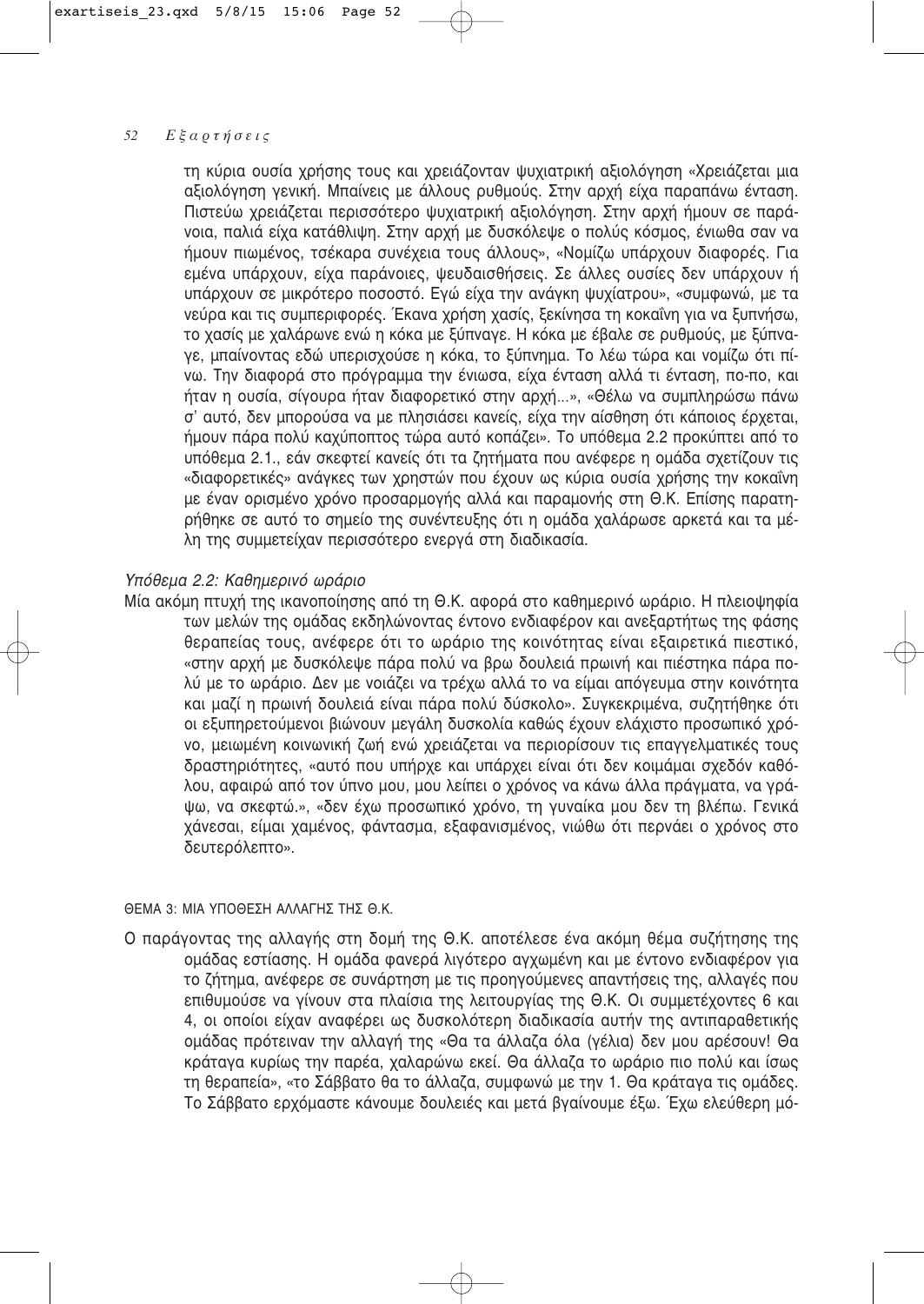τη κύρια ουσία χρήσης τους και χρειάζονταν ψυχιατρική αξιολόγηση «Χρειάζεται μια αξιολόγηση γενική. Μπαίνεις με άλλους ρυθμούς. Στην αρχή είχα παραπάνω ένταση. Πιστεύω χρειάζεται περισσότερο ψυχιατρική αξιολόγηση. Στην αρχή ήμουν σε παράνοια, παλιά είχα κατάθλιψη. Στην αρχή με δυσκόλεψε ο πολύς κόσμος, ένιωθα σαν να ήμουν πιωμένος, τσέκαρα συνέχεια τους άλλους», «Νομίζω υπάρχουν διαφορές. Για εμένα υπάρχουν, είχα παράνοιες, ψευδαισθήσεις. Σε άλλες ουσίες δεν υπάρχουν ή υπάρχουν σε μικρότερο ποσοστό. Εγώ είχα την ανάγκη ψυχίατρου», «συμφωνώ, με τα νεύρα και τις συμπεριφορές. Έκανα χρήση χασίς, ξεκίνησα τη κοκαΐνη για να ξυπνήσω, το χασίς με χαλάρωνε ενώ η κόκα με ξύπναγε. Η κόκα με έβαλε σε ρυθμούς, με ξύπναγε, μπαίνοντας εδώ υπερισχούσε η κόκα, το ξύπνημα. Το λέω τώρα και νομίζω ότι πίνω. Την διαφορά στο πρόγραμμα την ένιωσα, είχα ένταση αλλά τι ένταση, πο-πο, και ήταν η ουσία, σίγουρα ήταν διαφορετικό στην αρχή...», «Θέλω να συμπληρώσω πάνω σ' αυτό, δεν μπορούσα να με πλησιάσει κανείς, είχα την αίσθηση ότι κάποιος έρχεται, ήμουν πάρα πολύ καχύποπτος τώρα αυτό κοπάζει». Το υπόθεμα 2.2 προκύπτει από το υπόθεμα 2.1., εάν σκεφτεί κανείς ότι τα ζητήματα που ανέφερε η ομάδα σχετίζουν τις «διαφορετικές» ανάνκες των χρηστών που έχουν ως κύρια ουσία χρήσης την κοκαΐνη με έναν ορισμένο χρόνο προσαρμογής αλλά και παραμονής στη Θ.Κ. Επίσης παρατηρήθηκε σε αυτό το σημείο της συνέντευξης ότι η ομάδα χαλάρωσε αρκετά και τα μέλη της συμμετείχαν περισσότερο ενεργά στη διαδικασία.

# Υπόθεμα 2.2: Καθημερινό ωράριο

Μία ακόμη πτυχή της ικανοποίησης από τη Θ.Κ. αφορά στο καθημερινό ωράριο. Η πλειοψηφία των μελών της ομάδας εκδηλώνοντας έντονο ενδιαφέρον και ανεξαρτήτως της φάσης θεραπείας τους, ανέφερε ότι το ωράριο της κοινότητας είναι εξαιρετικά πιεστικό, «στην αρχή με δυσκόλεψε πάρα πολύ να βρω δουλειά πρωινή και πιέστηκα πάρα πολύ με το ωράριο. Δεν με νοιάζει να τρέχω αλλά το να είμαι απόγευμα στην κοινότητα και μαζί η πρωινή δουλειά είναι πάρα πολύ δύσκολο». Συνκεκριμένα, συζητήθηκε ότι οι εξυπηρετούμενοι βιώνουν μεγάλη δυσκολία καθώς έχουν ελάχιστο προσωπικό χρόνο, μειωμένη κοινωνική ζωή ενώ χρειάζεται να περιορίσουν τις επαννελματικές τους δραστηριότητες, «αυτό που υπήρχε και υπάρχει είναι ότι δεν κοιμάμαι σχεδόν καθόλου, αφαιρώ από τον ύπνο μου, μου λείπει ο χρόνος να κάνω άλλα πράγματα, να γράψω, να σκεφτώ.», «δεν έχω προσωπικό χρόνο, τη γυναίκα μου δεν τη βλέπω. Γενικά χάνεσαι, είμαι χαμένος, φάντασμα, εξαφανισμένος, νιώθω ότι περνάει ο χρόνος στο δευτερόλεπτο».

## ΘΕΜΑ 3: ΜΙΑ ΥΠΟΘΕΣΗ ΑΛΛΑΓΗΣ ΤΗΣ Θ.Κ.

Ο παράγοντας της αλλαγής στη δομή της Θ.Κ. αποτέλεσε ένα ακόμη θέμα συζήτησης της ομάδας εστίασης. Η ομάδα φανερά λιγότερο αγχωμένη και με έντονο ενδιαφέρον για το ζήτημα, ανέφερε σε συνάρτηση με τις προηγούμενες απαντήσεις της, αλλαγές που επιθυμούσε να γίνουν στα πλαίσια της λειτουργίας της Θ.Κ. Οι συμμετέχοντες 6 και 4, οι οποίοι είχαν αναφέρει ως δυσκολότερη διαδικασία αυτήν της αντιπαραθετικής ομάδας πρότειναν την αλλαγή της «Θα τα άλλαζα όλα (γέλια) δεν μου αρέσουν! Θα κράταγα κυρίως την παρέα, χαλαρώνω εκεί. Θα άλλαζα το ωράριο πιο πολύ και ίσως τη θεραπεία», «το Σάββατο θα το άλλαζα, συμφωνώ με την 1. Θα κράταγα τις ομάδες. Το Σάββατο ερχόμαστε κάνουμε δουλειές και μετά βγαίνουμε έξω. Έχω ελεύθερη μό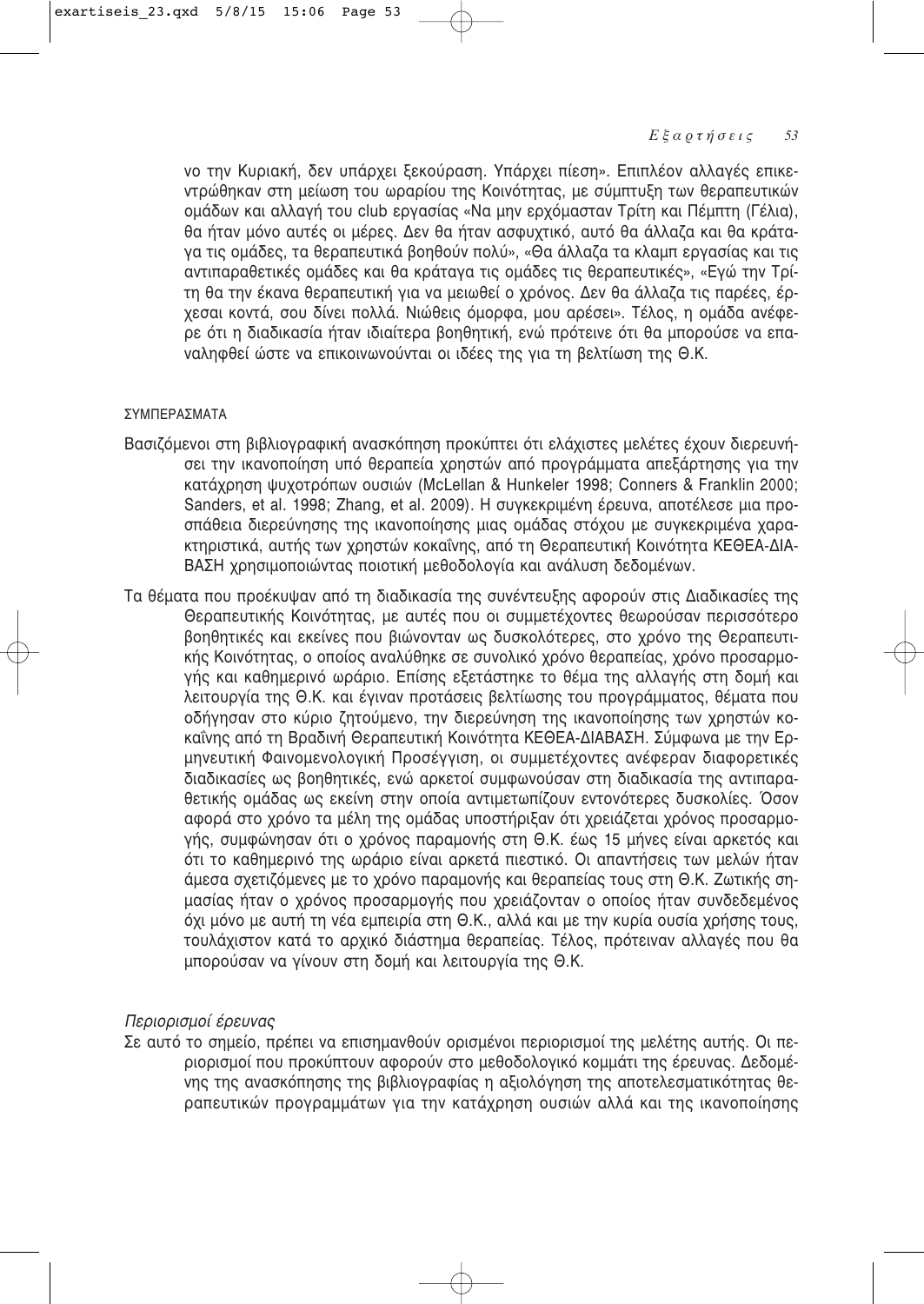νο την Κυριακή, δεν υπάρχει ξεκούραση. Υπάρχει πίεση». Επιπλέον αλλαγές επικεντρώθηκαν στη μείωση του ωραρίου της Κοινότητας, με σύμπτυξη των θεραπευτικών ομάδων και αλλαγή του club εργασίας «Να μην ερχόμασταν Τρίτη και Πέμπτη (Γέλια), θα ήταν μόνο αυτές οι μέρες. Δεν θα ήταν ασφυχτικό, αυτό θα άλλαζα και θα κράτανα τις ομάδες, τα θεραπευτικά βοηθούν πολύ», «Θα άλλαζα τα κλαμπ εργασίας και τις αντιπαραθετικές ομάδες και θα κράταγα τις ομάδες τις θεραπευτικές», «Εγώ την Τρίτη θα την έκανα θεραπευτική για να μειωθεί ο χρόνος. Δεν θα άλλαζα τις παρέες, έρχεσαι κοντά, σου δίνει πολλά, Νιώθεις όμορφα, μου αρέσει», Τέλος, η ομάδα ανέφερε ότι η διαδικασία ήταν ιδιαίτερα βοηθητική, ενώ πρότεινε ότι θα μπορούσε να επαναληφθεί ώστε να επικοινωνούνται οι ιδέες της για τη βελτίωση της Θ.Κ.

# ΣΥΜΠΕΡΑΣΜΑΤΑ

- Βασιζόμενοι στη βιβλιογραφική ανασκόπηση προκύπτει ότι ελάχιστες μελέτες έχουν διερευνήσει την ικανοποίηση υπό θεραπεία χρηστών από προγράμματα απεξάρτησης για την κατάχρηση ψυχοτρόπων ουσιών (McLellan & Hunkeler 1998; Conners & Franklin 2000; Sanders, et al. 1998; Zhang, et al. 2009). Η συγκεκριμένη έρευνα, αποτέλεσε μια προσπάθεια διερεύνησης της ικανοποίησης μιας ομάδας στόχου με συγκεκριμένα χαρακτηριστικά, αυτής των χρηστών κοκαΐνης, από τη Θεραπευτική Κοινότητα ΚΕΘΕΑ-ΔΙΑ-ΒΑΣΗ χρησιμοποιώντας ποιοτική μεθοδολογία και ανάλυση δεδομένων.
- Τα θέματα που προέκυψαν από τη διαδικασία της συνέντευξης αφορούν στις Διαδικασίες της Θεραπευτικής Κοινότητας, με αυτές που οι συμμετέχοντες θεωρούσαν περισσότερο βοηθητικές και εκείνες που βιώνονταν ως δυσκολότερες, στο χρόνο της Θεραπευτικής Κοινότητας, ο οποίος αναλύθηκε σε συνολικό χρόνο θεραπείας, χρόνο προσαρμογής και καθημερινό ωράριο. Επίσης εξετάστηκε το θέμα της αλλαγής στη δομή και λειτουργία της Θ.Κ. και έγιναν προτάσεις βελτίωσης του προγράμματος, θέματα που οδήγησαν στο κύριο ζητούμενο, την διερεύνηση της ικανοποίησης των χρηστών κοκαΐνης από τη Βραδινή Θεραπευτική Κοινότητα ΚΕΘΕΑ-ΔΙΑΒΑΣΗ. Σύμφωνα με την Ερμηνευτική Φαινομενολογική Προσέγγιση, οι συμμετέχοντες ανέφεραν διαφορετικές διαδικασίες ως βοηθητικές, ενώ αρκετοί συμφωνούσαν στη διαδικασία της αντιπαραθετικής ομάδας ως εκείνη στην οποία αντιμετωπίζουν εντονότερες δυσκολίες. Όσον αφορά στο χρόνο τα μέλη της ομάδας υποστήριξαν ότι χρειάζεται χρόνος προσαρμογής, συμφώνησαν ότι ο χρόνος παραμονής στη Θ.Κ. έως 15 μήνες είναι αρκετός και ότι το καθημερινό της ωράριο είναι αρκετά πιεστικό. Οι απαντήσεις των μελών ήταν άμεσα σχετιζόμενες με το χρόνο παραμονής και θεραπείας τους στη Θ.Κ. Ζωτικής σημασίας ήταν ο χρόνος προσαρμογής που χρειάζονταν ο οποίος ήταν συνδεδεμένος όχι μόνο με αυτή τη νέα εμπειρία στη Θ.Κ., αλλά και με την κυρία ουσία χρήσης τους, τουλάχιστον κατά το αρχικό διάστημα θεραπείας. Τέλος, πρότειναν αλλαγές που θα μπορούσαν να γίνουν στη δομή και λειτουργία της Θ.Κ.

# Περιορισμοί έρευνας

Σε αυτό το σημείο, πρέπει να επισημανθούν ορισμένοι περιορισμοί της μελέτης αυτής. Οι περιορισμοί που προκύπτουν αφορούν στο μεθοδολογικό κομμάτι της έρευνας. Δεδομένης της ανασκόπησης της βιβλιογραφίας η αξιολόγηση της αποτελεσματικότητας θεραπευτικών προγραμμάτων για την κατάχρηση ουσιών αλλά και της ικανοποίησης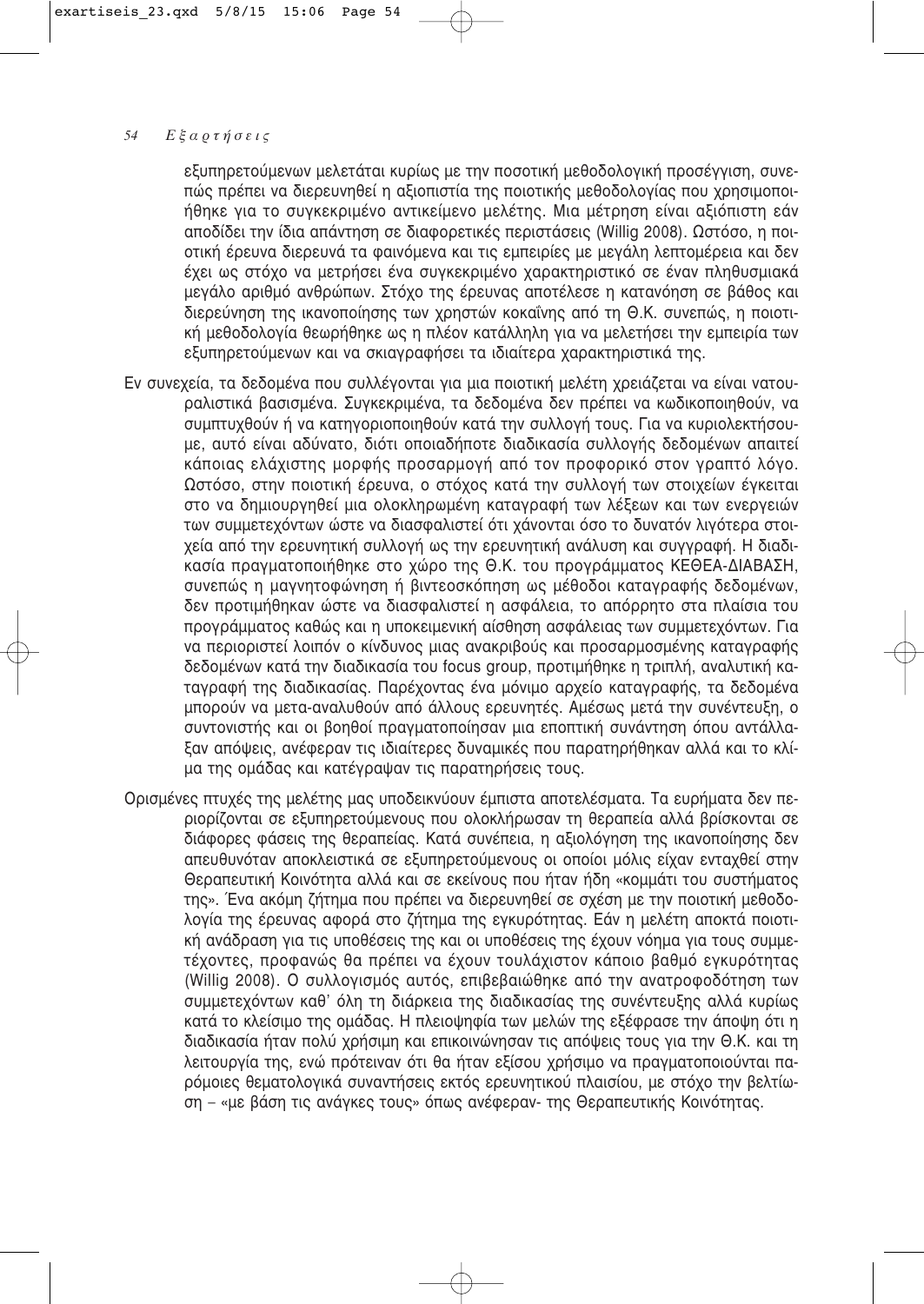εξυπηρετούμενων μελετάται κυρίως με την ποσοτική μεθοδολογική προσέγγιση, συνεπώς πρέπει να διερευνηθεί η αξιοπιστία της ποιοτικής μεθοδολογίας που χρησιμοποιήθηκε για το συγκεκριμένο αντικείμενο μελέτης. Μια μέτρηση είναι αξιόπιστη εάν αποδίδει την ίδια απάντηση σε διαφορετικές περιστάσεις (Willig 2008). Ωστόσο, η ποιοτική έρευνα διερευνά τα φαινόμενα και τις εμπειρίες με μεγάλη λεπτομέρεια και δεν έχει ως στόχο να μετρήσει ένα συγκεκριμένο χαρακτηριστικό σε έναν πληθυσμιακά μεγάλο αριθμό ανθρώπων. Στόχο της έρευνας αποτέλεσε η κατανόηση σε βάθος και διερεύνηση της ικανοποίησης των χρηστών κοκαΐνης από τη Θ.Κ. συνεπώς, η ποιοτική μεθοδολογία θεωρήθηκε ως η πλέον κατάλληλη για να μελετήσει την εμπειρία των εξυπηρετούμενων και να σκιαγραφήσει τα ιδιαίτερα χαρακτηριστικά της.

- Εν συνεχεία, τα δεδομένα που συλλέγονται για μια ποιοτική μελέτη χρειάζεται να είναι νατουραλιστικά βασισμένα. Συγκεκριμένα, τα δεδομένα δεν πρέπει να κωδικοποιηθούν, να συμπτυχθούν ή να κατηνοριοποιηθούν κατά την συλλονή τους. Για να κυριολεκτήσουμε, αυτό είναι αδύνατο, διότι οποιαδήποτε διαδικασία συλλογής δεδομένων απαιτεί κάποιας ελάχιστης μορφής προσαρμογή από τον προφορικό στον γραπτό λόγο. Ωστόσο, στην ποιοτική έρευνα, ο στόχος κατά την συλλογή των στοιχείων ένκειται στο να δημιουργηθεί μια ολοκληρωμένη καταγραφή των λέξεων και των ενεργειών των συμμετεχόντων ώστε να διασφαλιστεί ότι χάνονται όσο το δυνατόν λιγότερα στοιχεία από την ερευνητική συλλογή ως την ερευνητική ανάλυση και συγγραφή. Η διαδικασία πραγματοποιήθηκε στο χώρο της Θ.Κ. του προγράμματος ΚΕΘΕΑ-ΔΙΑΒΑΣΗ, συνεπώς η μαγνητοφώνηση ή βιντεοσκόπηση ως μέθοδοι καταγραφής δεδομένων, δεν προτιμήθηκαν ώστε να διασφαλιστεί η ασφάλεια, το απόρρητο στα πλαίσια του προγράμματος καθώς και η υποκειμενική αίσθηση ασφάλειας των συμμετεχόντων. Για να περιοριστεί λοιπόν ο κίνδυνος μιας ανακριβούς και προσαρμοσμένης καταγραφής δεδομένων κατά την διαδικασία του focus group, προτιμήθηκε η τριπλή, αναλυτική καταγραφή της διαδικασίας. Παρέχοντας ένα μόνιμο αρχείο καταγραφής, τα δεδομένα μπορούν να μετα-αναλυθούν από άλλους ερευνητές. Αμέσως μετά την συνέντευξη, ο συντονιστής και οι βοηθοί πραγματοποίησαν μια εποπτική συνάντηση όπου αντάλλαξαν απόψεις, ανέφεραν τις ιδιαίτερες δυναμικές που παρατηρήθηκαν αλλά και το κλίμα της ομάδας και κατέγραψαν τις παρατηρήσεις τους.
- Ορισμένες πτυχές της μελέτης μας υποδεικνύουν έμπιστα αποτελέσματα. Τα ευρήματα δεν περιορίζονται σε εξυπηρετούμενους που ολοκλήρωσαν τη θεραπεία αλλά βρίσκονται σε διάφορες φάσεις της θεραπείας. Κατά συνέπεια, η αξιολόγηση της ικανοποίησης δεν απευθυνόταν αποκλειστικά σε εξυπηρετούμενους οι οποίοι μόλις είχαν ενταχθεί στην Θεραπευτική Κοινότητα αλλά και σε εκείνους που ήταν ήδη «κομμάτι του συστήματος της». Ένα ακόμη ζήτημα που πρέπει να διερευνηθεί σε σχέση με την ποιοτική μεθοδολογία της έρευνας αφορά στο ζήτημα της εγκυρότητας. Εάν η μελέτη αποκτά ποιοτική ανάδραση για τις υποθέσεις της και οι υποθέσεις της έχουν νόημα για τους συμμετέχοντες, προφανώς θα πρέπει να έχουν τουλάχιστον κάποιο βαθμό εγκυρότητας (Willig 2008). Ο συλλογισμός αυτός, επιβεβαιώθηκε από την ανατροφοδότηση των συμμετεχόντων καθ' όλη τη διάρκεια της διαδικασίας της συνέντευξης αλλά κυρίως κατά το κλείσιμο της ομάδας. Η πλειοψηφία των μελών της εξέφρασε την άποψη ότι η διαδικασία ήταν πολύ χρήσιμη και επικοινώνησαν τις απόψεις τους για την Θ.Κ. και τη λειτουργία της, ενώ πρότειναν ότι θα ήταν εξίσου χρήσιμο να πραγματοποιούνται παρόμοιες θεματολογικά συναντήσεις εκτός ερευνητικού πλαισίου, με στόχο την βελτίωση – «με βάση τις ανάγκες τους» όπως ανέφεραν- της Θεραπευτικής Κοινότητας.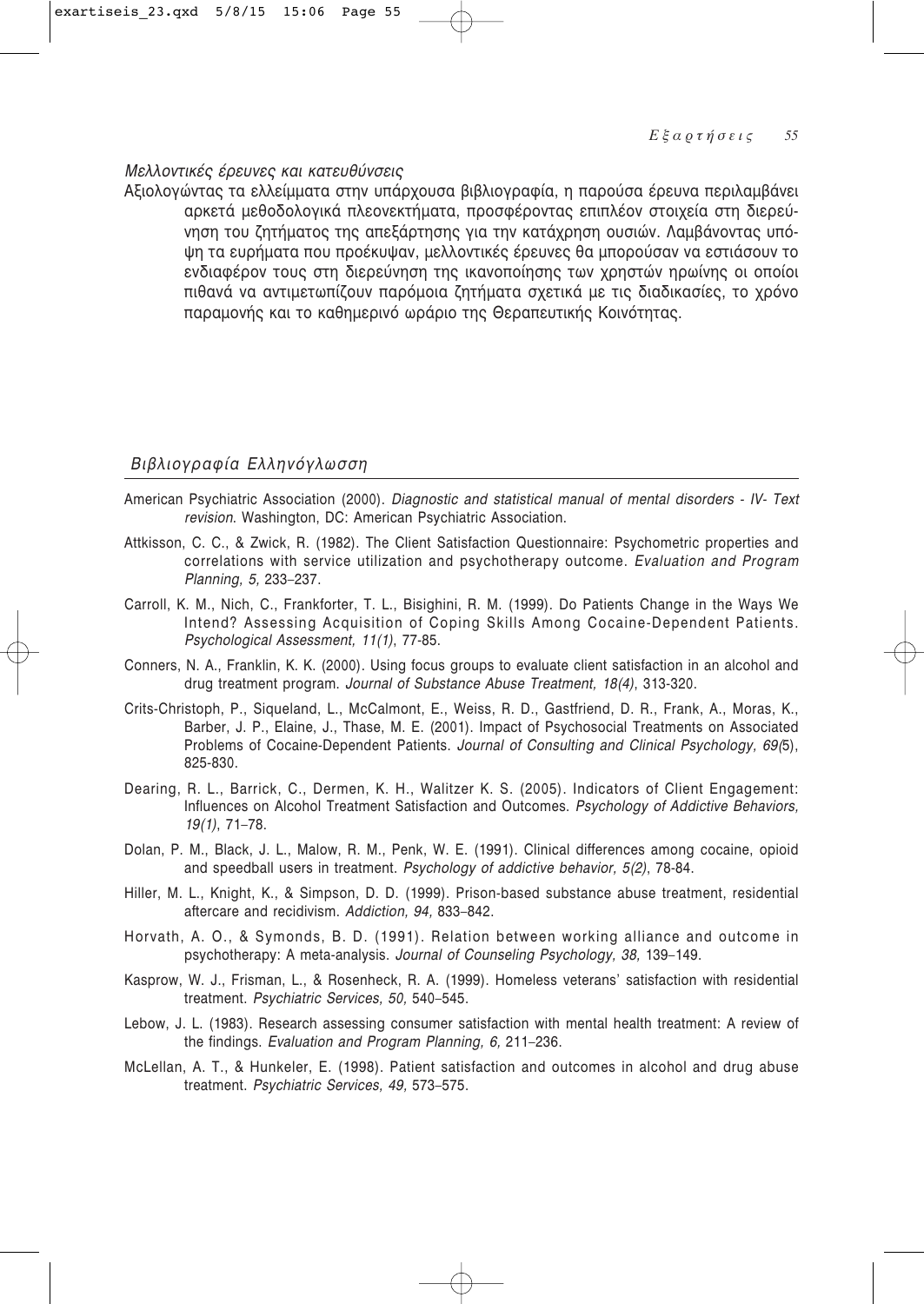### Μελλοντικές έρευνες και κατευθύνσεις

Αξιολογώντας τα ελλείμματα στην υπάρχουσα βιβλιογραφία, η παρούσα έρευνα περιλαμβάνει αρκετά μεθοδολογικά πλεονεκτήματα, προσφέροντας επιπλέον στοιχεία στη διερεύνηση του ζητήματος της απεξάρτησης για την κατάχρηση ουσιών. Λαμβάνοντας υπόψη τα ευρήματα που προέκυψαν, μελλοντικές έρευνες θα μπορούσαν να εστιάσουν το ενδιαφέρον τους στη διερεύνηση της ικανοποίησης των χρηστών ηρωίνης οι οποίοι πιθανά να αντιμετωπίζουν παρόμοια ζητήματα σχετικά με τις διαδικασίες, το χρόνο παραμονής και το καθημερινό ωράριο της Θεραπευτικής Κοινότητας.

### Βιβλιογραφία Ελληνόγλωσση

- American Psychiatric Association (2000). Diagnostic and statistical manual of mental disorders IV- Text revision. Washington, DC: American Psychiatric Association.
- Attkisson, C. C., & Zwick, R. (1982). The Client Satisfaction Questionnaire: Psychometric properties and correlations with service utilization and psychotherapy outcome. Evaluation and Program Planning, 5, 233-237.
- Carroll, K. M., Nich, C., Frankforter, T. L., Bisighini, R. M. (1999). Do Patients Change in the Ways We Intend? Assessing Acquisition of Coping Skills Among Cocaine-Dependent Patients. Psychological Assessment, 11(1), 77-85.
- Conners, N. A., Franklin, K. K. (2000). Using focus groups to evaluate client satisfaction in an alcohol and drug treatment program. Journal of Substance Abuse Treatment, 18(4), 313-320.
- Crits-Christoph, P., Siqueland, L., McCalmont, E., Weiss, R. D., Gastfriend, D. R., Frank, A., Moras. K., Barber, J. P., Elaine, J., Thase, M. E. (2001). Impact of Psychosocial Treatments on Associated Problems of Cocaine-Dependent Patients. Journal of Consulting and Clinical Psychology, 69(5), 825-830.
- Dearing, R. L., Barrick, C., Dermen, K. H., Walitzer K. S. (2005). Indicators of Client Engagement: Influences on Alcohol Treatment Satisfaction and Outcomes. Psychology of Addictive Behaviors,  $19(1), 71-78.$
- Dolan, P. M., Black, J. L., Malow, R. M., Penk, W. E. (1991). Clinical differences among cocaine, opioid and speedball users in treatment. Psychology of addictive behavior, 5(2), 78-84.
- Hiller, M. L., Knight, K., & Simpson, D. D. (1999). Prison-based substance abuse treatment, residential aftercare and recidivism. Addiction, 94, 833-842.
- Horvath, A. O., & Symonds, B. D. (1991). Relation between working alliance and outcome in psychotherapy: A meta-analysis. Journal of Counseling Psychology, 38, 139-149.
- Kasprow, W. J., Frisman, L., & Rosenheck, R. A. (1999). Homeless veterans' satisfaction with residential treatment. Psychiatric Services, 50, 540-545.
- Lebow, J. L. (1983). Research assessing consumer satisfaction with mental health treatment: A review of the findings. Evaluation and Program Planning, 6, 211-236.
- McLellan, A. T., & Hunkeler, E. (1998). Patient satisfaction and outcomes in alcohol and drug abuse treatment. Psychiatric Services, 49, 573-575.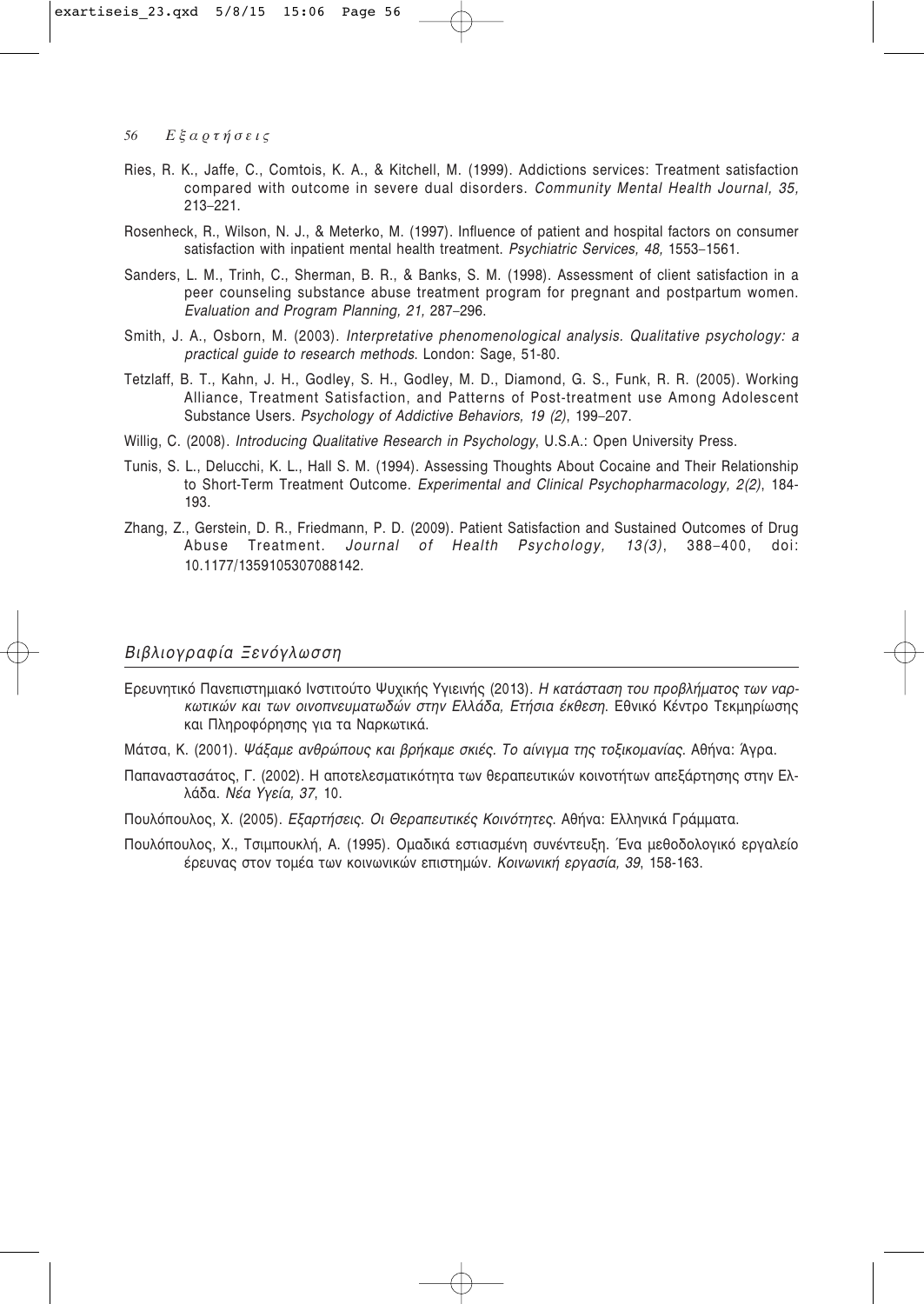- Ries, R. K., Jaffe, C., Comtois, K. A., & Kitchell, M. (1999). Addictions services: Treatment satisfaction compared with outcome in severe dual disorders. Community Mental Health Journal, 35.  $213 - 221$ .
- Rosenheck, R., Wilson, N. J., & Meterko, M. (1997). Influence of patient and hospital factors on consumer satisfaction with inpatient mental health treatment. Psychiatric Services. 48. 1553-1561.
- Sanders, L. M., Trinh, C., Sherman, B. R., & Banks, S. M. (1998). Assessment of client satisfaction in a peer counseling substance abuse treatment program for pregnant and postpartum women. Evaluation and Program Planning, 21, 287-296.
- Smith, J. A., Osborn, M. (2003). Interpretative phenomenological analysis. Qualitative psychology: a practical quide to research methods. London: Sage, 51-80.
- Tetzlaff, B. T., Kahn, J. H., Godley, S. H., Godley, M. D., Diamond, G. S., Funk, R. R. (2005). Working Alliance, Treatment Satisfaction, and Patterns of Post-treatment use Among Adolescent Substance Users, Psychology of Addictive Behaviors, 19 (2), 199-207.
- Willig, C. (2008). Introducing Qualitative Research in Psychology, U.S.A.: Open University Press.
- Tunis, S. L., Delucchi, K. L., Hall S. M. (1994), Assessing Thoughts About Cocaine and Their Relationship to Short-Term Treatment Outcome. Experimental and Clinical Psychopharmacology, 2(2), 184-193.
- Zhang, Z., Gerstein, D. R., Friedmann, P. D. (2009). Patient Satisfaction and Sustained Outcomes of Drug Journal of Health Psychology, 13(3), Abuse Treatment.  $388 - 400.$ doi: 10.1177/1359105307088142.

#### Βιβλιογραφία Ξενόγλωσση

- Ερευνητικό Πανεπιστημιακό Ινστιτούτο Ψυχικής Υγιεινής (2013). Η κατάσταση του προβλήματος των ναρκωτικών και των οινοπνευματωδών στην Ελλάδα, Ετήσια έκθεση. Εθνικό Κέντρο Τεκμηρίωσης και Πληροφόρησης για τα Ναρκωτικά.
- Μάτσα, Κ. (2001). Ψάξαμε ανθρώπους και βρήκαμε σκιές. Το αίνιγμα της τοξικομανίας. Αθήνα: Άγρα.
- Παπαναστασάτος, Γ. (2002). Η αποτελεσματικότητα των θεραπευτικών κοινοτήτων απεξάρτησης στην Ελλάδα. Νέα Υγεία, 37, 10.
- Πουλόπουλος, Χ. (2005). Εξαρτήσεις. Οι Θεραπευτικές Κοινότητες. Αθήνα: Ελληνικά Γράμματα.
- Πουλόπουλος, Χ., Τσιμπουκλή, Α. (1995). Ομαδικά εστιασμένη συνέντευξη. Ένα μεθοδολογικό εργαλείο έρευνας στον τομέα των κοινωνικών επιστημών. Κοινωνική εργασία, 39, 158-163.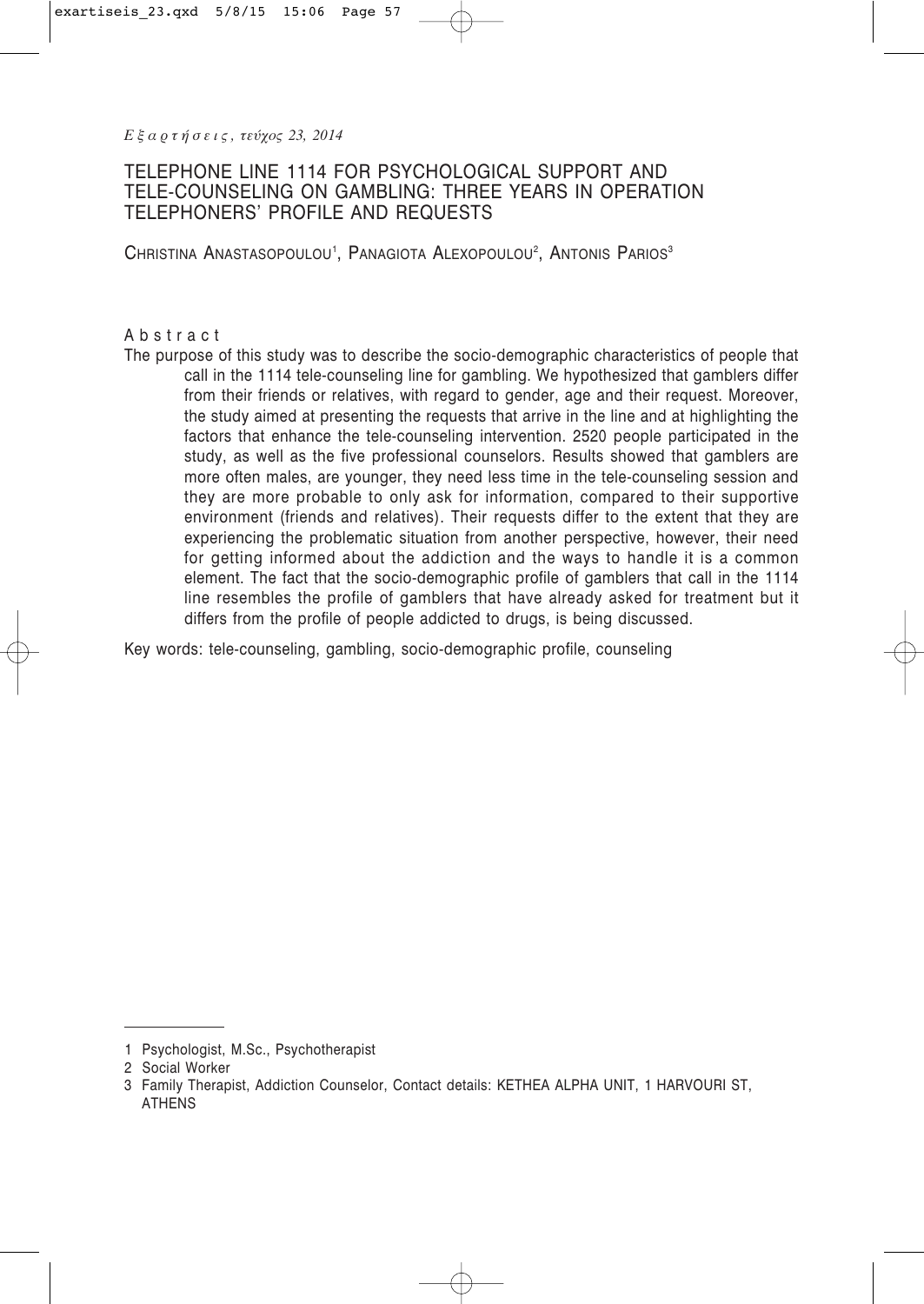*Ε ξ α ρ τ ή σ ε ι ς , τεύχος 23, 2014*

# TELEPHONE LINE 1114 FOR PSYCHOLOGICAL SUPPORT AND TELE-COUNSELING ON GAMBLING: THREE YEARS IN OPERATION TELEPHONERS' PROFILE AND REQUESTS

Christina Anastasopoulou<sup>1</sup>, Panagiota Alexopoulou<sup>2</sup>, Antonis Parios<sup>3</sup>

### Abstract

The purpose of this study was to describe the socio-demographic characteristics of people that call in the 1114 tele-counseling line for gambling. We hypothesized that gamblers differ from their friends or relatives, with regard to gender, age and their request. Moreover, the study aimed at presenting the requests that arrive in the line and at highlighting the factors that enhance the tele-counseling intervention. 2520 people participated in the study, as well as the five professional counselors. Results showed that gamblers are more often males, are younger, they need less time in the tele-counseling session and they are more probable to only ask for information, compared to their supportive environment (friends and relatives). Their requests differ to the extent that they are experiencing the problematic situation from another perspective, however, their need for getting informed about the addiction and the ways to handle it is a common element. The fact that the socio-demographic profile of gamblers that call in the 1114 line resembles the profile of gamblers that have already asked for treatment but it differs from the profile of people addicted to drugs, is being discussed.

Key words: tele-counseling, gambling, socio-demographic profile, counseling

<sup>1</sup> Psychologist, M.Sc., Psychotherapist

<sup>2</sup> Social Worker

<sup>3</sup> Family Therapist, Addiction Counselor, Contact details: KETHEA ALPHA UNIT, 1 HARVOURI ST, ATHENS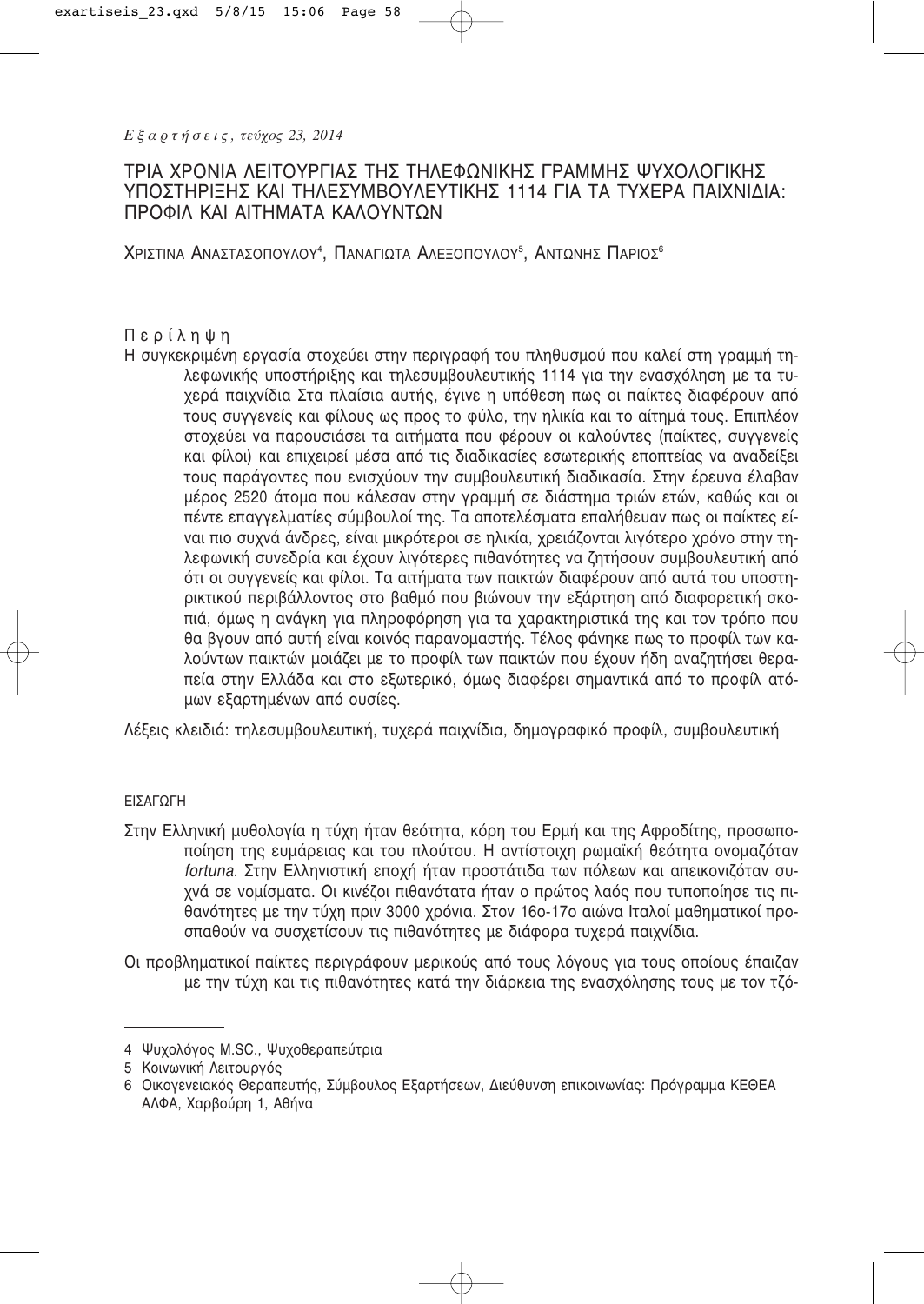# ΤΡΙΑ ΧΡΟΝΙΑ ΛΕΙΤΟΥΡΓΙΑΣ ΤΗΣ ΤΗΛΕΦΩΝΙΚΗΣ ΓΡΑΜΜΗΣ ΨΥΧΟΛΟΓΙΚΗΣ ΥΠΟΣΤΗΡΙΞΗΣ ΚΑΙ ΤΗΛΕΣΥΜΒΟΥΛΕΥΤΙΚΗΣ 1114 ΓΙΑ ΤΑ ΤΥΧΕΡΑ ΠΑΙΧΝΙΔΙΑ: ΠΡΟΦΙΛ ΚΑΙ ΑΙΤΗΜΑΤΑ ΚΑΛΟΥΝΤΩΝ

ΧριΣτιna ΑnaΣtaΣoπoyaoy<sup>4</sup>, ΠanaгiΩta AaeΞoπoyaoy<sup>5</sup>, AntΩnhΣ ΠapioΣ<sup>6</sup>

# Περίληψη

Η συγκεκριμένη εργασία στοχεύει στην περιγραφή του πληθυσμού που καλεί στη γραμμή τηλεφωνικής υποστήριξης και τηλεσυμβουλευτικής 1114 για την ενασχόληση με τα τυχερά παιχνίδια Στα πλαίσια αυτής, έγινε η υπόθεση πως οι παίκτες διαφέρουν από τους συγγενείς και φίλους ως προς το φύλο, την ηλικία και το αίτημά τους. Επιπλέον στοχεύει να παρουσιάσει τα αιτήματα που φέρουν οι καλούντες (παίκτες, συγγενείς και φίλοι) και επιχειρεί μέσα από τις διαδικασίες εσωτερικής εποπτείας να αναδείξει τους παράγοντες που ενισχύουν την συμβουλευτική διαδικασία. Στην έρευνα έλαβαν μέρος 2520 άτομα που κάλεσαν στην γραμμή σε διάστημα τριών ετών, καθώς και οι πέντε επαγγελματίες σύμβουλοί της. Τα αποτελέσματα επαλήθευαν πως οι παίκτες είναι πιο συχνά άνδρες, είναι μικρότεροι σε ηλικία, χρειάζονται λιγότερο χρόνο στην τηλεφωνική συνεδρία και έχουν λιγότερες πιθανότητες να ζητήσουν συμβουλευτική από ότι οι συγγενείς και φίλοι. Τα αιτήματα των παικτών διαφέρουν από αυτά του υποστηρικτικού περιβάλλοντος στο βαθμό που βιώνουν την εξάρτηση από διαφορετική σκοπιά, όμως η ανάγκη για πληροφόρηση για τα χαρακτηριστικά της και τον τρόπο που θα βγουν από αυτή είναι κοινός παρανομαστής. Τέλος φάνηκε πως το προφίλ των καλούντων παικτών μοιάζει με το προφίλ των παικτών που έχουν ήδη αναζητήσει θεραπεία στην Ελλάδα και στο εξωτερικό, όμως διαφέρει σημαντικά από το προφίλ ατόμων εξαρτημένων από ουσίες.

Λέξεις κλειδιά: τηλεσυμβουλευτική, τυχερά παιχνίδια, δημογραφικό προφίλ, συμβουλευτική

## ΕΙΣΑΓΩΓΗ

- Στην Ελληνική μυθολογία η τύχη ήταν θεότητα, κόρη του Ερμή και της Αφροδίτης, προσωποποίηση της ευμάρειας και του πλούτου. Η αντίστοιχη ρωμαϊκή θεότητα ονομαζόταν *fortuna*. Στην Ελληνιστική εποχή ήταν προστάτιδα των πόλεων και απεικονιζόταν συχνά σε νομίσματα. Οι κινέζοι πιθανότατα ήταν ο πρώτος λαός που τυποποίησε τις πιθανότητες με την τύχη πριν 3000 χρόνια. Στον 16ο-17ο αιώνα Ιταλοί μαθηματικοί προσπαθούν να συσχετίσουν τις πιθανότητες με διάφορα τυχερά παιχνίδια.
- Οι προβληματικοί παίκτες περιγράφουν μερικούς από τους λόγους για τους οποίους έπαιζαν με την τύχη και τις πιθανότητες κατά την διάρκεια της ενασχόλησης τους με τον τζό-

<sup>4</sup> Ψυχολόγος M.SC., Ψυχοθεραπεύτρια

<sup>5</sup> Κοινωνική Λειτουργός

<sup>6</sup> Οικογενειακός Θεραπευτής, Σύμβουλος Εξαρτήσεων, Διεύθυνση επικοινωνίας: Πρόγραμμα ΚΕΘΕΑ ΑΛΦΑ, Χαρβούρη 1, Αθήνα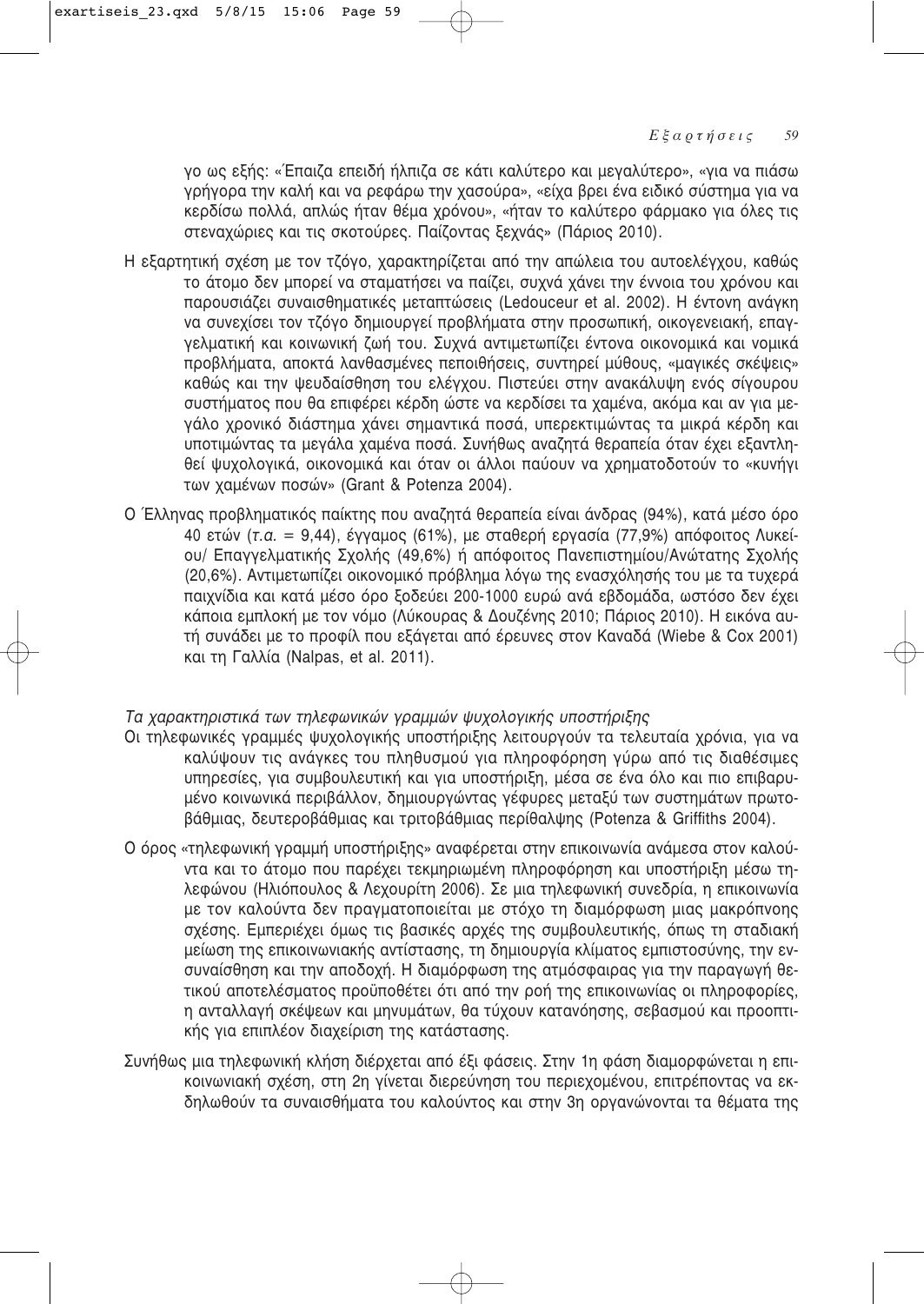γο ως εξής: «Έπαιζα επειδή ήλπιζα σε κάτι καλύτερο και μεγαλύτερο», «για να πιάσω γρήγορα την καλή και να ρεφάρω την χασούρα», «είχα βρει ένα ειδικό σύστημα για να Κερδίσω πολλά, απλώς ήταν θέμα χρόνου», «ήταν το καλύτερο φάρμακο για όλες τις στεναχώριες και τις σκοτούρες. Παίζοντας ξεχνάς» (Πάριος 2010).

- Η εξαρτητική σχέση με τον τζόγο, χαρακτηρίζεται από την απώλεια του αυτοελέγχου, καθώς το άτομο δεν μπορεί να σταματήσει να παίζει, συχνά χάνει την έννοια του χρόνου και παρουσιάζει συναισθηματικές μεταπτώσεις (Ledouceur et al. 2002). Η έντονη ανάγκη να συνεχίσει τον τζόγο δημιουργεί προβλήματα στην προσωπική, οικογενειακή, επαγγελματική και κοινωνική ζωή του. Συχνά αντιμετωπίζει έντονα οικονομικά και νομικά προβλήματα, αποκτά λανθασμένες πεποιθήσεις, συντηρεί μύθους, «μαγικές σκέψεις» καθώς και την ψευδαίσθηση του ελέγχου. Πιστεύει στην ανακάλυψη ενός σίγουρου συστήματος που θα επιφέρει κέρδη ώστε να κερδίσει τα χαμένα, ακόμα και αν για μεγάλο χρονικό διάστημα χάνει σημαντικά ποσά, υπερεκτιμώντας τα μικρά κέρδη και υποτιμώντας τα μεγάλα χαμένα ποσά. Συνήθως αναζητά θεραπεία όταν έχει εξαντληθεί ψυχολογικά, οικονομικά και όταν οι άλλοι παύουν να χρηματοδοτούν το «κυνήγι των χαμένων ποσών» (Grant & Potenza 2004).
- Ο Έλληνας προβληματικός παίκτης που αναζητά θεραπεία είναι άνδρας (94%), κατά μέσο όρο 40 ετών (*τ.α.* = 9,44), έγγαμος (61%), με σταθερή εργασία (77,9%) απόφοιτος Λυκείου/ Επαγγελματικής Σχολής (49,6%) ή απόφοιτος Πανεπιστημίου/Ανώτατης Σχολής (20,6%). Αντιμετωπίζει οικονομικό πρόβλημα λόγω της ενασχόλησής του με τα τυχερά παιχνίδια και κατά μέσο όρο ξοδεύει 200-1000 ευρώ ανά εβδομάδα, ωστόσο δεν έχει κάποια εμπλοκή με τον νόμο (Λύκουρας & Δουζένης 2010; Πάριος 2010). Η εικόνα αυτή συνάδει με το προφίλ που εξάνεται από έρευνες στον Καναδά (Wiebe & Cox 2001) και τη Γαλλία (Nalpas, et al. 2011).

# Τα χαρακτηριστικά των τηλεφωνικών γραμμών ψυχολογικής υποστήριξης

- Oι τηλεφωνικές γραμμές ψυχολογικής υποστήριξης λειτουργούν τα τελευταία χρόνια, για να καλύψουν τις ανάγκες του πληθυσμού για πληροφόρηση γύρω από τις διαθέσιμες υπηρεσίες, για συμβουλευτική και για υποστήριξη, μέσα σε ένα όλο και πιο επιβαρυμένο κοινωνικά περιβάλλον, δημιουργώντας γέφυρες μεταξύ των συστημάτων πρωτο- $\beta$ άθμιας, δευτεροβάθμιας και τριτοβάθμιας περίθαλψης (Potenza & Griffiths 2004).
- Ο όρος «τηλεφωνική γραμμή υποστήριξης» αναφέρεται στην επικοινωνία ανάμεσα στον καλούντα και το άτομο που παρέχει τεκμηριωμένη πληροφόρηση και υποστήριξη μέσω τηλεφώνου (Ηλιόπουλος & Λεχουρίτη 2006). Σε μια τηλεφωνική συνεδρία, η επικοινωνία με τον καλούντα δεν πραγματοποιείται με στόχο τη διαμόρφωση μιας μακρόπνοης σχέσης. Εμπεριέχει όμως τις βασικές αρχές της συμβουλευτικής, όπως τη σταδιακή μείωση της επικοινωνιακής αντίστασης, τη δημιουργία κλίματος εμπιστοσύνης, την ενσυναίσθηση και την αποδοχή. Η διαμόρφωση της ατμόσφαιρας για την παραγωγή θετικού αποτελέσματος προϋποθέτει ότι από την ροή της επικοινωνίας οι πληροφορίες, η ανταλλαγή σκέψεων και μηνυμάτων, θα τύχουν κατανόησης, σεβασμού και προοπτικής για επιπλέον διαχείριση της κατάστασης.
- Συνήθως μια τηλεφωνική κλήση διέρχεται από έξι φάσεις. Στην 1η φάση διαμορφώνεται η επικοινωνιακή σχέση, στη 2η γίνεται διερεύνηση του περιεχομένου, επιτρέποντας να εκδηλωθούν τα συναισθήματα του καλούντος και στην 3η οργανώνονται τα θέματα της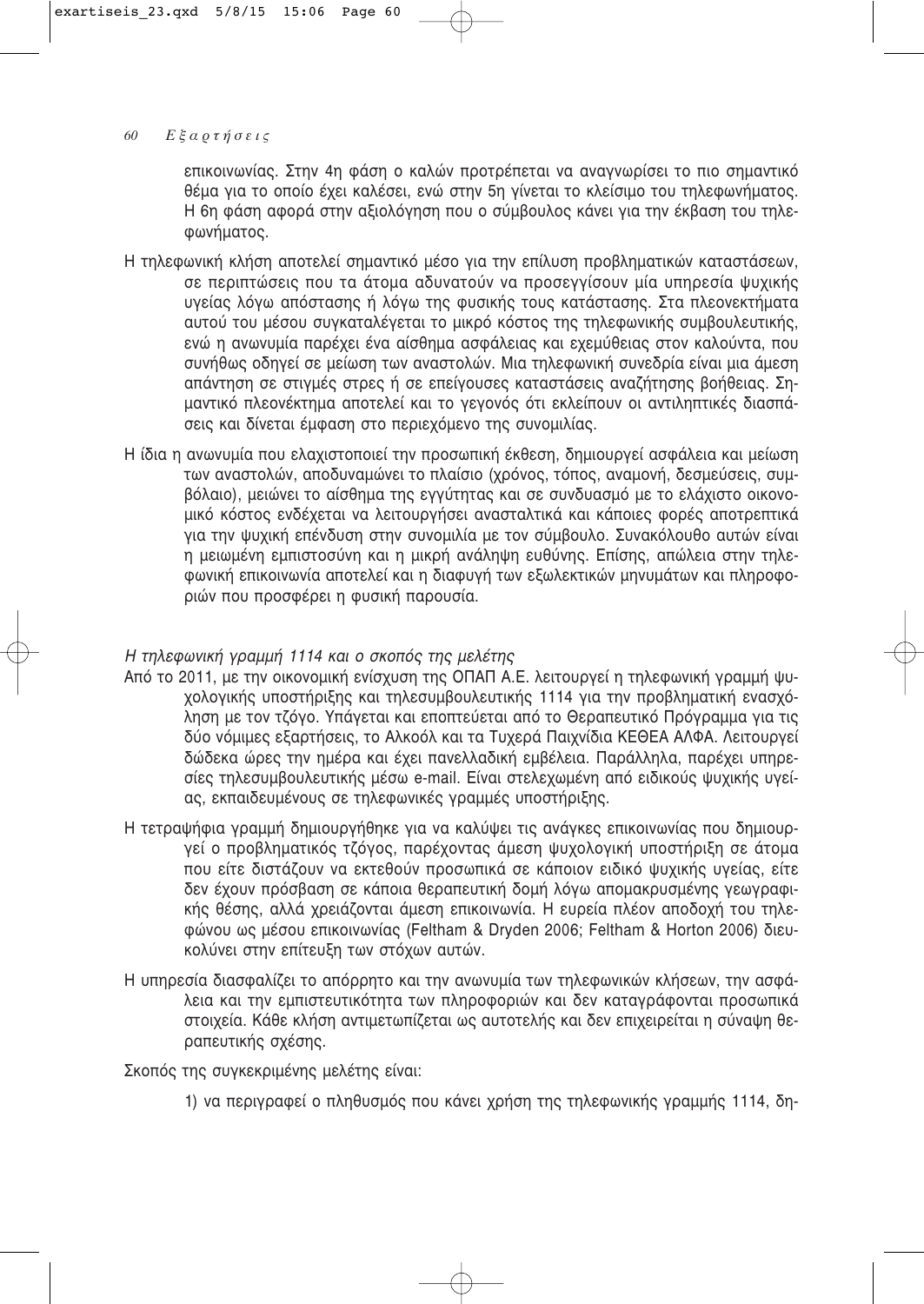επικοινωνίας. Στην 4η φάση ο καλών προτρέπεται να αναγνωρίσει το πιο σημαντικό θέμα νια το οποίο έχει καλέσει, ενώ στην 5η γίνεται το κλείσιμο του τηλεφωνήματος. Η 6η φάση αφορά στην αξιολόγηση που ο σύμβουλος κάνει για την έκβαση του τηλε-Φωνήματος.

- Η τηλεφωνική κλήση αποτελεί σημαντικό μέσο για την επίλυση προβληματικών καταστάσεων. σε περιπτώσεις που τα άτομα αδυνατούν να προσεγγίσουν μία υπηρεσία ψυχικής υνείας λόγω απόστασης ή λόγω της φυσικής τους κατάστασης. Στα πλεονεκτήματα αυτού του μέσου συγκαταλέγεται το μικρό κόστος της τηλεφωνικής συμβουλευτικής, ενώ η ανωνυμία παρέχει ένα αίσθημα ασφάλειας και εχεμύθειας στον καλούντα, που συνήθως οδηγεί σε μείωση των αναστολών. Μια τηλεφωνική συνεδρία είναι μια άμεση απάντηση σε στιγμές στρες ή σε επείγουσες καταστάσεις αναζήτησης βοήθειας. Σημαντικό πλεονέκτημα αποτελεί και το γεγονός ότι εκλείπουν οι αντιληπτικές διασπάσεις και δίνεται έμφαση στο περιεχόμενο της συνομιλίας.
- Η ίδια η ανωνυμία που ελαχιστοποιεί την προσωπική έκθεση, δημιουργεί ασφάλεια και μείωση των αναστολών, αποδυναμώνει το πλαίσιο (χρόνος, τόπος, αναμονή, δεσμεύσεις, συμβόλαιο), μειώνει το αίσθημα της εγγύτητας και σε συνδυασμό με το ελάχιστο οικονομικό κόστος ενδέχεται να λειτουργήσει ανασταλτικά και κάποιες φορές αποτρεπτικά για την ψυχική επένδυση στην συνομιλία με τον σύμβουλο. Συνακόλουθο αυτών είναι ή μειωμένη εμπιστοσύνη και η μικρή ανάληψη ευθύνης. Επίσης, απώλεια στην τηλεφωνική επικοινωνία αποτελεί και η διαφυγή των εξωλεκτικών μηνυμάτων και πληροφοριών που προσφέρει η φυσική παρουσία.

# Η τηλεφωνική γραμμή 1114 και ο σκοπός της μελέτης

- Aπό το 2011, με την οικονομική ενίσχυση της ΟΠΑΠ Α.Ε. λειτουργεί η τηλεφωνική νραμμή ψυχολογικής υποστήριξης και τηλεσυμβουλευτικής 1114 για την προβληματική ενασχόληση με τον τζόγο. Υπάγεται και εποπτεύεται από το Θεραπευτικό Πρόγραμμα για τις δύο νόμιμες εξαρτήσεις, το Αλκοόλ και τα Τυχερά Παιχνίδια ΚΕΘΕΑ ΑΛΦΑ. Λειτουργεί δώδεκα ώρες την ημέρα και έχει πανελλαδική εμβέλεια. Παράλληλα, παρέχει υπηρεσίες τηλεσυμβουλευτικής μέσω e-mail. Είναι στελεχωμένη από ειδικούς ψυχικής υγείας, εκπαιδευμένους σε τηλεφωνικές γραμμές υποστήριξης.
- Η τετραψήφια γραμμή δημιουργήθηκε για να καλύψει τις ανάγκες επικοινωνίας που δημιουργεί ο προβληματικός τζόγος, παρέχοντας άμεση ψυχολογική υποστήριξη σε άτομα που είτε διστάζουν να εκτεθούν προσωπικά σε κάποιον ειδικό ψυχικής υγείας, είτε δεν έχουν πρόσβαση σε κάποια θεραπευτική δομή λόγω απομακρυσμένης γεωγραφικής θέσης, αλλά χρειάζονται άμεση επικοινωνία. Η ευρεία πλέον αποδοχή του τηλεφώνου ως μέσου επικοινωνίας (Feltham & Dryden 2006; Feltham & Horton 2006) διευκολύνει στην επίτευξη των στόχων αυτών.
- Η υπηρεσία διασφαλίζει το απόρρητο και την ανωνυμία των τηλεφωνικών κλήσεων, την ασφάλεια και την εμπιστευτικότητα των πληροφοριών και δεν καταγράφονται προσωπικά στοιχεία. Κάθε κλήση αντιμετωπίζεται ως αυτοτελής και δεν επιχειρείται η σύναψη θεραπευτικής σχέσης.

Σκοπός της συγκεκριμένης μελέτης είναι:

1) να περιγραφεί ο πληθυσμός που κάνει χρήση της τηλεφωνικής γραμμής 1114, δη-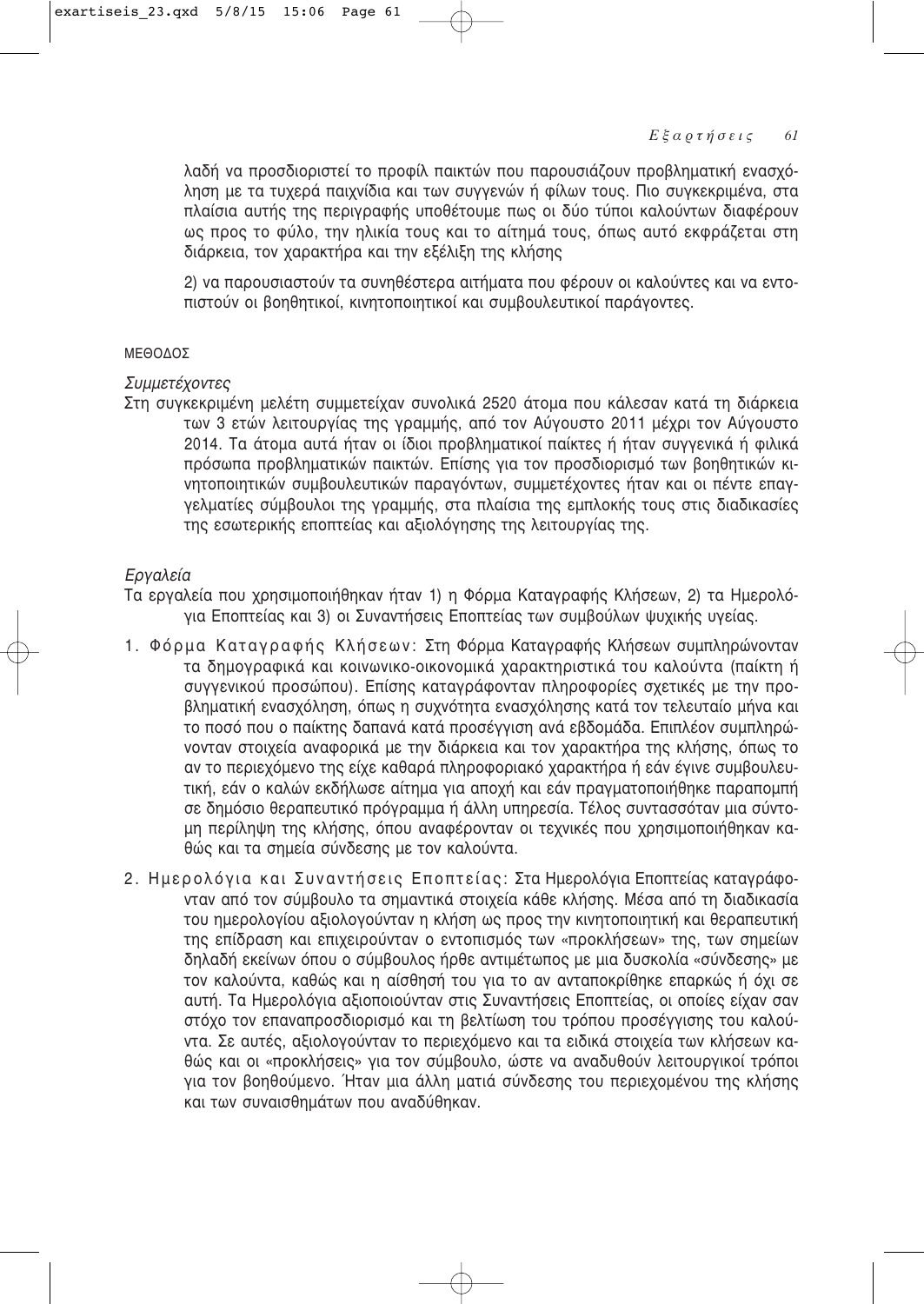λαδή να προσδιοριστεί το προφίλ παικτών που παρουσιάζουν προβληματική ενασχόληση με τα τυχερά παιχνίδια και των συγγενών ή φίλων τους. Πιο συγκεκριμένα, στα πλαίσια αυτής της περιγραφής υποθέτουμε πως οι δύο τύποι καλούντων διαφέρουν ως προς το φύλο, την ηλικία τους και το αίτημά τους, όπως αυτό εκφράζεται στη διάρκεια, τον χαρακτήρα και την εξέλιξη της κλήσης

2) να παρουσιαστούν τα συνηθέστερα αιτήματα που φέρουν οι καλούντες και να εντοτιστούν οι βοηθητικοί, κινητοποιητικοί και συμβουλευτικοί παράνοντες,

# ª∂£√¢√™

# Συμμετέχοντες

Στη συγκεκριμένη μελέτη συμμετείχαν συνολικά 2520 άτομα που κάλεσαν κατά τη διάρκεια των 3 ετών λειτουργίας της γραμμής, από τον Αύνουστο 2011 μέχρι τον Αύνουστο 2014. Τα άτομα αυτά ήταν οι ίδιοι προβληματικοί παίκτες ή ήταν συγγενικά ή φιλικά πρόσωπα προβληματικών παικτών. Επίσης για τον προσδιορισμό των βοηθητικών κινητοποιητικών συμβουλευτικών παραγόντων, συμμετέχοντες ήταν και οι πέντε επαγγελματίες σύμβουλοι της γραμμής, στα πλαίσια της εμπλοκής τους στις διαδικασίες της εσωτερικής εποπτείας και αξιολόγησης της λειτουργίας της.

# *Εργαλεία*

Τα εργαλεία που χρησιμοποιήθηκαν ήταν 1) η Φόρμα Καταγραφής Κλήσεων, 2) τα Ημερολόγια Εποπτείας και 3) οι Συναντήσεις Εποπτείας των συμβούλων ψυχικής υγείας.

- 1. Φόρμα Καταγραφής Κλήσεων: Στη Φόρμα Καταγραφής Κλήσεων συμπληρώνονταν τα δημογραφικά και κοινωνικο-οικονομικά χαρακτηριστικά του καλούντα (παίκτη ή συννενικού προσώπου). Επίσης κατανράφονταν πληροφορίες σχετικές με την προβληματική ενασχόληση, όπως η συχνότητα ενασχόλησης κατά τον τελευταίο μήνα και το ποσό που ο παίκτης δαπανά κατά προσέγγιση ανά εβδομάδα. Επιπλέον συμπληρώνονταν στοιχεία αναφορικά με την διάρκεια και τον χαρακτήρα της κλήσης, όπως το αν το περιεχόμενο της είχε καθαρά πληροφοριακό χαρακτήρα ή εάν έγινε συμβουλευτική, εάν ο καλών εκδήλωσε αίτημα για αποχή και εάν πραγματοποιήθηκε παραπομπή σε δημόσιο θεραπευτικό πρόγραμμα ή άλλη υπηρεσία. Τέλος συντασσόταν μια σύντομη περίληψη της κλήσης, όπου αναφέρονταν οι τεχνικές που χρησιμοποιήθηκαν καθώς και τα σημεία σύνδεσης με τον καλούντα.
- 2. Ημερολόγια και Συναντήσεις Εποπτείας: Στα Ημερολόγια Εποπτείας καταγράφονταν από τον σύμβουλο τα σημαντικά στοιχεία κάθε κλήσης. Μέσα από τη διαδικασία του ημερολογίου αξιολογούνταν η κλήση ως προς την κινητοποιητική και θεραπευτική της επίδραση και επιχειρούνταν ο εντοπισμός των «προκλήσεων» της, των σημείων δηλαδή εκείνων όπου ο σύμβουλος ήρθε αντιμέτωπος με μια δυσκολία «σύνδεσης» με τον καλούντα, καθώς και η αίσθησή του για το αν ανταποκρίθηκε επαρκώς ή όχι σε αυτή. Τα Ημερολόγια αξιοποιούνταν στις Συναντήσεις Εποπτείας, οι οποίες είχαν σαν στόχο τον επαναπροσδιορισμό και τη βελτίωση του τρόπου προσέγγισης του καλούντα. Σε αυτές, αξιολογούνταν το περιεχόμενο και τα ειδικά στοιχεία των κλήσεων καθώς και οι «προκλήσεις» για τον σύμβουλο, ώστε να αναδυθούν λειτουργικοί τρόποι για τον βοηθούμενο. Ήταν μια άλλη ματιά σύνδεσης του περιεχομένου της κλήσης και των συναισθημάτων που αναδύθηκαν.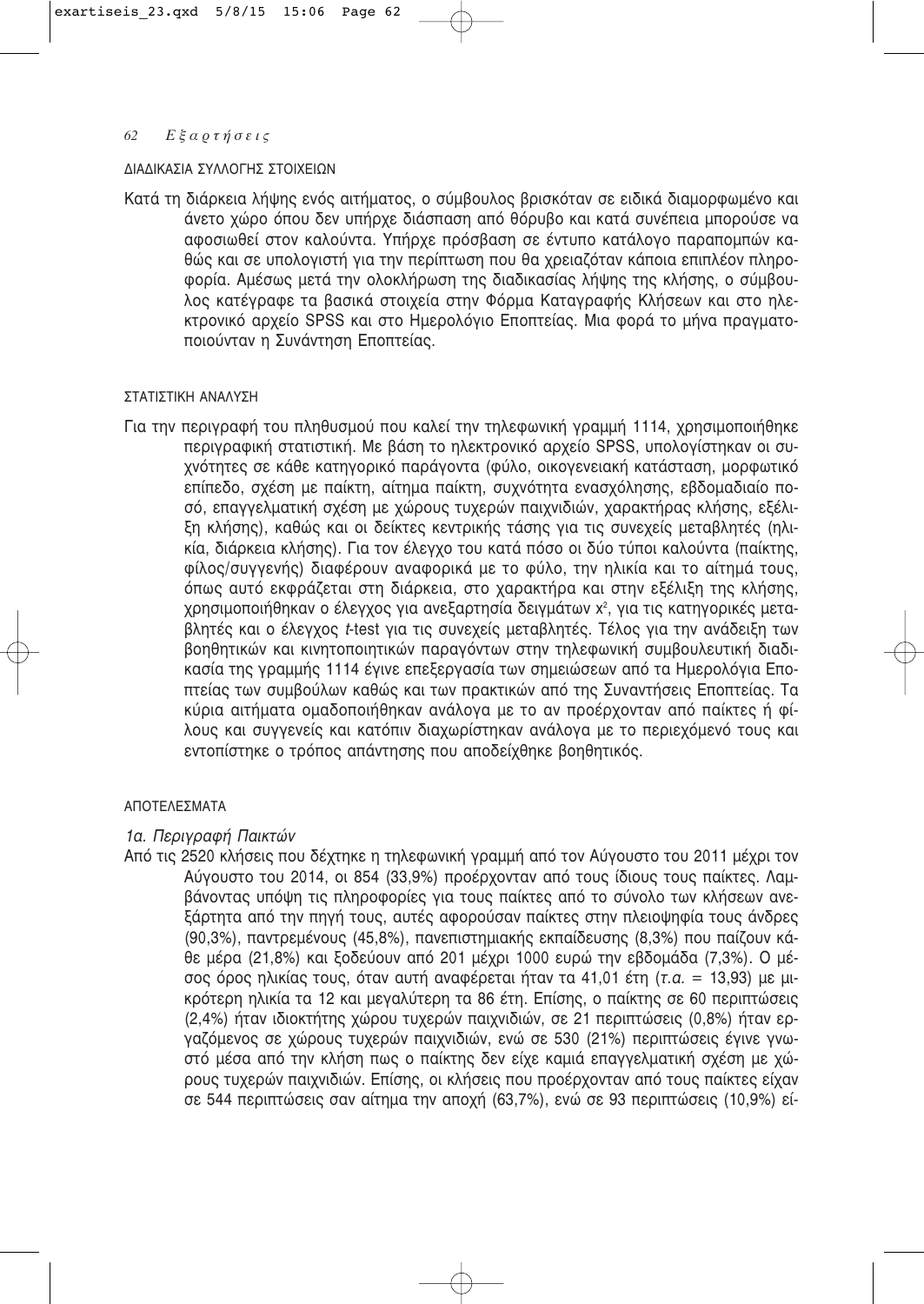#### ΔΙΑΔΙΚΑΣΙΑ ΣΥΛΛΟΓΗΣ ΣΤΟΙΧΕΙΩΝ

Κατά τη διάρκεια λήψης ενός αιτήματος, ο σύμβουλος βρισκόταν σε ειδικά διαμορφωμένο και άνετο χώρο όπου δεν υπήρχε διάσπαση από θόρυβο και κατά συνέπεια μπορούσε να αφοσιωθεί στον καλούντα. Υπήρχε πρόσβαση σε έντυπο κατάλογο παραπομπών καθώς και σε υπολογιστή για την περίπτωση που θα χρειαζόταν κάποια επιπλέον πληροφορία. Αμέσως μετά την ολοκλήρωση της διαδικασίας λήψης της κλήσης, ο σύμβουλος κατέγραφε τα βασικά στοιχεία στην Φόρμα Καταγραφής Κλήσεων και στο ηλεκτρονικό αρχείο SPSS και στο Ημερολόγιο Εποπτείας. Μια φορά το μήνα πραγματοποιούνταν η Συνάντηση Εποπτείας.

### ΣΤΑΤΙΣΤΙΚΗ ΑΝΑΛΥΣΗ

Για την περιγραφή του πληθυσμού που καλεί την τηλεφωνική γραμμή 1114, χρησιμοποιήθηκε περιγραφική στατιστική. Με βάση το ηλεκτρονικό αρχείο SPSS, υπολογίστηκαν οι συχνότητες σε κάθε κατηγορικό παράγοντα (φύλο, οικογενειακή κατάσταση, μορφωτικό επίπεδο, σχέση με παίκτη, αίτημα παίκτη, συχνότητα ενασχόλησης, εβδομαδιαίο ποσό, επαγγελματική σχέση με χώρους τυχερών παιχνιδιών, χαρακτήρας κλήσης, εξέλιξη κλήσης), καθώς και οι δείκτες κεντρικής τάσης για τις συνεχείς μεταβλητές (ηλικία, διάρκεια κλήσης). Για τον έλεγχο του κατά πόσο οι δύο τύποι καλούντα (παίκτης, φίλος/συγγενής) διαφέρουν αναφορικά με το φύλο, την ηλικία και το αίτημά τους, όπως αυτό εκφράζεται στη διάρκεια, στο χαρακτήρα και στην εξέλιξη της κλήσης, χρησιμοποιήθηκαν ο έλεγχος για ανεξαρτησία δειγμάτων χ<sup>2</sup>, για τις κατηγορικές μεταβλητές και ο έλεγχος t-test για τις συνεχείς μεταβλητές. Τέλος για την ανάδειξη των βοηθητικών και κινητοποιητικών παραγόντων στην τηλεφωνική συμβουλευτική διαδικασία της γραμμής 1114 έγινε επεξεργασία των σημειώσεων από τα Ημερολόγια Εποπτείας των συμβούλων καθώς και των πρακτικών από της Συναντήσεις Εποπτείας. Τα κύρια αιτήματα ομαδοποιήθηκαν ανάλογα με το αν προέρχονταν από παίκτες ή φίλους και συγγενείς και κατόπιν διαχωρίστηκαν ανάλογα με το περιεχόμενό τους και εντοπίστηκε ο τρόπος απάντησης που αποδείχθηκε βοηθητικός.

## ΑΠΟΤΕΛΕΣΜΑΤΑ

## 1α. Περιγραφή Παικτών

Από τις 2520 κλήσεις που δέχτηκε η τηλεφωνική γραμμή από τον Αύγουστο του 2011 μέχρι τον Αύγουστο του 2014, οι 854 (33,9%) προέρχονταν από τους ίδιους τους παίκτες. Λαμβάνοντας υπόψη τις πληροφορίες για τους παίκτες από το σύνολο των κλήσεων ανεξάρτητα από την πηγή τους, αυτές αφορούσαν παίκτες στην πλειοψηφία τους άνδρες (90,3%), παντρεμένους (45,8%), πανεπιστημιακής εκπαίδευσης (8,3%) που παίζουν κάθε μέρα (21,8%) και ξοδεύουν από 201 μέχρι 1000 ευρώ την εβδομάδα (7,3%). Ο μέσος όρος ηλικίας τους, όταν αυτή αναφέρεται ήταν τα 41,01 έτη (τ.α. = 13,93) με μικρότερη ηλικία τα 12 και μεγαλύτερη τα 86 έτη. Επίσης, ο παίκτης σε 60 περιπτώσεις (2,4%) ήταν ιδιοκτήτης χώρου τυχερών παιχνιδιών, σε 21 περιπτώσεις (0,8%) ήταν εργαζόμενος σε χώρους τυχερών παιχνιδιών, ενώ σε 530 (21%) περιπτώσεις έγινε γνωστό μέσα από την κλήση πως ο παίκτης δεν είχε καμιά επαγγελματική σχέση με χώρους τυχερών παιχνιδιών. Επίσης, οι κλήσεις που προέρχονταν από τους παίκτες είχαν σε 544 περιπτώσεις σαν αίτημα την αποχή (63,7%), ενώ σε 93 περιπτώσεις (10,9%) εί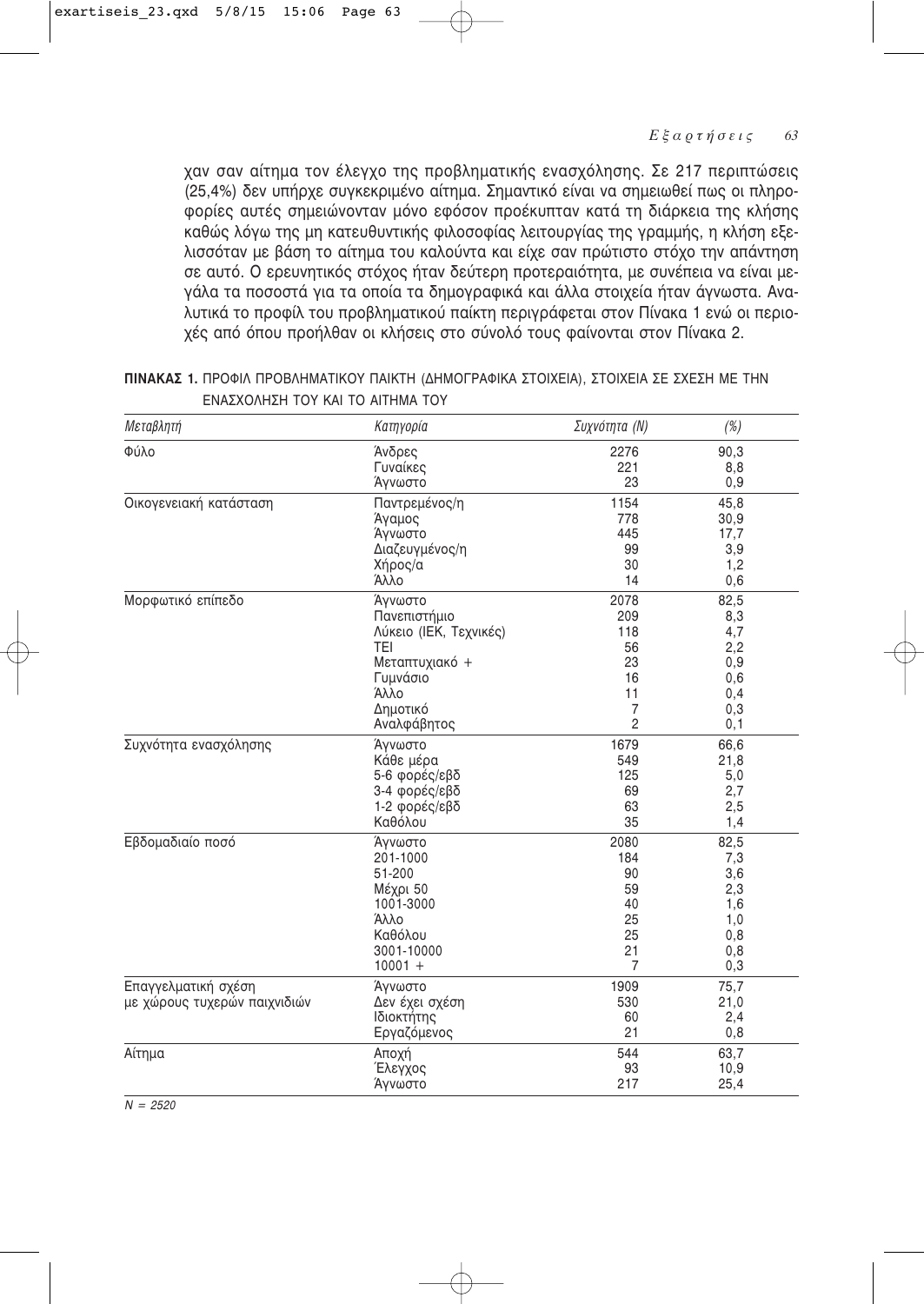χαν σαν αίτημα τον έλεγχο της προβληματικής ενασχόλησης. Σε 217 περιπτώσεις (25,4%) δεν υπήρχε συγκεκριμένο αίτημα. Σημαντικό είναι να σημειωθεί πως οι πληροφορίες αυτές σημειώνονταν μόνο εφόσον προέκυπταν κατά τη διάρκεια της κλήσης καθώς λόγω της μη κατευθυντικής φιλοσοφίας λειτουργίας της γραμμής, η κλήση εξελισσόταν με βάση το αίτημα του καλούντα και είχε σαν πρώτιστο στόχο την απάντηση σε αυτό. Ο ερευνητικός στόχος ήταν δεύτερη προτεραιότητα, με συνέπεια να είναι μεγάλα τα ποσοστά για τα οποία τα δημογραφικά και άλλα στοιχεία ήταν άγνωστα. Αναλυτικά το προφίλ του προβληματικού παίκτη περιγράφεται στον Πίνακα 1 ενώ οι περιοχές από όπου προήλθαν οι κλήσεις στο σύνολό τους φαίνονται στον Πίνακα 2.

| Μεταβλητή                    | Κατηγορία              | Συχνότητα (N)  | (%)  |
|------------------------------|------------------------|----------------|------|
| Φύλο                         | Άνδρες                 | 2276           | 90,3 |
|                              | Γυναίκες               | 221            | 8,8  |
|                              | Άγνωστο                | 23             | 0,9  |
| Οικογενειακή κατάσταση       | Παντρεμένος/η          | 1154           | 45,8 |
|                              | Άγαμος                 | 778            | 30,9 |
|                              | Άγνωστο                | 445            | 17,7 |
|                              | Διαζευγμένος/η         | 99             | 3,9  |
|                              | Χήρος/α                | 30             | 1,2  |
|                              | Άλλο                   | 14             | 0,6  |
| Μορφωτικό επίπεδο            | Άγνωστο                | 2078           | 82,5 |
|                              | Πανεπιστήμιο           | 209            | 8,3  |
|                              | Λύκειο (ΙΕΚ, Τεχνικές) | 118            | 4,7  |
|                              | <b>TEI</b>             | 56             | 2,2  |
|                              | Μεταπτυχιακό +         | 23             | 0,9  |
|                              | Γυμνάσιο               | 16             | 0,6  |
|                              | Άλλο                   | 11             | 0,4  |
|                              | Δημοτικό               | $\overline{7}$ | 0,3  |
|                              | Αναλφάβητος            | $\overline{2}$ | 0,1  |
| Συχνότητα ενασχόλησης        | Άγνωστο                | 1679           | 66,6 |
|                              | Κάθε μέρα              | 549            | 21,8 |
|                              | 5-6 φορές/εβδ          | 125            | 5,0  |
|                              | 3-4 φορές/εβδ          | 69             | 2,7  |
|                              | 1-2 φορές/εβδ          | 63             | 2,5  |
|                              | Καθόλου                | 35             | 1,4  |
| Εβδομαδιαίο ποσό             | Άγνωστο                | 2080           | 82,5 |
|                              | 201-1000               | 184            | 7,3  |
|                              | 51-200                 | 90             | 3,6  |
|                              | Μέχρι 50               | 59             | 2,3  |
|                              | 1001-3000              | 40             | 1,6  |
|                              | Άλλο                   | 25             | 1,0  |
|                              | Καθόλου                | 25             | 0,8  |
|                              | 3001-10000             | 21             | 0,8  |
|                              | $10001 +$              | $\overline{7}$ | 0,3  |
| Επαγγελματική σχέση          | Άγνωστο                | 1909           | 75,7 |
| με χώρους τυχερών παιχνιδιών | Δεν έχει σχέση         | 530            | 21,0 |
|                              | Ιδιοκτήτης             | 60             | 2,4  |
|                              | Εργαζόμενος            | 21             | 0,8  |
| Αίτημα                       | Αποχή                  | 544            | 63,7 |
|                              | Έλεγχος                | 93             | 10,9 |
|                              | Άγνωστο                | 217            | 25,4 |

ΠΙΝΑΚΑΣ 1. ΠΡΟΦΙΛ ΠΡΟΒΛΗΜΑΤΙΚΟΥ ΠΑΙΚΤΗ (ΔΗΜΟΓΡΑΦΙΚΑ ΣΤΟΙΧΕΙΑ), ΣΤΟΙΧΕΙΑ ΣΕ ΣΧΕΣΗ ΜΕ ΤΗΝ ΓΝΑΣΧΟΛΗΣΗ ΤΟΥ ΚΑΙ ΤΟ ΑΙΤΗΜΑ ΤΟΥ

 $N = 2520$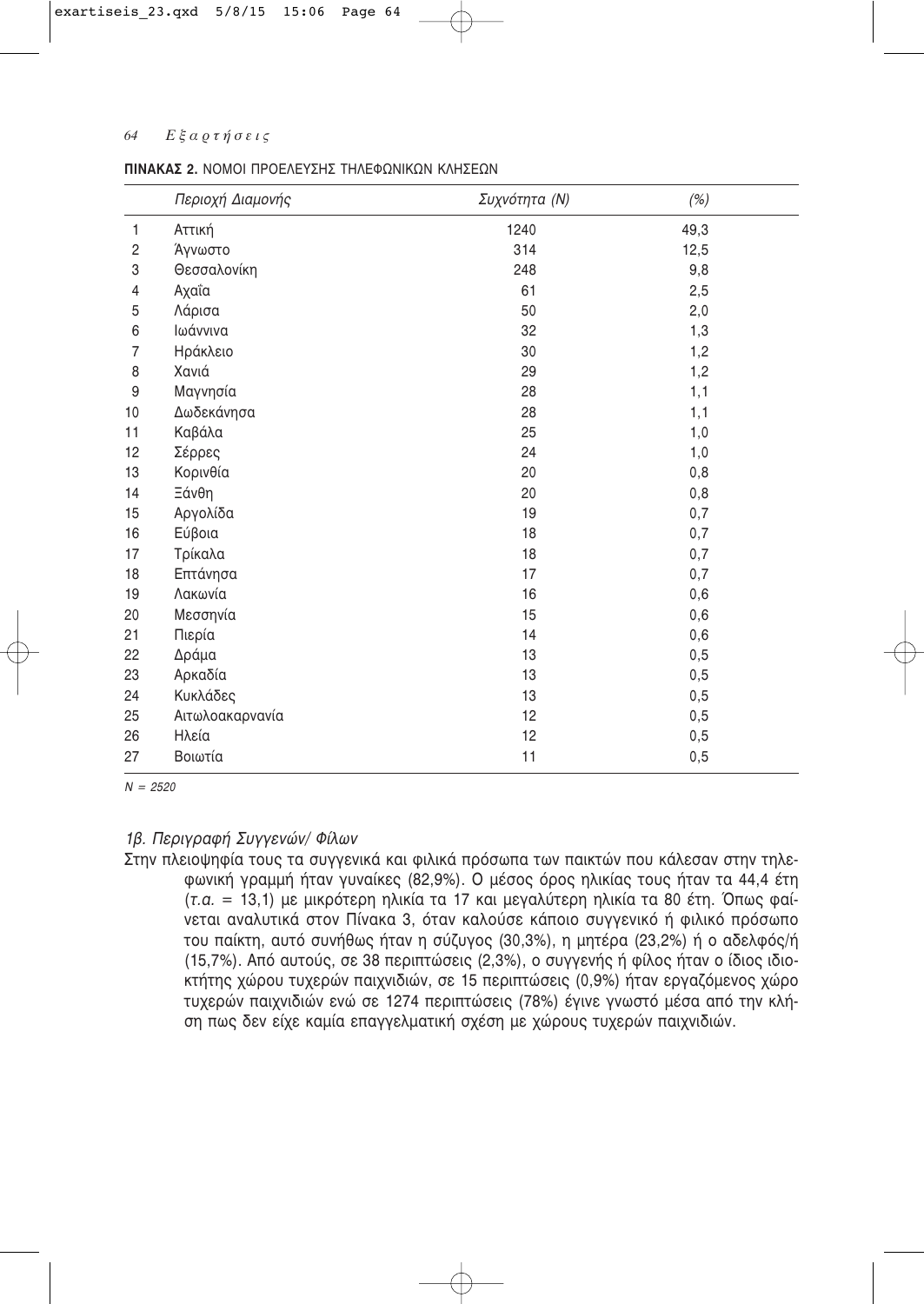#### 64  $E$ ξαρτήσεις

#### ΠΙΝΑΚΑΣ 2. ΝΟΜΟΙ ΠΡΟΕΛΕΥΣΗΣ ΤΗΛΕΦΟΝΙΚΟΝ ΚΛΗΣΕΟΝ

|                | Περιοχή Διαμονής | Συχνότητα (Ν) | (%)  |  |
|----------------|------------------|---------------|------|--|
| 1              | Αττική           | 1240          | 49,3 |  |
| $\overline{c}$ | Άγνωστο          | 314           | 12,5 |  |
| 3              | Θεσσαλονίκη      | 248           | 9,8  |  |
| 4              | Αχαΐα            | 61            | 2,5  |  |
| 5              | Λάρισα           | 50            | 2,0  |  |
| 6              | Ιωάννινα         | 32            | 1,3  |  |
| $\overline{7}$ | Ηράκλειο         | 30            | 1,2  |  |
| 8              | Χανιά            | 29            | 1,2  |  |
| 9              | Μαγνησία         | 28            | 1,1  |  |
| 10             | Δωδεκάνησα       | 28            | 1,1  |  |
| 11             | Καβάλα           | 25            | 1,0  |  |
| 12             | Σέρρες           | 24            | 1,0  |  |
| 13             | Κορινθία         | 20            | 0,8  |  |
| 14             | Ξάνθη            | 20            | 0,8  |  |
| 15             | Αργολίδα         | 19            | 0,7  |  |
| 16             | Εύβοια           | 18            | 0,7  |  |
| 17             | Τρίκαλα          | 18            | 0,7  |  |
| 18             | Επτάνησα         | 17            | 0,7  |  |
| 19             | Λακωνία          | 16            | 0,6  |  |
| 20             | Μεσσηνία         | 15            | 0,6  |  |
| 21             | Πιερία           | 14            | 0,6  |  |
| 22             | Δράμα            | 13            | 0,5  |  |
| 23             | Αρκαδία          | 13            | 0,5  |  |
| 24             | Κυκλάδες         | 13            | 0,5  |  |
| 25             | Αιτωλοακαρνανία  | 12            | 0,5  |  |
| 26             | Ηλεία            | 12            | 0,5  |  |
| 27             | Βοιωτία          | 11            | 0,5  |  |

 $N = 2520$ 

# 1β. Περιγραφή Συγγενών/ Φίλων

Στην πλειοψηφία τους τα συγγενικά και φιλικά πρόσωπα των παικτών που κάλεσαν στην τηλεφωνική γραμμή ήταν γυναίκες (82,9%). Ο μέσος όρος ηλικίας τους ήταν τα 44,4 έτη (τ.α. = 13,1) με μικρότερη ηλικία τα 17 και μεγαλύτερη ηλικία τα 80 έτη. Όπως φαίνεται αναλυτικά στον Πίνακα 3, όταν καλούσε κάποιο συγγενικό ή φιλικό πρόσωπο του παίκτη, αυτό συνήθως ήταν η σύζυγος (30,3%), η μητέρα (23,2%) ή ο αδελφός/ή (15,7%). Από αυτούς, σε 38 περιπτώσεις (2,3%), ο συγγενής ή φίλος ήταν ο ίδιος ιδιοκτήτης χώρου τυχερών παιχνιδιών, σε 15 περιπτώσεις (0,9%) ήταν εργαζόμενος χώρο τυχερών παιχνιδιών ενώ σε 1274 περιπτώσεις (78%) έγινε γνωστό μέσα από την κλήση πως δεν είχε καμία επαγγελματική σχέση με χώρους τυχερών παιχνιδιών.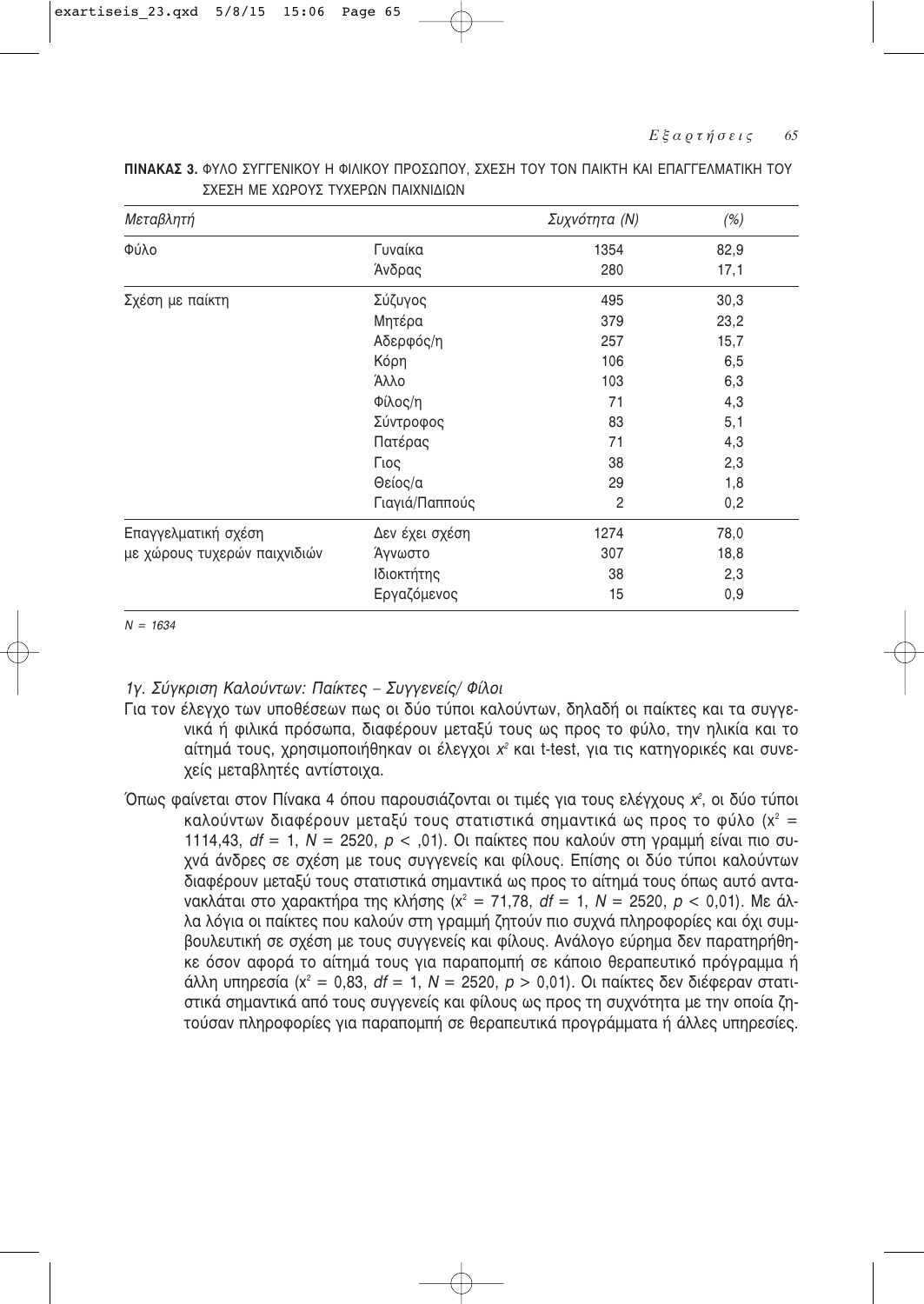| Μεταβλητή                    |                | Συχνότητα (Ν) | (%)  |
|------------------------------|----------------|---------------|------|
| Φύλο                         | Γυναίκα        | 1354          | 82,9 |
|                              | Άνδρας         | 280           | 17,1 |
| Σχέση με παίκτη              | Σύζυγος        | 495           | 30,3 |
|                              | Μητέρα         | 379           | 23,2 |
|                              | Αδερφός/η      | 257           | 15,7 |
|                              | Κόρη           | 106           | 6,5  |
|                              | Άλλο           | 103           | 6,3  |
|                              | Φίλος/η        | 71            | 4,3  |
|                              | Σύντροφος      | 83            | 5,1  |
|                              | Πατέρας        | 71            | 4,3  |
|                              | Γιος           | 38            | 2,3  |
|                              | Θείος/α        | 29            | 1,8  |
|                              | Γιαγιά/Παππούς | 2             | 0,2  |
| Επαγγελματική σχέση          | Δεν έχει σχέση | 1274          | 78,0 |
| με χώρους τυχερών παιχνιδιών | Άγνωστο        | 307           | 18,8 |
|                              | Ιδιοκτήτης     | 38            | 2,3  |
|                              | Εργαζόμενος    | 15            | 0,9  |

**ΠΙΝΑΚΑΣ** 3. ΦΥΛΟ ΣΥΓΓΕΝΙΚΟΥ Η ΦΙΛΙΚΟΥ ΠΡΟΣΩΠΟΥ, ΣΧΕΣΗ ΤΟΥ ΤΟΝ ΠΑΙΚΤΗ ΚΑΙ ΕΠΑΓΓΕΛΜΑΤΙΚΗ ΤΟΥ ΣΧΕΣΗ ΜΕ ΧΟΡΟΥΣ ΤΥΧΕΡΟΝ ΠΑΙΧΝΙΛΙΟΝ

 $N = 1634$ 

1γ. Σύγκριση Καλούντων: Παίκτες – Συγγενείς/ Φίλοι

- Για τον έλεγχο των υποθέσεων πως οι δύο τύποι καλούντων, δηλαδή οι παίκτες και τα συγγενικά ή φιλικά πρόσωπα, διαφέρουν μεταξύ τους ως προς το φύλο, την ηλικία και το αίτημά τους, χρησιμοποιήθηκαν οι έλεγχοι χ<sup>2</sup> και t-test, για τις κατηγορικές και συνεχείς μεταβλητές αντίστοιχα.
- Όπως φαίνεται στον Πίνακα 4 όπου παρουσιάζονται οι τιμές για τους ελέγχους *χ<sup>2</sup>,* οι δύο τύποι καλούντων διαφέρουν μεταξύ τους στατιστικά σημαντικά ως προς το φύλο (x<sup>2</sup> = 1114,43, *df* = 1, *N* = 2520, *p* < ,01). Οι παίκτες που καλούν στη γραμμή είναι πιο συχνά άνδρες σε σχέση με τους συγγενείς και φίλους. Επίσης οι δύο τύποι καλούντων διαφέρουν μεταξύ τους στατιστικά σημαντικά ως προς το αίτημά τους όπως αυτό αντα-Vακλάται στο χαρακτήρα της κλήσης (x<sup>2</sup> = 71,78, df = 1, N = 2520, *p* < 0,01). Με άλλα λόγια οι παίκτες που καλούν στη γραμμή ζητούν πιο συχνά πληροφορίες και όχι συμβουλευτική σε σχέση με τους συγγενείς και φίλους. Ανάλογο εύρημα δεν παρατηρήθηκε όσον αφορά το αίτημά τους για παραπομπή σε κάποιο θεραπευτικό πρόνοαμμα ή άλλη υπηρεσία (x<sup>2</sup> = 0,83, df = 1, N = 2520, p > 0,01). Οι παίκτες δεν διέφεραν στατιστικά σημαντικά από τους συγγενείς και φίλους ως προς τη συχνότητα με την οποία ζητούσαν πληροφορίες για παραπομπή σε θεραπευτικά προγράμματα ή άλλες υπηρεσίες.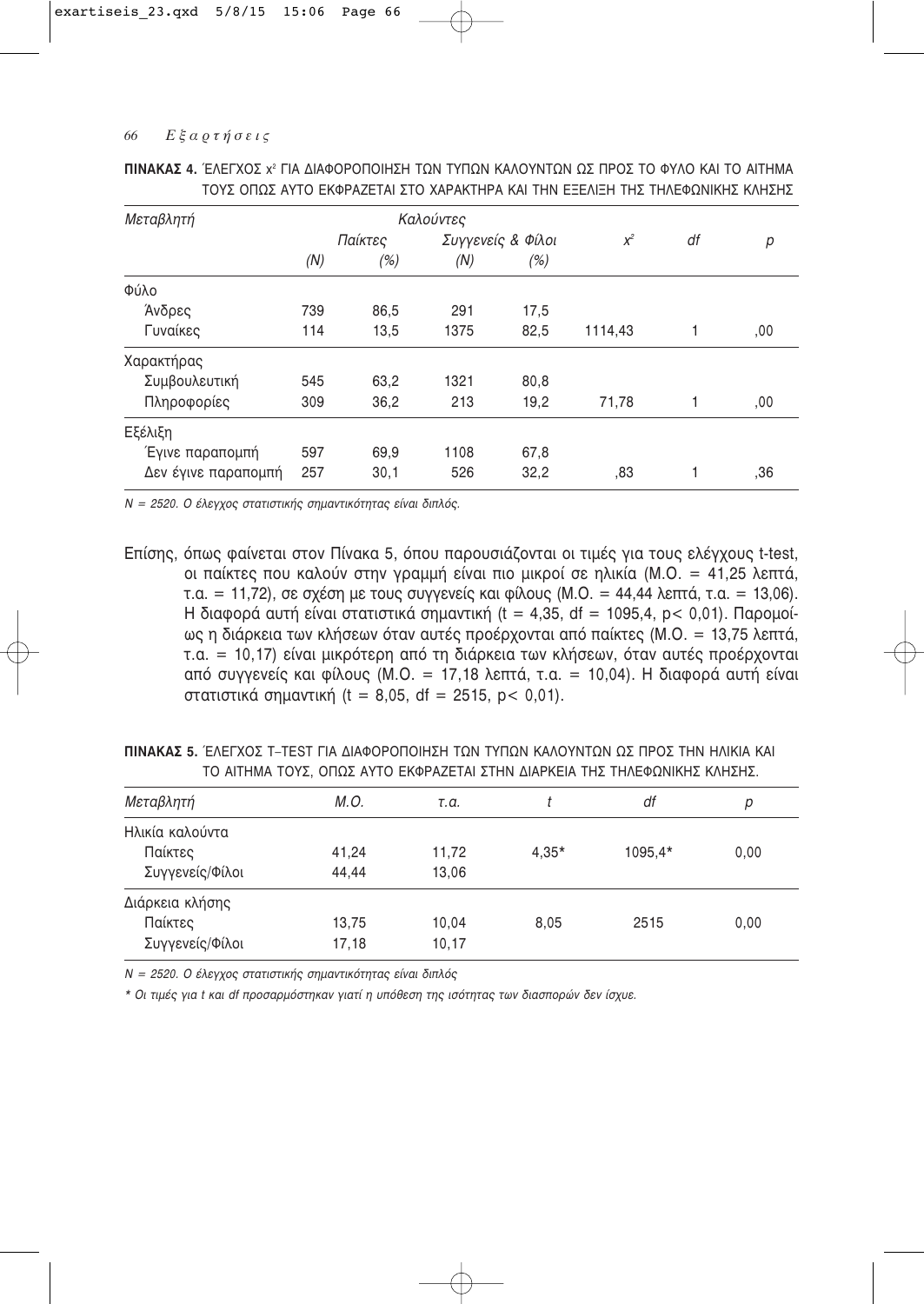| Μεταβλητή           |     |         | Καλούντες         |      |         |    |     |
|---------------------|-----|---------|-------------------|------|---------|----|-----|
|                     |     | Παίκτες | Συγγενείς & Φίλοι |      | $x^2$   | df | р   |
|                     | (N) | (%)     | (N)               | (%)  |         |    |     |
| Φύλο                |     |         |                   |      |         |    |     |
| Άνδρες              | 739 | 86,5    | 291               | 17,5 |         |    |     |
| Γυναίκες            | 114 | 13,5    | 1375              | 82,5 | 1114,43 |    | ,00 |
| Χαρακτήρας          |     |         |                   |      |         |    |     |
| Συμβουλευτική       | 545 | 63,2    | 1321              | 80,8 |         |    |     |
| Πληροφορίες         | 309 | 36,2    | 213               | 19,2 | 71,78   | 1  | ,00 |
| Εξέλιξη             |     |         |                   |      |         |    |     |
| Έγινε παραπομπή     | 597 | 69,9    | 1108              | 67,8 |         |    |     |
| Δεν έγινε παραπομπή | 257 | 30,1    | 526               | 32,2 | .83     |    | .36 |

| ΠΙΝΑΚΑΣ 4. ΈΛΕΓΧΟΣ χ <sup>2</sup> ΓΙΑ ΔΙΑΦΟΡΟΠΟΙΗΣΗ ΤΩΝ ΤΥΠΩΝ ΚΑΛΟΥΝΤΩΝ ΩΣ ΠΡΟΣ ΤΟ ΦΥΛΟ ΚΑΙ ΤΟ ΑΙΤΗΜΑ |  |  |  |  |  |  |  |
|-------------------------------------------------------------------------------------------------------|--|--|--|--|--|--|--|
| ΤΟΥΣ ΟΠΩΣ ΑΥΤΟ ΕΚΦΡΑΖΕΤΑΙ ΣΤΟ ΧΑΡΑΚΤΗΡΑ ΚΑΙ ΤΗΝ ΕΞΕΛΙΞΗ ΤΗΣ ΤΗΛΕΦΩΝΙΚΗΣ ΚΛΗΣΗΣ                        |  |  |  |  |  |  |  |

N = 2520. Ο έλεγχος στατιστικής σημαντικότητας είναι διπλός.

Επίσης, όπως φαίνεται στον Πίνακα 5, όπου παρουσιάζονται οι τιμές για τους ελέγχους t-test, οι παίκτες που καλούν στην γραμμή είναι πιο μικροί σε ηλικία (Μ.Ο. = 41,25 λεπτά, τ.α. = 11,72), σε σχέση με τους συγγενείς και φίλους (Μ.Ο. = 44,44 λεπτά, τ.α. = 13,06). Η διαφορά αυτή είναι στατιστικά σημαντική (t = 4,35, df = 1095,4, p < 0,01). Παρομοίως η διάρκεια των κλήσεων όταν αυτές προέρχονται από παίκτες (Μ.Ο. = 13,75 λεπτά, τ.α. = 10,17) είναι μικρότερη από τη διάρκεια των κλήσεων, όταν αυτές προέρχονται από συγγενείς και φίλους (Μ.Ο. = 17,18 λεπτά, τ.α. = 10,04). Η διαφορά αυτή είναι στατιστικά σημαντική (t = 8,05, df = 2515, p < 0,01).

| <b>ΠΙΝΑΚΑΣ 5.</b> ΈΛΕΓΧΟΣ Τ-ΤΕSΤ ΓΙΑ ΔΙΑΦΟΡΟΠΟΙΗΣΗ ΤΩΝ ΤΥΠΩΝ ΚΑΛΟΥΝΤΩΝ ΩΣ ΠΡΟΣ ΤΗΝ ΗΛΙΚΙΑ ΚΑΙ |  |  |  |  |  |  |  |
|-----------------------------------------------------------------------------------------------|--|--|--|--|--|--|--|
| ΤΟ ΑΙΤΗΜΑ ΤΟΥΣ. ΟΠΩΣ ΑΥΤΟ ΕΚΦΡΑΖΕΤΑΙ ΣΤΗΝ ΔΙΑΡΚΕΙΑ ΤΗΣ ΤΗΛΕΦΩΝΙΚΗΣ ΚΛΗΣΗΣ.                    |  |  |  |  |  |  |  |

| Μεταβλητή       | M.O.  | т.а.  |         | df      | р    |
|-----------------|-------|-------|---------|---------|------|
| Ηλικία καλούντα |       |       |         |         |      |
| Παίκτες         | 41,24 | 11,72 | $4,35*$ | 1095.4* | 0,00 |
| Συγγενείς/Φίλοι | 44.44 | 13,06 |         |         |      |
| Διάρκεια κλήσης |       |       |         |         |      |
| Παίκτες         | 13,75 | 10,04 | 8.05    | 2515    | 0,00 |
| Συγγενείς/Φίλοι | 17,18 | 10,17 |         |         |      |

N = 2520. Ο έλεγχος στατιστικής σημαντικότητας είναι διπλός

\* Οι τιμές για t και df προσαρμόστηκαν γιατί η υπόθεση της ισότητας των διασπορών δεν ίσχυε.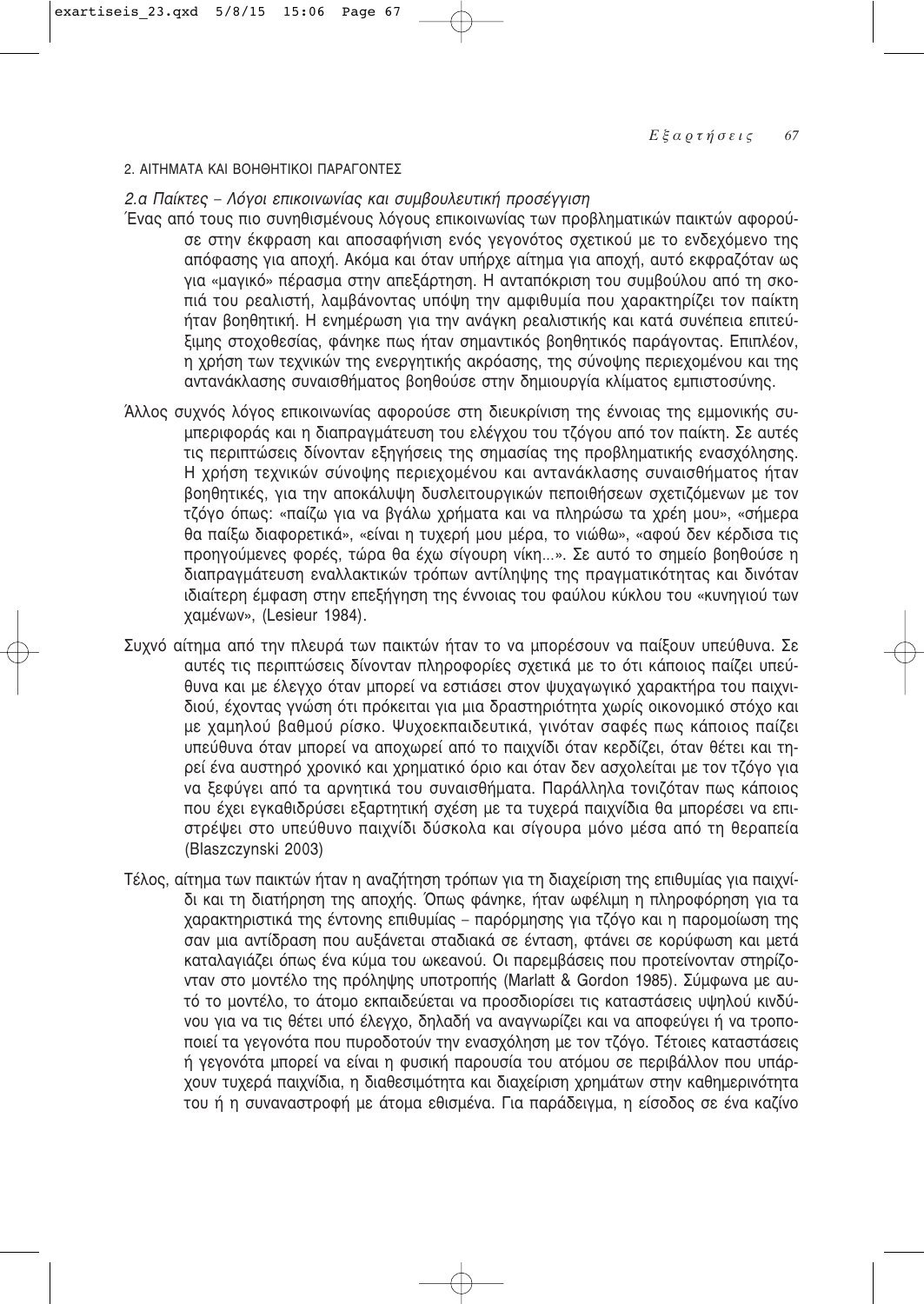#### 2. ΑΙΤΗΜΑΤΑ ΚΑΙ ΒΟΗΘΗΤΙΚΟΙ ΠΑΡΑΓΟΝΤΕΣ

2.α Παίκτες – Λόγοι επικοινωνίας και συμβουλευτική προσέγγιση

- Ένας από τους πιο συνηθισμένους λόγους επικοινωνίας των προβληματικών παικτών αφορούσε στην έκφραση και αποσαφήνιση ενός γεγονότος σχετικού με το ενδεχόμενο της απόφασης για αποχή. Ακόμα και όταν υπήρχε αίτημα για αποχή, αυτό εκφραζόταν ως για «μαγικό» πέρασμα στην απεξάρτηση. Η ανταπόκριση του συμβούλου από τη σκοπιά του ρεαλιστή, λαμβάνοντας υπόψη την αμφιθυμία που χαρακτηρίζει τον παίκτη ήταν βοηθητική. Η ενημέρωση για την ανάγκη ρεαλιστικής και κατά συνέπεια επιτεύξιμης στοχοθεσίας, φάνηκε πως ήταν σημαντικός βοηθητικός παράγοντας. Επιπλέον, η χρήση των τεχνικών της ενεργητικής ακρόασης, της σύνοψης περιεχομένου και της αντανάκλασης συναισθήματος βοηθούσε στην δημιουργία κλίματος εμπιστοσύνης.
- Άλλος συχνός λόγος επικοινωνίας αφορούσε στη διευκρίνιση της έννοιας της εμμονικής συμπεριφοράς και η διαπραγμάτευση του ελέγχου του τζόγου από τον παίκτη. Σε αυτές τις περιπτώσεις δίνονταν εξηγήσεις της σημασίας της προβληματικής ενασχόλησης. Η χρήση τεχνικών σύνοψης περιεχομένου και αντανάκλασης συναισθήματος ήταν βοηθητικές, για την αποκάλυψη δυσλειτουργικών πεποιθήσεων σχετιζόμενων με τον τζόγο όπως: «παίζω για να βγάλω χρήματα και να πληρώσω τα χρέη μου», «σήμερα θα παίξω διαφορετικά», «είναι η τυχερή μου μέρα, το νιώθω», «αφού δεν κέρδισα τις προηγούμενες φορές, τώρα θα έχω σίγουρη νίκη...». Σε αυτό το σημείο βοηθούσε η διαπραγμάτευση εναλλακτικών τρόπων αντίληψης της πραγματικότητας και δινόταν ιδιαίτερη έμφαση στην επεξήγηση της έννοιας του φαύλου κύκλου του «κυνηγιού των χαμένων». (Lesieur 1984).
- Συχνό αίτημα από την πλευρά των παικτών ήταν το να μπορέσουν να παίξουν υπεύθυνα. Σε αυτές τις περιπτώσεις δίνονταν πληροφορίες σχετικά με το ότι κάποιος παίζει υπεύθυνα και με έλεγχο όταν μπορεί να εστιάσει στον ψυχαγωγικό χαρακτήρα του παιχνιδιού, έχοντας γνώση ότι πρόκειται για μια δραστηριότητα χωρίς οικονομικό στόχο και με χαμηλού βαθμού ρίσκο. Ψυχοεκπαιδευτικά, γινόταν σαφές πως κάποιος παίζει υπεύθυνα όταν μπορεί να αποχωρεί από το παιχνίδι όταν κερδίζει, όταν θέτει και τηρεί ένα αυστηρό χρονικό και χρηματικό όριο και όταν δεν ασχολείται με τον τζόγο για να ξεφύγει από τα αρνητικά του συναισθήματα. Παράλληλα τονιζόταν πως κάποιος που έχει εγκαθιδρύσει εξαρτητική σχέση με τα τυχερά παιχνίδια θα μπορέσει να επιστρέψει στο υπεύθυνο παιχνίδι δύσκολα και σίγουρα μόνο μέσα από τη θεραπεία (Blaszczynski 2003)
- Τέλος, αίτημα των παικτών ήταν η αναζήτηση τρόπων για τη διαχείριση της επιθυμίας για παιχνίδι και τη διατήρηση της αποχής. Όπως φάνηκε, ήταν ωφέλιμη η πληροφόρηση για τα χαρακτηριστικά της έντονης επιθυμίας - παρόρμησης για τζόγο και η παρομοίωση της σαν μια αντίδραση που αυξάνεται σταδιακά σε ένταση, φτάνει σε κορύφωση και μετά καταλαγιάζει όπως ένα κύμα του ωκεανού. Οι παρεμβάσεις που προτείνονταν στηρίζονταν στο μοντέλο της πρόληψης υποτροπής (Marlatt & Gordon 1985). Σύμφωνα με αυτό το μοντέλο, το άτομο εκπαιδεύεται να προσδιορίσει τις καταστάσεις υψηλού κινδύνου για να τις θέτει υπό έλεγχο, δηλαδή να αναγνωρίζει και να αποφεύγει ή να τροποποιεί τα γεγονότα που πυροδοτούν την ενασχόληση με τον τζόγο. Τέτοιες καταστάσεις ή γεγονότα μπορεί να είναι η φυσική παρουσία του ατόμου σε περιβάλλον που υπάρχουν τυχερά παιχνίδια, η διαθεσιμότητα και διαχείριση χρημάτων στην καθημερινότητα του ή η συναναστροφή με άτομα εθισμένα. Για παράδειγμα, η είσοδος σε ένα καζίνο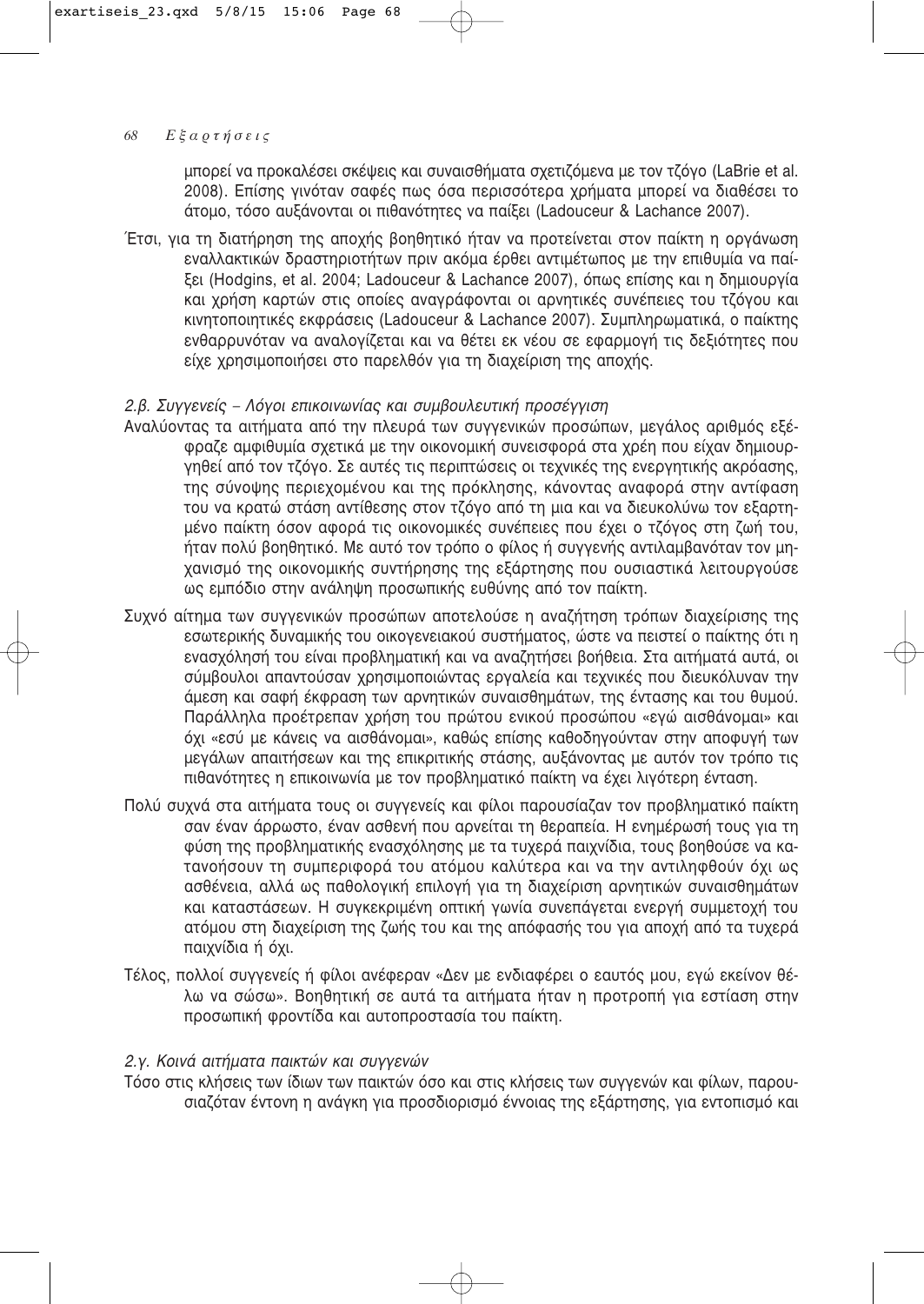μπορεί να προκαλέσει σκέψεις και συναισθήματα σχετιζόμενα με τον τζόγο (LaBrie et al. 2008). Επίσης γινόταν σαφές πως όσα περισσότερα χρήματα μπορεί να διαθέσει το άτομο, τόσο αυξάνονται οι πιθανότητες να παίξει (Ladouceur & Lachance 2007).

Έτσι, για τη διατήρηση της αποχής βοηθητικό ήταν να προτείνεται στον παίκτη η οργάνωση εναλλακτικών δραστηριοτήτων πριν ακόμα έρθει αντιμέτωπος με την επιθυμία να παίξει (Hodgins, et al. 2004; Ladouceur & Lachance 2007), όπως επίσης και η δημιουργία και χρήση καρτών στις οποίες αναγράφονται οι αρνητικές συνέπειες του τζόγου και KIVNTOΠΟΙΝΤΙΚές εκφράσεις (Ladouceur & Lachance 2007). Συμπληρωματικά, ο παίκτης ενθαρρυνόταν να αναλογίζεται και να θέτει εκ νέου σε εφαρμογή τις δεξιότητες που είχε χρησιμοποιήσει στο παρελθόν για τη διαχείριση της αποχής.

# 2.β. Συγγενείς – Λόγοι επικοινωνίας και συμβουλευτική προσέγγιση

- Αναλύοντας τα αιτήματα από την πλευρά των συγγενικών προσώπων, μεγάλος αριθμός εξέφραζε αμφιθυμία σχετικά με την οικονομική συνεισφορά στα χρέη που είχαν δημιουργηθεί από τον τζόγο. Σε αυτές τις περιπτώσεις οι τεχνικές της ενεργητικής ακρόασης, της σύνοψης περιεχομένου και της πρόκλησης, κάνοντας αναφορά στην αντίφαση του να κρατώ στάση αντίθεσης στον τζόγο από τη μια και να διευκολύνω τον εξαρτημένο παίκτη όσον αφορά τις οικονομικές συνέπειες που έχει ο τζόγος στη ζωή του, ήταν πολύ βοηθητικό. Με αυτό τον τρόπο ο φίλος ή συγγενής αντιλαμβανόταν τον μηχανισμό της οικονομικής συντήρησης της εξάρτησης που ουσιαστικά λειτουργούσε ως εμπόδιο στην ανάληψη προσωπικής ευθύνης από τον παίκτη.
- Συχνό αίτημα των συγγενικών προσώπων αποτελούσε η αναζήτηση τρόπων διαχείρισης της εσωτερικής δυναμικής του οικογενειακού συστήματος, ώστε να πειστεί ο παίκτης ότι η ενασχόλησή του είναι προβληματική και να αναζητήσει βοήθεια. Στα αιτήματά αυτά, οι σύμβουλοι απαντούσαν χρησιμοποιώντας εργαλεία και τεχνικές που διευκόλυναν την άμεση και σαφή έκφραση των αρνητικών συναισθημάτων, της έντασης και του θυμού. Παράλληλα προέτρεπαν χρήση του πρώτου ενικού προσώπου «εγώ αισθάνομαι» και όχι «εσύ με κάνεις να αισθάνομαι», καθώς επίσης καθοδηγούνταν στην αποφυγή των μεγάλων απαιτήσεων και της επικριτικής στάσης, αυξάνοντας με αυτόν τον τρόπο τις πιθανότητες η επικοινωνία με τον προβληματικό παίκτη να έχει λιγότερη ένταση.
- Πολύ συχνά στα αιτήματα τους οι συγγενείς και φίλοι παρουσίαζαν τον προβληματικό παίκτη σαν έναν άρρωστο, έναν ασθενή που αρνείται τη θεραπεία. Η ενημέρωσή τους για τη φύση της προβληματικής ενασχόλησης με τα τυχερά παιχνίδια, τους βοηθούσε να κατανοήσουν τη συμπεριφορά του ατόμου καλύτερα και να την αντιληφθούν όχι ως ασθένεια, αλλά ως παθολογική επιλογή για τη διαχείριση αρνητικών συναισθημάτων και καταστάσεων. Η συγκεκριμένη οπτική γωνία συνεπάγεται ενεργή συμμετοχή του ατόμου στη διαχείριση της ζωής του και της απόφασής του για αποχή από τα τυχερά παιχνίδια ή όχι.
- Τέλος, πολλοί συγγενείς ή φίλοι ανέφεραν «Δεν με ενδιαφέρει ο εαυτός μου, εγώ εκείνον θέλω να σώσω». Βοηθητική σε αυτά τα αιτήματα ήταν η προτροπή για εστίαση στην προσωπική φροντίδα και αυτοπροστασία του παίκτη.

# *2.γ. Κοινά αιτήματα παικτών και συγγενών*

Τόσο στις κλήσεις των ίδιων των παικτών όσο και στις κλήσεις των συγγενών και φίλων, παρουσιαζόταν έντονη η ανάγκη για προσδιορισμό έννοιας της εξάρτησης, για εντοπισμό και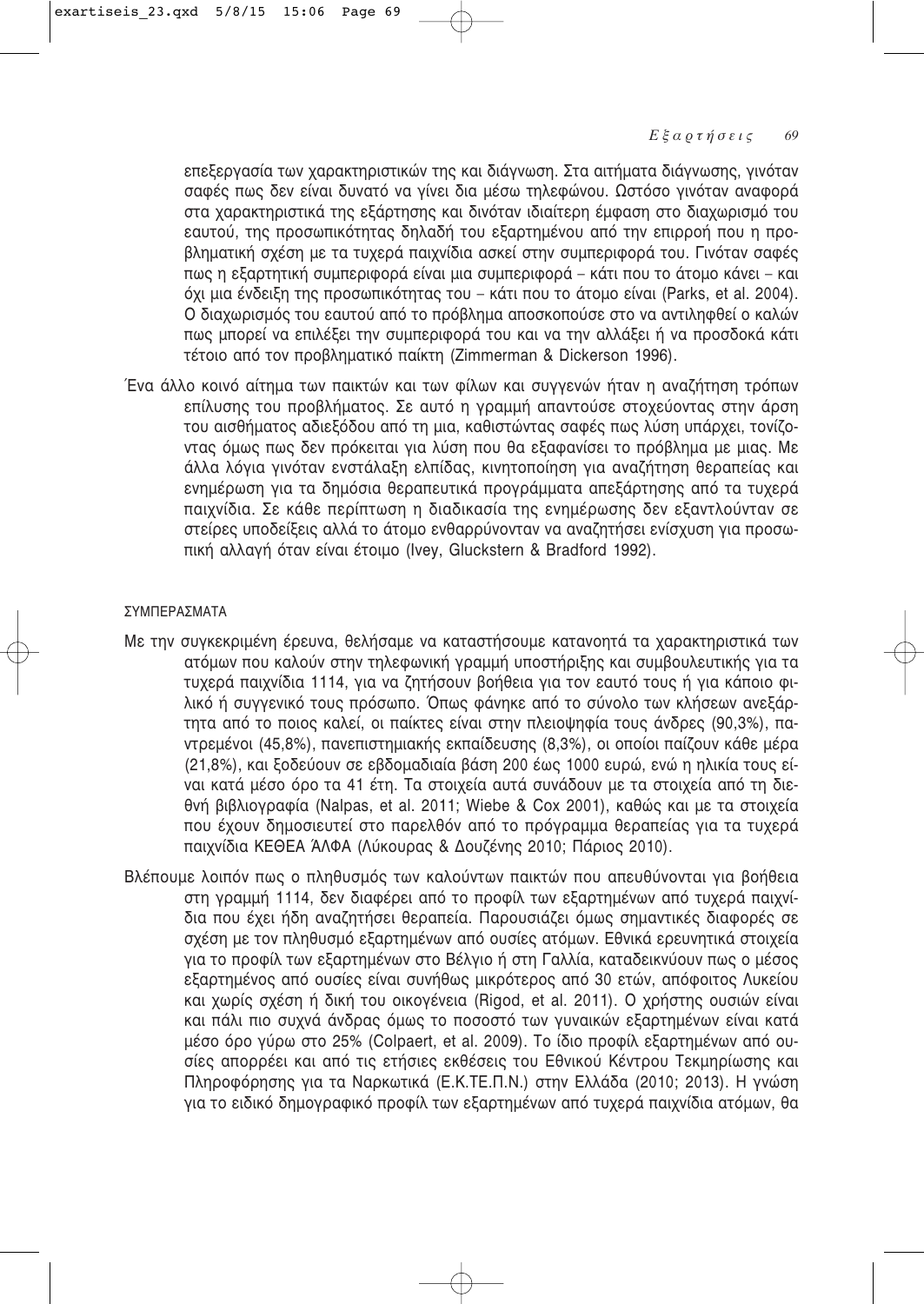επεξεργασία των χαρακτηριστικών της και διάγνωση. Στα αιτήματα διάγνωσης, γινόταν σαφές πως δεν είναι δυνατό να νίνει δια μέσω τηλεφώνου. Ωστόσο νινόταν αναφορά στα χαρακτηριστικά της εξάρτησης και δινόταν ιδιαίτερη έμφαση στο διαχωρισμό του εαυτού, της προσωπικότητας δηλαδή του εξαρτημένου από την επιρροή που η προβληματική σχέση με τα τυχερά παιχνίδια ασκεί στην συμπεριφορά του. Γινόταν σαφές πως η εξαρτητική συμπεριφορά είναι μια συμπεριφορά – κάτι που το άτομο κάνει – και <u>όχι μια ένδειξη της προσωπικότητας του – κάτι που το άτομο είναι (Parks, et al. 2004).</u> Ο διαχωρισμός του εαυτού από το πρόβλημα αποσκοπούσε στο να αντιληφθεί ο καλών πως μπορεί να επιλέξει την συμπεριφορά του και να την αλλάξει ή να προσδοκά κάτι τέτοιο από τον προβληματικό παίκτη (Zimmerman & Dickerson 1996).

Ένα άλλο κοινό αίτημα των παικτών και των φίλων και συγγενών ήταν η αναζήτηση τρόπων επίλυσης του προβλήματος. Σε αυτό η γραμμή απαντούσε στοχεύοντας στην άρση του αισθήματος αδιεξόδου από τη μια, καθιστώντας σαφές πως λύση υπάρχει, τονίζοντας όμως πως δεν πρόκειται για λύση που θα εξαφανίσει το πρόβλημα με μιας. Με άλλα λόγια γινόταν ενστάλαξη ελπίδας, κινητοποίηση για αναζήτηση θεραπείας και ενημέρωση για τα δημόσια θεραπευτικά προγράμματα απεξάρτησης από τα τυχερά παιχνίδια. Σε κάθε περίπτωση η διαδικασία της ενημέρωσης δεν εξαντλούνταν σε στείρες υποδείξεις αλλά το άτομο ενθαρρύνονταν να αναζητήσει ενίσχυση για προσωπική αλλαγή όταν είναι έτοιμο (Ivey, Gluckstern & Bradford 1992).

#### ΣΥΜΠΕΡΑΣΜΑΤΑ

- Με την συγκεκριμένη έρευνα, θελήσαμε να καταστήσουμε κατανοητά τα χαρακτηριστικά των ατόμων που καλούν στην τηλεφωνική γραμμή υποστήριξης και συμβουλευτικής για τα τυχερά παιχνίδια 1114, για να ζητήσουν βοήθεια για τον εαυτό τους ή για κάποιο φιλικό ή συγγενικό τους πρόσωπο. Όπως φάνηκε από το σύνολο των κλήσεων ανεξάρτητα από το ποιος καλεί, οι παίκτες είναι στην πλειοψηφία τους άνδρες (90,3%), παντρεμένοι (45,8%), πανεπιστημιακής εκπαίδευσης (8,3%), οι οποίοι παίζουν κάθε μέρα (21,8%), και ξοδεύουν σε εβδομαδιαία βάση 200 έως 1000 ευρώ, ενώ η ηλικία τους είναι κατά μέσο όρο τα 41 έτη. Τα στοιχεία αυτά συνάδουν με τα στοιχεία από τη διεθνή βιβλιογραφία (Nalpas, et al. 2011; Wiebe & Cox 2001), καθώς και με τα στοιχεία που έχουν δημοσιευτεί στο παρελθόν από το πρόγραμμα θεραπείας για τα τυχερά παιχνίδια ΚΕΘΕΑ ΆΛΦΑ (Λύκουρας & Δουζένης 2010; Πάριος 2010).
- Βλέπουμε λοιπόν πως ο πληθυσμός των καλούντων παικτών που απευθύνονται για βοήθεια στη γραμμή 1114, δεν διαφέρει από το προφίλ των εξαρτημένων από τυχερά παιχνίδια που έχει ήδη αναζητήσει θεραπεία. Παρουσιάζει όμως σημαντικές διαφορές σε σχέση με τον πληθυσμό εξαρτημένων από ουσίες ατόμων. Εθνικά ερευνητικά στοιχεία για το προφίλ των εξαρτημένων στο Βέλγιο ή στη Γαλλία, καταδεικνύουν πως ο μέσος εξαρτημένος από ουσίες είναι συνήθως μικρότερος από 30 ετών, απόφοιτος Λυκείου και χωρίς σχέση ή δική του οικογένεια (Rigod, et al. 2011). Ο χρήστης ουσιών είναι και πάλι πιο συχνά άνδρας όμως το ποσοστό των γυναικών εξαρτημένων είναι κατά μέσο όρο γύρω στο 25% (Colpaert, et al. 2009). Το ίδιο προφίλ εξαρτημένων από ουσίες απορρέει και από τις ετήσιες εκθέσεις του Εθνικού Κέντρου Τεκμηρίωσης και Πληροφόρησης για τα Ναρκωτικά (Ε.Κ.ΤΕ.Π.Ν.) στην Ελλάδα (2010; 2013). Η γνώση για το ειδικό δημογραφικό προφίλ των εξαρτημένων από τυχερά παιχνίδια ατόμων, θα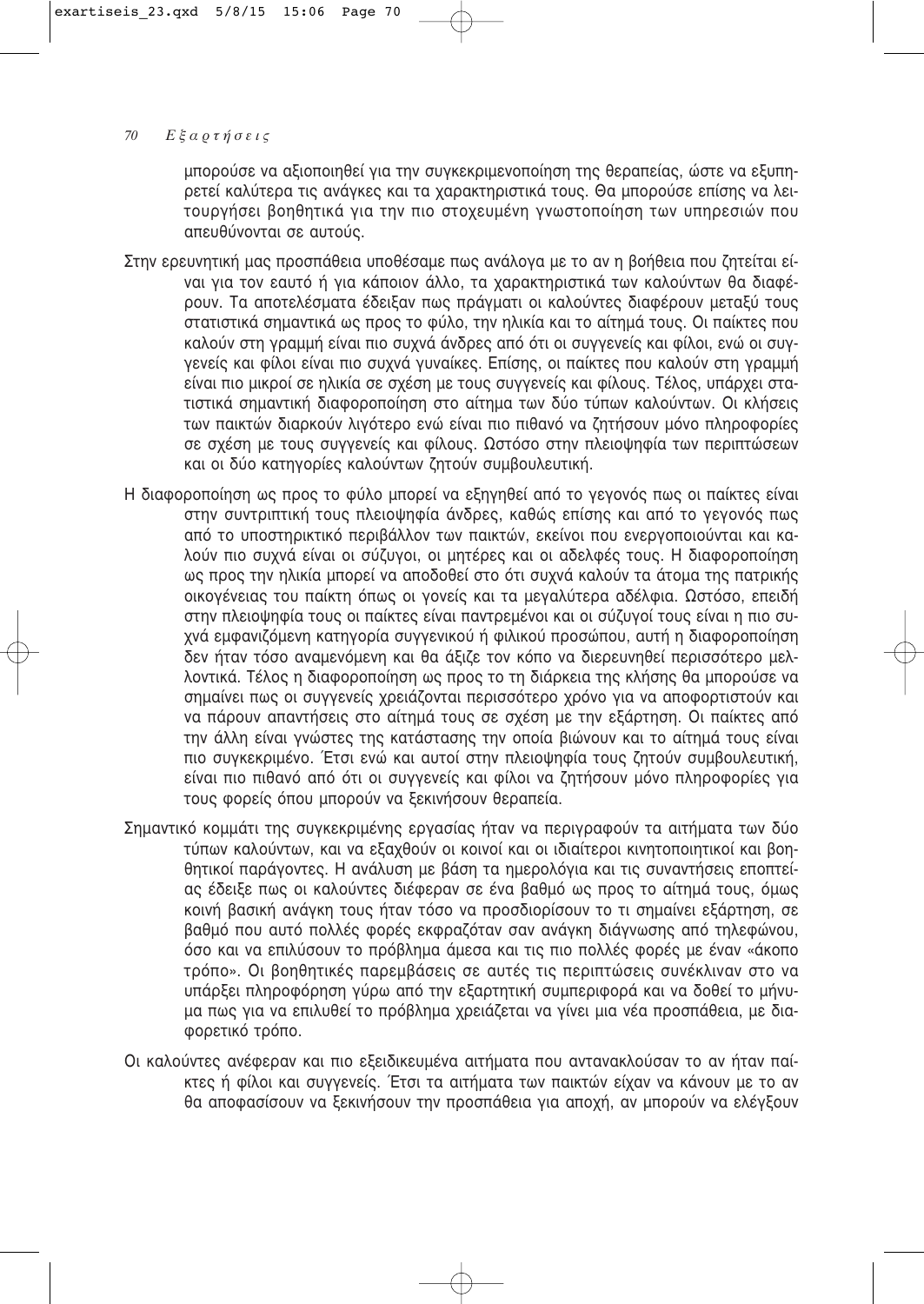μπορούσε να αξιοποιηθεί για την συγκεκριμενοποίηση της θεραπείας, ώστε να εξυπηρετεί καλύτερα τις ανάγκες και τα χαρακτηριστικά τους. Θα μπορούσε επίσης να λειτουργήσει βοηθητικά για την πιο στοχευμένη γνωστοποίηση των υπηρεσιών που απευθύνονται σε αυτούς.

- Στην ερευνητική μας προσπάθεια υποθέσαμε πως ανάλογα με το αν η βοήθεια που ζητείται είναι για τον εαυτό ή για κάποιον άλλο, τα χαρακτηριστικά των καλούντων θα διαφέρουν. Τα αποτελέσματα έδειξαν πως πράγματι οι καλούντες διαφέρουν μεταξύ τους οτατιστικά σημαντικά ως προς το φύλο, την ηλικία και το αίτημά τους. Οι παίκτες που καλούν στη γραμμή είναι πιο συχνά άνδρες από ότι οι συγγενείς και φίλοι, ενώ οι συγγενείς και φίλοι είναι πιο συχνά γυναίκες. Επίσης, οι παίκτες που καλούν στη γραμμή είναι πιο μικροί σε ηλικία σε σχέση με τους συγγενείς και φίλους. Τέλος, υπάρχει στατιστικά σημαντική διαφοροποίηση στο αίτημα των δύο τύπων καλούντων. Οι κλήσεις των παικτών διαρκούν λιγότερο ενώ είναι πιο πιθανό να ζητήσουν μόνο πληροφορίες σε σχέση με τους συγγενείς και φίλους. Ωστόσο στην πλειοψηφία των περιπτώσεων και οι δύο κατηγορίες καλούντων ζητούν συμβουλευτική.
- Η διαφοροποίηση ως προς το φύλο μπορεί να εξηγηθεί από το γεγονός πως οι παίκτες είναι στην συντριπτική τους πλειοψηφία άνδρες, καθώς επίσης και από το γεγονός πως από το υποστηρικτικό περιβάλλον των παικτών, εκείνοι που ενεργοποιούνται και καλούν πιο συχνά είναι οι σύζυγοι, οι μητέρες και οι αδελφές τους. Η διαφοροποίηση ως προς την ηλικία μπορεί να αποδοθεί στο ότι συχνά καλούν τα άτομα της πατρικής οικογένειας του παίκτη όπως οι γονείς και τα μεγαλύτερα αδέλφια. Ωστόσο, επειδή στην πλειοψηφία τους οι παίκτες είναι παντρεμένοι και οι σύζυγοί τους είναι η πιο συχνά εμφανιζόμενη κατηγορία συγγενικού ή φιλικού προσώπου, αυτή η διαφοροποίηση δεν ήταν τόσο αναμενόμενη και θα άξιζε τον κόπο να διερευνηθεί περισσότερο μελλοντικά. Τέλος η διαφοροποίηση ως προς το τη διάρκεια της κλήσης θα μπορούσε να σημαίνει πως οι συγγενείς χρειάζονται περισσότερο χρόνο για να αποφορτιστούν και να πάρουν απαντήσεις στο αίτημά τους σε σχέση με την εξάρτηση. Οι παίκτες από την άλλη είναι γνώστες της κατάστασης την οποία βιώνουν και το αίτημά τους είναι πιο συγκεκριμένο. Έτσι ενώ και αυτοί στην πλειοψηφία τους ζητούν συμβουλευτική, είναι πιο πιθανό από ότι οι συγγενείς και φίλοι να ζητήσουν μόνο πληροφορίες για τους φορείς όπου μπορούν να ξεκινήσουν θεραπεία.
- Σημαντικό κομμάτι της συγκεκριμένης εργασίας ήταν να περιγραφούν τα αιτήματα των δύο τύπων καλούντων, και να εξαχθούν οι κοινοί και οι ιδιαίτεροι κινητοποιητικοί και βοηθητικοί παράγοντες. Η ανάλυση με βάση τα ημερολόγια και τις συναντήσεις εποπτείας έδειξε πως οι καλούντες διέφεραν σε ένα βαθμό ως προς το αίτημά τους, όμως κοινή βασική ανάγκη τους ήταν τόσο να προσδιορίσουν το τι σημαίνει εξάρτηση, σε βαθμό που αυτό πολλές φορές εκφραζόταν σαν ανάγκη διάγνωσης από τηλεφώνου, όσο και να επιλύσουν το πρόβλημα άμεσα και τις πιο πολλές φορές με έναν «άκοπο τρόπο». Οι βοηθητικές παρεμβάσεις σε αυτές τις περιπτώσεις συνέκλιναν στο να υπάρξει πληροφόρηση γύρω από την εξαρτητική συμπεριφορά και να δοθεί το μήνυμα πως για να επιλυθεί το πρόβλημα χρειάζεται να γίνει μια νέα προσπάθεια, με διαφορετικό τρόπο.
- Οι καλούντες ανέφεραν και πιο εξειδικευμένα αιτήματα που αντανακλούσαν το αν ήταν παί-ΚΤες ή φίλοι και συγγενείς. Έτσι τα αιτήματα των παικτών είχαν να κάνουν με το αν θα αποφασίσουν να ξεκινήσουν την προσπάθεια για αποχή, αν μπορούν να ελέγξουν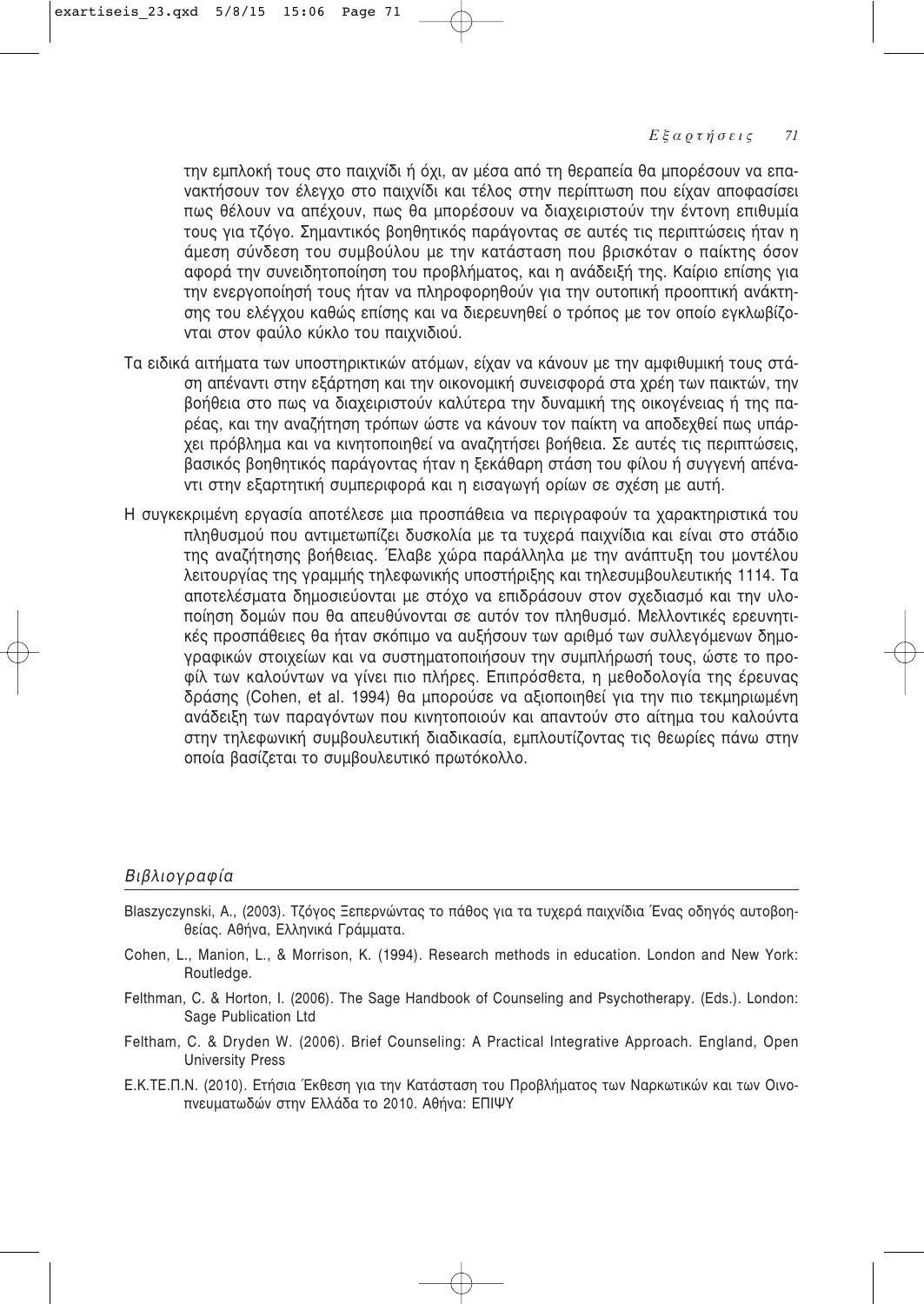την εμπλοκή τους στο παιχνίδι ή όχι, αν μέσα από τη θεραπεία θα μπορέσουν να επανακτήσουν τον έλεγχο στο παιχνίδι και τέλος στην περίπτωση που είχαν αποφασίσει πως θέλουν να απέχουν, πως θα μπορέσουν να διαχειριστούν την έντονη επιθυμία τους για τζόγο. Σημαντικός βοηθητικός παράγοντας σε αυτές τις περιπτώσεις ήταν η άμεση σύνδεση του συμβούλου με την κατάσταση που βρισκόταν ο παίκτης όσον αφορά την συνειδητοποίηση του προβλήματος, και η ανάδειξή της. Καίριο επίσης για την ενεργοποίησή τους ήταν να πληροφορηθούν για την ουτοπική προοπτική ανάκτησης του ελέγχου καθώς επίσης και να διερευνηθεί ο τρόπος με τον οποίο εγκλωβίζονται στον φαύλο κύκλο του παιχνιδιού.

- Τα ειδικά αιτήματα των υποστηρικτικών ατόμων, είχαν να κάνουν με την αμφιθυμική τους στάση απέναντι στην εξάρτηση και την οικονομική συνεισφορά στα χρέη των παικτών, την βοήθεια στο πως να διαχειριστούν καλύτερα την δυναμική της οικογένειας ή της παρέας, και την αναζήτηση τρόπων ώστε να κάνουν τον παίκτη να αποδεχθεί πως υπάρχει πρόβλημα και να κινητοποιηθεί να αναζητήσει βοήθεια. Σε αυτές τις περιπτώσεις, βασικός βοηθητικός παράγοντας ήταν η ξεκάθαρη στάση του φίλου ή συγγενή απένα-Vτι στην εξαρτητική συμπεριφορά και η εισαγωγή ορίων σε σχέση με αυτή.
- Η συγκεκριμένη εργασία αποτέλεσε μια προσπάθεια να περιγραφούν τα χαρακτηριστικά του πληθυσμού που αντιμετωπίζει δυσκολία με τα τυχερά παιχνίδια και είναι στο στάδιο της αναζήτησης βοήθειας. Έλαβε χώρα παράλληλα με την ανάπτυξη του μοντέλου λειτουργίας της γραμμής τηλεφωνικής υποστήριξης και τηλεσυμβουλευτικής 1114. Τα αποτελέσματα δημοσιεύονται με στόχο να επιδράσουν στον σχεδιασμό και την υλοποίηση δομών που θα απευθύνονται σε αυτόν τον πληθυσμό. Μελλοντικές ερευνητικές προσπάθειες θα ήταν σκόπιμο να αυξήσουν των αριθμό των συλλεγόμενων δημογραφικών στοιχείων και να συστηματοποιήσουν την συμπλήρωσή τους, ώστε το προφίλ των καλούντων να γίνει πιο πλήρες. Επιπρόσθετα, η μεθοδολογία της έρευνας δράσης (Cohen, et al. 1994) θα μπορούσε να αξιοποιηθεί για την πιο τεκμηριωμένη ανάδειξη των παραγόντων που κινητοποιούν και απαντούν στο αίτημα του καλούντα στην τηλεφωνική συμβουλευτική διαδικασία, εμπλουτίζοντας τις θεωρίες πάνω στην οποία βασίζεται το συμβουλευτικό πρωτόκολλο.

# Βιβλιογραφία

- Blaszyczynski, A., (2003). Τζόγος Ξεπερνώντας το πάθος για τα τυχερά παιχνίδια Ένας οδηγός αυτοβοηθείας. Αθήνα, Ελληνικά Γράμματα.
- Cohen, L., Manion, L., & Morrison, K. (1994). Research methods in education. London and New York: Routledge.
- Felthman, C. & Horton, I. (2006). The Sage Handbook of Counseling and Psychotherapy. (Eds.). London: Sage Publication Ltd
- Feltham, C. & Dryden W. (2006). Brief Counseling: A Practical Integrative Approach. England, Open University Press
- Ε.Κ.ΤΕ.Π.Ν. (2010). Ετήσια Έκθεση για την Κατάσταση του Προβλήματος των Ναρκωτικών και των Οινοπνευματωδών στην Ελλάδα το 2010. Αθήνα: ΕΠΙΨΥ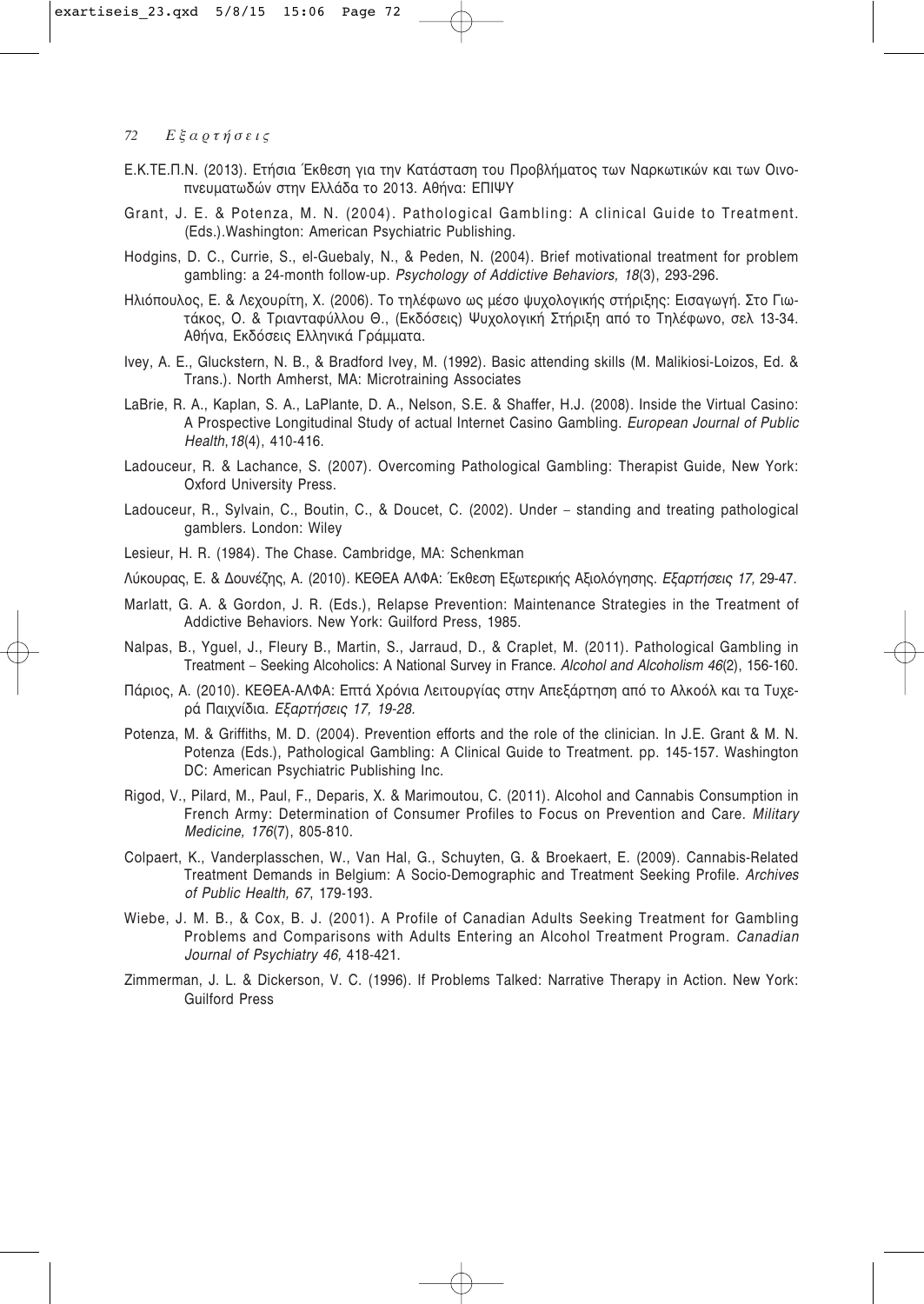- Ε.Κ.ΤΕ.Π.Ν. (2013). Ετήσια Έκθεση για την Κατάσταση του Προβλήματος των Ναρκωτικών και των Οινοπνευματωδών στην Ελλάδα το 2013. Αθήνα: ΕΠΙΨΥ
- Grant, J. E. & Potenza, M. N. (2004). Pathological Gambling: A clinical Guide to Treatment. (Eds.), Washington: American Psychiatric Publishing.
- Hodgins, D. C., Currie, S., el-Guebaly, N., & Peden, N. (2004). Brief motivational treatment for problem gambling: a 24-month follow-up. Psychology of Addictive Behaviors, 18(3), 293-296.
- Ηλιόπουλος, Ε. & Λεχουρίτη, Χ. (2006). Το τηλέφωνο ως μέσο ψυχολογικής στήριξης: Εισαγωγή. Στο Γιωτάκος, Ο. & Τριανταφύλλου Θ., (Εκδόσεις) Ψυχολογική Στήριξη από το Τηλέφωνο, σελ 13-34. Αθήνα, Εκδόσεις Ελληνικά Γράμματα.
- Ivey, A. E., Gluckstern, N. B., & Bradford Ivey, M. (1992). Basic attending skills (M. Malikiosi-Loizos, Ed. & Trans.). North Amherst, MA: Microtraining Associates
- LaBrie, R. A., Kaplan, S. A., LaPlante, D. A., Nelson, S.E. & Shaffer, H.J. (2008). Inside the Virtual Casino: A Prospective Longitudinal Study of actual Internet Casino Gambling. European Journal of Public Health, 18(4), 410-416.
- Ladouceur, R. & Lachance, S. (2007), Overcoming Pathological Gambling: Therapist Guide, New York: Oxford University Press.
- Ladouceur, R., Sylvain, C., Boutin, C., & Doucet, C. (2002). Under standing and treating pathological gamblers. London: Wiley
- Lesieur, H. R. (1984). The Chase. Cambridge, MA: Schenkman
- Λύκουρας, Ε. & Δουνέζης, Α. (2010), ΚΕΘΕΑ ΑΛΦΑ: Έκθεση Εξωτερικής Αξιολόγησης, *Εξαρτήσεις 17, 29-47*,
- Marlatt, G. A. & Gordon, J. R. (Eds.), Relapse Prevention: Maintenance Strategies in the Treatment of Addictive Behaviors. New York: Guilford Press, 1985.
- Nalpas, B., Yguel, J., Fleury B., Martin, S., Jarraud, D., & Craplet, M. (2011). Pathological Gambling in Treatment - Seeking Alcoholics: A National Survey in France. Alcohol and Alcoholism 46(2), 156-160.
- Πάριος, Α. (2010). ΚΕΘΕΑ-ΑΛΦΑ: Επτά Χρόνια Λειτουργίας στην Απεξάρτηση από το Αλκοόλ και τα Τυχερά Παιχνίδια. Εξαρτήσεις 17, 19-28.
- Potenza, M. & Griffiths, M. D. (2004). Prevention efforts and the role of the clinician. In J.E. Grant & M. N. Potenza (Eds.), Pathological Gambling: A Clinical Guide to Treatment. pp. 145-157. Washington DC: American Psychiatric Publishing Inc.
- Rigod, V., Pilard, M., Paul, F., Deparis, X. & Marimoutou, C. (2011). Alcohol and Cannabis Consumption in French Army: Determination of Consumer Profiles to Focus on Prevention and Care. Military Medicine, 176(7), 805-810.
- Colpaert, K., Vanderplasschen, W., Van Hal, G., Schuyten, G. & Broekaert, E. (2009). Cannabis-Related Treatment Demands in Belgium: A Socio-Demographic and Treatment Seeking Profile. Archives of Public Health, 67, 179-193.
- Wiebe, J. M. B., & Cox, B. J. (2001). A Profile of Canadian Adults Seeking Treatment for Gambling Problems and Comparisons with Adults Entering an Alcohol Treatment Program. Canadian Journal of Psychiatry 46, 418-421.
- Zimmerman, J. L. & Dickerson, V. C. (1996). If Problems Talked: Narrative Therapy in Action. New York: **Guilford Press**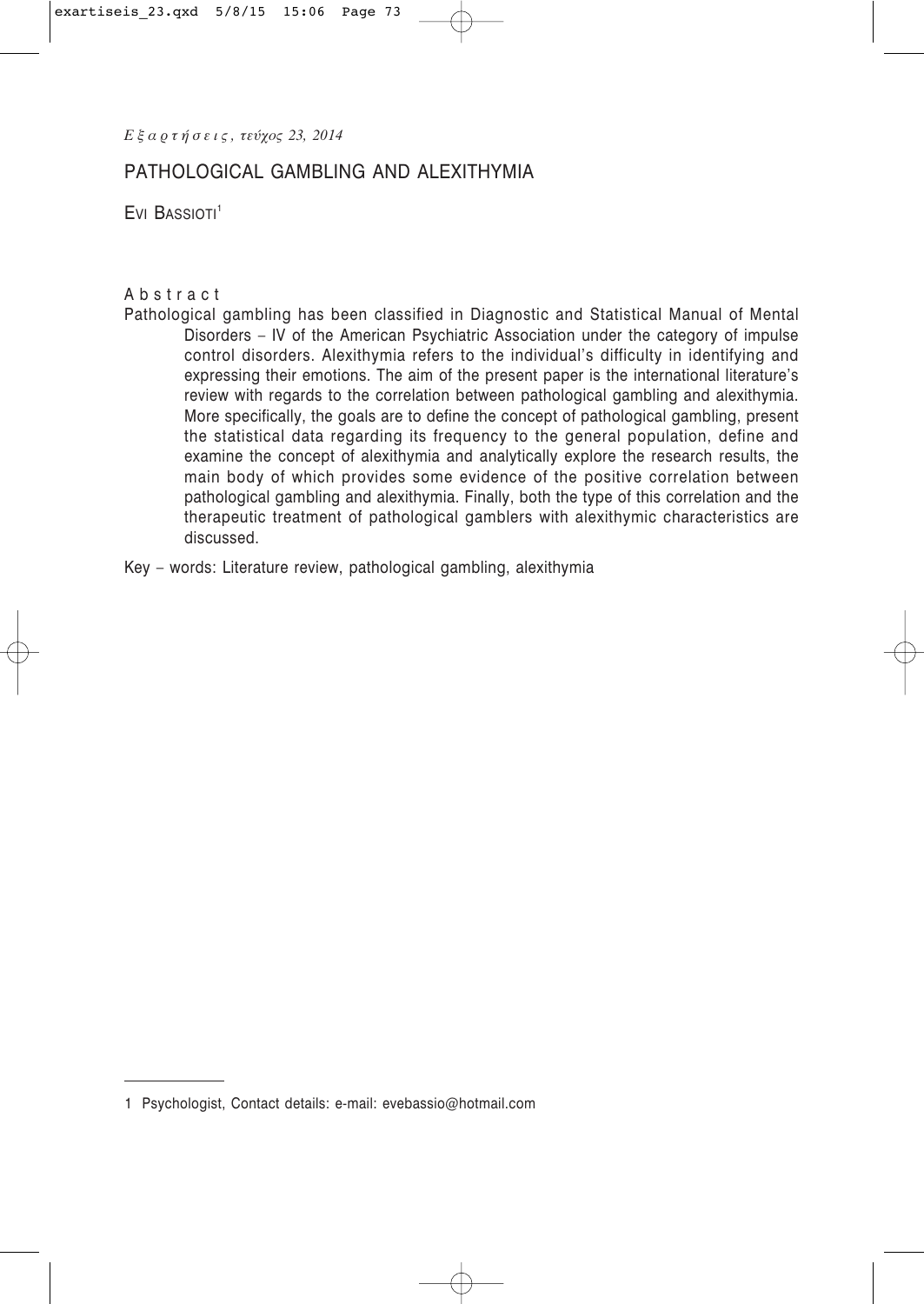*Ε ξ α ρ τ ή σ ε ι ς , τεύχος 23, 2014*

# PATHOLOGICAL GAMBLING AND ALEXITHYMIA

 $E$ vi Bassioti $1$ 

### Abstract

Pathological gambling has been classified in Diagnostic and Statistical Manual of Mental Disorders – IV of the American Psychiatric Association under the category of impulse control disorders. Alexithymia refers to the individual's difficulty in identifying and expressing their emotions. The aim of the present paper is the international literature's review with regards to the correlation between pathological gambling and alexithymia. More specifically, the goals are to define the concept of pathological gambling, present the statistical data regarding its frequency to the general population, define and examine the concept of alexithymia and analytically explore the research results, the main body of which provides some evidence of the positive correlation between pathological gambling and alexithymia. Finally, both the type of this correlation and the therapeutic treatment of pathological gamblers with alexithymic characteristics are discussed.

Key – words: Literature review, pathological gambling, alexithymia

<sup>1</sup> Psychologist, Contact details: e-mail: evebassio@hotmail.com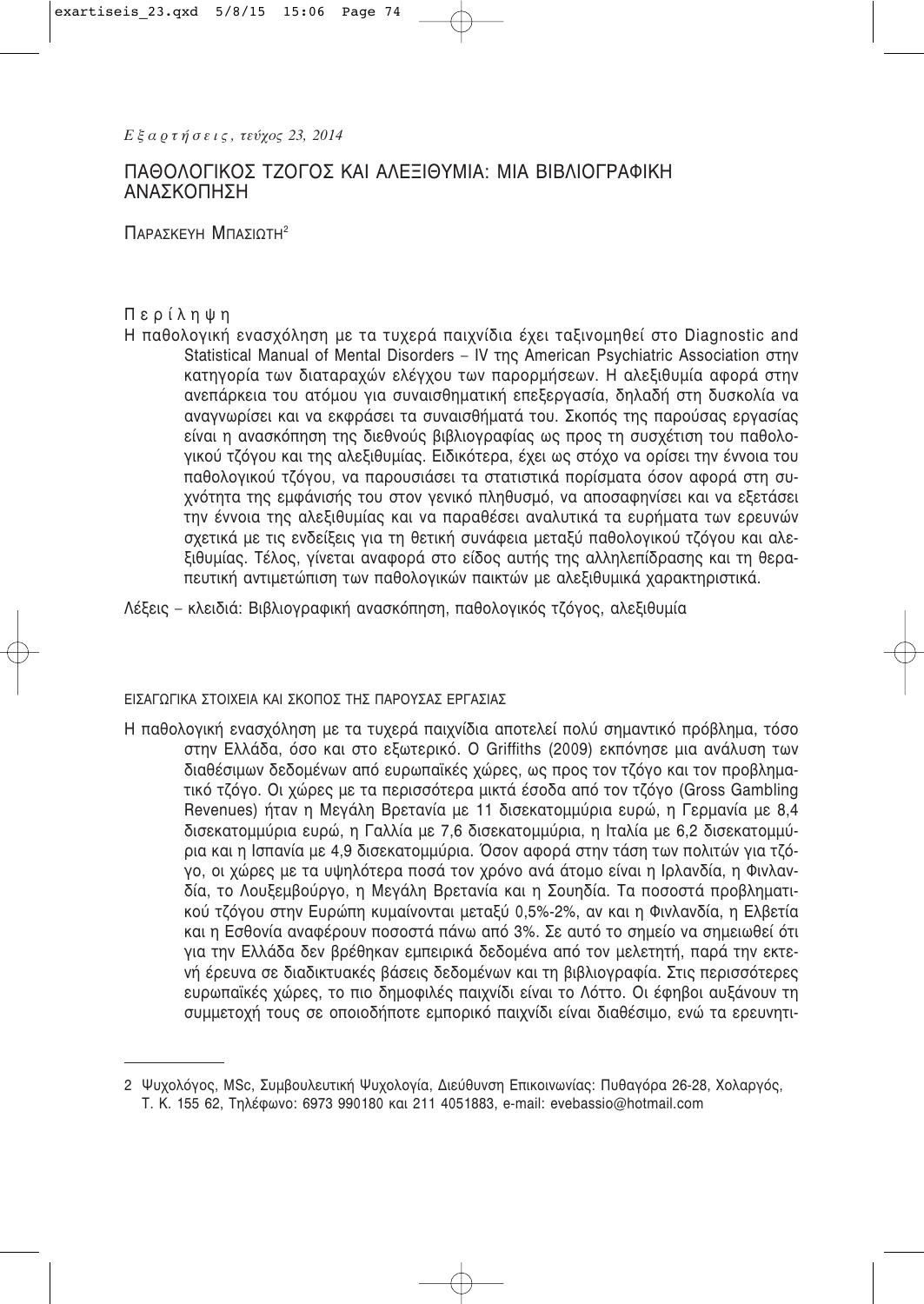# ΠΑΘΟΛΟΓΙΚΟΣ ΤΖΟΓΟΣ ΚΑΙ ΑΛΕΞΙΘΥΜΙΑ: ΜΙΑ ΒΙΒΛΙΟΓΡΑΦΙΚΗ **ΑΝΑΣΚΟΠΗΣΗ**

ПАРАУКЕУН МПАУЮТН<sup>2</sup>

### Περίληψη

Η παθολογική ενασχόληση με τα τυχερά παιχνίδια έχει ταξινομηθεί στο Diagnostic and Statistical Manual of Mental Disorders - IV της American Psychiatric Association στην κατηγορία των διαταραχών ελέγχου των παρορμήσεων. Η αλεξιθυμία αφορά στην ανεπάρκεια του ατόμου για συναισθηματική επεξεργασία, δηλαδή στη δυσκολία να αναγνωρίσει και να εκφράσει τα συναισθήματά του. Σκοπός της παρούσας εργασίας είναι η ανασκόπηση της διεθνούς βιβλιογραφίας ως προς τη συσχέτιση του παθολογικού τζόγου και της αλεξιθυμίας. Ειδικότερα, έχει ως στόχο να ορίσει την έννοια του παθολογικού τζόγου, να παρουσιάσει τα στατιστικά πορίσματα όσον αφορά στη συχνότητα της εμφάνισής του στον γενικό πληθυσμό, να αποσαφηνίσει και να εξετάσει την έννοια της αλεξιθυμίας και να παραθέσει αναλυτικά τα ευρήματα των ερευνών σχετικά με τις ενδείξεις για τη θετική συνάφεια μεταξύ παθολογικού τζόγου και αλεξιθυμίας. Τέλος, γίνεται αναφορά στο είδος αυτής της αλληλεπίδρασης και τη θεραπευτική αντιμετώπιση των παθολογικών παικτών με αλεξιθυμικά χαρακτηριστικά.

Λέξεις – κλειδιά: Βιβλιογραφική ανασκόπηση, παθολογικός τζόγος, αλεξιθυμία

### ΕΙΣΑΓΩΓΙΚΑ ΣΤΟΙΧΕΙΑ ΚΑΙ ΣΚΟΠΟΣ ΤΗΣ ΠΑΡΟΥΣΑΣ ΕΡΓΑΣΙΑΣ

Η παθολογική ενασχόληση με τα τυχερά παιχνίδια αποτελεί πολύ σημαντικό πρόβλημα, τόσο στην Ελλάδα, όσο και στο εξωτερικό. Ο Griffiths (2009) εκπόνησε μια ανάλυση των διαθέσιμων δεδομένων από ευρωπαϊκές χώρες, ως προς τον τζόγο και τον προβληματικό τζόγο. Οι χώρες με τα περισσότερα μικτά έσοδα από τον τζόγο (Gross Gambling Revenues) ήταν η Μεγάλη Βρετανία με 11 δισεκατομμύρια ευρώ, η Γερμανία με 8,4 δισεκατομμύρια ευρώ, η Γαλλία με 7,6 δισεκατομμύρια, η Ιταλία με 6,2 δισεκατομμύρια και η Ισπανία με 4,9 δισεκατομμύρια. Όσον αφορά στην τάση των πολιτών για τζόγο, οι χώρες με τα υψηλότερα ποσά τον χρόνο ανά άτομο είναι η Ιρλανδία, η Φινλανδία, το Λουξεμβούργο, η Μενάλη Βρετανία και η Σουηδία. Τα ποσοστά προβληματικού τζόγου στην Ευρώπη κυμαίνονται μεταξύ 0,5%-2%, αν και η Φινλανδία, η Ελβετία και η Εσθονία αναφέρουν ποσοστά πάνω από 3%. Σε αυτό το σημείο να σημειωθεί ότι για την Ελλάδα δεν βρέθηκαν εμπειρικά δεδομένα από τον μελετητή, παρά την εκτενή έρευνα σε διαδικτυακές βάσεις δεδομένων και τη βιβλιογραφία. Στις περισσότερες ευρωπαϊκές χώρες, το πιο δημοφιλές παιχνίδι είναι το Λόττο. Οι έφηβοι αυξάνουν τη συμμετοχή τους σε οποιοδήποτε εμπορικό παιχνίδι είναι διαθέσιμο, ενώ τα ερευνητι-

<sup>2</sup> Ψυχολόγος, MSc, Συμβουλευτική Ψυχολογία, Διεύθυνση Επικοινωνίας: Πυθαγόρα 26-28, Χολαργός, Τ. Κ. 155 62, Τηλέφωνο: 6973 990180 και 211 4051883, e-mail: evebassio@hotmail.com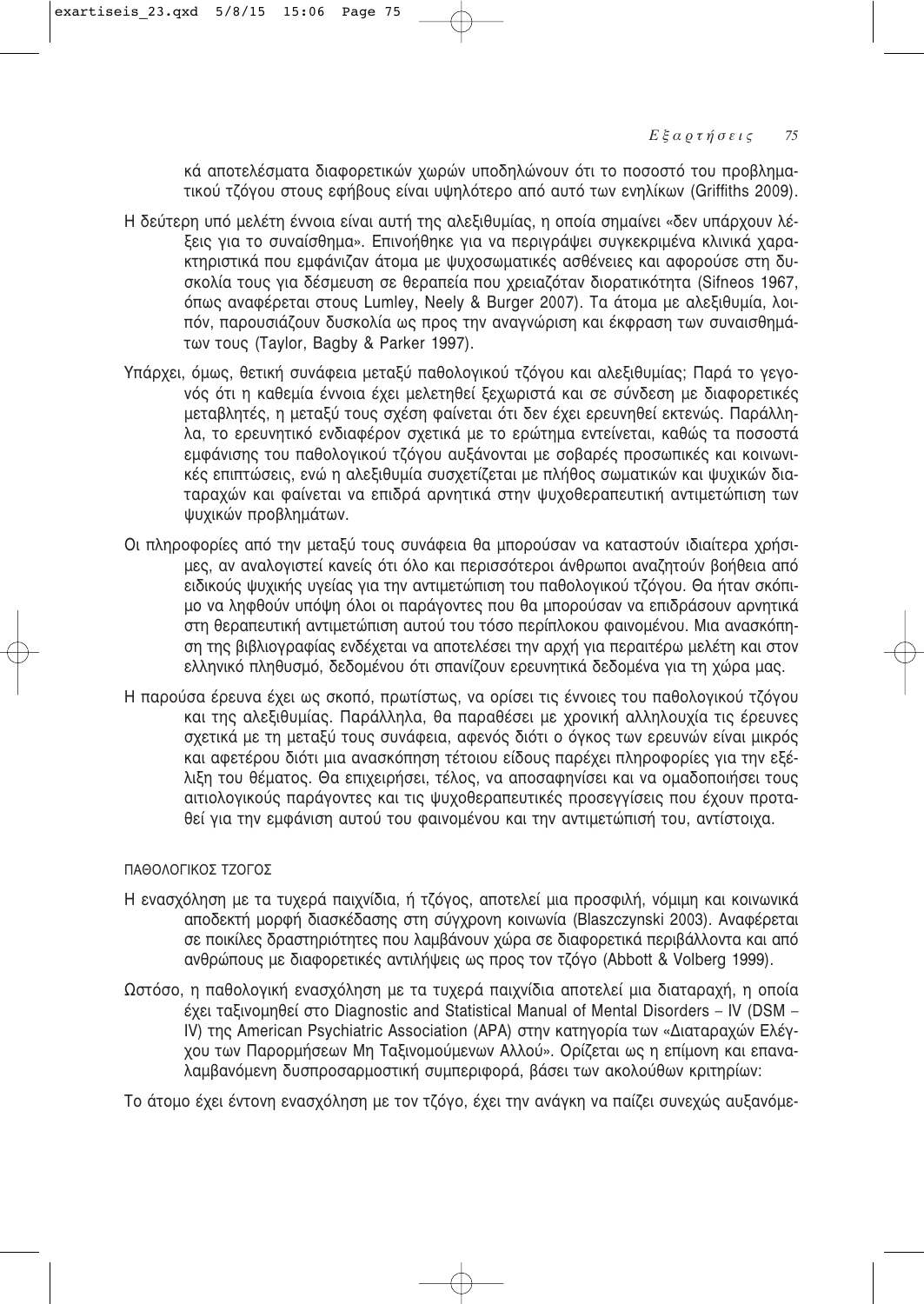κά αποτελέσματα διαφορετικών χωρών υποδηλώνουν ότι το ποσοστό του προβληματικού τζόγου στους εφήβους είναι υψηλότερο από αυτό των ενηλίκων (Griffiths 2009).

- Η δεύτερη υπό μελέτη έννοια είναι αυτή της αλεξιθυμίας, η οποία σημαίνει «δεν υπάρχουν λέξεις για το συναίσθημα». Επινοήθηκε για να περιγράψει συγκεκριμένα κλινικά χαρα-Κτηριστικά που εμφάνιζαν άτομα με ψυχοσωματικές ασθένειες και αφορούσε στη δυσκολία τους για δέσμευση σε θεραπεία που χρειαζόταν διορατικότητα (Sifneos 1967, όπως αναφέρεται στους Lumley, Neely & Burger 2007). Τα άτομα με αλεξιθυμία, λοιπόν, παρουσιάζουν δυσκολία ως προς την αναγνώριση και έκφραση των συναισθημάτων τους (Taylor, Bagby & Parker 1997).
- Υπάρχει, όμως, θετική συνάφεια μεταξύ παθολογικού τζόγου και αλεξιθυμίας; Παρά το γεγονός ότι η καθεμία έννοια έχει μελετηθεί ξεχωριστά και σε σύνδεση με διαφορετικές μεταβλητές, η μεταξύ τους σχέση φαίνεται ότι δεν έχει ερευνηθεί εκτενώς. Παράλληλα, το ερευνητικό ενδιαφέρον σχετικά με το ερώτημα εντείνεται, καθώς τα ποσοστά εμφάνισης του παθολονικού τζόνου αυξάνονται με σοβαρές προσωπικές και κοινωνικές επιπτώσεις, ενώ η αλεξιθυμία συσχετίζεται με πλήθος σωματικών και ψυχικών διαταραχών και φαίνεται να επιδρά αρνητικά στην ψυχοθεραπευτική αντιμετώπιση των ψυχικών προβλημάτων.
- Οι πληροφορίες από την μεταξύ τους συνάφεια θα μπορούσαν να καταστούν ιδιαίτερα χρήσιμες, αν αναλονιστεί κανείς ότι όλο και περισσότεροι άνθρωποι αναζητούν βοήθεια από ειδικούς ψυχικής υγείας για την αντιμετώπιση του παθολογικού τζόγου. Θα ήταν σκόπιμο να ληφθούν υπόψη όλοι οι παράγοντες που θα μπορούσαν να επιδράσουν αρνητικά στη θεραπευτική αντιμετώπιση αυτού του τόσο περίπλοκου φαινομένου. Μια ανασκόπηση της βιβλιογραφίας ενδέχεται να αποτελέσει την αρχή για περαιτέρω μελέτη και στον ελληνικό πληθυσμό, δεδομένου ότι σπανίζουν ερευνητικά δεδομένα για τη χώρα μας.
- Η παρούσα έρευνα έχει ως σκοπό, πρωτίστως, να ορίσει τις έννοιες του παθολογικού τζόγου και της αλεξιθυμίας. Παράλληλα, θα παραθέσει με χρονική αλληλουχία τις έρευνες σχετικά με τη μεταξύ τους συνάφεια, αφενός διότι ο όγκος των ερευνών είναι μικρός και αφετέρου διότι μια ανασκόπηση τέτοιου είδους παρέχει πληροφορίες για την εξέλιξη του θέματος. Θα επιχειρήσει, τέλος, να αποσαφηνίσει και να ομαδοποιήσει τους αιτιολογικούς παράγοντες και τις ψυχοθεραπευτικές προσεγγίσεις που έχουν προταθεί για την εμφάνιση αυτού του φαινομένου και την αντιμετώπισή του, αντίστοιχα.

### ΠΑΘΩΛΟΓΙΚΟΣ ΤΖΩΓΩΣ

- Η ενασχόληση με τα τυχερά παιχνίδια, ή τζόγος, αποτελεί μια προσφιλή, νόμιμη και κοινωνικά αποδεκτή μορφή διασκέδασης στη σύγχρονη κοινωνία (Blaszczynski 2003). Αναφέρεται σε ποικίλες δραστηριότητες που λαμβάνουν χώρα σε διαφορετικά περιβάλλοντα και από ανθρώπους με διαφορετικές αντιλήψεις ως προς τον τζόγο (Abbott & Volberg 1999).
- Ωστόσο, η παθολογική ενασχόληση με τα τυχερά παιχνίδια αποτελεί μια διαταραχή, η οποία  $\epsilon$ χει ταξινομηθεί στο Diagnostic and Statistical Manual of Mental Disorders – IV (DSM – IV) της American Psychiatric Association (APA) στην κατηγορία των «Διαταραχών Ελέγχου των Παρορμήσεων Μη Ταξινομούμενων Αλλού». Ορίζεται ως η επίμονη και επαναλαμβανόμενη δυσπροσαρμοστική συμπεριφορά, βάσει των ακολούθων κριτηρίων:

Το άτομο έχει έντονη ενασχόληση με τον τζόγο, έχει την ανάγκη να παίζει συνεχώς αυξανόμε-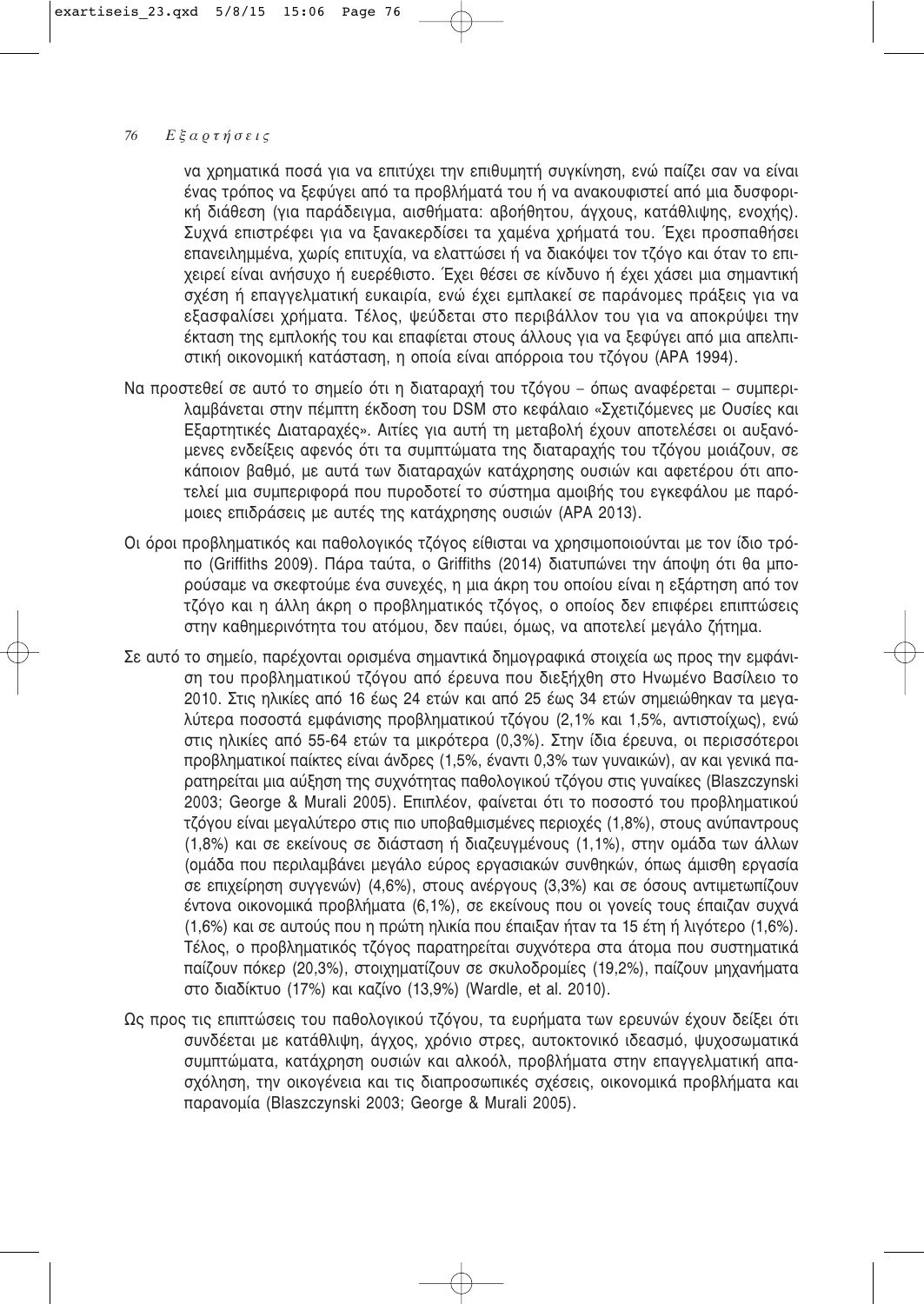να χρηματικά ποσά για να επιτύχει την επιθυμητή συγκίνηση, ενώ παίζει σαν να είναι ένας τρόπος να ξεφύγει από τα προβλήματά του ή να ανακουφιστεί από μια δυσφορική διάθεση (για παράδειγμα, αισθήματα: αβοήθητου, άγχους, κατάθλιψης, ενοχής). Συχνά επιστρέφει για να ξανακερδίσει τα χαμένα χρήματά του. Έχει προσπαθήσει επανειλημμένα, χωρίς επιτυχία, να ελαττώσει ή να διακόψει τον τζόγο και όταν το επιχειρεί είναι ανήσυχο ή ευερέθιστο. Έχει θέσει σε κίνδυνο ή έχει χάσει μια σημαντική σχέση ή επαγγελματική ευκαιρία, ενώ έχει εμπλακεί σε παράνομες πράξεις για να εξασφαλίσει χρήματα. Τέλος, ψεύδεται στο περιβάλλον του για να αποκρύψει την έκταση της εμπλοκής του και επαφίεται στους άλλους για να ξεφύγει από μια απελπιστική οικονομική κατάσταση, η οποία είναι απόρροια του τζόγου (ΑΡΑ 1994).

- Να προστεθεί σε αυτό το σημείο ότι η διαταραχή του τζόγου όπως αναφέρεται συμπεριλαμβάνεται στην πέμπτη έκδοση του DSM στο κεφάλαιο «Σχετιζόμενες με Ουσίες και Εξαρτητικές Διαταραχές». Αιτίες για αυτή τη μεταβολή έχουν αποτελέσει οι αυξανόμενες ενδείξεις αφενός ότι τα συμπτώματα της διαταραχής του τζόγου μοιάζουν, σε κάποιον βαθμό, με αυτά των διαταραχών κατάχρησης ουσιών και αφετέρου ότι αποτελεί μια συμπεριφορά που πυροδοτεί το σύστημα αμοιβής του εγκεφάλου με παρόμοιες επιδράσεις με αυτές της κατάχρησης ουσιών (ΑΡΑ 2013).
- Οι όροι προβληματικός και παθολογικός τζόγος είθισται να χρησιμοποιούνται με τον ίδιο τρόπο (Griffiths 2009). Πάρα ταύτα, ο Griffiths (2014) διατυπώνει την άποψη ότι θα μπορούσαμε να σκεφτούμε ένα συνεχές, η μια άκρη του οποίου είναι η εξάρτηση από τον τζόγο και η άλλη άκρη ο προβληματικός τζόγος, ο οποίος δεν επιφέρει επιπτώσεις στην καθημερινότητα του ατόμου, δεν παύει, όμως, να αποτελεί μεγάλο ζήτημα.
- Σε αυτό το σημείο, παρέχονται ορισμένα σημαντικά δημογραφικά στοιχεία ως προς την εμφάνιση του προβληματικού τζόγου από έρευνα που διεξήχθη στο Ηνωμένο Βασίλειο το 2010. Στις ηλικίες από 16 έως 24 ετών και από 25 έως 34 ετών σημειώθηκαν τα μεγαλύτερα ποσοστά εμφάνισης προβληματικού τζόγου (2,1% και 1,5%, αντιστοίχως), ενώ στις ηλικίες από 55-64 ετών τα μικρότερα (0,3%). Στην ίδια έρευνα, οι περισσότεροι προβληματικοί παίκτες είναι άνδρες (1,5%, έναντι 0,3% των γυναικών), αν και γενικά παρατηρείται μια αύξηση της συχνότητας παθολογικού τζόγου στις γυναίκες (Blaszczynski 2003; George & Murali 2005). Επιπλέον, φαίνεται ότι το ποσοστό του προβληματικού τζόγου είναι μεγαλύτερο στις πιο υποβαθμισμένες περιοχές (1,8%), στους ανύπαντρους (1,8%) και σε εκείνους σε διάσταση ή διαζευγμένους (1,1%), στην ομάδα των άλλων (ομάδα που περιλαμβάνει μεγάλο εύρος εργασιακών συνθηκών, όπως άμισθη εργασία σε επιχείρηση συγγενών) (4,6%), στους ανέργους (3,3%) και σε όσους αντιμετωπίζουν έντονα οικονομικά προβλήματα (6,1%), σε εκείνους που οι γονείς τους έπαιζαν συχνά (1,6%) και σε αυτούς που η πρώτη ηλικία που έπαιξαν ήταν τα 15 έτη ή λιγότερο (1,6%). Τέλος, ο προβληματικός τζόγος παρατηρείται συχνότερα στα άτομα που συστηματικά παίζουν πόκερ (20,3%), στοιχηματίζουν σε σκυλοδρομίες (19,2%), παίζουν μηχανήματα στο διαδίκτυο (17%) και καζίνο (13,9%) (Wardle, et al. 2010).
- Ως προς τις επιπτώσεις του παθολογικού τζόγου, τα ευρήματα των ερευνών έχουν δείξει ότι συνδέεται με κατάθλιψη, άγχος, χρόνιο στρες, αυτοκτονικό ιδεασμό, ψυχοσωματικά συμπτώματα, κατάχρηση ουσιών και αλκοόλ, προβλήματα στην επαγγελματική απασχόληση, την οικογένεια και τις διαπροσωπικές σχέσεις, οικονομικά προβλήματα και παρανομία (Blaszczynski 2003; George & Murali 2005).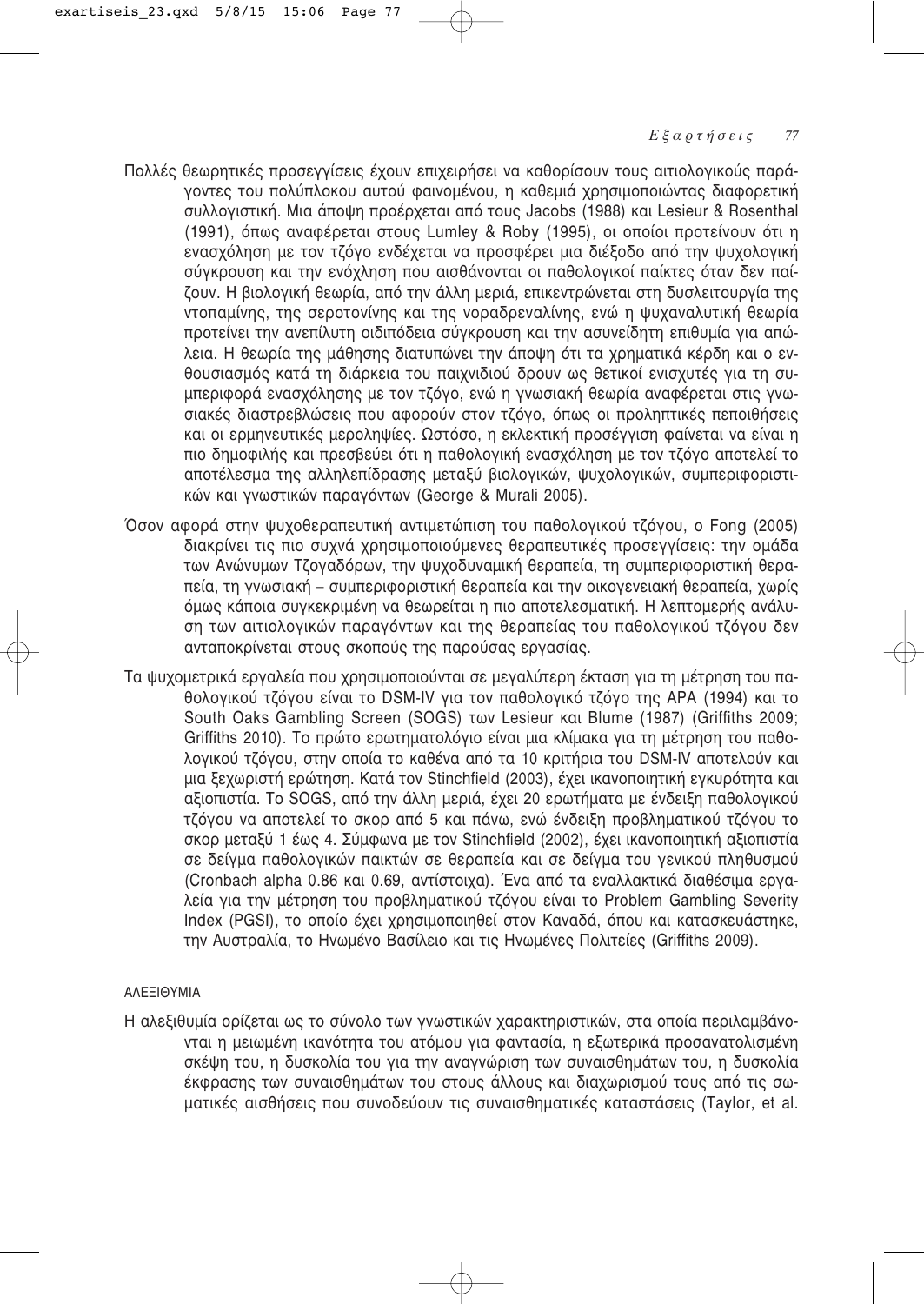- Πολλές θεωρητικές προσεγγίσεις έχουν επιχειρήσει να καθορίσουν τους αιτιολογικούς παρά-VOVTEC ΤΟυ ΠΟλύπλοκου αυτού φαινομένου, η καθεμιά χρησιμοποιώντας διαφορετική συλλογιστική. Μια άποψη προέρχεται από τους Jacobs (1988) και Lesieur & Rosenthal (1991), όπως αναφέρεται στους Lumley & Roby (1995), οι οποίοι προτείνουν ότι η ενασχόληση με τον τζόνο ενδέχεται να προσφέρει μια διέξοδο από την ψυχολονική σύγκρουση και την ενόχληση που αισθάνονται οι παθολογικοί παίκτες όταν δεν παίζουν. Η βιολογική θεωρία, από την άλλη μεριά, επικεντρώνεται στη δυσλειτουργία της Vτοπαμίνης, της σεροτονίνης και της νοραδρεναλίνης, ενώ η ψυχαναλυτική θεωρία προτείνει την ανεπίλυτη οιδιπόδεια σύγκρουση και την ασυνείδητη επιθυμία για απώλεια. Η θεωρία της μάθησης διατυπώνει την άποψη ότι τα χρηματικά κέρδη και ο ενθουσιασμός κατά τη διάρκεια του παιχνιδιού δρουν ως θετικοί ενισχυτές για τη συμπεριφορά ενασχόλησης με τον τζόγο, ενώ η γνωσιακή θεωρία αναφέρεται στις γνωσιακές διαστρεβλώσεις που αφορούν στον τζόγο, όπως οι προληπτικές πεποιθήσεις και οι ερμηνευτικές μεροληψίες. Ωστόσο, η εκλεκτική προσέγγιση φαίνεται να είναι η πιο δημοφιλής και πρεσβεύει ότι η παθολογική ενασχόληση με τον τζόγο αποτελεί το αποτέλεσμα της αλληλεπίδρασης μεταξύ βιολογικών, ψυχολογικών, συμπεριφοριστικών και γνωστικών παρανόντων (George & Murali 2005).
- Όσον αφορά στην ψυχοθεραπευτική αντιμετώπιση του παθολογικού τζόγου, ο Fong (2005) διακρίνει τις πιο συχνά χρησιμοποιούμενες θεραπευτικές προσεγγίσεις: την ομάδα των Ανώνυμων Τζογαδόρων, την ψυχοδυναμική θεραπεία, τη συμπεριφοριστική θεραπεία, τη γνωσιακή – συμπεριφοριστική θεραπεία και την οικονενειακή θεραπεία, χωρίς όμως κάποια συγκεκριμένη να θεωρείται η πιο αποτελεσματική. Η λεπτομερής ανάλυση των αιτιολογικών παραγόντων και της θεραπείας του παθολογικού τζόγου δεν ανταποκρίνεται στους σκοπούς της παρούσας εργασίας.
- Τα ψυχομετρικά εργαλεία που χρησιμοποιούνται σε μεγαλύτερη έκταση για τη μέτρηση του παθολογικού τζόγου είναι το DSM-IV για τον παθολογικό τζόγο της APA (1994) και το South Oaks Gambling Screen (SOGS) Twy Lesieur kat Blume (1987) (Griffiths 2009; Griffiths 2010). Το πρώτο ερωτηματολόγιο είναι μια κλίμακα για τη μέτρηση του παθολογικού τζόγου, στην οποία το καθένα από τα 10 κριτήρια του DSM-IV αποτελούν και μια ξεχωριστή ερώτηση. Κατά τον Stinchfield (2003), έχει ικανοποιητική εγκυρότητα και αξιοπιστία. Το SOGS, από την άλλη μεριά, έχει 20 ερωτήματα με ένδειξη παθολογικού τζόγου να αποτελεί το σκορ από 5 και πάνω, ενώ ένδειξη προβληματικού τζόγου το σκορ μεταξύ 1 έως 4. Σύμφωνα με τον Stinchfield (2002), έχει ικανοποιητική αξιοπιστία σε δείγμα παθολογικών παικτών σε θεραπεία και σε δείγμα του γενικού πληθυσμού (Cronbach alpha 0.86 και 0.69, αντίστοιχα). Ένα από τα εναλλακτικά διαθέσιμα εργαλεία για την μέτρηση του προβληματικού τζόγου είναι το Problem Gambling Severity Index (PGSI), το οποίο έχει χρησιμοποιηθεί στον Καναδά, όπου και κατασκευάστηκε, την Αυστραλία, το Ηνωμένο Βασίλειο και τις Ηνωμένες Πολιτείες (Griffiths 2009).

# **AΛΕΞΙΘΥΜΙΑ**

Η αλεξιθυμία ορίζεται ως το σύνολο των γνωστικών χαρακτηριστικών, στα οποία περιλαμβάνονται η μειωμένη ικανότητα του ατόμου για φαντασία, η εξωτερικά προσανατολισμένη σκέψη του, η δυσκολία του για την αναγνώριση των συναισθημάτων του, η δυσκολία έκφρασης των συναισθημάτων του στους άλλους και διαχωρισμού τους από τις σωματικές αισθήσεις που συνοδεύουν τις συναισθηματικές καταστάσεις (Taylor, et al.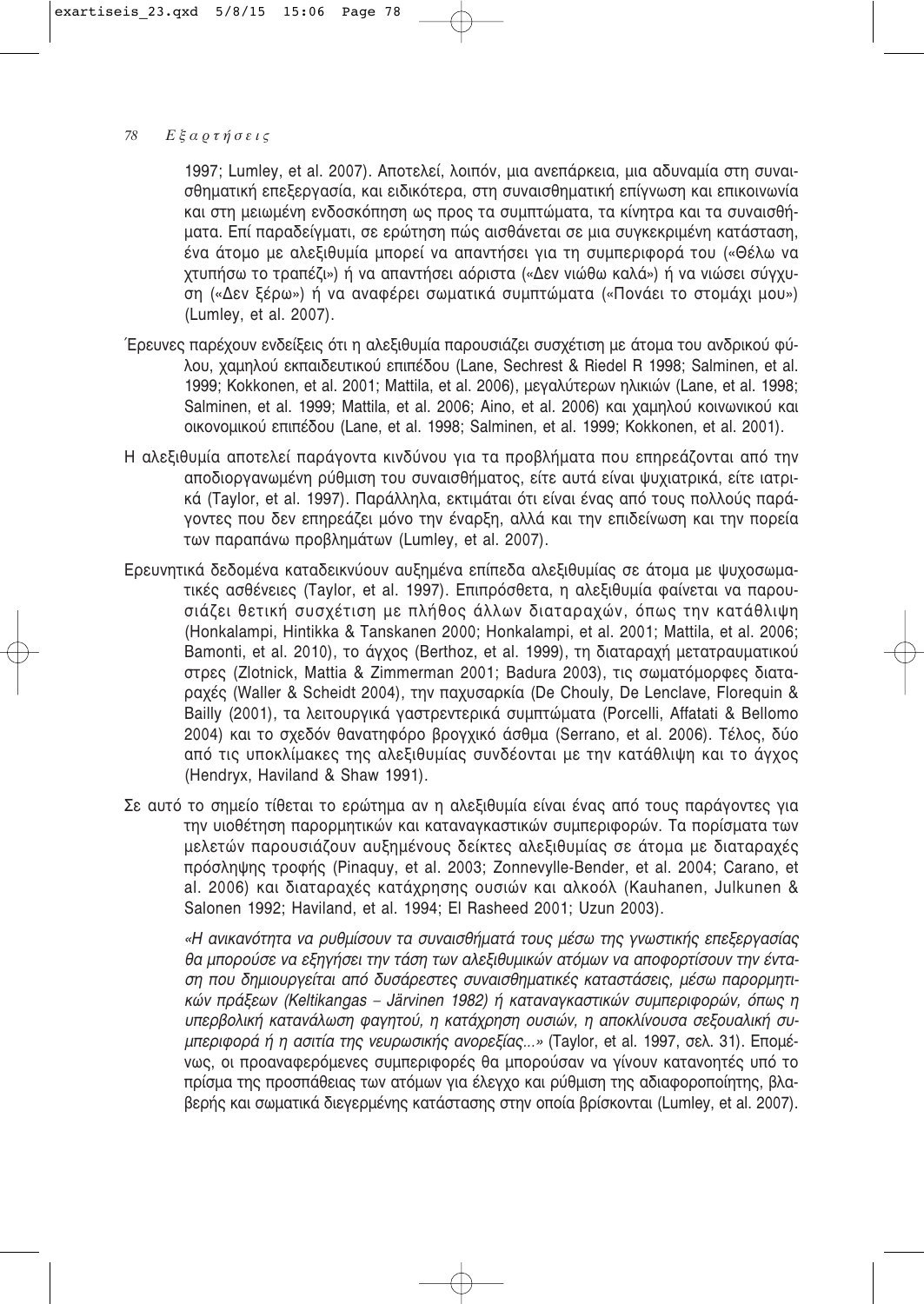1997; Lumley, et al. 2007). Αποτελεί, λοιπόν, μια ανεπάρκεια, μια αδυναμία στη συναισθηματική επεξεργασία, και ειδικότερα, στη συναισθηματική επίγνωση και επικοινωνία και στη μειωμένη ενδοσκόπηση ως προς τα συμπτώματα, τα κίνητρα και τα συναισθήματα. Επί παραδείγματι, σε ερώτηση πώς αισθάνεται σε μια συγκεκριμένη κατάσταση, ένα άτομο με αλεξιθυμία μπορεί να απαντήσει για τη συμπεριφορά του («Θέλω να χτυπήσω το τραπέζι») ή να απαντήσει αόριστα («Δεν νιώθω καλά») ή να νιώσει σύνχυση («Δεν ξέρω») ή να αναφέρει σωματικά συμπτώματα («Πονάει το στομάχι μου») (Lumley, et al. 2007).

- Έρευνες παρέχουν ενδείξεις ότι η αλεξιθυμία παρουσιάζει συσχέτιση με άτομα του ανδρικού φύλου, χαμηλού εκπαιδευτικού επιπέδου (Lane, Sechrest & Riedel R 1998; Salminen, et al. 1999; Kokkonen, et al. 2001; Mattila, et al. 2006), μεναλύτερων ηλικιών (Lane, et al. 1998; Salminen, et al. 1999; Mattila, et al. 2006; Aino, et al. 2006) και χαμηλού κοινωνικού και oικονομικού επιπέδου (Lane, et al. 1998; Salminen, et al. 1999; Kokkonen, et al. 2001).
- Η αλεξιθυμία αποτελεί παράγοντα κινδύνου για τα προβλήματα που επηρεάζονται από την αποδιοργανωμένη ρύθμιση του συναισθήματος, είτε αυτά είναι ψυχιατρικά, είτε ιατρικά (Taylor, et al. 1997). Παράλληλα, εκτιμάται ότι είναι ένας από τους πολλούς παράγοντες που δεν επηρεάζει μόνο την έναρξη, αλλά και την επιδείνωση και την πορεία των παραπάνω προβλημάτων (Lumley, et al. 2007).
- Ερευνητικά δεδομένα καταδεικνύουν αυξημένα επίπεδα αλεξιθυμίας σε άτομα με ψυχοσωματικές ασθένειες (Taylor, et al. 1997). Επιπρόσθετα, η αλεξιθυμία φαίνεται να παρουσιάζει θετική συσχέτιση με πλήθος άλλων διαταραχών, όπως την κατάθλιψη (Honkalampi, Hintikka & Tanskanen 2000; Honkalampi, et al. 2001; Mattila, et al. 2006; Bamonti, et al. 2010), το άγχος (Berthoz, et al. 1999), τη διαταραχή μετατραυματικού στρες (Zlotnick, Mattia & Zimmerman 2001; Badura 2003), τις σωματόμορφες διαταpαχές (Waller & Scheidt 2004), την παχυσαρκία (De Chouly, De Lenclave, Florequin & Bailly (2001), τα λειτουργικά γαστρεντερικά συμπτώματα (Porcelli, Affatati & Bellomo 2004) και το σχεδόν θανατηφόρο βρογχικό άσθμα (Serrano, et al. 2006). Τέλος, δύο από τις υποκλίμακες της αλεξιθυμίας συνδέονται με την κατάθλιψη και το άγχος (Hendryx, Haviland & Shaw 1991).
- Σε αυτό το σημείο τίθεται το ερώτημα αν η αλεξιθυμία είναι ένας από τους παράγοντες για την υιοθέτηση παρορμητικών και καταναγκαστικών συμπεριφορών. Τα πορίσματα των μελετών παρουσιάζουν αυξημένους δείκτες αλεξιθυμίας σε άτομα με διαταραχές πρόσληψης τροφής (Pinaquy, et al. 2003; Zonnevylle-Bender, et al. 2004; Carano, et al. 2006) και διαταραχές κατάχρησης ουσιών και αλκοόλ (Kauhanen, Julkunen & Salonen 1992; Haviland, et al. 1994; El Rasheed 2001; Uzun 2003).

«Η ανικανότητα να ρυθμίσουν τα συναισθήματά τους μέσω της γνωστικής επεξεργασίας θα μπορούσε να εξηγήσει την τάση των αλεξιθυμικών ατόμων να αποφορτίσουν την ένταση που δημιουργείται από δυσάρεστες συναισθηματικές καταστάσεις, μέσω παρορμητι-*Kών πράξεων (Keltikangas – Järvinen 1982) ή καταναγκαστικών συμπεριφορών, όπως η* υπερβολική κατανάλωση φαγητού, η κατάχρηση ουσιών, η αποκλίνουσα σεξουαλική συ*μπεριφορά ή η ασιτία της νευρωσικής ανορεξίας...»* (Taylor, et al. 1997, σελ. 31). Επομένως, οι προαναφερόμενες συμπεριφορές θα μπορούσαν να γίνουν κατανοητές υπό το πρίσμα της προσπάθειας των ατόμων για έλεγχο και ρύθμιση της αδιαφοροποίητης, βλαβερής και σωματικά διεγερμένης κατάστασης στην οποία βρίσκονται (Lumley, et al. 2007).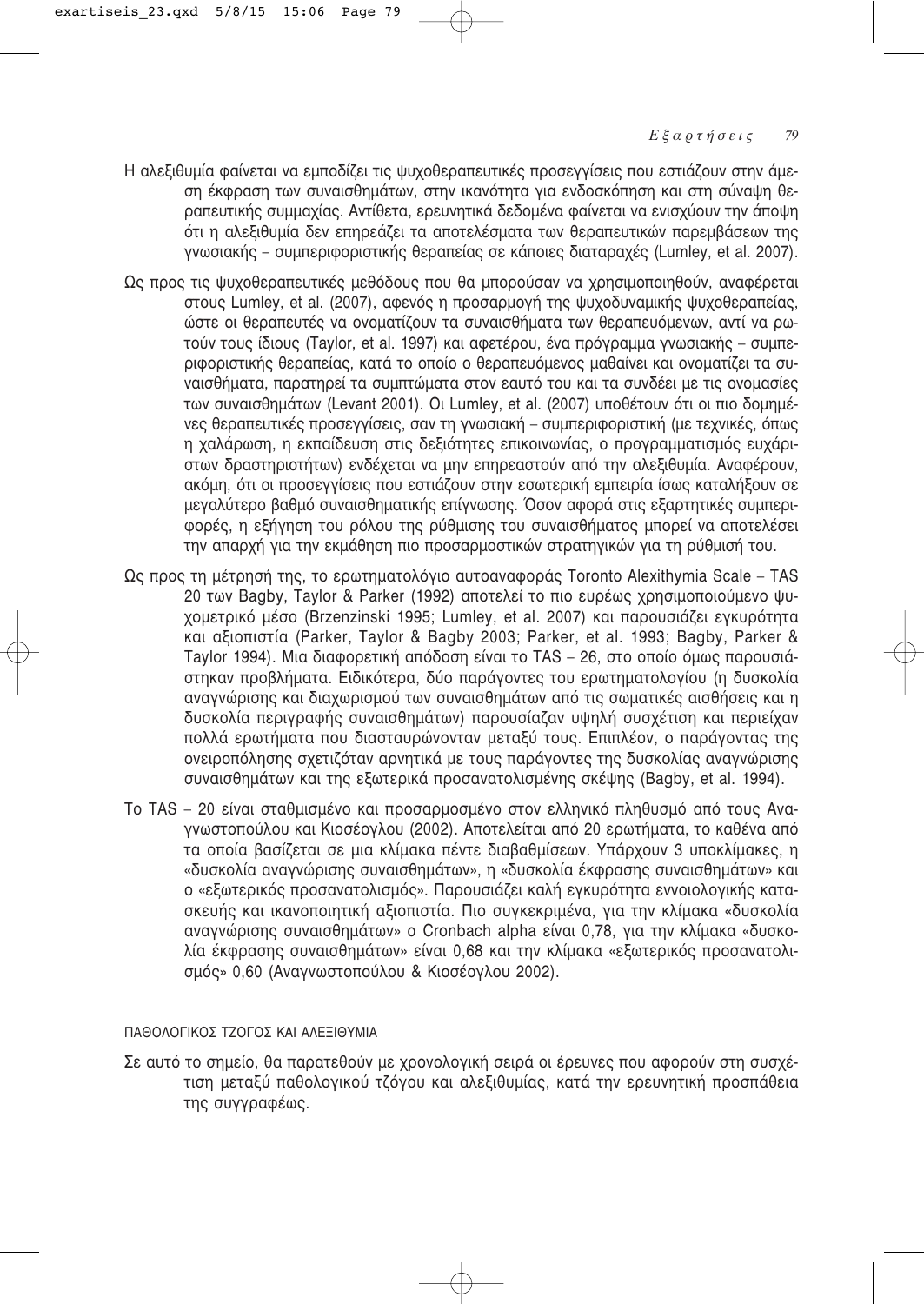- Η αλεξιθυμία φαίνεται να εμποδίζει τις ψυχοθεραπευτικές προσεγγίσεις που εστιάζουν στην άμεση έκφραση των συναισθημάτων, στην ικανότητα για ενδοσκόπηση και στη σύναψη θεραπευτικής συμμαχίας. Αντίθετα, ερευνητικά δεδομένα φαίνεται να ενισχύουν την άποψη ότι η αλεξιθυμία δεν επηρεάζει τα αποτελέσματα των θεραπευτικών παρεμβάσεων της VΥΦΟΙακής – συμπεριφοριστικής θεραπείας σε κάποιες διαταραχές (Lumley, et al. 2007).
- Ως προς τις ψυχοθεραπευτικές μεθόδους που θα μπορούσαν να χρησιμοποιηθούν, αναφέρεται στους Lumley, et al. (2007), αφενός η προσαρμογή της ψυχοδυναμικής ψυχοθεραπείας, ώστε οι θεραπευτές να ονοματίζουν τα συναισθήματα των θεραπευόμενων, αντί να ρωτούν τους ίδιους (Taylor, et al. 1997) και αφετέρου, ένα πρόγραμμα γνωσιακής – συμπεριφοριστικής θεραπείας, κατά το οποίο ο θεραπευόμενος μαθαίνει και ονοματίζει τα συναισθήματα, παρατηρεί τα συμπτώματα στον εαυτό του και τα συνδέει με τις ονομασίες των συναισθημάτων (Levant 2001). Oι Lumley, et al. (2007) υποθέτουν ότι οι πιο δομημένες θεραπευτικές προσεγγίσεις, σαν τη γνωσιακή – συμπεριφοριστική (με τεχνικές, όπως η χαλάρωση, η εκπαίδευση στις δεξιότητες επικοινωνίας, ο προγραμματισμός ευχάριστων δραστηριοτήτων) ενδέχεται να μην επηρεαστούν από την αλεξιθυμία. Αναφέρουν, ακόμη, ότι οι προσεγγίσεις που εστιάζουν στην εσωτερική εμπειρία ίσως καταλήξουν σε μεγαλύτερο βαθμό συναισθηματικής επίγνωσης. Όσον αφορά στις εξαρτητικές συμπεριφορές, η εξήγηση του ρόλου της ρύθμισης του συναισθήματος μπορεί να αποτελέσει την απαρχή για την εκμάθηση πιο προσαρμοστικών στρατηγικών για τη ρύθμισή του.
- $\Omega$ ς προς τη μέτρησή της, το ερωτηματολόγιο αυτοαναφοράς Toronto Alexithymia Scale TAS 20 των Bagby, Taylor & Parker (1992) αποτελεί το πιο ευρέως χρησιμοποιούμενο ψυχομετρικό μέσο (Brzenzinski 1995; Lumley, et al. 2007) και παρουσιάζει εγκυρότητα και αξιοπιστία (Parker, Taylor & Bagby 2003; Parker, et al. 1993; Bagby, Parker & Taylor 1994). Μια διαφορετική απόδοση είναι το TAS - 26, στο οποίο όμως παρουσιάστηκαν προβλήματα. Ειδικότερα, δύο παράγοντες του ερωτηματολογίου (η δυσκολία αναγνώρισης και διαχωρισμού των συναισθημάτων από τις σωματικές αισθήσεις και η δυσκολία περιγραφής συναισθημάτων) παρουσίαζαν υψηλή συσχέτιση και περιείχαν πολλά ερωτήματα που διασταυρώνονταν μεταξύ τους. Επιπλέον, ο παράγοντας της ονειροπόλησης σχετιζόταν αρνητικά με τους παράγοντες της δυσκολίας αναγνώρισης συναισθημάτων και της εξωτερικά προσανατολισμένης σκέψης (Bagby, et al. 1994).
- Το TAS 20 είναι σταθμισμένο και προσαρμοσμένο στον ελληνικό πληθυσμό από τους Αναγνωστοπούλου και Κιοσέογλου (2002). Αποτελείται από 20 ερωτήματα, το καθένα από τα οποία βασίζεται σε μια κλίμακα πέντε διαβαθμίσεων. Υπάρχουν 3 υποκλίμακες, η «δυσκολία αναγνώρισης συναισθημάτων», η «δυσκολία έκφρασης συναισθημάτων» και ο «εξωτερικός προσανατολισμός». Παρουσιάζει καλή εγκυρότητα εννοιολογικής κατασκευής και ικανοποιητική αξιοπιστία. Πιο συγκεκριμένα, για την κλίμακα «δυσκολία αναγνώρισης συναισθημάτων» ο Cronbach alpha είναι 0,78, για την κλίμακα «δυσκολία έκφρασης συναισθημάτων» είναι 0,68 και την κλίμακα «εξωτερικός προσανατολισμός» 0,60 (Αναγνωστοπούλου & Κιοσέογλου 2002).

### ΠΑΘΟΛΟΓΙΚΟΣ ΤΖΟΓΟΣ ΚΑΙ ΑΛΕΞΙΘΥΜΙΑ

Σε αυτό το σημείο, θα παρατεθούν με χρονολογική σειρά οι έρευνες που αφορούν στη συσχέτιση μεταξύ παθολογικού τζόγου και αλεξιθυμίας, κατά την ερευνητική προσπάθεια της συγγραφέως.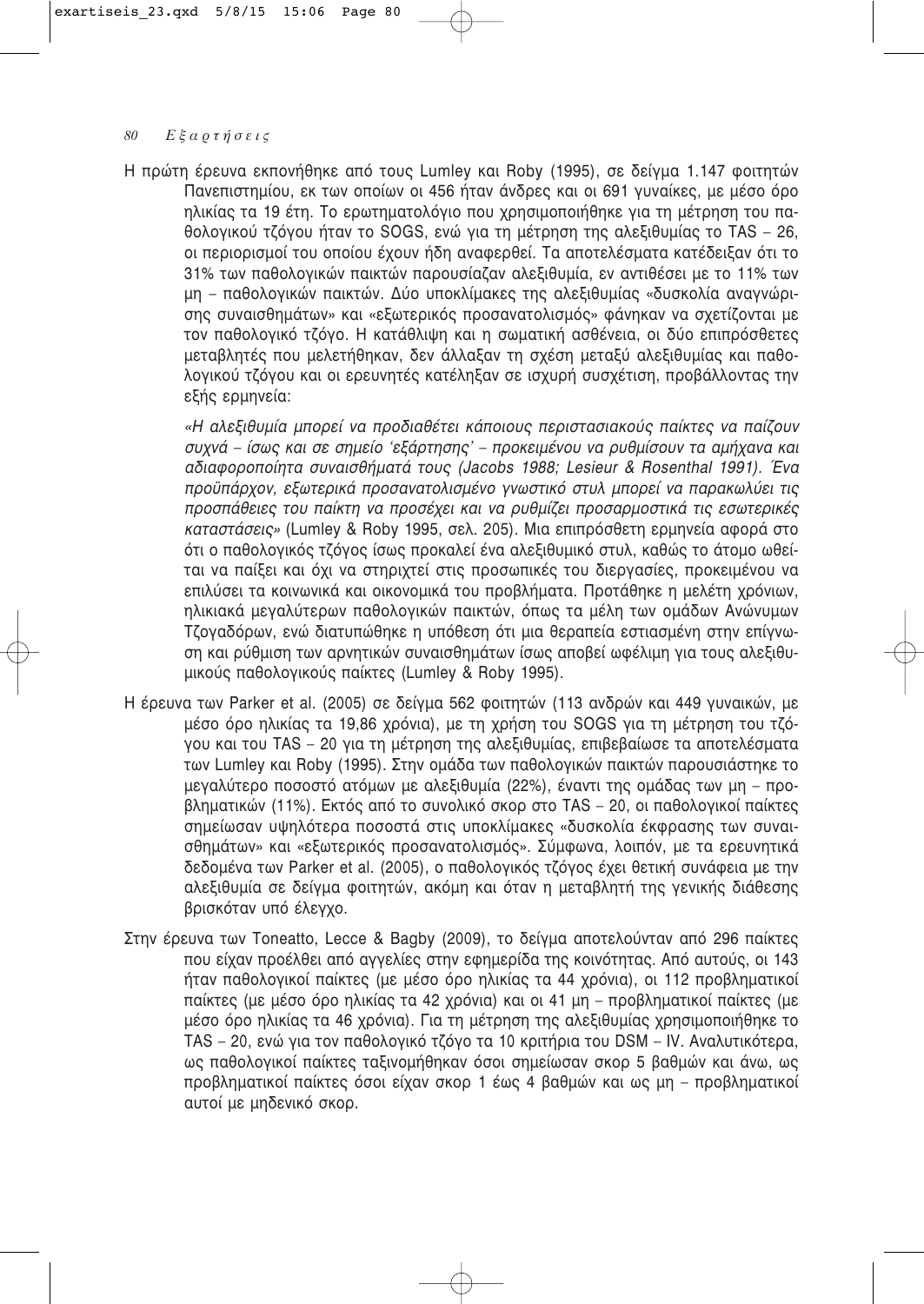Η πρώτη έρευνα εκπονήθηκε από τους Lumley και Roby (1995), σε δείγμα 1.147 φοιτητών Πανεπιστημίου, εκ των οποίων οι 456 ήταν άνδρες και οι 691 γυναίκες, με μέσο όρο ηλικίας τα 19 έτη. Το ερωτηματολόγιο που χρησιμοποιήθηκε για τη μέτρηση του παθολογικού τζόγου ήταν το SOGS, ενώ για τη μέτρηση της αλεξιθυμίας το TAS – 26, οι περιορισμοί του οποίου έχουν ήδη αναφερθεί. Τα αποτελέσματα κατέδειξαν ότι το 31% των παθολογικών παικτών παρουσίαζαν αλεξιθυμία, εν αντιθέσει με το 11% των μη – παθολογικών παικτών. Δύο υποκλίμακες της αλεξιθυμίας «δυσκολία αναγνώρισης συναισθημάτων» και «εξωτερικός προσανατολισμός» φάνηκαν να σχετίζονται με τον παθολογικό τζόγο. Η κατάθλιψη και η σωματική ασθένεια, οι δύο επιπρόσθετες μεταβλητές που μελετήθηκαν, δεν άλλαξαν τη σχέση μεταξύ αλεξιθυμίας και παθολογικού τζόγου και οι ερευνητές κατέληξαν σε ισχυρή συσχέτιση, προβάλλοντας την εξής ερμηνεία:

«Η αλεξιθυμία μπορεί να προδιαθέτει κάποιους περιστασιακούς παίκτες να παίζουν συχνά – ίσως και σε σημείο 'εξάρτησης' – προκειμένου να ρυθμίσουν τα αμήχανα και aδιαφοροποίητα συναισθήματά τους (Jacobs 1988; Lesieur & Rosenthal 1991). Ένα προϋπάρχον, εξωτερικά προσανατολισμένο γνωστικό στυλ μπορεί να παρακωλύει τις προσπάθειες του παίκτη να προσέχει και να ρυθμίζει προσαρμοστικά τις εσωτερικές *καταστάσεις» (Lumley & Roby 1995, σελ. 205). Μια επιπρόσθετη ερμηνεία αφορά στο* ότι ο παθολογικός τζόγος ίσως προκαλεί ένα αλεξιθυμικό στυλ, καθώς το άτομο ωθείται να παίξει και όχι να στηριχτεί στις προσωπικές του διεργασίες, προκειμένου να επιλύσει τα κοινωνικά και οικονομικά του προβλήματα. Προτάθηκε η μελέτη χρόνιων, ηλικιακά μεναλύτερων παθολονικών παικτών, όπως τα μέλη των ομάδων Ανώνυμων Τζογαδόρων, ενώ διατυπώθηκε η υπόθεση ότι μια θεραπεία εστιασμένη στην επίγνωση και ρύθμιση των αρνητικών συναισθημάτων ίσως αποβεί ωφέλιμη για τους αλεξιθυμικούς παθολογικούς παίκτες (Lumley & Roby 1995).

- Η έρευνα των Parker et al. (2005) σε δείγμα 562 φοιτητών (113 ανδρών και 449 γυναικών, με μέσο όρο ηλικίας τα 19,86 χρόνια), με τη χρήση του SOGS για τη μέτρηση του τζόγου και του TAS - 20 για τη μέτρηση της αλεξιθυμίας, επιβεβαίωσε τα αποτελέσματα των Lumley και Roby (1995). Στην ομάδα των παθολογικών παικτών παρουσιάστηκε το μεγαλύτερο ποσοστό ατόμων με αλεξιθυμία (22%), έναντι της ομάδας των μη – προβληματικών (11%). Εκτός από το συνολικό σκορ στο TAS – 20, οι παθολογικοί παίκτες σημείωσαν υψηλότερα ποσοστά στις υποκλίμακες «δυσκολία έκφρασης των συναισθημάτων» και «εξωτερικός προσανατολισμός». Σύμφωνα, λοιπόν, με τα ερευνητικά δεδομένα των Parker et al. (2005), ο παθολογικός τζόγος έχει θετική συνάφεια με την αλεξιθυμία σε δείγμα φοιτητών, ακόμη και όταν η μεταβλητή της γενικής διάθεσης βρισκόταν υπό έλεγχο.
- Στην έρευνα των Toneatto, Lecce & Bagby (2009), το δείγμα αποτελούνταν από 296 παίκτες που είχαν προέλθει από αγγελίες στην εφημερίδα της κοινότητας. Από αυτούς, οι 143 ήταν παθολογικοί παίκτες (με μέσο όρο ηλικίας τα 44 χρόνια), οι 112 προβληματικοί παίκτες (με μέσο όρο ηλικίας τα 42 χρόνια) και οι 41 μη – προβληματικοί παίκτες (με μέσο όρο ηλικίας τα 46 χρόνια). Για τη μέτρηση της αλεξιθυμίας χρησιμοποιήθηκε το TAS – 20, ενώ για τον παθολογικό τζόγο τα 10 κριτήρια του DSM – IV. Αναλυτικότερα, ως παθολογικοί παίκτες ταξινομήθηκαν όσοι σημείωσαν σκορ 5 βαθμών και άνω, ως προβληματικοί παίκτες όσοι είχαν σκορ 1 έως 4 βαθμών και ως μη – προβληματικοί αυτοί με μηδενικό σκορ.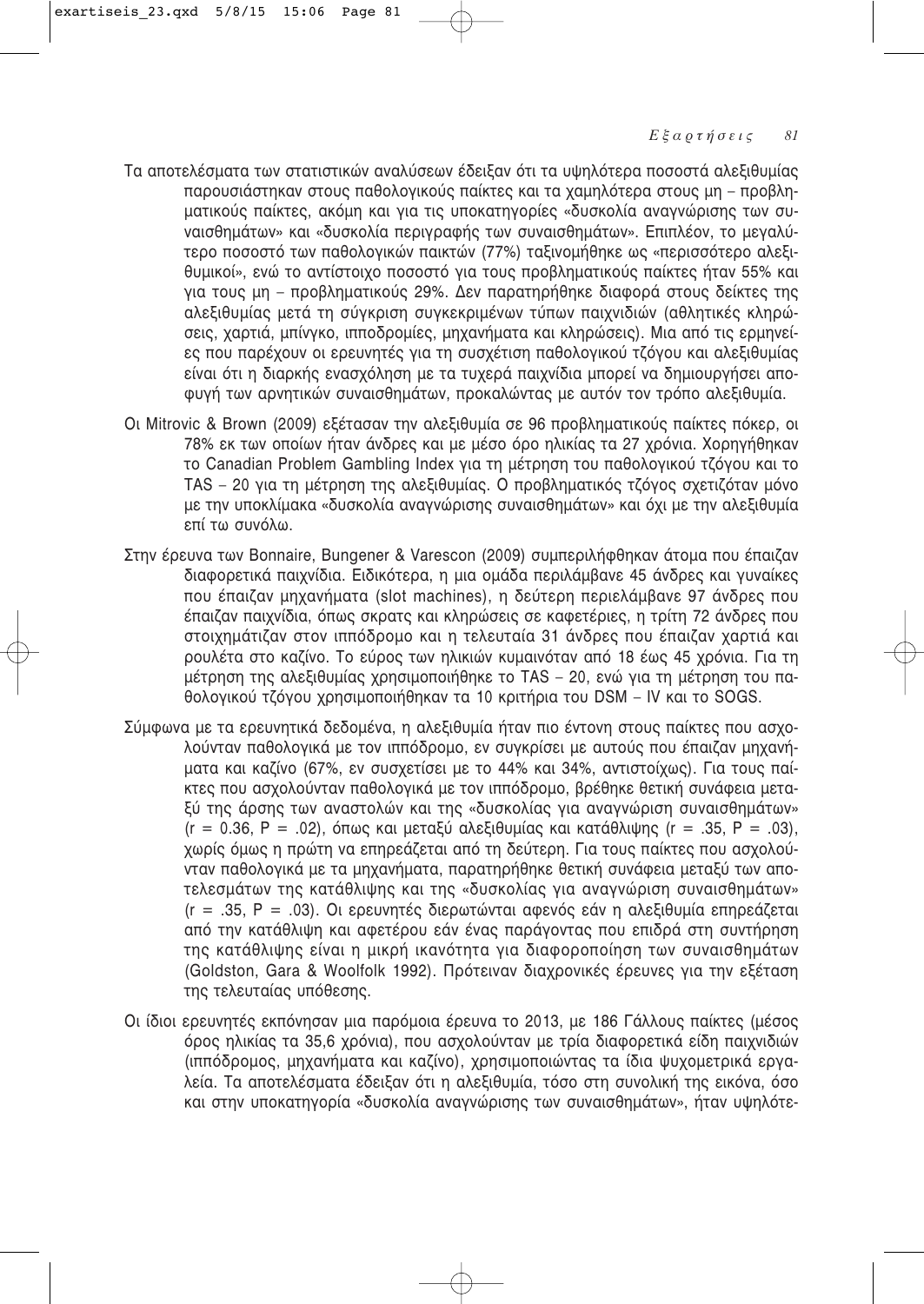- Τα αποτελέσματα των στατιστικών αναλύσεων έδειξαν ότι τα υψηλότερα ποσοστά αλεξιθυμίας παρουσιάστηκαν στους παθολογικούς παίκτες και τα χαμηλότερα στους μη – προβληματικούς παίκτες, ακόμη και για τις υποκατηγορίες «δυσκολία αναγνώρισης των συναισθημάτων» και «δυσκολία περιγραφής των συναισθημάτων». Επιπλέον, το μεγαλύτερο ποσοστό των παθολογικών παικτών (77%) ταξινομήθηκε ως «περισσότερο αλεξιθυμικοί», ενώ το αντίστοιχο ποσοστό για τους προβληματικούς παίκτες ήταν 55% και για τους μη – προβληματικούς 29%. Δεν παρατηρήθηκε διαφορά στους δείκτες της αλεξιθυμίας μετά τη σύγκριση συγκεκριμένων τύπων παιχνιδιών (αθλητικές κληρώσεις, χαρτιά, μπίνγκο, ιπποδρομίες, μηχανήματα και κληρώσεις). Μια από τις ερμηνείες που παρέχουν οι ερευνητές για τη συσχέτιση παθολογικού τζόγου και αλεξιθυμίας είναι ότι η διαρκής ενασχόληση με τα τυχερά παιχνίδια μπορεί να δημιουργήσει απο-Φυνή των αρνητικών συναισθημάτων, προκαλώντας με αυτόν τον τρόπο αλεξιθυμία,
- Οι Mitrovic & Brown (2009) εξέτασαν την αλεξιθυμία σε 96 προβληματικούς παίκτες πόκερ, οι 78% εκ των οποίων ήταν άνδρες και με μέσο όρο ηλικίας τα 27 χρόνια. Χορηγήθηκαν το Canadian Problem Gambling Index για τη μέτρηση του παθολογικού τζόγου και το TAS – 20 για τη μέτρηση της αλεξιθυμίας. Ο προβληματικός τζόγος σχετιζόταν μόνο με την υποκλίμακα «δυσκολία αναγνώρισης συναισθημάτων» και όχι με την αλεξιθυμία επί τω συνόλω.
- Στην έρευνα των Bonnaire, Bungener & Varescon (2009) συμπεριλήφθηκαν άτομα που έπαιζαν διαφορετικά παιχνίδια. Ειδικότερα, η μια ομάδα περιλάμβανε 45 άνδρες και γυναίκες που έπαιζαν μηχανήματα (slot machines), η δεύτερη περιελάμβανε 97 άνδρες που έπαιζαν παιχνίδια, όπως σκρατς και κληρώσεις σε καφετέριες, η τρίτη 72 άνδρες που στοιχημάτιζαν στον ιππόδρομο και η τελευταία 31 άνδρες που έπαιζαν χαρτιά και ρουλέτα στο καζίνο. Το εύρος των ηλικιών κυμαινόταν από 18 έως 45 χρόνια. Για τη μέτρηση της αλεξιθυμίας χρησιμοποιήθηκε το TAS – 20, ενώ για τη μέτρηση του παθολογικού τζόγου χρησιμοποιήθηκαν τα 10 κριτήρια του DSM – IV και το SOGS.
- Σύμφωνα με τα ερευνητικά δεδομένα, η αλεξιθυμία ήταν πιο έντονη στους παίκτες που ασχολούνταν παθολογικά με τον ιππόδρομο, εν συγκρίσει με αυτούς που έπαιζαν μηχανήματα και καζίνο (67%, εν συσχετίσει με το 44% και 34%, αντιστοίχως). Για τους παίκτες που ασχολούνταν παθολογικά με τον ιππόδρομο, βρέθηκε θετική συνάφεια μεταξύ της άρσης των αναστολών και της «δυσκολίας για αναγνώριση συναισθημάτων»  $(r = 0.36, P = .02)$ , όπως και μεταξύ αλεξιθυμίας και κατάθλιψης  $(r = .35, P = .03)$ , χωρίς όμως η πρώτη να επηρεάζεται από τη δεύτερη. Για τους παίκτες που ασχολούνταν παθολογικά με τα μηχανήματα, παρατηρήθηκε θετική συνάφεια μεταξύ των αποτελεσμάτων της κατάθλιψης και της «δυσκολίας για αναγνώριση συναισθημάτων»  $(r = .35, P = .03)$ . Οι ερευνητές διερωτώνται αφενός εάν η αλεξιθυμία επηρεάζεται από την κατάθλιψη και αφετέρου εάν ένας παράγοντας που επιδρά στη συντήρηση της κατάθλιψης είναι η μικρή ικανότητα για διαφοροποίηση των συναισθημάτων (Goldston, Gara & Woolfolk 1992). Πρότειναν διαχρονικές έρευνες για την εξέταση της τελευταίας υπόθεσης.
- Οι ίδιοι ερευνητές εκπόνησαν μια παρόμοια έρευνα το 2013, με 186 Γάλλους παίκτες (μέσος όρος ηλικίας τα 35,6 χρόνια), που ασχολούνταν με τρία διαφορετικά είδη παιχνιδιών (ιππόδρομος, μηχανήματα και καζίνο), χρησιμοποιώντας τα ίδια ψυχομετρικά εργαλεία. Τα αποτελέσματα έδειξαν ότι η αλεξιθυμία, τόσο στη συνολική της εικόνα, όσο και στην υποκατηγορία «δυσκολία αναγνώρισης των συναισθημάτων», ήταν υψηλότε-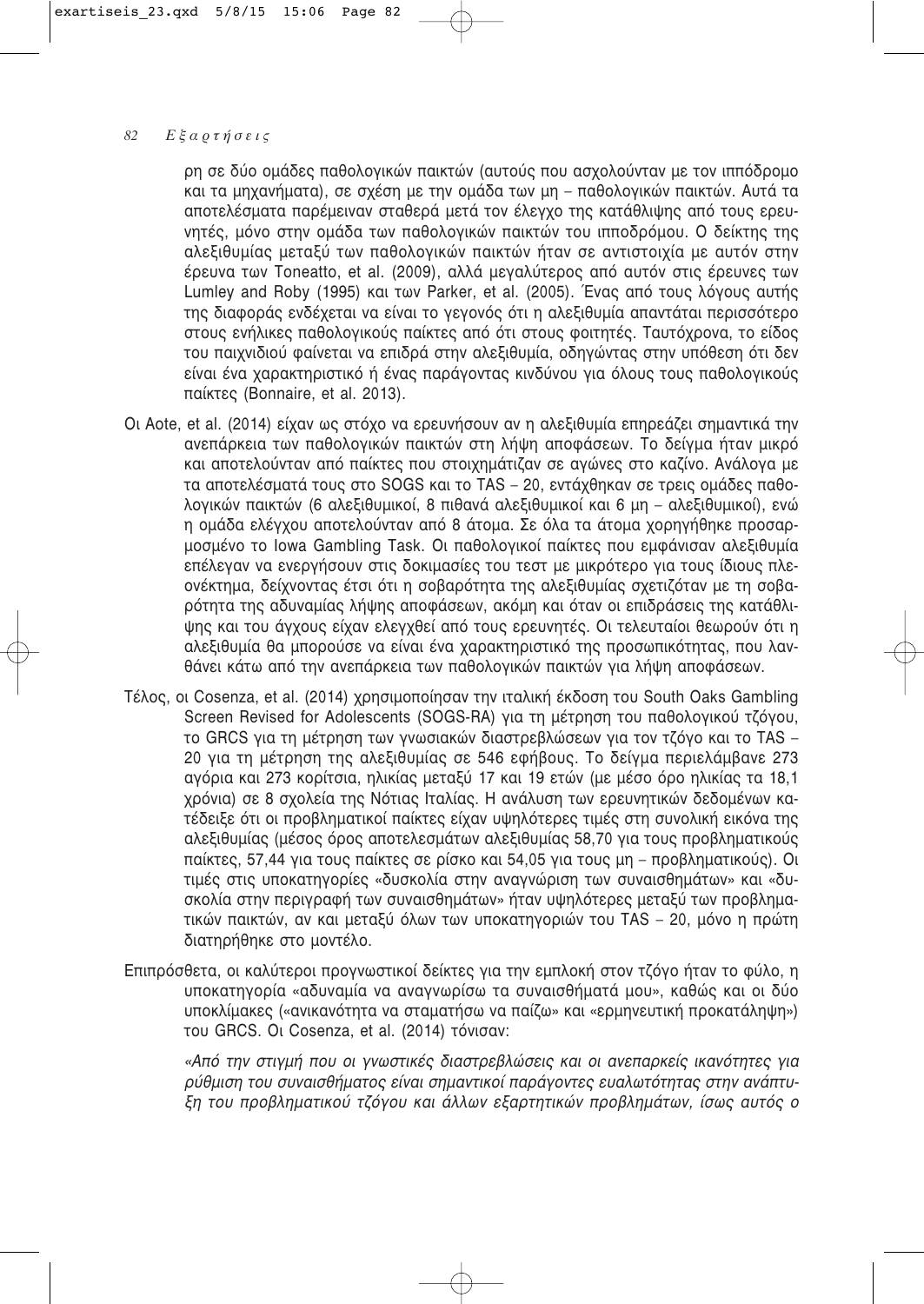ρη σε δύο ομάδες παθολογικών παικτών (αυτούς που ασχολούνταν με τον ιππόδρομο και τα μηχανήματα), σε σχέση με την ομάδα των μη – παθολογικών παικτών. Αυτά τα αποτελέσματα παρέμειναν σταθερά μετά τον έλεγχο της κατάθλιψης από τους ερευνητές, μόνο στην ομάδα των παθολογικών παικτών του ιπποδρόμου. Ο δείκτης της αλεξιθυμίας μεταξύ των παθολογικών παικτών ήταν σε αντιστοιχία με αυτόν στην έρευνα των Toneatto, et al. (2009), αλλά μεγαλύτερος από αυτόν στις έρευνες των Lumley and Roby (1995) και των Parker, et al. (2005). Ένας από τους λόγους αυτής της διαφοράς ενδέχεται να είναι το γεγονός ότι η αλεξιθυμία απαντάται περισσότερο στους ενήλικες παθολογικούς παίκτες από ότι στους φοιτητές. Ταυτόχρονα, το είδος του παιχνιδιού φαίνεται να επιδρά στην αλεξιθυμία, οδηγώντας στην υπόθεση ότι δεν είναι ένα χαρακτηριστικό ή ένας παράγοντας κινδύνου για όλους τους παθολογικούς παίκτες (Bonnaire, et al. 2013).

- Οι Aote, et al. (2014) είχαν ως στόχο να ερευνήσουν αν η αλεξιθυμία επηρεάζει σημαντικά την ανεπάρκεια των παθολογικών παικτών στη λήψη αποφάσεων. Το δείγμα ήταν μικρό και αποτελούνταν από παίκτες που στοιχημάτιζαν σε αγώνες στο καζίνο. Ανάλογα με τα αποτελέσματά τους στο SOGS και το TAS – 20, εντάχθηκαν σε τρεις ομάδες παθολογικών παικτών (6 αλεξιθυμικοί, 8 πιθανά αλεξιθυμικοί και 6 μη – αλεξιθυμικοί), ενώ η ομάδα ελέγχου αποτελούνταν από 8 άτομα. Σε όλα τα άτομα χορηγήθηκε προσαρμοσμένο το Iowa Gambling Task. Οι παθολογικοί παίκτες που εμφάνισαν αλεξιθυμία επέλεγαν να ενεργήσουν στις δοκιμασίες του τεστ με μικρότερο για τους ίδιους πλεονέκτημα, δείχνοντας έτσι ότι η σοβαρότητα της αλεξιθυμίας σχετιζόταν με τη σοβαρότητα της αδυναμίας λήψης αποφάσεων, ακόμη και όταν οι επιδράσεις της κατάθλιψης και του άγχους είχαν ελεγχθεί από τους ερευνητές. Οι τελευταίοι θεωρούν ότι η αλεξιθυμία θα μπορούσε να είναι ένα χαρακτηριστικό της προσωπικότητας, που λανθάνει κάτω από την ανεπάρκεια των παθολονικών παικτών νια λήψη αποφάσεων.
- Τέλος, οι Cosenza, et al. (2014) χρησιμοποίησαν την ιταλική έκδοση του South Oaks Gambling Screen Revised for Adolescents (SOGS-RA) για τη μέτρηση του παθολογικού τζόγου, το GRCS για τη μέτρηση των γνωσιακών διαστρεβλώσεων για τον τζόγο και το TAS – 20 για τη μέτρηση της αλεξιθυμίας σε 546 εφήβους. Το δείγμα περιελάμβανε 273 αγόρια και 273 κορίτσια, ηλικίας μεταξύ 17 και 19 ετών (με μέσο όρο ηλικίας τα 18,1 χρόνια) σε 8 σχολεία της Νότιας Ιταλίας. Η ανάλυση των ερευνητικών δεδομένων κατέδειξε ότι οι προβληματικοί παίκτες είχαν υψηλότερες τιμές στη συνολική εικόνα της αλεξιθυμίας (μέσος όρος αποτελεσμάτων αλεξιθυμίας 58,70 για τους προβληματικούς παίκτες, 57,44 για τους παίκτες σε ρίσκο και 54,05 για τους μη – προβληματικούς). Οι τιμές στις υποκατηγορίες «δυσκολία στην αναγγώριση των συναισθημάτων» και «δυσκολία στην περιγραφή των συναισθημάτων» ήταν υψηλότερες μεταξύ των προβληματικών παικτών, αν και μεταξύ όλων των υποκατηγοριών του TAS – 20, μόνο η πρώτη διατηρήθηκε στο μοντέλο.
- Επιπρόσθετα, οι καλύτεροι προγνωστικοί δείκτες για την εμπλοκή στον τζόγο ήταν το φύλο, η υποκατηγορία «αδυναμία να αναγνωρίσω τα συναισθήματά μου», καθώς και οι δύο υποκλίμακες («ανικανότητα να σταματήσω να παίζω» και «ερμηνευτική προκατάληψη») του GRCS. Οι Cosenza, et al. (2014) τόνισαν:

«Από την στιγμή που οι γνωστικές διαστρεβλώσεις και οι ανεπαρκείς ικανότητες για  $\rho$ ύθμιση του συναισθήματος είναι σημαντικοί παράγοντες ευαλωτότητας στην ανάπτυ-*ÍË ÙÔ˘ ÚÔ'ÏËÌ·ÙÈÎÔ‡ Ù˙fiÁÔ˘ Î·È ¿ÏÏˆÓ ÂÍ·ÚÙËÙÈÎÒÓ ÚÔ'ÏË̿وÓ, ›Ûˆ˜ ·˘Ùfi˜ Ô*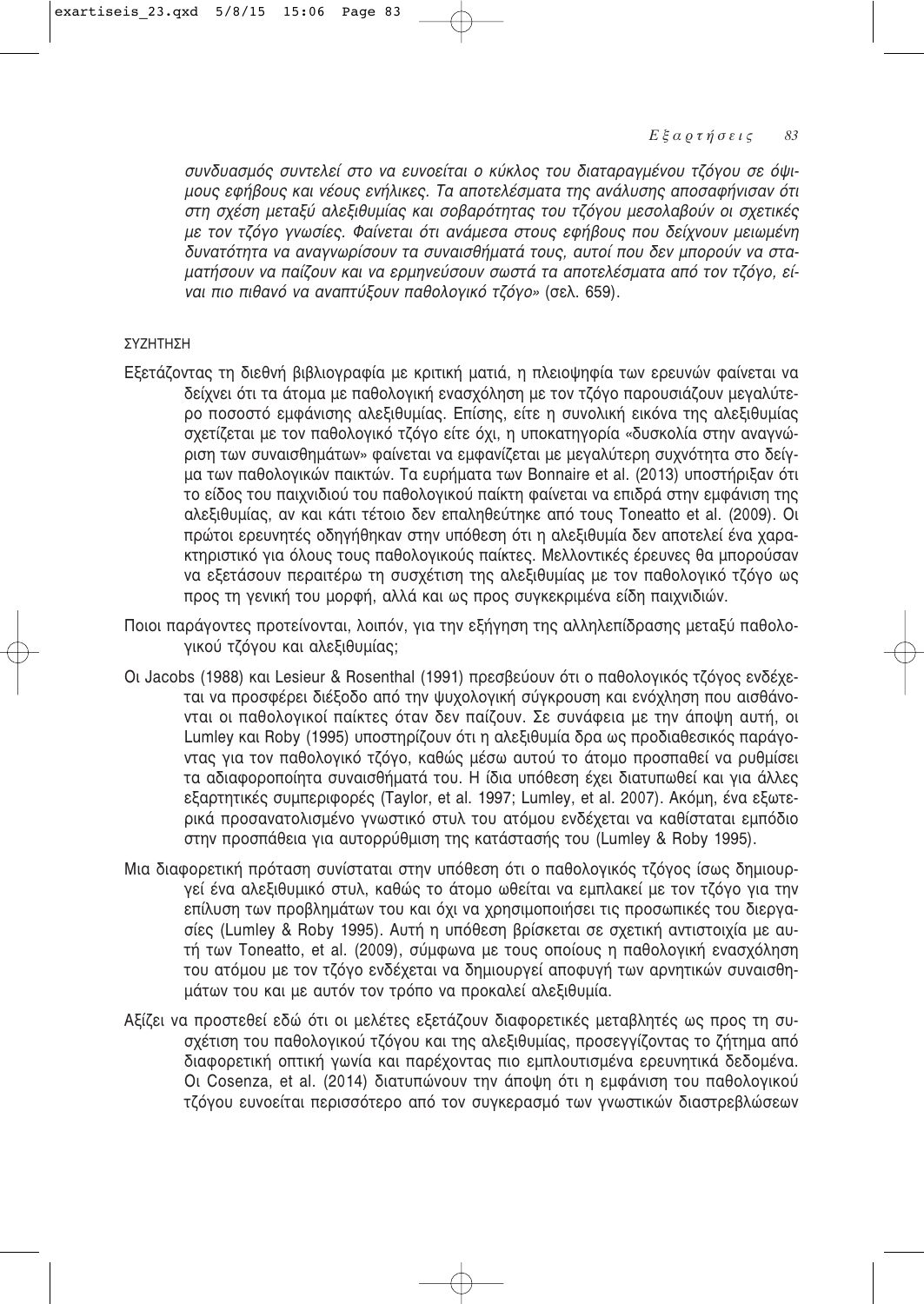συνδυασμός συντελεί στο να ευνοείται ο κύκλος του διαταραγμένου τζόγου σε όψι**μους εφήβους και νέους ενήλικες. Τα αποτελέσματα της ανάλυσης αποσαφήνισαν ότι** στη σχέση μεταξύ αλεξιθυμίας και σοβαρότητας του τζόγου μεσολαβούν οι σχετικές ιε τον τζόγο γνωσίες. Φαίνεται ότι ανάμεσα στους εφήβους που δείχνουν μειωμένη .<br>δυνατότητα να αναγνωρίσουν τα συναισθήματά τους, αυτοί που δεν μπορούν να σταματήσουν να παίζουν και να ερμηνεύσουν σωστά τα αποτελέσματα από τον τζόγο, εί-*VGI πιο πιθανό να αναπτύξουν παθολογικό τζόγο»* (σελ. 659).

### ΣΥΖΗΤΗΣΗ

- Εξετάζοντας τη διεθνή βιβλιογραφία με κριτική ματιά, η πλειοψηφία των ερευνών φαίνεται να δείχνει ότι τα άτομα με παθολογική ενασχόληση με τον τζόγο παρουσιάζουν μεγαλύτερο ποσοστό εμφάνισης αλεξιθυμίας. Επίσης, είτε η συνολική εικόνα της αλεξιθυμίας σχετίζεται με τον παθολογικό τζόγο είτε όχι, η υποκατηγορία «δυσκολία στην αναγνώριση των συναισθημάτων» φαίνεται να εμφανίζεται με μεγαλύτερη συχνότητα στο δείγμα των παθολογικών παικτών. Τα ευρήματα των Bonnaire et al. (2013) υποστήριξαν ότι το είδος του παιχνιδιού του παθολογικού παίκτη φαίνεται να επιδρά στην εμφάνιση της αλεξιθυμίας, αν και κάτι τέτοιο δεν επαληθεύτηκε από τους Toneatto et al. (2009). Οι πρώτοι ερευνητές οδηγήθηκαν στην υπόθεση ότι η αλεξιθυμία δεν αποτελεί ένα χαρακτηριστικό για όλους τους παθολογικούς παίκτες. Μελλοντικές έρευνες θα μπορούσαν να εξετάσουν περαιτέρω τη συσχέτιση της αλεξιθυμίας με τον παθολογικό τζόγο ως προς τη γενική του μορφή, αλλά και ως προς συγκεκριμένα είδη παιχνιδιών.
- Ποιοι παράγοντες προτείνονται, λοιπόν, για την εξήγηση της αλληλεπίδρασης μεταξύ παθολογικού τζόγου και αλεξιθυμίας;
- Οι Jacobs (1988) και Lesieur & Rosenthal (1991) πρεσβεύουν ότι ο παθολογικός τζόγος ενδέχεται να προσφέρει διέξοδο από την ψυχολογική σύγκρουση και ενόχληση που αισθάνονται οι παθολογικοί παίκτες όταν δεν παίζουν. Σε συνάφεια με την άποψη αυτή, οι Lumley και Roby (1995) υποστηρίζουν ότι η αλεξιθυμία δρα ως προδιαθεσικός παράγοντας για τον παθολογικό τζόγο, καθώς μέσω αυτού το άτομο προσπαθεί να ρυθμίσει τα αδιαφοροποίητα συναισθήματά του. Η ίδια υπόθεση έχει διατυπωθεί και για άλλες εξαρτητικές συμπεριφορές (Taylor, et al. 1997; Lumley, et al. 2007). Ακόμη, ένα εξωτερικά προσανατολισμένο γνωστικό στυλ του ατόμου ενδέχεται να καθίσταται εμπόδιο στην προσπάθεια για αυτορρύθμιση της κατάστασής του (Lumley & Roby 1995).
- Μια διαφορετική πρόταση συνίσταται στην υπόθεση ότι ο παθολογικός τζόγος ίσως δημιουργεί ένα αλεξιθυμικό στυλ, καθώς το άτομο ωθείται να εμπλακεί με τον τζόγο για την επίλυση των προβλημάτων του και όχι να χρησιμοποιήσει τις προσωπικές του διεργασίες (Lumley & Roby 1995). Αυτή η υπόθεση βρίσκεται σε σχετική αντιστοιχία με αυτή των Toneatto, et al. (2009), σύμφωνα με τους οποίους η παθολογική ενασχόληση του ατόμου με τον τζόγο ενδέχεται να δημιουργεί αποφυγή των αρνητικών συναισθημάτων του και με αυτόν τον τρόπο να προκαλεί αλεξιθυμία.
- Αξίζει να προστεθεί εδώ ότι οι μελέτες εξετάζουν διαφορετικές μεταβλητές ως προς τη συσχέτιση του παθολογικού τζόγου και της αλεξιθυμίας, προσεγγίζοντας το ζήτημα από διαφορετική οπτική γωνία και παρέχοντας πιο εμπλουτισμένα ερευνητικά δεδομένα. Οι Cosenza, et al. (2014) διατυπώνουν την άποψη ότι η εμφάνιση του παθολογικού τζόγου ευνοείται περισσότερο από τον συγκερασμό των γνωστικών διαστρεβλώσεων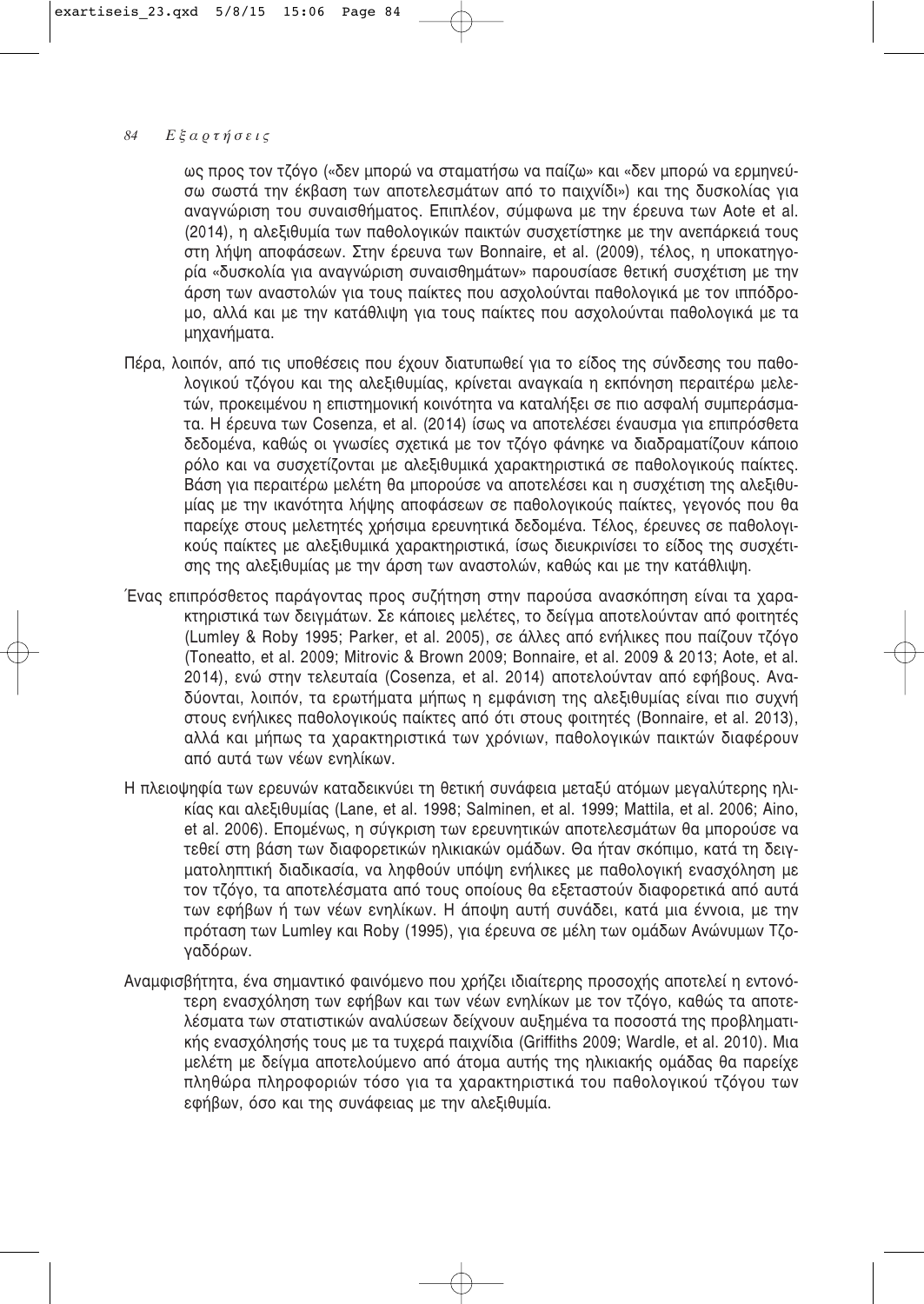ως προς τον τζόγο («δεν μπορώ να σταματήσω να παίζω» και «δεν μπορώ να ερμηνεύσω σωστά την έκβαση των αποτελεσμάτων από το παιχνίδι») και της δυσκολίας για αναγνώριση του συναισθήματος. Επιπλέον, σύμφωνα με την έρευνα των Aote et al. (2014), η αλεξιθυμία των παθολογικών παικτών συσχετίστηκε με την ανεπάρκειά τους στη λήψη αποφάσεων. Στην έρευνα των Bonnaire, et al. (2009), τέλος, η υποκατηνορία «δυσκολία για αναγνώριση συναισθημάτων» παρουσίασε θετική συσχέτιση με την άρση των αναστολών για τους παίκτες που ασχολούνται παθολογικά με τον ιππόδρομο, αλλά και με την κατάθλιψη για τους παίκτες που ασχολούνται παθολογικά με τα μηχανήματα.

- Πέρα, λοιπόν, από τις υποθέσεις που έχουν διατυπωθεί για το είδος της σύνδεσης του παθολογικού τζόγου και της αλεξιθυμίας, κρίνεται αναγκαία η εκπόνηση περαιτέρω μελετών, προκειμένου η επιστημονική κοινότητα να καταλήξει σε πιο ασφαλή συμπεράσματα. Η έρευνα των Cosenza, et al. (2014) ίσως να αποτελέσει έναυσμα για επιπρόσθετα δεδομένα, καθώς οι γνωσίες σχετικά με τον τζόγο φάνηκε να διαδραματίζουν κάποιο ρόλο και να συσχετίζονται με αλεξιθυμικά χαρακτηριστικά σε παθολονικούς παίκτες. Βάση για περαιτέρω μελέτη θα μπορούσε να αποτελέσει και η συσχέτιση της αλεξιθυμίας με την ικανότητα λήψης αποφάσεων σε παθολογικούς παίκτες, γεγονός που θα παρείχε στους μελετητές χρήσιμα ερευνητικά δεδομένα. Τέλος, έρευνες σε παθολογικούς παίκτες με αλεξιθυμικά χαρακτηριστικά, ίσως διευκρινίσει το είδος της συσχέτισης της αλεξιθυμίας με την άρση των αναστολών, καθώς και με την κατάθλιψη.
- Ένας επιπρόσθετος παράγοντας προς συζήτηση στην παρούσα ανασκόπηση είναι τα χαρα-Κτηριστικά των δειγμάτων. Σε κάποιες μελέτες, το δείγμα αποτελούνταν από φοιτητές (Lumley & Roby 1995; Parker, et al. 2005), σε άλλες από ενήλικες που παίζουν τζόγο (Toneatto, et al. 2009; Mitrovic & Brown 2009; Bonnaire, et al. 2009 & 2013; Aote, et al. 2014), ενώ στην τελευταία (Cosenza, et al. 2014) αποτελούνταν από εφήβους. Αναδύονται, λοιπόν, τα ερωτήματα μήπως η εμφάνιση της αλεξιθυμίας είναι πιο συχνή στους ενήλικες παθολογικούς παίκτες από ότι στους φοιτητές (Bonnaire, et al. 2013), αλλά και μήπως τα χαρακτηριστικά των χρόνιων, παθολογικών παικτών διαφέρουν από αυτά των νέων ενηλίκων.
- Η πλειοψηφία των ερευνών καταδεικνύει τη θετική συνάφεια μεταξύ ατόμων μεγαλύτερης ηλικίας και αλεξιθυμίας (Lane, et al. 1998; Salminen, et al. 1999; Mattila, et al. 2006; Aino, et al. 2006). Επομένως, η σύνκριση των ερευνητικών αποτελεσμάτων θα μπορούσε να τεθεί στη βάση των διαφορετικών ηλικιακών ομάδων. Θα ήταν σκόπιμο, κατά τη δειγματοληπτική διαδικασία, να ληφθούν υπόψη ενήλικες με παθολογική ενασχόληση με τον τζόγο, τα αποτελέσματα από τους οποίους θα εξεταστούν διαφορετικά από αυτά των εφήβων ή των νέων ενηλίκων. Η άποψη αυτή συνάδει, κατά μια έννοια, με την πρόταση των Lumley και Roby (1995), για έρευνα σε μέλη των ομάδων Ανώνυμων Τζογαδόρων.
- Aναμφισβήτητα, ένα σημαντικό φαινόμενο που χρήζει ιδιαίτερης προσοχής αποτελεί η εντονότερη ενασχόληση των εφήβων και των νέων ενηλίκων με τον τζόγο, καθώς τα αποτελέσματα των στατιστικών αναλύσεων δείχνουν αυξημένα τα ποσοστά της προβληματικής ενασχόλησής τους με τα τυχερά παιχνίδια (Griffiths 2009; Wardle, et al. 2010). Μια μελέτη με δείγμα αποτελούμενο από άτομα αυτής της ηλικιακής ομάδας θα παρείχε πληθώρα πληροφοριών τόσο για τα χαρακτηριστικά του παθολογικού τζόγου των εφήβων, όσο και της συνάφειας με την αλεξιθυμία.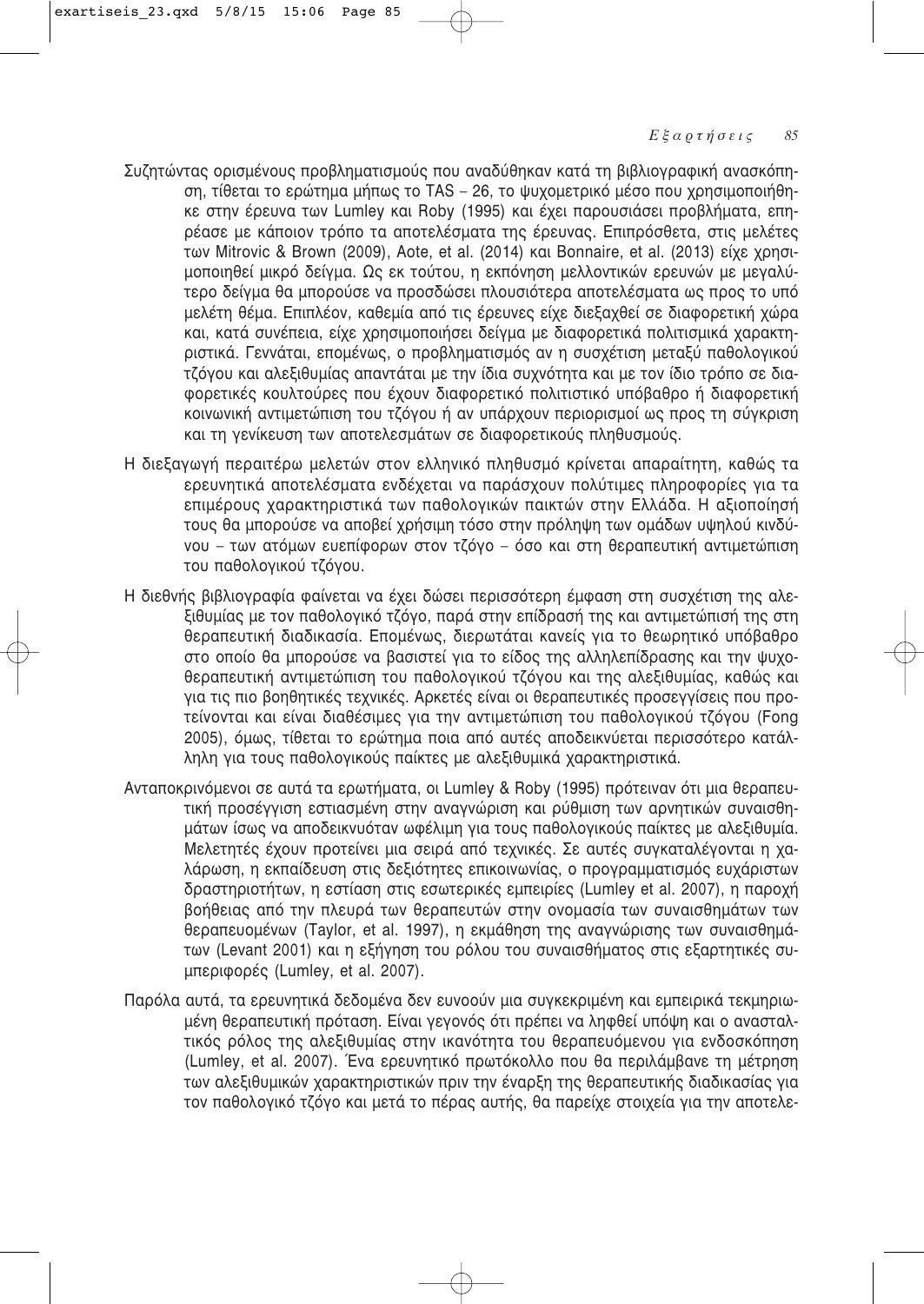- Συζητώντας ορισμένους προβληματισμούς που αναδύθηκαν κατά τη βιβλιογραφική ανασκόπηση, τίθεται το ερώτημα μήπως το TAS - 26, το ψυχομετρικό μέσο που χρησιμοποιήθηκε στην έρευνα των Lumley και Roby (1995) και έχει παρουσιάσει προβλήματα, επηρέασε με κάποιον τρόπο τα αποτελέσματα της έρευνας. Επιπρόσθετα, στις μελέτες των Mitrovic & Brown (2009), Aote, et al. (2014) και Bonnaire, et al. (2013) είχε χρησιμοποιηθεί μικρό δείγμα. Ως εκ τούτου, η εκπόνηση μελλοντικών ερευνών με μεγαλύτερο δείγμα θα μπορούσε να προσδώσει πλουσιότερα αποτελέσματα ως προς το υπό μελέτη θέμα. Επιπλέον, καθεμία από τις έρευνες είχε διεξαχθεί σε διαφορετική χώρα και, κατά συνέπεια, είχε χρησιμοποιήσει δείγμα με διαφορετικά πολιτισμικά χαρακτηριστικά. Γεννάται, επομένως, ο προβληματισμός αν η συσχέτιση μεταξύ παθολογικού τζόγου και αλεξιθυμίας απαντάται με την ίδια συχνότητα και με τον ίδιο τρόπο σε διαφορετικές κουλτούρες που έχουν διαφορετικό πολιτιστικό υπόβαθρο ή διαφορετική ΚΟΙΥΦΥΙΚή αντιμετώπιση του τζόγου ή αν υπάρχουν περιορισμοί ως προς τη σύγκριση και τη γενίκευση των αποτελεσμάτων σε διαφορετικούς πληθυσμούς.
- Η διεξαγωγή περαιτέρω μελετών στον ελληνικό πληθυσμό κρίνεται απαραίτητη, καθώς τα ερευνητικά αποτελέσματα ενδέχεται να παράσχουν πολύτιμες πληροφορίες για τα επιμέρους χαρακτηριστικά των παθολογικών παικτών στην Ελλάδα. Η αξιοποίησή τους θα μπορούσε να αποβεί χρήσιμη τόσο στην πρόληψη των ομάδων υψηλού κινδύ-VOU – των ατόμων ευεπίφορων στον τζόγο – όσο και στη θεραπευτική αντιμετώπιση του παθολογικού τζόγου.
- Η διεθνής βιβλιογραφία φαίνεται να έχει δώσει περισσότερη έμφαση στη συσχέτιση της αλεξιθυμίας με τον παθολογικό τζόγο, παρά στην επίδρασή της και αντιμετώπισή της στη θεραπευτική διαδικασία. Επομένως, διερωτάται κανείς για το θεωρητικό υπόβαθρο στο οποίο θα μπορούσε να βασιστεί για το είδος της αλληλεπίδρασης και την ψυχοθεραπευτική αντιμετώπιση του παθολογικού τζόγου και της αλεξιθυμίας, καθώς και για τις πιο βοηθητικές τεχνικές. Αρκετές είναι οι θεραπευτικές προσεγγίσεις που προτείνονται και είναι διαθέσιμες για την αντιμετώπιση του παθολογικού τζόγου (Fong 2005), όμως, τίθεται το ερώτημα ποια από αυτές αποδεικνύεται περισσότερο κατάλληλη για τους παθολογικούς παίκτες με αλεξιθυμικά χαρακτηριστικά.
- Aνταποκρινόμενοι σε αυτά τα ερωτήματα, οι Lumley & Roby (1995) πρότειναν ότι μια θεραπευτική προσέγγιση εστιασμένη στην αναγνώριση και ρύθμιση των αρνητικών συναισθημάτων ίσως να αποδεικνυόταν ωφέλιμη για τους παθολογικούς παίκτες με αλεξιθυμία. .<br>Μελετητές έχουν προτείνει μια σειρά από τεχνικές. Σε αυτές συγκαταλέγονται η χαλάρωση, η εκπαίδευση στις δεξιότητες επικοινωνίας, ο προγραμματισμός ευχάριστων δραστηριοτήτων, η εστίαση στις εσωτερικές εμπειρίες (Lumley et al. 2007), η παροχή βοήθειας από την πλευρά των θεραπευτών στην ονομασία των συναισθημάτων των θεραπευομένων (Taylor, et al. 1997), η εκμάθηση της αναγνώρισης των συναισθημάτων (Levant 2001) και η εξήγηση του ρόλου του συναισθήματος στις εξαρτητικές συμπεριφορές (Lumley, et al. 2007).
- Παρόλα αυτά, τα ερευνητικά δεδομένα δεν ευνοούν μια συγκεκριμένη και εμπειρικά τεκμηριωμένη θεραπευτική πρόταση. Είναι γεγονός ότι πρέπει να ληφθεί υπόψη και ο ανασταλτικός ρόλος της αλεξιθυμίας στην ικανότητα του θεραπευόμενου για ενδοσκόπηση (Lumley, et al. 2007). Ένα ερευνητικό πρωτόκολλο που θα περιλάμβανε τη μέτρηση των αλεξιθυμικών χαρακτηριστικών πριν την έναρξη της θεραπευτικής διαδικασίας για τον παθολογικό τζόγο και μετά το πέρας αυτής, θα παρείχε στοιχεία για την αποτελε-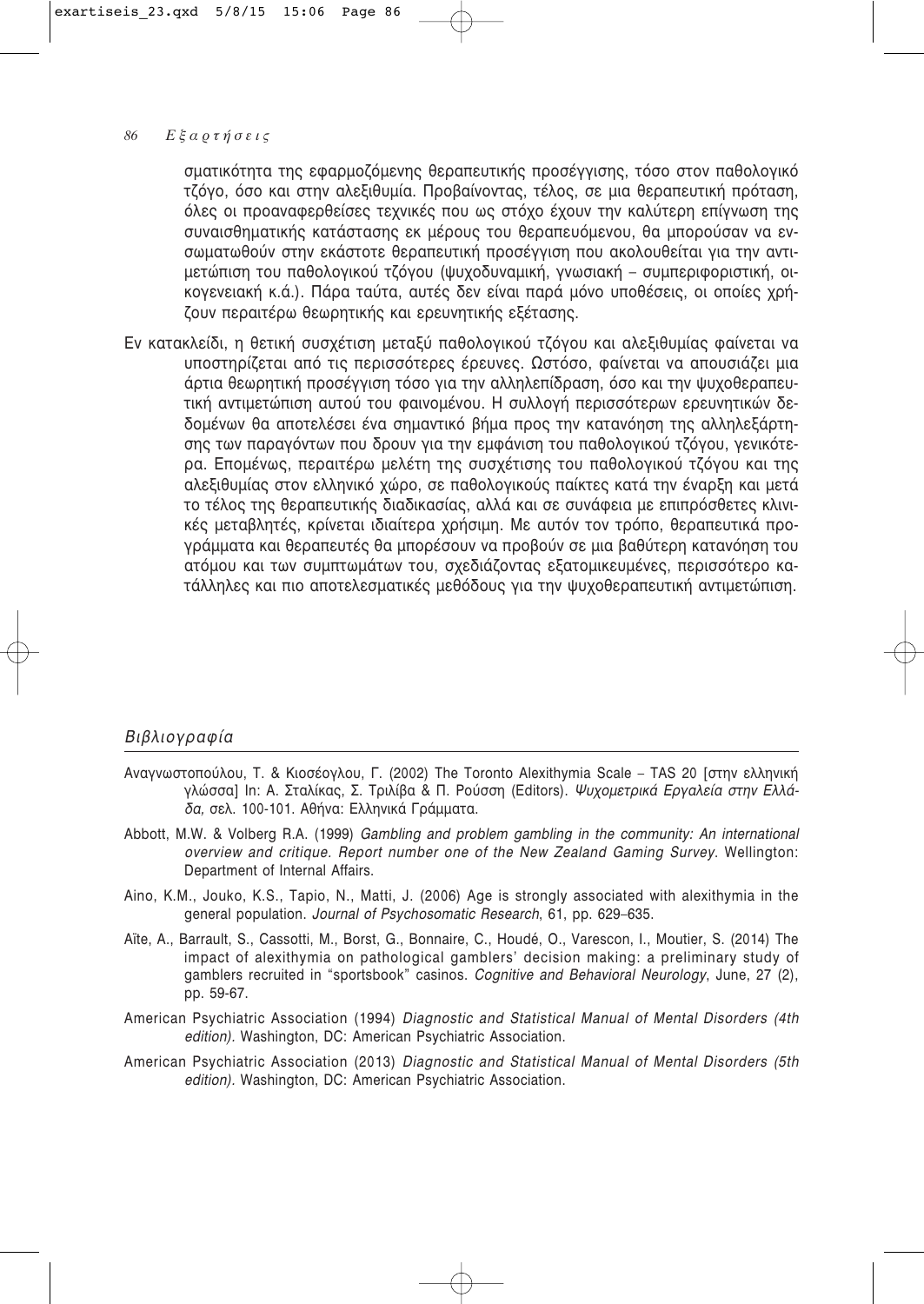σματικότητα της εφαρμοζόμενης θεραπευτικής προσέγγισης, τόσο στον παθολογικό τζόγο, όσο και στην αλεξιθυμία. Προβαίνοντας, τέλος, σε μια θεραπευτική πρόταση, όλες οι προαναφερθείσες τεχνικές που ως στόχο έχουν την καλύτερη επίγνωση της συναισθηματικής κατάστασης εκ μέρους του θεραπευόμενου, θα μπορούσαν να ενσωματωθούν στην εκάστοτε θεραπευτική προσέγγιση που ακολουθείται για την αντιμετώπιση του παθολογικού τζόγου (ψυχοδυναμική, γνωσιακή – συμπεριφοριστική, οικογενειακή κ.ά.). Πάρα ταύτα, αυτές δεν είναι παρά μόνο υποθέσεις, οι οποίες χρήζουν περαιτέρω θεωρητικής και ερευνητικής εξέτασης.

Εν κατακλείδι, η θετική συσχέτιση μεταξύ παθολογικού τζόγου και αλεξιθυμίας φαίνεται να υποστηρίζεται από τις περισσότερες έρευνες. Ωστόσο, φαίνεται να απουσιάζει μια άρτια θεωρητική προσέγγιση τόσο για την αλληλεπίδραση, όσο και την ψυχοθεραπευτική αντιμετώπιση αυτού του φαινομένου. Η συλλογή περισσότερων ερευνητικών δεδομένων θα αποτελέσει ένα σημαντικό βήμα προς την κατανόηση της αλληλεξάρτησης των παραγόντων που δρουν για την εμφάνιση του παθολογικού τζόγου, γενικότερα. Επομένως, περαιτέρω μελέτη της συσχέτισης του παθολογικού τζόγου και της αλεξιθυμίας στον ελληνικό χώρο, σε παθολογικούς παίκτες κατά την έναρξη και μετά το τέλος της θεραπευτικής διαδικασίας, αλλά και σε συνάφεια με επιπρόσθετες κλινικές μεταβλητές, κρίνεται ιδιαίτερα χρήσιμη. Με αυτόν τον τρόπο, θεραπευτικά προγράμματα και θεραπευτές θα μπορέσουν να προβούν σε μια βαθύτερη κατανόηση του ατόμου και των συμπτωμάτων του, σχεδιάζοντας εξατομικευμένες, περισσότερο κατάλληλες και πιο αποτελεσματικές μεθόδους για την ψυχοθεραπευτική αντιμετώπιση.

### Βιβλιογραφία

- Αναγνωστοπούλου, Τ. & Κιοσέογλου, Γ. (2002) The Toronto Alexithymia Scale TAS 20 [στην ελληνική γλώσσα] In: Α. Σταλίκας, Σ. Τριλίβα & Π. Ρούσση (Editors). Ψυχομετρικά Εργαλεία στην Ελλάδα, σελ. 100-101. Αθήνα: Ελληνικά Γράμματα.
- Abbott, M.W. & Volberg R.A. (1999) Gambling and problem gambling in the community: An international overview and critique. Report number one of the New Zealand Gaming Survey. Wellington: Department of Internal Affairs.
- Aino, K.M., Jouko, K.S., Tapio, N., Matti, J. (2006) Age is strongly associated with alexithymia in the general population. Journal of Psychosomatic Research, 61, pp. 629-635.
- Aïte, A., Barrault, S., Cassotti, M., Borst, G., Bonnaire, C., Houdé, O., Varescon, I., Moutier, S. (2014) The impact of alexithymia on pathological gamblers' decision making: a preliminary study of gamblers recruited in "sportsbook" casinos. Cognitive and Behavioral Neurology, June, 27 (2), pp. 59-67.
- American Psychiatric Association (1994) Diagnostic and Statistical Manual of Mental Disorders (4th edition). Washington, DC: American Psychiatric Association.
- American Psychiatric Association (2013) Diagnostic and Statistical Manual of Mental Disorders (5th edition). Washington, DC: American Psychiatric Association.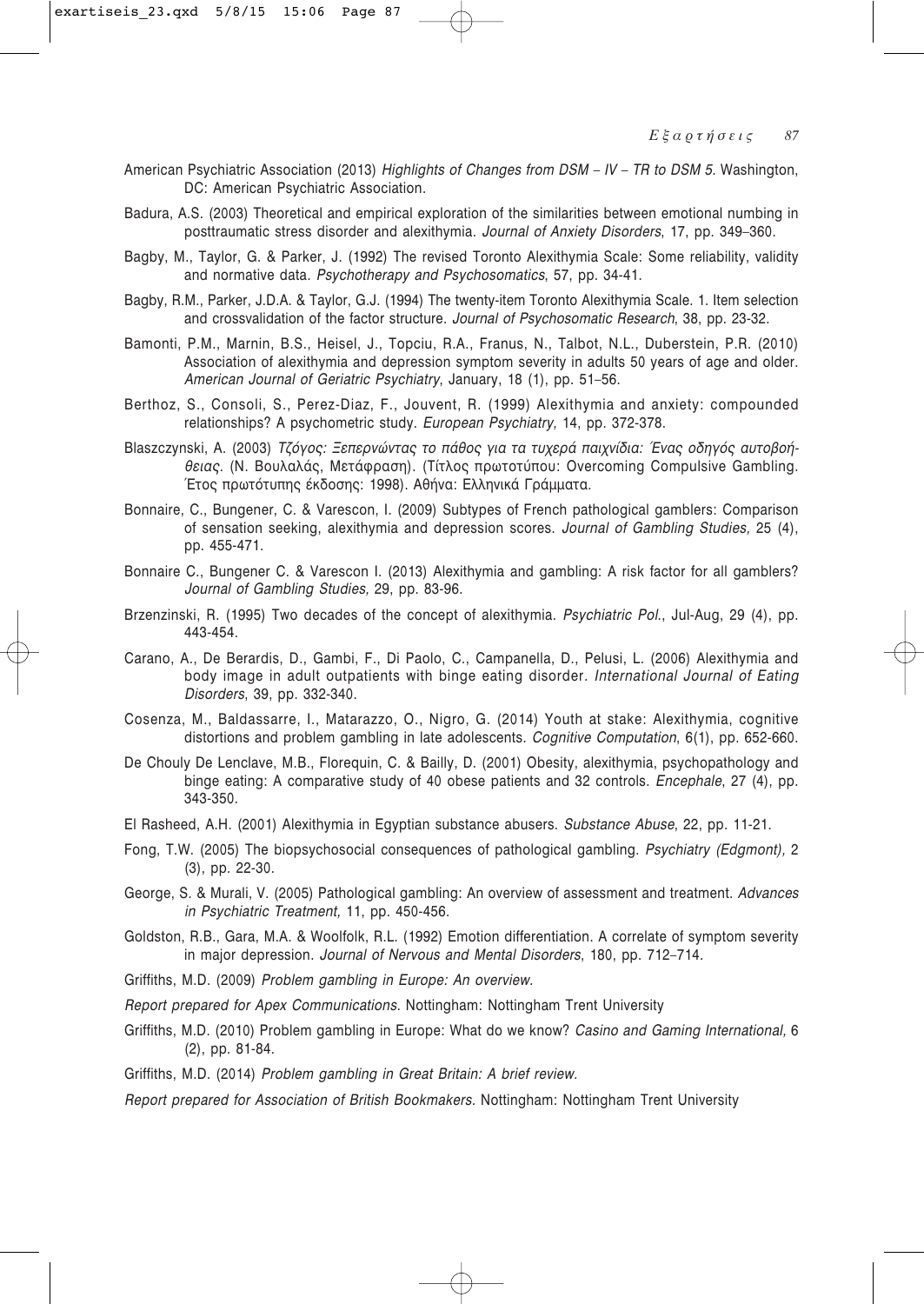- American Psychiatric Association (2013) Highlights of Changes from DSM IV TR to DSM 5. Washington, DC: American Psychiatric Association.
- Badura, A.S. (2003) Theoretical and empirical exploration of the similarities between emotional numbing in posttraumatic stress disorder and alexithymia. Journal of Anxiety Disorders, 17, pp. 349-360.
- Bagby, M., Taylor, G. & Parker, J. (1992) The revised Toronto Alexithymia Scale: Some reliability, validity and normative data. Psychotherapy and Psychosomatics, 57, pp. 34-41.
- Bagby, R.M., Parker, J.D.A. & Taylor, G.J. (1994) The twenty-item Toronto Alexithymia Scale. 1. Item selection and crossvalidation of the factor structure. Journal of Psychosomatic Research, 38, pp. 23-32.
- Bamonti, P.M., Marnin, B.S., Heisel, J., Topciu, R.A., Franus, N., Talbot, N.L., Duberstein, P.R. (2010) Association of alexithymia and depression symptom severity in adults 50 years of age and older. American Journal of Geriatric Psychiatry, January, 18 (1), pp. 51-56.
- Berthoz, S., Consoli, S., Perez-Diaz, F., Jouvent, R. (1999) Alexithymia and anxiety: compounded relationships? A psychometric study. European Psychiatry, 14, pp. 372-378.
- Blaszczynski, A. (2003) Τζόγος: Ξεπερνώντας το πάθος για τα τυχερά παιχνίδια: Ένας οδηγός αυτοβοήθειας, (Ν. Βουλαλάς, Μετάφραση), (Τίτλος πρωτοτύπου: Overcoming Compulsive Gambling, Έτος πρωτότυπης έκδοσης: 1998). Αθήνα: Ελληνικά Γράμματα.
- Bonnaire, C., Bungener, C. & Varescon, I. (2009) Subtypes of French pathological gamblers: Comparison of sensation seeking, alexithymia and depression scores. Journal of Gambling Studies, 25 (4), pp. 455-471.
- Bonnaire C., Bungener C. & Varescon I. (2013) Alexithymia and gambling: A risk factor for all gamblers? Journal of Gambling Studies, 29, pp. 83-96.
- Brzenzinski, R. (1995) Two decades of the concept of alexithymia. Psychiatric Pol., Jul-Aug, 29 (4), pp. 443-454.
- Carano, A., De Berardis, D., Gambi, F., Di Paolo, C., Campanella, D., Pelusi, L. (2006) Alexithymia and body image in adult outpatients with binge eating disorder. International Journal of Eating Disorders, 39, pp. 332-340.
- Cosenza, M., Baldassarre, I., Matarazzo, O., Nigro, G. (2014) Youth at stake: Alexithymia, cognitive distortions and problem gambling in late adolescents. Cognitive Computation, 6(1), pp. 652-660.
- De Chouly De Lenclave, M.B., Florequin, C. & Bailly, D. (2001) Obesity, alexithymia, psychopathology and binge eating: A comparative study of 40 obese patients and 32 controls. *Encephale*, 27 (4), pp. 343-350.
- El Rasheed, A.H. (2001) Alexithymia in Egyptian substance abusers. Substance Abuse, 22, pp. 11-21.
- Fong, T.W. (2005) The biopsychosocial consequences of pathological gambling. Psychiatry (Edgmont), 2  $(3)$ , pp. 22-30.
- George, S. & Murali, V. (2005) Pathological gambling: An overview of assessment and treatment. Advances in Psychiatric Treatment, 11, pp. 450-456.
- Goldston, R.B., Gara, M.A. & Woolfolk, R.L. (1992) Emotion differentiation. A correlate of symptom severity in major depression. Journal of Nervous and Mental Disorders, 180, pp. 712-714.
- Griffiths, M.D. (2009) Problem gambling in Europe: An overview.
- Report prepared for Apex Communications. Nottingham: Nottingham Trent University
- Griffiths, M.D. (2010) Problem gambling in Europe: What do we know? Casino and Gaming International, 6  $(2)$ , pp. 81-84.
- Griffiths, M.D. (2014) Problem gambling in Great Britain: A brief review.
- Report prepared for Association of British Bookmakers. Nottingham: Nottingham Trent University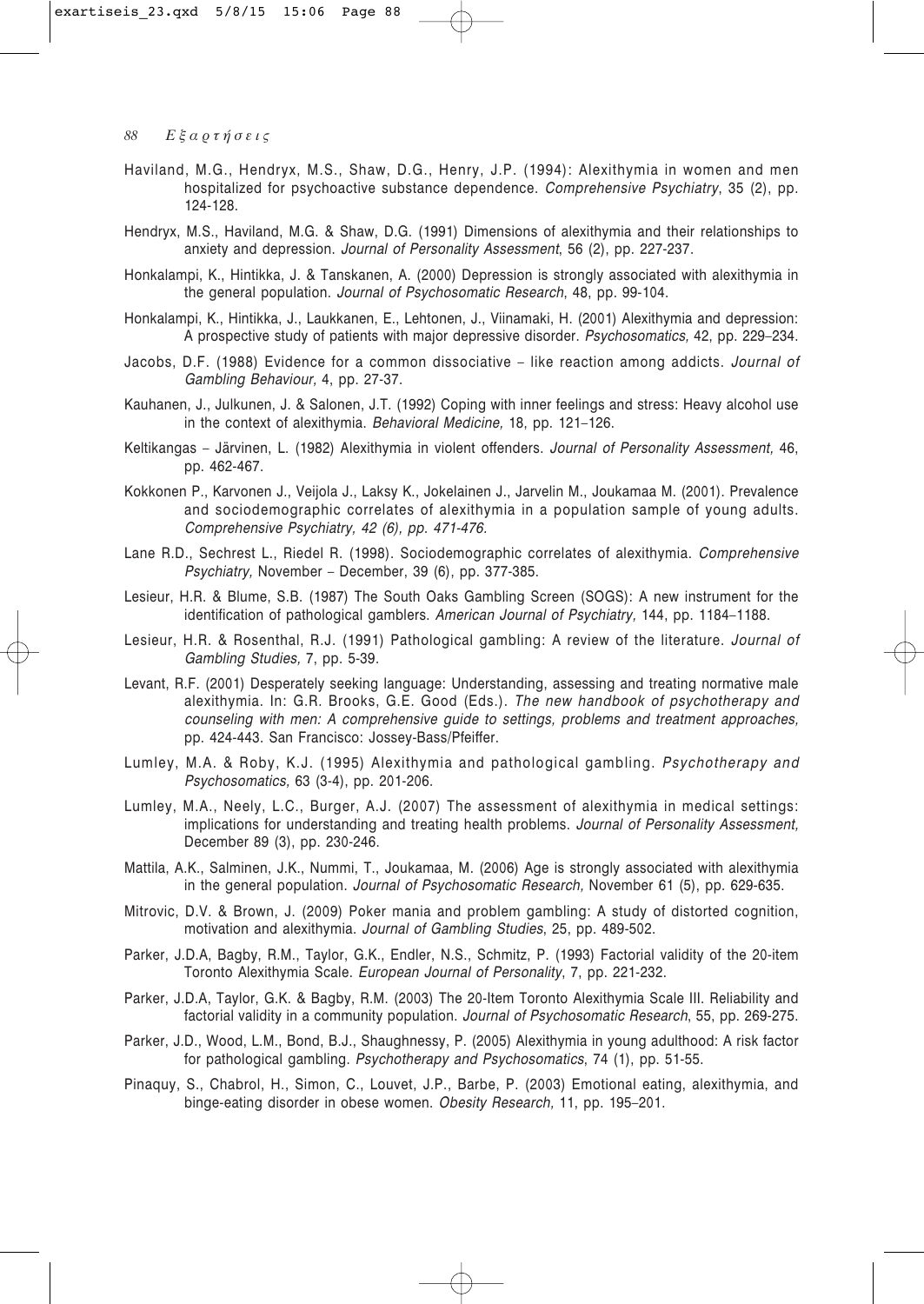- Haviland, M.G., Hendryx, M.S., Shaw, D.G., Henry, J.P. (1994): Alexithymia in women and men hospitalized for psychoactive substance dependence. *Comprehensive Psychiatry*, 35 (2), pp. 124-128.
- Hendryx, M.S., Haviland, M.G. & Shaw, D.G. (1991) Dimensions of alexithymia and their relationships to anxiety and depression. *Journal of Personality Assessment*, 56 (2), pp. 227-237.
- Honkalampi, K., Hintikka, J. & Tanskanen, A. (2000) Depression is strongly associated with alexithymia in the general population. *Journal of Psychosomatic Research*, 48, pp. 99-104.
- Honkalampi, K., Hintikka, J., Laukkanen, E., Lehtonen, J., Viinamaki, H. (2001) Alexithymia and depression: A prospective study of patients with major depressive disorder. *Psychosomatics,* 42, pp. 229–234.
- Jacobs, D.F. (1988) Evidence for a common dissociative like reaction among addicts. *Journal of Gambling Behaviour,* 4, pp. 27-37.
- Kauhanen, J., Julkunen, J. & Salonen, J.T. (1992) Coping with inner feelings and stress: Heavy alcohol use in the context of alexithymia. *Behavioral Medicine,* 18, pp. 121–126.
- Keltikangas Järvinen, L. (1982) Alexithymia in violent offenders. *Journal of Personality Assessment,* 46, pp. 462-467.
- Kokkonen P., Karvonen J., Veijola J., Laksy K., Jokelainen J., Jarvelin M., Joukamaa M. (2001). Prevalence and sociodemographic correlates of alexithymia in a population sample of young adults. *Comprehensive Psychiatry, 42 (6), pp. 471-476.*
- Lane R.D., Sechrest L., Riedel R. (1998). Sociodemographic correlates of alexithymia. *Comprehensive Psychiatry,* November – December, 39 (6), pp. 377-385.
- Lesieur, H.R. & Blume, S.B. (1987) The South Oaks Gambling Screen (SOGS): A new instrument for the identification of pathological gamblers. *American Journal of Psychiatry,* 144, pp. 1184–1188.
- Lesieur, H.R. & Rosenthal, R.J. (1991) Pathological gambling: A review of the literature. *Journal of Gambling Studies,* 7, pp. 5-39.
- Levant, R.F. (2001) Desperately seeking language: Understanding, assessing and treating normative male alexithymia. In: G.R. Brooks, G.E. Good (Eds.). *The new handbook of psychotherapy and counseling with men: A comprehensive guide to settings, problems and treatment approaches,* pp. 424-443. San Francisco: Jossey-Bass/Pfeiffer.
- Lumley, M.A. & Roby, K.J. (1995) Alexithymia and pathological gambling. *Psychotherapy and Psychosomatics,* 63 (3-4), pp. 201-206.
- Lumley, M.A., Neely, L.C., Burger, A.J. (2007) The assessment of alexithymia in medical settings: implications for understanding and treating health problems. *Journal of Personality Assessment,* December 89 (3), pp. 230-246.
- Mattila, A.K., Salminen, J.K., Nummi, T., Joukamaa, M. (2006) Age is strongly associated with alexithymia in the general population. *Journal of Psychosomatic Research,* November 61 (5), pp. 629-635.
- Mitrovic, D.V. & Brown, J. (2009) Poker mania and problem gambling: A study of distorted cognition, motivation and alexithymia. *Journal of Gambling Studies*, 25, pp. 489-502.
- Parker, J.D.A, Bagby, R.M., Taylor, G.K., Endler, N.S., Schmitz, P. (1993) Factorial validity of the 20-item Toronto Alexithymia Scale. *European Journal of Personality*, 7, pp. 221-232.
- Parker, J.D.A, Taylor, G.K. & Bagby, R.M. (2003) The 20-Item Toronto Alexithymia Scale III. Reliability and factorial validity in a community population. *Journal of Psychosomatic Research*, 55, pp. 269-275.
- Parker, J.D., Wood, L.M., Bond, B.J., Shaughnessy, P. (2005) Alexithymia in young adulthood: A risk factor for pathological gambling. *Psychotherapy and Psychosomatics*, 74 (1), pp. 51-55.
- Pinaquy, S., Chabrol, H., Simon, C., Louvet, J.P., Barbe, P. (2003) Emotional eating, alexithymia, and binge-eating disorder in obese women. *Obesity Research,* 11, pp. 195–201.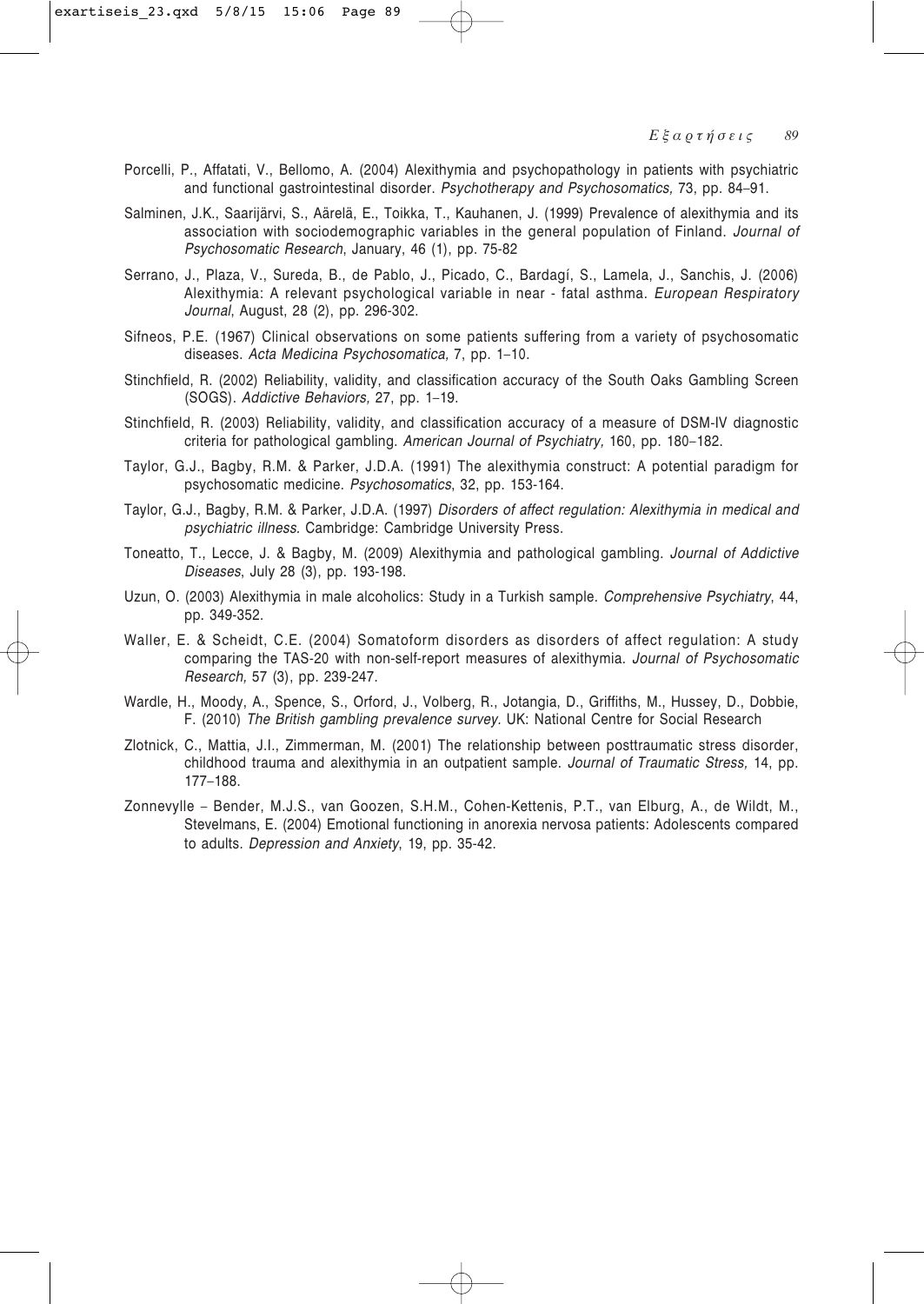- Porcelli, P., Affatati, V., Bellomo, A. (2004) Alexithymia and psychopathology in patients with psychiatric and functional gastrointestinal disorder. *Psychotherapy and Psychosomatics,* 73, pp. 84–91.
- Salminen, J.K., Saarijärvi, S., Aärelä, E., Toikka, T., Kauhanen, J. (1999) Prevalence of alexithymia and its association with sociodemographic variables in the general population of Finland. *Journal of Psychosomatic Research*, January, 46 (1), pp. 75-82
- Serrano, J., Plaza, V., Sureda, B., de Pablo, J., Picado, C., Bardagí, S., Lamela, J., Sanchis, J. (2006) Alexithymia: A relevant psychological variable in near - fatal asthma. *European Respiratory Journal*, August, 28 (2), pp. 296-302.
- Sifneos, P.E. (1967) Clinical observations on some patients suffering from a variety of psychosomatic diseases. *Acta Medicina Psychosomatica,* 7, pp. 1–10.
- Stinchfield, R. (2002) Reliability, validity, and classification accuracy of the South Oaks Gambling Screen (SOGS). *Addictive Behaviors,* 27, pp. 1–19.
- Stinchfield, R. (2003) Reliability, validity, and classification accuracy of a measure of DSM-IV diagnostic criteria for pathological gambling. *American Journal of Psychiatry,* 160, pp. 180–182.
- Taylor, G.J., Bagby, R.M. & Parker, J.D.A. (1991) The alexithymia construct: A potential paradigm for psychosomatic medicine. *Psychosomatics*, 32, pp. 153-164.
- Taylor, G.J., Bagby, R.M. & Parker, J.D.A. (1997) *Disorders of affect regulation: Alexithymia in medical and psychiatric illness.* Cambridge: Cambridge University Press.
- Toneatto, T., Lecce, J. & Bagby, M. (2009) Alexithymia and pathological gambling. *Journal of Addictive Diseases*, July 28 (3), pp. 193-198.
- Uzun, O. (2003) Alexithymia in male alcoholics: Study in a Turkish sample. *Comprehensive Psychiatry*, 44, pp. 349-352.
- Waller, E. & Scheidt, C.E. (2004) Somatoform disorders as disorders of affect regulation: A study comparing the TAS-20 with non-self-report measures of alexithymia. *Journal of Psychosomatic Research,* 57 (3), pp. 239-247.
- Wardle, H., Moody, A., Spence, S., Orford, J., Volberg, R., Jotangia, D., Griffiths, M., Hussey, D., Dobbie, F. (2010) *The British gambling prevalence survey.* UK: National Centre for Social Research
- Zlotnick, C., Mattia, J.I., Zimmerman, M. (2001) The relationship between posttraumatic stress disorder, childhood trauma and alexithymia in an outpatient sample. *Journal of Traumatic Stress,* 14, pp. 177–188.
- Zonnevylle Bender, M.J.S., van Goozen, S.H.M., Cohen-Kettenis, P.T., van Elburg, A., de Wildt, M., Stevelmans, E. (2004) Emotional functioning in anorexia nervosa patients: Adolescents compared to adults. *Depression and Anxiety*, 19, pp. 35-42.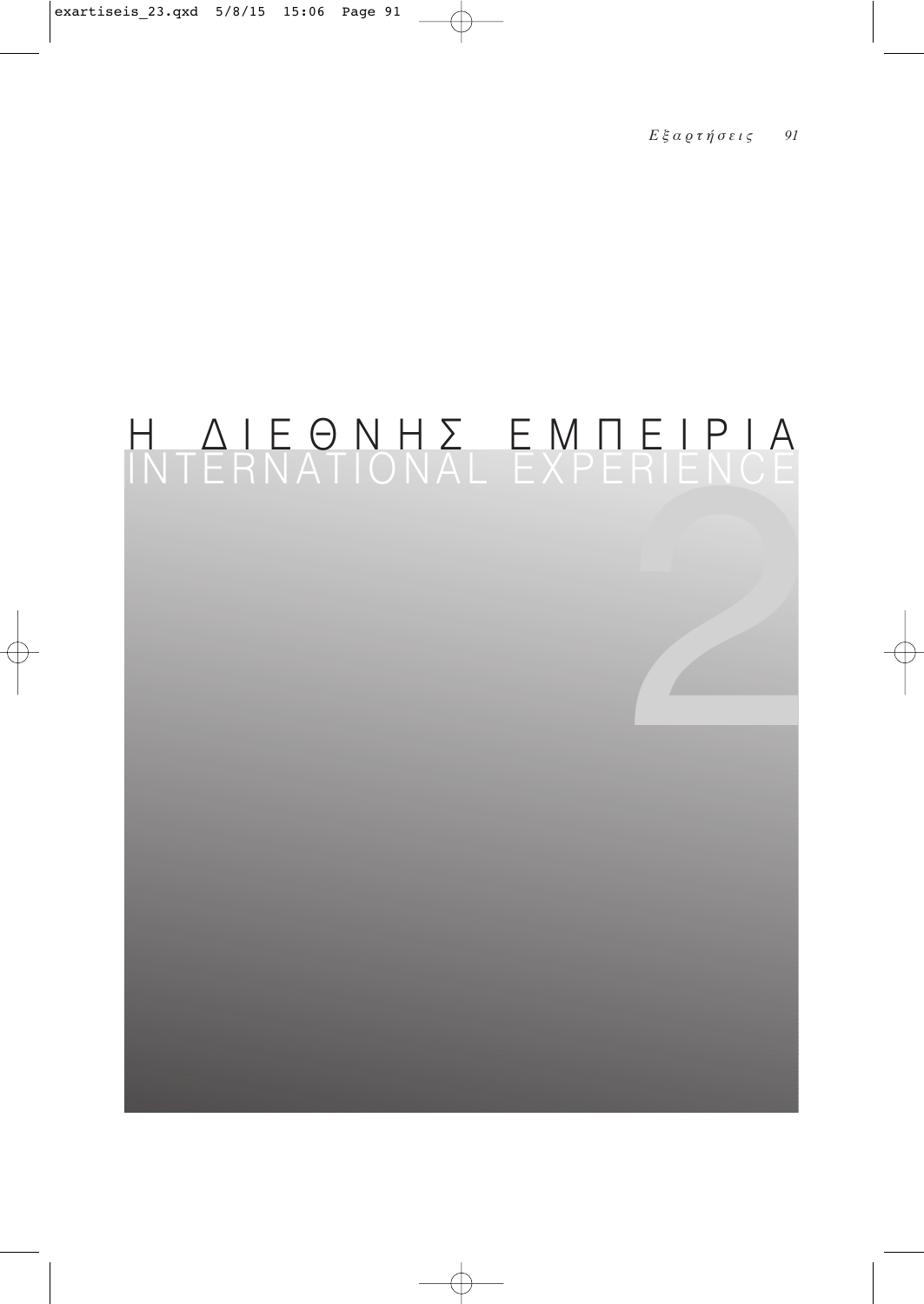# H AIEONH E EMPEIPIA<br>INTERNATIONAL EXPERIENCE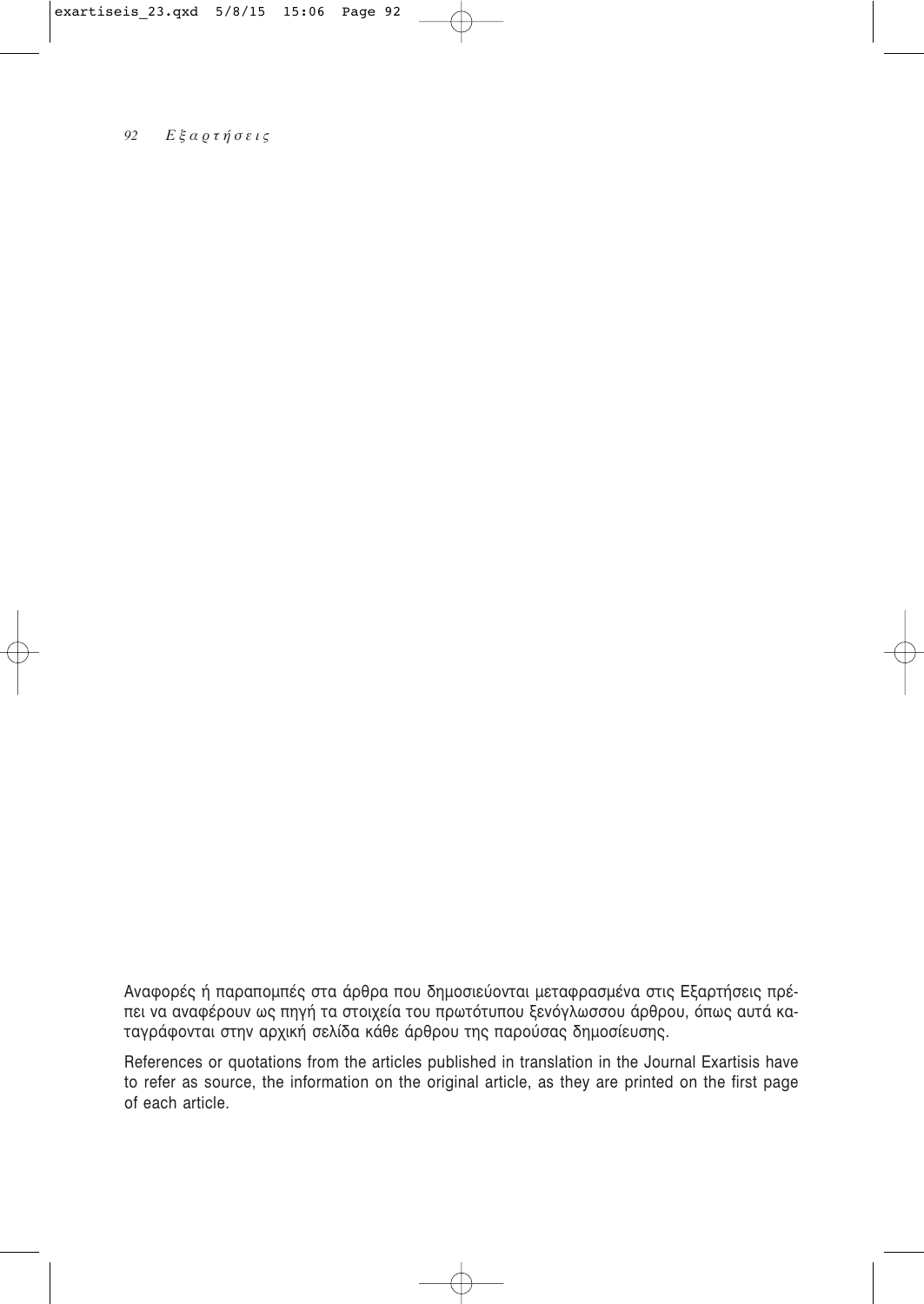Αναφορές ή παραπομπές στα άρθρα που δημοσιεύονται μεταφρασμένα στις Εξαρτήσεις πρέπει να αναφέρουν ως πηγή τα στοιχεία του πρωτότυπου ξενόγλωσσου άρθρου, όπως αυτά κα-<br>ταγράφονται στην αρχική σελίδα κάθε άρθρου της παρούσας δημοσίευσης.

References or quotations from the articles published in translation in the Journal Exartisis have to refer as source, the information on the original article, as they are printed on the first page of each article.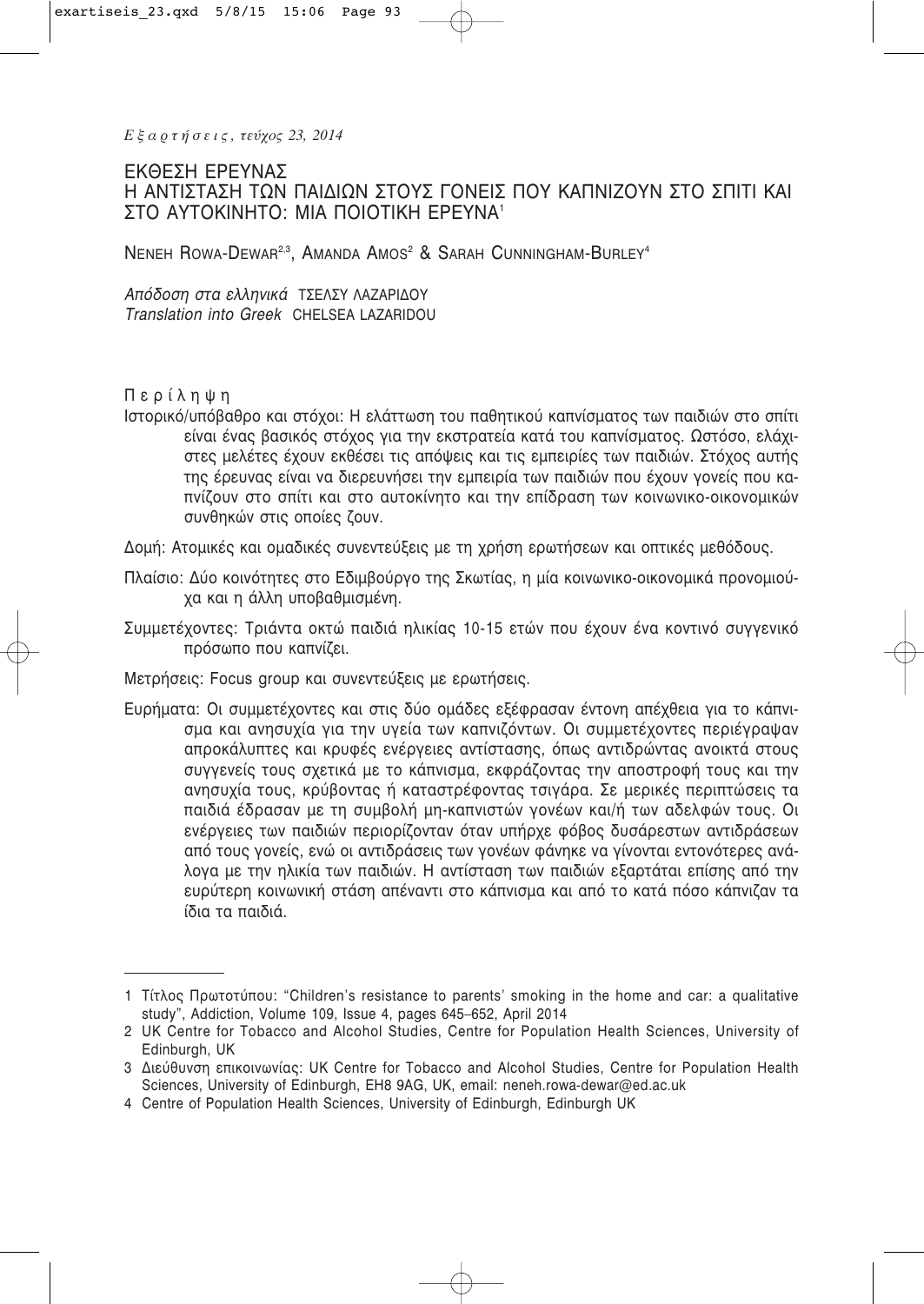Εξαρτήσεις, τεύχος 23, 2014

# ΕΚΘΕΣΗ ΕΡΕΥΝΑΣ Η ΑΝΤΙΣΤΑΣΗ ΤΩΝ ΠΑΙΔΙΩΝ ΣΤΟΥΣ ΓΟΝΕΙΣ ΠΟΥ ΚΑΠΝΙΖΟΥΝ ΣΤΟ ΣΠΙΤΙ ΚΑΙ ΣΤΟ ΑΥΤΟΚΙΝΗΤΟ: ΜΙΑ ΠΟΙΟΤΙΚΗ ΕΡΕΥΝΑ<sup>1</sup>

NENEH ROWA-DEWAR<sup>2,3</sup>, AMANDA AMOS<sup>2</sup> & SARAH CUNNINGHAM-BURLEY<sup>4</sup>

Απόδοση στα ελληνικά ΤΣΕΛΣΥ ΛΑΖΑΡΙΔΟΥ Translation into Greek CHELSEA LAZARIDOU

# Περίληψη

Ιστορικό/υπόβαθρο και στόχοι: Η ελάττωση του παθητικού καπνίσματος των παιδιών στο σπίτι είναι ένας βασικός στόχος για την εκστρατεία κατά του καπνίσματος. Ωστόσο, ελάχιστες μελέτες έχουν εκθέσει τις απόψεις και τις εμπειρίες των παιδιών. Στόχος αυτής της έρευνας είναι να διερευνήσει την εμπειρία των παιδιών που έχουν γονείς που καπνίζουν στο σπίτι και στο αυτοκίνητο και την επίδραση των κοινωνικο-οικονομικών συνθηκών στις οποίες ζουν.

Δομή: Ατομικές και ομαδικές συνεντεύξεις με τη χρήση ερωτήσεων και οπτικές μεθόδους.

- Πλαίσιο: Δύο κοινότητες στο Εδιμβούργο της Σκωτίας, η μία κοινωνικο-οικονομικά προνομιούχα και η άλλη υποβαθμισμένη.
- Συμμετέχοντες: Τριάντα οκτώ παιδιά ηλικίας 10-15 ετών που έχουν ένα κοντινό συννενικό πρόσωπο που καπνίζει.
- Μετρήσεις: Focus group και συνεντεύξεις με ερωτήσεις.
- Ευρήματα: Οι συμμετέχοντες και στις δύο ομάδες εξέφρασαν έντονη απέχθεια για το κάπνισμα και ανησυχία για την υγεία των καπνιζόντων. Οι συμμετέχοντες περιέγραψαν απροκάλυπτες και κρυφές ενέργειες αντίστασης, όπως αντιδρώντας ανοικτά στους συννενείς τους σχετικά με το κάπνισμα, εκφράζοντας την αποστροφή τους και την ανησυχία τους, κρύβοντας ή καταστρέφοντας τσιγάρα. Σε μερικές περιπτώσεις τα παιδιά έδρασαν με τη συμβολή μη-καπνιστών γονέων και/ή των αδελφών τους. Οι ενέργειες των παιδιών περιορίζονταν όταν υπήρχε φόβος δυσάρεστων αντιδράσεων από τους γονείς, ενώ οι αντιδράσεις των γονέων φάνηκε να γίνονται εντονότερες ανάλογα με την ηλικία των παιδιών. Η αντίσταση των παιδιών εξαρτάται επίσης από την ευρύτερη κοινωνική στάση απέναντι στο κάπνισμα και από το κατά πόσο κάπνιζαν τα ίδια τα παιδιά.

<sup>1</sup> Τίτλος Πρωτοτύπου: "Children's resistance to parents' smoking in the home and car: a qualitative study", Addiction, Volume 109, Issue 4, pages 645-652, April 2014

<sup>2</sup> UK Centre for Tobacco and Alcohol Studies, Centre for Population Health Sciences, University of Edinburgh, UK

<sup>3</sup> Διεύθυνση επικοινωνίας: UK Centre for Tobacco and Alcohol Studies, Centre for Population Health Sciences, University of Edinburgh, EH8 9AG, UK, email: neneh.rowa-dewar@ed.ac.uk

<sup>4</sup> Centre of Population Health Sciences, University of Edinburgh, Edinburgh UK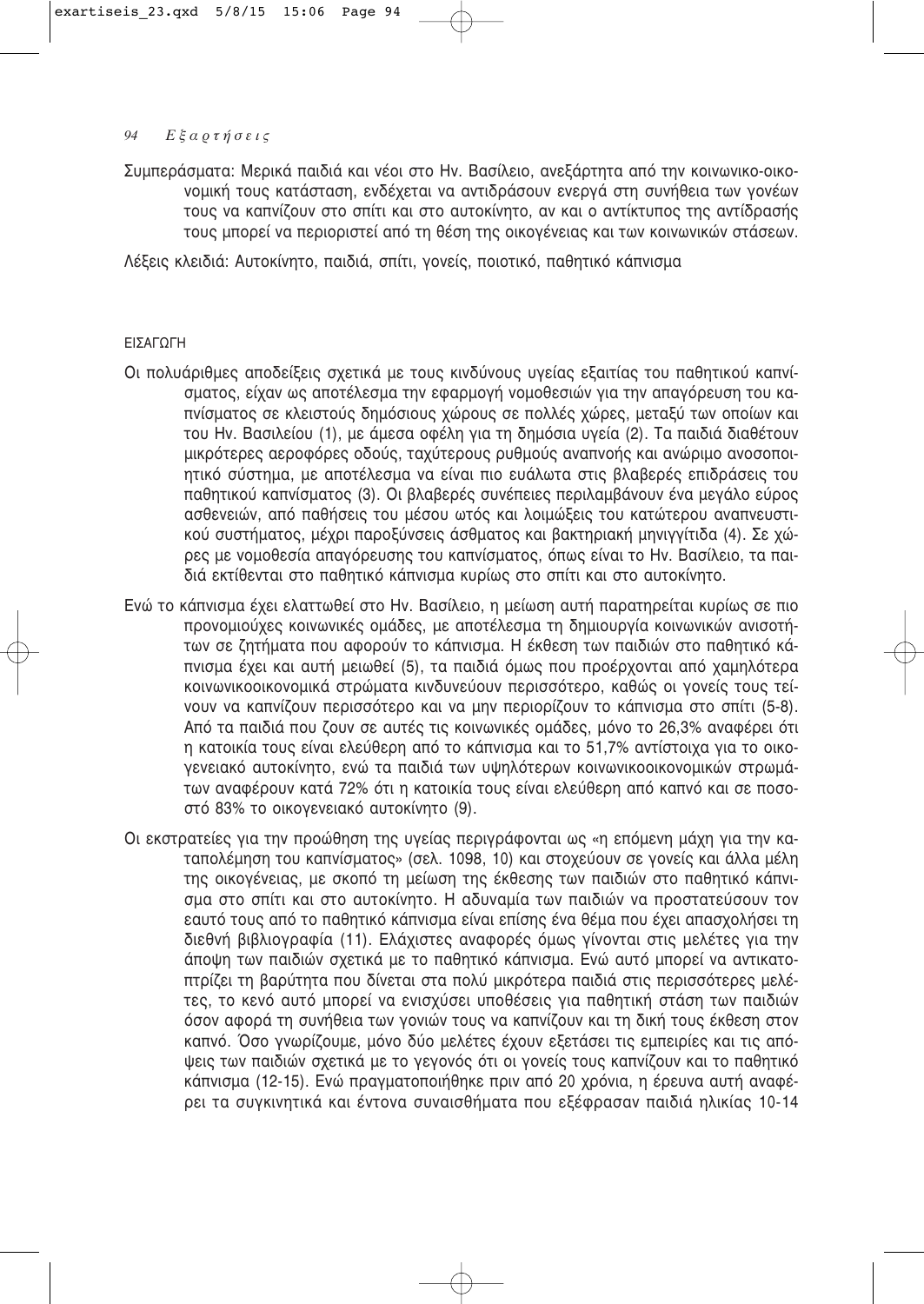Συμπεράσματα: Μερικά παιδιά και νέοι στο Hv. Βασίλειο, ανεξάρτητα από την κοινωνικο-οικο-VOμική τους κατάσταση, ενδέχεται να αντιδράσουν ενεργά στη συνήθεια των γονέων τους να καπνίζουν στο σπίτι και στο αυτοκίνητο, αν και ο αντίκτυπος της αντίδρασής τους μπορεί να περιοριστεί από τη θέση της οικογένειας και των κοινωνικών στάσεων.

Λέξεις κλειδιά: Αυτοκίνητο, παιδιά, σπίτι, γονείς, ποιοτικό, παθητικό κάπνισμα

### ΕΙΣΑΓΩΓΗ

- Οι πολυάριθμες αποδείξεις σχετικά με τους κινδύνους υγείας εξαιτίας του παθητικού καπνίσματος, είχαν ως αποτέλεσμα την εφαρμογή νομοθεσιών για την απαγόρευση του καπνίσματος σε κλειστούς δημόσιους χώρους σε πολλές χώρες, μεταξύ των οποίων και του Ην. Βασιλείου (1), με άμεσα οφέλη για τη δημόσια υγεία (2). Τα παιδιά διαθέτουν μικρότερες αεροφόρες οδούς, ταχύτερους ρυθμούς αναπνοής και ανώριμο ανοσοποι-<u>ητικό σύστημα, με αποτέλεσμα να είναι πιο ευάλωτα στις βλαβερές επιδράσεις του</u> παθητικού καπνίσματος (3). Οι βλαβερές συνέπειες περιλαμβάνουν ένα μεγάλο εύρος ασθενειών, από παθήσεις του μέσου ωτός και λοιμώξεις του κατώτερου αναπνευστικού συστήματος, μέχρι παροξύνσεις άσθματος και βακτηριακή μηνιγγίτιδα (4). Σε χώρες με νομοθεσία απαγόρευσης του καπνίσματος, όπως είναι το Ην. Βασίλειο, τα παιδιά εκτίθενται στο παθητικό κάπνισμα κυρίως στο σπίτι και στο αυτοκίνητο.
- Ενώ το κάπνισμα έχει ελαττωθεί στο Ην. Βασίλειο, η μείωση αυτή παρατηρείται κυρίως σε πιο προνομιούχες κοινωνικές ομάδες, με αποτέλεσμα τη δημιουργία κοινωνικών ανισοτήτων σε ζητήματα που αφορούν το κάπνισμα. Η έκθεση των παιδιών στο παθητικό κάπνισμα έχει και αυτή μειωθεί (5), τα παιδιά όμως που προέρχονται από χαμηλότερα ΚΟΙΥΦΥΙΚΟΟΙΚΟΥΟΗΙΚΆ στρώματα ΚΙΥδυνεύουν περισσότερο, καθώς οι γονείς τους τεί-VOUV να καπνίζουν περισσότερο και να μην περιορίζουν το κάπνισμα στο σπίτι (5-8). Aπό τα παιδιά που ζουν σε αυτές τις κοινωνικές ομάδες, μόνο το 26,3% αναφέρει ότι η κατοικία τους είναι ελεύθερη από το κάπνισμα και το 51,7% αντίστοιχα για το οικογενειακό αυτοκίνητο, ενώ τα παιδιά των υψηλότερων κοινωνικοοικονομικών στρωμάτων αναφέρουν κατά 72% ότι η κατοικία τους είναι ελεύθερη από καπνό και σε ποσοστό 83% το οικονενειακό αυτοκίνητο (9).
- Οι εκστρατείες για την προώθηση της υγείας περιγράφονται ως «η επόμενη μάχη για την καταπολέμηση του καπνίσματος» (σελ. 1098, 10) και στοχεύουν σε γονείς και άλλα μέλη της οικογένειας, με σκοπό τη μείωση της έκθεσης των παιδιών στο παθητικό κάπνισμα στο σπίτι και στο αυτοκίνητο. Η αδυναμία των παιδιών να προστατεύσουν τον εαυτό τους από το παθητικό κάπνισμα είναι επίσης ένα θέμα που έχει απασχολήσει τη διεθνή βιβλιογραφία (11). Ελάχιστες αναφορές όμως γίνονται στις μελέτες για την άποψη των παιδιών σχετικά με το παθητικό κάπνισμα. Ενώ αυτό μπορεί να αντικατοπτρίζει τη βαρύτητα που δίνεται στα πολύ μικρότερα παιδιά στις περισσότερες μελέτες, το κενό αυτό μπορεί να ενισχύσει υποθέσεις για παθητική στάση των παιδιών <u>όσον αφορά τη συνήθεια των γονιών τους να καπνίζουν και τη δική τους έκθεση στον</u> καπνό. Όσο γνωρίζουμε, μόνο δύο μελέτες έχουν εξετάσει τις εμπειρίες και τις απόψεις των παιδιών σχετικά με το γεγονός ότι οι γονείς τους καπνίζουν και το παθητικό κάπνισμα (12-15). Ενώ πραγματοποιήθηκε πριν από 20 χρόνια, η έρευνα αυτή αναφέρει τα συγκινητικά και έντονα συναισθήματα που εξέφρασαν παιδιά ηλικίας 10-14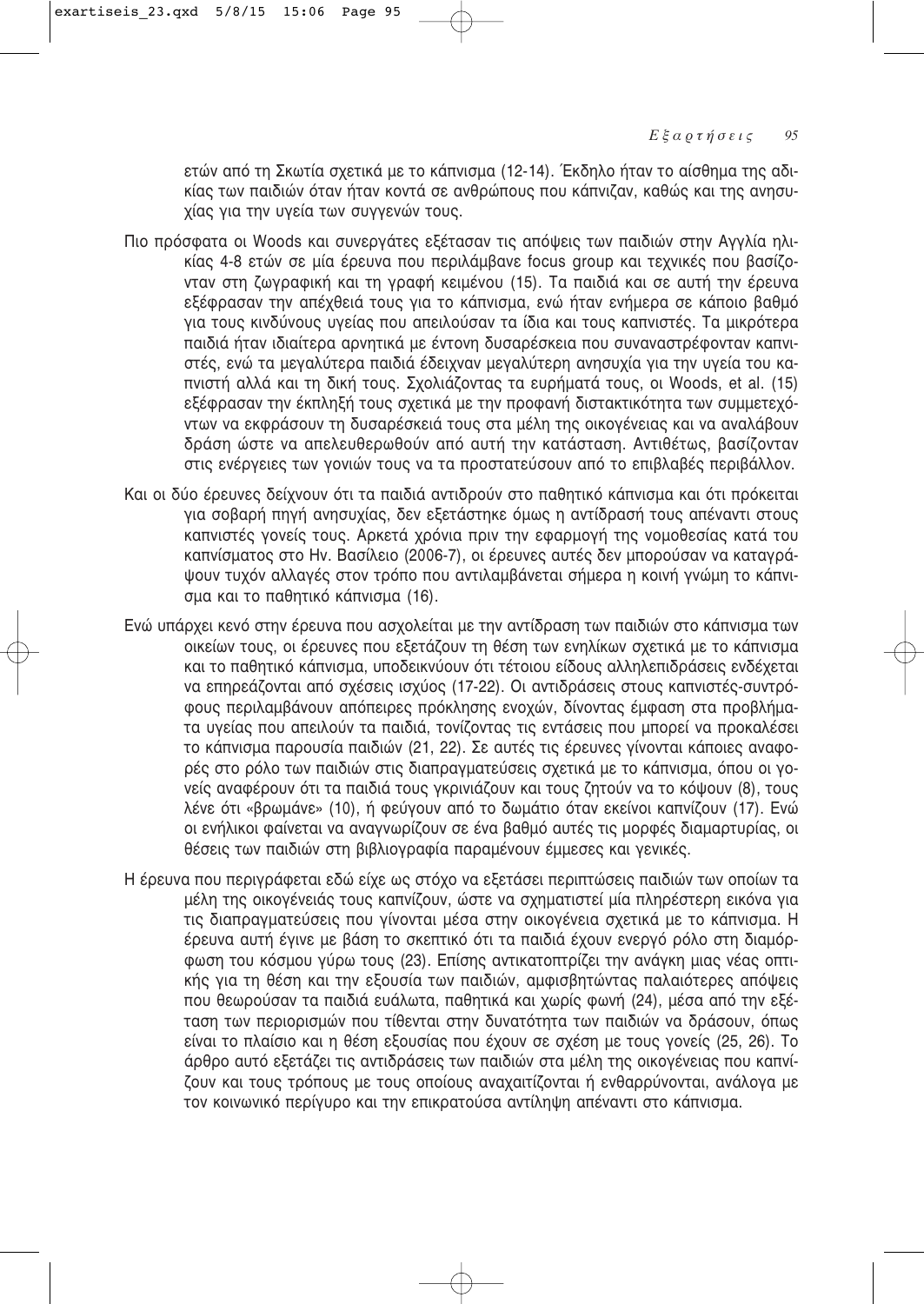ετών από τη Σκωτία σχετικά με το κάπνισμα (12-14). Έκδηλο ήταν το αίσθημα της αδικίας των παιδιών όταν ήταν κοντά σε ανθρώπους που κάπνιζαν, καθώς και της ανησυχίας για την υγεία των συγγενών τους.

- Πιο πρόσφατα οι Woods και συνεργάτες εξέτασαν τις απόψεις των παιδιών στην Αγγλία ηλικίας 4-8 ετών σε μία έρευνα που περιλάμβανε focus group και τεχνικές που βασίζονταν στη ζωγραφική και τη γραφή κειμένου (15). Τα παιδιά και σε αυτή την έρευνα εξέφρασαν την απέχθειά τους για το κάπνισμα, ενώ ήταν ενήμερα σε κάποιο βαθμό νια τους κινδύνους υγείας που απειλούσαν τα ίδια και τους καπνιστές. Τα μικρότερα παιδιά ήταν ιδιαίτερα αρνητικά με έντονη δυσαρέσκεια που συναναστρέφονταν καπνιστές, ενώ τα μεγαλύτερα παιδιά έδειχναν μεγαλύτερη ανησυχία για την υγεία του καπνιστή αλλά και τη δική τους. Σχολιάζοντας τα ευρήματά τους, οι Woods, et al. (15) εξέφρασαν την έκπληξή τους σχετικά με την προφανή διστακτικότητα των συμμετεχόντων να εκφράσουν τη δυσαρέσκειά τους στα μέλη της οικογένειας και να αναλάβουν δράση ώστε να απελευθερωθούν από αυτή την κατάσταση. Αντιθέτως, βασίζονταν στις ενέργειες των γονιών τους να τα προστατεύσουν από το επιβλαβές περιβάλλον.
- Και οι δύο έρευνες δείχνουν ότι τα παιδιά αντιδρούν στο παθητικό κάπνισμα και ότι πρόκειται για σοβαρή πηγή ανησυχίας, δεν εξετάστηκε όμως η αντίδρασή τους απέναντι στους καπνιστές γονείς τους. Αρκετά χρόνια πριν την εφαρμογή της νομοθεσίας κατά του καπνίσματος στο Hv. Βασίλειο (2006-7), οι έρευνες αυτές δεν μπορούσαν να καταγράψουν τυχόν αλλαγές στον τρόπο που αντιλαμβάνεται σήμερα η κοινή γνώμη το κάπνισμα και το παθητικό κάπνισμα (16).
- Ενώ υπάρχει κενό στην έρευνα που ασχολείται με την αντίδραση των παιδιών στο κάπνισμα των οικείων τους, οι έρευνες που εξετάζουν τη θέση των ενηλίκων σχετικά με το κάπνισμα και το παθητικό κάπνισμα, υποδεικνύουν ότι τέτοιου είδους αλληλεπιδράσεις ενδέχεται να επηρεάζονται από σχέσεις ισχύος (17-22). Οι αντιδράσεις στους καπνιστές-συντρόφους περιλαμβάνουν απόπειρες πρόκλησης ενοχών, δίνοντας έμφαση στα προβλήματα υγείας που απειλούν τα παιδιά, τονίζοντας τις εντάσεις που μπορεί να προκαλέσει το κάπνισμα παρουσία παιδιών (21, 22). Σε αυτές τις έρευνες γίνονται κάποιες αναφορές στο ρόλο των παιδιών στις διαπραγματεύσεις σχετικά με το κάπνισμα, όπου οι γονείς αναφέρουν ότι τα παιδιά τους γκρινιάζουν και τους ζητούν να το κόψουν (8), τους λένε ότι «βρωμάνε» (10), ή φεύγουν από το δωμάτιο όταν εκείνοι καπνίζουν (17). Ενώ οι ενήλικοι φαίνεται να αναγνωρίζουν σε ένα βαθμό αυτές τις μορφές διαμαρτυρίας, οι θέσεις των παιδιών στη βιβλιογραφία παραμένουν έμμεσες και γενικές.
- Η έρευνα που περιγράφεται εδώ είχε ως στόχο να εξετάσει περιπτώσεις παιδιών των οποίων τα μέλη της οικογένειάς τους καπνίζουν, ώστε να σχηματιστεί μία πληρέστερη εικόνα για τις διαπραγματεύσεις που γίνονται μέσα στην οικογένεια σχετικά με το κάπνισμα. Η έρευνα αυτή έγινε με βάση το σκεπτικό ότι τα παιδιά έχουν ενεργό ρόλο στη διαμόρφωση του κόσμου γύρω τους (23). Επίσης αντικατοπτρίζει την ανάγκη μιας νέας οπτικής για τη θέση και την εξουσία των παιδιών, αμφισβητώντας παλαιότερες απόψεις που θεωρούσαν τα παιδιά ευάλωτα, παθητικά και χωρίς φωνή (24), μέσα από την εξέταση των περιορισμών που τίθενται στην δυνατότητα των παιδιών να δράσουν, όπως είναι το πλαίσιο και η θέση εξουσίας που έχουν σε σχέση με τους γονείς (25, 26). Το άρθρο αυτό εξετάζει τις αντιδράσεις των παιδιών στα μέλη της οικογένειας που καπνίζουν και τους τρόπους με τους οποίους αναχαιτίζονται ή ενθαρρύνονται, ανάλογα με τον κοινωνικό περίγυρο και την επικρατούσα αντίληψη απέναντι στο κάπνισμα.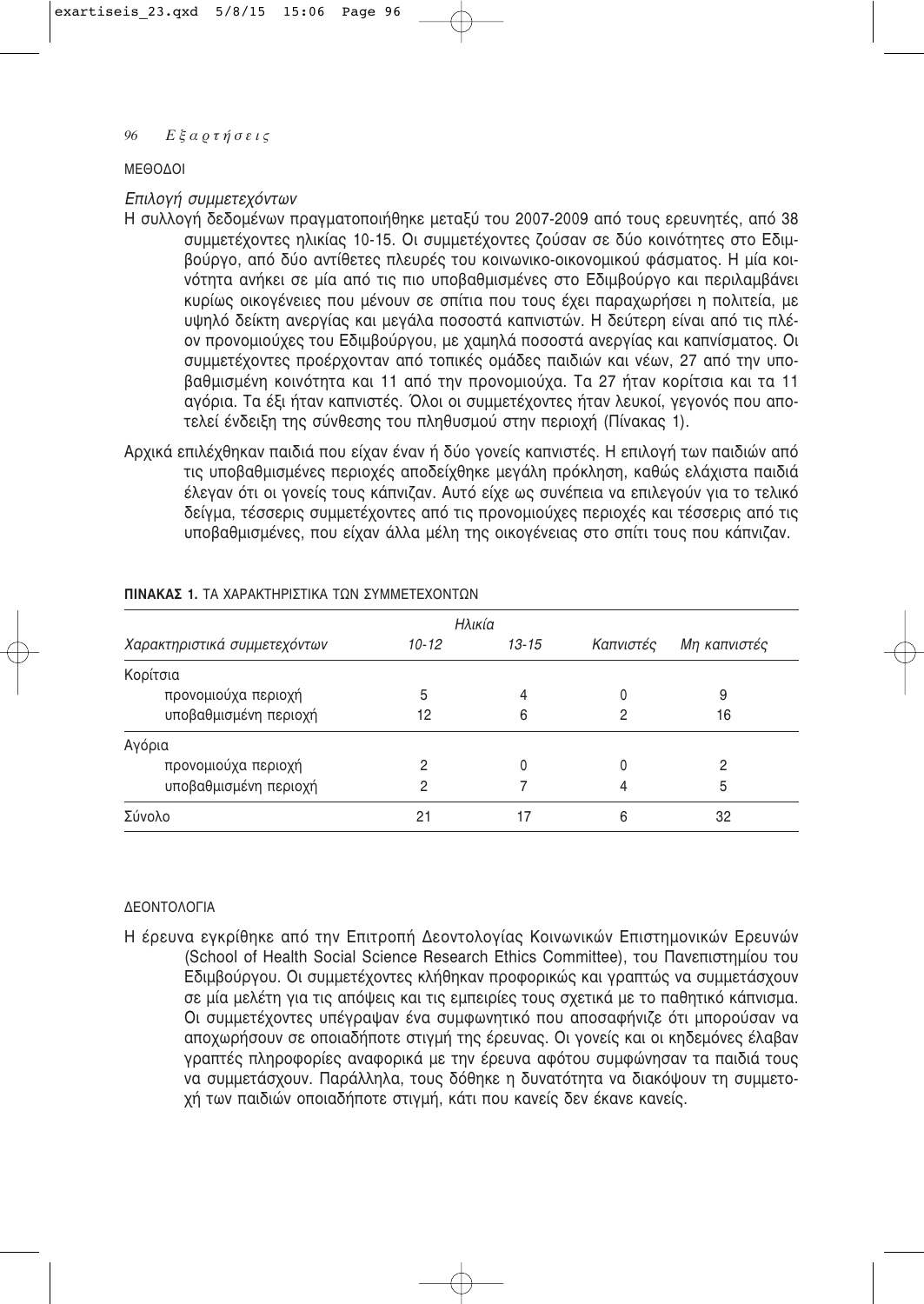### ΜΕΘΩΛΩΙ

### *<i>Επιλογή συμμετεχόντων*

- Η συλλογή δεδομένων πραγματοποιήθηκε μεταξύ του 2007-2009 από τους ερευνητές, από 38 συμμετέχοντες ηλικίας 10-15. Οι συμμετέχοντες ζούσαν σε δύο κοινότητες στο Εδιμβούργο, από δύο αντίθετες πλευρές του κοινωνικο-οικονομικού φάσματος. Η μία κοινότητα ανήκει σε μία από τις πιο υποβαθμισμένες στο Εδιμβούργο και περιλαμβάνει κυρίως οικογένειες που μένουν σε σπίτια που τους έχει παραχωρήσει η πολιτεία, με υψηλό δείκτη ανεργίας και μεγάλα ποσοστά καπνιστών. Η δεύτερη είναι από τις πλέον προνομιούχες του Εδιμβούργου, με χαμηλά ποσοστά ανεργίας και καπνίσματος. Οι συμμετέχοντες προέρχονταν από τοπικές ομάδες παιδιών και νέων, 27 από την υποβαθμισμένη κοινότητα και 11 από την προνομιούχα. Τα 27 ήταν κορίτσια και τα 11 αγόρια. Τα έξι ήταν καπνιστές. Όλοι οι συμμετέχοντες ήταν λευκοί, γεγονός που αποτελεί ένδειξη της σύνθεσης του πληθυσμού στην περιοχή (Πίνακας 1).
- Αρχικά επιλέχθηκαν παιδιά που είχαν έναν ή δύο γονείς καπνιστές. Η επιλογή των παιδιών από τις υποβαθμισμένες περιοχές αποδείχθηκε μεγάλη πρόκληση, καθώς ελάχιστα παιδιά έλεγαν ότι οι γονείς τους κάπνιζαν. Αυτό είχε ως συνέπεια να επιλεγούν για το τελικό δείγμα, τέσσερις συμμετέχοντες από τις προνομιούχες περιοχές και τέσσερις από τις υποβαθμισμένες, που είχαν άλλα μέλη της οικογένειας στο σπίτι τους που κάπνιζαν.

|                              |           | Ηλικία    |           |              |
|------------------------------|-----------|-----------|-----------|--------------|
| Χαρακτηριστικά συμμετεχόντων | $10 - 12$ | $13 - 15$ | Καπνιστές | Μη καπνιστές |
| Κορίτσια                     |           |           |           |              |
| προνομιούχα περιοχή          | 5         | 4         |           | 9            |
| υποβαθμισμένη περιοχή        | 12        | 6         |           | 16           |
| Αγόρια                       |           |           |           |              |
| προνομιούχα περιοχή          |           |           |           |              |
| υποβαθμισμένη περιοχή        | റ         |           |           | 5            |
| Σύνολο                       | 21        | 17        | 6         | 32           |

### **ΠΙΝΑΚΑΣ 1.** ΤΑ ΧΑΡΑΚΤΗΡΙΣΤΙΚΑ ΤΟΝ ΣΥΜΜΕΤΕΧΟΝΤΟΝ

### ΛΕΩΝΤΩΛΩΓΙΑ

Η έρευνα εγκρίθηκε από την Επιτροπή Δεοντολογίας Κοινωνικών Επιστημονικών Ερευνών (School of Health Social Science Research Ethics Committee), του Πανεπιστημίου του Εδιμβούργου. Οι συμμετέχοντες κλήθηκαν προφορικώς και γραπτώς να συμμετάσχουν σε μία μελέτη για τις απόψεις και τις εμπειρίες τους σχετικά με το παθητικό κάπνισμα. Οι συμμετέχοντες υπέγραψαν ένα συμφωνητικό που αποσαφήνιζε ότι μπορούσαν να αποχωρήσουν σε οποιαδήποτε στιγμή της έρευνας. Οι γονείς και οι κηδεμόνες έλαβαν γραπτές πληροφορίες αναφορικά με την έρευνα αφότου συμφώνησαν τα παιδιά τους να συμμετάσχουν. Παράλληλα, τους δόθηκε η δυνατότητα να διακόψουν τη συμμετοχή των παιδιών οποιαδήποτε στιγμή, κάτι που κανείς δεν έκανε κανείς.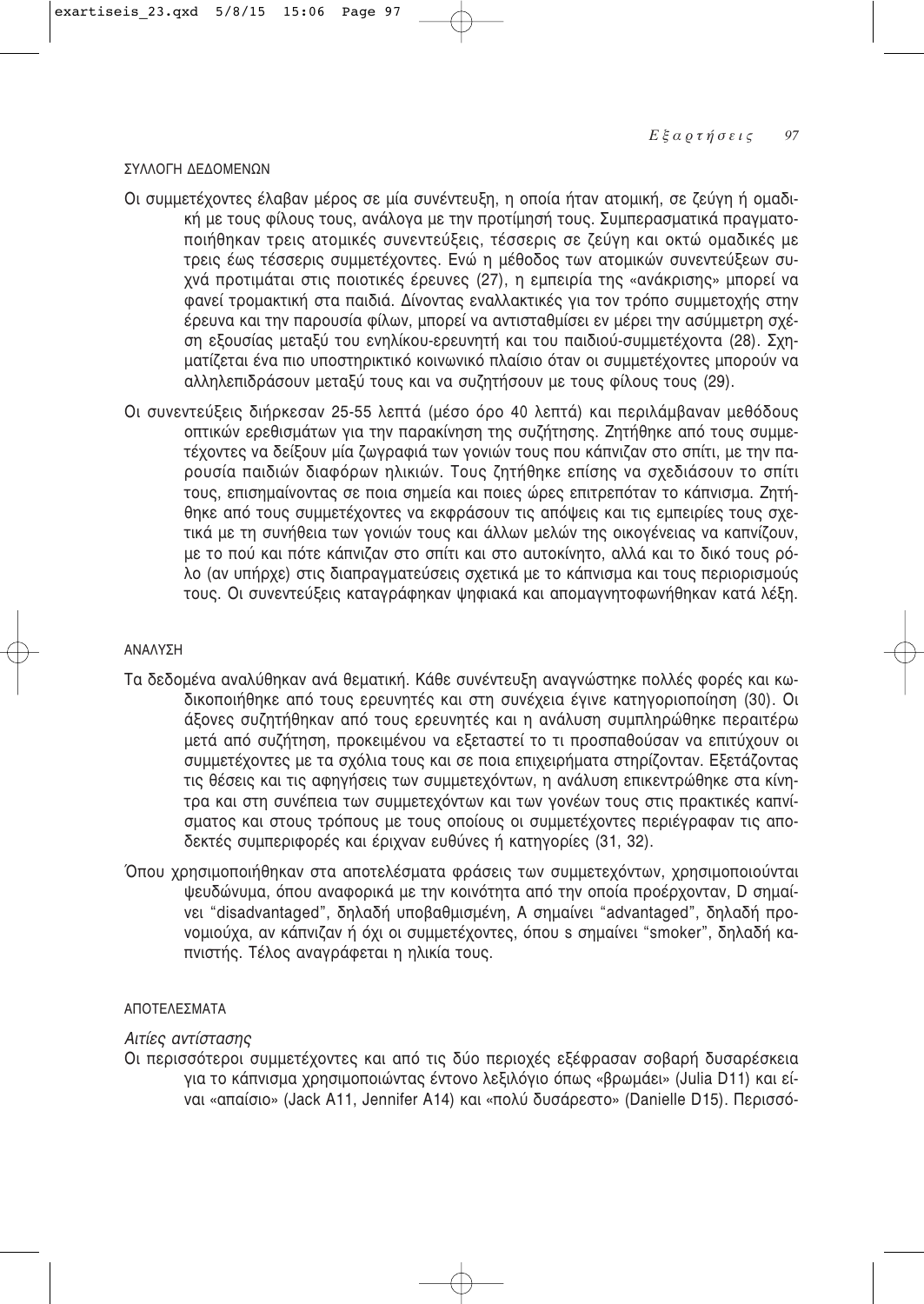### ™À§§√°∏ ¢∂¢√ª∂¡ø¡

- Οι συμμετέχοντες έλαβαν μέρος σε μία συνέντευξη, η οποία ήταν ατομική, σε ζεύγη ή ομαδική με τους φίλους τους, ανάλονα με την προτίμησή τους. Συμπερασματικά πρανματοποιήθηκαν τρεις ατομικές συνεντεύξεις, τέσσερις σε ζεύνη και οκτώ ομαδικές με τρεις έως τέσσερις συμμετέχοντες. Ενώ η μέθοδος των ατομικών συνεντεύξεων συχνά προτιμάται στις ποιοτικές έρευνες (27), η εμπειρία της «ανάκρισης» μπορεί να .<br>φανεί τρομακτική στα παιδιά. Δίνοντας εναλλακτικές για τον τρόπο συμμετοχής στην έρευνα και την παρουσία φίλων, μπορεί να αντισταθμίσει εν μέρει την ασύμμετρη σχέση εξουσίας μεταξύ του ενηλίκου-ερευνητή και του παιδιού-συμμετέχοντα (28). Σχηματίζεται ένα πιο υποστηρικτικό κοινωνικό πλαίσιο όταν οι συμμετέχοντες μπορούν να αλληλεπιδράσουν μεταξύ τους και να συζητήσουν με τους φίλους τους (29).
- Oι συνεντεύξεις διήρκεσαν 25-55 λεπτά (μέσο όρο 40 λεπτά) και περιλάμβαναν μεθόδους οπτικών ερεθισμάτων για την παρακίνηση της συζήτησης. Ζητήθηκε από τους συμμετέχοντες να δείξουν μία ζωγραφιά των γονιών τους που κάπνιζαν στο σπίτι, με την παρουσία παιδιών διαφόρων ηλικιών. Τους ζητήθηκε επίσης να σχεδιάσουν το σπίτι τους, επισημαίνοντας σε ποια σημεία και ποιες ώρες επιτρεπόταν το κάπνισμα. Ζητήθηκε από τους συμμετέχοντες να εκφράσουν τις απόψεις και τις εμπειρίες τους σχετικά με τη συνήθεια των γονιών τους και άλλων μελών της οικογένειας να καπνίζουν. με το πού και πότε κάπνιζαν στο σπίτι και στο αυτοκίνητο, αλλά και το δικό τους ρόλο (αν υπήρχε) στις διαπραγματεύσεις σχετικά με το κάπνισμα και τους περιορισμούς τους. Οι συνεντεύξεις καταγράφηκαν ψηφιακά και απομαγνητοφωνήθηκαν κατά λέξη.

### ∞¡∞§À™∏

- Τα δεδομένα αναλύθηκαν ανά θεματική. Κάθε συνέντευξη αναγνώστηκε πολλές φορές και κωδικοποιήθηκε από τους ερευνητές και στη συνέχεια ένινε κατηνοριοποίηση (30). Οι άξονες συζητήθηκαν από τους ερευνητές και η ανάλυση συμπληρώθηκε περαιτέρω μετά από συζήτηση, προκειμένου να εξεταστεί το τι προσπαθούσαν να επιτύχουν οι ,<br>συμμετέχοντες με τα σχόλια τους και σε ποια επιχειρήματα στηρίζονταν. Εξετάζοντας τις θέσεις και τις αφηγήσεις των συμμετεχόντων, η ανάλυση επικεντρώθηκε στα κίνητρα και στη συνέπεια των συμμετεχόντων και των γονέων τους στις πρακτικές καπνίσματος και στους τρόπους με τους οποίους οι συμμετέχοντες περιέγραφαν τις αποδεκτές συμπεριφορές και έριχναν ευθύνες ή κατηγορίες (31, 32).
- Όπου χρησιμοποιήθηκαν στα αποτελέσματα φράσεις των συμμετεχόντων, χρησιμοποιούνται ψευδώνυμα, όπου αναφορικά με την κοινότητα από την οποία προέρχονταν. D σημαίvει "disadvantaged", δηλαδή υποβαθμισμένη, A σημαίνει "advantaged", δηλαδή προvομιούχα, αν κάπνιζαν ή όχι οι συμμετέχοντες, όπου s σημαίνει "smoker", δηλαδή καπνιστής. Τέλος αναγράφεται η ηλικία τους.

### ΑΠΟΤΕΛΕΣΜΑΤΑ

### **Aιτίες αντίστασης**

Οι περισσότεροι συμμετέχοντες και από τις δύο περιοχές εξέφρασαν σοβαρή δυσαρέσκεια για το κάπνισμα χρησιμοποιώντας έντονο λεξιλόγιο όπως «βρωμάει» (Julia D11) και είναι «απαίσιο» (Jack A11, Jennifer A14) και «πολύ δυσάρεστο» (Danielle D15). Περισσό-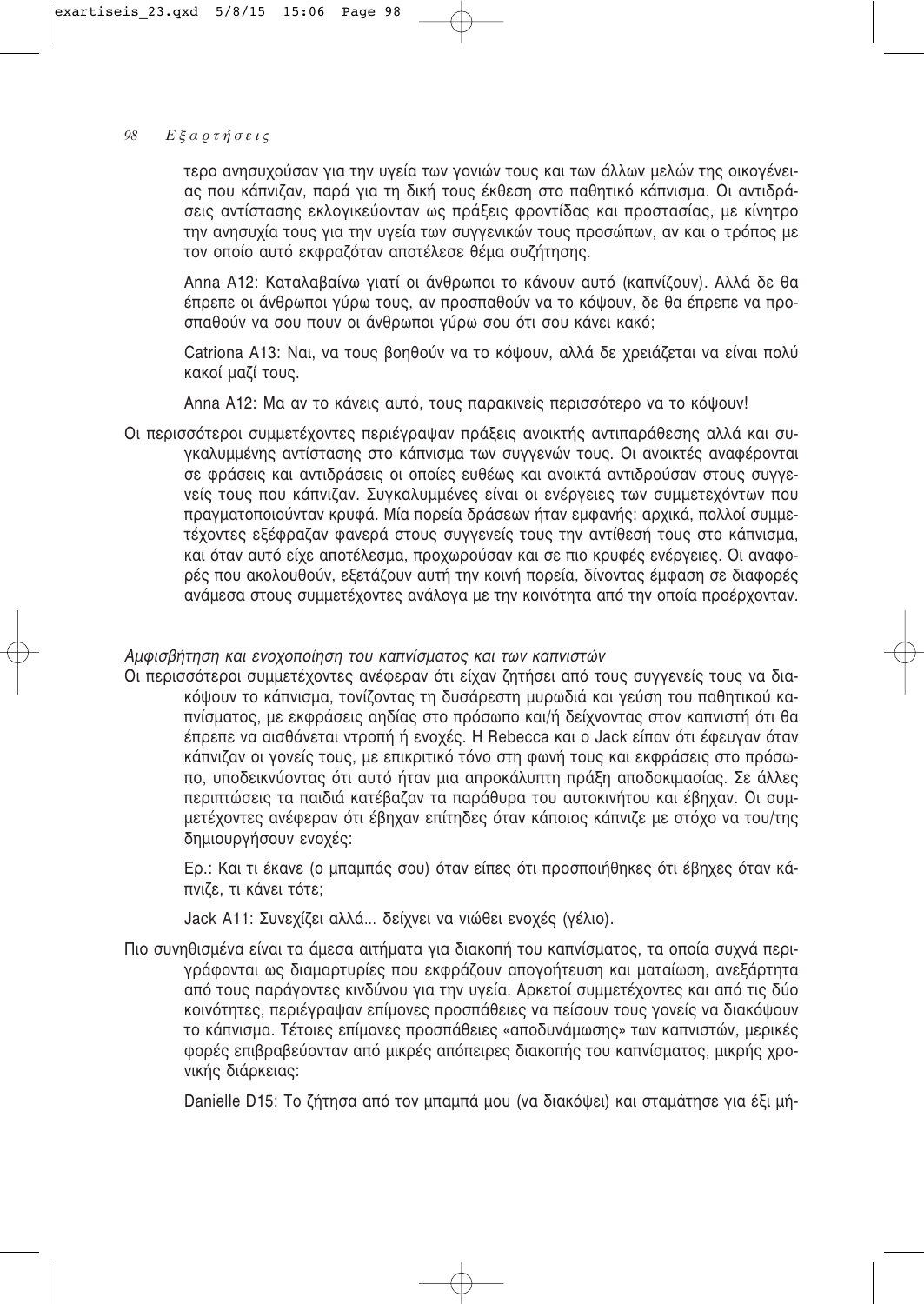τερο ανησυχούσαν για την υγεία των γονιών τους και των άλλων μελών της οικογένειας που κάπνιζαν, παρά για τη δική τους έκθεση στο παθητικό κάπνισμα. Οι αντιδράσεις αντίστασης εκλογικεύονταν ως πράξεις φροντίδας και προστασίας, με κίνητρο την ανησυχία τους για την υγεία των συγγενικών τους προσώπων, αν και ο τρόπος με τον οποίο αυτό εκφραζόταν αποτέλεσε θέμα συζήτησης.

Anna A12: Καταλαβαίνω γιατί οι άνθρωποι το κάνουν αυτό (καπνίζουν). Αλλά δε θα έπρεπε οι άνθρωποι γύρω τους, αν προσπαθούν να το κόψουν. δε θα έπρεπε να προσπαθούν να σου πουν οι άνθρωποι γύρω σου ότι σου κάνει κακό;

Catriona A13: Ναι, να τους βοηθούν να το κόψουν, αλλά δε χρειάζεται να είναι πολύ κακοί μαζί τους.

Anna A12: Μα αν το κάνεις αυτό, τους παρακινείς περισσότερο να το κόψουν!

Οι περισσότεροι συμμετέχοντες περιέγραψαν πράξεις ανοικτής αντιπαράθεσης αλλά και συγκαλυμμένης αντίστασης στο κάπνισμα των συγγενών τους. Οι ανοικτές αναφέρονται σε φράσεις και αντιδράσεις οι οποίες ευθέως και ανοικτά αντιδρούσαν στους συννενείς τους που κάπνιζαν. Συγκαλυμμένες είναι οι ενέργειες των συμμετεχόντων που πραγματοποιούνταν κρυφά. Μία πορεία δράσεων ήταν εμφανής: αρχικά, πολλοί συμμετέχοντες εξέφραζαν φανερά στους συγγενείς τους την αντίθεσή τους στο κάπνισμα, και όταν αυτό είχε αποτέλεσμα, προχωρούσαν και σε πιο κρυφές ενέργειες. Οι αναφορές που ακολουθούν, εξετάζουν αυτή την κοινή πορεία, δίνοντας έμφαση σε διαφορές ανάμεσα στους συμμετέχοντες ανάλογα με την κοινότητα από την οποία προέρχονταν.

# Αμφισβήτηση και ενοχοποίηση του καπνίσματος και των καπνιστών

Οι περισσότεροι συμμετέχοντες ανέφεραν ότι είχαν ζητήσει από τους συγγενείς τους να διακόψουν το κάπνισμα, τονίζοντας τη δυσάρεστη μυρωδιά και γεύση του παθητικού καπνίσματος, με εκφράσεις αηδίας στο πρόσωπο και/ή δείχνοντας στον καπνιστή ότι θα έπρεπε να αισθάνεται ντροπή ή ενοχές. Η Rebecca και ο Jack είπαν ότι έφευγαν όταν κάπνιζαν οι γονείς τους, με επικριτικό τόνο στη φωνή τους και εκφράσεις στο πρόσωπο, υποδεικνύοντας ότι αυτό ήταν μια απροκάλυπτη πράξη αποδοκιμασίας. Σε άλλες περιπτώσεις τα παιδιά κατέβαζαν τα παράθυρα του αυτοκινήτου και έβηχαν. Οι συμμετέχοντες ανέφεραν ότι έβηχαν επίτηδες όταν κάποιος κάπνιζε με στόχο να του/της δημιουργήσουν ενοχές:

Ερ.: Και τι έκανε (ο μπαμπάς σου) όταν είπες ότι προσποιήθηκες ότι έβηχες όταν κάπνιζε, τι κάνει τότε:

Jack A11: Συνεχίζει αλλά... δείχνει να νιώθει ενοχές (γέλιο).

Πιο συνηθισμένα είναι τα άμεσα αιτήματα για διακοπή του καπνίσματος, τα οποία συχνά περιγράφονται ως διαμαρτυρίες που εκφράζουν απογοήτευση και ματαίωση, ανεξάρτητα από τους παράγοντες κινδύνου για την υγεία. Αρκετοί συμμετέχοντες και από τις δύο κοινότητες, περιέγραψαν επίμονες προσπάθειες να πείσουν τους γονείς να διακόψουν το κάπνισμα. Τέτοιες επίμονες προσπάθειες «αποδυνάμωσης» των καπνιστών, μερικές φορές επιβραβεύονταν από μικρές απόπειρες διακοπής του καπνίσματος, μικρής χρονικής διάρκειας:

Danielle D15: Το ζήτησα από τον μπαμπά μου (να διακόψει) και σταμάτησε για έξι μή-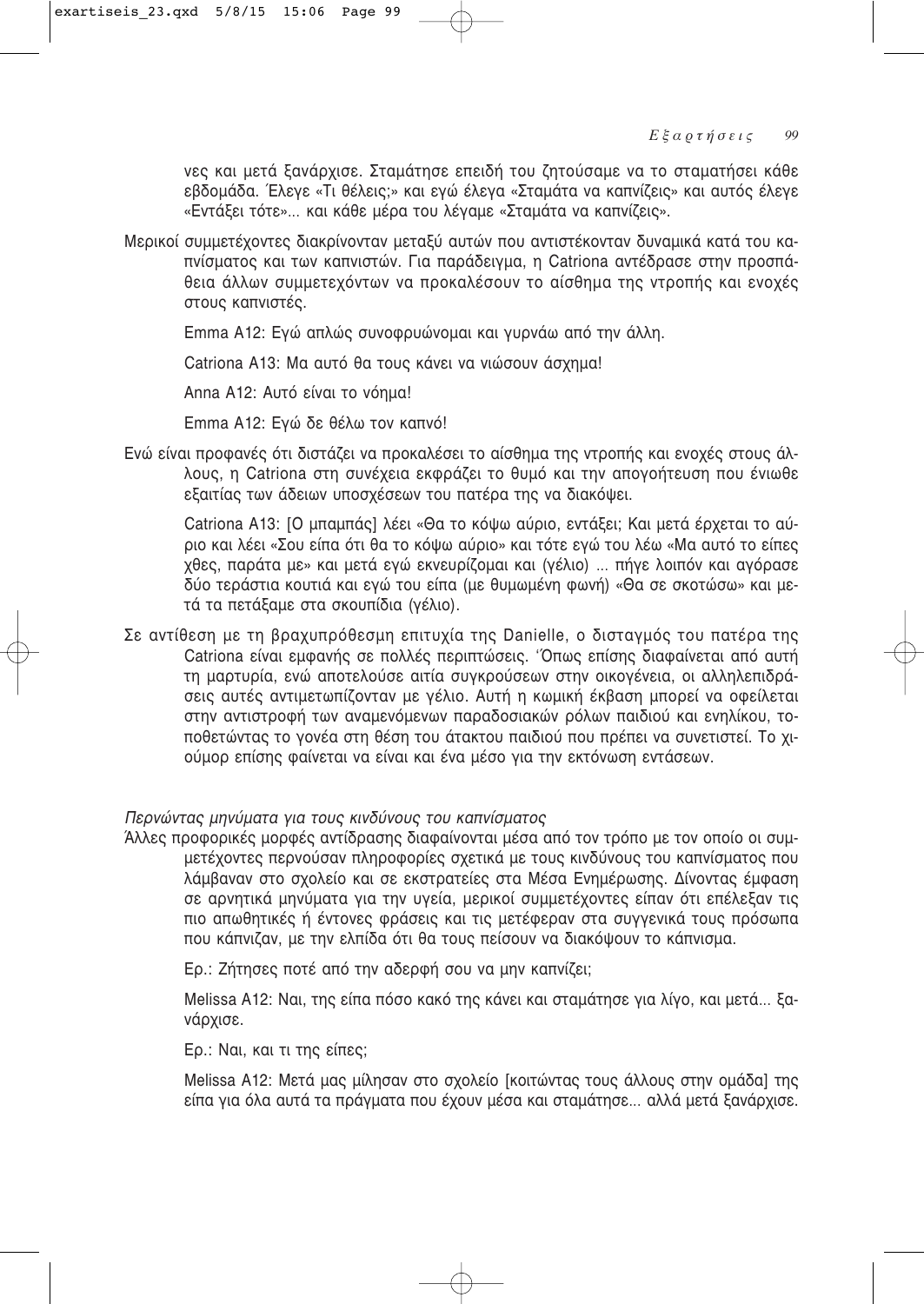νες και μετά ξανάρχισε. Σταμάτησε επειδή του ζητούσαμε να το σταματήσει κάθε εβδομάδα. Έλεγε «Τι θέλεις;» και εγώ έλεγα «Σταμάτα να καπνίζεις» και αυτός έλεγε «Εντάξει τότε»... και κάθε μέρα του λέγαμε «Σταμάτα να καπνίζεις».

Μερικοί συμμετέχοντες διακρίνονταν μεταξύ αυτών που αντιστέκονταν δυναμικά κατά του καπνίσματος και των καπνιστών. Για παράδειγμα, η Catriona αντέδρασε στην προσπάθεια άλλων συμμετεχόντων να προκαλέσουν το αίσθημα της ντροπής και ενοχές στους καπνιστές.

Emma A12: Ενώ απλώς συνοφρυώνομαι και νυρνάω από την άλλη.

Catriona A13: Μα αυτό θα τους κάνει να νιώσουν άσχημα!

Anna A12: Αυτό είναι το νόημα!

Emma A12: Εγώ δε θέλω τον καπνό!

Ενώ είναι προφανές ότι διστάζει να προκαλέσει το αίσθημα της ντροπής και ενοχές στους άλλους, η Catriona στη συνέχεια εκφράζει το θυμό και την απονοήτευση που ένιωθε εξαιτίας των άδειων υποσχέσεων του πατέρα της να διακόψει.

Catriona A13: [Ο μπαμπάς] λέει «Θα το κόψω αύριο, εντάξει; Και μετά έρχεται το αύριο και λέει «Σου είπα ότι θα το κόψω αύριο» και τότε εγώ του λέω «Μα αυτό το είπες χθες, παράτα με» και μετά εγώ εκνευρίζομαι και (γέλιο) ... πήγε λοιπόν και αγόρασε δύο τεράστια κουτιά και εγώ του είπα (με θυμωμένη φωνή) «Θα σε σκοτώσω» και μετά τα πετάξαμε στα σκουπίδια (γέλιο).

Σε αντίθεση με τη βραχυπρόθεσμη επιτυχία της Danielle, ο δισταγμός του πατέρα της Catriona είναι εμφανής σε πολλές περιπτώσεις. 'Όπως επίσης διαφαίνεται από αυτή τη μαρτυρία, ενώ αποτελούσε αιτία συγκρούσεων στην οικογένεια, οι αλληλεπιδράσεις αυτές αντιμετωπίζονταν με γέλιο. Αυτή η κωμική έκβαση μπορεί να οφείλεται στην αντιστροφή των αναμενόμενων παραδοσιακών ρόλων παιδιού και ενηλίκου, τοποθετώντας το γονέα στη θέση του άτακτου παιδιού που πρέπει να συνετιστεί. Το χιούμορ επίσης φαίνεται να είναι και ένα μέσο για την εκτόνωση εντάσεων.

# Περνώντας μηνύματα για τους κινδύνους του καπνίσματος

Άλλες προφορικές μορφές αντίδρασης διαφαίνονται μέσα από τον τρόπο με τον οποίο οι συμμετέχοντες περνούσαν πληροφορίες σχετικά με τους κινδύνους του καπνίσματος που λάμβαναν στο σχολείο και σε εκστρατείες στα Μέσα Ενημέρωσης. Δίνοντας έμφαση σε αρνητικά μηνύματα για την υγεία, μερικοί συμμετέχοντες είπαν ότι επέλεξαν τις πιο απωθητικές ή έντονες φράσεις και τις μετέφεραν στα συγγενικά τους πρόσωπα που κάπνιζαν, με την ελπίδα ότι θα τους πείσουν να διακόψουν το κάπνισμα.

Ερ.: Ζήτησες ποτέ από την αδερφή σου να μην καπνίζει;

Melissa A12: Ναι, της είπα πόσο κακό της κάνει και σταμάτησε για λίγο, και μετά... ξανάρχισε.

Ερ.: Ναι, και τι της είπες;

Melissa A12: Μετά μας μίλησαν στο σχολείο [κοιτώντας τους άλλους στην ομάδα] της είπα για όλα αυτά τα πράγματα που έχουν μέσα και σταμάτησε... αλλά μετά ξανάρχισε.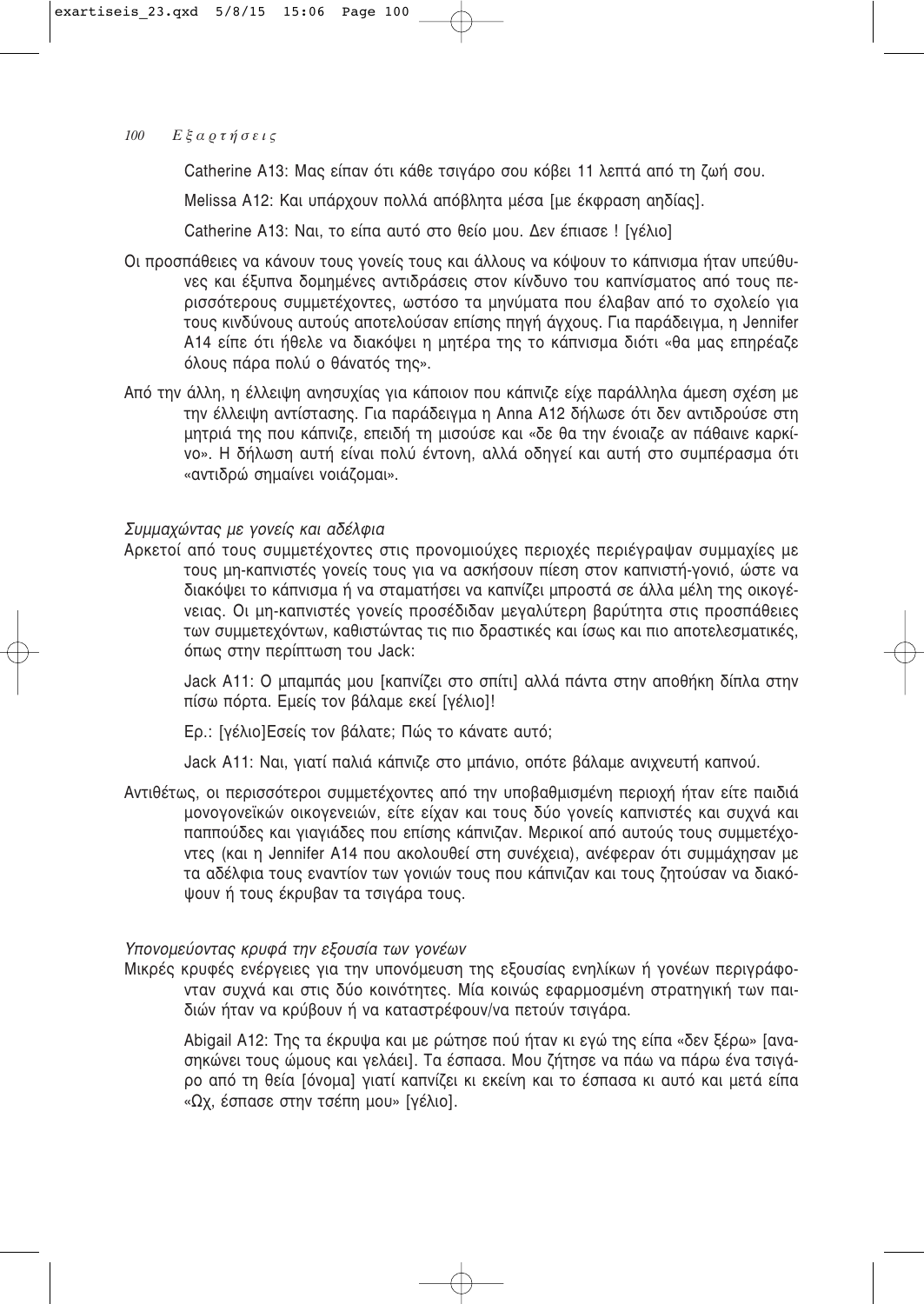Catherine A13: Μας είπαν ότι κάθε τσιγάρο σου κόβει 11 λεπτά από τη ζωή σου.

Melissa A12: Και υπάρχουν πολλά απόβλητα μέσα [με έκφραση αηδίας].

Catherine A13: Ναι, το είπα αυτό στο θείο μου. Δεν έπιασε ! [γέλιο]

- Οι προσπάθειες να κάνουν τους γονείς τους και άλλους να κόψουν το κάπνισμα ήταν υπεύθυ-VEC Και έξυπνα δομημένες αντιδοάσεις στον κίνδυνο του καπνίσματος από τους περισσότερους συμμετέχοντες, ωστόσο τα μηνύματα που έλαβαν από το σχολείο για τους κινδύνους αυτούς αποτελούσαν επίσης πηγή άγχους. Για παράδειγμα, η Jennifer A14 είπε ότι ήθελε να διακόψει η μητέρα της το κάπνισμα διότι «θα μας επηρέαζε όλους πάρα πολύ ο θάνατός της».
- Aπό την άλλη, η έλλειψη ανησυχίας για κάποιον που κάπνιζε είχε παράλληλα άμεση σχέση με την έλλειψη αντίστασης. Για παράδειγμα η Anna A12 δήλωσε ότι δεν αντιδρούσε στη μητριά της που κάπνιζε, επειδή τη μισούσε και «δε θα την ένοιαζε αν πάθαινε καρκίvo». Η δήλωση αυτή είναι πολύ έντονη, αλλά οδηγεί και αυτή στο συμπέρασμα ότι «αντιδρώ σημαίνει νοιάζομαι».

# Συμμαχώντας με γονείς και αδέλφια

Αρκετοί από τους συμμετέχοντες στις προνομιούχες περιοχές περιέγραψαν συμμαχίες με τους μη-καπνιστές γονείς τους για να ασκήσουν πίεση στον καπνιστή-γονιό, ώστε να διακόψει το κάπνισμα ή να σταματήσει να καπνίζει μπροστά σε άλλα μέλη της οικονένειας. Οι μη-καπνιστές γονείς προσέδιδαν μεγαλύτερη βαρύτητα στις προσπάθειες των συμμετεχόντων, καθιστώντας τις πιο δραστικές και ίσως και πιο αποτελεσματικές, όπως στην περίπτωση του Jack:

Jack A11: Ο μπαμπάς μου [καπνίζει στο σπίτι] αλλά πάντα στην αποθήκη δίπλα στην πίσω πόρτα. Εμείς τον βάλαμε εκεί [γέλιο]!

Ερ.: [γέλιο]Εσείς τον βάλατε; Πώς το κάνατε αυτό;

Jack A11: Ναι, γιατί παλιά κάπνιζε στο μπάνιο, οπότε βάλαμε ανιχνευτή καπνού.

Aντιθέτως, οι περισσότεροι συμμετέχοντες από την υποβαθμισμένη περιοχή ήταν είτε παιδιά μονογονεϊκών οικογενειών, είτε είχαν και τους δύο γονείς καπνιστές και συχνά και παππούδες και γιαγιάδες που επίσης κάπνιζαν. Μερικοί από αυτούς τους συμμετέχο-Vτες (και η Jennifer A14 που ακολουθεί στη συνέχεια), ανέφεραν ότι συμμάχησαν με τα αδέλφια τους εναντίον των γονιών τους που κάπνιζαν και τους ζητούσαν να διακόψουν ή τους έκρυβαν τα τσιγάρα τους.

# Υπονομεύοντας κρυφά την εξουσία των γονέων

Μικρές κρυφές ενέργειες για την υπονόμευση της εξουσίας ενηλίκων ή γονέων περιγράφονταν συχνά και στις δύο κοινότητες. Μία κοινώς εφαρμοσμένη στρατηγική των παιδιών ήταν να κρύβουν ή να καταστρέφουν/να πετούν τσιγάρα.

Abigail A12: Της τα έκρυψα και με ρώτησε πού ήταν κι εγώ της είπα «δεν ξέρω» [ανασηκώνει τους ώμους και νελάει]. Τα έσπασα. Μου ζήτησε να πάω να πάρω ένα τσινάρο από τη θεία [όνομα] γιατί καπνίζει κι εκείνη και το έσπασα κι αυτό και μετά είπα «Ωχ, έσπασε στην τσέπη μου» [γέλιο].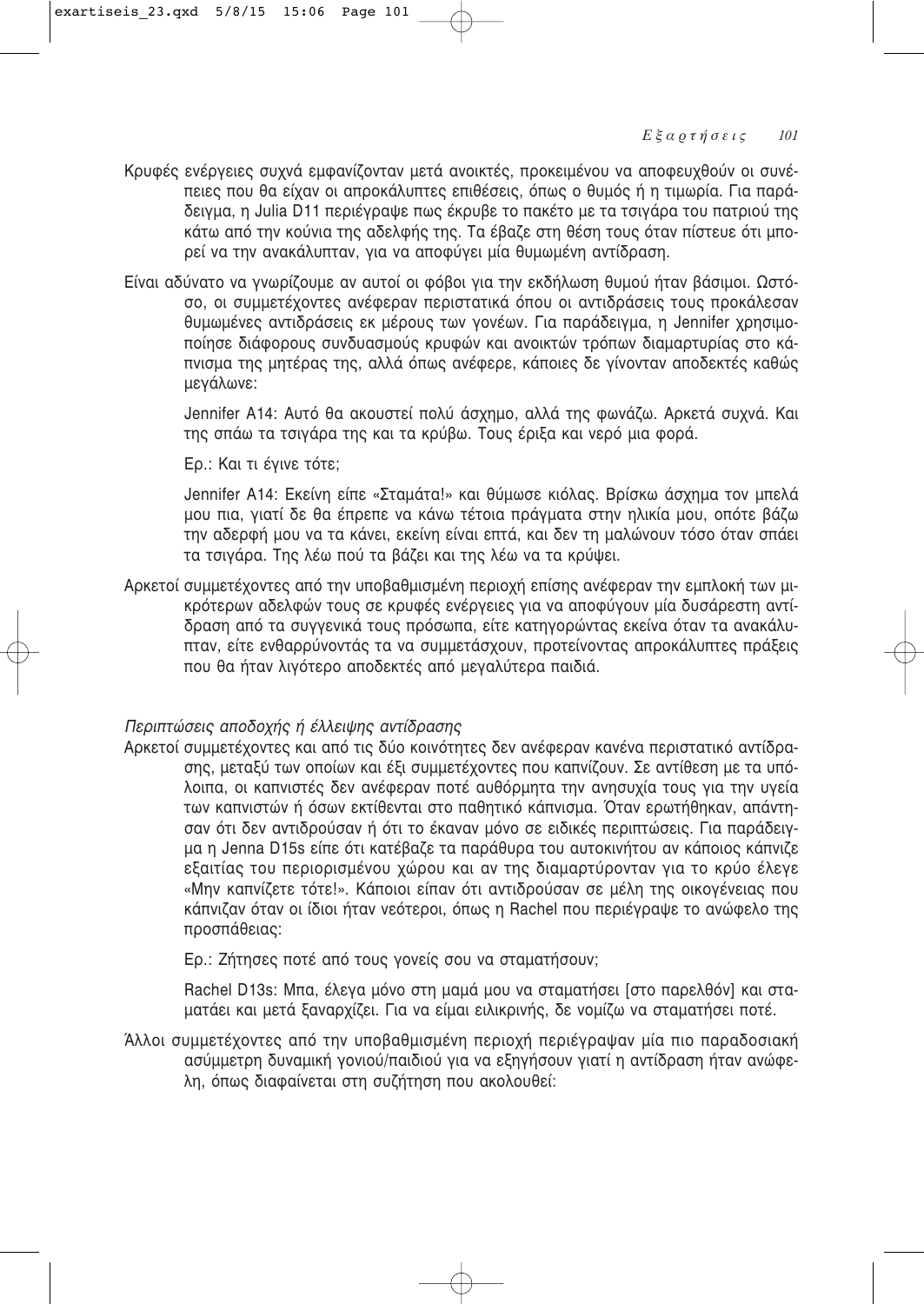- Κρυφές ενέργειες συχνά εμφανίζονταν μετά ανοικτές, προκειμένου να αποφευχθούν οι συνέπειες που θα είχαν οι απροκάλυπτες επιθέσεις, όπως ο θυμός ή η τιμωρία. Για παράδειγμα, η Julia D11 περιέγραψε πως έκρυβε το πακέτο με τα τσιγάρα του πατριού της κάτω από την κούνια της αδελφής της. Τα έβαζε στη θέση τους όταν πίστευε ότι μπορεί να την ανακάλυπταν, για να αποφύγει μία θυμωμένη αντίδραση.
- Είναι αδύνατο να γνωρίζουμε αν αυτοί οι φόβοι για την εκδήλωση θυμού ήταν βάσιμοι. Ωστόσο, οι συμμετέχοντες ανέφεραν περιστατικά όπου οι αντιδράσεις τους προκάλεσαν θυμωμένες αντιδράσεις εκ μέρους των γονέων. Για παράδειγμα, η Jennifer χρησιμοποίησε διάφορους συνδυασμούς κρυφών και ανοικτών τρόπων διαμαρτυρίας στο κάπνισμα της μητέρας της, αλλά όπως ανέφερε, κάποιες δε γίνονταν αποδεκτές καθώς μενάλωνε:

Jennifer A14: Αυτό θα ακουστεί πολύ άσχημο, αλλά της φωνάζω. Αρκετά συχνά. Και της σπάω τα τσιγάρα της και τα κρύβω. Τους έριξα και νερό μια φορά.

Ερ.: Και τι έγινε τότε;

Jennifer A14: Εκείνη είπε «Σταμάτα!» και θύμωσε κιόλας. Βρίσκω άσχημα τον μπελά μου πια, γιατί δε θα έπρεπε να κάνω τέτοια πράγματα στην ηλικία μου, οπότε βάζω την αδερφή μου να τα κάνει, εκείνη είναι επτά, και δεν τη μαλώνουν τόσο όταν σπάει τα τσιγάρα. Της λέω πού τα βάζει και της λέω να τα κρύψει.

Αρκετοί συμμετέχοντες από την υποβαθμισμένη περιοχή επίσης ανέφεραν την εμπλοκή των μικρότερων αδελφών τους σε κρυφές ενέργειες για να αποφύγουν μία δυσάρεστη αντίδραση από τα συγγενικά τους πρόσωπα, είτε κατηγορώντας εκείνα όταν τα ανακάλυπταν, είτε ενθαρρύνοντάς τα να συμμετάσχουν, προτείνοντας απροκάλυπτες πράξεις που θα ήταν λιγότερο αποδεκτές από μεγαλύτερα παιδιά.

### Περιπτώσεις αποδοχής ή έλλειψης αντίδρασης

Αρκετοί συμμετέχοντες και από τις δύο κοινότητες δεν ανέφεραν κανένα περιστατικό αντίδρασης, μεταξύ των οποίων και έξι συμμετέχοντες που καπνίζουν. Σε αντίθεση με τα υπόλοιπα, οι καπνιστές δεν ανέφεραν ποτέ αυθόρμητα την ανησυχία τους για την υγεία των καπνιστών ή όσων εκτίθενται στο παθητικό κάπνισμα. Όταν ερωτήθηκαν, απάντησαν ότι δεν αντιδρούσαν ή ότι το έκαναν μόνο σε ειδικές περιπτώσεις. Για παράδειγμα η Jenna D15s είπε ότι κατέβαζε τα παράθυρα του αυτοκινήτου αν κάποιος κάπνιζε εξαιτίας του περιορισμένου χώρου και αν της διαμαρτύρονταν για το κρύο έλεγε «Μην καπνίζετε τότε!», Κάποιοι είπαν ότι αντιδρούσαν σε μέλη της οικονένειας που κάπνιζαν όταν οι ίδιοι ήταν νεότεροι, όπως η Rachel που περιέγραψε το ανώφελο της προσπάθειας:

Ερ.: Ζήτησες ποτέ από τους γονείς σου να σταματήσουν;

Rachel D13s: Μπα, έλεγα μόνο στη μαμά μου να σταματήσει [στο παρελθόν] και σταματάει και μετά ξαναρχίζει. Για να είμαι ειλικρινής, δε νομίζω να σταματήσει ποτέ.

Άλλοι συμμετέχοντες από την υποβαθμισμένη περιοχή περιέγραψαν μία πιο παραδοσιακή ασύμμετρη δυναμική γονιού/παιδιού για να εξηγήσουν γιατί η αντίδραση ήταν ανώφελη, όπως διαφαίνεται στη συζήτηση που ακολουθεί: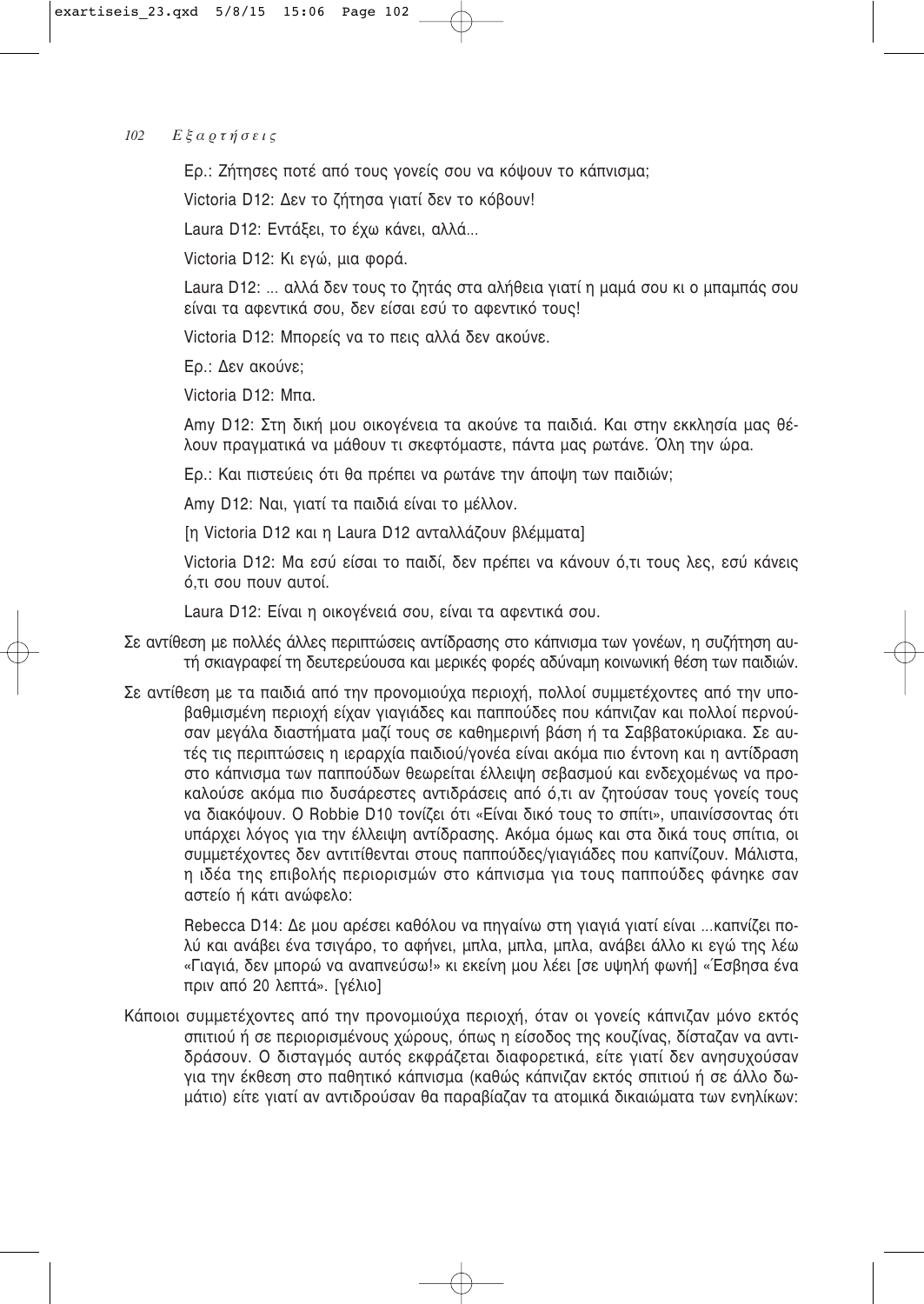Ερ.: Ζήτησες ποτέ από τους γονείς σου να κόψουν το κάπνισμα;

Victoria D12: Δεν το ζήτησα γιατί δεν το κόβουν!

Laura D12: Εντάξει, το έχω κάνει, αλλά...

Victoria D12: Κι ενώ, μια φορά,

Laura D12: ... αλλά δεν τους το ζητάς στα αλήθεια γιατί η μαμά σου κι ο μπαμπάς σου είναι τα αφεντικά σου, δεν είσαι εσύ το αφεντικό τους!

Victoria D12: Μπορείς να το πεις αλλά δεν ακούνε.

Ερ.: Δεν ακούνε:

Victoria D12: Μπα.

Amy D12: Στη δική μου οικονένεια τα ακούνε τα παιδιά. Και στην εκκλησία μας θέλουν πραγματικά να μάθουν τι σκεφτόμαστε, πάντα μας ρωτάνε. Όλη την ώρα.

Ερ.: Και πιστεύεις ότι θα πρέπει να ρωτάνε την άποψη των παιδιών;

Amy D12: Ναι, γιατί τα παιδιά είναι το μέλλον.

[η Victoria D12 και η Laura D12 ανταλλάζουν βλέμματα]

Victoria D12: Μα εσύ είσαι το παιδί, δεν πρέπει να κάνουν ό,τι τους λες, εσύ κάνεις ό.τι σου πουν αυτοί.

Laura D12: Είναι η οικογένειά σου, είναι τα αφεντικά σου.

- Σε αντίθεση με πολλές άλλες περιπτώσεις αντίδρασης στο κάπνισμα των γονέων, η συζήτηση αυτή σκιαγραφεί τη δευτερεύουσα και μερικές φορές αδύναμη κοινωνική θέση των παιδιών.
- Σε αντίθεση με τα παιδιά από την προνομιούχα περιοχή, πολλοί συμμετέχοντες από την υποβαθμισμένη περιοχή είχαν γιαγιάδες και παππούδες που κάπνιζαν και πολλοί περνούσαν μεγάλα διαστήματα μαζί τους σε καθημερινή βάση ή τα Σαββατοκύριακα. Σε αυτές τις περιπτώσεις η ιεραρχία παιδιού/γονέα είναι ακόμα πιο έντονη και η αντίδραση στο κάπνισμα των παππούδων θεωρείται έλλειψη σεβασμού και ενδεχομένως να προκαλούσε ακόμα πιο δυσάρεστες αντιδράσεις από ό,τι αν ζητούσαν τους γονείς τους να διακόψουν. Ο Robbie D10 τονίζει ότι «Είναι δικό τους το σπίτι», υπαινίσσοντας ότι υπάρχει λόγος για την έλλειψη αντίδρασης. Ακόμα όμως και στα δικά τους σπίτια, οι συμμετέχοντες δεν αντιτίθενται στους παππούδες/γιαγιάδες που καπνίζουν. Μάλιστα, η ιδέα της επιβολής περιορισμών στο κάπνισμα για τους παππούδες φάνηκε σαν αστείο ή κάτι ανώφελο:

Rebecca D14: Δε μου αρέσει καθόλου να πηγαίνω στη γιαγιά γιατί είναι ...καπνίζει πολύ και ανάβει ένα τσιγάρο, το αφήνει, μπλα, μπλα, μπλα, ανάβει άλλο κι εγώ της λέω «Γιαγιά, δεν μπορώ να αναπνεύσω!» κι εκείνη μου λέει [σε υψηλή φωνή] «Έσβησα ένα πριν από 20 λεπτά». [γέλιο]

Κάποιοι συμμετέχοντες από την προνομιούχα περιοχή, όταν οι γονείς κάπνιζαν μόνο εκτός σπιτιού ή σε περιορισμένους χώρους, όπως η είσοδος της κουζίνας, δίσταζαν να αντιδράσουν. Ο δισταγμός αυτός εκφράζεται διαφορετικά, είτε γιατί δεν ανησυχούσαν για την έκθεση στο παθητικό κάπνισμα (καθώς κάπνιζαν εκτός σπιτιού ή σε άλλο δωμάτιο) είτε γιατί αν αντιδρούσαν θα παραβίαζαν τα ατομικά δικαιώματα των ενηλίκων: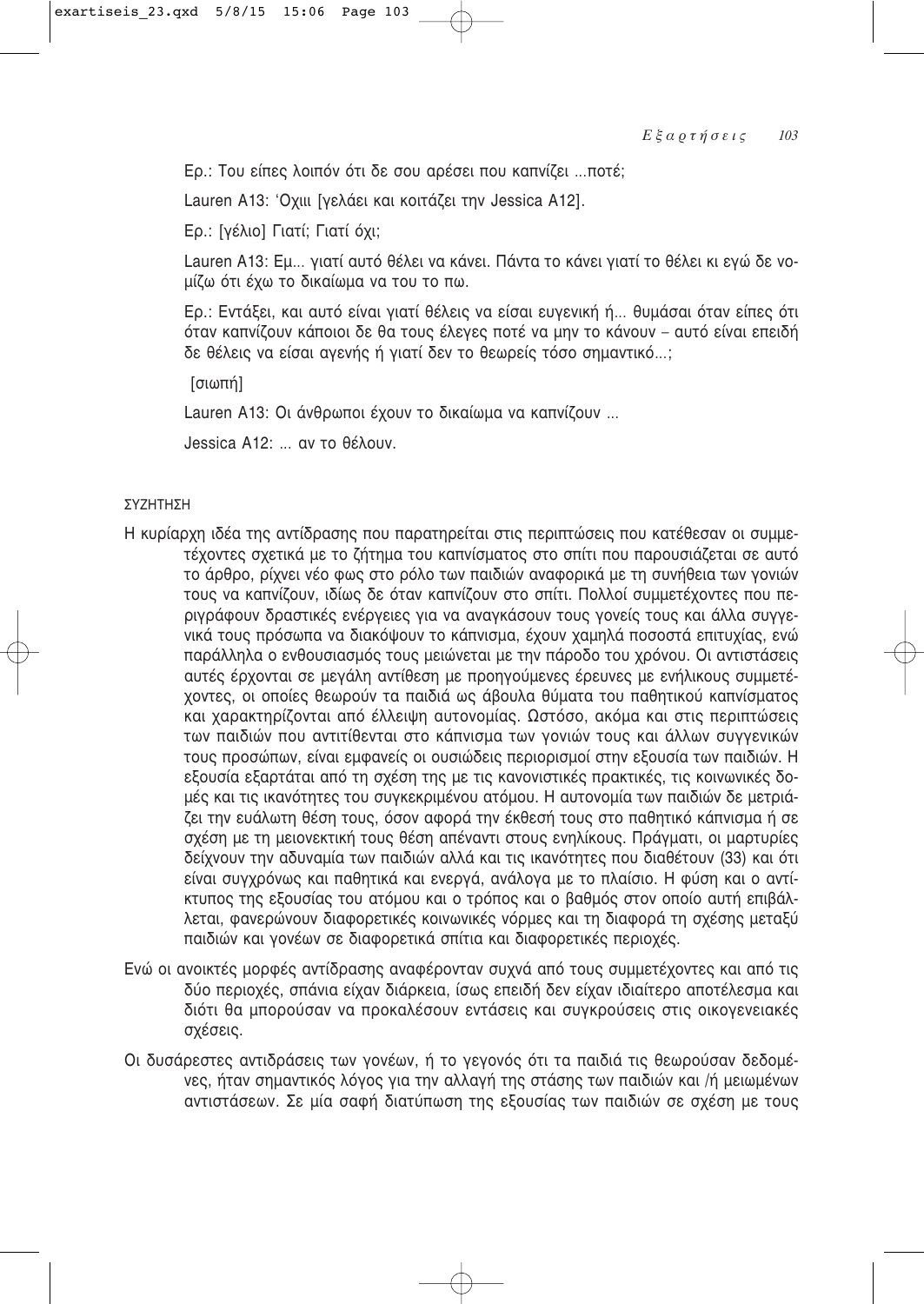Ερ.: Του είπες λοιπόν ότι δε σου αρέσει που καπνίζει ...ποτέ;

Lauren A13: 'Οχιιι [γελάει και κοιτάζει την Jessica A12].

Ερ.: [γέλιο] Γιατί; Γιατί όχι;

Lauren A13: Εμ... γιατί αυτό θέλει να κάνει. Πάντα το κάνει γιατί το θέλει κι εγώ δε νομίζω ότι έχω το δικαίωμα να του το πω.

Ερ.: Εντάξει, και αυτό είναι γιατί θέλεις να είσαι ευγενική ή... θυμάσαι όταν είπες ότι όταν καπνίζουν κάποιοι δε θα τους έλεγες ποτέ να μην το κάνουν – αυτό είναι επειδή δε θέλεις να είσαι αγενής ή γιατί δεν το θεωρείς τόσο σημαντικό...;

[σιωπή]

Lauren A13: Οι άνθρωποι έχουν το δικαίωμα να καπνίζουν ...

Jessica A12: ... αν το θέλουν.

### ΣΥΖΗΤΗΣΗ

- Η κυρίαρχη ιδέα της αντίδρασης που παρατηρείται στις περιπτώσεις που κατέθεσαν οι συμμετέχοντες σχετικά με το ζήτημα του καπνίσματος στο σπίτι που παρουσιάζεται σε αυτό το άρθρο, ρίχνει νέο φως στο ρόλο των παιδιών αναφορικά με τη συνήθεια των νονιών τους να καπνίζουν, ιδίως δε όταν καπνίζουν στο σπίτι. Πολλοί συμμετέχοντες που περιγράφουν δραστικές ενέργειες για να αναγκάσουν τους γονείς τους και άλλα συγγενικά τους πρόσωπα να διακόψουν το κάπνισμα, έχουν χαμηλά ποσοστά επιτυχίας, ενώ παράλληλα ο ενθουσιασμός τους μειώνεται με την πάροδο του χρόνου. Οι αντιστάσεις αυτές έρχονται σε μεγάλη αντίθεση με προηγούμενες έρευνες με ενήλικους συμμετέχοντες, οι οποίες θεωρούν τα παιδιά ως άβουλα θύματα του παθητικού καπνίσματος και χαρακτηρίζονται από έλλειψη αυτονομίας. Ωστόσο, ακόμα και στις περιπτώσεις των παιδιών που αντιτίθενται στο κάπνισμα των γονιών τους και άλλων συγγενικών τους προσώπων, είναι εμφανείς οι ουσιώδεις περιορισμοί στην εξουσία των παιδιών. Η εξουσία εξαρτάται από τη σχέση της με τις κανονιστικές πρακτικές, τις κοινωνικές δομές και τις ικανότητες του συγκεκριμένου ατόμου. Η αυτονομία των παιδιών δε μετριάζει την ευάλωτη θέση τους, όσον αφορά την έκθεσή τους στο παθητικό κάπνισμα ή σε σχέση με τη μειονεκτική τους θέση απέναντι στους ενηλίκους. Πράγματι, οι μαρτυρίες δείχνουν την αδυναμία των παιδιών αλλά και τις ικανότητες που διαθέτουν (33) και ότι είναι συγχρόνως και παθητικά και ενεργά, ανάλογα με το πλαίσιο. Η φύση και ο αντίκτυπος της εξουσίας του ατόμου και ο τρόπος και ο βαθμός στον οποίο αυτή επιβάλλεται, φανερώνουν διαφορετικές κοινωνικές νόρμες και τη διαφορά τη σχέσης μεταξύ παιδιών και γονέων σε διαφορετικά σπίτια και διαφορετικές περιοχές.
- Ενώ οι ανοικτές μορφές αντίδρασης αναφέρονταν συχνά από τους συμμετέχοντες και από τις δύο περιοχές, σπάνια είχαν διάρκεια, ίσως επειδή δεν είχαν ιδιαίτερο αποτέλεσμα και διότι θα μπορούσαν να προκαλέσουν εντάσεις και συγκρούσεις στις οικογενειακές σχέσεις.
- Οι δυσάρεστες αντιδράσεις των γονέων, ή το γεγονός ότι τα παιδιά τις θεωρούσαν δεδομένες, ήταν σημαντικός λόγος για την αλλαγή της στάσης των παιδιών και /ή μειωμένων αντιστάσεων. Σε μία σαφή διατύπωση της εξουσίας των παιδιών σε σχέση με τους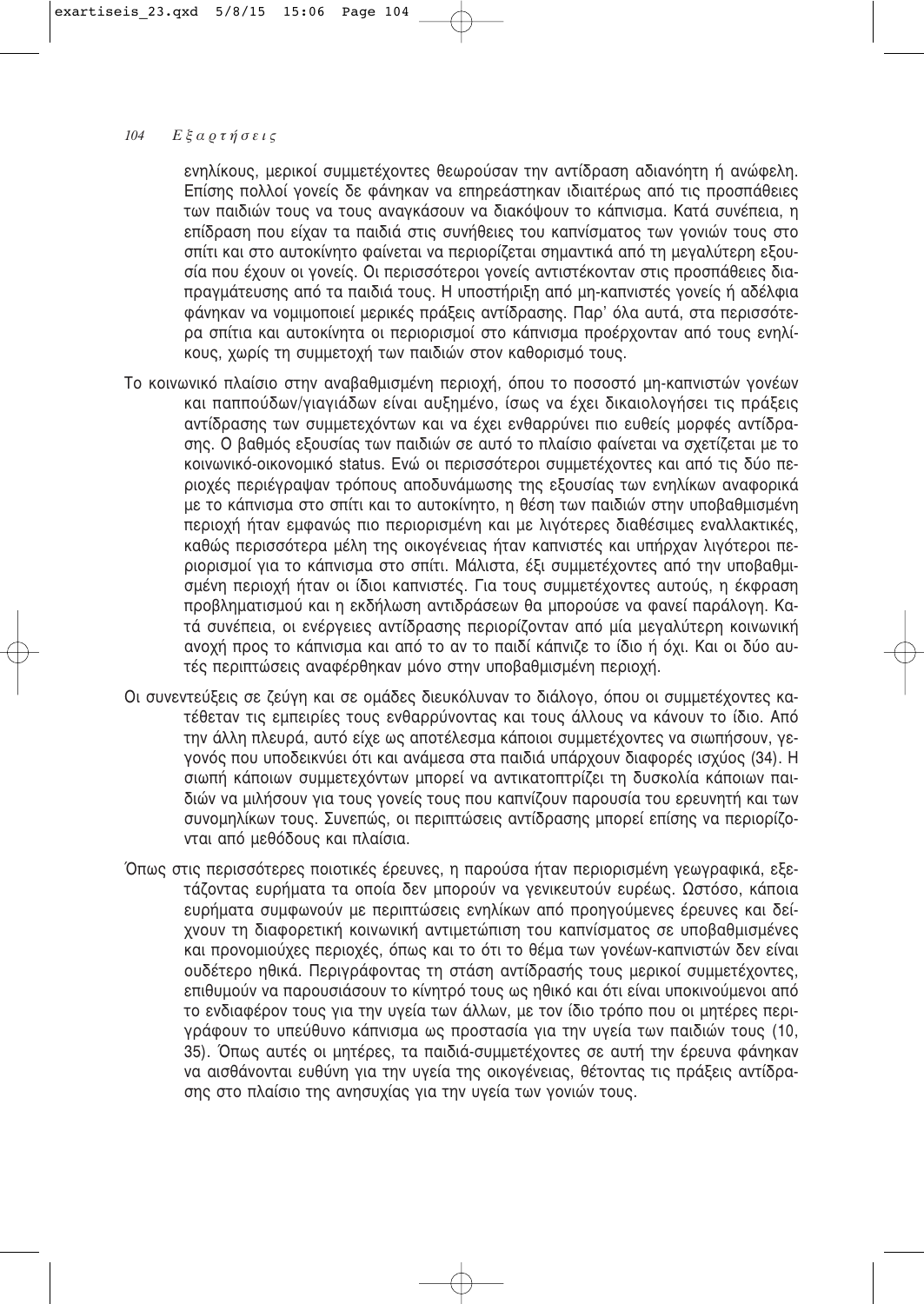ενηλίκους, μερικοί συμμετέχοντες θεωρούσαν την αντίδραση αδιανόητη ή ανώφελη. Επίσης πολλοί γονείς δε φάνηκαν να επηρεάστηκαν ιδιαιτέρως από τις προσπάθειες των παιδιών τους να τους αναγκάσουν να διακόψουν το κάπνισμα. Κατά συνέπεια, η επίδραση που είχαν τα παιδιά στις συνήθειες του καπνίσματος των γονιών τους στο σπίτι και στο αυτοκίνητο φαίνεται να περιορίζεται σημαντικά από τη μεγαλύτερη εξουσία που έχουν οι γονείς. Οι περισσότεροι γονείς αντιστέκονταν στις προσπάθειες διαπραγμάτευσης από τα παιδιά τους. Η υποστήριξη από μη-καπνιστές γονείς ή αδέλφια φάνηκαν να νομιμοποιεί μερικές πράξεις αντίδρασης. Παρ' όλα αυτά, στα περισσότερα σπίτια και αυτοκίνητα οι περιορισμοί στο κάπνισμα προέρχονταν από τους ενηλίκους, χωρίς τη συμμετοχή των παιδιών στον καθορισμό τους.

- Το κοινωνικό πλαίσιο στην αναβαθμισμένη περιοχή, όπου το ποσοστό μη-καπνιστών γονέων και παππούδων/γιαγιάδων είναι αυξημένο, ίσως να έχει δικαιολογήσει τις πράξεις αντίδρασης των συμμετεχόντων και να έχει ενθαρρύνει πιο ευθείς μορφές αντίδρασης. Ο βαθμός εξουσίας των παιδιών σε αυτό το πλαίσιο φαίνεται να σχετίζεται με το κοινωνικό-οικονομικό status. Ενώ οι περισσότεροι συμμετέχοντες και από τις δύο περιοχές περιέγραψαν τρόπους αποδυνάμωσης της εξουσίας των ενηλίκων αναφορικά με το κάπνισμα στο σπίτι και το αυτοκίνητο, η θέση των παιδιών στην υποβαθμισμένη περιοχή ήταν εμφανώς πιο περιορισμένη και με λιγότερες διαθέσιμες εναλλακτικές. καθώς περισσότερα μέλη της οικογένειας ήταν καπνιστές και υπήρχαν λιγότεροι περιορισμοί για το κάπνισμα στο σπίτι. Μάλιστα, έξι συμμετέχοντες από την υποβαθμισμένη περιοχή ήταν οι ίδιοι καπνιστές. Για τους συμμετέχοντες αυτούς, η έκφραση προβληματισμού και η εκδήλωση αντιδράσεων θα μπορούσε να φανεί παράλογη. Κατά συνέπεια, οι ενέργειες αντίδρασης περιορίζονταν από μία μεγαλύτερη κοινωνική ανοχή προς το κάπνισμα και από το αν το παιδί κάπνιζε το ίδιο ή όχι. Και οι δύο αυτές περιπτώσεις αναφέρθηκαν μόνο στην υποβαθμισμένη περιοχή.
- Οι συνεντεύξεις σε ζεύγη και σε ομάδες διευκόλυναν το διάλογο, όπου οι συμμετέχοντες κατέθεταν τις εμπειρίες τους ενθαρρύνοντας και τους άλλους να κάνουν το ίδιο. Από την άλλη πλευρά, αυτό είχε ως αποτέλεσμα κάποιοι συμμετέχοντες να σιωπήσουν, γενονός που υποδεικνύει ότι και ανάμεσα στα παιδιά υπάρχουν διαφορές ισχύος (34). Η σιωπή κάποιων συμμετεχόντων μπορεί να αντικατοπτρίζει τη δυσκολία κάποιων παιδιών να μιλήσουν για τους γονείς τους που καπνίζουν παρουσία του ερευνητή και των συνομηλίκων τους. Συνεπώς, οι περιπτώσεις αντίδρασης μπορεί επίσης να περιορίζονται από μεθόδους και πλαίσια.
- Όπως στις περισσότερες ποιοτικές έρευνες, η παρούσα ήταν περιορισμένη γεωγραφικά, εξετάζοντας ευρήματα τα οποία δεν μπορούν να γενικευτούν ευρέως. Ωστόσο, κάποια ευρήματα συμφωνούν με περιπτώσεις ενηλίκων από προηγούμενες έρευνες και δείχνουν τη διαφορετική κοινωνική αντιμετώπιση του καπνίσματος σε υποβαθμισμένες και προνομιούχες περιοχές, όπως και το ότι το θέμα των γονέων-καπνιστών δεν είναι ουδέτερο ηθικά. Περιγράφοντας τη στάση αντίδρασής τους μερικοί συμμετέχοντες, επιθυμούν να παρουσιάσουν το κίνητρό τους ως ηθικό και ότι είναι υποκινούμενοι από το ενδιαφέρον τους για την υγεία των άλλων, με τον ίδιο τρόπο που οι μητέρες περιγράφουν το υπεύθυνο κάπνισμα ως προστασία για την υγεία των παιδιών τους (10, 35). Όπως αυτές οι μητέρες, τα παιδιά-συμμετέχοντες σε αυτή την έρευνα φάνηκαν να αισθάνονται ευθύνη για την υγεία της οικογένειας, θέτοντας τις πράξεις αντίδρασης στο πλαίσιο της ανησυχίας για την υγεία των γονιών τους.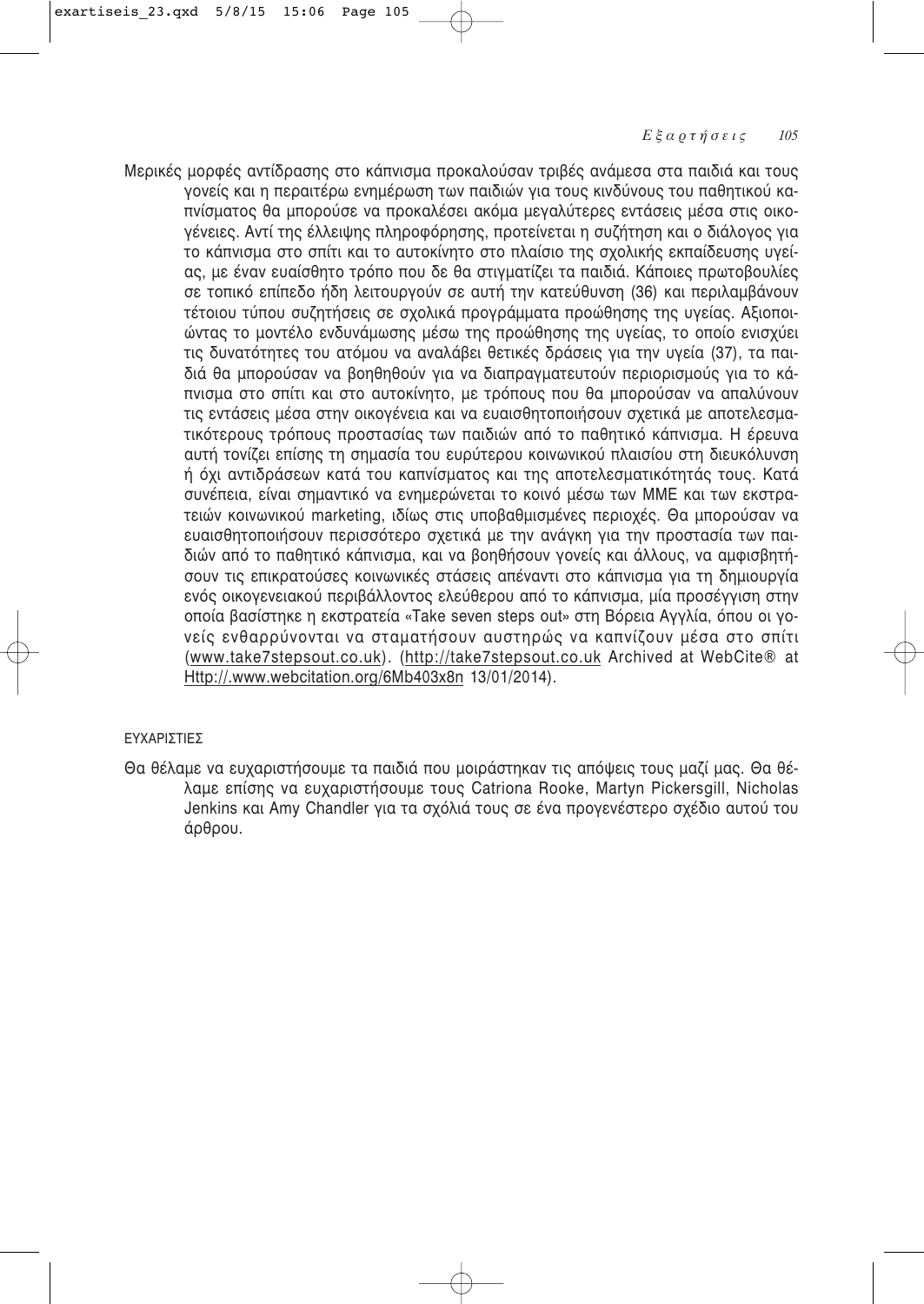Μερικές μορφές αντίδρασης στο κάπνισμα προκαλούσαν τριβές ανάμεσα στα παιδιά και τους γονείς και η περαιτέρω ενημέρωση των παιδιών για τους κινδύνους του παθητικού καπνίσματος θα μπορούσε να προκαλέσει ακόμα μεγαλύτερες εντάσεις μέσα στις οικογένειες. Αντί της έλλειψης πληροφόρησης, προτείνεται η συζήτηση και ο διάλογος για το κάπνισμα στο σπίτι και το αυτοκίνητο στο πλαίσιο της σχολικής εκπαίδευσης υγείας, με έναν ευαίσθητο τρόπο που δε θα στιγματίζει τα παιδιά. Κάποιες πρωτοβουλίες σε τοπικό επίπεδο ήδη λειτουργούν σε αυτή την κατεύθυνση (36) και περιλαμβάνουν τέτοιου τύπου συζητήσεις σε σχολικά προγράμματα προώθησης της υγείας. Αξιοποιώντας το μοντέλο ενδυνάμωσης μέσω της προώθησης της υγείας, το οποίο ενισχύει τις δυνατότητες του ατόμου να αναλάβει θετικές δράσεις για την υγεία (37), τα παιδιά θα μπορούσαν να βοηθηθούν για να διαπραγματευτούν περιορισμούς για το κάπνισμα στο σπίτι και στο αυτοκίνητο, με τρόπους που θα μπορούσαν να απαλύνουν τις εντάσεις μέσα στην οικογένεια και να ευαισθητοποιήσουν σχετικά με αποτελεσματικότερους τρόπους προστασίας των παιδιών από το παθητικό κάπνισμα. Η έρευνα αυτή τονίζει επίσης τη σημασία του ευρύτερου κοινωνικού πλαισίου στη διευκόλυνση ή όχι αντιδράσεων κατά του καπνίσματος και της αποτελεσματικότητάς τους. Κατά ουνέπεια, είναι σημαντικό να ενημερώνεται το κοινό μέσω των ΜΜΕ και των εκστρατειών κοινωνικού marketing, ιδίως στις υποβαθμισμένες περιοχές. Θα μπορούσαν να ευαισθητοποιήσουν περισσότερο σχετικά με την ανάγκη για την προστασία των παιδιών από το παθητικό κάπνισμα, και να βοηθήσουν γονείς και άλλους, να αμφισβητήσουν τις επικρατούσες κοινωνικές στάσεις απέναντι στο κάπνισμα για τη δημιουργία ενός οικογενειακού περιβάλλοντος ελεύθερου από το κάπνισμα, μία προσέγγιση στην οποία βασίστηκε η εκστρατεία «Take seven steps out» στη Βόρεια Αγγλία, όπου οι γονείς ενθαρρύνονται να σταματήσουν αυστηρώς να καπνίζουν μέσα στο σπίτι (www.take7stepsout.co.uk). (http://take7stepsout.co.uk Archived at WebCite® at Http://.www.webcitation.org/6Mb403x8n 13/01/2014).

# ∂ÀÃ∞ƒπ™Δπ∂™

Θα θέλαμε να ευχαριστήσουμε τα παιδιά που μοιράστηκαν τις απόψεις τους μαζί μας. Θα θέλαμε επίσης να ευχαριστήσουμε τους Catriona Rooke, Martyn Pickersgill, Nicholas Jenkins και Amy Chandler για τα σχόλιά τους σε ένα προγενέστερο σχέδιο αυτού του άρθρου.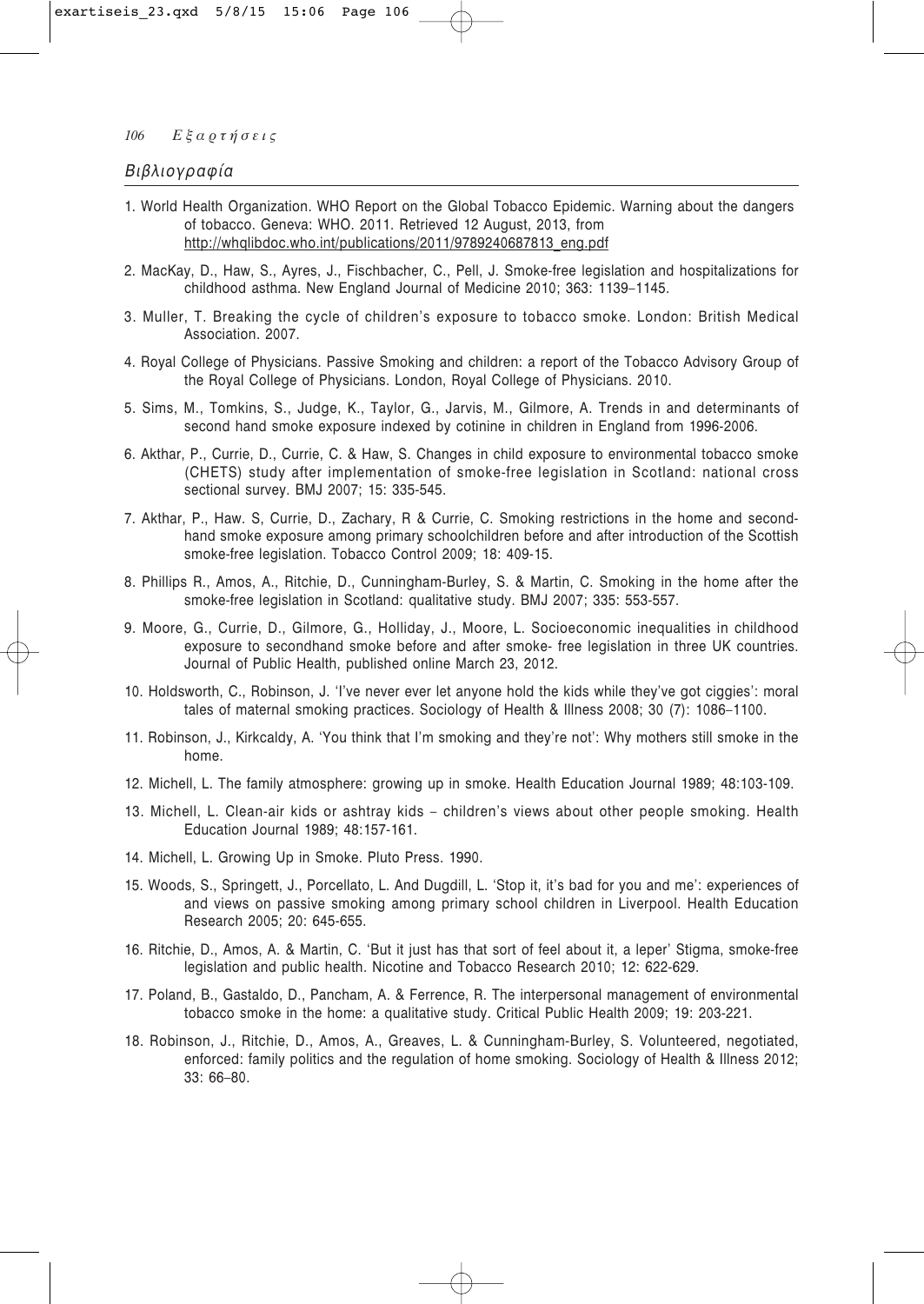### Βιβλιογραφία

- 1. World Health Organization. WHO Report on the Global Tobacco Epidemic. Warning about the dangers of tobacco. Geneva: WHO. 2011. Retrieved 12 August, 2013, from http://whglibdoc.who.int/publications/2011/9789240687813 eng.pdf
- 2. MacKay, D., Haw, S., Ayres, J., Fischbacher, C., Pell, J. Smoke-free legislation and hospitalizations for childhood asthma. New England Journal of Medicine 2010; 363: 1139-1145.
- 3. Muller, T. Breaking the cycle of children's exposure to tobacco smoke. London: British Medical Association, 2007.
- 4. Royal College of Physicians. Passive Smoking and children: a report of the Tobacco Advisory Group of the Royal College of Physicians. London, Royal College of Physicians. 2010.
- 5. Sims, M., Tomkins, S., Judge, K., Taylor, G., Jarvis, M., Gilmore, A. Trends in and determinants of second hand smoke exposure indexed by cotinine in children in England from 1996-2006.
- 6. Akthar, P., Currie, D., Currie, C. & Haw, S. Changes in child exposure to environmental tobacco smoke (CHETS) study after implementation of smoke-free legislation in Scotland: national cross sectional survey. BMJ 2007; 15: 335-545.
- 7. Akthar, P., Haw. S, Currie, D., Zachary, R & Currie, C. Smoking restrictions in the home and secondhand smoke exposure among primary schoolchildren before and after introduction of the Scottish smoke-free legislation. Tobacco Control 2009; 18: 409-15.
- 8. Phillips R., Amos, A., Ritchie, D., Cunningham-Burley, S. & Martin, C. Smoking in the home after the smoke-free legislation in Scotland: qualitative study. BMJ 2007; 335: 553-557.
- 9. Moore, G., Currie, D., Gilmore, G., Holliday, J., Moore, L. Socioeconomic inequalities in childhood exposure to secondhand smoke before and after smoke- free legislation in three UK countries. Journal of Public Health, published online March 23, 2012.
- 10. Holdsworth, C., Robinson, J. 'I've never ever let anyone hold the kids while they've got ciggies': moral tales of maternal smoking practices. Sociology of Health & Illness 2008; 30 (7): 1086-1100.
- 11. Robinson, J., Kirkcaldy, A. 'You think that I'm smoking and they're not': Why mothers still smoke in the home.
- 12. Michell, L. The family atmosphere: growing up in smoke. Health Education Journal 1989; 48:103-109.
- 13. Michell, L. Clean-air kids or ashtray kids children's views about other people smoking. Health Education Journal 1989; 48:157-161.
- 14. Michell, L. Growing Up in Smoke. Pluto Press. 1990.
- 15. Woods, S., Springett, J., Porcellato, L. And Dugdill, L. 'Stop it, it's bad for you and me': experiences of and views on passive smoking among primary school children in Liverpool. Health Education Research 2005; 20: 645-655.
- 16. Ritchie, D., Amos, A. & Martin, C. 'But it just has that sort of feel about it, a leper' Stigma, smoke-free legislation and public health. Nicotine and Tobacco Research 2010; 12: 622-629.
- 17. Poland, B., Gastaldo, D., Pancham, A. & Ferrence, R. The interpersonal management of environmental tobacco smoke in the home: a qualitative study. Critical Public Health 2009; 19: 203-221.
- 18. Robinson, J., Ritchie, D., Amos, A., Greaves, L. & Cunningham-Burley, S. Volunteered, negotiated, enforced: family politics and the regulation of home smoking. Sociology of Health & Illness 2012;  $33:66 - 80.$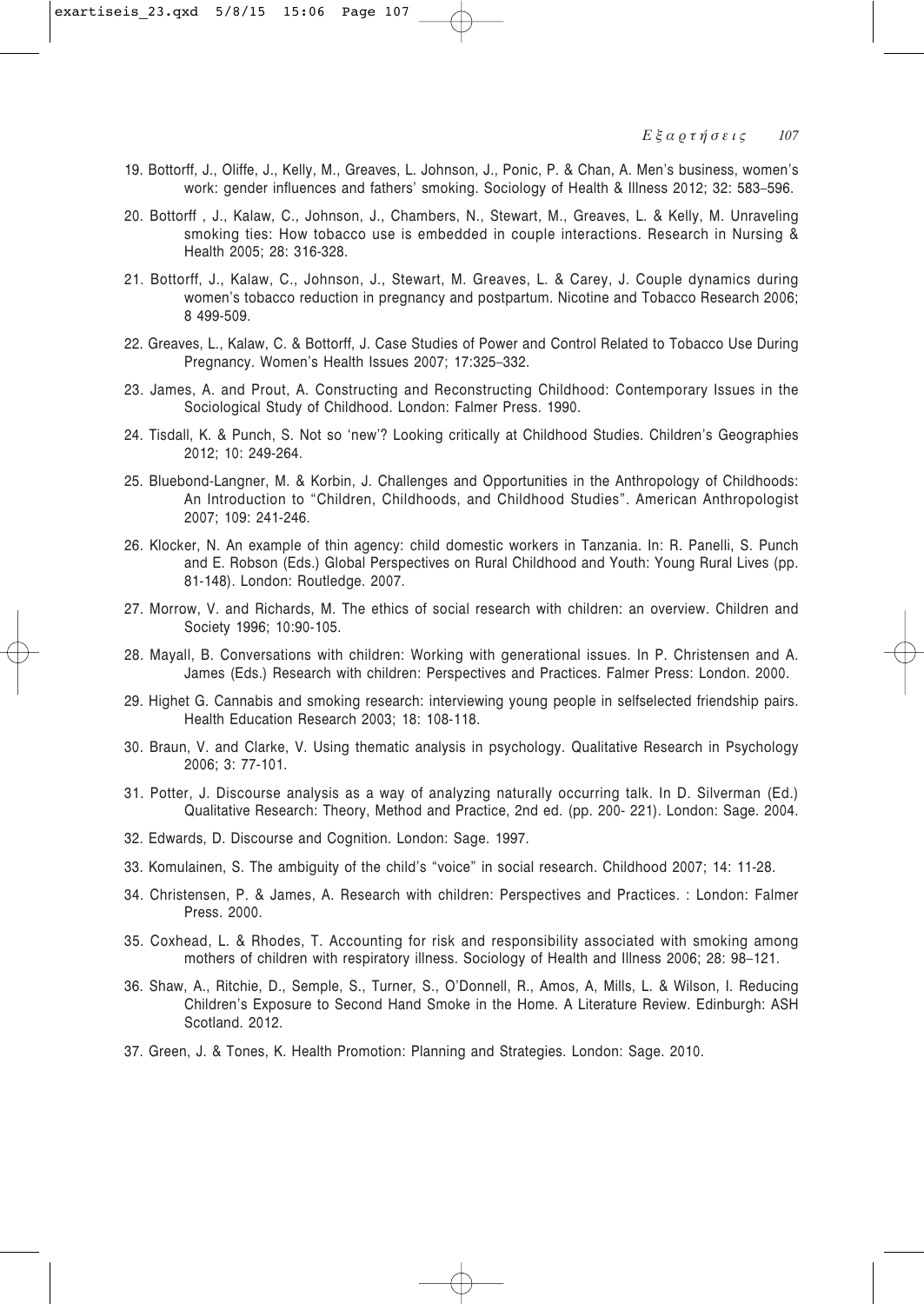- 19. Bottorff, J., Oliffe, J., Kelly, M., Greaves, L. Johnson, J., Ponic, P. & Chan, A. Men's business, women's work: gender influences and fathers' smoking. Sociology of Health & Illness 2012; 32: 583–596.
- 20. Bottorff , J., Kalaw, C., Johnson, J., Chambers, N., Stewart, M., Greaves, L. & Kelly, M. Unraveling smoking ties: How tobacco use is embedded in couple interactions. Research in Nursing & Health 2005; 28: 316-328.
- 21. Bottorff, J., Kalaw, C., Johnson, J., Stewart, M. Greaves, L. & Carey, J. Couple dynamics during women's tobacco reduction in pregnancy and postpartum. Nicotine and Tobacco Research 2006; 8 499-509.
- 22. Greaves, L., Kalaw, C. & Bottorff, J. Case Studies of Power and Control Related to Tobacco Use During Pregnancy. Women's Health Issues 2007; 17:325–332.
- 23. James, A. and Prout, A. Constructing and Reconstructing Childhood: Contemporary Issues in the Sociological Study of Childhood. London: Falmer Press. 1990.
- 24. Tisdall, K. & Punch, S. Not so 'new'? Looking critically at Childhood Studies. Children's Geographies 2012; 10: 249-264.
- 25. Bluebond-Langner, M. & Korbin, J. Challenges and Opportunities in the Anthropology of Childhoods: An Introduction to "Children, Childhoods, and Childhood Studies". American Anthropologist 2007; 109: 241-246.
- 26. Klocker, N. An example of thin agency: child domestic workers in Tanzania. In: R. Panelli, S. Punch and E. Robson (Eds.) Global Perspectives on Rural Childhood and Youth: Young Rural Lives (pp. 81-148). London: Routledge. 2007.
- 27. Morrow, V. and Richards, M. The ethics of social research with children: an overview. Children and Society 1996; 10:90-105.
- 28. Mayall, B. Conversations with children: Working with generational issues. In P. Christensen and A. James (Eds.) Research with children: Perspectives and Practices. Falmer Press: London. 2000.
- 29. Highet G. Cannabis and smoking research: interviewing young people in selfselected friendship pairs. Health Education Research 2003; 18: 108-118.
- 30. Braun, V. and Clarke, V. Using thematic analysis in psychology. Qualitative Research in Psychology 2006; 3: 77-101.
- 31. Potter, J. Discourse analysis as a way of analyzing naturally occurring talk. In D. Silverman (Ed.) Qualitative Research: Theory, Method and Practice, 2nd ed. (pp. 200- 221). London: Sage. 2004.
- 32. Edwards, D. Discourse and Cognition. London: Sage. 1997.
- 33. Komulainen, S. The ambiguity of the child's "voice" in social research. Childhood 2007; 14: 11-28.
- 34. Christensen, P. & James, A. Research with children: Perspectives and Practices. : London: Falmer Press. 2000.
- 35. Coxhead, L. & Rhodes, T. Accounting for risk and responsibility associated with smoking among mothers of children with respiratory illness. Sociology of Health and Illness 2006; 28: 98–121.
- 36. Shaw, A., Ritchie, D., Semple, S., Turner, S., O'Donnell, R., Amos, A, Mills, L. & Wilson, I. Reducing Children's Exposure to Second Hand Smoke in the Home. A Literature Review. Edinburgh: ASH Scotland. 2012.
- 37. Green, J. & Tones, K. Health Promotion: Planning and Strategies. London: Sage. 2010.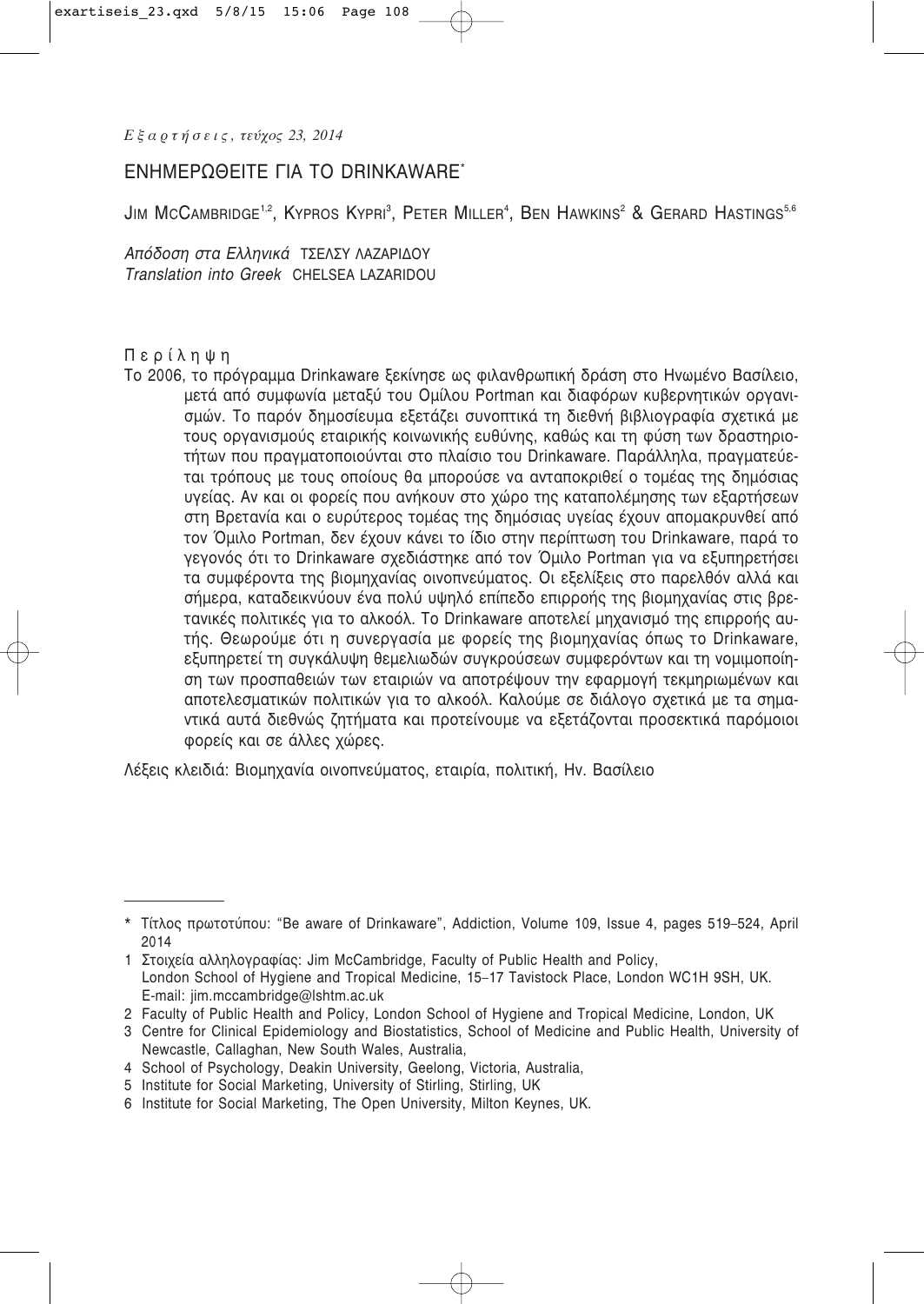# ΕΝΗΜΕΡΩΘΕΊΤΕ ΓΙΑ ΤΟ DRINKAWARE<sup>\*</sup>

 ${\sf J}$ im McCambridge $^{1,2}$ , Kypros Kypri $^3$ , Peter Miller $^4$ , Ben Hawkins $^2$  & Gerard Hastings $^{5,6}$ 

*Απόδοση στα Ελληνικά ΤΣΕΛΣΥ ΛΑΖΑΡΙΔΟΥ Translation into Greek* CHELSEA LAZARIDOU

### Περίληψη

Το 2006, το πρόγραμμα Drinkaware ξεκίνησε ως φιλανθρωπική δράση στο Ηνωμένο Βασίλειο, μετά από συμφωνία μεταξύ του Ομίλου Portman και διαφόρων κυβερνητικών οργανισμών. Το παρόν δημοσίευμα εξετάζει συνοπτικά τη διεθνή βιβλιογραφία σχετικά με τους οργανισμούς εταιρικής κοινωνικής ευθύνης, καθώς και τη φύση των δραστηριοτήτων που πραγματοποιούνται στο πλαίσιο του Drinkaware. Παράλληλα, πραγματεύεται τρόπους με τους οποίους θα μπορούσε να ανταποκριθεί ο τομέας της δημόσιας υγείας. Αν και οι φορείς που ανήκουν στο χώρο της καταπολέμησης των εξαρτήσεων στη Βρετανία και ο ευρύτερος τομέας της δημόσιας υγείας έχουν απομακρυνθεί από τον Όμιλο Portman, δεν έχουν κάνει το ίδιο στην περίπτωση του Drinkaware, παρά το γεγονός ότι το Drinkaware σχεδιάστηκε από τον Όμιλο Portman για να εξυπηρετήσει τα συμφέροντα της βιομηχανίας οινοπνεύματος. Οι εξελίξεις στο παρελθόν αλλά και σήμερα, καταδεικνύουν ένα πολύ υψηλό επίπεδο επιρροής της βιομηχανίας στις βρετανικές πολιτικές για το αλκοόλ. Το Drinkaware αποτελεί μηχανισμό της επιρροής αυτής. Θεωρούμε ότι η συνεργασία με φορείς της βιομηχανίας όπως το Drinkaware, εξυπηρετεί τη συνκάλυψη θεμελιωδών συνκρούσεων συμφερόντων και τη νομιμοποίηση των προσπαθειών των εταιριών να αποτρέψουν την εφαρμονή τεκμηριωμένων και αποτελεσματικών πολιτικών για το αλκοόλ. Καλούμε σε διάλογο σχετικά με τα σημαντικά αυτά διεθνώς ζητήματα και προτείνουμε να εξετάζονται προσεκτικά παρόμοιοι Φορείς και σε άλλες χώρες.

Λέξεις κλειδιά: Βιομηχανία οινοπνεύματος, εταιρία, πολιτική, Ην. Βασίλειο

2 Faculty of Public Health and Policy, London School of Hygiene and Tropical Medicine, London, UK

- 4 School of Psychology, Deakin University, Geelong, Victoria, Australia,
- 5 Institute for Social Marketing, University of Stirling, Stirling, UK
- 6 Institute for Social Marketing, The Open University, Milton Keynes, UK.

<sup>\*</sup> Τίτλος πρωτοτύπου: "Be aware of Drinkaware", Addiction, Volume 109, Issue 4, pages 519–524, April 2014

<sup>1</sup> Στοιχεία αλληλογραφίας: Jim McCambridge, Faculty of Public Health and Policy, London School of Hygiene and Tropical Medicine, 15–17 Tavistock Place, London WC1H 9SH, UK. E-mail: jim.mccambridge@lshtm.ac.uk

<sup>3</sup> Centre for Clinical Epidemiology and Biostatistics, School of Medicine and Public Health, University of Newcastle, Callaghan, New South Wales, Australia,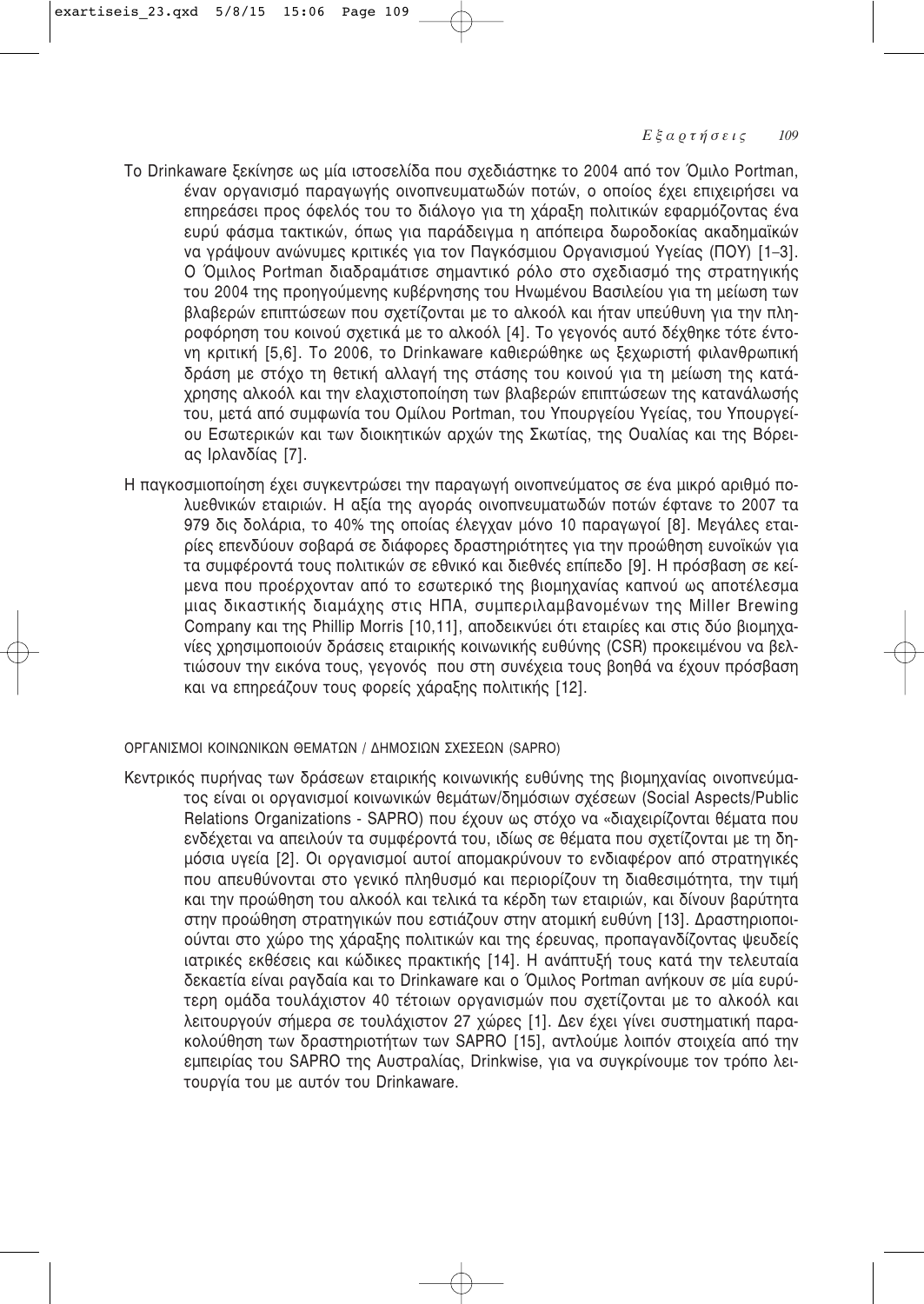- Το Drinkaware ξεκίνησε ως μία ιστοσελίδα που σχεδιάστηκε το 2004 από τον Όμιλο Portman, έναν οργανισμό παραγωγής οινοπνευματωδών ποτών, ο οποίος έχει επιχειρήσει να επηρεάσει προς όφελός του το διάλογο για τη χάραξη πολιτικών εφαρμόζοντας ένα ευρύ φάσμα τακτικών, όπως για παράδειγμα η απόπειρα δωροδοκίας ακαδημαϊκών να γράψουν ανώνυμες κριτικές για τον Παγκόσμιου Οργανισμού Υγείας (ΠΟΥ) [1–3]. Ο Όμιλος Portman διαδραμάτισε σημαντικό ρόλο στο σχεδιασμό της στρατηγικής του 2004 της προηγούμενης κυβέρνησης του Ηνωμένου Βασιλείου για τη μείωση των βλαβερών επιπτώσεων που σχετίζονται με το αλκοόλ και ήταν υπεύθυνη για την πληροφόρηση του κοινού σχετικά με το αλκοόλ [4]. Το γεγονός αυτό δέχθηκε τότε έντο-Vη κριτική [5,6]. Το 2006, το Drinkaware καθιερώθηκε ως ξεχωριστή φιλανθρωπική δράση με στόχο τη θετική αλλαγή της στάσης του κοινού για τη μείωση της κατάχρησης αλκοόλ και την ελαχιστοποίηση των βλαβερών επιπτώσεων της κατανάλωσής του, μετά από συμφωνία του Ομίλου Portman, του Υπουργείου Υγείας, του Υπουργείου Εσωτερικών και των διοικητικών αρχών της Σκωτίας, της Ουαλίας και της Βόρειας Ιρλανδίας [7].
- Η παγκοσμιοποίηση έχει συγκεντρώσει την παραγωγή οινοπνεύματος σε ένα μικρό αριθμό πολυεθνικών εταιριών. Η αξία της αγοράς οινοπνευματωδών ποτών έφτανε το 2007 τα 979 δις δολάρια, το 40% της οποίας έλεγχαν μόνο 10 παραγωγοί [8]. Μεγάλες εταιρίες επενδύουν σοβαρά σε διάφορες δραστηριότητες για την προώθηση ευνοϊκών για τα συμφέροντά τους πολιτικών σε εθνικό και διεθνές επίπεδο [9]. Η πρόσβαση σε κείμενα που προέρχονταν από το εσωτερικό της βιομηχανίας καπνού ως αποτέλεσμα μιας δικαστικής διαμάχης στις ΗΠΑ, συμπεριλαμβανομένων της Miller Brewing Company και της Phillip Morris [10,11], αποδεικνύει ότι εταιρίες και στις δύο βιομηχανίες χρησιμοποιούν δράσεις εταιρικής κοινωνικής ευθύνης (CSR) προκειμένου να βελτιώσουν την εικόνα τους, γεγονός που στη συνέχεια τους βοηθά να έχουν πρόσβαση και να επηρεάζουν τους φορείς χάραξης πολιτικής [12].

# ΟΡΓΑΝΙΣΜΟΙ ΚΟΙΝΩΝΙΚΩΝ ΘΕΜΑΤΩΝ / ΔΗΜΟΣΙΩΝ ΣΧΕΣΕΩΝ (SAPRO)

Κεντρικός πυρήνας των δράσεων εταιρικής κοινωνικής ευθύνης της βιομηχανίας οινοπνεύματος είναι οι οργανισμοί κοινωνικών θεμάτων/δημόσιων σχέσεων (Social Aspects/Public Relations Organizations - SAPRO) που έχουν ως στόχο να «διαχειρίζονται θέματα που ενδέχεται να απειλούν τα συμφέροντά του, ιδίως σε θέματα που σχετίζονται με τη δημόσια υγεία [2]. Οι οργανισμοί αυτοί απομακρύνουν το ενδιαφέρον από στρατηγικές που απευθύνονται στο γενικό πληθυσμό και περιορίζουν τη διαθεσιμότητα, την τιμή και την προώθηση του αλκοόλ και τελικά τα κέρδη των εταιριών, και δίνουν βαρύτητα στην προώθηση στρατηγικών που εστιάζουν στην ατομική ευθύνη [13]. Δραστηριοποιούνται στο χώρο της χάραξης πολιτικών και της έρευνας, προπαγανδίζοντας ψευδείς ιατρικές εκθέσεις και κώδικες πρακτικής [14]. Η ανάπτυξή τους κατά την τελευταία δεκαετία είναι ραγδαία και το Drinkaware και ο Όμιλος Portman ανήκουν σε μία ευρύτερη ομάδα τουλάχιστον 40 τέτοιων οργανισμών που σχετίζονται με το αλκοόλ και λειτουργούν σήμερα σε τουλάχιστον 27 χώρες [1]. Δεν έχει γίνει συστηματική παρακολούθηση των δραστηριοτήτων των SAPRO [15], αντλούμε λοιπόν στοιχεία από την εμπειρίας του SAPRO της Αυστραλίας, Drinkwise, για να συγκρίνουμε τον τρόπο λειτουργία του με αυτόν του Drinkaware.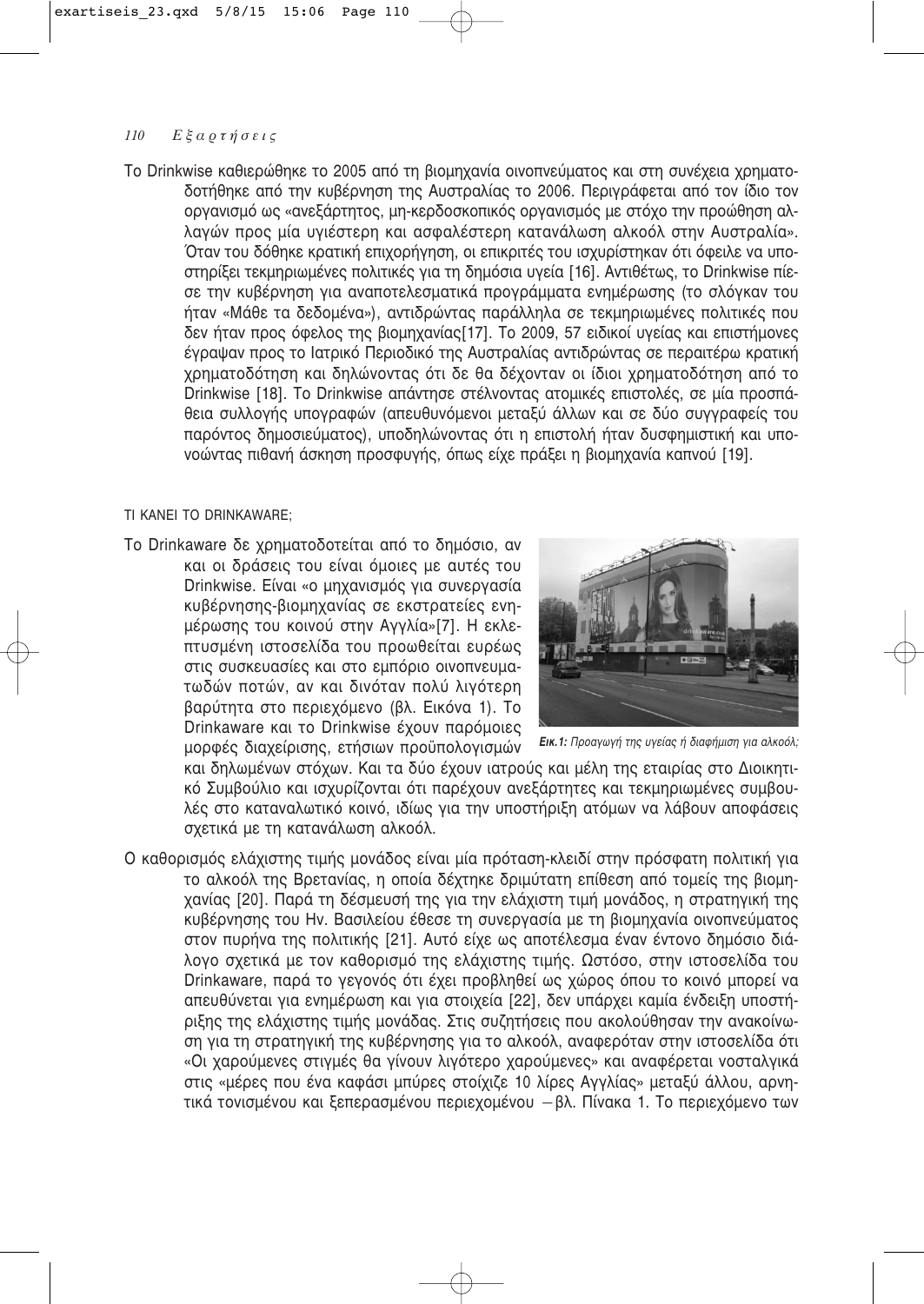Το Drinkwise καθιερώθηκε το 2005 από τη βιομηχανία οινοπνεύματος και στη συνέχεια χρηματοδοτήθηκε από την κυβέρνηση της Αυστραλίας το 2006. Περιγράφεται από τον ίδιο τον οργανισμό ως «ανεξάρτητος, μη-κερδοσκοπικός οργανισμός με στόχο την προώθηση αλλαγών προς μία υγιέστερη και ασφαλέστερη κατανάλωση αλκοόλ στην Αυστραλία». Όταν του δόθηκε κρατική επιχορήγηση, οι επικριτές του ισχυρίστηκαν ότι όφειλε να υποστηρίξει τεκμηριωμένες πολιτικές για τη δημόσια υγεία [16]. Αντιθέτως, το Drinkwise πίεσε την κυβέρνηση για αναποτελεσματικά προγράμματα ενημέρωσης (το σλόγκαν του ήταν «Μάθε τα δεδομένα»), αντιδρώντας παράλληλα σε τεκμηριωμένες πολιτικές που δεν ήταν προς όφελος της βιομηχανίας[17]. Το 2009, 57 ειδικοί υγείας και επιστήμονες έγραψαν προς το Ιατρικό Περιοδικό της Αυστραλίας αντιδρώντας σε περαιτέρω κρατική χρηματοδότηση και δηλώνοντας ότι δε θα δέχονταν οι ίδιοι χρηματοδότηση από το Drinkwise [18]. Το Drinkwise απάντησε στέλνοντας ατομικές επιστολές, σε μία προσπάθεια συλλογής υπογραφών (απευθυνόμενοι μεταξύ άλλων και σε δύο συγγραφείς του παρόντος δημοσιεύματος), υποδηλώνοντας ότι η επιστολή ήταν δυσφημιστική και υπονοώντας πιθανή άσκηση προσφυγής, όπως είχε πράξει η βιομηχανία καπνού [19].

# TI KANEI TO DRINKAWARE:

Το Drinkaware δε χρηματοδοτείται από το δημόσιο, αν και οι δράσεις του είναι όμοιες με αυτές του Drinkwise. Είναι «ο μηχανισμός για συνεργασία κυβέρνησης-βιομηχανίας σε εκστρατείες ενημέρωσης του κοινού στην Αγγλία»[7]. Η εκλεπτυσμένη ιστοσελίδα του προωθείται ευρέως στις συσκευασίες και στο εμπόριο οινοπνευματωδών ποτών, αν και δινόταν πολύ λινότερη βαρύτητα στο περιεχόμενο (βλ. Εικόνα 1). Το Drinkaware και το Drinkwise έχουν παρόμοιες μορφές διαχείρισης, ετήσιων προϋπολογισμών



*EIK.1: Προαγωγή της υγείας ή διαφήμιση για αλκοόλ;* 

και δηλωμένων στόχων. Και τα δύο έχουν ιατρούς και μέλη της εταιρίας στο Διοικητικό Συμβούλιο και ισχυρίζονται ότι παρέχουν ανεξάρτητες και τεκμηριωμένες συμβουλές στο καταναλωτικό κοινό, ιδίως για την υποστήριξη ατόμων να λάβουν αποφάσεις σχετικά με τη κατανάλωση αλκοόλ.

Ο καθορισμός ελάχιστης τιμής μονάδος είναι μία πρόταση-κλειδί στην πρόσφατη πολιτική για το αλκοόλ της Βρετανίας, η οποία δέχτηκε δριμύτατη επίθεση από τομείς της βιομηχανίας [20]. Παρά τη δέσμευσή της για την ελάχιστη τιμή μονάδος, η στρατηγική της κυβέρνησης του Hv. Βασιλείου έθεσε τη συνεργασία με τη βιομηχανία οινοπνεύματος στον πυρήνα της πολιτικής [21]. Αυτό είχε ως αποτέλεσμα έναν έντονο δημόσιο διάλογο σχετικά με τον καθορισμό της ελάχιστης τιμής. Ωστόσο, στην ιστοσελίδα του Drinkaware, παρά το γεγονός ότι έχει προβληθεί ως χώρος όπου το κοινό μπορεί να απευθύνεται για ενημέρωση και για στοιχεία [22], δεν υπάρχει καμία ένδειξη υποστήριξης της ελάχιστης τιμής μονάδας. Στις συζητήσεις που ακολούθησαν την ανακοίνωση για τη στρατηγική της κυβέρνησης για το αλκοόλ, αναφερόταν στην ιστοσελίδα ότι «Οι χαρούμενες στιγμές θα γίνουν λιγότερο χαρούμενες» και αναφέρεται νοσταλγικά στις «μέρες που ένα καφάσι μπύρες στοίχιζε 10 λίρες Αγγλίας» μεταξύ άλλου, αρνητικά τονισμένου και ξεπερασμένου περιεχομένου – βλ. Πίνακα 1. Το περιεχόμενο των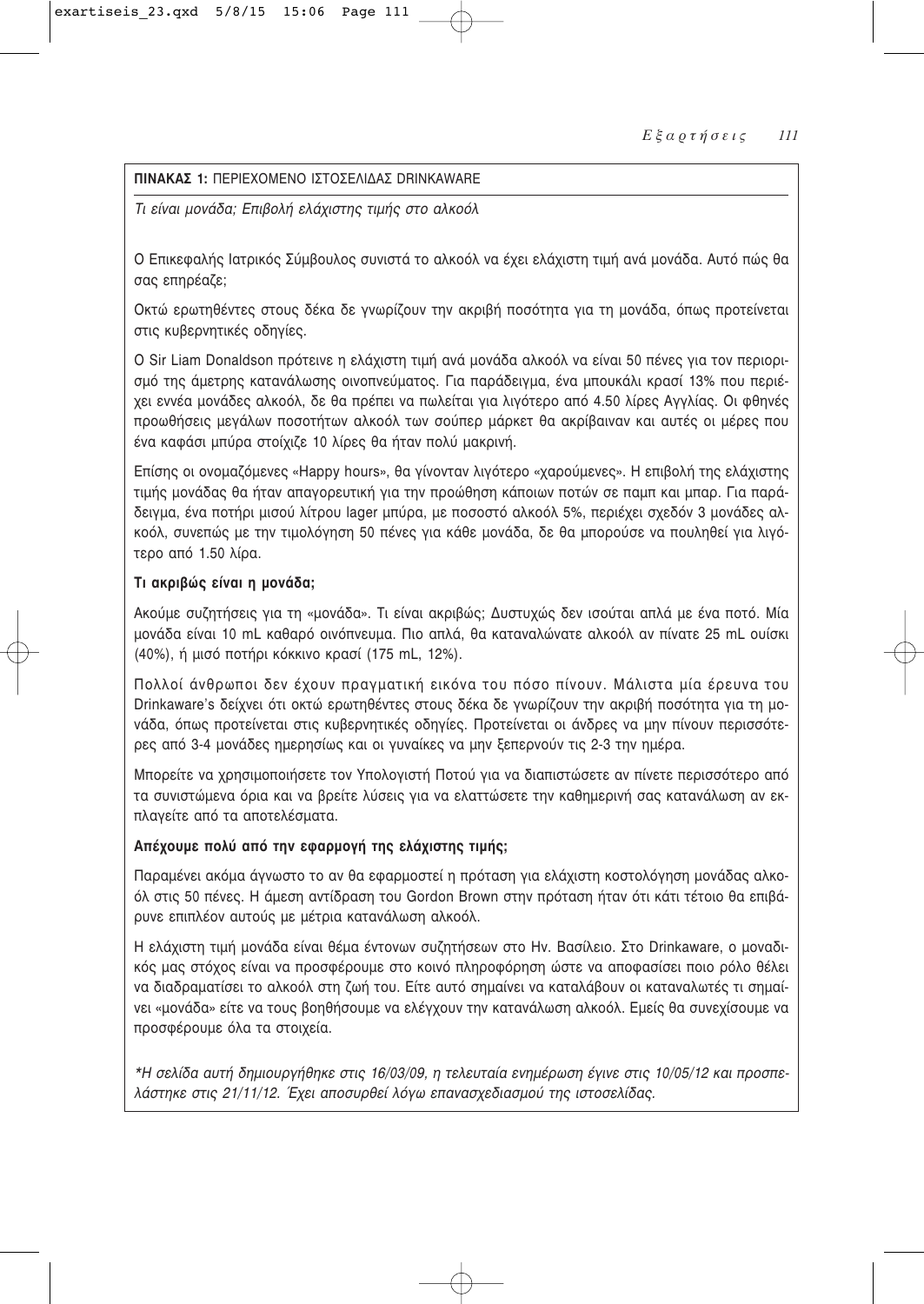# **ΠΙΝΑΚΑΣ 1:** ΠΕΡΙΕΧΟΜΕΝΟ ΙΣΤΟΣΕΛΙΛΑΣ DRINKAWARE

*Τι είναι μονάδα; Επιβολή ελάχιστης τιμής στο αλκοόλ* 

Ο Επικεφαλής Ιατρικός Σύμβουλος συνιστά το αλκοόλ να έχει ελάχιστη τιμή ανά μονάδα. Αυτό πώς θα σας επηρέαζε;

Οκτώ ερωτηθέντες στους δέκα δε γνωρίζουν την ακριβή ποσότητα για τη μονάδα, όπως προτείνεται στις κυβερνητικές οδηνίες.

Ο Sir Liam Donaldson πρότεινε η ελάχιστη τιμή ανά μονάδα αλκοόλ να είναι 50 πένες για τον περιορισμό της άμετρης κατανάλωσης οινοπνεύματος. Για παράδειγμα, ένα μπουκάλι κρασί 13% που περιέχει εννέα μονάδες αλκοόλ, δε θα πρέπει να πωλείται για λιγότερο από 4.50 λίρες Αγγλίας. Οι φθηνές προωθήσεις μεγάλων ποσοτήτων αλκοόλ των σούπερ μάρκετ θα ακρίβαιναν και αυτές οι μέρες που ένα καφάσι μπύρα στοίχιζε 10 λίρες θα ήταν πολύ μακρινή.

Επίσης οι ονομαζόμενες «Happy hours», θα γίνονταν λιγότερο «χαρούμενες». Η επιβολή της ελάχιστης τιμής μονάδας θα ήταν απαγορευτική για την προώθηση κάποιων ποτών σε παμπ και μπαρ. Για παράδειγμα, ένα ποτήρι μισού λίτρου lager μπύρα, με ποσοστό αλκοόλ 5%, περιέχει σχεδόν 3 μονάδες αλ-Κοόλ, συνεπώς με την τιμολόγηση 50 πένες για κάθε μονάδα, δε θα μπορούσε να πουληθεί για λιγότερο από 1.50 λίρα.

# **Τι ακριβώς είναι η μονάδα;**

Aκούμε συζητήσεις για τη «μονάδα». Τι είναι ακριβώς; Δυστυχώς δεν ισούται απλά με ένα ποτό. Μία μονάδα είναι 10 mL καθαρό οινόπνευμα. Πιο απλά, θα καταναλώνατε αλκοόλ αν πίνατε 25 mL ουίσκι (40%), ή μισό ποτήρι κόκκινο κρασί (175 mL, 12%).

Πολλοί άνθρωποι δεν έχουν πραγματική εικόνα του πόσο πίνουν. Μάλιστα μία έρευνα του Drinkaware's δείχνει ότι οκτώ ερωτηθέντες στους δέκα δε γνωρίζουν την ακριβή ποσότητα για τη μονάδα, όπως προτείνεται στις κυβερνητικές οδηγίες. Προτείνεται οι άνδρες να μην πίνουν περισσότερες από 3-4 μονάδες ημερησίως και οι γυναίκες να μην ξεπερνούν τις 2-3 την ημέρα.

Μπορείτε να χρησιμοποιήσετε τον Υπολογιστή Ποτού για να διαπιστώσετε αν πίνετε περισσότερο από τα συνιστώμενα όρια και να βρείτε λύσεις για να ελαττώσετε την καθημερινή σας κατανάλωση αν εκπλαγείτε από τα αποτελέσματα.

# **Απέχουμε πολύ από την εφαρμογή της ελάχιστης τιμής;**

Παραμένει ακόμα άγνωστο το αν θα εφαρμοστεί η πρόταση για ελάχιστη κοστολόγηση μονάδας αλκοόλ στις 50 πένες. Η άμεση αντίδραση του Gordon Brown στην πρόταση ήταν ότι κάτι τέτοιο θα επιβάρυνε επιπλέον αυτούς με μέτρια κατανάλωση αλκοόλ.

Η ελάχιστη τιμή μονάδα είναι θέμα έντονων συζητήσεων στο Ην. Βασίλειο. Στο Drinkaware, ο μοναδικός μας στόχος είναι να προσφέρουμε στο κοινό πληροφόρηση ώστε να αποφασίσει ποιο ρόλο θέλει να διαδραματίσει το αλκοόλ στη ζωή του. Είτε αυτό σημαίνει να καταλάβουν οι καταναλωτές τι σημαίνει «μονάδα» είτε να τους βοηθήσουμε να ελέγχουν την κατανάλωση αλκοόλ. Εμείς θα συνεχίσουμε να προσφέρουμε όλα τα στοιχεία.

*\*Η σελίδα αυτή δημιουργήθηκε στις 16/03/09, η τελευταία ενημέρωση έγινε στις 10/05/12 και προσπε*λάστηκε στις 21/11/12. Έχει αποσυρθεί λόγω επανασχεδιασμού της ιστοσελίδας.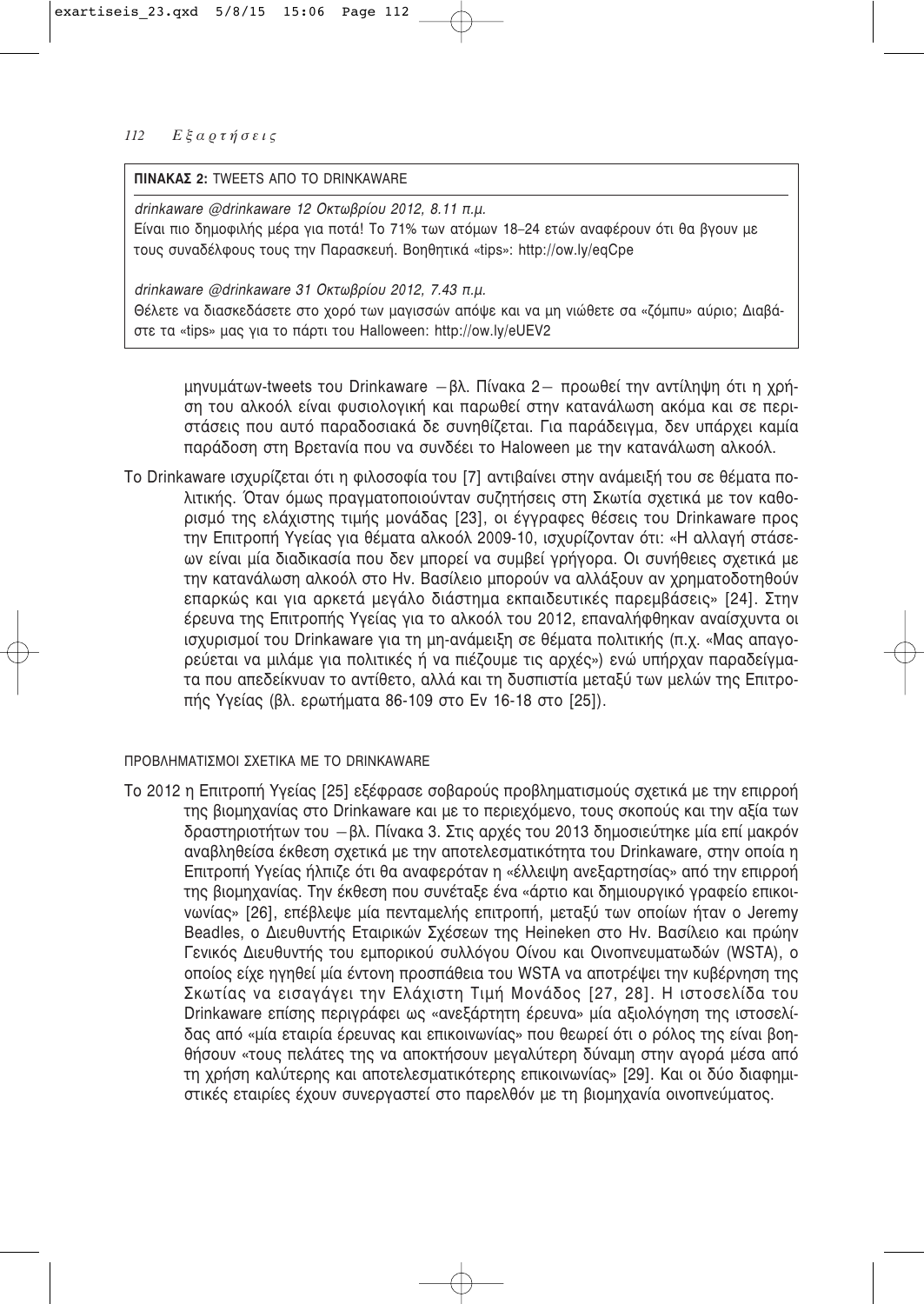# **ΠΙΝΑΚΑΣ 2: TWEETS ΑΠΟ ΤΟ DRINKAWARE**

*drinkaware @drinkaware 12 Οκτωβρίου 2012, 8.11 π.μ.* Είναι πιο δημοφιλής μέρα για ποτά! Το 71% των ατόμων 18–24 ετών αναφέρουν ότι θα βγουν με τους συναδέλφους τους την Παρασκευή. Βοηθητικά «tips»: http://ow.ly/eqCpe

*drinkaware @drinkaware 31 Οκτωβρίου 2012, 7.43 π.μ.* Θέλετε να διασκεδάσετε στο χορό των μαγισσών απόψε και να μη νιώθετε σα «ζόμπυ» αύριο; Διαβάστε τα «tips» μας για το πάρτι του Halloween: http://ow.ly/eUEV2

μηνυμάτων-tweets του Drinkaware - βλ. Πίνακα 2- προωθεί την αντίληψη ότι η χρήση του αλκοόλ είναι φυσιολονική και παρωθεί στην κατανάλωση ακόμα και σε περιστάσεις που αυτό παραδοσιακά δε συνηθίζεται. Για παράδειγμα, δεν υπάρχει καμία παράδοση στη Βρετανία που να συνδέει το Haloween με την κατανάλωση αλκοόλ.

Το Drinkaware ισχυρίζεται ότι η φιλοσοφία του [7] αντιβαίνει στην ανάμειξή του σε θέματα πολιτικής. Όταν όμως πραγματοποιούνταν συζητήσεις στη Σκωτία σχετικά με τον καθορισμό της ελάχιστης τιμής μονάδας [23], οι έγγραφες θέσεις του Drinkaware προς την Επιτροπή Υγείας για θέματα αλκοόλ 2009-10, ισχυρίζονταν ότι: «Η αλλαγή στάσεων είναι μία διαδικασία που δεν μπορεί να συμβεί γρήγορα. Οι συνήθειες σχετικά με την κατανάλωση αλκοόλ στο Hv. Βασίλειο μπορούν να αλλάξουν αν χρηματοδοτηθούν επαρκώς και για αρκετά μεγάλο διάστημα εκπαιδευτικές παρεμβάσεις» [24]. Στην έρευνα της Επιτροπής Υγείας για το αλκοόλ του 2012, επαναλήφθηκαν αναίσχυντα οι ισχυρισμοί του Drinkaware για τη μη-ανάμειξη σε θέματα πολιτικής (π.χ. «Μας απαγορεύεται να μιλάμε για πολιτικές ή να πιέζουμε τις αρχές») ενώ υπήρχαν παραδείγματα που απεδείκνυαν το αντίθετο, αλλά και τη δυσπιστία μεταξύ των μελών της Επιτροπής Υγείας (βλ. ερωτήματα 86-109 στο Εν 16-18 στο [25]).

# ΠΡΟΒΛΗΜΑΤΙΣΜΟΙ ΣΧΕΤΙΚΑ ΜΕ ΤΟ DRINKAWARE

Το 2012 η Επιτροπή Υνείας [25] εξέφρασε σοβαρούς προβληματισμούς σχετικά με την επιρροή της βιομηχανίας στο Drinkaware και με το περιεχόμενο, τους σκοπούς και την αξία των δραστηριοτήτων του – βλ. Πίνακα 3. Στις αρχές του 2013 δημοσιεύτηκε μία επί μακρόν αναβληθείσα έκθεση σχετικά με την αποτελεσματικότητα του Drinkaware, στην οποία η Επιτροπή Υγείας ήλπιζε ότι θα αναφερόταν η «έλλειψη ανεξαρτησίας» από την επιρροή της βιομηχανίας. Την έκθεση που συνέταξε ένα «άρτιο και δημιουργικό γραφείο επικοιvωνίας» [26], επέβλεψε μία πενταμελής επιτροπή, μεταξύ των οποίων ήταν ο Jeremy Beadles, ο Διευθυντής Εταιρικών Σχέσεων της Heineken στο Ην. Βασίλειο και πρώην Γενικός Διευθυντής του εμπορικού συλλόγου Οίνου και Οινοπνευματωδών (WSTA), ο οποίος είχε ηγηθεί μία έντονη προσπάθεια του WSTA να αποτρέψει την κυβέρνηση της Σκωτίας να εισαγάγει την Ελάχιστη Τιμή Μονάδος [27, 28]. Η ιστοσελίδα του Drinkaware επίσης περιγράφει ως «ανεξάρτητη έρευνα» μία αξιολόγηση της ιστοσελίδας από «μία εταιρία έρευνας και επικοινωνίας» που θεωρεί ότι ο ρόλος της είναι βοηθήσουν «τους πελάτες της να αποκτήσουν μεγαλύτερη δύναμη στην αγορά μέσα από τη χρήση καλύτερης και αποτελεσματικότερης επικοινωνίας» [29]. Και οι δύο διαφημιστικές εταιρίες έχουν συνεργαστεί στο παρελθόν με τη βιομηχανία οινοπνεύματος.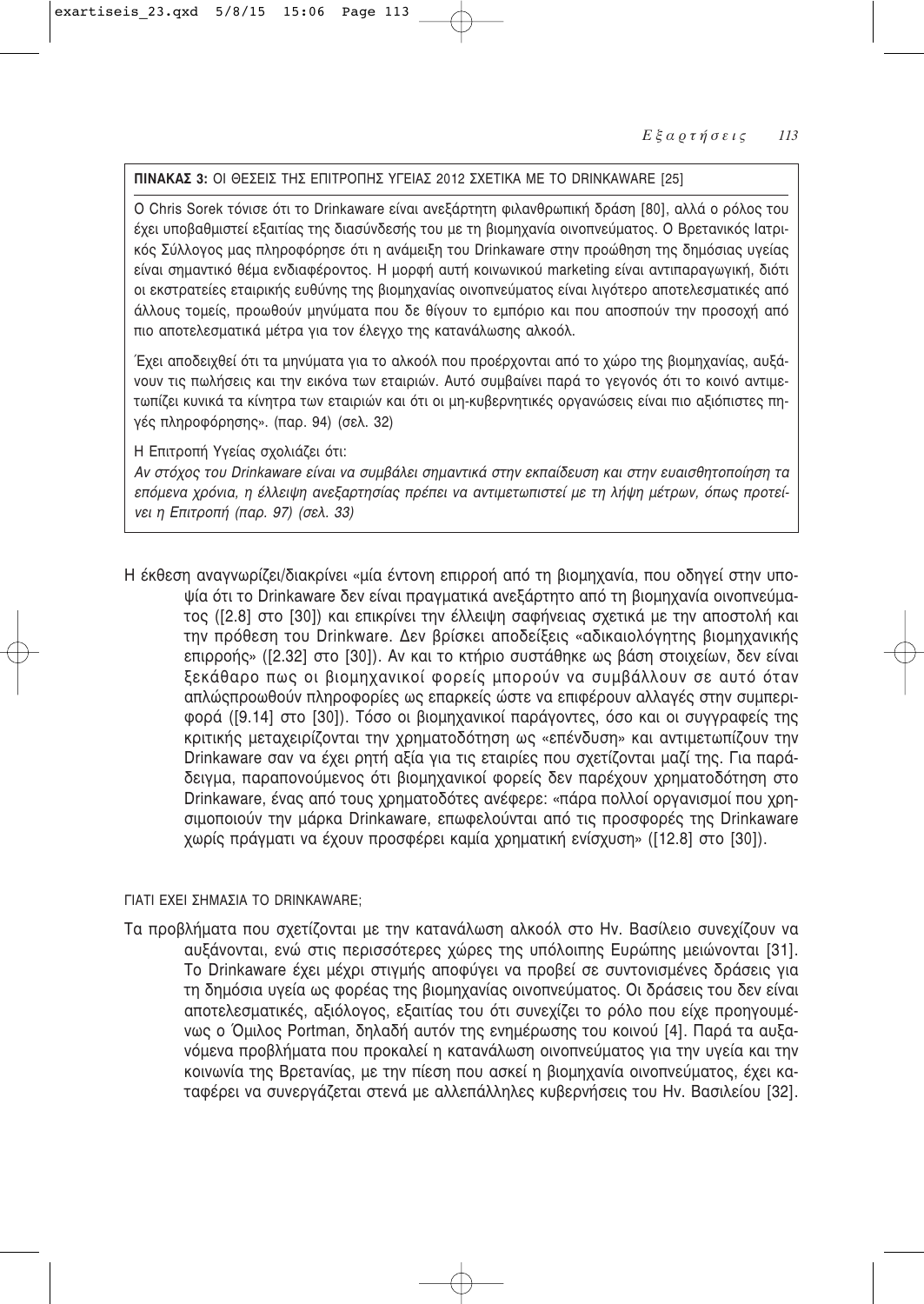# **ΠΙΝΑΚΑΣ 3:** ΟΙ ΘΕΣΕΙΣ ΤΗΣ ΕΠΙΤΡΟΠΗΣ ΥΓΕΙΑΣ 2012 ΣΧΕΤΙΚΑ ΜΕ ΤΟ DRINKAWARE [25]

Ο Chris Sorek τόνισε ότι το Drinkaware είναι ανεξάρτητη φιλανθρωπική δράση [80], αλλά ο ρόλος του έχει υποβαθμιστεί εξαιτίας της διασύνδεσής του με τη βιομηχανία οινοπνεύματος. Ο Βρετανικός Ιατρικός Σύλλογος μας πληροφόρησε ότι η ανάμειξη του Drinkaware στην προώθηση της δημόσιας υγείας είναι σημαντικό θέμα ενδιαφέροντος. Η μορφή αυτή κοινωνικού marketing είναι αντιπαραγωγική, διότι οι εκστρατείες εταιρικής ευθύνης της βιομηγανίας οινοπνεύματος είναι λινότερο αποτελεσματικές από άλλους τομείς, προωθούν μηνύματα που δε θίγουν το εμπόριο και που αποσπούν την προσοχή από πιο αποτελεσματικά μέτρα για τον έλεγχο της κατανάλωσης αλκοόλ.

Έχει αποδειχθεί ότι τα μηνύματα για το αλκοόλ που προέρχονται από το χώρο της βιομηχανίας, αυξά-VOUV τις πωλήσεις και την εικόνα των εταιριών. Αυτό συμβαίνει παρά το γεγονός ότι το κοινό αντιμετωπίζει κυνικά τα κίνητρα των εταιριών και ότι οι μη-κυβερνητικές οργανώσεις είναι πιο αξιόπιστες πηγές πληροφόρησης». (παρ. 94) (σελ. 32)

Η Επιτροπή Υνείας σχολιάζει ότι:

Aν στόχος του Drinkaware είναι να συμβάλει σημαντικά στην εκπαίδευση και στην ευαισθητοποίηση τα επόμενα χρόνια, η έλλειψη ανεξαρτησίας πρέπει να αντιμετωπιστεί με τη λήψη μέτρων, όπως προτεί-*Vει η Επιτροπή (παρ. 97) (σελ. 33)* 

Η έκθεση αναγγωρίζει/διακρίνει «μία έντονη επιρροή από τη βιομηγανία, που οδηγεί στην υποψία ότι το Drinkaware δεν είναι πραγματικά ανεξάρτητο από τη βιομηχανία οινοπνεύματος ([2.8] στο [30]) και επικρίνει την έλλειψη σαφήνειας σχετικά με την αποστολή και την πρόθεση του Drinkware. Δεν βρίσκει αποδείξεις «αδικαιολόγητης βιομηχανικής επιρροής» ([2.32] στο [30]). Αν και το κτήριο συστάθηκε ως βάση στοιχείων, δεν είναι ξεκάθαρο πως οι βιομηχανικοί φορείς μπορούν να συμβάλλουν σε αυτό όταν απλώςπροωθούν πληροφορίες ως επαρκείς ώστε να επιφέρουν αλλαγές στην συμπεριφορά ([9.14] στο [30]). Τόσο οι βιομηχανικοί παράγοντες, όσο και οι συγγραφείς της Κριτικής μεταχειρίζονται την χρηματοδότηση ως «επένδυση» και αντιμετωπίζουν την Drinkaware σαν να έχει ρητή αξία για τις εταιρίες που σχετίζονται μαζί της. Για παράδειγμα, παραπονούμενος ότι βιομηχανικοί φορείς δεν παρέχουν χρηματοδότηση στο Drinkaware, ένας από τους χρηματοδότες ανέφερε: «πάρα πολλοί οργανισμοί που χρησιμοποιούν την μάρκα Drinkaware, επωφελούνται από τις προσφορές της Drinkaware χωρίς πράγματι να έχουν προσφέρει καμία χρηματική ενίσχυση» ([12.8] στο [30]).

# ΓΙΑΤΙ ΕΧΕΙ ΣΗΜΑΣΙΑ ΤΟ DRINKAWARE;

Τα προβλήματα που σχετίζονται με την κατανάλωση αλκοόλ στο Ην. Βασίλειο συνεχίζουν να αυξάνονται, ενώ στις περισσότερες χώρες της υπόλοιπης Ευρώπης μειώνονται [31]. Το Drinkaware έχει μέχρι στιγμής αποφύγει να προβεί σε συντονισμένες δράσεις για τη δημόσια υγεία ως φορέας της βιομηχανίας οινοπνεύματος. Οι δράσεις του δεν είναι αποτελεσματικές, αξιόλογος, εξαιτίας του ότι συνεχίζει το ρόλο που είχε προηγουμένως ο Όμιλος Portman, δηλαδή αυτόν της ενημέρωσης του κοινού [4]. Παρά τα αυξανόμενα προβλήματα που προκαλεί η κατανάλωση οινοπνεύματος για την υγεία και την κοινωνία της Βρετανίας, με την πίεση που ασκεί η βιομηχανία οινοπνεύματος, έχει καταφέρει να συνεργάζεται στενά με αλλεπάλληλες κυβερνήσεις του Ην. Βασιλείου [32].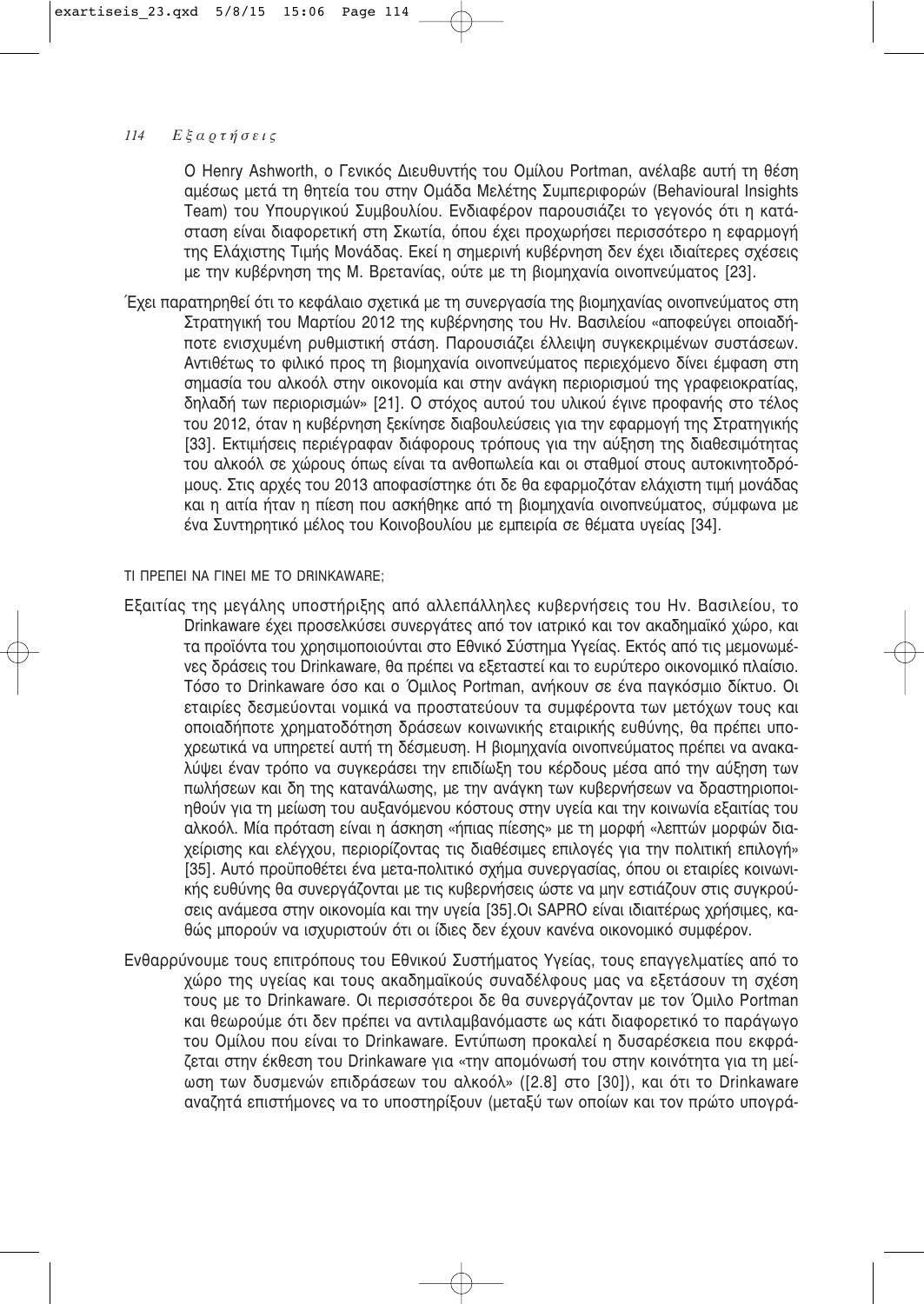Ο Henry Ashworth, ο Γενικός Διευθυντής του Ομίλου Portman, ανέλαβε αυτή τη θέση αμέσως μετά τη θητεία του στην Ομάδα Μελέτης Συμπεριφορών (Behavioural Insights Team) του Υπουργικού Συμβουλίου. Ενδιαφέρον παρουσιάζει το γεγονός ότι η κατάσταση είναι διαφορετική στη Σκωτία, όπου έχει προχωρήσει περισσότερο η εφαρμογή της Ελάχιστης Τιμής Μονάδας. Εκεί η σημερινή κυβέρνηση δεν έχει ιδιαίτερες σχέσεις με την κυβέρνηση της Μ. Βρετανίας, ούτε με τη βιομηχανία οινοπνεύματος [23].

Έχει παρατηρηθεί ότι το κεφάλαιο σχετικά με τη συνεργασία της βιομηχανίας οινοπνεύματος στη Στρατηγική του Μαρτίου 2012 της κυβέρνησης του Ην. Βασιλείου «αποφεύγει οποιαδήποτε ενισχυμένη ρυθμιστική στάση. Παρουσιάζει έλλειψη συγκεκριμένων συστάσεων. Aντιθέτως το φιλικό προς τη βιομηχανία οινοπνεύματος περιεχόμενο δίνει έμφαση στη σημασία του αλκοόλ στην οικονομία και στην ανάγκη περιορισμού της γραφειοκρατίας, δηλαδή των περιορισμών» [21]. Ο στόχος αυτού του υλικού έγινε προφανής στο τέλος του 2012, όταν η κυβέρνηση ξεκίνησε διαβουλεύσεις για την εφαρμογή της Στρατηγικής [33]. Εκτιμήσεις περιέγραφαν διάφορους τρόπους για την αύξηση της διαθεσιμότητας του αλκοόλ σε χώρους όπως είναι τα ανθοπωλεία και οι σταθμοί στους αυτοκινητοδρόμους. Στις αρχές του 2013 αποφασίστηκε ότι δε θα εφαρμοζόταν ελάχιστη τιμή μονάδας και η αιτία ήταν η πίεση που ασκήθηκε από τη βιομηχανία οινοπνεύματος, σύμφωνα με ένα Συντηρητικό μέλος του Κοινοβουλίου με εμπειρία σε θέματα υγείας [34].

TI ΠΡΕΠΕΙ ΝΑ ΓΙΝΕΙ ΜΕ ΤΟ DRINKAWARE:

- Εξαιτίας της μεγάλης υποστήριξης από αλλεπάλληλες κυβερνήσεις του Hv. Βασιλείου, το Drinkaware έχει προσελκύσει συνεργάτες από τον ιατρικό και τον ακαδημαϊκό χώρο, και τα προϊόντα του χρησιμοποιούνται στο Εθνικό Σύστημα Υγείας. Εκτός από τις μεμονωμέ-Vες δράσεις του Drinkaware, θα πρέπει να εξεταστεί και το ευρύτερο οικονομικό πλαίσιο. Tόσο το Drinkaware όσο και ο Όμιλος Portman, ανήκουν σε ένα πανκόσμιο δίκτυο. Οι εταιρίες δεσμεύονται νομικά να προστατεύουν τα συμφέροντα των μετόχων τους και οποιαδήποτε χρηματοδότηση δράσεων κοινωνικής εταιρικής ευθύνης, θα πρέπει υποχρεωτικά να υπηρετεί αυτή τη δέσμευση. Η βιομηχανία οινοπνεύματος πρέπει να ανακαλύψει έναν τρόπο να συγκεράσει την επιδίωξη του κέρδους μέσα από την αύξηση των πωλήσεων και δη της κατανάλωσης, με την ανάγκη των κυβερνήσεων να δραστηριοποιηθούν για τη μείωση του αυξανόμενου κόστους στην υγεία και την κοινωνία εξαιτίας του αλκοόλ. Μία πρόταση είναι η άσκηση «ήπιας πίεσης» με τη μορφή «λεπτών μορφών διαχείρισης και ελέγχου, περιορίζοντας τις διαθέσιμες επιλογές για την πολιτική επιλογή» [35]. Αυτό προϋποθέτει ένα μετα-πολιτικό σχήμα συνεργασίας, όπου οι εταιρίες κοινωνικής ευθύνης θα συνεργάζονται με τις κυβερνήσεις ώστε να μην εστιάζουν στις συγκρούσεις ανάμεσα στην οικονομία και την υγεία [35].Οι SAPRO είναι ιδιαιτέρως χρήσιμες, καθώς μπορούν να ισχυριστούν ότι οι ίδιες δεν έχουν κανένα οικονομικό συμφέρον.
- Ενθαρρύνουμε τους επιτρόπους του Εθνικού Συστήματος Υγείας, τους επαγγελματίες από το χώρο της υγείας και τους ακαδημαϊκούς συναδέλφους μας να εξετάσουν τη σχέση τους με το Drinkaware. Οι περισσότεροι δε θα συνεργάζονταν με τον Όμιλο Portman και θεωρούμε ότι δεν πρέπει να αντιλαμβανόμαστε ως κάτι διαφορετικό το παράγωγο του Ομίλου που είναι το Drinkaware. Εντύπωση προκαλεί η δυσαρέσκεια που εκφράζεται στην έκθεση του Drinkaware για «την απομόνωσή του στην κοινότητα για τη μείωση των δυσμενών επιδράσεων του αλκοόλ» ([2.8] στο [30]), και ότι το Drinkaware αναζητά επιστήμονες να το υποστηρίξουν (μεταξύ των οποίων και τον πρώτο υπογρά-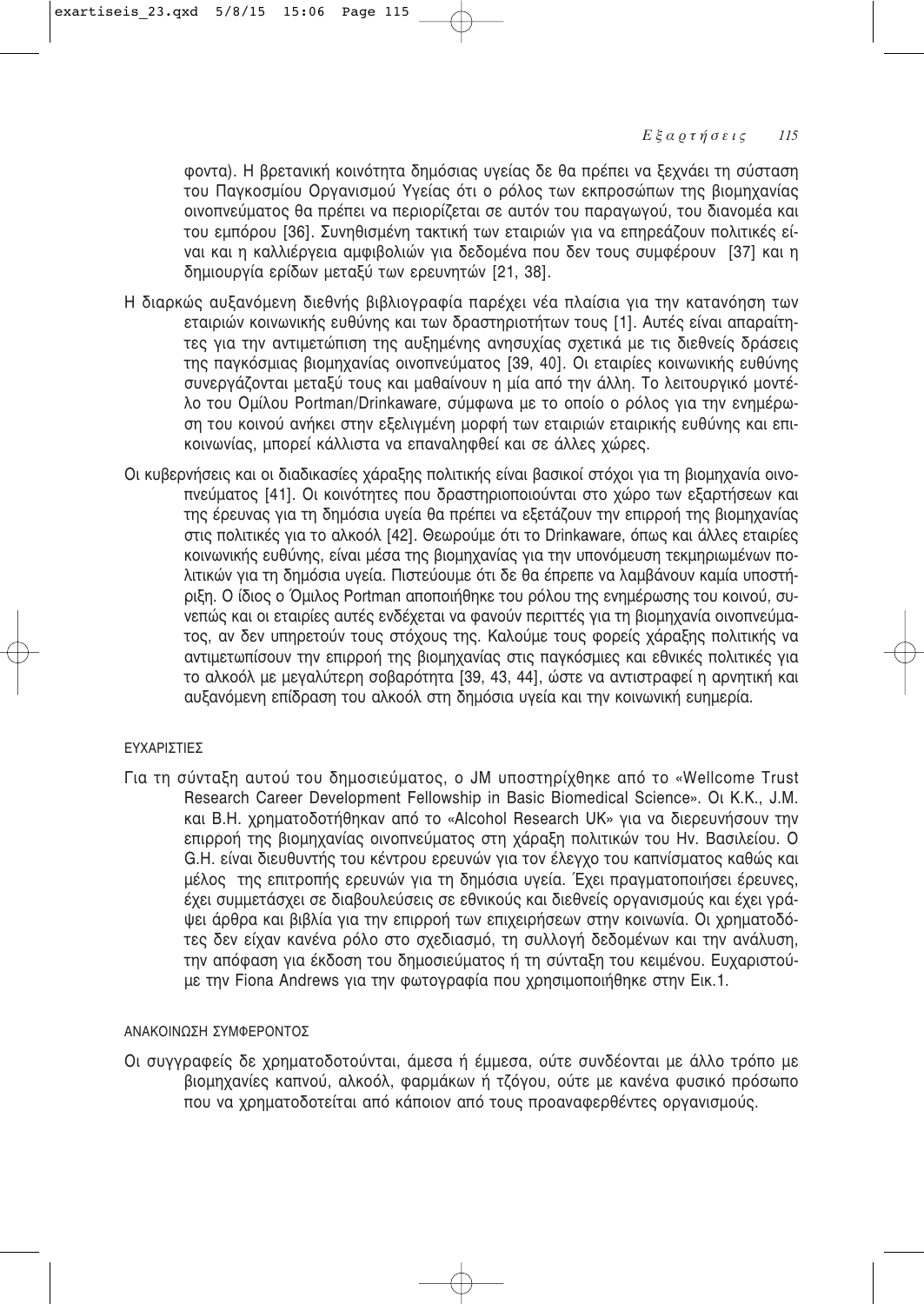φοντα). Η βρετανική κοινότητα δημόσιας υγείας δε θα πρέπει να ξεχνάει τη σύσταση του Παγκοσμίου Οργανισμού Υγείας ότι ο ρόλος των εκπροσώπων της βιομηχανίας οινοπνεύματος θα πρέπει να περιορίζεται σε αυτόν του παραγωγού, του διανομέα και του εμπόρου [36]. Συνηθισμένη τακτική των εταιριών για να επηρεάζουν πολιτικές είναι και η καλλιέργεια αμφιβολιών για δεδομένα που δεν τους συμφέρουν [37] και η δημιουργία ερίδων μεταξύ των ερευνητών [21, 38].

- Η διαρκώς αυξανόμενη διεθνής βιβλιογραφία παρέχει νέα πλαίσια για την κατανόηση των εταιριών κοινωνικής ευθύνης και των δραστηριοτήτων τους [1]. Αυτές είναι απαραίτητες για την αντιμετώπιση της αυξημένης ανησυχίας σχετικά με τις διεθνείς δράσεις της παγκόσμιας βιομηχανίας οινοπνεύματος [39, 40]. Οι εταιρίες κοινωνικής ευθύνης συνεργάζονται μεταξύ τους και μαθαίνουν η μία από την άλλη. Το λειτουργικό μοντέλο του Ομίλου Portman/Drinkaware, σύμφωνα με το οποίο ο ρόλος για την ενημέρωση του κοινού ανήκει στην εξελιγμένη μορφή των εταιριών εταιρικής ευθύνης και επικοινωνίας, μπορεί κάλλιστα να επαναληφθεί και σε άλλες χώρες.
- Οι κυβερνήσεις και οι διαδικασίες χάραξης πολιτικής είναι βασικοί στόχοι για τη βιομηχανία οινοπνεύματος [41]. Οι κοινότητες που δραστηριοποιούνται στο χώρο των εξαρτήσεων και της έρευνας για τη δημόσια υνεία θα πρέπει να εξετάζουν την επιρροή της βιομηχανίας στις πολιτικές για το αλκοόλ [42]. Θεωρούμε ότι το Drinkaware, όπως και άλλες εταιρίες κοινωνικής ευθύνης, είναι μέσα της βιομηχανίας για την υπονόμευση τεκμηριωμένων πολιτικών για τη δημόσια υγεία. Πιστεύουμε ότι δε θα έπρεπε να λαμβάνουν καμία υποστήριξη. Ο ίδιος ο Όμιλος Portman αποποιήθηκε του ρόλου της ενημέρωσης του κοινού, συνεπώς και οι εταιρίες αυτές ενδέχεται να φανούν περιττές για τη βιομηχανία οινοπνεύματος, αν δεν υπηρετούν τους στόχους της. Καλούμε τους φορείς χάραξης πολιτικής να αντιμετωπίσουν την επιρροή της βιομηχανίας στις παγκόσμιες και εθνικές πολιτικές για το αλκοόλ με μεγαλύτερη σοβαρότητα [39, 43, 44], ώστε να αντιστραφεί η αρνητική και αυξανόμενη επίδραση του αλκοόλ στη δημόσια υγεία και την κοινωνική ευημερία.

# ΕΥΧΑΡΙΣΤΙΕΣ

Για τη σύνταξη αυτού του δημοσιεύματος, ο JM υποστηρίχθηκε από το «Wellcome Trust Research Career Development Fellowship in Basic Biomedical Science». OL K.K., J.M. και Β.Η. χρηματοδοτήθηκαν από το «Alcohol Research UK» για να διερευνήσουν την επιρροή της βιομηχανίας οινοπνεύματος στη χάραξη πολιτικών του Ην. Βασιλείου. Ο G.H. είναι διευθυντής του κέντρου ερευνών για τον έλεγχο του καπνίσματος καθώς και μέλος της επιτροπής ερευνών για τη δημόσια υγεία. Έχει πραγματοποιήσει έρευνες, έχει συμμετάσχει σε διαβουλεύσεις σε εθνικούς και διεθνείς οργανισμούς και έχει γράψει άρθρα και βιβλία για την επιρροή των επιχειρήσεων στην κοινωνία. Οι χρηματοδότες δεν είχαν κανένα ρόλο στο σχεδιασμό, τη συλλογή δεδομένων και την ανάλυση, την απόφαση για έκδοση του δημοσιεύματος ή τη σύνταξη του κειμένου. Ευχαριστούμε την Fiona Andrews για την φωτογραφία που χρησιμοποιήθηκε στην Εικ.1.

# ΘΩΦΩΩ ΦΩΩΩΣΗ ΣΥΜΦΕΡΩΝΤΩΣ

Οι συγγραφείς δε χρηματοδοτούνται, άμεσα ή έμμεσα, ούτε συνδέονται με άλλο τρόπο με βιομηχανίες καπνού, αλκοόλ, φαρμάκων ή τζόγου, ούτε με κανένα φυσικό πρόσωπο που να χρηματοδοτείται από κάποιον από τους προαναφερθέντες οργανισμούς.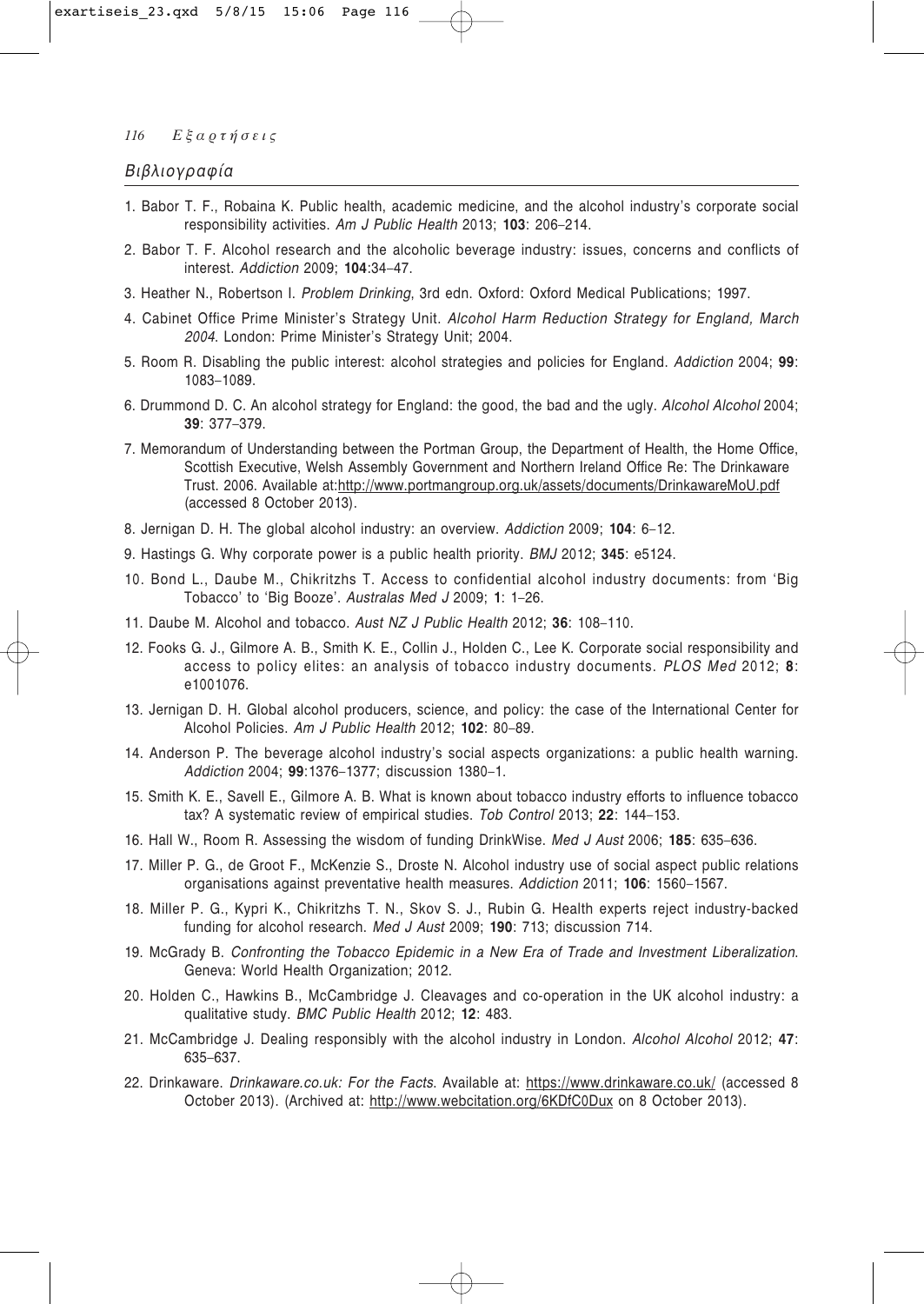# Βιβλιογραφία

- 1. Babor T. F., Robaina K. Public health, academic medicine, and the alcohol industry's corporate social responsibility activities. Am J Public Health 2013; 103: 206-214.
- 2. Babor T. F. Alcohol research and the alcoholic beverage industry: issues, concerns and conflicts of interest. Addiction 2009; 104:34-47.
- 3. Heather N., Robertson I. Problem Drinking, 3rd edn. Oxford: Oxford Medical Publications; 1997.
- 4. Cabinet Office Prime Minister's Strategy Unit. Alcohol Harm Reduction Strategy for England, March 2004. London: Prime Minister's Strategy Unit; 2004.
- 5. Room R. Disabling the public interest: alcohol strategies and policies for England. Addiction 2004; 99: 1083-1089.
- 6. Drummond D. C. An alcohol strategy for England: the good, the bad and the ugly. Alcohol Alcohol 2004; 39: 377-379.
- 7. Memorandum of Understanding between the Portman Group, the Department of Health, the Home Office, Scottish Executive, Welsh Assembly Government and Northern Ireland Office Re: The Drinkaware Trust. 2006. Available at:http://www.portmangroup.org.uk/assets/documents/DrinkawareMoU.pdf (accessed 8 October 2013).
- 8. Jernigan D. H. The global alcohol industry: an overview. Addiction 2009; 104: 6-12.
- 9. Hastings G. Why corporate power is a public health priority. BMJ 2012; 345: e5124.
- 10. Bond L., Daube M., Chikritzhs T. Access to confidential alcohol industry documents: from 'Big Tobacco' to 'Big Booze'. Australas Med J 2009; 1: 1-26.
- 11. Daube M. Alcohol and tobacco. Aust NZ J Public Health 2012; 36: 108-110.
- 12. Fooks G. J., Gilmore A. B., Smith K. E., Collin J., Holden C., Lee K. Corporate social responsibility and access to policy elites: an analysis of tobacco industry documents. PLOS Med 2012; 8: e1001076.
- 13. Jernigan D. H. Global alcohol producers, science, and policy: the case of the International Center for Alcohol Policies. Am J Public Health 2012; 102: 80-89.
- 14. Anderson P. The beverage alcohol industry's social aspects organizations: a public health warning. Addiction 2004; 99:1376-1377; discussion 1380-1.
- 15. Smith K. E., Savell E., Gilmore A. B. What is known about tobacco industry efforts to influence tobacco tax? A systematic review of empirical studies. Tob Control 2013; 22: 144-153.
- 16. Hall W., Room R. Assessing the wisdom of funding DrinkWise. Med J Aust 2006; 185: 635-636.
- 17. Miller P. G., de Groot F., McKenzie S., Droste N. Alcohol industry use of social aspect public relations organisations against preventative health measures. Addiction 2011; 106: 1560-1567.
- 18. Miller P. G., Kypri K., Chikritzhs T. N., Skov S. J., Rubin G. Health experts reject industry-backed funding for alcohol research. Med J Aust 2009; 190: 713; discussion 714.
- 19. McGrady B. Confronting the Tobacco Epidemic in a New Era of Trade and Investment Liberalization. Geneva: World Health Organization; 2012.
- 20. Holden C., Hawkins B., McCambridge J. Cleavages and co-operation in the UK alcohol industry: a qualitative study. BMC Public Health 2012; 12: 483.
- 21. McCambridge J. Dealing responsibly with the alcohol industry in London. Alcohol Alcohol 2012; 47: 635-637.
- 22. Drinkaware. Drinkaware.co.uk: For the Facts. Available at: https://www.drinkaware.co.uk/ (accessed 8 October 2013). (Archived at: http://www.webcitation.org/6KDfC0Dux on 8 October 2013).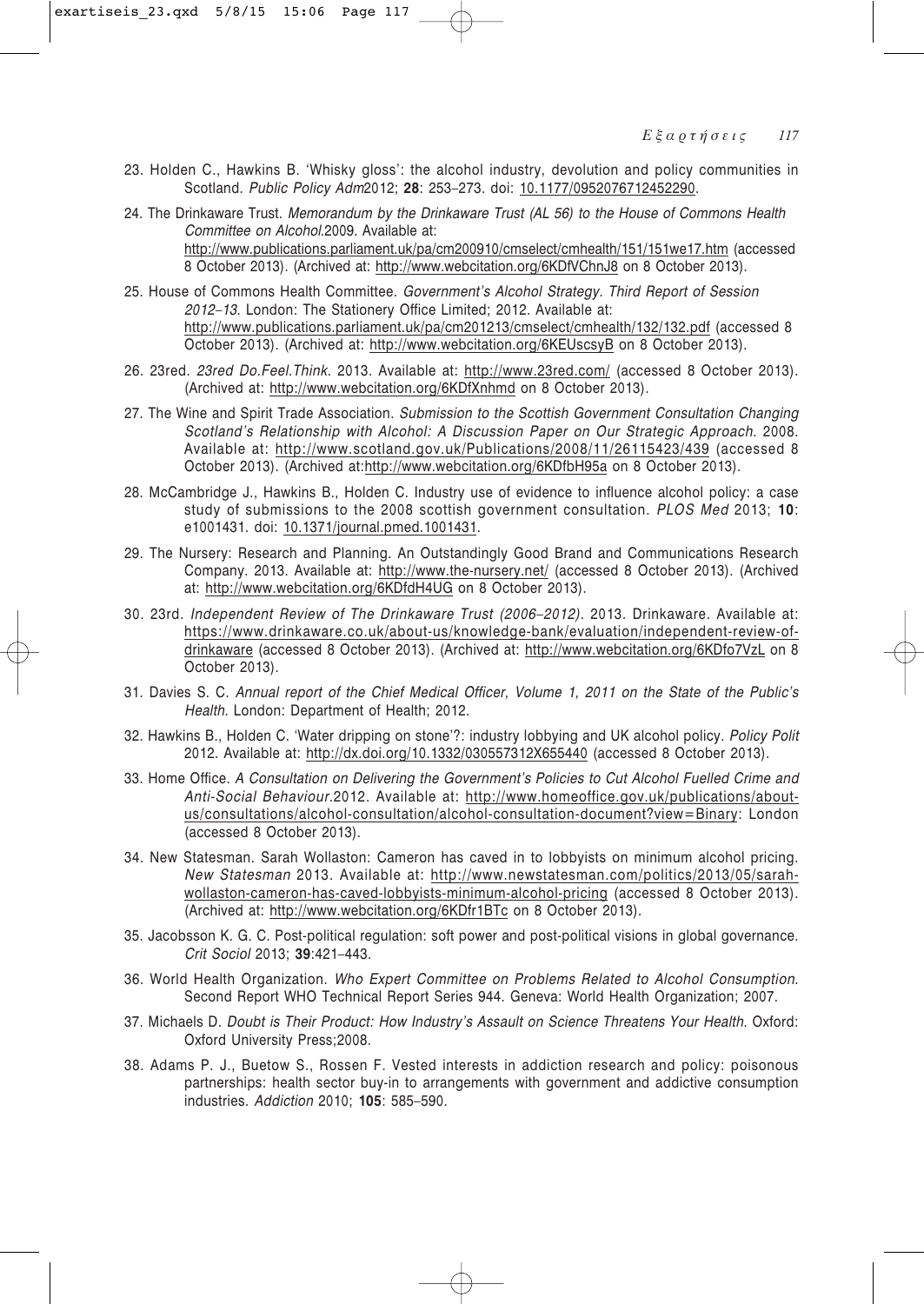- 23. Holden C., Hawkins B. 'Whisky gloss': the alcohol industry, devolution and policy communities in Scotland. *Public Policy Adm*2012; **28**: 253–273. doi: 10.1177/0952076712452290.
- 24. The Drinkaware Trust. *Memorandum by the Drinkaware Trust (AL 56) to the House of Commons Health Committee on Alcohol*.2009. Available at: http://www.publications.parliament.uk/pa/cm200910/cmselect/cmhealth/151/151we17.htm (accessed 8 October 2013). (Archived at: http://www.webcitation.org/6KDfVChnJ8 on 8 October 2013).
- 25. House of Commons Health Committee. *Government's Alcohol Strategy. Third Report of Session 2012–13*. London: The Stationery Office Limited; 2012. Available at: http://www.publications.parliament.uk/pa/cm201213/cmselect/cmhealth/132/132.pdf (accessed 8 October 2013). (Archived at: http://www.webcitation.org/6KEUscsyB on 8 October 2013).
- 26. 23red. *23red Do.Feel.Think*. 2013. Available at: http://www.23red.com/ (accessed 8 October 2013). (Archived at: http://www.webcitation.org/6KDfXnhmd on 8 October 2013).
- 27. The Wine and Spirit Trade Association. *Submission to the Scottish Government Consultation Changing Scotland's Relationship with Alcohol: A Discussion Paper on Our Strategic Approach*. 2008. Available at: http://www.scotland.gov.uk/Publications/2008/11/26115423/439 (accessed 8 October 2013). (Archived at:http://www.webcitation.org/6KDfbH95a on 8 October 2013).
- 28. McCambridge J., Hawkins B., Holden C. Industry use of evidence to influence alcohol policy: a case study of submissions to the 2008 scottish government consultation. *PLOS Med* 2013; **10**: e1001431. doi: 10.1371/journal.pmed.1001431.
- 29. The Nursery: Research and Planning. An Outstandingly Good Brand and Communications Research Company. 2013. Available at: http://www.the-nursery.net/ (accessed 8 October 2013). (Archived at: http://www.webcitation.org/6KDfdH4UG on 8 October 2013).
- 30. 23rd. *Independent Review of The Drinkaware Trust (2006–2012)*. 2013. Drinkaware. Available at: https://www.drinkaware.co.uk/about-us/knowledge-bank/evaluation/independent-review-ofdrinkaware (accessed 8 October 2013). (Archived at: http://www.webcitation.org/6KDfo7VzL on 8 October 2013).
- 31. Davies S. C. *Annual report of the Chief Medical Officer, Volume 1, 2011 on the State of the Public's Health*. London: Department of Health; 2012.
- 32. Hawkins B., Holden C. 'Water dripping on stone'?: industry lobbying and UK alcohol policy. *Policy Polit* 2012. Available at: http://dx.doi.org/10.1332/030557312X655440 (accessed 8 October 2013).
- 33. Home Office. *A Consultation on Delivering the Government's Policies to Cut Alcohol Fuelled Crime and Anti-Social Behaviour*.2012. Available at: http://www.homeoffice.gov.uk/publications/aboutus/consultations/alcohol-consultation/alcohol-consultation-document?view=Binary: London (accessed 8 October 2013).
- 34. New Statesman. Sarah Wollaston: Cameron has caved in to lobbyists on minimum alcohol pricing. *New Statesman* 2013. Available at: http://www.newstatesman.com/politics/2013/05/sarahwollaston-cameron-has-caved-lobbyists-minimum-alcohol-pricing (accessed 8 October 2013). (Archived at: http://www.webcitation.org/6KDfr1BTc on 8 October 2013).
- 35. Jacobsson K. G. C. Post-political regulation: soft power and post-political visions in global governance. *Crit Sociol* 2013; **39**:421–443.
- 36. World Health Organization. *Who Expert Committee on Problems Related to Alcohol Consumption*. Second Report WHO Technical Report Series 944. Geneva: World Health Organization; 2007.
- 37. Michaels D. *Doubt is Their Product: How Industry's Assault on Science Threatens Your Health*. Oxford: Oxford University Press;2008.
- 38. Adams P. J., Buetow S., Rossen F. Vested interests in addiction research and policy: poisonous partnerships: health sector buy-in to arrangements with government and addictive consumption industries. *Addiction* 2010; **105**: 585–590.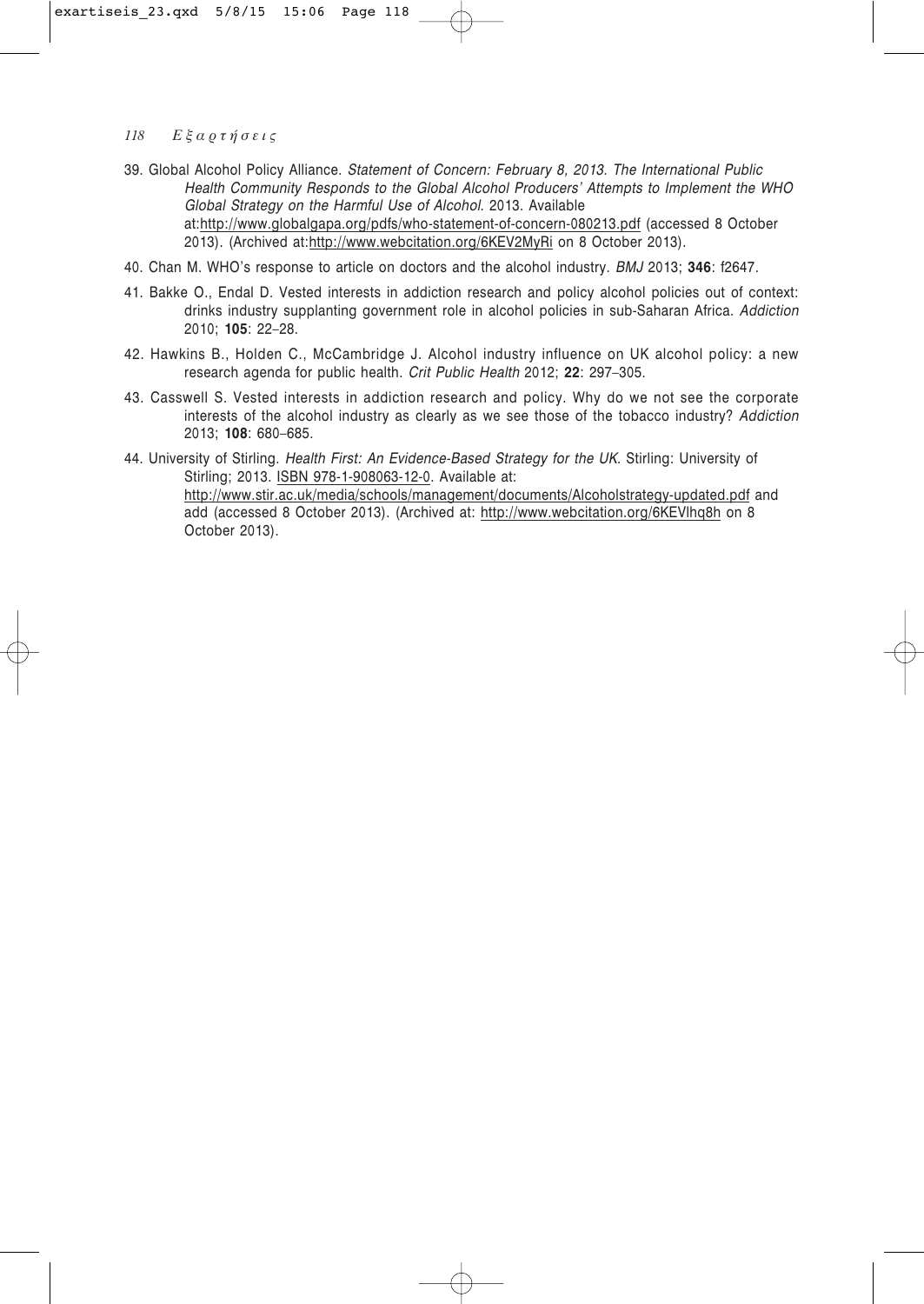- 39. Global Alcohol Policy Alliance. *Statement of Concern: February 8, 2013. The International Public Health Community Responds to the Global Alcohol Producers' Attempts to Implement the WHO Global Strategy on the Harmful Use of Alcohol*. 2013. Available at:http://www.globalgapa.org/pdfs/who-statement-of-concern-080213.pdf (accessed 8 October 2013). (Archived at:http://www.webcitation.org/6KEV2MyRi on 8 October 2013).
- 40. Chan M. WHO's response to article on doctors and the alcohol industry. *BMJ* 2013; **346**: f2647.
- 41. Bakke O., Endal D. Vested interests in addiction research and policy alcohol policies out of context: drinks industry supplanting government role in alcohol policies in sub-Saharan Africa. *Addiction* 2010; **105**: 22–28.
- 42. Hawkins B., Holden C., McCambridge J. Alcohol industry influence on UK alcohol policy: a new research agenda for public health. *Crit Public Health* 2012; **22**: 297–305.
- 43. Casswell S. Vested interests in addiction research and policy. Why do we not see the corporate interests of the alcohol industry as clearly as we see those of the tobacco industry? *Addiction* 2013; **108**: 680–685.
- 44. University of Stirling. *Health First: An Evidence-Based Strategy for the UK*. Stirling: University of Stirling; 2013. ISBN 978-1-908063-12-0. Available at: http://www.stir.ac.uk/media/schools/management/documents/Alcoholstrategy-updated.pdf and add (accessed 8 October 2013). (Archived at: http://www.webcitation.org/6KEVlhq8h on 8 October 2013).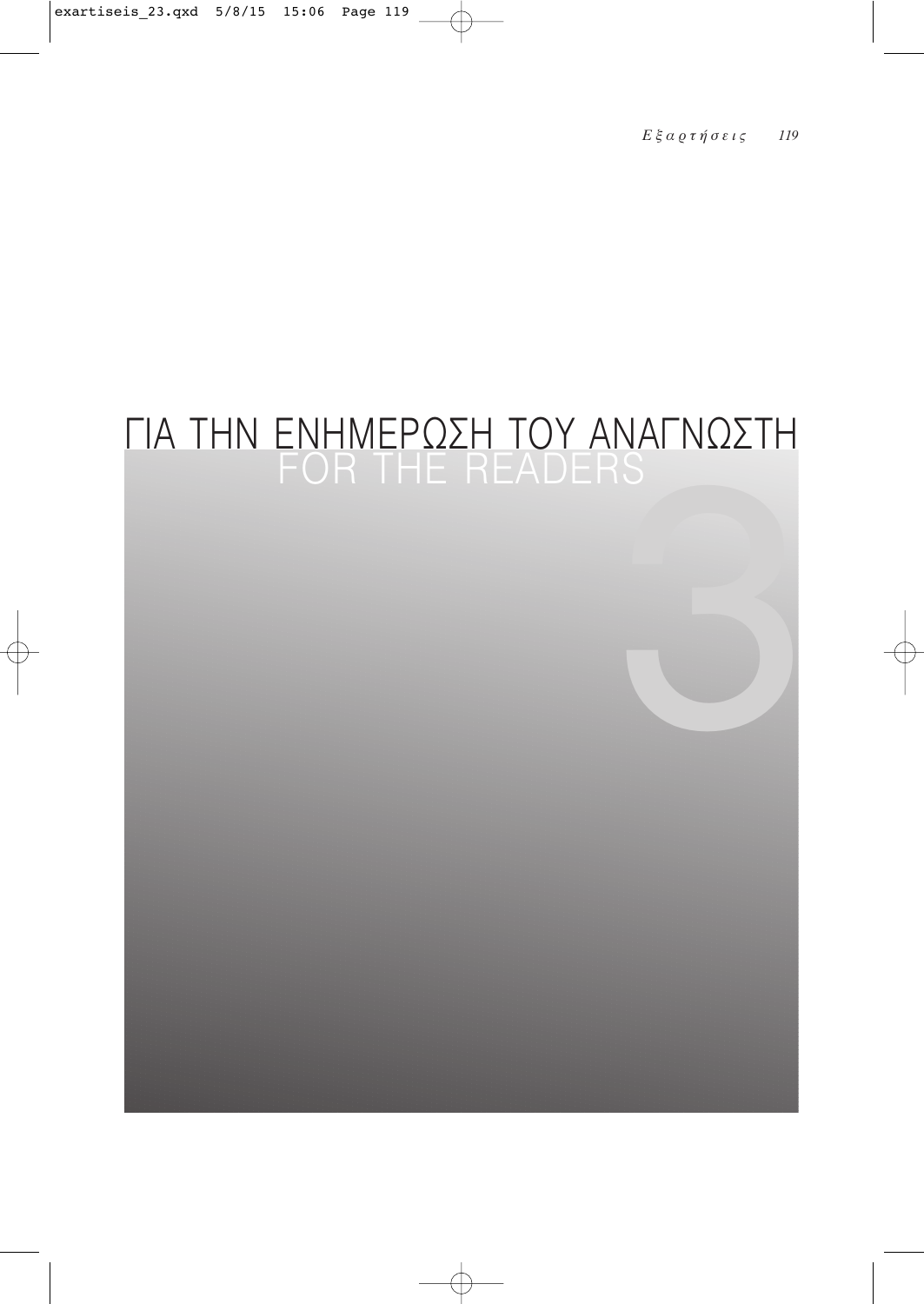# ΓΙΑ ΤΗΝ ΕΝΗΜΕΡΩΣΗ ΤΟΥ ΑΝΑΓΝΩΣΤΗ<br>FOR THE READERS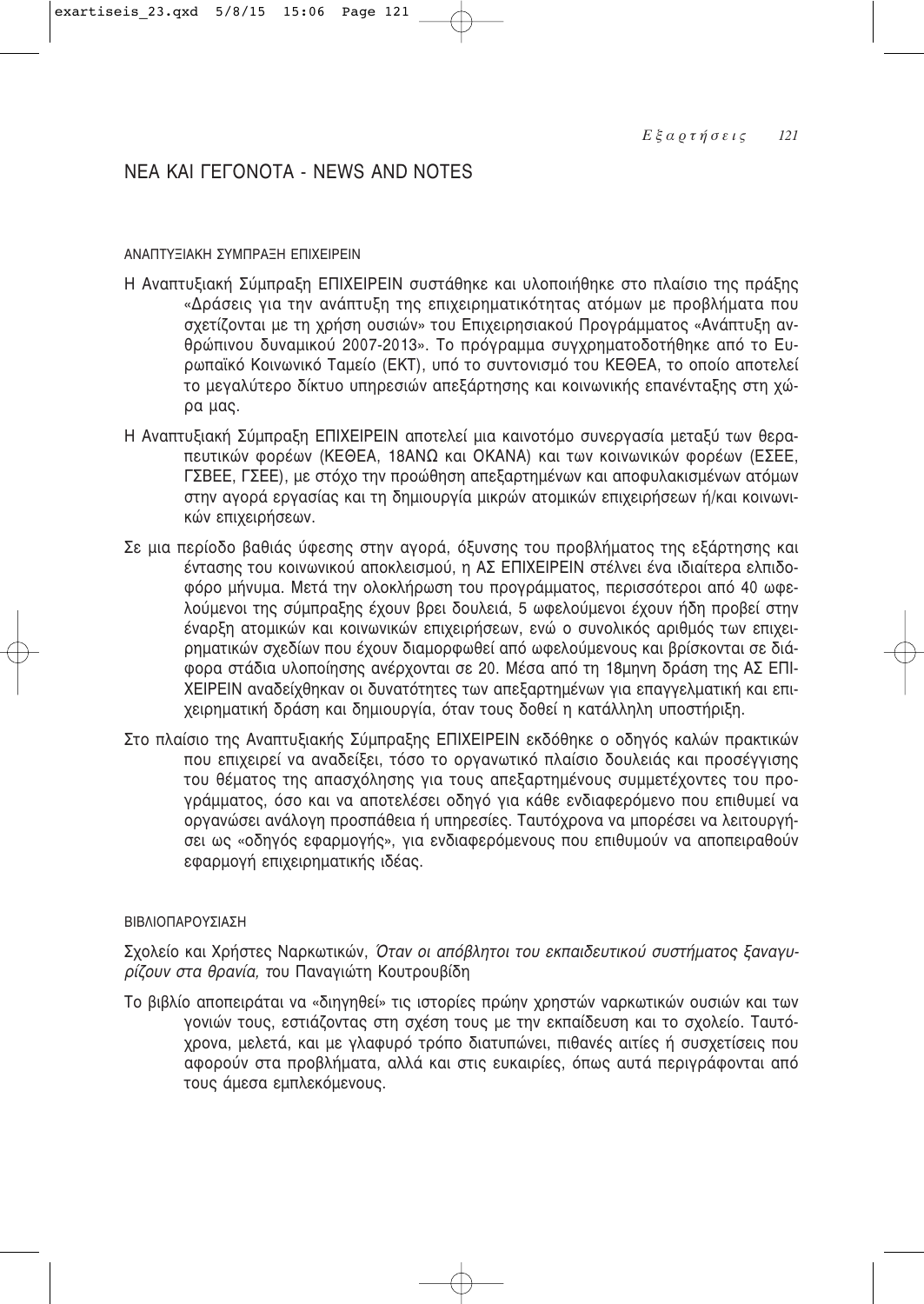# NEA KAI FEFONOTA - NEWS AND NOTES

# ΔΝΑΠΤΥΞΙΑΚΗ ΣΥΜΠΡΑΞΗ ΕΠΙΧΕΙΡΕΙΝ

- Η Αναπτυξιακή Σύμπραξη ΕΠΙΧΕΙΡΕΙΝ συστάθηκε και υλοποιήθηκε στο πλαίσιο της πράξης «Δράσεις για την ανάπτυξη της επιχειρηματικότητας ατόμων με προβλήματα που σχετίζονται με τη χρήση ουσιών» του Επιχειρησιακού Προγράμματος «Ανάπτυξη ανθρώπινου δυναμικού 2007-2013». Το πρόγραμμα συγχρηματοδοτήθηκε από το Euρωπαϊκό Κοινωνικό Ταμείο (ΕΚΤ), υπό το συντονισμό του ΚΕΘΕΑ, το οποίο αποτελεί το μεναλύτερο δίκτυο υπηρεσιών απεξάρτησης και κοινωνικής επανένταξης στη χώρα μας.
- Η Αναπτυξιακή Σύμπραξη ΕΠΙΧΕΙΡΕΙΝ αποτελεί μια καινοτόμο συνεργασία μεταξύ των θεραπευτικών φορέων (ΚΕΘΕΑ, 18ΑΝΩ και ΟΚΑΝΑ) και των κοινωνικών φορέων (ΕΣΕΕ, ΓΣΒΕΕ, ΓΣΕΕ), με στόχο την προώθηση απεξαρτημένων και αποφυλακισμένων ατόμων στην αγορά εργασίας και τη δημιουργία μικρών ατομικών επιχειρήσεων ή/και κοινωνικών επιχειρήσεων.
- Σε μια περίοδο βαθιάς ύφεσης στην αγορά, όξυνσης του προβλήματος της εξάρτησης και έντασης του κοινωνικού αποκλεισμού, η ΑΣ ΕΠΙΧΕΙΡΕΙΝ στέλνει ένα ιδιαίτερα ελπιδοφόρο μήνυμα. Μετά την ολοκλήρωση του προγράμματος, περισσότεροι από 40 ωφελούμενοι της σύμπραξης έχουν βρει δουλειά. 5 ωφελούμενοι έχουν ήδη προβεί στην έναρξη ατομικών και κοινωνικών επιχειρήσεων, ενώ ο συνολικός αριθμός των επιχειρηματικών σχεδίων που έχουν διαμορφωθεί από ωφελούμενους και βρίσκονται σε διά-Φορα στάδια υλοποίησης ανέρχονται σε 20. Μέσα από τη 18μηνη δράση της ΑΣ ΕΠΙ-ΧΕΙΡΕΙΝ αναδείχθηκαν οι δυνατότητες των απεξαρτημένων για επαγγελματική και επιχειρηματική δράση και δημιουργία, όταν τους δοθεί η κατάλληλη υποστήριξη.
- Στο πλαίσιο της Αναπτυξιακής Σύμπραξης ΕΠΙΧΕΙΡΕΙΝ εκδόθηκε ο οδηγός καλών πρακτικών που επιχειρεί να αναδείξει, τόσο το οργανωτικό πλαίσιο δουλειάς και προσέγγισης του θέματος της απασχόλησης για τους απεξαρτημένους συμμετέχοντες του προγράμματος, όσο και να αποτελέσει οδηγό για κάθε ενδιαφερόμενο που επιθυμεί να οργανώσει ανάλογη προσπάθεια ή υπηρεσίες. Ταυτόχρονα να μπορέσει να λειτουργήσει ως «οδηγός εφαρμογής», για ενδιαφερόμενους που επιθυμούν να αποπειοαθούν εφαρμογή επιχειρηματικής ιδέας.

# ΒΙΒΛΙΟΠΑΡΟΥΣΙΑΣΗ

Σχολείο και Χρήστες Ναρκωτικών, *Όταν οι απόβλητοι του εκπαιδευτικού συστήματος ξαναγυρίζουν στα θρανία, τ*ου Πανανιώτη Κουτρουβίδη

Το βιβλίο αποπειράται να «διηγηθεί» τις ιστορίες πρώην χρηστών ναρκωτικών ουσιών και των γονιών τους, εστιάζοντας στη σχέση τους με την εκπαίδευση και το σχολείο. Ταυτόχρονα, μελετά, και με γλαφυρό τρόπο διατυπώνει, πιθανές αιτίες ή συσχετίσεις που αφορούν στα προβλήματα, αλλά και στις ευκαιρίες, όπως αυτά περιγράφονται από τους άμεσα εμπλεκόμενους.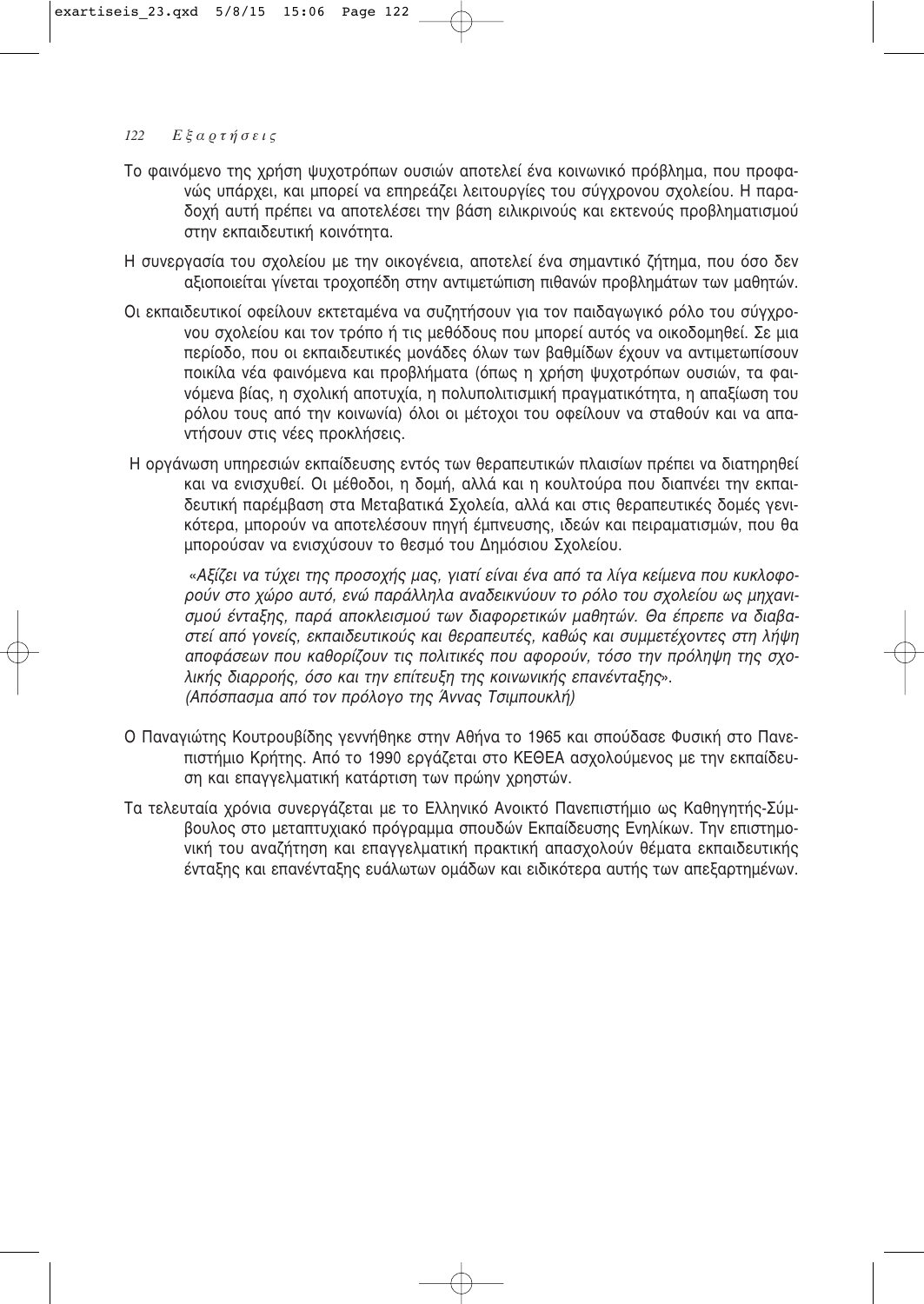- Το φαινόμενο της χρήση ψυχοτρόπων ουσιών αποτελεί ένα κοινωνικό πρόβλημα, που προφανώς υπάρχει, και μπορεί να επηρεάζει λειτουργίες του σύγχρονου σχολείου. Η παραδοχή αυτή πρέπει να αποτελέσει την βάση ειλικρινούς και εκτενούς προβληματισμού στην εκπαιδευτική κοινότητα.
- Η συνεργασία του σχολείου με την οικογένεια, αποτελεί ένα σημαντικό ζήτημα, που όσο δεν αξιοποιείται γίνεται τροχοπέδη στην αντιμετώπιση πιθανών προβλημάτων των μαθητών.
- Οι εκπαιδευτικοί οφείλουν εκτεταμένα να συζητήσουν για τον παιδαγωγικό ρόλο του σύγχρονου σχολείου και τον τρόπο ή τις μεθόδους που μπορεί αυτός να οικοδομηθεί. Σε μια περίοδο, που οι εκπαιδευτικές μονάδες όλων των βαθμίδων έχουν να αντιμετωπίσουν ποικίλα νέα φαινόμενα και προβλήματα (όπως η χρήση ψυχοτρόπων ουσιών, τα φαινόμενα βίας, η σχολική αποτυχία, η πολυπολιτισμική πραγματικότητα, η απαξίωση του ρόλου τους από την κοινωνία) όλοι οι μέτοχοι του οφείλουν να σταθούν και να απαντήσουν στις νέες προκλήσεις.
- Η οργάνωση υπηρεσιών εκπαίδευσης εντός των θεραπευτικών πλαισίων πρέπει να διατηρηθεί και να ενισχυθεί. Οι μέθοδοι, η δομή, αλλά και η κουλτούρα που διαπνέει την εκπαιδευτική παρέμβαση στα Μεταβατικά Σχολεία, αλλά και στις θεραπευτικές δομές γενι-Κότερα, μπορούν να αποτελέσουν πηγή έμπνευσης, ιδεών και πειραματισμών, που θα μπορούσαν να ενισχύσουν το θεσμό του Δημόσιου Σχολείου.

«Αξίζει να τύχει της προσοχής μας, γιατί είναι ένα από τα λίγα κείμενα που κυκλοφορούν στο χώρο αυτό, ενώ παράλληλα αναδεικνύουν το ρόλο του σχολείου ως μηχανισμού ένταξης, παρά αποκλεισμού των διαφορετικών μαθητών. Θα έπρεπε να διαβα-*ÛÙ› ·fi ÁÔÓ›˜, ÂÎ·È‰Â˘ÙÈÎÔ‡˜ Î·È ıÂÚ·Â˘Ù¤˜, ηıÒ˜ Î·È Û˘ÌÌÂÙ¤¯ÔÓÙ˜ ÛÙË Ï‹"Ë* αποφάσεων που καθορίζουν τις πολιτικές που αφορούν, τόσο την πρόληψη της σχο*λικής διαρροής, όσο και την επίτευξη της κοινωνικής επανένταξης».* (Απόσπασμα από τον πρόλογο της Άννας Τσιμπουκλή)

- Ο Παναγιώτης Κουτρουβίδης γεννήθηκε στην Αθήνα το 1965 και σπούδασε Φυσική στο Πανεπιστήμιο Κρήτης. Από το 1990 εργάζεται στο ΚΕΘΕΑ ασχολούμενος με την εκπαίδευση και επαγγελματική κατάρτιση των πρώην χρηστών.
- Τα τελευταία χρόνια συνερνάζεται με το Ελληνικό Ανοικτό Πανεπιστήμιο ως Καθηνητής-Σύμβουλος στο μεταπτυχιακό πρόγραμμα σπουδών Εκπαίδευσης Ενηλίκων. Την επιστημονική του αναζήτηση και επαγγελματική πρακτική απασχολούν θέματα εκπαιδευτικής ένταξης και επανένταξης ευάλωτων ομάδων και ειδικότερα αυτής των απεξαρτημένων.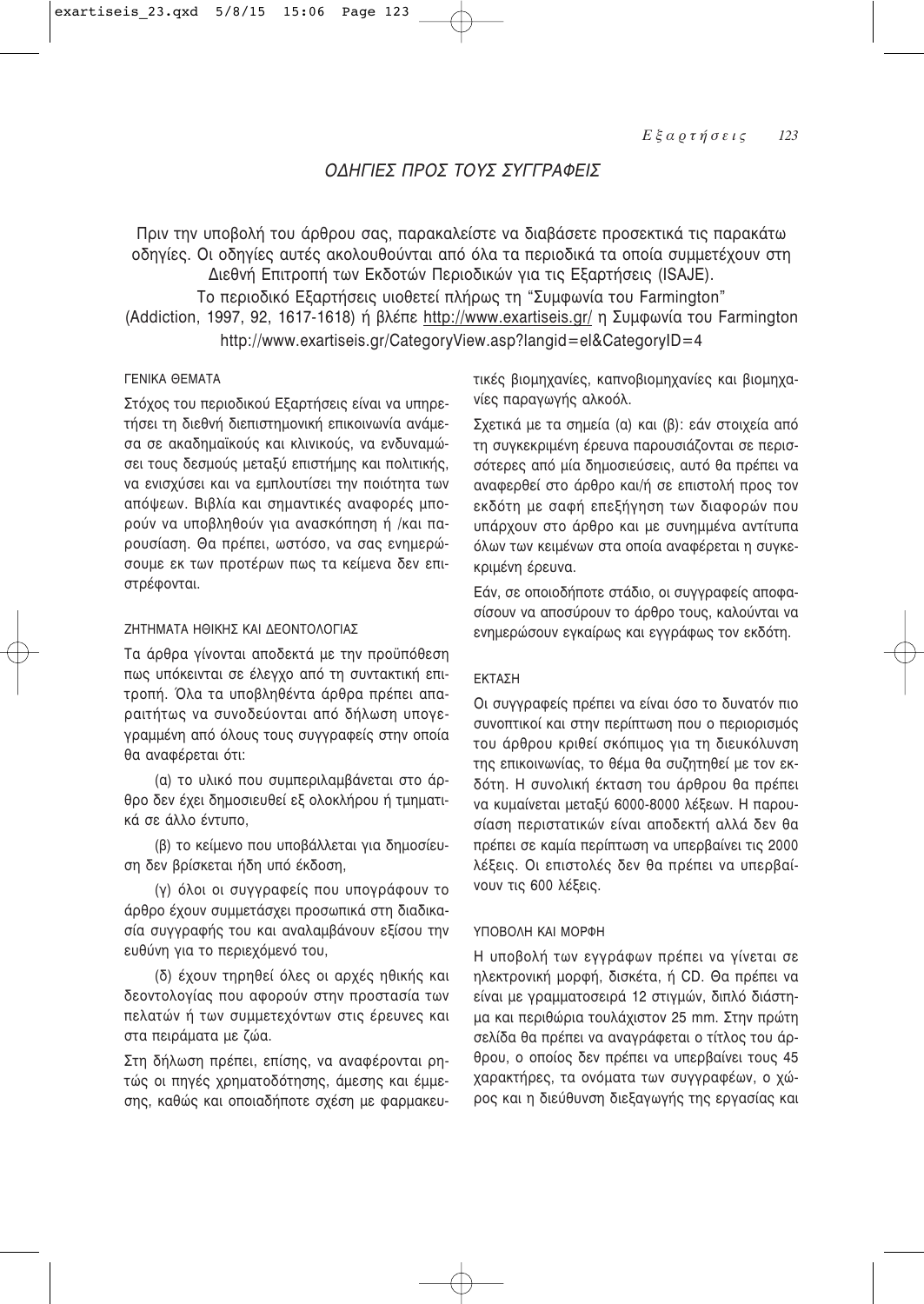# ΟΛΗΓΙΕΣ ΠΡΟΣ ΤΟΥΣ ΣΥΓΓΡΑΦΕΙΣ

Πριν την υποβολή του άρθρου σας, παρακαλείστε να διαβάσετε προσεκτικά τις παρακάτω οδηγίες. Οι οδηγίες αυτές ακολουθούνται από όλα τα περιοδικά τα οποία συμμετέχουν στη Διεθνή Επιτροπή των Εκδοτών Περιοδικών για τις Εξαρτήσεις (ISAJE).

Το περιοδικό Εξαρτήσεις υιοθετεί πλήρως τη "Συμφωνία του Farmington" (Addiction, 1997, 92, 1617-1618) ή βλέπε http://www.exartiseis.gr/ η Συμφωνία του Farmington http://www.exartiseis.gr/CategoryView.asp?langid=el&CategoryID=4

# *ΓΕΝΙΚΑ ΘΕΜΑΤΑ*

Στόχος του περιοδικού Εξαρτήσεις είναι να υπηρετήσει τη διεθνή διεπιστημονική επικοινωνία ανάμεσα σε ακαδημαϊκούς και κλινικούς, να ενδυναμώσει τους δεσμούς μεταξύ επιστήμης και πολιτικής, να ενισχύσει και να εμπλουτίσει την ποιότητα των απόψεων. Βιβλία και σημαντικές αναφορές μπορούν να υποβληθούν για ανασκόπηση ή /και παρουσίαση. Θα πρέπει, ωστόσο, να σας ενημερώσουμε εκ των προτέρων πως τα κείμενα δεν επιστρέφονται.

# ΖΗΤΗΜΑΤΑ ΗΘΙΚΗΣ ΚΑΙ ΛΕΩΝΤΩΛΩΓΙΑΣ

Τα άρθρα γίνονται αποδεκτά με την προϋπόθεση πως υπόκεινται σε έλεγχο από τη συντακτική επιτροπή. Όλα τα υποβληθέντα άρθρα πρέπει απαραιτήτως να συνοδεύονται από δήλωση υπογεγραμμένη από όλους τους συγγραφείς στην οποία θα αναφέρεται ότι:

(α) το υλικό που συμπεριλαμβάνεται στο άρθρο δεν έχει δημοσιευθεί εξ ολοκλήρου ή τμηματικά σε άλλο έντυπο,

(β) το κείμενο που υποβάλλεται για δημοσίευση δεν βρίσκεται ήδη υπό έκδοση.

(γ) όλοι οι συγγραφείς που υπογράφουν το άρθρο έχουν συμμετάσχει προσωπικά στη διαδικασία συγγραφής του και αναλαμβάνουν εξίσου την ευθύνη για το περιεχόμενό του,

(δ) έχουν τηρηθεί όλες οι αρχές ηθικής και δεοντολογίας που αφορούν στην προστασία των πελατών ή των συμμετεχόντων στις έρευνες και στα πειράματα με ζώα.

Στη δήλωση πρέπει, επίσης, να αναφέρονται ρητώς οι πηγές χρηματοδότησης, άμεσης και έμμεσης, καθώς και οποιαδήποτε σχέση με φαρμακευτικές βιομηχανίες, καπνοβιομηχανίες και βιομηχανίες παραγωγής αλκοόλ.

Σχετικά με τα σημεία (α) και (β): εάν στοιχεία από τη συγκεκριμένη έρευνα παρουσιάζονται σε περισσότερες από μία δημοσιεύσεις, αυτό θα πρέπει να αναφερθεί στο άρθρο και/ή σε επιστολή προς τον εκδότη με σαφή επεξήγηση των διαφορών που υπάρχουν στο άρθρο και με συνημμένα αντίτυπα όλων των κειμένων στα οποία αναφέρεται η συγκεκριμένη έρευνα.

Εάν, σε οποιοδήποτε στάδιο, οι συγγραφείς αποφασίσουν να αποσύρουν το άρθρο τους, καλούνται να ενημερώσουν εγκαίρως και εγγράφως τον εκδότη.

## ΕΚΤΑΣΗ

Οι συγγραφείς πρέπει να είναι όσο το δυνατόν πιο συνοπτικοί και στην περίπτωση που ο περιορισμός του άρθρου κριθεί σκόπιμος για τη διευκόλυνση της επικοινωνίας, το θέμα θα συζητηθεί με τον εκδότη. Η συνολική έκταση του άρθρου θα πρέπει να κυμαίνεται μεταξύ 6000-8000 λέξεων. Η παρουσίαση περιστατικών είναι αποδεκτή αλλά δεν θα πρέπει σε καμία περίπτωση να υπερβαίνει τις 2000 λέξεις. Οι επιστολές δεν θα πρέπει να υπερβαίνουν τις 600 λέξεις.

## ΥΠΟΒΟΛΗ ΚΑΙ ΜΟΡΦΗ

Η υποβολή των εγγράφων πρέπει να γίνεται σε ηλεκτρονική μορφή, δισκέτα, ή CD. Θα πρέπει να είναι με γραμματοσειρά 12 στιγμών, διπλό διάστημα και περιθώρια τουλάχιστον 25 mm. Στην πρώτη σελίδα θα πρέπει να αναγράφεται ο τίτλος του άρθρου, ο οποίος δεν πρέπει να υπερβαίνει τους 45 χαρακτήρες, τα ονόματα των συγγραφέων, ο χώρος και η διεύθυνση διεξαγωγής της εργασίας και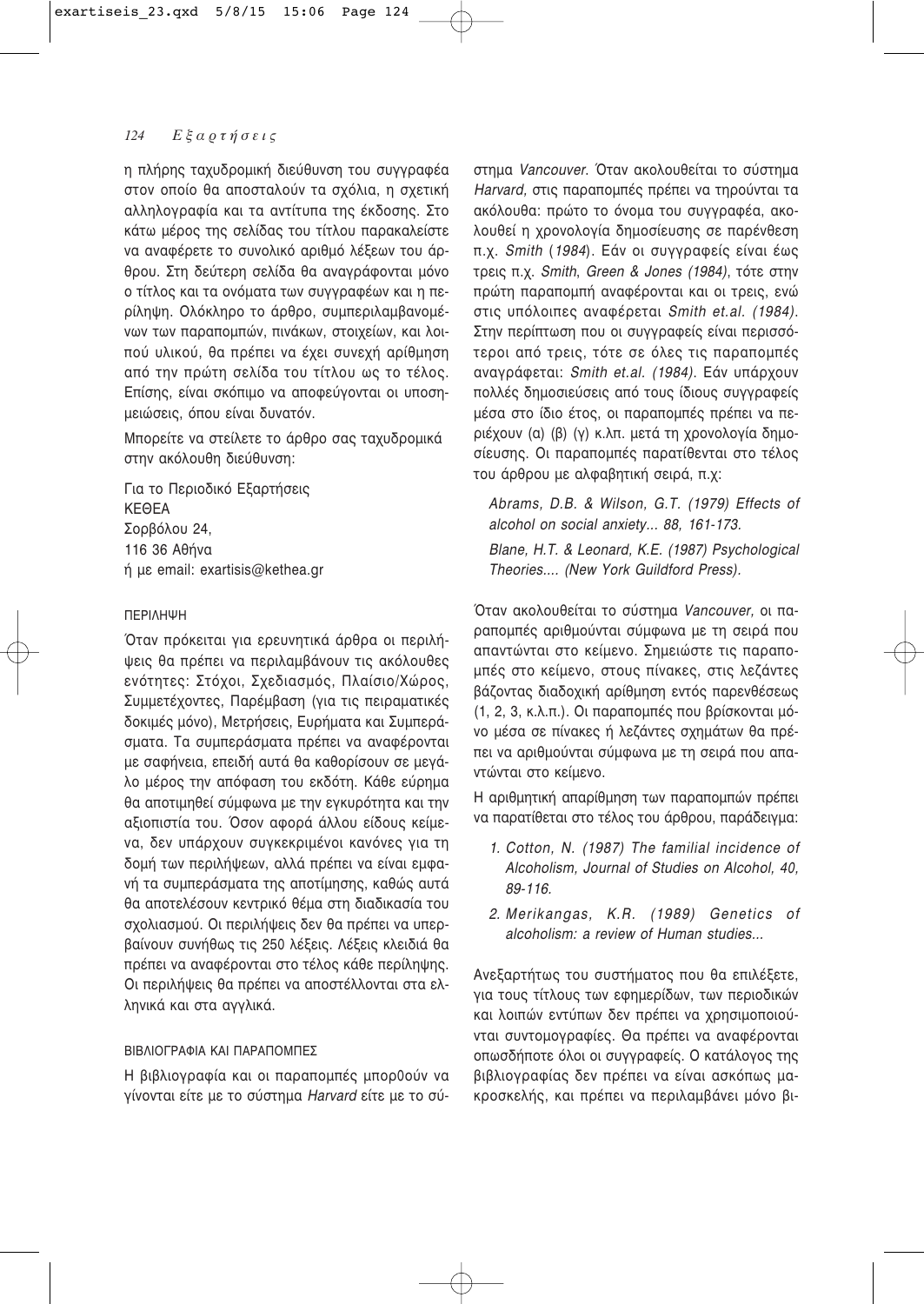η πλήρης ταχυδρομική διεύθυνση του συγγραφέα στον οποίο θα αποσταλούν τα σχόλια, η σχετική αλληλογραφία και τα αντίτυπα της έκδοσης. Στο κάτω μέρος της σελίδας του τίτλου παρακαλείστε να αναφέρετε το συνολικό αριθμό λέξεων του άρθρου. Στη δεύτερη σελίδα θα αναγράφονται μόνο ο τίτλος και τα ονόματα των συγγραφέων και η περίληψη. Ολόκληρο το άρθρο, συμπεριλαμβανομένων των παραπομπών, πινάκων, στοιχείων, και λοιπού υλικού, θα πρέπει να έχει συνεχή αρίθμηση από την πρώτη σελίδα του τίτλου ως το τέλος. Επίσης, είναι σκόπιμο να αποφεύγονται οι υποσημειώσεις, όπου είναι δυνατόν.

Μπορείτε να στείλετε το άρθρο σας ταχυδρομικά στην ακόλουθη διεύθυνση:

Για το Περιοδικό Εξαρτήσεις KEOFA Σορβόλου 24, 116 36 Αθήνα ή με email: exartisis@kethea.gr

# ΠΕΡΙΛΗΨΗ

Όταν πρόκειται για ερευνητικά άρθρα οι περιλήψεις θα πρέπει να περιλαμβάνουν τις ακόλουθες ενότητες: Στόχοι, Σχεδιασμός, Πλαίσιο/Χώρος, Συμμετέχοντες, Παρέμβαση (για τις πειραματικές δοκιμές μόνο), Μετρήσεις, Ευρήματα και Συμπεράσματα. Τα συμπεράσματα πρέπει να αναφέρονται με σαφήνεια, επειδή αυτά θα καθορίσουν σε μεγάλο μέρος την απόφαση του εκδότη. Κάθε εύρημα θα αποτιμηθεί σύμφωνα με την εγκυρότητα και την αξιοπιστία του. Όσον αφορά άλλου είδους κείμενα, δεν υπάρχουν συγκεκριμένοι κανόνες για τη δομή των περιλήψεων, αλλά πρέπει να είναι εμφανή τα συμπεράσματα της αποτίμησης, καθώς αυτά θα αποτελέσουν κεντρικό θέμα στη διαδικασία του σχολιασμού. Οι περιλήψεις δεν θα πρέπει να υπερβαίνουν συνήθως τις 250 λέξεις. Λέξεις κλειδιά θα πρέπει να αναφέρονται στο τέλος κάθε περίληψης. Οι περιλήψεις θα πρέπει να αποστέλλονται στα ελληνικά και στα αγγλικά.

# ΒΙΒΛΙΟΓΡΑΦΙΑ ΚΑΙ ΠΑΡΑΠΟΜΠΕΣ

Η βιβλιογραφία και οι παραπομπές μπορθούν να γίνονται είτε με το σύστημα Harvard είτε με το σύστημα Vancouver. Όταν ακολουθείται το σύστημα Harvard, στις παραπομπές πρέπει να τηρούνται τα ακόλουθα: πρώτο το όνομα του συγγραφέα, ακολουθεί η χρονολογία δημοσίευσης σε παρένθεση π.χ. Smith (1984). Εάν οι συγγραφείς είναι έως τρεις π.χ. Smith, Green & Jones (1984), τότε στην πρώτη παραπομπή αναφέρονται και οι τρεις, ενώ στις υπόλοιπες αναφέρεται Smith et.al. (1984). Στην περίπτωση που οι συγγραφείς είναι περισσότεροι από τρεις, τότε σε όλες τις παραπομπές αναγράφεται: Smith et.al. (1984). Εάν υπάρχουν πολλές δημοσιεύσεις από τους ίδιους συγγραφείς μέσα στο ίδιο έτος, οι παραπομπές πρέπει να περιέχουν (α) (β) (γ) κ.λπ. μετά τη χρονολογία δημοσίευσης. Οι παραπομπές παρατίθενται στο τέλος του άρθρου με αλφαβητική σειρά, π.χ.

Abrams, D.B. & Wilson, G.T. (1979) Effects of alcohol on social anxiety... 88, 161-173. Blane, H.T. & Leonard, K.E. (1987) Psychological Theories.... (New York Guildford Press).

Όταν ακολουθείται το σύστημα Vancouver, οι παραπομπές αριθμούνται σύμφωνα με τη σειρά που απαντώνται στο κείμενο. Σημειώστε τις παραπομπές στο κείμενο, στους πίνακες, στις λεζάντες βάζοντας διαδοχική αρίθμηση εντός παρενθέσεως (1, 2, 3, κ.λ.π.). Οι παραπομπές που βρίσκονται μόνο μέσα σε πίνακες ή λεζάντες σχημάτων θα πρέπει να αριθμούνται σύμφωνα με τη σειρά που απαντώνται στο κείμενο.

Η αριθμητική απαρίθμηση των παραπομπών πρέπει να παρατίθεται στο τέλος του άρθρου, παράδειγμα:

- 1. Cotton, N. (1987) The familial incidence of Alcoholism, Journal of Studies on Alcohol, 40. 89-116.
- 2. Merikangas, K.R. (1989) Genetics of alcoholism: a review of Human studies...

Ανεξαρτήτως του συστήματος που θα επιλέξετε, για τους τίτλους των εφημερίδων, των περιοδικών και λοιπών εντύπων δεν πρέπει να χρησιμοποιούνται συντομογραφίες. Θα πρέπει να αναφέρονται οπωσδήποτε όλοι οι συγγραφείς. Ο κατάλογος της βιβλιογραφίας δεν πρέπει να είναι ασκόπως μακροσκελής, και πρέπει να περιλαμβάνει μόνο βι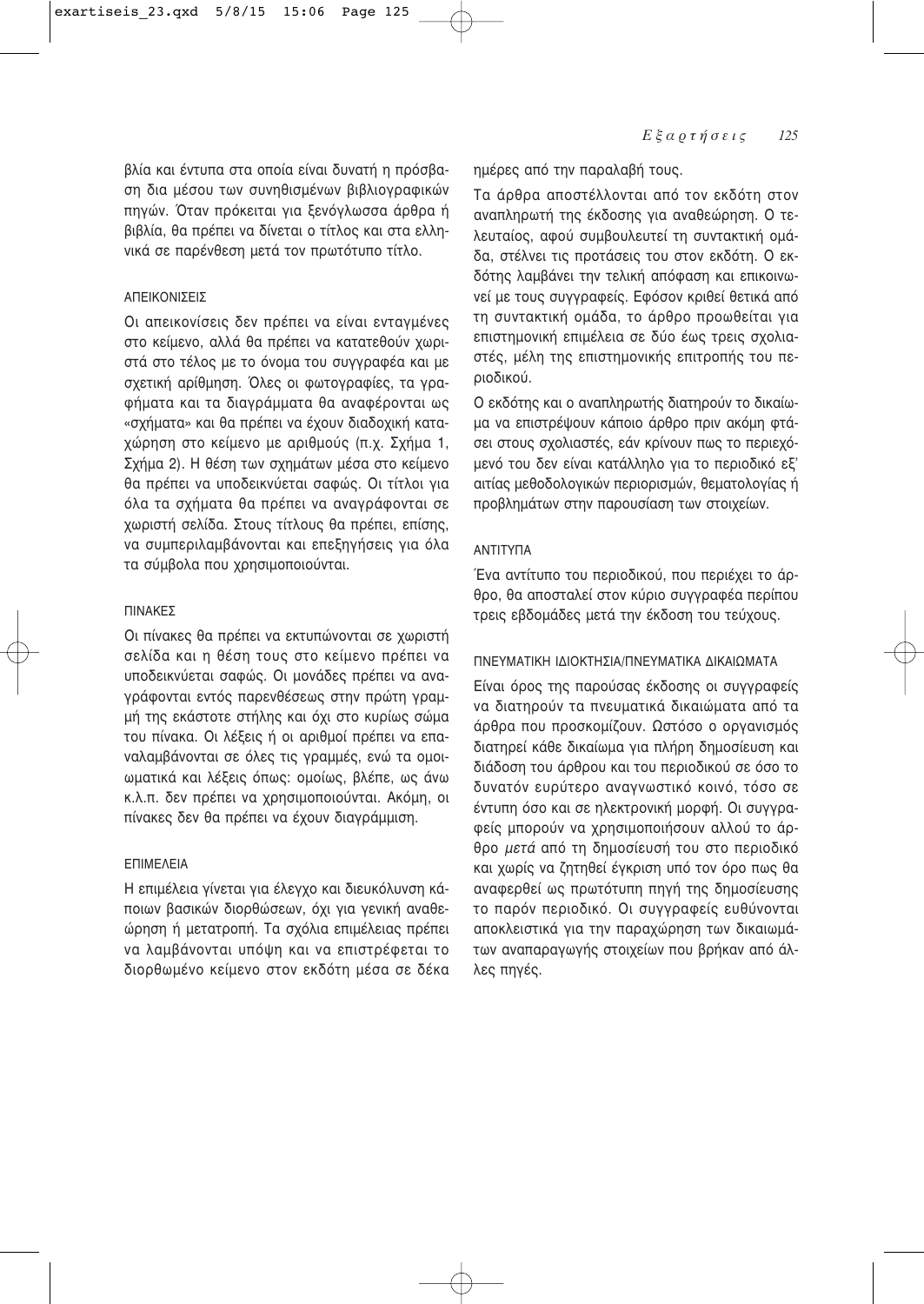βλία και έντυπα στα οποία είναι δυνατή η πρόσβαση δια μέσου των συνηθισμένων βιβλιογραφικών πηγών. Όταν πρόκειται για ξενόγλωσσα άρθρα ή βιβλία, θα πρέπει να δίνεται ο τίτλος και στα ελληνικά σε παρένθεση μετά τον πρωτότυπο τίτλο.

# ΑΠΕΙΚΟΝΙΣΕΙΣ

Οι απεικονίσεις δεν πρέπει να είναι ενταγμένες στο κείμενο, αλλά θα πρέπει να κατατεθούν χωριστά στο τέλος με το όνομα του συγγραφέα και με σχετική αρίθμηση. Όλες οι φωτογραφίες, τα γραφήματα και τα διαγράμματα θα αναφέρονται ως «σχήματα» και θα πρέπει να έχουν διαδοχική καταχώρηση στο κείμενο με αριθμούς (π.χ. Σχήμα 1, Σχήμα 2). Η θέση των σχημάτων μέσα στο κείμενο θα πρέπει να υποδεικνύεται σαφώς. Οι τίτλοι για όλα τα σχήματα θα πρέπει να αναγράφονται σε χωριστή σελίδα. Στους τίτλους θα πρέπει, επίσης, να συμπεριλαμβάνονται και επεξηγήσεις για όλα τα σύμβολα που χρησιμοποιούνται.

### **ΠΙΝΑΚΕΣ**

Οι πίνακες θα πρέπει να εκτυπώνονται σε χωριστή σελίδα και η θέση τους στο κείμενο πρέπει να υποδεικνύεται σαφώς. Οι μονάδες πρέπει να αναγράφονται εντός παρενθέσεως στην πρώτη γραμμή της εκάστοτε στήλης και όχι στο κυρίως σώμα του πίνακα. Οι λέξεις ή οι αριθμοί πρέπει να επαναλαμβάνονται σε όλες τις γραμμές, ενώ τα ομοιωματικά και λέξεις όπως: ομοίως, βλέπε, ως άνω κ.λ.π. δεν πρέπει να χρησιμοποιούνται. Ακόμη, οι πίνακες δεν θα πρέπει να έχουν διαγράμμιση.

# ΕΠΙΜΕΛΕΙΑ

Η επιμέλεια γίνεται για έλεγχο και διευκόλυνση κάποιων βασικών διορθώσεων, όχι για γενική αναθεώρηση ή μετατροπή. Τα σχόλια επιμέλειας πρέπει να λαμβάνονται υπόψη και να επιστρέφεται το διορθωμένο κείμενο στον εκδότη μέσα σε δέκα ημέρες από την παραλαβή τους.

Τα άρθρα αποστέλλονται από τον εκδότη στον αναπληρωτή της έκδοσης για αναθεώρηση. Ο τελευταίος, αφού συμβουλευτεί τη συντακτική ομάδα, στέλνει τις προτάσεις του στον εκδότη. Ο εκδότης λαμβάνει την τελική απόφαση και επικοινωνεί με τους συγγραφείς. Εφόσον κριθεί θετικά από τη συντακτική ομάδα, το άρθρο προωθείται για επιστημονική επιμέλεια σε δύο έως τρεις σχολιαστές, μέλη της επιστημονικής επιτροπής του περιοδικού.

Ο εκδότης και ο αναπληρωτής διατηρούν το δικαίωμα να επιστρέψουν κάποιο άρθρο πριν ακόμη φτάσει στους σχολιαστές, εάν κρίνουν πως το περιεχόμενό του δεν είναι κατάλληλο για το περιοδικό εξ' αιτίας μεθοδολογικών περιορισμών, θεματολογίας ή προβλημάτων στην παρουσίαση των στοιχείων.

# ΑΝΤΙΤΥΠΑ

Ένα αντίτυπο του περιοδικού, που περιέχει το άρθρο, θα αποσταλεί στον κύριο συγγραφέα περίπου τρεις εβδομάδες μετά την έκδοση του τεύχους.

## ΠΝΕΥΜΑΤΙΚΗ ΙΛΙΟΚΤΗΣΙΑ/ΠΝΕΥΜΑΤΙΚΑ ΛΙΚΑΙΟΜΑΤΑ

Είναι όρος της παρούσας έκδοσης οι συγγραφείς να διατηρούν τα πνευματικά δικαιώματα από τα άρθρα που προσκομίζουν. Ωστόσο ο οργανισμός διατηρεί κάθε δικαίωμα για πλήρη δημοσίευση και διάδοση του άρθρου και του περιοδικού σε όσο το δυνατόν ευρύτερο αναγνωστικό κοινό, τόσο σε έντυπη όσο και σε ηλεκτρονική μορφή. Οι συγγραφείς μπορούν να χρησιμοποιήσουν αλλού το άρθρο μετά από τη δημοσίευσή του στο περιοδικό και χωρίς να ζητηθεί έγκριση υπό τον όρο πως θα αναφερθεί ως πρωτότυπη πηγή της δημοσίευσης το παρόν περιοδικό. Οι συγγραφείς ευθύνονται αποκλειστικά για την παραχώρηση των δικαιωμάτων αναπαραγωγής στοιχείων που βρήκαν από άλλες πηγές.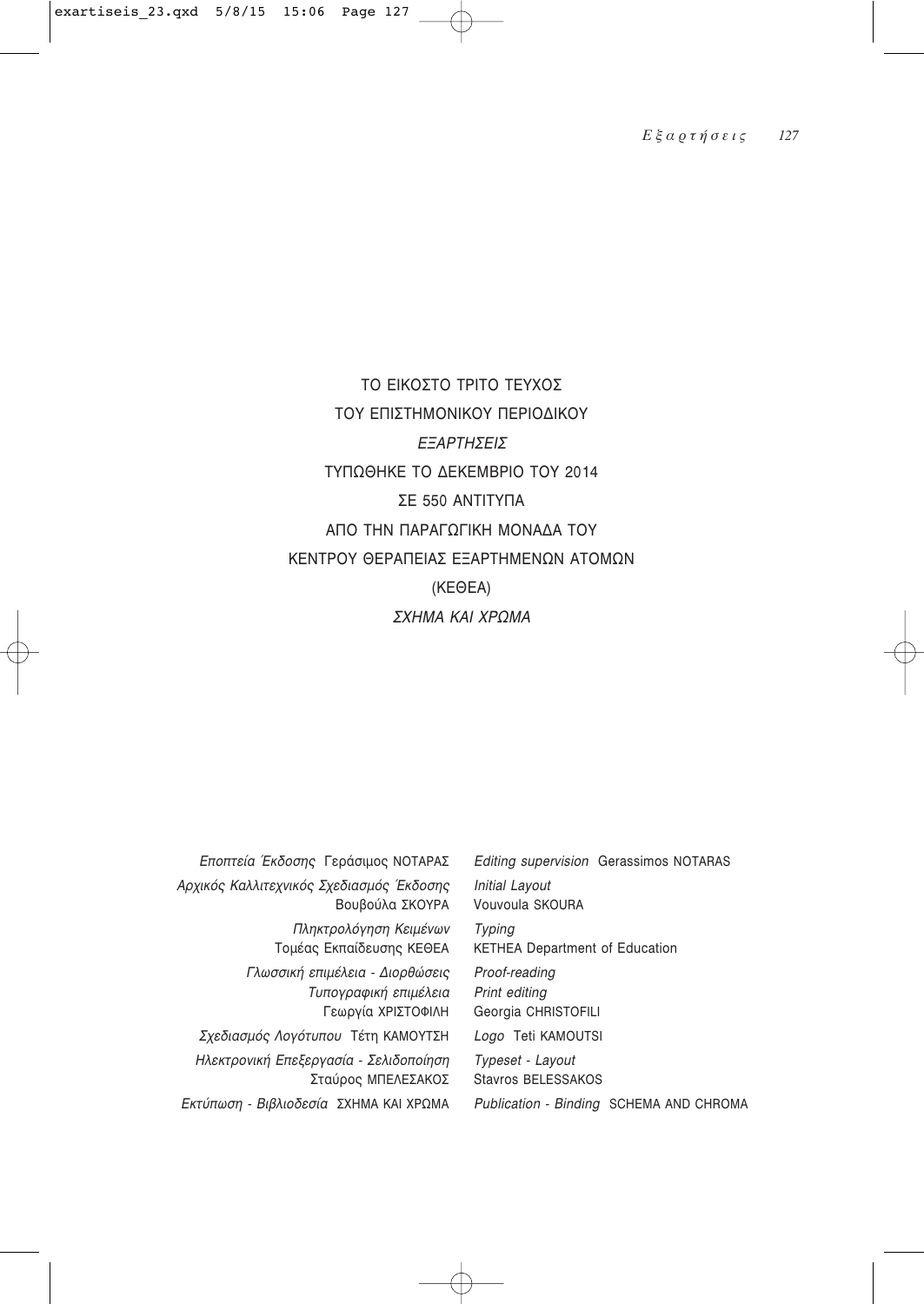# ΤΟ ΕΙΚΟΣΤΟ ΤΡΙΤΟ ΤΕΥΧΟΣ ΤΟΥ ΕΠΙΣΤΗΜΟΝΙΚΟΥ ΠΕΡΙΟΔΙΚΟΥ ΕΞΑΡΤΗΣΕΙΣ ΤΥΠΩΘΗΚΕ ΤΟ ΔΕΚΕΜΒΡΙΟ ΤΟΥ 2014 ΣE 550 ANTITYΠA ΑΠΟ ΤΗΝ ΠΑΡΑΓΩΓΙΚΗ ΜΟΝΑΔΑ ΤΟΥ ΚΕΝΤΡΟΥ ΘΕΡΑΠΕΙΑΣ ΕΞΑΡΤΗΜΕΝΩΝ ΑΤΟΜΩΝ  $(KEOEA)$ *ΣΧΗΜΑ ΚΑΙ ΧΡΩΜΑ*

| Εποπτεία Έκδοσης Γεράσιμος ΝΟΤΑΡΑΣ                                                                     |
|--------------------------------------------------------------------------------------------------------|
| Αρχικός Καλλιτεχνικός Σχεδιασμός Έκδοσης<br>Βουβούλα ΣΚΟΥΡΑ                                            |
| Πληκτρολόγηση Κειμένων<br>Τομέας Εκπαίδευσης ΚΕΘΕΑ                                                     |
| Γλωσσική επιμέλεια - Διορθώσεις<br>Τυπογραφική επιμέλεια<br>Γεωργία ΧΡΙΣΤΟΦΙΛΗ                         |
| Σχεδιασμός Λογότυπου Τέτη ΚΑΜΟΥΤΣΗ                                                                     |
| Ηλεκτρονική Επεξεργασία - Σελιδοποίηση<br>Σταύρος ΜΠΕΛΕΣΑΚΟΣ<br>Εκτύπωση - Βιβλιοδεσία ΣΧΗΜΑ ΚΑΙ ΧΡΩΜΑ |

*Editing supervision* Gerassimos NOTARAS *Initial Layout* Vouvoula SKOURA *Typing* KETHEA Department of Education *Proof-reading Print editing* Georgia CHRISTOFILI

*Logo* Teti KAMOUTSI

*Typeset - Layout* Stavros BELESSAKOS *Publication - Binding* SCHEMA AND CHROMA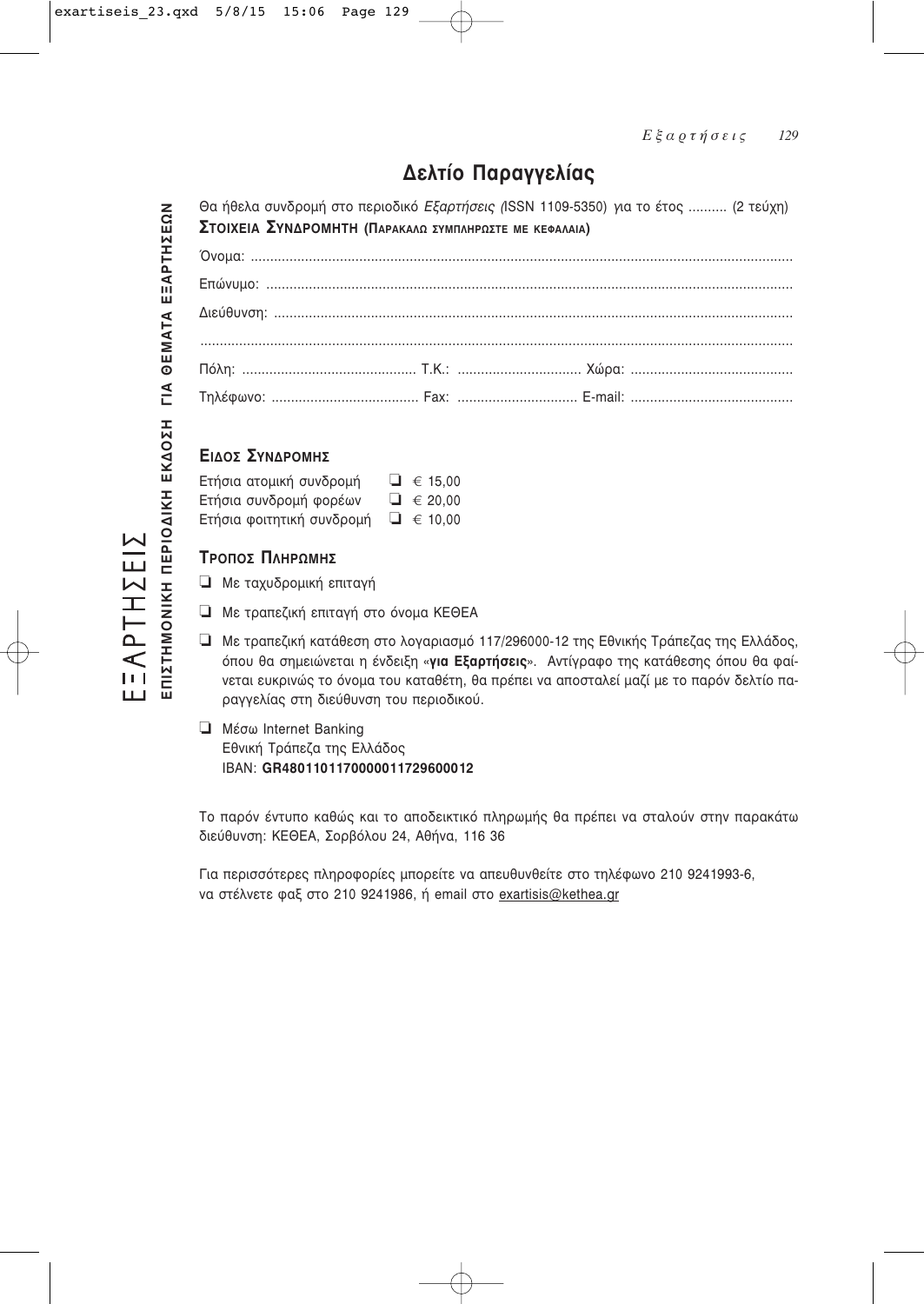# Δελτίο Παραγγελίας

ΕΞΛΡΤΗΣΕΙΣ<br>eπizthmonikh πepioaikh ekaozh гia @emata e=apthzeΩn

# ΕΙΔΟΣ ΣΥΝΔΡΟΜΗΣ

| Ετήσια ατομική συνδρομή   | $\Box$ $\in$ 15.00 |
|---------------------------|--------------------|
| Ετήσια συνδρομή φορέων    | $\Box$ $\in$ 20.00 |
| Ετήσια φοιτητική συνδρομή | $\Box$ $\in$ 10.00 |

# **ΤΡΟΠΟΣ ΠΛΗΡΩΜΗΣ**

- **4** Με ταχυδρομική επιταγή
- **I** Με τραπεζική επιταγή στο όνομα ΚΕΘΕΑ
- Δ Με τραπεζική κατάθεση στο λογαριασμό 117/296000-12 της Εθνικής Τράπεζας της Ελλάδος, όπου θα σημειώνεται η ένδειξη «**για Εξαρτήσεις**». Αντίγραφο της κατάθεσης όπου θα φαίνεται ευκρινώς το όνομα του καταθέτη, θα πρέπει να αποσταλεί μαζί με το παρόν δελτίο παραγγελίας στη διεύθυνση του περιοδικού.
- Μέσω Internet Banking Εθνική Τράπεζα της Ελλάδος IBAN: GR4801101170000011729600012

Το παρόν έντυπο καθώς και το αποδεικτικό πληρωμής θα πρέπει να σταλούν στην παρακάτω διεύθυνση: ΚΕΘΕΑ, Σορβόλου 24, Αθήνα, 116 36

Για περισσότερες πληροφορίες μπορείτε να απευθυνθείτε στο τηλέφωνο 210 9241993-6, να στέλνετε φαξ στο 210 9241986, ή email στο exartisis@kethea.gr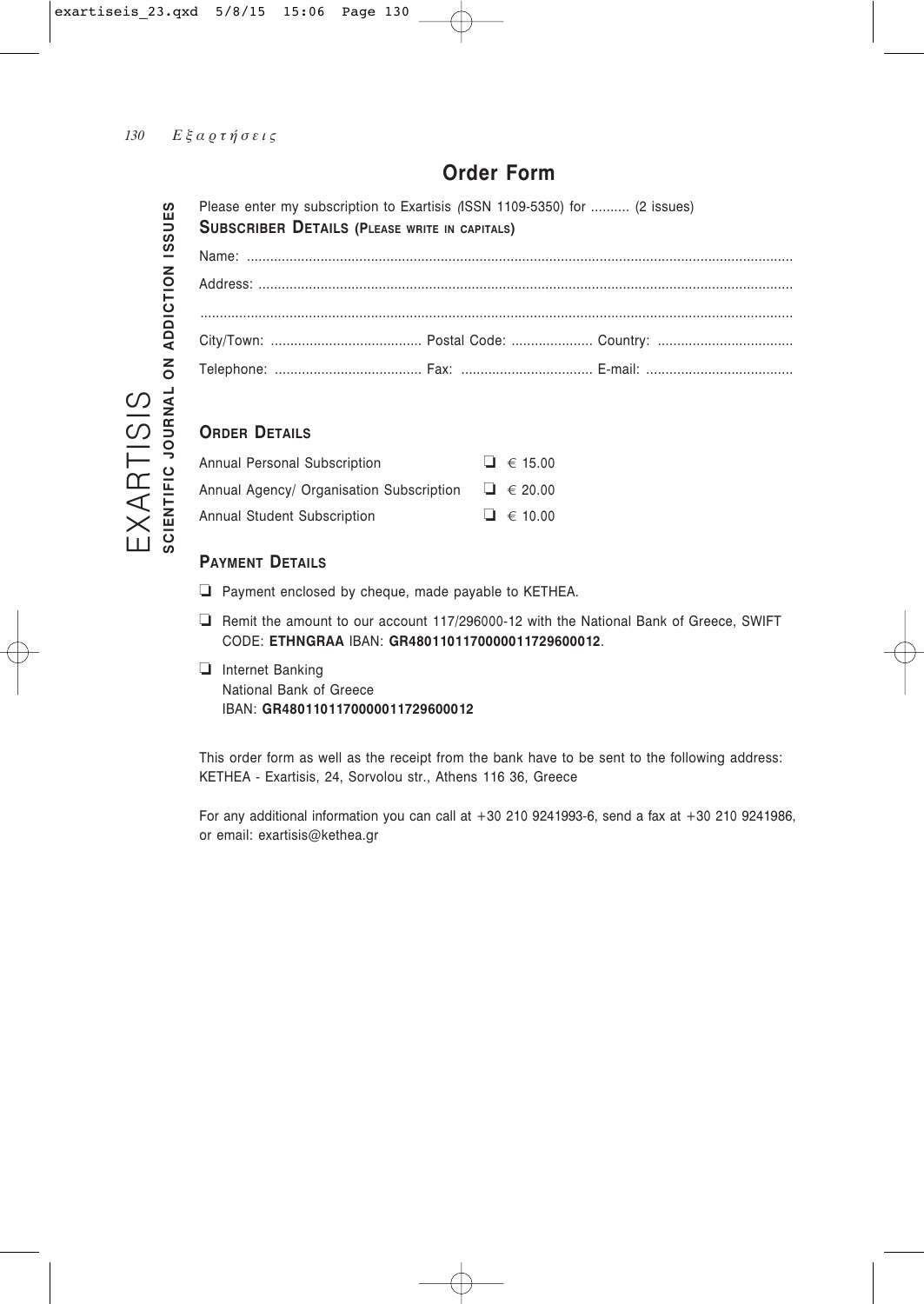# **Order Form**

Please enter my subscription to Exartisis *(*ISSN 1109-5350) for .......... (2 issues) **SUBSCRIBER DETAILS (PLEASE WRITE IN CAPITALS)** Name: ............................................................................................................................................. Address: .......................................................................................................................................... ......................................................................................................................................................... City/Town: ....................................... Postal Code: ..................... Country: ................................... Δelephone: ...................................... Fax: .................................. E-mail: ......................................

# **ORDER DETAILS**

| Annual Personal Subscription             | $\Box$ $\in$ 15.00 |
|------------------------------------------|--------------------|
| Annual Agency/ Organisation Subscription | $\Box$ $\in$ 20.00 |
| Annual Student Subscription              | $\Box$ $\in$ 10.00 |

# **PAYMENT DETAILS**

- ❏ Payment enclosed by cheque, made payable to KETHEA.
- ❏ Remit the amount to our account 117/296000-12 with the National Bank of Greece, SWIFT CODE: **ETHNGRAA** IBAN: **GR4801101170000011729600012**.
- ❏ πnternet Banking National Bank of Greece IBAN: **GR4801101170000011729600012**

This order form as well as the receipt from the bank have to be sent to the following address: KETHEA - Exartisis, 24, Sorvolou str., Athens 116 36, Greece

For any additional information you can call at +30 210 9241993-6, send a fax at +30 210 9241986, or email: exartisis@kethea.gr